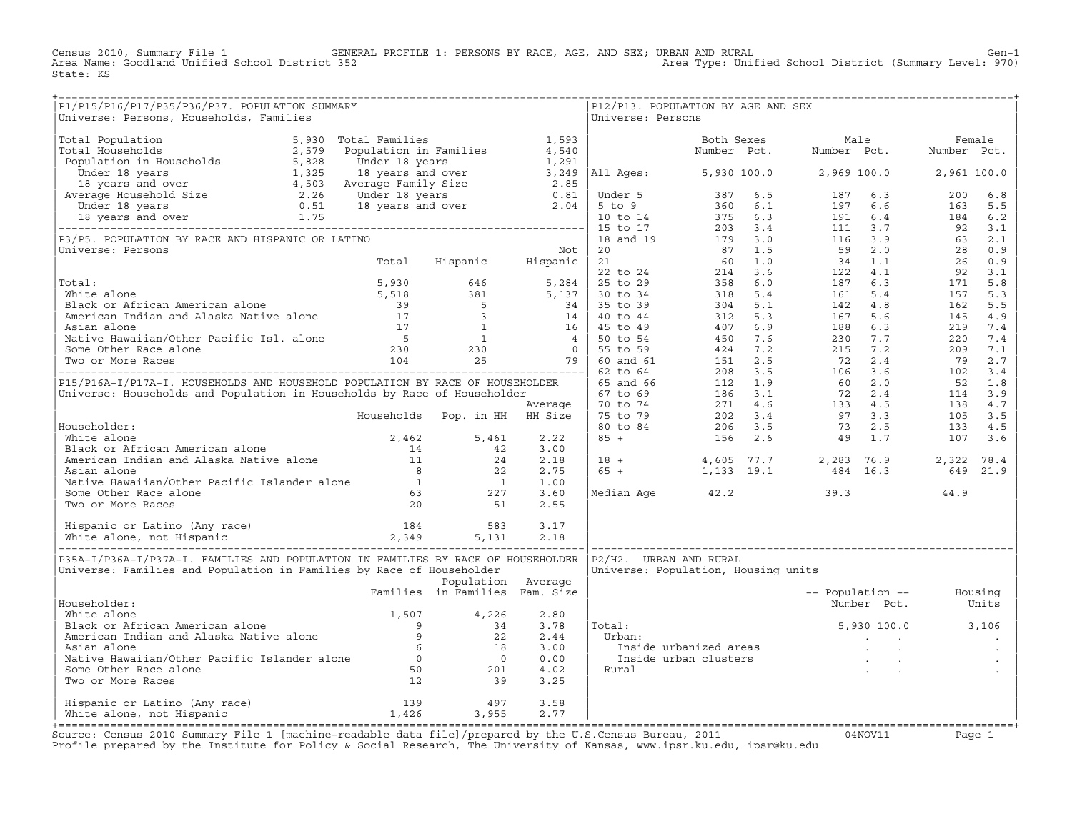Census 2010, Summary File 1 GENERAL PROFILE 1: PERSONS BY RACE, AGE, AND SEX; URBAN AND RURAL Genosi Cen-1<br>Area Name: Goodland Unified School District 352 area Type: Unified School District (Summary Level: 970) Area Type: Unified School District (Summary Level: 970) State: KS

| P1/P15/P16/P17/P35/P36/P37. POPULATION SUMMARY<br>Universe: Persons, Households, Families                                                                                                                                                     |                                |                    | Universe: Persons | P12/P13. POPULATION BY AGE AND SEX |                                     |                          |                   |  |
|-----------------------------------------------------------------------------------------------------------------------------------------------------------------------------------------------------------------------------------------------|--------------------------------|--------------------|-------------------|------------------------------------|-------------------------------------|--------------------------|-------------------|--|
|                                                                                                                                                                                                                                               |                                |                    |                   |                                    |                                     |                          |                   |  |
|                                                                                                                                                                                                                                               |                                |                    |                   |                                    |                                     |                          |                   |  |
|                                                                                                                                                                                                                                               |                                |                    |                   |                                    |                                     |                          |                   |  |
|                                                                                                                                                                                                                                               |                                |                    |                   |                                    |                                     |                          |                   |  |
|                                                                                                                                                                                                                                               |                                |                    |                   |                                    |                                     |                          |                   |  |
|                                                                                                                                                                                                                                               |                                |                    |                   |                                    |                                     |                          |                   |  |
|                                                                                                                                                                                                                                               |                                |                    |                   |                                    |                                     |                          |                   |  |
|                                                                                                                                                                                                                                               |                                |                    |                   |                                    |                                     |                          |                   |  |
|                                                                                                                                                                                                                                               |                                |                    |                   |                                    |                                     |                          |                   |  |
|                                                                                                                                                                                                                                               |                                |                    |                   |                                    |                                     |                          |                   |  |
|                                                                                                                                                                                                                                               |                                |                    |                   |                                    |                                     |                          |                   |  |
|                                                                                                                                                                                                                                               |                                |                    |                   |                                    |                                     |                          |                   |  |
|                                                                                                                                                                                                                                               |                                |                    |                   |                                    |                                     |                          |                   |  |
|                                                                                                                                                                                                                                               |                                |                    |                   |                                    |                                     |                          |                   |  |
|                                                                                                                                                                                                                                               |                                |                    |                   |                                    |                                     |                          |                   |  |
|                                                                                                                                                                                                                                               |                                |                    |                   |                                    |                                     |                          |                   |  |
|                                                                                                                                                                                                                                               |                                |                    |                   |                                    |                                     |                          |                   |  |
|                                                                                                                                                                                                                                               |                                |                    |                   |                                    |                                     |                          |                   |  |
|                                                                                                                                                                                                                                               |                                |                    |                   |                                    |                                     |                          |                   |  |
|                                                                                                                                                                                                                                               |                                |                    |                   |                                    |                                     |                          |                   |  |
|                                                                                                                                                                                                                                               |                                |                    |                   |                                    |                                     |                          |                   |  |
|                                                                                                                                                                                                                                               |                                |                    |                   |                                    |                                     |                          |                   |  |
|                                                                                                                                                                                                                                               |                                |                    |                   |                                    |                                     |                          |                   |  |
|                                                                                                                                                                                                                                               |                                |                    |                   |                                    |                                     |                          |                   |  |
|                                                                                                                                                                                                                                               |                                |                    |                   |                                    |                                     |                          |                   |  |
|                                                                                                                                                                                                                                               |                                |                    |                   |                                    |                                     |                          |                   |  |
| Householder:<br>White alone<br>Micke alone<br>Micke alone<br>Marchan American and Alaska Native alone<br>Asian alone<br>Marive Hawaiian/Other Pacific Islander alone<br>Marive Hawaiian/Other Pacific Islander alone<br>Marive Hawaiian/Other |                                |                    |                   |                                    |                                     |                          |                   |  |
|                                                                                                                                                                                                                                               |                                |                    |                   |                                    |                                     |                          |                   |  |
| P35A-I/P36A-I/P37A-I. FAMILIES AND POPULATION IN FAMILIES BY RACE OF HOUSEHOLDER  P2/H2. URBAN AND RURAL<br>Universe: Families and Population in Families by Race of Householder                                                              |                                |                    |                   |                                    | Universe: Population, Housing units |                          |                   |  |
|                                                                                                                                                                                                                                               | Families in Families Fam. Size | Population Average |                   |                                    |                                     | -- Population -- Housing |                   |  |
| Householder:                                                                                                                                                                                                                                  |                                |                    |                   |                                    |                                     |                          | Number Pct. Units |  |
|                                                                                                                                                                                                                                               |                                |                    |                   |                                    | $5,930,100.0$ $3,106$               |                          |                   |  |
|                                                                                                                                                                                                                                               |                                |                    |                   | Total:                             |                                     |                          |                   |  |
|                                                                                                                                                                                                                                               |                                |                    |                   |                                    |                                     |                          |                   |  |
|                                                                                                                                                                                                                                               |                                |                    |                   |                                    |                                     |                          |                   |  |
|                                                                                                                                                                                                                                               |                                |                    |                   |                                    |                                     |                          |                   |  |
| Notational contracts:<br>Native alone and Alaska Native alone and Alaska Native alone and Alaska Native alone and Alaska Native alone by a control of the Asian alone of the Native Hawaiian/Other Pacific Islander alone by a c              |                                |                    |                   |                                    |                                     |                          |                   |  |
|                                                                                                                                                                                                                                               |                                |                    | 3.58              |                                    |                                     |                          |                   |  |
| Hispanic or Latino (Any race) 139 (1978)<br>White alone, not Hispanic (1,426 (1,426 (1,955)                                                                                                                                                   |                                |                    | 2.77              |                                    |                                     |                          |                   |  |
|                                                                                                                                                                                                                                               |                                |                    |                   |                                    |                                     |                          |                   |  |

+===================================================================================================================================================+Source: Census 2010 Summary File 1 [machine−readable data file]/prepared by the U.S.Census Bureau, 2011 04NOV11 Page 1 Profile prepared by the Institute for Policy & Social Research, The University of Kansas, www.ipsr.ku.edu, ipsr@ku.edu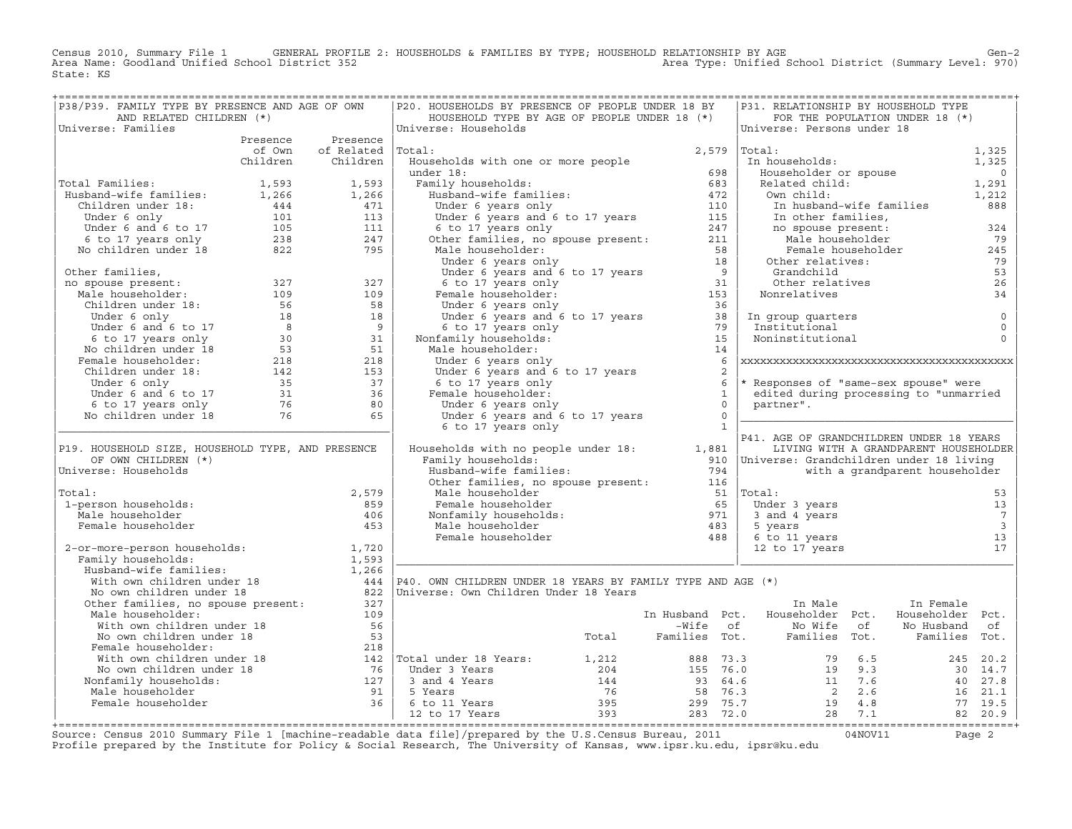Census 2010, Summary File 1 GENERAL PROFILE 2: HOUSEHOLDS & FAMILIES BY TYPE; HOUSEHOLD RELATIONSHIP BY AGE GEN<br>Area Name: Goodland Unified School District 352 Area Type: Unified School District (Summary Level: 970) State: KS

| P38/P39. FAMILY TYPE BY PRESENCE AND AGE OF OWN                                                                                                                                                                                              |                          | P20. HOUSEHOLDS BY PRESENCE OF PEOPLE UNDER 18 BY                                                                                                                                                                                                                                                                                                                                                                                                                                                         |                | P31. RELATIONSHIP BY HOUSEHOLD TYPE                                                                                    |                                       |                          |
|----------------------------------------------------------------------------------------------------------------------------------------------------------------------------------------------------------------------------------------------|--------------------------|-----------------------------------------------------------------------------------------------------------------------------------------------------------------------------------------------------------------------------------------------------------------------------------------------------------------------------------------------------------------------------------------------------------------------------------------------------------------------------------------------------------|----------------|------------------------------------------------------------------------------------------------------------------------|---------------------------------------|--------------------------|
| AND RELATED CHILDREN (*)                                                                                                                                                                                                                     |                          | HOUSEHOLD TYPE BY AGE OF PEOPLE UNDER 18 (*)                                                                                                                                                                                                                                                                                                                                                                                                                                                              |                |                                                                                                                        | FOR THE POPULATION UNDER 18 (*)       |                          |
| Universe: Families                                                                                                                                                                                                                           |                          | Universe: Households                                                                                                                                                                                                                                                                                                                                                                                                                                                                                      |                | Universe: Persons under 18                                                                                             |                                       |                          |
|                                                                                                                                                                                                                                              | Presence Presence        |                                                                                                                                                                                                                                                                                                                                                                                                                                                                                                           |                | Total: 1,325<br>In households: 1,325<br>Householder or spouse 0<br>Related child: 1,291<br>0 0 1,212<br>1,212<br>1,212 |                                       |                          |
|                                                                                                                                                                                                                                              | of Own of Related Total: |                                                                                                                                                                                                                                                                                                                                                                                                                                                                                                           | 2,579   Total: |                                                                                                                        |                                       |                          |
|                                                                                                                                                                                                                                              | Children Children        | Households with one or more people                                                                                                                                                                                                                                                                                                                                                                                                                                                                        |                |                                                                                                                        |                                       |                          |
|                                                                                                                                                                                                                                              |                          |                                                                                                                                                                                                                                                                                                                                                                                                                                                                                                           |                |                                                                                                                        |                                       |                          |
|                                                                                                                                                                                                                                              |                          |                                                                                                                                                                                                                                                                                                                                                                                                                                                                                                           |                |                                                                                                                        |                                       |                          |
|                                                                                                                                                                                                                                              |                          |                                                                                                                                                                                                                                                                                                                                                                                                                                                                                                           |                |                                                                                                                        |                                       |                          |
|                                                                                                                                                                                                                                              |                          |                                                                                                                                                                                                                                                                                                                                                                                                                                                                                                           |                |                                                                                                                        |                                       |                          |
|                                                                                                                                                                                                                                              |                          |                                                                                                                                                                                                                                                                                                                                                                                                                                                                                                           |                |                                                                                                                        |                                       |                          |
|                                                                                                                                                                                                                                              |                          |                                                                                                                                                                                                                                                                                                                                                                                                                                                                                                           |                |                                                                                                                        |                                       |                          |
| 1,593 1,593 1,593<br>Husband-wife families: 1,266 1,266<br>Children under 18: 1,266 1,266<br>Under 6 only 101 113<br>Under 6 and 6 to 17 105 111<br>6 to 17 years only 238 247<br>No children under 18 822 795                               |                          |                                                                                                                                                                                                                                                                                                                                                                                                                                                                                                           |                |                                                                                                                        |                                       |                          |
|                                                                                                                                                                                                                                              |                          |                                                                                                                                                                                                                                                                                                                                                                                                                                                                                                           |                |                                                                                                                        |                                       |                          |
|                                                                                                                                                                                                                                              |                          |                                                                                                                                                                                                                                                                                                                                                                                                                                                                                                           |                |                                                                                                                        |                                       |                          |
|                                                                                                                                                                                                                                              |                          |                                                                                                                                                                                                                                                                                                                                                                                                                                                                                                           |                |                                                                                                                        |                                       |                          |
|                                                                                                                                                                                                                                              |                          |                                                                                                                                                                                                                                                                                                                                                                                                                                                                                                           |                |                                                                                                                        |                                       |                          |
|                                                                                                                                                                                                                                              |                          |                                                                                                                                                                                                                                                                                                                                                                                                                                                                                                           |                |                                                                                                                        |                                       |                          |
|                                                                                                                                                                                                                                              |                          |                                                                                                                                                                                                                                                                                                                                                                                                                                                                                                           |                |                                                                                                                        |                                       |                          |
|                                                                                                                                                                                                                                              |                          |                                                                                                                                                                                                                                                                                                                                                                                                                                                                                                           |                |                                                                                                                        |                                       |                          |
|                                                                                                                                                                                                                                              |                          |                                                                                                                                                                                                                                                                                                                                                                                                                                                                                                           |                |                                                                                                                        |                                       |                          |
|                                                                                                                                                                                                                                              |                          |                                                                                                                                                                                                                                                                                                                                                                                                                                                                                                           |                |                                                                                                                        |                                       |                          |
|                                                                                                                                                                                                                                              |                          |                                                                                                                                                                                                                                                                                                                                                                                                                                                                                                           |                |                                                                                                                        |                                       |                          |
|                                                                                                                                                                                                                                              |                          |                                                                                                                                                                                                                                                                                                                                                                                                                                                                                                           |                |                                                                                                                        |                                       |                          |
|                                                                                                                                                                                                                                              |                          |                                                                                                                                                                                                                                                                                                                                                                                                                                                                                                           |                | * Responses of "same-sex spouse" were                                                                                  |                                       |                          |
|                                                                                                                                                                                                                                              |                          |                                                                                                                                                                                                                                                                                                                                                                                                                                                                                                           |                | edited during processing to "unmarried                                                                                 |                                       |                          |
|                                                                                                                                                                                                                                              |                          |                                                                                                                                                                                                                                                                                                                                                                                                                                                                                                           |                | partner".                                                                                                              |                                       |                          |
|                                                                                                                                                                                                                                              |                          | The momentum of the Under 6 years only<br>Under 6 years and 6 to 17 years<br>6 to 17 years and 6 to 17 years<br>6 to 17 years only<br>Female householder:<br>Under 6 years only<br>Under 6 years and 6 to 17 years<br>6 to 17 years only<br>1                                                                                                                                                                                                                                                             |                |                                                                                                                        |                                       |                          |
|                                                                                                                                                                                                                                              |                          | 6 to 17 years only                                                                                                                                                                                                                                                                                                                                                                                                                                                                                        |                |                                                                                                                        |                                       |                          |
|                                                                                                                                                                                                                                              |                          |                                                                                                                                                                                                                                                                                                                                                                                                                                                                                                           |                | P41. AGE OF GRANDCHILDREN UNDER 18 YEARS                                                                               |                                       |                          |
| P19. HOUSEHOLD SIZE, HOUSEHOLD TYPE, AND PRESENCE                                                                                                                                                                                            |                          | Households with no people under $18: 1,881$                                                                                                                                                                                                                                                                                                                                                                                                                                                               |                |                                                                                                                        | LIVING WITH A GRANDPARENT HOUSEHOLDER |                          |
| OF OWN CHILDREN (*)                                                                                                                                                                                                                          |                          | Family households:                                                                                                                                                                                                                                                                                                                                                                                                                                                                                        |                |                                                                                                                        |                                       |                          |
| Universe: Households                                                                                                                                                                                                                         |                          |                                                                                                                                                                                                                                                                                                                                                                                                                                                                                                           |                |                                                                                                                        | with a grandparent householder        |                          |
|                                                                                                                                                                                                                                              |                          |                                                                                                                                                                                                                                                                                                                                                                                                                                                                                                           |                |                                                                                                                        |                                       |                          |
| Total:                                                                                                                                                                                                                                       | 2,579                    |                                                                                                                                                                                                                                                                                                                                                                                                                                                                                                           |                |                                                                                                                        |                                       | 53                       |
| 1-person households:                                                                                                                                                                                                                         | 859                      |                                                                                                                                                                                                                                                                                                                                                                                                                                                                                                           |                |                                                                                                                        |                                       | 13                       |
| Male householder                                                                                                                                                                                                                             | 406                      |                                                                                                                                                                                                                                                                                                                                                                                                                                                                                                           |                |                                                                                                                        |                                       | $\overline{7}$           |
| Female householder                                                                                                                                                                                                                           | 453                      |                                                                                                                                                                                                                                                                                                                                                                                                                                                                                                           |                |                                                                                                                        |                                       | $\overline{\phantom{a}}$ |
|                                                                                                                                                                                                                                              |                          |                                                                                                                                                                                                                                                                                                                                                                                                                                                                                                           |                |                                                                                                                        |                                       | 13                       |
|                                                                                                                                                                                                                                              |                          | Nonfamily householder<br>Families:<br>Families:<br>Male households:<br>Male households:<br>Male householder<br>Male householder<br>Male householder<br>Male householder<br>Male householder<br>Male householder<br>Male householder<br>Male households<br>Female Householder<br>Female Householder<br>Female Householder<br>Husband-wife families:<br>With own children under 18<br>No own children under 18<br>No own children under 18<br>No own children under 18<br>No own children under 18<br>Other |                |                                                                                                                        |                                       | 17                       |
|                                                                                                                                                                                                                                              |                          |                                                                                                                                                                                                                                                                                                                                                                                                                                                                                                           |                |                                                                                                                        |                                       |                          |
|                                                                                                                                                                                                                                              |                          |                                                                                                                                                                                                                                                                                                                                                                                                                                                                                                           |                |                                                                                                                        |                                       |                          |
|                                                                                                                                                                                                                                              |                          |                                                                                                                                                                                                                                                                                                                                                                                                                                                                                                           |                |                                                                                                                        |                                       |                          |
|                                                                                                                                                                                                                                              |                          |                                                                                                                                                                                                                                                                                                                                                                                                                                                                                                           |                |                                                                                                                        |                                       |                          |
|                                                                                                                                                                                                                                              |                          |                                                                                                                                                                                                                                                                                                                                                                                                                                                                                                           |                | In Male                                                                                                                | In Female                             |                          |
| Male householder:                                                                                                                                                                                                                            | 109                      |                                                                                                                                                                                                                                                                                                                                                                                                                                                                                                           |                | In Husband Pct. Householder Pct.                                                                                       | Householder Pct.                      |                          |
|                                                                                                                                                                                                                                              |                          |                                                                                                                                                                                                                                                                                                                                                                                                                                                                                                           |                |                                                                                                                        |                                       |                          |
|                                                                                                                                                                                                                                              |                          |                                                                                                                                                                                                                                                                                                                                                                                                                                                                                                           |                |                                                                                                                        |                                       |                          |
|                                                                                                                                                                                                                                              |                          |                                                                                                                                                                                                                                                                                                                                                                                                                                                                                                           |                |                                                                                                                        |                                       |                          |
|                                                                                                                                                                                                                                              |                          |                                                                                                                                                                                                                                                                                                                                                                                                                                                                                                           |                |                                                                                                                        |                                       |                          |
|                                                                                                                                                                                                                                              |                          |                                                                                                                                                                                                                                                                                                                                                                                                                                                                                                           |                |                                                                                                                        |                                       |                          |
|                                                                                                                                                                                                                                              |                          |                                                                                                                                                                                                                                                                                                                                                                                                                                                                                                           |                |                                                                                                                        |                                       |                          |
|                                                                                                                                                                                                                                              |                          |                                                                                                                                                                                                                                                                                                                                                                                                                                                                                                           |                |                                                                                                                        |                                       |                          |
|                                                                                                                                                                                                                                              |                          |                                                                                                                                                                                                                                                                                                                                                                                                                                                                                                           |                |                                                                                                                        |                                       |                          |
| Male householder:<br>Mich own children under 18<br>No own children under 18<br>No own children under 18<br>No own children under 18<br>Total and Potal Families Tot. Householder Pct. Householder Pct.<br>Female householder:<br>With own ch |                          |                                                                                                                                                                                                                                                                                                                                                                                                                                                                                                           |                |                                                                                                                        |                                       |                          |
|                                                                                                                                                                                                                                              |                          |                                                                                                                                                                                                                                                                                                                                                                                                                                                                                                           |                |                                                                                                                        |                                       |                          |

+===================================================================================================================================================+Source: Census 2010 Summary File 1 [machine−readable data file]/prepared by the U.S.Census Bureau, 2011 04NOV11 Page 2 Profile prepared by the Institute for Policy & Social Research, The University of Kansas, www.ipsr.ku.edu, ipsr@ku.edu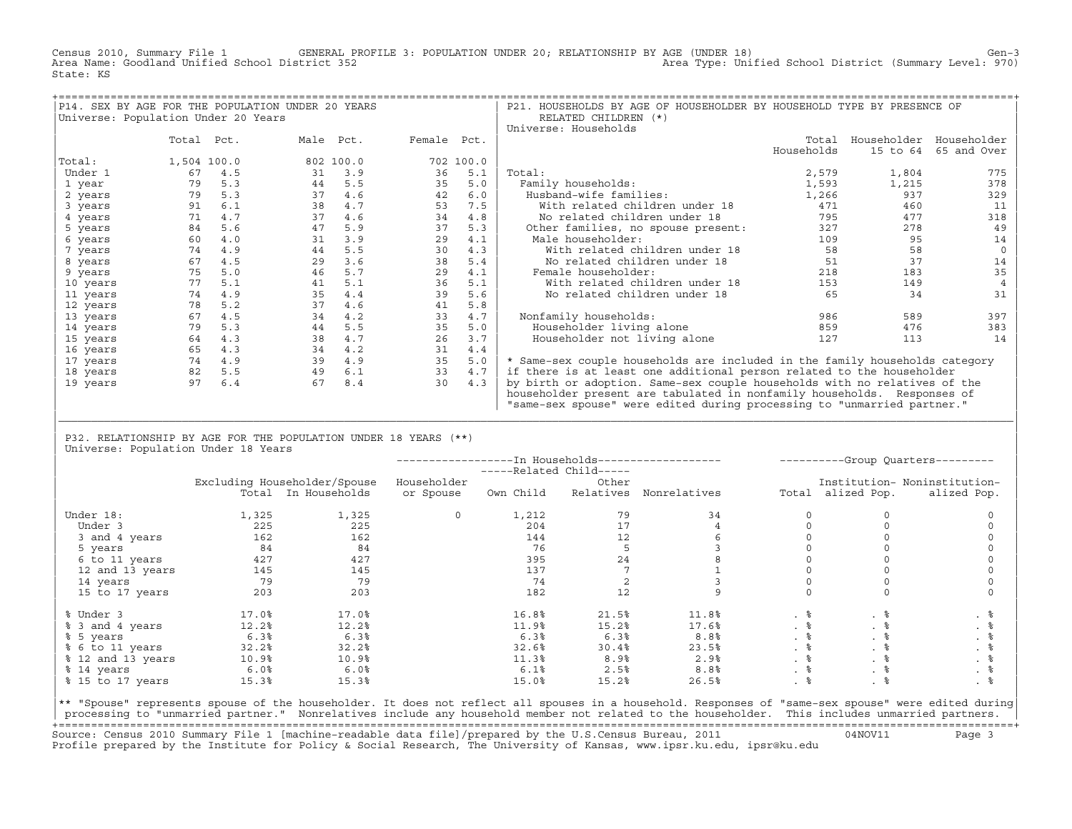Census 2010, Summary File 1 GENERAL PROFILE 3: POPULATION UNDER 20; RELATIONSHIP BY AGE (UNDER 18) Gen−3<br>Area Name: Goodland Unified School District 352 Area Type: Unified School District (Summary Level: 970) State: KS

| P14. SEX BY AGE FOR THE POPULATION UNDER 20 YEARS |             |     |           |           |             |           | P21. HOUSEHOLDS BY AGE OF HOUSEHOLDER BY HOUSEHOLD TYPE BY PRESENCE OF      |            |          |                         |
|---------------------------------------------------|-------------|-----|-----------|-----------|-------------|-----------|-----------------------------------------------------------------------------|------------|----------|-------------------------|
| Universe: Population Under 20 Years               |             |     |           |           |             |           | RELATED CHILDREN (*)                                                        |            |          |                         |
|                                                   |             |     |           |           |             |           | Universe: Households                                                        |            |          |                         |
|                                                   | Total Pct.  |     | Male Pct. |           | Female Pct. |           |                                                                             | Total      |          | Householder Householder |
|                                                   |             |     |           |           |             |           |                                                                             | Households | 15 to 64 | 65 and Over             |
| Total:                                            | 1,504 100.0 |     |           | 802 100.0 |             | 702 100.0 |                                                                             |            |          |                         |
| Under 1                                           | 67          | 4.5 | 31        | 3.9       | 36          | 5.1       | Total:                                                                      | 2,579      | 1,804    | 775                     |
| 1 year                                            | 79          | 5.3 | 44        | 5.5       | 35          | 5.0       | Family households:                                                          | 1,593      | 1,215    | 378                     |
| 2 years                                           | 79          | 5.3 | 37        | 4.6       | 42          | 6.0       | Husband-wife families:                                                      | 1,266      | 937      | 329                     |
| 3 years                                           | 91          | 6.1 | 38        | 4.7       | 53          | 7.5       | With related children under 18                                              | 471        | 460      | 11                      |
| 4 years                                           | 71          | 4.7 | 37        | 4.6       | 34          | 4.8       | No related children under 18                                                | 795        | 477      | 318                     |
| 5 years                                           | 84          | 5.6 | 47        | 5.9       | 37          | 5.3       | Other families, no spouse present:                                          | 327        | 278      | 49                      |
| 6 years                                           | 60          | 4.0 | 31        | 3.9       | 29          | 4.1       | Male householder:                                                           | 109        | 95       | 14                      |
| 7 years                                           | 74          | 4.9 | 44        | 5.5       | 30          | 4.3       | With related children under 18                                              | 58         | 58       |                         |
| 8 years                                           | 67          | 4.5 | 29        | 3.6       | 38          | 5.4       | No related children under 18                                                | 51         | 37       | 14                      |
| 9 years                                           | 75          | 5.0 | 46        | 5.7       | 29          | 4.1       | Female householder:                                                         | 218        | 183      | 35                      |
| 10 years                                          | 77          | 5.1 | 41        | 5.1       | 36          | 5.1       | With related children under 18                                              | 153        | 149      |                         |
| 11 years                                          | 74          | 4.9 | 35        | 4.4       | 39          | 5.6       | No related children under 18                                                | 65         | 34       | 31                      |
| 12 years                                          | 78          | 5.2 | 37        | 4.6       | 41          | 5.8       |                                                                             |            |          |                         |
| 13 years                                          | 67          | 4.5 | 34        | 4.2       | 33          | 4.7       | Nonfamily households:                                                       | 986        | 589      | 397                     |
| 14 years                                          | 79          | 5.3 | 44        | 5.5       | 35          | 5.0       | Householder living alone                                                    | 859        | 476      | 383                     |
| 15 years                                          | 64          | 4.3 | 38        | 4.7       | 26          | 3.7       | Householder not living alone                                                | 127        | 113      | 14                      |
| 16 years                                          | 65          | 4.3 | 34        | 4.2       | 31          | 4.4       |                                                                             |            |          |                         |
| 17 years                                          | 74          | 4.9 | 39        | 4.9       | 35          | 5.0       | * Same-sex couple households are included in the family households category |            |          |                         |
| 18 years                                          | 82          | 5.5 | 49        | 6.1       | 33          | 4.7       | if there is at least one additional person related to the householder       |            |          |                         |
| 19 years                                          | 97          | 6.4 | 67        | 8.4       | 30          | 4.3       | by birth or adoption. Same-sex couple households with no relatives of the   |            |          |                         |
|                                                   |             |     |           |           |             |           | householder present are tabulated in nonfamily households. Responses of     |            |          |                         |
|                                                   |             |     |           |           |             |           | "same-sex spouse" were edited during processing to "unmarried partner."     |            |          |                         |

| P32. RELATIONSHIP BY AGE FOR THE POPULATION UNDER 18 YEARS (\*\*) | Universe: Population Under 18 Years

|                   |       |                              |              | -----Related Child----- |           |                  |           |                   | ----------Group Quarters--------- |
|-------------------|-------|------------------------------|--------------|-------------------------|-----------|------------------|-----------|-------------------|-----------------------------------|
|                   |       | Excluding Householder/Spouse | Householder  |                         | Other     |                  |           |                   | Institution- Noninstitution-      |
|                   |       | Total In Households          | or Spouse    | Own Child               | Relatives | Nonrelatives     |           | Total alized Pop. | alized Pop.                       |
| Under 18:         | 1,325 | 1,325                        | $\mathbf{0}$ | 1,212                   | 79        | 34               |           |                   |                                   |
| Under 3           | 225   | 225                          |              | 204                     | 17        |                  |           |                   |                                   |
| 3 and 4 years     | 162   | 162                          |              | 144                     | 12        |                  |           |                   |                                   |
| 5 years           | 84    | 84                           |              | 76                      | 5         |                  |           |                   |                                   |
| 6 to 11 years     | 427   | 427                          |              | 395                     | 24        |                  |           |                   |                                   |
| 12 and 13 years   | 145   | 145                          |              | 137                     |           |                  |           |                   |                                   |
| 14 years          | 79    | 79                           |              | 74                      |           |                  |           |                   |                                   |
| 15 to 17 years    | 203   | 203                          |              | 182                     | 12        |                  |           |                   |                                   |
| % Under 3         | 17.0% | 17.0%                        |              | 16.8%                   | 21.5%     | 11.8%            |           | . 응               |                                   |
| % 3 and 4 years   | 12.2% | 12.2%                        |              | 11.9%                   | 15.2%     | 17.6%            | $. \circ$ |                   | . 응                               |
| % 5 years         | 6.3%  | 6.3%                         |              | 6.3%                    | 6.3%      | 8.8 <sup>°</sup> | . 응       | . 응               |                                   |
| % 6 to 11 years   | 32.2% | 32.2%                        |              | 32.6%                   | 30.4%     | 23.5%            | . 응       | . 응               |                                   |
| % 12 and 13 years | 10.9% | 10.9%                        |              | 11.3%                   | 8.9%      | 2.9%             |           |                   | . 응                               |
| % 14 years        | 6.0%  | 6.0%                         |              | 6.1%                    | 2.5%      | 8.8 <sup>°</sup> | . 응       |                   | . 응                               |
| % 15 to 17 years  | 15.3% | 15.3%                        |              | 15.0%                   | 15.2%     | 26.5%            |           |                   | . 응                               |

|\_\_\_\_\_\_\_\_\_\_\_\_\_\_\_\_\_\_\_\_\_\_\_\_\_\_\_\_\_\_\_\_\_\_\_\_\_\_\_\_\_\_\_\_\_\_\_\_\_\_\_\_\_\_\_\_\_\_\_\_\_\_\_\_\_\_\_\_\_\_\_\_\_\_\_\_\_\_\_\_\_\_\_\_\_\_\_\_\_\_\_\_\_\_\_\_\_\_\_\_\_\_\_\_\_\_\_\_\_\_\_\_\_\_\_\_\_\_\_\_\_\_\_\_\_\_\_\_\_\_\_\_\_\_\_\_\_\_\_\_\_\_\_\_\_\_\_| | |

|\*\* "Spouse" represents spouse of the householder. It does not reflect all spouses in a household. Responses of "same−sex spouse" were edited during| processing to "unmarried partner." Nonrelatives include any household member not related to the householder. This includes unmarried partners. +===================================================================================================================================================+ Source: Census 2010 Summary File 1 [machine−readable data file]/prepared by the U.S.Census Bureau, 2011 04NOV11 Page 3 Profile prepared by the Institute for Policy & Social Research, The University of Kansas, www.ipsr.ku.edu, ipsr@ku.edu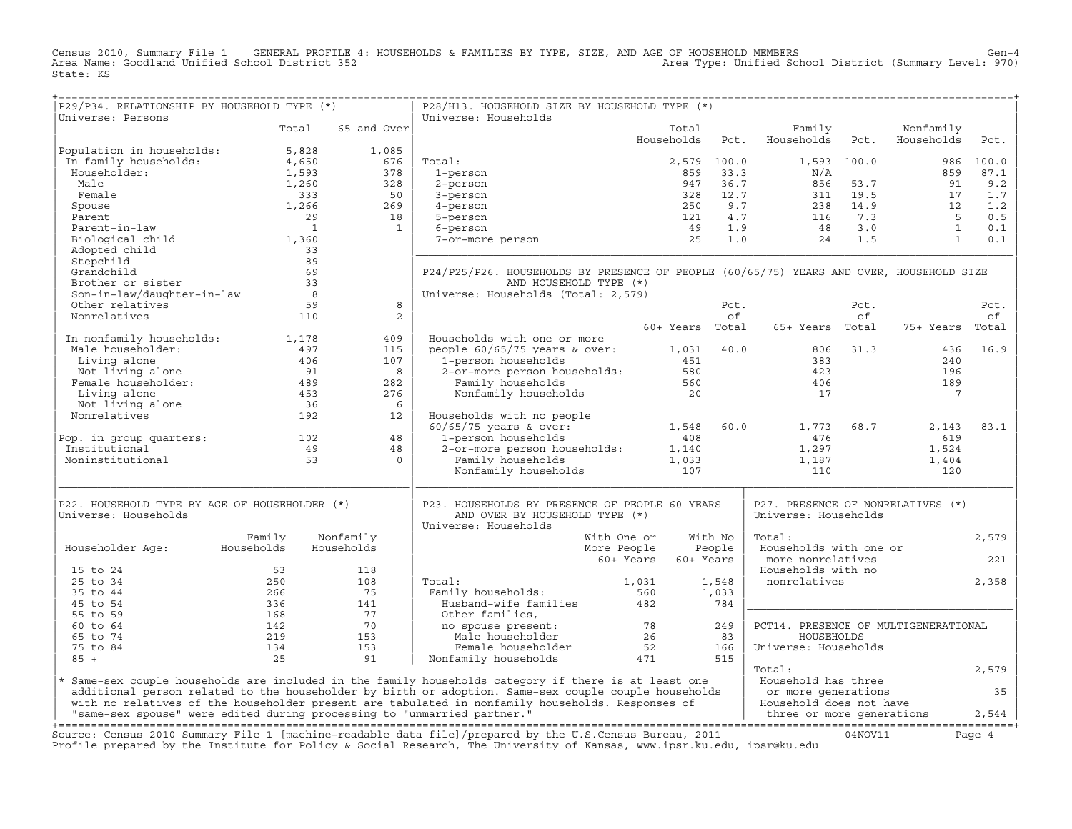Census 2010, Summary File 1 GENERAL PROFILE 4: HOUSEHOLDS & FAMILIES BY TYPE, SIZE, AND AGE OF HOUSEHOLD MEMBERS<br>Area Name: Goodland Unified School District 352 Area Type: Unified School District (Summary Level: 970) State: KS

| P29/P34. RELATIONSHIP BY HOUSEHOLD TYPE (*)                                                                                                                                                                                                                          |                                        |                         | P28/H13. HOUSEHOLD SIZE BY HOUSEHOLD TYPE (*)                                                                                                                                                                                  |                        |             |                                                                                                                             |             |                                                               |           |
|----------------------------------------------------------------------------------------------------------------------------------------------------------------------------------------------------------------------------------------------------------------------|----------------------------------------|-------------------------|--------------------------------------------------------------------------------------------------------------------------------------------------------------------------------------------------------------------------------|------------------------|-------------|-----------------------------------------------------------------------------------------------------------------------------|-------------|---------------------------------------------------------------|-----------|
| Universe: Persons                                                                                                                                                                                                                                                    |                                        |                         | Universe: Households                                                                                                                                                                                                           |                        |             |                                                                                                                             |             |                                                               |           |
|                                                                                                                                                                                                                                                                      | Total                                  | 65 and Over             |                                                                                                                                                                                                                                | Total                  |             | Family                                                                                                                      |             | Nonfamily                                                     |           |
|                                                                                                                                                                                                                                                                      | 5,828                                  | 1,085                   |                                                                                                                                                                                                                                | Households             | Pct.        | Households                                                                                                                  | Pct.        | Households                                                    | Pct.      |
| Population in households:<br>In family households:<br>In family households:                                                                                                                                                                                          | 4,650                                  | 676                     | Total:                                                                                                                                                                                                                         |                        | 2,579 100.0 |                                                                                                                             | 1,593 100.0 |                                                               | 986 100.0 |
| Householder:                                                                                                                                                                                                                                                         | 1,593                                  | 378                     | 1-person                                                                                                                                                                                                                       | 859                    | 33.3        | $\rm N/A$                                                                                                                   |             | 859                                                           | 87.1      |
| Male                                                                                                                                                                                                                                                                 | 1,260                                  | $328$<br>$50$<br>$269$  | 2-person                                                                                                                                                                                                                       |                        |             |                                                                                                                             |             |                                                               | 9.2       |
| Female                                                                                                                                                                                                                                                               | 333                                    |                         | 3-person                                                                                                                                                                                                                       |                        |             |                                                                                                                             |             |                                                               | 1.7       |
| Spouse                                                                                                                                                                                                                                                               | 1,266                                  |                         | 4-person                                                                                                                                                                                                                       |                        |             |                                                                                                                             |             |                                                               | 1.2       |
| Parent                                                                                                                                                                                                                                                               | 29                                     | 18                      | 5-person                                                                                                                                                                                                                       |                        |             |                                                                                                                             |             |                                                               | 0.5       |
| Parent-in-law                                                                                                                                                                                                                                                        | $\overline{\phantom{0}}$               | $\mathbf{1}$            | 6-person                                                                                                                                                                                                                       |                        |             | 947 33.3<br>328 12.7 311 19.5<br>328 12.7 311 19.5<br>250 9.7 238 14.9<br>121 4.7 116 7.3<br>49 1.9 48 3.0<br>25 1.0 24 1.5 |             | $\begin{bmatrix} 91 \\ 17 \\ 12 \\ 5 \\ 1 \\ 1 \end{bmatrix}$ | 0.1       |
| Biological child                                                                                                                                                                                                                                                     | 1,360                                  |                         | 7-or-more person                                                                                                                                                                                                               |                        |             |                                                                                                                             |             |                                                               | 0.1       |
| Adopted child                                                                                                                                                                                                                                                        | $-566$<br>33                           |                         |                                                                                                                                                                                                                                |                        |             |                                                                                                                             |             |                                                               |           |
| Stepchild                                                                                                                                                                                                                                                            |                                        |                         |                                                                                                                                                                                                                                |                        |             |                                                                                                                             |             |                                                               |           |
| Grandchild                                                                                                                                                                                                                                                           | 69                                     |                         | P24/P25/P26. HOUSEHOLDS BY PRESENCE OF PEOPLE (60/65/75) YEARS AND OVER, HOUSEHOLD SIZE                                                                                                                                        |                        |             |                                                                                                                             |             |                                                               |           |
| Brother or sister                                                                                                                                                                                                                                                    | 33                                     |                         | AND HOUSEHOLD TYPE (*)                                                                                                                                                                                                         |                        |             |                                                                                                                             |             |                                                               |           |
| Son-in-law/daughter-in-law                                                                                                                                                                                                                                           | $\begin{array}{c} 33 \\ 8 \end{array}$ |                         | Universe: Households (Total: 2,579)                                                                                                                                                                                            |                        |             |                                                                                                                             |             |                                                               |           |
| Other relatives                                                                                                                                                                                                                                                      | 59                                     | 8                       |                                                                                                                                                                                                                                |                        | Pct.        |                                                                                                                             | Pct.        |                                                               | Pct.      |
| Nonrelatives                                                                                                                                                                                                                                                         | 110                                    | 2                       |                                                                                                                                                                                                                                |                        | of          |                                                                                                                             | of          |                                                               | оf        |
|                                                                                                                                                                                                                                                                      |                                        |                         |                                                                                                                                                                                                                                | 60+ Years Total        |             | 65+ Years Total                                                                                                             |             | 75+ Years Total                                               |           |
| In nonfamily households: 1,178                                                                                                                                                                                                                                       |                                        | 409                     | Households with one or more                                                                                                                                                                                                    |                        |             |                                                                                                                             |             |                                                               |           |
| Male householder:                                                                                                                                                                                                                                                    | 497                                    | 115                     | people $60/65/75$ years & over:                                                                                                                                                                                                |                        | 1,031 40.0  |                                                                                                                             | 806 31.3    | 436                                                           | 16.9      |
|                                                                                                                                                                                                                                                                      | 406                                    | 107                     |                                                                                                                                                                                                                                |                        |             | 383                                                                                                                         |             | 240                                                           |           |
| Living alone<br>Not living alone<br>Not living alone<br>Not living alone and the set of the set of the set of the set of the set of the set of the set of the set of the set of the set of the set of the set of the set of the set of the set of the set of the set |                                        | 8                       | 2-or-more person households: 451<br>2-or-more person households: 580<br>Family households                                                                                                                                      |                        |             | 423                                                                                                                         |             | 196                                                           |           |
|                                                                                                                                                                                                                                                                      |                                        | 282                     |                                                                                                                                                                                                                                |                        |             | 406                                                                                                                         |             | 189                                                           |           |
|                                                                                                                                                                                                                                                                      |                                        | 276                     | Nonfamily households                                                                                                                                                                                                           | 20                     |             | 17                                                                                                                          |             | $\overline{7}$                                                |           |
|                                                                                                                                                                                                                                                                      |                                        | 6                       |                                                                                                                                                                                                                                |                        |             |                                                                                                                             |             |                                                               |           |
| Nonrelatives                                                                                                                                                                                                                                                         | 192                                    | 12                      | Households with no people                                                                                                                                                                                                      |                        |             |                                                                                                                             |             |                                                               |           |
|                                                                                                                                                                                                                                                                      |                                        |                         |                                                                                                                                                                                                                                | 1,548                  | 60.0        | 1,773                                                                                                                       | 68.7        | 2,143                                                         | 83.1      |
| Pop. in group quarters: 102                                                                                                                                                                                                                                          |                                        | 48                      |                                                                                                                                                                                                                                |                        |             | 476                                                                                                                         |             | 619                                                           |           |
| Institutional                                                                                                                                                                                                                                                        | 49                                     | 48                      |                                                                                                                                                                                                                                |                        |             | 1,297                                                                                                                       |             | 1,524                                                         |           |
| Noninstitutional                                                                                                                                                                                                                                                     | 53                                     | $\Omega$                |                                                                                                                                                                                                                                |                        |             | 1,187                                                                                                                       |             | 1,404                                                         |           |
|                                                                                                                                                                                                                                                                      |                                        |                         | Account the contract of the contract of the contract of the contract of the contract of the contract of the contract of the contract of the contract of the contract of the contract of the contract of the contract of the co |                        |             | 110                                                                                                                         |             | 120                                                           |           |
|                                                                                                                                                                                                                                                                      |                                        |                         |                                                                                                                                                                                                                                |                        |             |                                                                                                                             |             |                                                               |           |
| P22. HOUSEHOLD TYPE BY AGE OF HOUSEHOLDER (*)<br>Universe: Households                                                                                                                                                                                                |                                        |                         | P23. HOUSEHOLDS BY PRESENCE OF PEOPLE 60 YEARS                                                                                                                                                                                 |                        |             | P27. PRESENCE OF NONRELATIVES (*)<br>Universe: Households                                                                   |             |                                                               |           |
|                                                                                                                                                                                                                                                                      |                                        |                         | AND OVER BY HOUSEHOLD TYPE (*)<br>Universe: Households                                                                                                                                                                         |                        |             |                                                                                                                             |             |                                                               |           |
|                                                                                                                                                                                                                                                                      |                                        |                         | With One or                                                                                                                                                                                                                    |                        | With No     | Total:                                                                                                                      |             |                                                               |           |
|                                                                                                                                                                                                                                                                      | Family<br>Households                   | Nonfamily<br>Households | More People                                                                                                                                                                                                                    |                        | People      | Households with one or                                                                                                      |             |                                                               | 2,579     |
| Householder Age:                                                                                                                                                                                                                                                     |                                        |                         |                                                                                                                                                                                                                                | 60+ Years<br>60+ Years |             | more nonrelatives                                                                                                           |             |                                                               | 221       |
| 15 to 24                                                                                                                                                                                                                                                             | 53                                     | 118                     |                                                                                                                                                                                                                                |                        |             | Households with no                                                                                                          |             |                                                               |           |
| 25 to 34                                                                                                                                                                                                                                                             | 250                                    | 108                     | Total:                                                                                                                                                                                                                         | 1,031                  | 1,548       | nonrelatives                                                                                                                |             |                                                               | 2,358     |
| 35 to 44                                                                                                                                                                                                                                                             | 266                                    | 75                      | Family households:                                                                                                                                                                                                             | 560                    | 1,033       |                                                                                                                             |             |                                                               |           |
| 45 to 54                                                                                                                                                                                                                                                             | 336                                    | 141                     | Husband-wife families                                                                                                                                                                                                          | 482                    | 784         |                                                                                                                             |             |                                                               |           |
| 55 to 59                                                                                                                                                                                                                                                             | 168                                    | 77                      | Other families,                                                                                                                                                                                                                |                        |             |                                                                                                                             |             |                                                               |           |
| 60 to 64                                                                                                                                                                                                                                                             | 142                                    | 70                      |                                                                                                                                                                                                                                | $\frac{78}{26}$        | 249         | PCT14. PRESENCE OF MULTIGENERATIONAL                                                                                        |             |                                                               |           |
| 65 to 74                                                                                                                                                                                                                                                             | 219                                    | 153                     | no spouse present:<br>Male householder                                                                                                                                                                                         |                        | 83          | HOUSEHOLDS                                                                                                                  |             |                                                               |           |
| 75 to 84                                                                                                                                                                                                                                                             | 134                                    | 153                     |                                                                                                                                                                                                                                |                        | 166         | Universe: Households                                                                                                        |             |                                                               |           |
| $85 +$                                                                                                                                                                                                                                                               | 25                                     | 91                      | Female householder 52<br>Family households 471<br>Nonfamily households                                                                                                                                                         |                        | 515         |                                                                                                                             |             |                                                               |           |
|                                                                                                                                                                                                                                                                      |                                        |                         |                                                                                                                                                                                                                                |                        |             | Total:                                                                                                                      |             |                                                               | 2,579     |
|                                                                                                                                                                                                                                                                      |                                        |                         | * Same-sex couple households are included in the family households category if there is at least one                                                                                                                           |                        |             | Household has three                                                                                                         |             |                                                               |           |
|                                                                                                                                                                                                                                                                      |                                        |                         | additional person related to the householder by birth or adoption. Same-sex couple couple households                                                                                                                           |                        |             | or more generations                                                                                                         |             |                                                               | 35        |
|                                                                                                                                                                                                                                                                      |                                        |                         | with no relatives of the householder present are tabulated in nonfamily households. Responses of                                                                                                                               |                        |             | Household does not have                                                                                                     |             |                                                               |           |
| "same-sex spouse" were edited during processing to "unmarried partner."                                                                                                                                                                                              |                                        |                         |                                                                                                                                                                                                                                |                        |             | three or more generations                                                                                                   |             |                                                               | 2,544     |
|                                                                                                                                                                                                                                                                      |                                        |                         |                                                                                                                                                                                                                                |                        |             |                                                                                                                             |             |                                                               |           |
|                                                                                                                                                                                                                                                                      |                                        |                         | Source: Census 2010 Summary File 1 [machine-readable data file]/prepared by the U.S.Census Bureau, 2011                                                                                                                        |                        |             |                                                                                                                             | 04NOV11     |                                                               | Page 4    |
|                                                                                                                                                                                                                                                                      |                                        |                         | Profile prepared by the Institute for Policy & Social Research, The University of Kansas, www.ipsr.ku.edu, ipsr@ku.edu                                                                                                         |                        |             |                                                                                                                             |             |                                                               |           |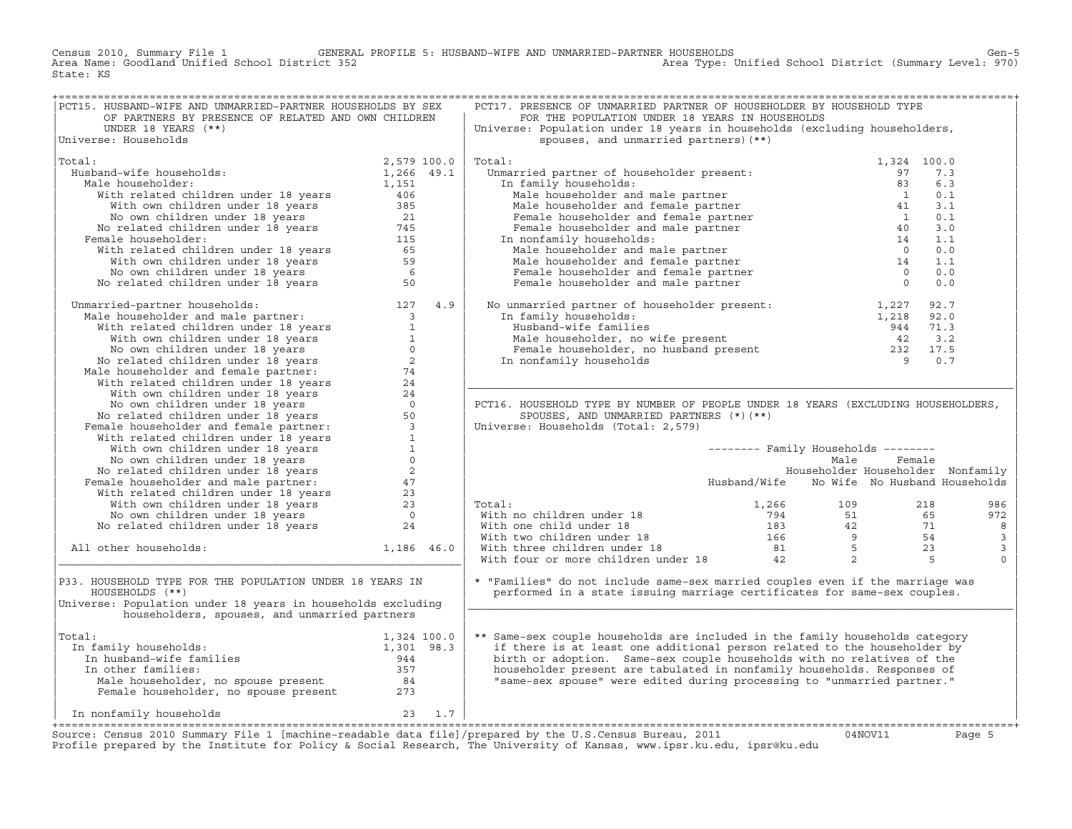Census 2010, Summary File 1 GENERAL PROFILE 5: HUSBAND−WIFE AND UNMARRIED−PARTNER HOUSEHOLDS Gen−5 Area Name: Goodland Unified School District 352 Area Type: Unified School District (Summary Level: 970) State: KS

| PCT15. HUSBAND-WIFE AND UNMARRIED-PARTNER HOUSEHOLDS BY SEX                                                                                                                                                                                        |            | PCT17. PRESENCE OF UNMARRIED PARTNER OF HOUSEHOLDER BY HOUSEHOLD TYPE                                                                                                                                                                                                                                                                                                                                                                |                                            |        |                |
|----------------------------------------------------------------------------------------------------------------------------------------------------------------------------------------------------------------------------------------------------|------------|--------------------------------------------------------------------------------------------------------------------------------------------------------------------------------------------------------------------------------------------------------------------------------------------------------------------------------------------------------------------------------------------------------------------------------------|--------------------------------------------|--------|----------------|
| OF PARTNERS BY PRESENCE OF RELATED AND OWN CHILDREN                                                                                                                                                                                                |            | FOR THE POPULATION UNDER 18 YEARS IN HOUSEHOLDS                                                                                                                                                                                                                                                                                                                                                                                      |                                            |        |                |
| UNDER 18 YEARS $(**)$                                                                                                                                                                                                                              |            | Universe: Population under 18 years in households (excluding householders,                                                                                                                                                                                                                                                                                                                                                           |                                            |        |                |
| Universe: Households                                                                                                                                                                                                                               |            | spouses, and unmarried partners) (**)                                                                                                                                                                                                                                                                                                                                                                                                |                                            |        |                |
|                                                                                                                                                                                                                                                    |            |                                                                                                                                                                                                                                                                                                                                                                                                                                      |                                            |        |                |
| Total:<br>% and-wife households:<br>lale householder:<br>lale householder:<br>with related children under 18 years<br>with own children under 18 years<br>No counce of the sears and the search of the search of the search of the search of the s |            | Total:                                                                                                                                                                                                                                                                                                                                                                                                                               |                                            |        |                |
| Husband-wife households:                                                                                                                                                                                                                           |            |                                                                                                                                                                                                                                                                                                                                                                                                                                      |                                            |        |                |
|                                                                                                                                                                                                                                                    |            |                                                                                                                                                                                                                                                                                                                                                                                                                                      |                                            |        |                |
| Male householder:                                                                                                                                                                                                                                  |            |                                                                                                                                                                                                                                                                                                                                                                                                                                      |                                            |        |                |
|                                                                                                                                                                                                                                                    |            |                                                                                                                                                                                                                                                                                                                                                                                                                                      |                                            |        |                |
|                                                                                                                                                                                                                                                    |            |                                                                                                                                                                                                                                                                                                                                                                                                                                      |                                            |        |                |
|                                                                                                                                                                                                                                                    |            |                                                                                                                                                                                                                                                                                                                                                                                                                                      |                                            |        |                |
|                                                                                                                                                                                                                                                    |            |                                                                                                                                                                                                                                                                                                                                                                                                                                      |                                            |        |                |
| Female householder:                                                                                                                                                                                                                                |            |                                                                                                                                                                                                                                                                                                                                                                                                                                      |                                            |        |                |
|                                                                                                                                                                                                                                                    |            |                                                                                                                                                                                                                                                                                                                                                                                                                                      |                                            |        |                |
|                                                                                                                                                                                                                                                    |            |                                                                                                                                                                                                                                                                                                                                                                                                                                      |                                            |        |                |
|                                                                                                                                                                                                                                                    |            |                                                                                                                                                                                                                                                                                                                                                                                                                                      |                                            |        |                |
|                                                                                                                                                                                                                                                    |            |                                                                                                                                                                                                                                                                                                                                                                                                                                      |                                            |        |                |
|                                                                                                                                                                                                                                                    |            |                                                                                                                                                                                                                                                                                                                                                                                                                                      |                                            |        |                |
| No related children under 18 years 50<br>Unmarried-partner households: 127 4.9<br>Male householder and male partner: 33<br>With velated children under 18 years 1<br>With own children under 18 years 1<br>No come children under 18 yea           |            | No unmarried partner of householder present: $1,227$<br>92.7<br>In family households: $1,218$<br>92.0<br>Husband-wife families $944$<br>71.3<br>Male householder, no wife present $42$<br>3.2<br>Female householder, no husband present $232$                                                                                                                                                                                        |                                            |        |                |
|                                                                                                                                                                                                                                                    |            |                                                                                                                                                                                                                                                                                                                                                                                                                                      |                                            |        |                |
|                                                                                                                                                                                                                                                    |            |                                                                                                                                                                                                                                                                                                                                                                                                                                      |                                            |        |                |
|                                                                                                                                                                                                                                                    |            |                                                                                                                                                                                                                                                                                                                                                                                                                                      |                                            |        |                |
|                                                                                                                                                                                                                                                    |            |                                                                                                                                                                                                                                                                                                                                                                                                                                      |                                            |        |                |
|                                                                                                                                                                                                                                                    |            |                                                                                                                                                                                                                                                                                                                                                                                                                                      |                                            |        |                |
|                                                                                                                                                                                                                                                    |            |                                                                                                                                                                                                                                                                                                                                                                                                                                      |                                            |        |                |
|                                                                                                                                                                                                                                                    |            |                                                                                                                                                                                                                                                                                                                                                                                                                                      |                                            |        |                |
|                                                                                                                                                                                                                                                    |            |                                                                                                                                                                                                                                                                                                                                                                                                                                      |                                            |        |                |
|                                                                                                                                                                                                                                                    |            |                                                                                                                                                                                                                                                                                                                                                                                                                                      |                                            |        |                |
|                                                                                                                                                                                                                                                    |            | PCT16. HOUSEHOLD TYPE BY NUMBER OF PEOPLE UNDER 18 YEARS (EXCLUDING HOUSEHOLDERS,                                                                                                                                                                                                                                                                                                                                                    |                                            |        |                |
|                                                                                                                                                                                                                                                    |            | SPOUSES, AND UNMARRIED PARTNERS (*) (**)                                                                                                                                                                                                                                                                                                                                                                                             |                                            |        |                |
|                                                                                                                                                                                                                                                    |            | Universe: Households (Total: 2,579)                                                                                                                                                                                                                                                                                                                                                                                                  |                                            |        |                |
|                                                                                                                                                                                                                                                    |            |                                                                                                                                                                                                                                                                                                                                                                                                                                      |                                            |        |                |
|                                                                                                                                                                                                                                                    |            |                                                                                                                                                                                                                                                                                                                                                                                                                                      | -------- Family Households --------        |        |                |
|                                                                                                                                                                                                                                                    |            |                                                                                                                                                                                                                                                                                                                                                                                                                                      | Male                                       | Female |                |
|                                                                                                                                                                                                                                                    |            |                                                                                                                                                                                                                                                                                                                                                                                                                                      | Householder Householder Nonfamily          |        |                |
|                                                                                                                                                                                                                                                    |            |                                                                                                                                                                                                                                                                                                                                                                                                                                      | Husband/Wife No Wife No Husband Households |        |                |
|                                                                                                                                                                                                                                                    |            |                                                                                                                                                                                                                                                                                                                                                                                                                                      |                                            |        |                |
|                                                                                                                                                                                                                                                    |            |                                                                                                                                                                                                                                                                                                                                                                                                                                      | 1,266 109                                  |        |                |
|                                                                                                                                                                                                                                                    |            | Total:                                                                                                                                                                                                                                                                                                                                                                                                                               |                                            | 218    | 986            |
|                                                                                                                                                                                                                                                    |            |                                                                                                                                                                                                                                                                                                                                                                                                                                      |                                            |        | 972            |
|                                                                                                                                                                                                                                                    |            |                                                                                                                                                                                                                                                                                                                                                                                                                                      |                                            |        | 8              |
|                                                                                                                                                                                                                                                    |            |                                                                                                                                                                                                                                                                                                                                                                                                                                      |                                            |        | $\overline{3}$ |
| All other households:                                                                                                                                                                                                                              | 1,186 46.0 |                                                                                                                                                                                                                                                                                                                                                                                                                                      |                                            |        | $\overline{3}$ |
|                                                                                                                                                                                                                                                    |            | Total: $\begin{array}{ccccccccc} \text{Total:} & & & & & 1,266 & & & 109 & & & 218 \\ \text{With no children under 18} & & & & & & 794 & & 51 & & 65 \\ \text{With one child under 18} & & & & & 183 & & 42 & & 71 \\ \text{With two children under 18} & & & & 166 & & 9 & & 54 \\ \text{With three children under 18} & & & & 81 & & 5 & & 23 \\ \text{With four or more children under 18} & & & & 42 & & 2 & & 5 \\ \end{array}$ |                                            |        | $\Omega$       |
|                                                                                                                                                                                                                                                    |            |                                                                                                                                                                                                                                                                                                                                                                                                                                      |                                            |        |                |
| P33. HOUSEHOLD TYPE FOR THE POPULATION UNDER 18 YEARS IN                                                                                                                                                                                           |            | * "Families" do not include same-sex married couples even if the marriage was                                                                                                                                                                                                                                                                                                                                                        |                                            |        |                |
| HOUSEHOLDS (**)                                                                                                                                                                                                                                    |            | performed in a state issuing marriage certificates for same-sex couples.                                                                                                                                                                                                                                                                                                                                                             |                                            |        |                |
| Universe: Population under 18 years in households excluding                                                                                                                                                                                        |            |                                                                                                                                                                                                                                                                                                                                                                                                                                      |                                            |        |                |
| householders, spouses, and unmarried partners                                                                                                                                                                                                      |            |                                                                                                                                                                                                                                                                                                                                                                                                                                      |                                            |        |                |
|                                                                                                                                                                                                                                                    |            |                                                                                                                                                                                                                                                                                                                                                                                                                                      |                                            |        |                |
| Total:                                                                                                                                                                                                                                             |            | ** Same-sex couple households are included in the family households category                                                                                                                                                                                                                                                                                                                                                         |                                            |        |                |
|                                                                                                                                                                                                                                                    |            |                                                                                                                                                                                                                                                                                                                                                                                                                                      |                                            |        |                |
|                                                                                                                                                                                                                                                    |            | if there is at least one additional person related to the householder by                                                                                                                                                                                                                                                                                                                                                             |                                            |        |                |
|                                                                                                                                                                                                                                                    |            | birth or adoption. Same-sex couple households with no relatives of the                                                                                                                                                                                                                                                                                                                                                               |                                            |        |                |
|                                                                                                                                                                                                                                                    |            | householder present are tabulated in nonfamily households. Responses of                                                                                                                                                                                                                                                                                                                                                              |                                            |        |                |
|                                                                                                                                                                                                                                                    |            | "same-sex spouse" were edited during processing to "unmarried partner."                                                                                                                                                                                                                                                                                                                                                              |                                            |        |                |
|                                                                                                                                                                                                                                                    |            |                                                                                                                                                                                                                                                                                                                                                                                                                                      |                                            |        |                |
|                                                                                                                                                                                                                                                    |            |                                                                                                                                                                                                                                                                                                                                                                                                                                      |                                            |        |                |
| 23 1.7<br>In nonfamily households                                                                                                                                                                                                                  |            |                                                                                                                                                                                                                                                                                                                                                                                                                                      |                                            |        |                |
|                                                                                                                                                                                                                                                    |            |                                                                                                                                                                                                                                                                                                                                                                                                                                      |                                            |        |                |
|                                                                                                                                                                                                                                                    |            | $Cumnow F_1 1 [modulo smooth] a A_1 1 [in] (unon and by the II C Conaux Division 2011]$                                                                                                                                                                                                                                                                                                                                              |                                            |        | $D - \alpha$   |

Source: Census 2010 Summary File 1 [machine-readable data file]/prepared by the U.S.Census Bureau, 2011 Page 5<br>Profile prepared by the Institute for Policy & Social Research, The University of Kansas, www.ip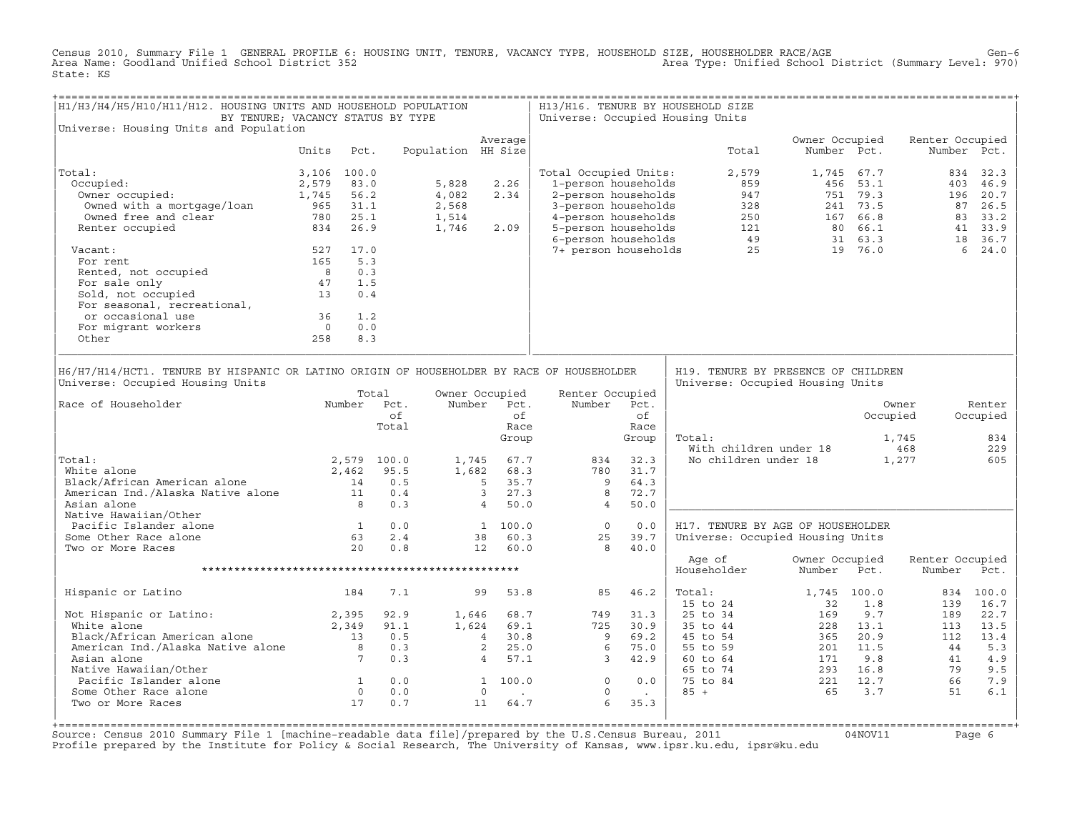Census 2010, Summary File 1 GENERAL PROFILE 6: HOUSING UNIT, TENURE, VACANCY TYPE, HOUSEHOLD SIZE, HOUSEHOLDER RACE/AGE<br>Area Name: Goodland Unified School District 352 State: KS

| H1/H3/H4/H5/H10/H11/H12. HOUSING UNITS AND HOUSEHOLD POPULATION<br>BY TENURE; VACANCY STATUS BY TYPE                                                                               |                |            |                                                            |                    |                                                                    |            | H13/H16. TENURE BY HOUSEHOLD SIZE<br>Universe: Occupied Housing Units                                                                                                                                                                              |                                             |                       |       |                                                                                                                           |            |                                                                                                                                                                                                                                                                                        |                                         |
|------------------------------------------------------------------------------------------------------------------------------------------------------------------------------------|----------------|------------|------------------------------------------------------------|--------------------|--------------------------------------------------------------------|------------|----------------------------------------------------------------------------------------------------------------------------------------------------------------------------------------------------------------------------------------------------|---------------------------------------------|-----------------------|-------|---------------------------------------------------------------------------------------------------------------------------|------------|----------------------------------------------------------------------------------------------------------------------------------------------------------------------------------------------------------------------------------------------------------------------------------------|-----------------------------------------|
| Universe: Housing Units and Population                                                                                                                                             |                |            |                                                            |                    | Average                                                            |            |                                                                                                                                                                                                                                                    |                                             |                       |       | Owner Occupied                                                                                                            |            | Renter Occupied                                                                                                                                                                                                                                                                        |                                         |
|                                                                                                                                                                                    | Units          | Pct.       |                                                            | Population HH Size |                                                                    |            |                                                                                                                                                                                                                                                    |                                             |                       | Total | Number Pct.                                                                                                               |            |                                                                                                                                                                                                                                                                                        | Number Pct.                             |
| Total:                                                                                                                                                                             | 3,106 100.0    |            |                                                            |                    |                                                                    |            | Total Occupied Units:                                                                                                                                                                                                                              |                                             |                       | 2,579 |                                                                                                                           | 1,745 67.7 |                                                                                                                                                                                                                                                                                        | 834 32.3                                |
| Occupied:                                                                                                                                                                          | 2,579          | 83.0       |                                                            | 5,828              | 2.26                                                               |            | 1-person households                                                                                                                                                                                                                                |                                             |                       | 859   |                                                                                                                           | 456 53.1   | 403                                                                                                                                                                                                                                                                                    | 46.9                                    |
| Occupied:<br>Owner occupied:                                                                                                                                                       | 1,745          | 56.2       |                                                            | 4,082              | 2.34                                                               |            |                                                                                                                                                                                                                                                    |                                             |                       |       |                                                                                                                           |            | 196                                                                                                                                                                                                                                                                                    | 20.7                                    |
|                                                                                                                                                                                    |                |            |                                                            | 2,568              |                                                                    |            |                                                                                                                                                                                                                                                    |                                             |                       |       |                                                                                                                           |            |                                                                                                                                                                                                                                                                                        | 87 26.5                                 |
| Owned with a mortgage/loan 965 31.1<br>Owned free and clear 780 25.1                                                                                                               |                |            |                                                            | 1,514              |                                                                    |            |                                                                                                                                                                                                                                                    |                                             |                       |       |                                                                                                                           |            |                                                                                                                                                                                                                                                                                        | 83 33.2                                 |
| Owned free and clear<br>Renter occupied                                                                                                                                            |                | 834 26.9   |                                                            |                    | 2.09                                                               |            |                                                                                                                                                                                                                                                    |                                             |                       |       |                                                                                                                           |            |                                                                                                                                                                                                                                                                                        | 41 33.9                                 |
| Renter occupied                                                                                                                                                                    |                |            |                                                            | 1,746              |                                                                    |            | --person households<br>3-person households<br>3-person households<br>4-person households<br>5-person households<br>5-person households<br>6-person households<br>7+ person households<br>7+ person households<br>7+ person households<br>7+ person |                                             |                       |       |                                                                                                                           |            |                                                                                                                                                                                                                                                                                        | 18 36.7                                 |
| Vacant:                                                                                                                                                                            |                | 527 17.0   |                                                            |                    |                                                                    |            |                                                                                                                                                                                                                                                    |                                             |                       |       |                                                                                                                           |            |                                                                                                                                                                                                                                                                                        | 6, 24.0                                 |
| For rent                                                                                                                                                                           |                | 165 5.3    |                                                            |                    |                                                                    |            |                                                                                                                                                                                                                                                    |                                             |                       |       |                                                                                                                           |            |                                                                                                                                                                                                                                                                                        |                                         |
|                                                                                                                                                                                    |                | 0.3        |                                                            |                    |                                                                    |            |                                                                                                                                                                                                                                                    |                                             |                       |       |                                                                                                                           |            |                                                                                                                                                                                                                                                                                        |                                         |
|                                                                                                                                                                                    |                | 1.5        |                                                            |                    |                                                                    |            |                                                                                                                                                                                                                                                    |                                             |                       |       |                                                                                                                           |            |                                                                                                                                                                                                                                                                                        |                                         |
|                                                                                                                                                                                    |                | 0.4        |                                                            |                    |                                                                    |            |                                                                                                                                                                                                                                                    |                                             |                       |       |                                                                                                                           |            |                                                                                                                                                                                                                                                                                        |                                         |
| For sale only<br>For sale only<br>Sold, not occupied<br>For seasonal, recreational,<br>The seasonal, recreational,                                                                 |                |            |                                                            |                    |                                                                    |            |                                                                                                                                                                                                                                                    |                                             |                       |       |                                                                                                                           |            |                                                                                                                                                                                                                                                                                        |                                         |
| or occasional use                                                                                                                                                                  | 36             | 1.2        |                                                            |                    |                                                                    |            |                                                                                                                                                                                                                                                    |                                             |                       |       |                                                                                                                           |            |                                                                                                                                                                                                                                                                                        |                                         |
|                                                                                                                                                                                    | $\overline{0}$ |            |                                                            |                    |                                                                    |            |                                                                                                                                                                                                                                                    |                                             |                       |       |                                                                                                                           |            |                                                                                                                                                                                                                                                                                        |                                         |
| For migrant workers                                                                                                                                                                | 258            | 0.0<br>8.3 |                                                            |                    |                                                                    |            |                                                                                                                                                                                                                                                    |                                             |                       |       |                                                                                                                           |            |                                                                                                                                                                                                                                                                                        |                                         |
| Other                                                                                                                                                                              |                |            |                                                            |                    |                                                                    |            |                                                                                                                                                                                                                                                    |                                             |                       |       |                                                                                                                           |            |                                                                                                                                                                                                                                                                                        |                                         |
| H6/H7/H14/HCT1. TENURE BY HISPANIC OR LATINO ORIGIN OF HOUSEHOLDER BY RACE OF HOUSEHOLDER<br>Universe: Occupied Housing Units<br>Race of Householder<br>Total:<br>White alone      |                | 2,462      | Total<br>Number Pct.<br>of<br>Total<br>2,579 100.0<br>95.5 |                    | Owner Occupied<br>Number Pct.<br>Group<br>1,745 67.7<br>1,682 68.3 | of<br>Race | Renter Occupied<br>Number<br>834<br>780                                                                                                                                                                                                            | Pct.<br>of<br>Race<br>Group<br>32.3<br>31.7 | Total:                |       | H19. TENURE BY PRESENCE OF CHILDREN<br>Universe: Occupied Housing Units<br>With children under 18<br>No children under 18 | Occupied   | Owner<br>1,745<br>468<br>1,277                                                                                                                                                                                                                                                         | Renter<br>Occupied<br>834<br>229<br>605 |
| Black/African American alone                                                                                                                                                       |                |            |                                                            |                    | 5 35.7                                                             |            | $\overline{9}$                                                                                                                                                                                                                                     | 64.3                                        |                       |       |                                                                                                                           |            |                                                                                                                                                                                                                                                                                        |                                         |
|                                                                                                                                                                                    |                |            |                                                            |                    | 3, 27.3                                                            |            | $_{\rm 8}$                                                                                                                                                                                                                                         | 72.7                                        |                       |       |                                                                                                                           |            |                                                                                                                                                                                                                                                                                        |                                         |
| Black/African American alone 14 0.5<br>American Ind./Alaska Native alone 11 0.4<br>Asian alone 8 0.3                                                                               |                |            |                                                            |                    | 50.0<br>$4 \quad$                                                  |            | $\overline{4}$                                                                                                                                                                                                                                     | 50.0                                        |                       |       |                                                                                                                           |            |                                                                                                                                                                                                                                                                                        |                                         |
| Native Hawaiian/Other                                                                                                                                                              |                |            |                                                            |                    |                                                                    |            |                                                                                                                                                                                                                                                    |                                             |                       |       |                                                                                                                           |            |                                                                                                                                                                                                                                                                                        |                                         |
| Pacific Islander alone<br>$\begin{array}{ccc} & 1 & 0.0 \\ 63 & 2.4 \\ 20 & 0.8 \end{array}$                                                                                       |                |            |                                                            |                    | $\begin{array}{cc} 1 & 100.0 \\ 38 & 60.3 \end{array}$             |            | $\overline{0}$                                                                                                                                                                                                                                     | 0.0                                         |                       |       | H17. TENURE BY AGE OF HOUSEHOLDER                                                                                         |            |                                                                                                                                                                                                                                                                                        |                                         |
| Some Other Race alone                                                                                                                                                              |                |            |                                                            |                    |                                                                    |            | 25                                                                                                                                                                                                                                                 | 39.7                                        |                       |       | Universe: Occupied Housing Units                                                                                          |            |                                                                                                                                                                                                                                                                                        |                                         |
| Two or More Races                                                                                                                                                                  |                |            |                                                            |                    | 12 60.0                                                            |            | 8                                                                                                                                                                                                                                                  | 40.0                                        |                       |       |                                                                                                                           |            |                                                                                                                                                                                                                                                                                        |                                         |
|                                                                                                                                                                                    |                |            |                                                            |                    |                                                                    |            |                                                                                                                                                                                                                                                    |                                             | Age of<br>Householder |       | Owner Occupied<br>Number                                                                                                  | Pct.       | Renter Occupied<br>Number                                                                                                                                                                                                                                                              | Pct.                                    |
| Hispanic or Latino                                                                                                                                                                 |                | 184        | 7.1                                                        |                    | 99 53.8                                                            |            |                                                                                                                                                                                                                                                    | 85 46.2                                     | Total:                |       | 1,745 100.0                                                                                                               |            |                                                                                                                                                                                                                                                                                        | 834 100.0                               |
|                                                                                                                                                                                    |                |            |                                                            |                    |                                                                    |            |                                                                                                                                                                                                                                                    |                                             | 15 to 24              |       | 32                                                                                                                        | 1.8        | 139                                                                                                                                                                                                                                                                                    | 16.7                                    |
|                                                                                                                                                                                    |                |            |                                                            |                    |                                                                    |            | 749                                                                                                                                                                                                                                                | 31.3                                        | 25 to 34              |       | 169                                                                                                                       | 9.7        | 189                                                                                                                                                                                                                                                                                    | 22.7                                    |
|                                                                                                                                                                                    |                |            |                                                            |                    |                                                                    |            |                                                                                                                                                                                                                                                    | 725 30.9                                    |                       |       |                                                                                                                           |            |                                                                                                                                                                                                                                                                                        | 13.5                                    |
| Not Hispanic or Latino:<br>White alone 2,395 92.9<br>White alone 2,349 91.1<br>Black/African American alone 13 0.5<br>American Ind./Alaska Native alone 8 0.3<br>Asian alone 7 0.3 |                |            |                                                            |                    |                                                                    |            | $\begin{array}{cccc} 1,646 & 68.7 & 749 \\ 1,624 & 69.1 & 725 \\ 4 & 30.8 & 9 \\ 2 & 25.0 & 6 \\ 4 & 57.1 & 3 \end{array}$                                                                                                                         | 69.2                                        |                       |       |                                                                                                                           |            |                                                                                                                                                                                                                                                                                        | 13.4                                    |
|                                                                                                                                                                                    |                |            |                                                            |                    |                                                                    |            |                                                                                                                                                                                                                                                    | 75.0                                        |                       |       |                                                                                                                           |            |                                                                                                                                                                                                                                                                                        | 5.3                                     |
|                                                                                                                                                                                    |                |            |                                                            |                    |                                                                    |            |                                                                                                                                                                                                                                                    | 3, 42.9                                     |                       |       |                                                                                                                           |            |                                                                                                                                                                                                                                                                                        | 4.9                                     |
| Native Hawaiian/Other                                                                                                                                                              |                |            |                                                            |                    |                                                                    |            |                                                                                                                                                                                                                                                    |                                             |                       |       |                                                                                                                           |            |                                                                                                                                                                                                                                                                                        | 9.5                                     |
|                                                                                                                                                                                    |                |            | 0.0                                                        |                    | $\begin{matrix} 1 & 100.0 \\ 0 & . \end{matrix}$                   |            | $\begin{matrix} 0 & 0 & 0 \end{matrix}$                                                                                                                                                                                                            |                                             |                       |       |                                                                                                                           |            |                                                                                                                                                                                                                                                                                        | 7.9                                     |
| Pacific Islander alone 1<br>Some Other Race alone 1<br>Two or More Races 17<br>Some Other Race alone                                                                               |                |            | 0.0                                                        |                    | <b>Contract Contract</b>                                           |            | $\overline{0}$                                                                                                                                                                                                                                     | <b>Contractor</b>                           |                       |       |                                                                                                                           |            | 235 to 44<br>45 to 54<br>45 to 54<br>55 to 59<br>201 11.5<br>60 to 64<br>65 to 74<br>75 to 84<br>223 13.1<br>201 11.5<br>44<br>221 11.5<br>44<br>223 13.1<br>54<br>201 11.5<br>44<br>223 16.8<br>79<br>41<br>223 16.8<br>79<br>66<br>79<br>55 to 84<br>221 12.7<br>66<br>221 12.7<br>6 | 6.1                                     |
| Two or More Races                                                                                                                                                                  |                |            | 0.7                                                        |                    | 11<br>64.7                                                         |            | 6                                                                                                                                                                                                                                                  | 35.3                                        |                       |       |                                                                                                                           |            |                                                                                                                                                                                                                                                                                        |                                         |
|                                                                                                                                                                                    |                |            |                                                            |                    |                                                                    |            |                                                                                                                                                                                                                                                    |                                             |                       |       |                                                                                                                           |            |                                                                                                                                                                                                                                                                                        |                                         |

Source: Census 2010 Summary File 1 [machine-readable data file]/prepared by the U.S.Census Bureau, 2011 Page 6<br>Profile prepared by the Institute for Policy & Social Research, The University of Kansas, www.ip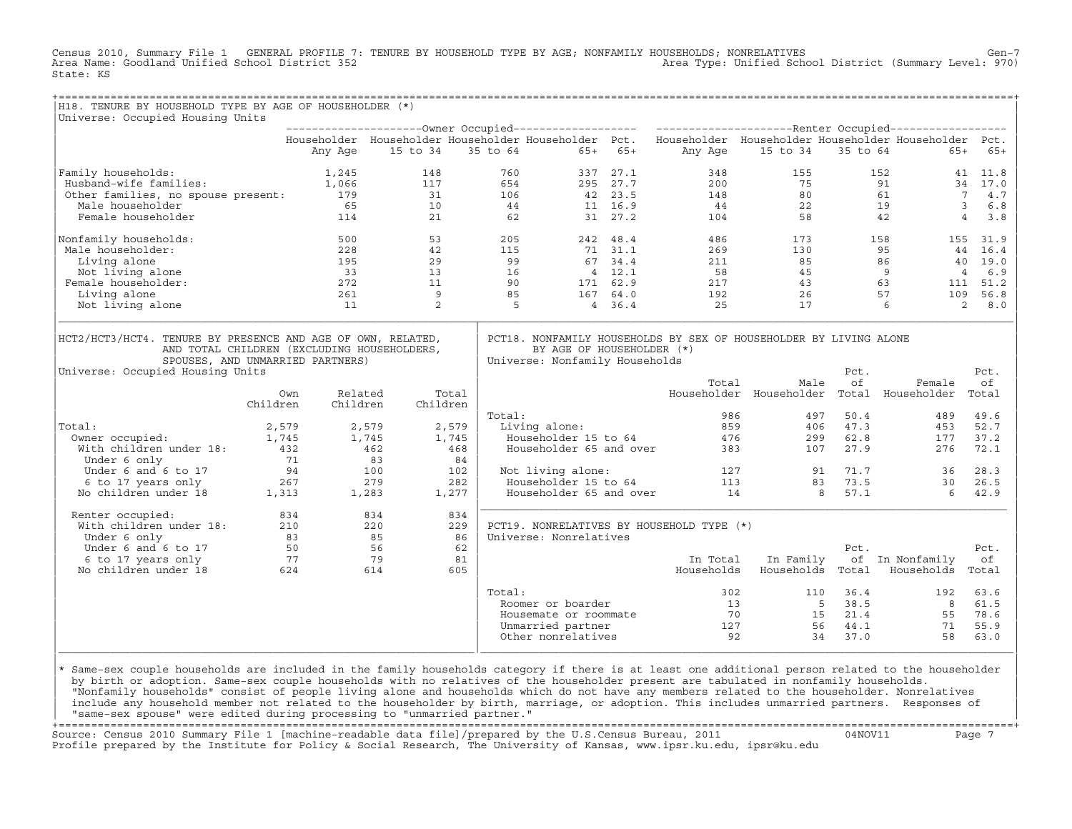Census 2010, Summary File 1 GENERAL PROFILE 7: TENURE BY HOUSEHOLD TYPE BY AGE; NONFAMILY HOUSEHOLDS; NONRELATIVES Gen−7<br>Area Name: Goodland Unified School District 352 Area Type: Unified School District (Summary Level: 970) State: KS

| H18. TENURE BY HOUSEHOLD TYPE BY AGE OF HOUSEHOLDER (*)                                                                                                                            |                                                                                                    |                                                                                                                       |                |                                                             |           |                                                                            |                                           |                            |                  |                       |
|------------------------------------------------------------------------------------------------------------------------------------------------------------------------------------|----------------------------------------------------------------------------------------------------|-----------------------------------------------------------------------------------------------------------------------|----------------|-------------------------------------------------------------|-----------|----------------------------------------------------------------------------|-------------------------------------------|----------------------------|------------------|-----------------------|
| Universe: Occupied Housing Units                                                                                                                                                   |                                                                                                    |                                                                                                                       |                |                                                             |           |                                                                            |                                           |                            |                  |                       |
|                                                                                                                                                                                    |                                                                                                    |                                                                                                                       |                |                                                             |           |                                                                            |                                           |                            |                  |                       |
|                                                                                                                                                                                    | Any Age                                                                                            | Householder Householder Householder Householder Pct. Householder Householder Householder Householder Pct.<br>15 to 34 |                | 35 to 64                                                    | $65+ 65+$ | Any Age                                                                    | 15 to 34                                  | 35 to 64                   | $65+$            | 65+                   |
|                                                                                                                                                                                    |                                                                                                    |                                                                                                                       |                |                                                             |           |                                                                            |                                           |                            |                  |                       |
| Family households:                                                                                                                                                                 | 1,245                                                                                              | 148                                                                                                                   | 760            |                                                             | 337 27.1  | 348                                                                        | 155                                       |                            | 152              | 41 11.8               |
| Husband-wife families:                                                                                                                                                             | 1,066                                                                                              | 117                                                                                                                   | 654            |                                                             | 295 27.7  | 200                                                                        | 75                                        |                            | 91               | 34 17.0               |
| Other families, no spouse present: 179                                                                                                                                             |                                                                                                    | 31                                                                                                                    | 106            | 42 23.5                                                     |           | 148                                                                        | 80                                        |                            | 61               | 7 4.7                 |
| Male householder                                                                                                                                                                   | 65                                                                                                 | 10                                                                                                                    | 44             |                                                             | 11 16.9   | 44                                                                         | 22                                        |                            | 19               | $\overline{3}$<br>6.8 |
| Female householder                                                                                                                                                                 | 114                                                                                                | 21                                                                                                                    | 62             |                                                             | 31 27.2   | 104                                                                        | 58                                        |                            | 42               | $\overline{4}$<br>3.8 |
| Nonfamily households:                                                                                                                                                              | 500                                                                                                | 53                                                                                                                    | 205            |                                                             | 242 48.4  | 486                                                                        |                                           | 173                        | 158              | 155 31.9              |
| Male householder:                                                                                                                                                                  | 228                                                                                                | 42                                                                                                                    | 115            |                                                             | 71 31.1   | 269                                                                        | 130                                       |                            | 95               | 44 16.4               |
| Living alone                                                                                                                                                                       | 195                                                                                                | 29                                                                                                                    | 99             |                                                             | 67 34.4   | 211                                                                        |                                           | $\frac{1}{45}$<br>45<br>43 | 86               | 40 19.0               |
| Not living alone                                                                                                                                                                   | 33                                                                                                 | 13                                                                                                                    | $\frac{1}{90}$ |                                                             | 4 12.1    | 58                                                                         |                                           |                            | 9                | $\overline{4}$<br>6.9 |
| Female householder:                                                                                                                                                                | 272                                                                                                | 11                                                                                                                    |                |                                                             | 171 62.9  | 217                                                                        |                                           |                            | 63               | 111 51.2              |
| Living alone                                                                                                                                                                       | 261                                                                                                | 9                                                                                                                     | 85             |                                                             | 167 64.0  | 192                                                                        | 26                                        |                            | 57               | 109<br>56.8           |
| Not living alone                                                                                                                                                                   | 11                                                                                                 | 2                                                                                                                     | - 5            |                                                             | 4, 36.4   | 25                                                                         | 17                                        |                            | 6                | $2^{\circ}$<br>8.0    |
| HCT2/HCT3/HCT4. TENURE BY PRESENCE AND AGE OF OWN, RELATED,<br>AND TOTAL CHILDREN (EXCLUDING HOUSEHOLDERS,<br>SPOUSES, AND UNMARRIED PARTNERS)<br>Universe: Occupied Housing Units |                                                                                                    |                                                                                                                       |                | BY AGE OF HOUSEHOLDER (*)<br>Universe: Nonfamily Households |           | PCT18. NONFAMILY HOUSEHOLDS BY SEX OF HOUSEHOLDER BY LIVING ALONE<br>Total | Male                                      | Pct.<br>οf                 | Female           | Pct.<br>оf            |
|                                                                                                                                                                                    | Own<br>Children<br>Children                                                                        | Related<br>Children                                                                                                   | Total          |                                                             |           |                                                                            | Householder Householder Total Householder |                            |                  | Total                 |
|                                                                                                                                                                                    |                                                                                                    |                                                                                                                       | Total:         |                                                             |           | 986                                                                        | 497                                       | 50.4                       | 489              | 49.6                  |
| Total:                                                                                                                                                                             | 2,579                                                                                              | 2,579                                                                                                                 | 2,579          | Living alone:                                               |           | 859                                                                        |                                           | 406 47.3                   | 453              | 52.7                  |
| Owner occupied:                                                                                                                                                                    | 1,745                                                                                              |                                                                                                                       | 1,745          | Householder 15 to 64                                        |           |                                                                            | 476<br>299                                | 62.8                       | 177              | 37.2                  |
| With children under 18:<br>432                                                                                                                                                     | 1,745<br>462                                                                                       |                                                                                                                       | 468            | Householder 65 and over                                     |           | 383                                                                        |                                           | 27.9<br>107                | 276              | 72.1                  |
| Under 6 only                                                                                                                                                                       |                                                                                                    |                                                                                                                       | 84             |                                                             |           |                                                                            |                                           |                            |                  |                       |
| Under 6 and 6 to 17                                                                                                                                                                |                                                                                                    |                                                                                                                       | 102            | Not living alone:                                           |           |                                                                            | 127                                       | 91 71.7                    | 36               | 28.3                  |
| 6 to 17 years only                                                                                                                                                                 |                                                                                                    |                                                                                                                       | 282            | Householder 15 to 64                                        |           | 113                                                                        | 83                                        | 73.5                       | 30               | 26.5                  |
| No children under 18                                                                                                                                                               | $\begin{array}{ccc} 12 & 12 & 12 \\ 71 & 83 \\ 94 & 100 \\ 267 & 279 \\ 1,313 & 1,283 \end{array}$ |                                                                                                                       | 1,277          | Householder 65 and over                                     |           | 14                                                                         |                                           | 57.1<br>8                  | 6                | 42.9                  |
| Renter occupied:                                                                                                                                                                   | 834                                                                                                | 834                                                                                                                   | 834            |                                                             |           |                                                                            |                                           |                            |                  |                       |
| With children under 18:                                                                                                                                                            | 210                                                                                                | 220                                                                                                                   | 229            |                                                             |           | PCT19. NONRELATIVES BY HOUSEHOLD TYPE (*)                                  |                                           |                            |                  |                       |
| Under 6 only                                                                                                                                                                       |                                                                                                    |                                                                                                                       | 86             | Universe: Nonrelatives                                      |           |                                                                            |                                           |                            |                  |                       |
| Under 6 and 6 to 17                                                                                                                                                                | $210$<br>83<br>56<br>56<br>79<br>50                                                                |                                                                                                                       | 62             |                                                             |           |                                                                            |                                           | Pct.                       |                  | Pct.                  |
| 6 to 17 years only                                                                                                                                                                 | 77                                                                                                 | 79                                                                                                                    | 81             |                                                             |           | In Total                                                                   | In Family                                 |                            | of In Nonfamily  | оf                    |
| No children under 18                                                                                                                                                               | 624                                                                                                | 614                                                                                                                   | 605            |                                                             |           | Households                                                                 | Households Total                          |                            | Households Total |                       |
|                                                                                                                                                                                    |                                                                                                    |                                                                                                                       | Total:         |                                                             |           | 302                                                                        | 110                                       | 36.4                       | 192              | 63.6                  |
|                                                                                                                                                                                    |                                                                                                    |                                                                                                                       |                | Roomer or boarder                                           |           |                                                                            | 13                                        | 38.5<br>5 <sup>5</sup>     | 8                | 61.5                  |
|                                                                                                                                                                                    |                                                                                                    |                                                                                                                       |                | Housemate or roommate                                       |           | 70                                                                         |                                           | 15<br>21.4                 | 55               | 78.6                  |
|                                                                                                                                                                                    |                                                                                                    |                                                                                                                       |                | Unmarried partner                                           |           | 127                                                                        | 56                                        | 44.1                       | 71               | 55.9                  |

design to the control of the control of the control of the control of the control of the control of the control of the control of the control of the control of the control of the control of the control of the control of th |\* Same−sex couple households are included in the family households category if there is at least one additional person related to the householder | | by birth or adoption. Same−sex couple households with no relatives of the householder present are tabulated in nonfamily households. | | "Nonfamily households" consist of people living alone and households which do not have any members related to the householder. Nonrelatives | include any household member not related to the householder by birth, marriage, or adoption. This includes unmarried partners. Responses of | "same−sex spouse" were edited during processing to "unmarried partner." |

| | Other nonrelatives 92 34 37.0 58 63.0 | |\_\_\_\_\_\_\_\_\_\_\_\_\_\_\_\_\_\_\_\_\_\_\_\_\_\_\_\_\_\_\_\_\_\_\_\_\_\_\_\_\_\_\_\_\_\_\_\_\_\_\_\_\_\_\_\_\_\_\_\_\_\_\_\_|\_\_\_\_\_\_\_\_\_\_\_\_\_\_\_\_\_\_\_\_\_\_\_\_\_\_\_\_\_\_\_\_\_\_\_\_\_\_\_\_\_\_\_\_\_\_\_\_\_\_\_\_\_\_\_\_\_\_\_\_\_\_\_\_\_\_\_\_\_\_\_\_\_\_\_\_\_\_\_\_\_\_|

| | Unmarried partner 127 56 44.1 71 55.9 |

+===================================================================================================================================================+ Source: Census 2010 Summary File 1 [machine−readable data file]/prepared by the U.S.Census Bureau, 2011 04NOV11 Page 7 Profile prepared by the Institute for Policy & Social Research, The University of Kansas, www.ipsr.ku.edu, ipsr@ku.edu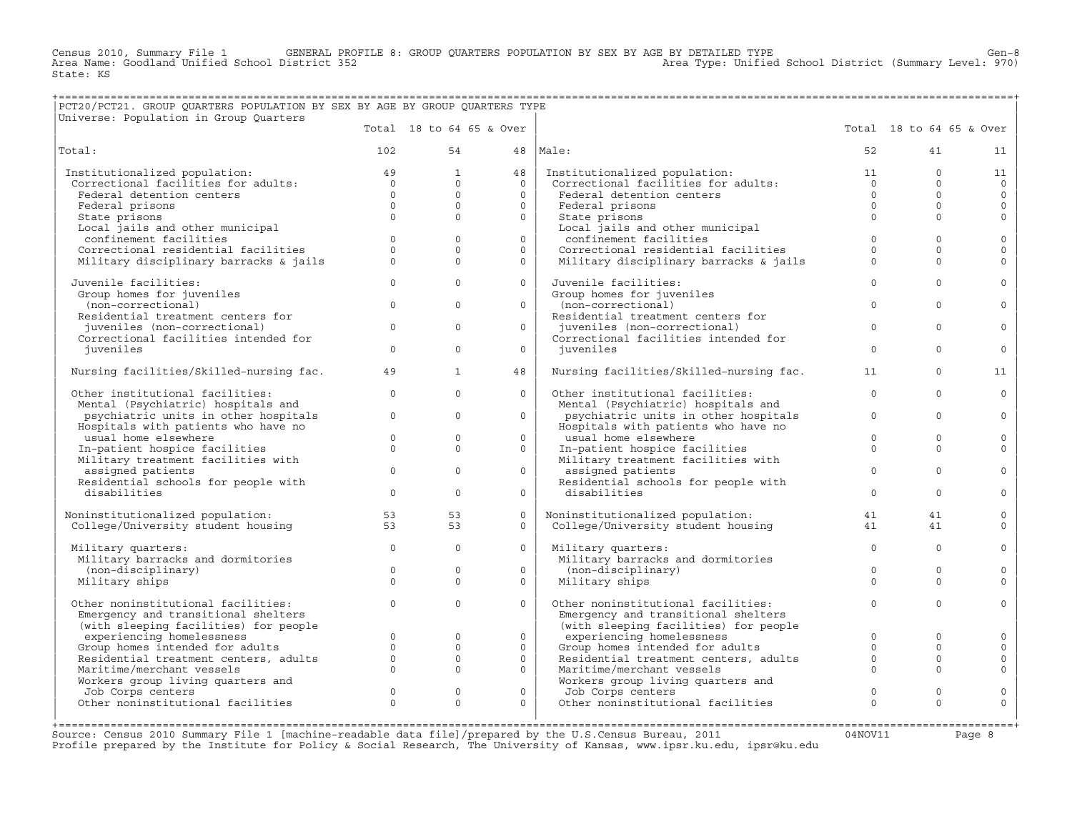Census 2010, Summary File 1 GENERAL PROFILE 8: GROUP QUARTERS POPULATION BY SEX BY AGE BY DETAILED TYPE Gen−8<br>Area Name: Goodland Unified School District 352 Area Type: Unified School District (Summary Level: 970) State: KS

## +===================================================================================================================================================+

| PCT20/PCT21. GROUP QUARTERS POPULATION BY SEX BY AGE BY GROUP QUARTERS TYPE<br>Universe: Population in Group Quarters |                     |                          |              |                                                                      |              |              |                          |
|-----------------------------------------------------------------------------------------------------------------------|---------------------|--------------------------|--------------|----------------------------------------------------------------------|--------------|--------------|--------------------------|
|                                                                                                                       |                     | Total 18 to 64 65 & Over |              |                                                                      |              |              | Total 18 to 64 65 & Over |
| Total:                                                                                                                | 102                 | 54                       |              | 48   Male:                                                           | 52           | 41           | 11                       |
| Institutionalized population:                                                                                         | 49                  | $\mathbf{1}$             | 48           | Institutionalized population:                                        | 11           | $\Omega$     | 11                       |
| Correctional facilities for adults:                                                                                   | $\Omega$            | $\Omega$                 | $\cap$       | Correctional facilities for adults:                                  | $\Omega$     | $\Omega$     | $\circ$                  |
| Federal detention centers                                                                                             | $\Omega$            | $\Omega$                 | $\Omega$     | Federal detention centers                                            | $\Omega$     | $\Omega$     | $\circ$                  |
| Federal prisons                                                                                                       | $\Omega$            | $\Omega$                 | $\Omega$     | Federal prisons                                                      | $\Omega$     | $\Omega$     | $\mathbf{0}$             |
| State prisons                                                                                                         | $\Omega$            | $\Omega$                 | $\Omega$     | State prisons                                                        | $\Omega$     | $\Omega$     | $\circ$                  |
| Local jails and other municipal                                                                                       | $\Omega$            | $\Omega$                 | $\Omega$     | Local jails and other municipal<br>confinement facilities            | $\Omega$     | $\Omega$     |                          |
| confinement facilities<br>Correctional residential facilities                                                         | $\circ$             | $\mathbf{0}$             | $\mathsf{O}$ | Correctional residential facilities                                  | $\mathbf{0}$ | $\mathbf{0}$ | $\circ$<br>$\mathbf{0}$  |
| Military disciplinary barracks & jails                                                                                | $\mathbf 0$         | $\Omega$                 | $\Omega$     | Military disciplinary barracks & jails                               | $\Omega$     | $\Omega$     | $\mathbf 0$              |
|                                                                                                                       |                     |                          |              |                                                                      |              |              |                          |
| Juvenile facilities:                                                                                                  | $\mathsf{O}\xspace$ | $\mathbf{0}$             | $\circ$      | Juvenile facilities:                                                 | $\mathbf{0}$ | $\mathbf{0}$ | $\mathsf{O}\xspace$      |
| Group homes for juveniles                                                                                             |                     |                          |              | Group homes for juveniles                                            |              |              |                          |
| (non-correctional)                                                                                                    | $\mathbf{0}$        | $\mathbf{0}$             | $\Omega$     | (non-correctional)                                                   | $\mathbf{0}$ | $\mathbf{0}$ | $\mathbf{0}$             |
| Residential treatment centers for                                                                                     |                     |                          |              | Residential treatment centers for                                    |              |              |                          |
| juveniles (non-correctional)<br>Correctional facilities intended for                                                  | $\mathbf{0}$        | $\circ$                  | $\Omega$     | juveniles (non-correctional)<br>Correctional facilities intended for | $\mathbf 0$  | $\Omega$     | $\circ$                  |
| juveniles                                                                                                             | $\mathbf 0$         | $\mathbf{0}$             | $\Omega$     | juveniles                                                            | $\Omega$     | $\Omega$     | $\circ$                  |
| Nursing facilities/Skilled-nursing fac.                                                                               | 49                  | $\mathbf{1}$             | 48           | Nursing facilities/Skilled-nursing fac.                              | 11           | $\Omega$     | 11                       |
| Other institutional facilities:                                                                                       | $\mathbf{0}$        | $\mathbf{0}$             | $\Omega$     | Other institutional facilities:                                      | $\Omega$     | $\Omega$     | $\circ$                  |
| Mental (Psychiatric) hospitals and                                                                                    |                     |                          |              | Mental (Psychiatric) hospitals and                                   |              |              |                          |
| psychiatric units in other hospitals                                                                                  | $\mathbf{0}$        | $\mathbf{0}$             | $\Omega$     | psychiatric units in other hospitals                                 | $\mathbf{0}$ | $\Omega$     | $\circ$                  |
| Hospitals with patients who have no                                                                                   |                     |                          |              | Hospitals with patients who have no                                  |              |              |                          |
| usual home elsewhere                                                                                                  | $\mathbf{0}$        | $\mathbf{0}$             | $\Omega$     | usual home elsewhere                                                 | $\mathbf 0$  | $\mathbf 0$  | $\circ$                  |
| In-patient hospice facilities<br>Military treatment facilities with                                                   | $\Omega$            | $\Omega$                 | $\Omega$     | In-patient hospice facilities<br>Military treatment facilities with  | $\Omega$     | $\Omega$     | $\mathbf{0}$             |
| assigned patients                                                                                                     | $\mathbf{0}$        | $\mathbf{0}$             | $\circ$      | assigned patients                                                    | $\mathbf{0}$ | $\mathbf 0$  | $\mathbb O$              |
| Residential schools for people with                                                                                   |                     |                          |              | Residential schools for people with                                  |              |              |                          |
| disabilities                                                                                                          | $\mathsf{O}\xspace$ | $\mathbf{0}$             | $\circ$      | disabilities                                                         | $\circ$      | $\Omega$     | $\circ$                  |
| Noninstitutionalized population:                                                                                      | 53                  | 53                       | $\circ$      | Noninstitutionalized population:                                     | 41           | 41           | $\mathbb O$              |
| College/University student housing                                                                                    | 53                  | 53                       | $\Omega$     | College/University student housing                                   | 41           | 41           | $\circ$                  |
| Military quarters:                                                                                                    | $\circ$             | $\mathbf 0$              | $\circ$      | Military quarters:                                                   | $\Omega$     | $\Omega$     | $\mathbb O$              |
| Military barracks and dormitories                                                                                     |                     |                          |              | Military barracks and dormitories                                    |              |              |                          |
| (non-disciplinary)                                                                                                    | $\circ$             | $\mathbf{0}$             | $\Omega$     | (non-disciplinary)                                                   | $\circ$      | $\circ$      | $\circ$                  |
| Military ships                                                                                                        | $\Omega$            | $\Omega$                 | $\Omega$     | Military ships                                                       | $\Omega$     | $\Omega$     | $\circ$                  |
| Other noninstitutional facilities:                                                                                    | $\mathbf 0$         | $\mathbf{0}$             | $\Omega$     | Other noninstitutional facilities:                                   | $\Omega$     | $\Omega$     | $\mathbf{0}$             |
| Emergency and transitional shelters                                                                                   |                     |                          |              | Emergency and transitional shelters                                  |              |              |                          |
| (with sleeping facilities) for people                                                                                 |                     |                          |              | (with sleeping facilities) for people                                |              |              |                          |
| experiencing homelessness                                                                                             | $\mathbf 0$         | $\circ$                  | $\circ$      | experiencing homelessness                                            | $\Omega$     | $\Omega$     | $\circ$                  |
| Group homes intended for adults                                                                                       | $\Omega$            | $\Omega$                 | $\Omega$     | Group homes intended for adults                                      | $\Omega$     | $\Omega$     | $\circ$                  |
| Residential treatment centers, adults                                                                                 | $\mathbf 0$         | $\Omega$                 | $\mathbf{0}$ | Residential treatment centers, adults                                | $\mathbf{0}$ | $\Omega$     | $\circ$                  |
| Maritime/merchant vessels                                                                                             | $\mathbf 0$         | $\Omega$                 | $\Omega$     | Maritime/merchant vessels                                            | $\circ$      | $\Omega$     | $\Omega$                 |
| Workers group living quarters and                                                                                     |                     |                          |              | Workers group living quarters and                                    |              |              |                          |

| | | +===================================================================================================================================================+ Source: Census 2010 Summary File 1 [machine-readable data file]/prepared by the U.S.Census Bureau, 2011 Page 8<br>Profile prepared by the Institute for Policy & Social Research, The University of Kansas, www.ip

Workers group living quarters and  $\begin{array}{ccc} 0 & 0 & 0 \end{array}$  Workers group living quarters and  $\begin{array}{ccc} 0 & 0 & 0 \end{array}$ Unity Corps centers and the corps centers of the corps centers of the corps centers of the corps centers of the corps centers of the corps centers of the corps centers of the corps centers of the corps centers of the corps

Other noninstitutional facilities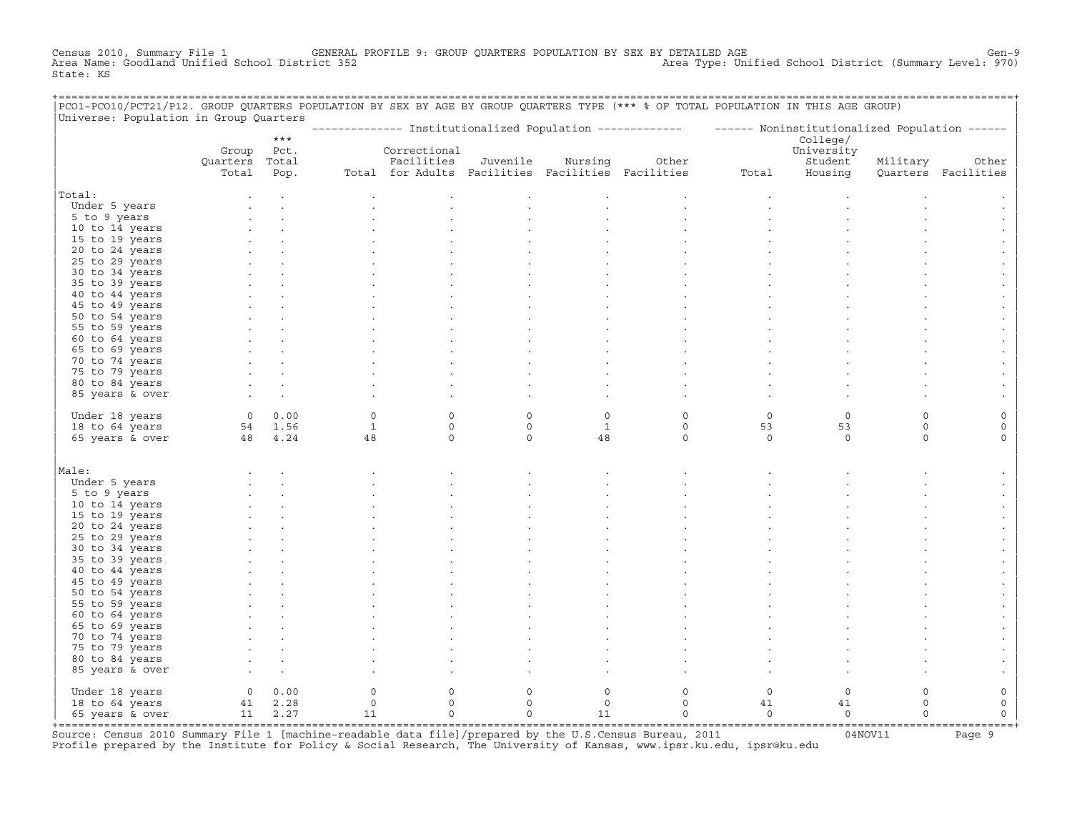Census 2010, Summary File 1 GENERAL PROFILE 9: GROUP QUARTERS POPULATION BY SEX BY DETAILED AGE Gen−9 Area Name: Goodland Unified School District 352 Area Type: Unified School District (Summary Level: 970) State: KS

+===================================================================================================================================================+

| PCO1-PCO10/PCT21/P12. GROUP QUARTERS POPULATION BY SEX BY AGE BY GROUP QUARTERS TYPE (*** % OF TOTAL POPULATION IN THIS AGE GROUP) |                |                 |                    |                                                   |                        |                         |                                                                                                          |               |                        |                        |                     |
|------------------------------------------------------------------------------------------------------------------------------------|----------------|-----------------|--------------------|---------------------------------------------------|------------------------|-------------------------|----------------------------------------------------------------------------------------------------------|---------------|------------------------|------------------------|---------------------|
| Universe: Population in Group Quarters                                                                                             |                | $***$           |                    |                                                   |                        |                         | ------------- Institutionalized Population ------------- - ------ Noninstitutionalized Population ------ |               |                        |                        |                     |
|                                                                                                                                    | Group          | Pct.            |                    | Correctional                                      |                        |                         |                                                                                                          |               | College/<br>University |                        |                     |
|                                                                                                                                    | Quarters       | Total           |                    | Facilities                                        | Juvenile               | Nursing                 | Other                                                                                                    |               | Student                | Military               | Other               |
|                                                                                                                                    | Total          | Pop.            |                    | Total for Adults Facilities Facilities Facilities |                        |                         |                                                                                                          | Total         | Housing                |                        | Quarters Facilities |
| Total:                                                                                                                             |                |                 |                    |                                                   |                        |                         |                                                                                                          |               |                        |                        |                     |
| Under 5 years                                                                                                                      |                |                 |                    |                                                   |                        |                         |                                                                                                          |               |                        |                        |                     |
| 5 to 9 years                                                                                                                       |                |                 |                    |                                                   |                        |                         |                                                                                                          |               |                        |                        |                     |
| 10 to 14 years                                                                                                                     |                |                 |                    |                                                   |                        |                         |                                                                                                          |               |                        |                        |                     |
| 15 to 19 years                                                                                                                     |                |                 |                    |                                                   |                        |                         |                                                                                                          |               |                        |                        |                     |
| 20 to 24 years                                                                                                                     |                |                 |                    |                                                   |                        |                         |                                                                                                          |               |                        |                        |                     |
| 25 to 29 years                                                                                                                     |                |                 |                    |                                                   |                        |                         |                                                                                                          |               |                        |                        |                     |
| 30 to 34 years                                                                                                                     |                |                 |                    |                                                   |                        |                         |                                                                                                          |               |                        |                        |                     |
| 35 to 39 years                                                                                                                     |                |                 |                    |                                                   |                        |                         |                                                                                                          |               |                        |                        |                     |
| 40 to 44 years                                                                                                                     |                |                 |                    |                                                   |                        |                         |                                                                                                          |               |                        |                        |                     |
| 45 to 49 years                                                                                                                     |                |                 |                    |                                                   |                        |                         |                                                                                                          |               |                        |                        |                     |
| 50 to 54 years                                                                                                                     |                |                 |                    |                                                   |                        |                         |                                                                                                          |               |                        |                        |                     |
| 55 to 59 years                                                                                                                     |                |                 |                    |                                                   |                        |                         |                                                                                                          |               |                        |                        |                     |
| 60 to 64 years                                                                                                                     |                |                 |                    |                                                   |                        |                         |                                                                                                          |               |                        |                        |                     |
| 65 to 69 years                                                                                                                     |                |                 |                    |                                                   |                        |                         |                                                                                                          |               |                        |                        |                     |
| 70 to 74 years                                                                                                                     |                |                 |                    |                                                   |                        |                         |                                                                                                          |               |                        |                        |                     |
| 75 to 79 years                                                                                                                     |                |                 |                    |                                                   |                        |                         |                                                                                                          |               |                        |                        |                     |
| 80 to 84 years                                                                                                                     |                |                 |                    |                                                   |                        |                         |                                                                                                          |               |                        |                        |                     |
| 85 years & over                                                                                                                    |                |                 |                    |                                                   |                        |                         |                                                                                                          |               |                        |                        |                     |
|                                                                                                                                    |                |                 |                    |                                                   |                        |                         |                                                                                                          |               |                        |                        |                     |
| Under 18 years                                                                                                                     | $\overline{0}$ | 0.00            | $\circ$            | $\mathbf 0$<br>$\mathsf{O}\xspace$                | $\mathbf 0$<br>$\circ$ | $\circ$<br>$\mathbf{1}$ | $\mathsf O$<br>$\mathsf O$                                                                               | $\circ$<br>53 | $\circ$                | $\circ$<br>$\mathsf O$ | $\mathsf O$         |
| 18 to 64 years                                                                                                                     | 48             | 54 1.56<br>4.24 | $\mathbf{1}$<br>48 | $\mathsf{O}\xspace$                               | $\circ$                | 48                      | $\circ$                                                                                                  | $\mathbb O$   | 53<br>$\Omega$         | $\mathsf O$            | $\circ$<br>0        |
| 65 years & over                                                                                                                    |                |                 |                    |                                                   |                        |                         |                                                                                                          |               |                        |                        |                     |
| Male:                                                                                                                              |                |                 |                    |                                                   |                        |                         |                                                                                                          |               |                        |                        |                     |
| Under 5 years                                                                                                                      |                |                 |                    |                                                   |                        |                         |                                                                                                          |               |                        |                        |                     |
| 5 to 9 years                                                                                                                       |                |                 |                    |                                                   |                        |                         |                                                                                                          |               |                        |                        |                     |
| 10 to 14 years                                                                                                                     |                |                 |                    |                                                   |                        |                         |                                                                                                          |               |                        |                        |                     |
| 15 to 19 years                                                                                                                     |                |                 |                    |                                                   |                        |                         |                                                                                                          |               |                        |                        |                     |
| 20 to 24 years                                                                                                                     |                |                 |                    |                                                   |                        |                         |                                                                                                          |               |                        |                        |                     |
| 25 to 29 years                                                                                                                     |                |                 |                    |                                                   |                        |                         |                                                                                                          |               |                        |                        |                     |
| 30 to 34 years                                                                                                                     |                |                 |                    |                                                   |                        |                         |                                                                                                          |               |                        |                        |                     |
| 35 to 39 years                                                                                                                     |                |                 |                    |                                                   |                        |                         |                                                                                                          |               |                        |                        |                     |
| 40 to 44 years                                                                                                                     |                |                 |                    |                                                   |                        |                         |                                                                                                          |               |                        |                        |                     |
| 45 to 49 years                                                                                                                     |                |                 |                    |                                                   |                        |                         |                                                                                                          |               |                        |                        |                     |
| 50 to 54 years                                                                                                                     |                |                 |                    |                                                   |                        |                         |                                                                                                          |               |                        |                        |                     |
| 55 to 59 years                                                                                                                     |                |                 |                    |                                                   |                        |                         |                                                                                                          |               |                        |                        |                     |
| 60 to 64 years                                                                                                                     |                |                 |                    |                                                   |                        |                         |                                                                                                          |               |                        |                        |                     |
| 65 to 69 years                                                                                                                     |                |                 |                    |                                                   |                        |                         |                                                                                                          |               |                        |                        |                     |
| 70 to 74 years                                                                                                                     |                |                 |                    |                                                   |                        |                         |                                                                                                          |               |                        |                        |                     |
| 75 to 79 years                                                                                                                     |                |                 |                    |                                                   |                        |                         |                                                                                                          |               |                        |                        |                     |
| 80 to 84 years                                                                                                                     |                |                 |                    |                                                   |                        |                         |                                                                                                          |               |                        |                        |                     |
| 85 years & over                                                                                                                    |                |                 |                    |                                                   |                        |                         |                                                                                                          |               |                        |                        |                     |
| Under 18 years                                                                                                                     | $\overline{0}$ | 0.00            | 0                  | $\mathsf{O}\xspace$                               | $\mathsf{O}$           | $\mathsf O$             | $\mathsf O$                                                                                              | $\mathbb O$   | $\circ$                | $\mathsf O$            | $\mathbb O$         |
| 18 to 64 years                                                                                                                     |                | 41 2.28         | $\mathsf{O}$       | $\mathbf 0$                                       | $\mathbf 0$            | $\circ$                 | $\mathbf 0$                                                                                              | 41            | 41                     | $\circ$                | $\circ$             |
| 65 years & over                                                                                                                    | 11             | 2.27            | 11                 | $\Omega$                                          | $\Omega$               | 11                      | $\mathbf 0$                                                                                              | $\circ$       | $\mathbf 0$            | $\Omega$               | $\Omega$            |
|                                                                                                                                    |                |                 |                    |                                                   |                        |                         |                                                                                                          |               |                        |                        |                     |

+===================================================================================================================================================+Source: Census 2010 Summary File 1 [machine−readable data file]/prepared by the U.S.Census Bureau, 2011 04NOV11 Page 9 Profile prepared by the Institute for Policy & Social Research, The University of Kansas, www.ipsr.ku.edu, ipsr@ku.edu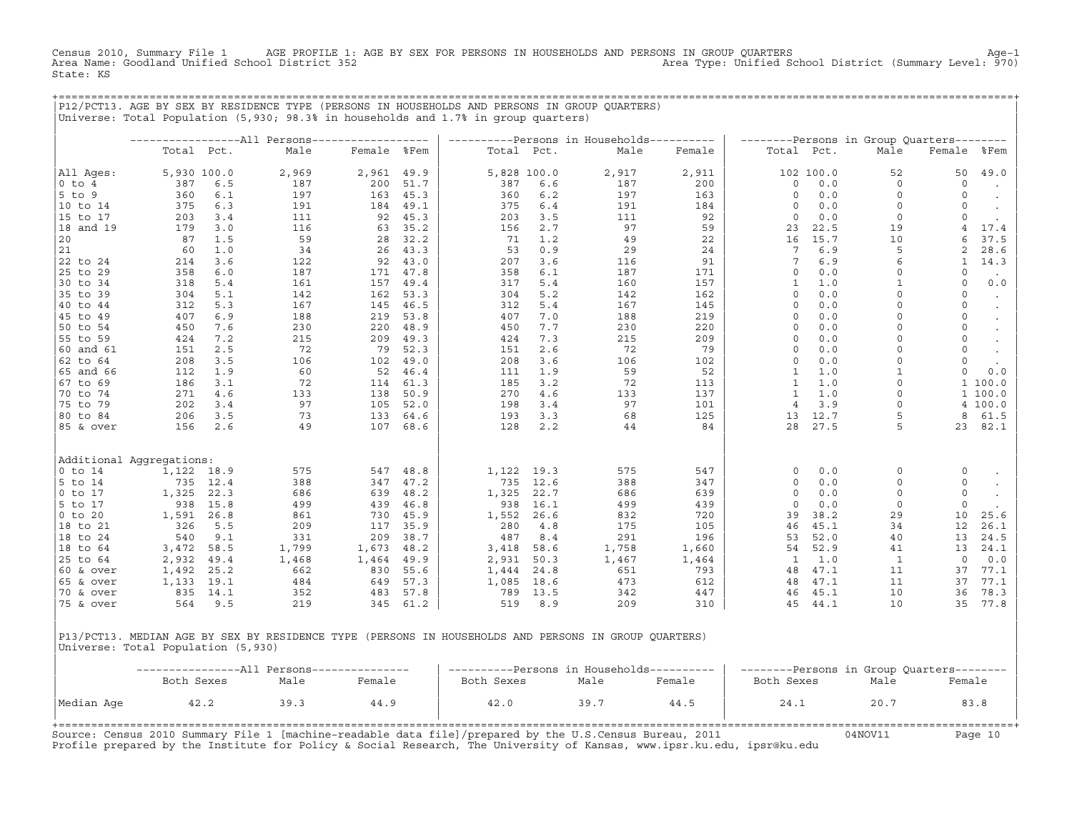Census 2010, Summary File 1 AGE PROFILE 1: AGE BY SEX FOR PERSONS IN HOUSEHOLDS AND PERSONS IN GROUP QUARTERS<br>Area Name: Goodland Unified School District 352 Area Type: Unified School District (Summary Level: 970) State: KS

+===================================================================================================================================================+

|P12/PCT13. AGE BY SEX BY RESIDENCE TYPE (PERSONS IN HOUSEHOLDS AND PERSONS IN GROUP QUARTERS) | |Universe: Total Population (5,930; 98.3% in households and 1.7% in group quarters) | | | | −−−−−−−−−−−−−−−−−All Persons−−−−−−−−−−−−−−−−−− | −−−−−−−−−−Persons in Households−−−−−−−−−− | −−−−−−−−Persons in Group Quarters−−−−−−−− | | Total Pct. Male Female %Fem | Total Pct. Male Female | Total Pct. Male Female %Fem | | | | | |All Ages: 5,930 100.0 2,969 2,961 49.9 | 5,828 100.0 2,917 2,911 | 102 100.0 52 50 49.0 | |0 to 4 387 6.5 187 200 51.7 | 387 6.6 187 200 | 0 0.0 0 0 . | |5 to 9 360 6.1 197 163 45.3 | 360 6.2 197 163 | 0 0.0 0 0 . | |10 to 14 375 6.3 191 184 49.1 | 375 6.4 191 184 | 0 0.0 0 0 . | |15 to 17 203 3.4 111 92 45.3 | 203 3.5 111 92 | 0 0.0 0 0 . | |18 and 19 179 3.0 116 63 35.2 | 156 2.7 97 59 | 23 22.5 19 4 17.4 | |20 87 1.5 59 28 32.2 | 71 1.2 49 22 | 16 15.7 10 6 37.5 | |21 60 1.0 34 26 43.3 | 53 0.9 29 24 | 7 6.9 5 2 28.6 | |22 to 24 214 3.6 122 92 43.0 | 207 3.6 116 91 | 7 6.9 6 1 14.3 | |25 to 29 358 6.0 187 171 47.8 | 358 6.1 187 171 | 0 0.0 0 0 . | |30 to 34 318 5.4 161 157 49.4 | 317 5.4 160 157 | 1 1.0 1 0 0.0 | |35 to 39 304 5.1 142 162 53.3 | 304 5.2 142 162 | 0 0.0 0 0 . | |40 to 44 312 5.3 167 145 46.5 | 312 5.4 167 145 | 0 0.0 0 0 . | |45 to 49 407 6.9 188 219 53.8 | 407 7.0 188 219 | 0 0.0 0 0 . | |50 to 54 450 7.6 230 220 48.9 | 450 7.7 230 220 | 0 0.0 0 0 . | |55 to 59 424 7.2 215 209 49.3 | 424 7.3 215 209 | 0 0.0 0 0 . |  $|\,$  60 and 61  $|$  151  $|$  2.5  $|$  72  $|$  79  $|$  52.3  $|$  151  $|$  2.6  $|$  72  $|$  79  $|$   $|$  0  $|$  0.0  $|$  0  $|$  0  $|$   $|$ |62 to 64 208 3.5 106 102 49.0 | 208 3.6 106 102 | 0 0.0 0 0 . | |65 and 66 112 1.9 60 52 46.4 | 111 1.9 59 52 | 1 1.0 1 0 0.0 | |67 to 69 186 3.1 72 114 61.3 | 185 3.2 72 113 | 1 1.0 0 1 100.0 | |70 to 74 271 4.6 133 138 50.9 | 270 4.6 133 137 | 1 1.0 0 1 100.0 | |75 to 79 202 3.4 97 105 52.0 | 198 3.4 97 101 | 4 3.9 0 4 100.0 | |80 to 84 206 3.5 73 133 64.6 | 193 3.3 68 125 | 13 12.7 5 8 61.5 | |85 & over 156 2.6 49 107 68.6 | 128 2.2 44 84 | 28 27.5 5 23 82.1 | | | | | | | | | |Additional Aggregations: | | | |0 to 14 1,122 18.9 575 547 48.8 | 1,122 19.3 575 547 | 0 0.0 0 0 . | |5 to 14 735 12.4 388 347 47.2 | 735 12.6 388 347 | 0 0.0 0 0 . | |0 to 17 1,325 22.3 686 639 48.2 | 1,325 22.7 686 639 | 0 0.0 0 0 . | |5 to 17 938 15.8 499 439 46.8 | 938 16.1 499 439 | 0 0.0 0 0 . | |0 to 20 1,591 26.8 861 730 45.9 | 1,552 26.6 832 720 | 39 38.2 29 10 25.6 | |18 to 21 326 5.5 209 117 35.9 | 280 4.8 175 105 | 46 45.1 34 12 26.1 | |18 to 24 540 9.1 331 209 38.7 | 487 8.4 291 196 | 53 52.0 40 13 24.5 | |18 to 64 3,472 58.5 1,799 1,673 48.2 | 3,418 58.6 1,758 1,660 | 54 52.9 41 13 24.1 | |25 to 64 2,932 49.4 1,468 1,464 49.9 | 2,931 50.3 1,467 1,464 | 1 1.0 1 0 0.0 | |60 & over 1,492 25.2 662 830 55.6 | 1,444 24.8 651 793 | 48 47.1 11 37 77.1 | |65 & over 1,133 19.1 484 649 57.3 | 1,085 18.6 473 612 | 48 47.1 11 37 77.1 | |70 & over 835 14.1 352 483 57.8 | 789 13.5 342 447 | 46 45.1 10 36 78.3 | |75 & over 564 9.5 219 345 61.2 | 519 8.9 209 310 | 45 44.1 10 35 77.8 | | |

|P13/PCT13. MEDIAN AGE BY SEX BY RESIDENCE TYPE (PERSONS IN HOUSEHOLDS AND PERSONS IN GROUP QUARTERS) | Universe: Total Population (5,930)

|            | ----------All Persons--------------- |      |        | ----------Persons in Households---------- |      |        | --------Persons in Group Quarters-------- |      |        |  |  |
|------------|--------------------------------------|------|--------|-------------------------------------------|------|--------|-------------------------------------------|------|--------|--|--|
|            | Both Sexes                           | Male | Female | Both Sexes                                | Male | Female | Both Sexes                                | Male | Female |  |  |
| Median Age | 42.2                                 | 39.3 | 44.9   | 42.0                                      | 39.7 | 44.5   | 24.1                                      | 20.7 | 83.8   |  |  |

| |

Source: Census 2010 Summary File 1 [machine−readable data file]/prepared by the U.S.Census Bureau, 2011 04NOV11 Page 10 Profile prepared by the Institute for Policy & Social Research, The University of Kansas, www.ipsr.ku.edu, ipsr@ku.edu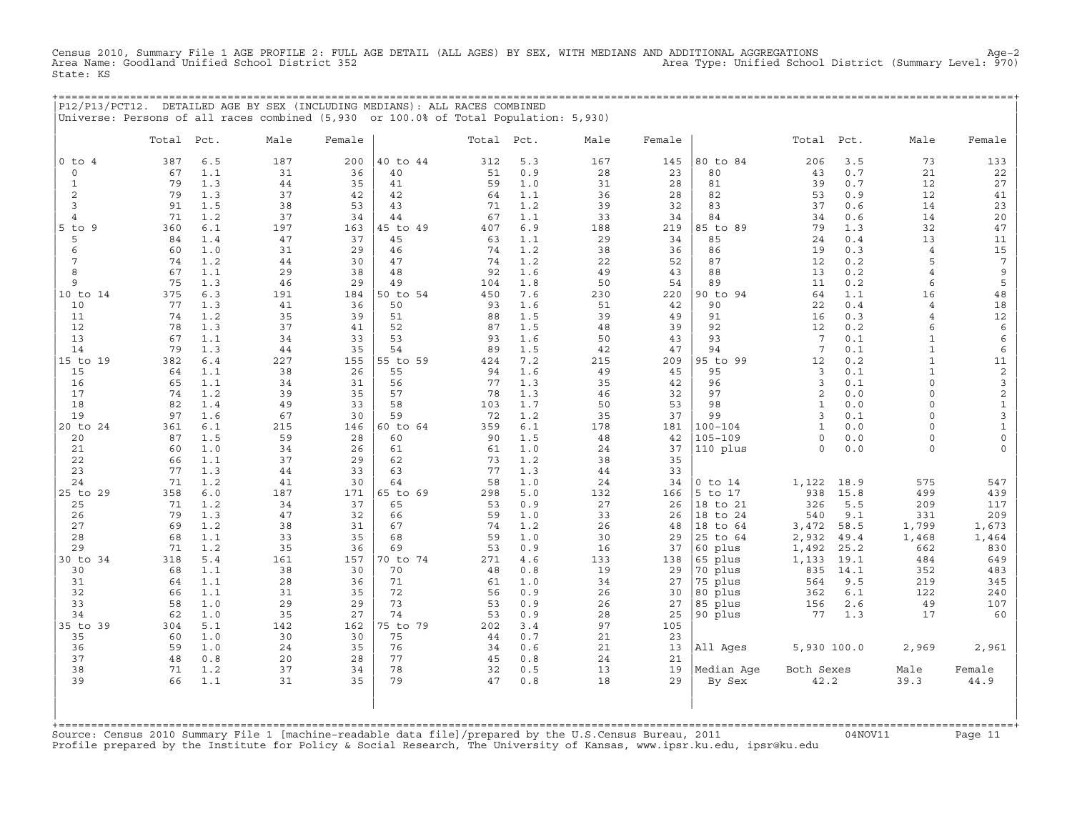Census 2010, Summary File 1 AGE PROFILE 2: FULL AGE DETAIL (ALL AGES) BY SEX, WITH MEDIANS AND ADDITIONAL AGGREGATIONS<br>Area Name: Goodland Unified School District 352 State: KS

| P12/P13/PCT12. DETAILED AGE BY SEX (INCLUDING MEDIANS): ALL RACES COMBINED |                                                                                      |  |
|----------------------------------------------------------------------------|--------------------------------------------------------------------------------------|--|
|                                                                            |                                                                                      |  |
|                                                                            | Universe: Persons of all races combined (5,930 or 100.0% of Total Population: 5,930) |  |

|                | Total    | Pct.       | Male     | Female   |          | Total    | Pct.       | Male     | Female    |             | Total               | Pct.        | Male                | Female                   |
|----------------|----------|------------|----------|----------|----------|----------|------------|----------|-----------|-------------|---------------------|-------------|---------------------|--------------------------|
| $0$ to $4$     | 387      | $6.5$      | 187      | 200      | 40 to 44 | 312      | 5.3        | 167      | 145       | 80 to 84    | 206                 | 3.5         | 73                  | 133                      |
| $\circ$        | 67       | 1.1        | 31       | 36       | 40       | 51       | 0.9        | 28       | 23        | 80          | 43                  | 0.7         | 21                  | 22                       |
| $\mathbf{1}$   | 79       | 1.3        | 44       | 35       | 41       | 59       | 1.0        | 31       | 28        | 81          | 39                  | 0.7         | 12                  | 27                       |
| 2              | 79       | 1.3        | 37       | 42       | 42       | 64       | 1.1        | 36       | 28        | 82          | 53                  | 0.9         | 12                  | 41                       |
| $\overline{3}$ | 91       | 1.5        | 38       | 53       | 43       | 71       | 1.2        | 39       | 32        | 83          | 37                  | 0.6         | 14                  | 23                       |
| $\overline{4}$ | 71       | 1.2        | 37       | 34       | 44       | 67       | 1.1        | 33       | 34        | 84          | 34                  | 0.6         | 14                  | 20                       |
| $5$ to $9$     | 360      | 6.1        | 197      | 163      | 45 to 49 | 407      | 6.9        | 188      | 219       | 85 to 89    | 79                  | 1.3         | 32                  | 47                       |
| 5              | 84       | 1.4        | 47       | 37       | 45       | 63       | 1.1        | 29       | 34        | 85          | 24                  | 0.4         | 13                  | 11                       |
| 6              | 60       | 1.0        | 31       | 29       | 46       | 74       | 1.2        | 38       | 36        | 86          | 19                  | 0.3         | $\overline{4}$      | $15\,$                   |
| 7<br>8         | 74<br>67 | 1.2<br>1.1 | 44<br>29 | 30<br>38 | 47<br>48 | 74<br>92 | 1.2<br>1.6 | 22<br>49 | 52<br>43  | 87<br>88    | 12<br>13            | 0.2<br>0.2  | 5<br>$\overline{4}$ | $7\phantom{.0}$<br>$\,9$ |
| 9              | 75       | 1.3        | 46       | 29       | 49       | 104      | 1.8        | 50       | 54        | 89          | 11                  | 0.2         | 6                   | 5                        |
| 10 to 14       | 375      | 6.3        | 191      | 184      | 50 to 54 | 450      | 7.6        | 230      | 220       | 90 to 94    | 64                  | 1.1         | 16                  | 48                       |
| 10             | 77       | 1.3        | 41       | 36       | 50       | 93       | 1.6        | 51       | 42        | 90          | 22                  | 0.4         | $\overline{4}$      | 18                       |
| 11             | 74       | 1.2        | 35       | 39       | 51       | 88       | 1.5        | 39       | 49        | 91          | 16                  | 0.3         | $\overline{4}$      | $12\,$                   |
| 12             | 78       | 1.3        | 37       | 41       | 52       | 87       | 1.5        | 48       | 39        | 92          | 12                  | 0.2         | 6                   | $\epsilon$               |
| 13             | 67       | 1.1        | 34       | 33       | 53       | 93       | 1.6        | 50       | 43        | 93          | $7\phantom{.0}$     | 0.1         | $\mathbf{1}$        | $\epsilon$               |
| 14             | 79       | 1.3        | 44       | 35       | 54       | 89       | 1.5        | 42       | 47        | 94          | $7\phantom{.0}$     | 0.1         | $\mathbf{1}$        | 6                        |
| 15 to 19       | 382      | 6.4        | 227      | 155      | 55 to 59 | 424      | 7.2        | 215      | 209       | 95 to 99    | 12                  | 0.2         | $\mathbf{1}$        | 11                       |
| 15             | 64       | 1.1        | 38       | 26       | 55       | 94       | 1.6        | 49       | 45        | 95          | $\overline{3}$      | 0.1         | $\mathbf{1}$        | $\overline{c}$           |
| 16             | 65       | 1.1        | 34       | 31       | 56       | 77       | 1.3        | 35       | 42        | 96          | 3                   | 0.1         | $\circ$             | $\mathsf{3}$             |
| 17             | 74       | 1.2        | 39       | 35       | 57       | 78       | 1.3        | 46       | 32        | 97          | 2                   | 0.0         | $\circ$             | $\mathbf 2$              |
| 18             | 82       | 1.4        | 49       | 33       | 58       | 103      | 1.7        | 50       | 53        | 98          | $\mathbf{1}$        | 0.0         | $\circ$             | $\mathbf{1}$             |
| 19             | 97       | 1.6        | 67       | 30       | 59       | 72       | 1.2        | 35       | 37        | 99          | $\overline{3}$      | 0.1         | $\circ$             | $\mathbf{3}$             |
| 20 to 24       | 361      | 6.1        | 215      | 146      | 60 to 64 | 359      | 6.1        | 178      | 181       | $100 - 104$ | $\mathbf{1}$        | 0.0         | $\circ$             | $\mathbf{1}$             |
| 20             | 87<br>60 | 1.5<br>1.0 | 59       | 28<br>26 | 60       | 90       | 1.5<br>1.0 | 48       | 42        | $105 - 109$ | $\circ$<br>$\Omega$ | 0.0         | 0<br>$\Omega$       | $\mathsf{O}\xspace$      |
| 21<br>22       | 66       | 1.1        | 34<br>37 | 29       | 61<br>62 | 61<br>73 | 1.2        | 24<br>38 | 37<br>35  | 110 plus    |                     | 0.0         |                     | $\mathbf 0$              |
| 23             | 77       | 1.3        | $4\,4$   | 33       | 63       | 77       | 1.3        | 44       | 33        |             |                     |             |                     |                          |
| 24             | 71       | 1.2        | 41       | 30       | 64       | 58       | 1.0        | 24       | 34        | $0$ to $14$ | 1,122               | 18.9        | 575                 | 547                      |
| 25 to 29       | 358      | 6.0        | 187      | 171      | 65 to 69 | 298      | 5.0        | 132      | 166       | 5 to 17     | 938                 | 15.8        | 499                 | 439                      |
| 25             | 71       | 1.2        | 34       | 37       | 65       | 53       | 0.9        | 27       | 26        | 18 to 21    | 326                 | 5.5         | 209                 | 117                      |
| 26             | 79       | 1.3        | 47       | 32       | 66       | 59       | 1.0        | 33       | 26        | 18 to 24    | 540                 | 9.1         | 331                 | 209                      |
| 27             | 69       | 1.2        | 38       | 31       | 67       | 74       | 1.2        | 26       | 48        | 18 to 64    | 3,472               | 58.5        | 1,799               | 1,673                    |
| 28             | 68       | 1.1        | 33       | 35       | 68       | 59       | 1.0        | 30       | 29        | 25 to 64    | 2,932               | 49.4        | 1,468               | 1,464                    |
| 29             | 71       | 1.2        | 35       | 36       | 69       | 53       | 0.9        | 16       | 37        | 60 plus     | 1,492               | 25.2        | 662                 | 830                      |
| 30 to 34       | 318      | 5.4        | 161      | 157      | 70 to 74 | 271      | $4.6$      | 133      | 138       | 65 plus     | 1,133               | 19.1        | 484                 | 649                      |
| 30             | 68       | 1.1        | 38       | 30       | 70       | 48       | 0.8        | 19       | 29        | 70 plus     | 835                 | 14.1        | 352                 | 483                      |
| 31             | 64       | 1.1        | 28       | 36       | 71       | 61       | 1.0        | 34       | 27        | 75 plus     | 564                 | 9.5         | 219                 | 345                      |
| 32             | 66       | 1.1        | 31       | 35       | 72       | 56       | 0.9        | 26       | 30        | 80 plus     | 362                 | 6.1         | 122                 | 240                      |
| 33<br>34       | 58<br>62 | 1.0<br>1.0 | 29<br>35 | 29<br>27 | 73<br>74 | 53<br>53 | 0.9<br>0.9 | 26       | 27        | 85 plus     | 156<br>77           | 2.6         | 49<br>17            | 107<br>60                |
| 35 to 39       | 304      | 5.1        | 142      | 162      | 75 to 79 | 202      | 3.4        | 28<br>97 | 25<br>105 | 90 plus     |                     | 1.3         |                     |                          |
| 35             | 60       | 1.0        | 30       | 30       | 75       | 44       | 0.7        | 21       | 23        |             |                     |             |                     |                          |
| 36             | 59       | 1.0        | 24       | 35       | 76       | 34       | 0.6        | 21       | 13        | All Ages    |                     | 5,930 100.0 | 2,969               | 2,961                    |
| 37             | 48       | 0.8        | 20       | 28       | 77       | 45       | 0.8        | 24       | 21        |             |                     |             |                     |                          |
| 38             | 71       | 1.2        | 37       | 34       | 78       | 32       | 0.5        | 13       | 19        | Median Aqe  | Both Sexes          |             | Male                | Female                   |
| 39             | 66       | 1.1        | 31       | 35       | 79       | 47       | 0.8        | 18       | 29        | By Sex      | 42.2                |             | 39.3                | 44.9                     |
|                |          |            |          |          |          |          |            |          |           |             |                     |             |                     |                          |

+===================================================================================================================================================+Source: Census 2010 Summary File 1 [machine−readable data file]/prepared by the U.S.Census Bureau, 2011 04NOV11 Page 11 Profile prepared by the Institute for Policy & Social Research, The University of Kansas, www.ipsr.ku.edu, ipsr@ku.edu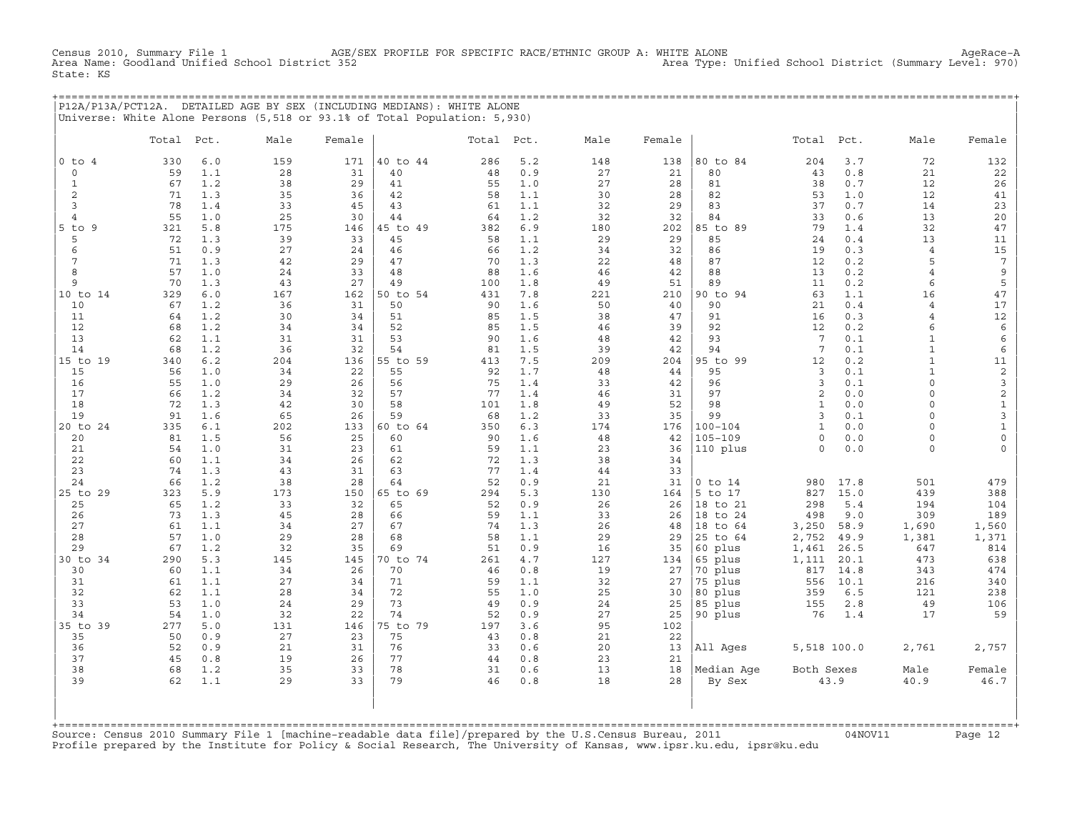AGE/SEX PROFILE FOR SPECIFIC RACE/ETHNIC GROUP A: WHITE ALONE<br>Ct 352 Area Type: Unified School District (Summary Level: 970) Census 2010, Summary File 1 AGE/S<br>Area Name: Goodland Unified School District 352 State: KS

+===================================================================================================================================================+ |P12A/P13A/PCT12A. DETAILED AGE BY SEX (INCLUDING MEDIANS): WHITE ALONE | |Universe: White Alone Persons (5,518 or 93.1% of Total Population: 5,930) |

|                 | Total     | Pct.       | Male      | Female    |                | Total Pct. |            | Male      | Female    |                | Total           | Pct.        | Male           | Female              |
|-----------------|-----------|------------|-----------|-----------|----------------|------------|------------|-----------|-----------|----------------|-----------------|-------------|----------------|---------------------|
| $0$ to $4$      | 330       | 6.0        | 159       | 171       | 40 to 44       | 286        | 5.2        | 148       | 138       | 80 to 84       | 204             | 3.7         | 72             | 132                 |
| $\circ$         | 59        | 1.1        | 28        | 31        | 40             | 48         | 0.9        | 27        | 21        | 80             | 43              | 0.8         | 21             | 22                  |
| $\mathbf{1}$    | 67        | 1.2        | 38        | 29        | 41             | 55         | 1.0        | 27        | 28        | 81             | 38              | 0.7         | 12             | 26                  |
| 2               | 71        | 1.3        | 35        | 36        | 42             | 58         | 1.1        | 30        | 28        | 82             | 53              | 1.0         | 12             | 41                  |
| 3               | 78        | 1.4        | 33        | 45        | 43             | 61         | 1.1        | 32        | 29        | 83             | 37              | 0.7         | 14             | 23                  |
| $\overline{4}$  | 55        | 1.0        | 25        | 30        | 44             | 64         | 1.2        | 32        | 32        | 84             | 33              | 0.6         | 13             | $20\,$              |
| $5$ to<br>9     | 321       | 5.8        | 175       | 146       | 45 to 49       | 382        | 6.9        | 180       | 202       | 85 to 89       | 79              | 1.4         | 32             | 47                  |
| 5               | 72        | 1.3        | 39        | 33        | 45             | 58         | 1.1        | 29        | 29        | 85             | 24              | 0.4         | 13             | 11                  |
| 6               | 51        | 0.9        | 27        | 24        | 46             | 66         | 1.2        | 34        | 32        | 86             | 19              | 0.3         | $\overline{4}$ | $15\,$              |
| $7\phantom{.0}$ | 71        | 1.3        | 42        | 29        | 47             | 70         | 1.3        | 22        | 48        | 87             | 12              | 0.2         | 5              | $7\phantom{.0}$     |
| 8               | 57        | 1.0        | 24        | 33        | 48             | 88         | 1.6        | 46        | 42        | 88             | 13              | 0.2         | $\overline{4}$ | 9                   |
| 9               | 70<br>329 | 1.3        | 43        | 27        | 49<br>50 to 54 | 100        | 1.8<br>7.8 | 49        | 51        | 89             | 11<br>63        | 0.2<br>1.1  | 6              | 5<br>47             |
| 10 to 14<br>10  | 67        | 6.0<br>1.2 | 167<br>36 | 162<br>31 | 50             | 431<br>90  | 1.6        | 221<br>50 | 210<br>40 | 90 to 94<br>90 | 21              | 0.4         | 16<br>4        | $17$                |
| 11              | 64        | 1.2        | 30        | 34        | 51             | 85         | 1.5        | 38        | 47        | 91             | 16              | 0.3         | $\overline{4}$ | $12\,$              |
| 12              | 68        | 1.2        | 34        | 34        | 52             | 85         | 1.5        | 46        | 39        | 92             | 12              | 0.2         | 6              | $\epsilon$          |
| 13              | 62        | 1.1        | 31        | 31        | 53             | 90         | 1.6        | 48        | 42        | 93             | 7               | 0.1         | $\mathbf{1}$   | 6                   |
| 14              | 68        | 1.2        | 36        | 32        | 54             | 81         | 1.5        | 39        | 42        | 94             | $7\phantom{.0}$ | 0.1         | $\mathbf{1}$   | 6                   |
| 15 to 19        | 340       | 6.2        | 204       | 136       | 55 to 59       | 413        | 7.5        | 209       | 204       | 95 to 99       | 12              | 0.2         | $\mathbf{1}$   | 11                  |
| 15              | 56        | 1.0        | 34        | 22        | 55             | 92         | 1.7        | 48        | 44        | 95             | $\overline{3}$  | 0.1         | $\mathbf{1}$   | $\overline{c}$      |
| 16              | 55        | 1.0        | 29        | 26        | 56             | 75         | 1.4        | 33        | 42        | 96             | 3               | 0.1         | $\circ$        | 3                   |
| 17              | 66        | 1.2        | 34        | 32        | 57             | 77         | 1.4        | 46        | 31        | 97             | 2               | 0.0         | $\circ$        | $\overline{c}$      |
| 18              | 72        | 1.3        | 42        | 30        | 58             | 101        | 1.8        | 49        | 52        | 98             | $\mathbf{1}$    | 0.0         | $\circ$        | $\mathbf{1}$        |
| 19              | 91        | 1.6        | 65        | 26        | 59             | 68         | 1.2        | 33        | 35        | 99             | $\overline{3}$  | 0.1         | $\circ$        | $\mathbf{3}$        |
| 20 to 24        | 335       | 6.1        | 202       | 133       | 60 to 64       | 350        | 6.3        | 174       | 176       | $100 - 104$    | $\mathbf{1}$    | 0.0         | $\Omega$       | $\mathbf{1}$        |
| 20              | 81        | 1.5        | 56        | 25        | 60             | 90         | 1.6        | 48        | 42        | $105 - 109$    | $\circ$         | $0.0$       | 0              | $\mathsf{O}\xspace$ |
| 21              | 54<br>60  | 1.0        | 31        | 23<br>26  | 61             | 59<br>72   | 1.1        | 23        | 36        | 110 plus       | $\mathbf 0$     | 0.0         | $\circ$        | 0                   |
| 22<br>23        | 74        | 1.1<br>1.3 | 34<br>43  | 31        | 62<br>63       | 77         | 1.3<br>1.4 | 38<br>44  | 34<br>33  |                |                 |             |                |                     |
| 24              | 66        | 1.2        | 38        | 28        | 64             | 52         | 0.9        | 21        | 31        | $0$ to $14$    | 980             | 17.8        | 501            | 479                 |
| 25 to 29        | 323       | 5.9        | 173       | 150       | 65 to 69       | 294        | 5.3        | 130       | 164       | 5 to 17        | 827             | 15.0        | 439            | 388                 |
| 25              | 65        | 1.2        | 33        | 32        | 65             | 52         | 0.9        | 26        | 26        | 18 to 21       | 298             | 5.4         | 194            | 104                 |
| 26              | 73        | 1.3        | 45        | 28        | 66             | 59         | 1.1        | 33        | 26        | 18 to 24       | 498             | 9.0         | 309            | 189                 |
| 27              | 61        | 1.1        | 34        | 27        | 67             | 74         | 1.3        | 26        | 48        | 18 to 64       | 3,250           | 58.9        | 1,690          | 1,560               |
| 28              | 57        | 1.0        | 29        | 28        | 68             | 58         | 1.1        | 29        | 29        | 25 to 64       | 2,752           | 49.9        | 1,381          | 1,371               |
| 29              | 67        | 1.2        | 32        | 35        | 69             | 51         | 0.9        | 16        | 35        | 60 plus        | 1,461           | 26.5        | 647            | 814                 |
| 30 to 34        | 290       | 5.3        | 145       | 145       | 70 to 74       | 261        | 4.7        | 127       | 134       | 65 plus        | 1,111           | 20.1        | 473            | 638                 |
| 30              | 60        | 1.1        | 34        | 26        | 70             | 46         | 0.8        | 19        | 27        | 70 plus        | 817             | 14.8        | 343            | 474                 |
| 31              | 61        | 1.1        | 27        | 34        | 71             | 59         | 1.1        | 32        | 27        | 75 plus        | 556             | 10.1        | 216            | 340                 |
| 32              | 62        | 1.1        | 28        | 34        | 72             | 55         | 1.0        | 25        | 30        | 80 plus        | 359             | 6.5         | 121            | 238                 |
| 33              | 53        | 1.0        | 24        | 29<br>22  | 73<br>74       | 49<br>52   | 0.9        | 24        | 25        | 85 plus        | 155             | $2.8$       | 49             | 106<br>59           |
| 34<br>35 to 39  | 54<br>277 | 1.0<br>5.0 | 32<br>131 | 146       | 75 to 79       | 197        | 0.9<br>3.6 | 27<br>95  | 25<br>102 | 90 plus        | 76              | 1.4         | 17             |                     |
| 35              | 50        | 0.9        | 27        | 23        | 75             | 43         | 0.8        | 21        | 22        |                |                 |             |                |                     |
| 36              | 52        | 0.9        | 21        | 31        | 76             | 33         | 0.6        | 20        | 13        | All Ages       |                 | 5,518 100.0 | 2,761          | 2,757               |
| 37              | 45        | 0.8        | 19        | 26        | 77             | 44         | 0.8        | 23        | 21        |                |                 |             |                |                     |
| 38              | 68        | 1.2        | 35        | 33        | 78             | 31         | 0.6        | 13        | 18        | Median Age     | Both Sexes      |             | Male           | Female              |
| 39              | 62        | 1.1        | 29        | 33        | 79             | 46         | 0.8        | 18        | 28        | By Sex         |                 | 43.9        | 40.9           | 46.7                |
|                 |           |            |           |           |                |            |            |           |           |                |                 |             |                |                     |

+===================================================================================================================================================+Source: Census 2010 Summary File 1 [machine−readable data file]/prepared by the U.S.Census Bureau, 2011 04NOV11 Page 12 Profile prepared by the Institute for Policy & Social Research, The University of Kansas, www.ipsr.ku.edu, ipsr@ku.edu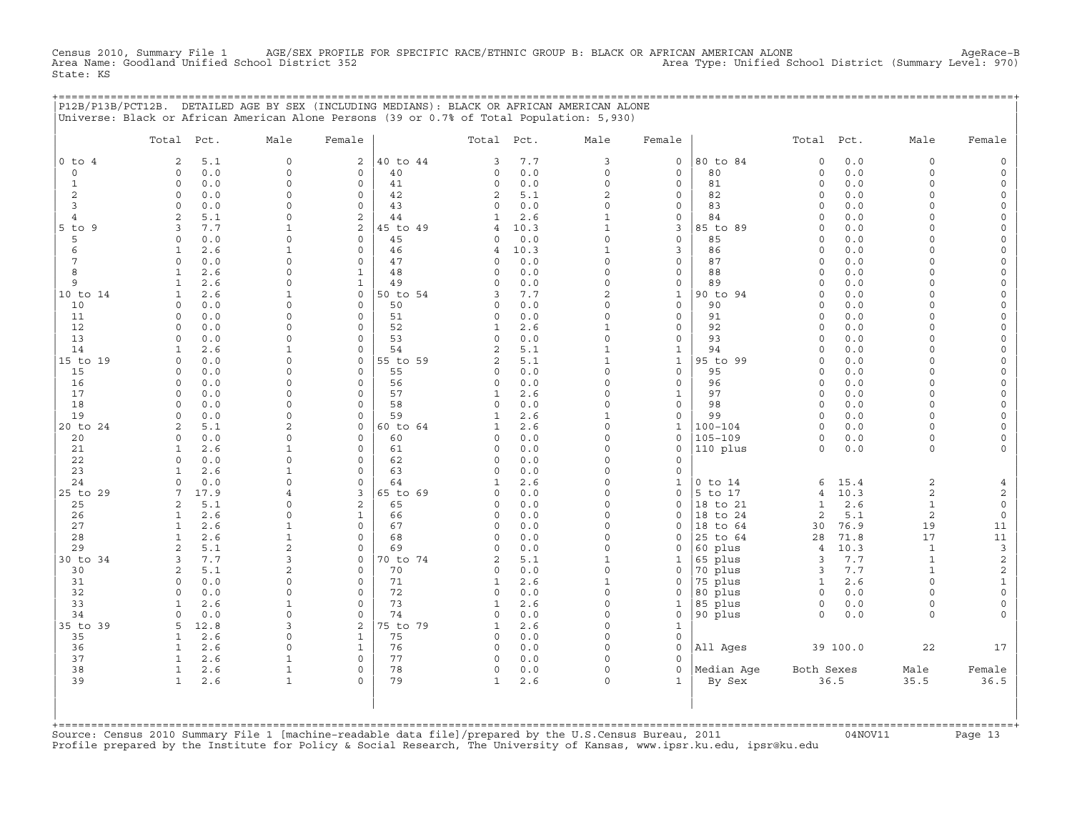Census 2010, Summary File 1 AGE/SEX PROFILE FOR SPECIFIC RACE/ETHNIC GROUP B: BLACK OR AFRICAN AMERICAN ALONE<br>Area Name: Goodland Unified School District 352 Area Name: Goodland Unified School District (Summary Level: 970 State: KS

+===================================================================================================================================================+

|                | P12B/P13B/PCT12B. DETAILED AGE BY SEX (INCLUDING MEDIANS): BLACK OR AFRICAN AMERICAN ALONE<br>Universe: Black or African American Alone Persons (39 or 0.7% of Total Population: 5,930) |                          |                            |                |                            |            |                          |                                     |                            |                         |            |                      |                                     |
|----------------|-----------------------------------------------------------------------------------------------------------------------------------------------------------------------------------------|--------------------------|----------------------------|----------------|----------------------------|------------|--------------------------|-------------------------------------|----------------------------|-------------------------|------------|----------------------|-------------------------------------|
|                | Total Pct.                                                                                                                                                                              | Male                     | Female                     |                | Total                      | Pct.       | Male                     | Female                              |                            | Total                   | Pct.       | Male                 | Female                              |
| $0$ to $4$     | 2<br>5.1                                                                                                                                                                                | $\circ$                  | 2                          | 40 to 44       | 3                          | 7.7        | 3                        | $\mathbf 0$                         | 80 to 84                   | $\mathbf 0$             | $0.0$      | $\circ$              | $\mathsf{O}$                        |
| 0              | 0.0<br>$\Omega$                                                                                                                                                                         | $\Omega$                 | $\mathbf 0$                | 40             | 0                          | 0.0        | $\circ$                  | $\mathbf 0$                         | 80                         | $\mathsf{O}\xspace$     | 0.0        | $\circ$              | $\mathsf{O}\xspace$                 |
| $\mathbf{1}$   | 0.0<br>$\circ$                                                                                                                                                                          | $\Omega$                 | $\circ$                    | 41             | 0                          | 0.0        | $\mathbf 0$              | $\mathbf 0$                         | 81                         | $\circ$                 | 0.0        | $\circ$              | $\mathsf{O}\xspace$                 |
| 2              | $\Omega$<br>0.0                                                                                                                                                                         | $\Omega$                 | $\Omega$                   | 42             | $\overline{2}$             | 5.1        | $\overline{a}$           | $\mathbf 0$                         | 82                         | $\circ$                 | 0.0        | $\Omega$             | $\mathbf{0}$                        |
| 3              | $\mathbf 0$<br>0.0                                                                                                                                                                      | $\Omega$                 | $\circ$                    | 43             | 0                          | 0.0        | $\Omega$                 | $\mathbf 0$                         | 83                         | $\circ$                 | 0.0        | $\Omega$             | 0                                   |
| $\overline{4}$ | 2<br>5.1                                                                                                                                                                                | $\Omega$                 | 2                          | 44             | $\mathbf{1}$               | 2.6        | $\mathbf{1}$             | $\mathsf O$                         | 84                         | $\Omega$                | 0.0        | $\Omega$             | $\mathsf{O}\xspace$                 |
| 5 to 9         | $7.7$<br>3                                                                                                                                                                              | 1                        | 2                          | 45 to 49       | $\overline{4}$             | 10.3       | $\mathbf{1}$             | 3                                   | 85 to 89                   | $\Omega$                | $0.0$      | $\Omega$             | $\mathsf{O}\xspace$                 |
| 5              | 0.0<br>$\Omega$                                                                                                                                                                         | $\Omega$                 | $\Omega$<br>$\mathbf 0$    | 45             | 0                          | 0.0        | $\circ$<br>$1\,$         | $\mathbf 0$                         | 85                         | $\circ$                 | 0.0        | $\Omega$<br>$\Omega$ | 0                                   |
| 6<br>7         | $\mathbf{1}$<br>2.6<br>$\Omega$                                                                                                                                                         | $\mathbf{1}$<br>$\Omega$ | 0                          | 46<br>47       | $\overline{4}$<br>$\Omega$ | 10.3       | $\Omega$                 | $\mathbf{3}$<br>$\mathsf{O}\xspace$ | 86<br>87                   | $\circ$<br>$\Omega$     | 0.0        | $\Omega$             | $\mathsf{O}$<br>$\mathsf{O}\xspace$ |
| 8              | 0.0<br>$\mathbf{1}$<br>2.6                                                                                                                                                              | $\Omega$                 | $\mathbf 1$                | 48             | 0                          | 0.0<br>0.0 | $\Omega$                 | $\mathbf 0$                         | 88                         | $\Omega$                | 0.0<br>0.0 | $\Omega$             | 0                                   |
| 9              | $\mathbf{1}$<br>2.6                                                                                                                                                                     | $\Omega$                 | $\mathbf{1}$               | 49             | 0                          | 0.0        | $\mathbf 0$              | $\mathsf O$                         | 89                         | $\circ$                 | 0.0        | $\circ$              | $\mathsf{O}\xspace$                 |
| 10 to 14       | 2.6<br>1                                                                                                                                                                                | $\mathbf{1}$             | 0                          | 50 to 54       | 3                          | 7.7        | $\overline{c}$           | $\mathbf{1}$                        | 90 to 94                   | $\Omega$                | 0.0        | $\Omega$             | $\mathsf{O}\xspace$                 |
| 10             | $\Omega$<br>0.0                                                                                                                                                                         | $\Omega$                 | $\Omega$                   | 50             | 0                          | 0.0        | $\Omega$                 | $\Omega$                            | 90                         | $\Omega$                | 0.0        | $\Omega$             | 0                                   |
| 11             | 0.0<br>$\circ$                                                                                                                                                                          | $\Omega$                 | $\mathbf 0$                | 51             | 0                          | 0.0        | $\mathbf 0$              | $\mathsf{O}\xspace$                 | 91                         | $\mathsf{O}\xspace$     | 0.0        | $\Omega$             | $\mathsf{O}\xspace$                 |
| 12             | 0.0<br>$\Omega$                                                                                                                                                                         | $\Omega$                 | $\Omega$                   | 52             | $\mathbf{1}$               | 2.6        | $\mathbf{1}$             | $\mathsf{O}$                        | 92                         | $\Omega$                | 0.0        | $\Omega$             | $\mathsf{O}\xspace$                 |
| 13             | 0.0<br>$\Omega$                                                                                                                                                                         | $\Omega$                 | $\Omega$                   | 53             | $\Omega$                   | 0.0        | $\Omega$                 | $\mathbf 0$                         | 93                         | $\Omega$                | 0.0        | $\Omega$             | 0                                   |
| 14             | 2.6<br>$\mathbf{1}$                                                                                                                                                                     | $\mathbf{1}$             | $\mathbf 0$                | 54             | $\overline{c}$             | 5.1        | $\mathbf{1}$             | $\mathbf{1}$                        | 94                         | $\Omega$                | 0.0        | $\circ$              | $\mathsf{O}\xspace$                 |
| 15 to 19       | 0.0<br>$\Omega$                                                                                                                                                                         | $\Omega$                 | 0                          | 55 to 59       | $\overline{c}$             | 5.1        | $\mathbf{1}$             | $\mathbf{1}$                        | 95 to 99                   | $\circ$                 | 0.0        | $\Omega$             | $\mathsf{O}\xspace$                 |
| 15             | 0.0<br>$\Omega$                                                                                                                                                                         | $\Omega$                 | $\Omega$                   | 55             | 0                          | 0.0        | $\Omega$                 | $\mathbf 0$                         | 95                         | $\Omega$                | 0.0        | $\Omega$             | 0                                   |
| 16             | $\Omega$<br>0.0                                                                                                                                                                         | $\Omega$                 | $\mathbf 0$                | 56             | 0                          | 0.0        | $\mathbf 0$              | $\mathsf{O}\xspace$                 | 96                         | $\mathbf 0$             | 0.0        | $\circ$              | $\mathsf{O}\xspace$                 |
| 17             | $\Omega$<br>0.0                                                                                                                                                                         | $\Omega$                 | $\Omega$                   | 57             | $\mathbf{1}$               | 2.6        | $\Omega$                 | $\mathbf{1}$                        | 97                         | $\circ$                 | 0.0        | $\Omega$             | 0                                   |
| 18             | 0.0<br>$\Omega$                                                                                                                                                                         | $\Omega$                 | $\mathbf 0$                | 58             | $\circ$                    | 0.0        | $\Omega$                 | $\mathbf 0$                         | 98                         | $\circ$                 | 0.0        | $\Omega$             | $\mathsf O$                         |
| 19             | 0.0<br>$\Omega$                                                                                                                                                                         | $\Omega$                 | $\mathbf 0$                | 59             | $\mathbf{1}$               | 2.6        | $\mathbf{1}$<br>$\Omega$ | $\mathsf{O}\xspace$                 | 99                         | $\circ$                 | 0.0        | $\Omega$             | $\mathsf{O}\xspace$                 |
| 20 to 24<br>20 | 2<br>5.1<br>0.0<br>0                                                                                                                                                                    | 2<br>$\Omega$            | 0<br>$\mathbf 0$           | 60 to 64<br>60 | $\mathbf{1}$<br>0          | 2.6<br>0.0 | $\Omega$                 | $\mathbf{1}$<br>$\mathbf 0$         | $100 - 104$<br>$105 - 109$ | $\Omega$<br>$\circ$     | 0.0<br>0.0 | $\Omega$<br>$\circ$  | 0<br>0                              |
| 21             | 2.6<br>$\mathbf{1}$                                                                                                                                                                     | $\mathbf{1}$             | $\mathbf 0$                | 61             | 0                          | 0.0        | $\Omega$                 | $\mathbf 0$                         | 110 plus                   | $\circ$                 | $0.0$      | $\circ$              | $\mathsf{O}\xspace$                 |
| 22             | $\Omega$<br>0.0                                                                                                                                                                         | $\Omega$                 | 0                          | 62             | 0                          | 0.0        | $\Omega$                 | $\mathbf 0$                         |                            |                         |            |                      |                                     |
| 23             | 2.6<br>1                                                                                                                                                                                | 1                        | $\Omega$                   | 63             | 0                          | 0.0        | $\Omega$                 | $\mathbf 0$                         |                            |                         |            |                      |                                     |
| 24             | 0.0<br>$\Omega$                                                                                                                                                                         | $\Omega$                 | $\Omega$                   | 64             | $\mathbf{1}$               | 2.6        | $\Omega$                 | $\mathbf{1}$                        | $0$ to $14$                | 6                       | 15.4       | $\overline{a}$       | $\overline{4}$                      |
| 25 to 29       | 17.9<br>7                                                                                                                                                                               | $\overline{4}$           | 3                          | 65 to 69       | 0                          | 0.0        | $\Omega$                 | $\mathsf{O}\xspace$                 | 5 to 17                    | $\overline{4}$          | 10.3       | 2                    | $\overline{c}$                      |
| 25             | 5.1<br>$\overline{a}$                                                                                                                                                                   | $\Omega$                 | 2                          | 65             | 0                          | 0.0        | $\Omega$                 | $\mathbf 0$                         | 18 to 21                   | $\mathbf{1}$            | $2.6$      | $\mathbf{1}$         | $\mathsf{O}\xspace$                 |
| 26             | 2.6<br>$\mathbf{1}$                                                                                                                                                                     | $\Omega$                 | $\mathbf{1}$               | 66             | 0                          | 0.0        | $\Omega$                 | $\Omega$                            | 18 to 24                   | $\overline{2}$          | 5.1        | $\overline{a}$       | $\mathsf{O}\xspace$                 |
| 27             | $\mathbf{1}$<br>2.6                                                                                                                                                                     | $\mathbf{1}$             | $\mathsf{O}\xspace$        | 67             | 0                          | 0.0        | $\Omega$                 | $\mathsf{O}$                        | 18 to 64                   | 30                      | 76.9       | 19                   | 11                                  |
| 28             | $\mathbf{1}$<br>2.6                                                                                                                                                                     | $\mathbf{1}$             | $\mathbf 0$                | 68             | 0                          | 0.0        | $\Omega$                 | $\Omega$                            | 25 to 64                   | 28                      | 71.8       | 17                   | $11$                                |
| 29             | $\overline{2}$<br>5.1                                                                                                                                                                   | $\overline{c}$           | $\Omega$                   | 69             | $\circ$                    | 0.0        | $\Omega$                 | $\mathbf 0$                         | 60 plus                    | $\overline{4}$          | 10.3       | $\mathbf{1}$         | 3                                   |
| 30 to 34       | $7.7$<br>3                                                                                                                                                                              | 3                        | 0                          | 70 to 74       | $\overline{c}$             | 5.1        | $\mathbf{1}$             | $\mathbf{1}$                        | 65 plus                    | 3                       | 7.7        | $\mathbf{1}$         | 2                                   |
| 30             | 5.1<br>$\overline{a}$                                                                                                                                                                   | 2                        | $\mathbf 0$                | 70             | 0                          | 0.0        | $\Omega$                 | $\mathbf 0$                         | 70 plus                    | 3                       | 7.7        | $\mathbf{1}$         | $\overline{c}$                      |
| 31             | 0.0<br>$\Omega$                                                                                                                                                                         | 0                        | $\mathbf 0$                | 71             | $\mathbf 1$                | 2.6        | $\mathbf{1}$             | $\mathbf 0$                         | 75 plus                    | $\mathbf{1}$            | 2.6        | $\Omega$             | $1\,$                               |
| 32             | 0<br>0.0                                                                                                                                                                                | $\mathbf 0$              | $\mathsf{O}\xspace$        | 72             | 0                          | $0.0$      | $\mathbf 0$              | $\mathsf{O}$                        | 80 plus                    | $\mathsf{O}$            | 0.0        | $\circ$              | $\mathsf{O}\xspace$                 |
| 33<br>34       | 2.6<br>1<br>0.0<br>$\Omega$                                                                                                                                                             | $\mathbf{1}$<br>$\Omega$ | $\mathbf 0$<br>$\mathbf 0$ | 73<br>74       | $\mathbf{1}$<br>$\circ$    | 2.6<br>0.0 | $\Omega$<br>$\Omega$     | $\mathbf{1}$<br>$\mathbf 0$         | 85 plus                    | $\mathsf{O}$<br>$\circ$ | 0.0        | $\circ$<br>$\circ$   | 0<br>$\mathbf 0$                    |
| 35 to 39       | 5<br>12.8                                                                                                                                                                               | 3                        | 2                          | 75 to 79       | $\mathbf{1}$               | 2.6        | $\mathbf 0$              | $1\,$                               | 90 plus                    |                         | 0.0        |                      |                                     |
| 35             | $\mathbf{1}$<br>2.6                                                                                                                                                                     | 0                        | $\mathbf{1}$               | 75             | 0                          | 0.0        | $\Omega$                 | $\mathbf 0$                         |                            |                         |            |                      |                                     |
| 36             | $\mathbf{1}$<br>2.6                                                                                                                                                                     | $\Omega$                 | $\mathbf{1}$               | 76             | $\circ$                    | 0.0        | $\Omega$                 | $\Omega$                            | All Ages                   |                         | 39 100.0   | 22                   | 17                                  |
| 37             | $\mathbf{1}$<br>2.6                                                                                                                                                                     | $\mathbf{1}$             | $\mathbf 0$                | 77             | 0                          | 0.0        | $\Omega$                 | $\mathbf 0$                         |                            |                         |            |                      |                                     |
| 38             | $\mathbf{1}$<br>2.6                                                                                                                                                                     | $\mathbf{1}$             | $\Omega$                   | 78             | 0                          | 0.0        | $\Omega$                 | $\Omega$                            | Median Age                 | Both Sexes              |            | Male                 | Female                              |
| 39             | $\mathbf{1}$<br>2.6                                                                                                                                                                     | $\mathbf{1}$             | $\circ$                    | 79             | $\mathbf{1}$               | 2.6        | $\Omega$                 | $\mathbf{1}$                        | By Sex                     |                         | 36.5       | 35.5                 | 36.5                                |
|                | +=========================                                                                                                                                                              |                          |                            |                |                            |            |                          |                                     |                            |                         |            |                      |                                     |

+===================================================================================================================================================+Source: Census 2010 Summary File 1 [machine−readable data file]/prepared by the U.S.Census Bureau, 2011 04NOV11 Page 13 Profile prepared by the Institute for Policy & Social Research, The University of Kansas, www.ipsr.ku.edu, ipsr@ku.edu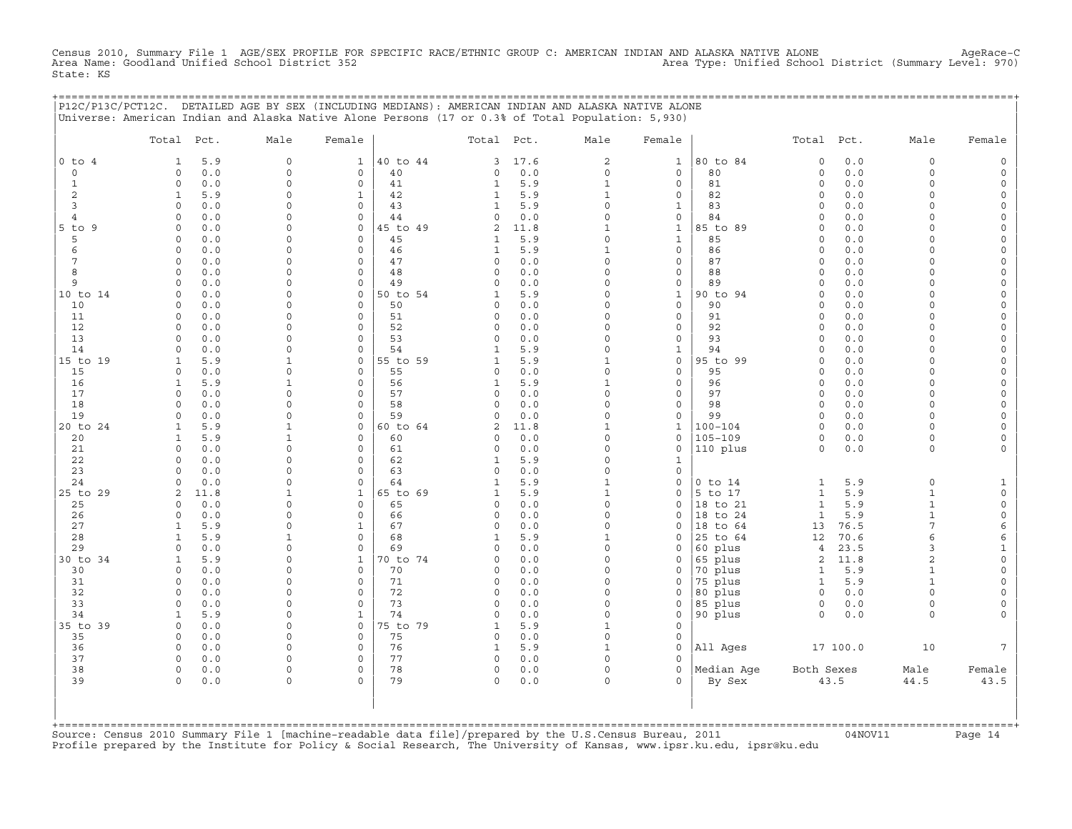Census 2010, Summary File 1 AGE/SEX PROFILE FOR SPECIFIC RACE/ETHNIC GROUP C: AMERICAN INDIAN AND ALASKA NATIVE ALONE AgeRace−C Area Name: Goodland Unified School District 352 Area Type: Unified School District (Summary Level: 970) State: KS

+===================================================================================================================================================+

|                | P12C/P13C/PCT12C. DETAILED AGE BY SEX (INCLUDING MEDIANS): AMERICAN INDIAN AND ALASKA NATIVE ALONE<br>Universe: American Indian and Alaska Native Alone Persons (17 or 0.3% of Total Population: 5,930) |                             |                                     |          |                          |            |                          |                                     |                         |                        |              |                      |                                            |
|----------------|---------------------------------------------------------------------------------------------------------------------------------------------------------------------------------------------------------|-----------------------------|-------------------------------------|----------|--------------------------|------------|--------------------------|-------------------------------------|-------------------------|------------------------|--------------|----------------------|--------------------------------------------|
|                | Total<br>Pct.                                                                                                                                                                                           | Male                        | Female                              |          | Total                    | Pct.       | Male                     | Female                              |                         | Total                  | Pct.         | Male                 | Female                                     |
| $0$ to $4$     | 5.9<br>1                                                                                                                                                                                                | $\mathbf 0$                 | 1                                   | 40 to 44 | 3                        | 17.6       | $\mathbf{2}$             | $1\,$                               | 80 to 84                | $\mathbf 0$            | 0.0          | 0                    | $\mathsf{O}$                               |
| 0              | 0.0<br>$\circ$                                                                                                                                                                                          | $\mathbf 0$                 | $\mathsf O$                         | 40       | 0                        | $0.0$      | $\circ$                  | $\mathsf O$                         | 80                      | $\circ$                | 0.0          | $\Omega$             | $\mathsf{O}$                               |
| $\mathbf{1}$   | $\circ$<br>0.0                                                                                                                                                                                          | $\Omega$                    | $\mathsf O$                         | 41       | $\mathbf{1}$             | 5.9        | $\mathbf 1$              | $\mathsf O$                         | 81                      | $\circ$                | 0.0          | $\Omega$             | $\mathsf{O}\xspace$                        |
| 2              | $\mathbf{1}$<br>5.9                                                                                                                                                                                     | $\Omega$                    | $\mathbf{1}$                        | 42       | $\mathbf{1}$             | 5.9        | $\mathbf{1}$             | $\mathbf 0$                         | 82                      | $\Omega$               | 0.0          | $\Omega$             | 0                                          |
| 3              | $\circ$<br>0.0                                                                                                                                                                                          | $\Omega$                    | $\mathbf 0$                         | 43       | 1                        | 5.9        | $\circ$                  | $\mathbf{1}$                        | 83                      | $\circ$                | 0.0          | $\Omega$             | 0                                          |
| $\overline{4}$ | $0.0$<br>$\circ$                                                                                                                                                                                        | $\mathbf 0$                 | $\mathbf 0$                         | 44       | 0                        | 0.0        | $\Omega$                 | $\mathsf O$                         | 84                      | $\Omega$               | 0.0          | $\Omega$             | $\mathsf{O}\xspace$                        |
| $5$ to<br>9    | 0.0<br>$\circ$                                                                                                                                                                                          | $\mathbf 0$                 | $\mathbf 0$<br>$\mathbf 0$          | 45 to 49 | $\overline{2}$           | 11.8       | $\mathbf{1}$<br>$\Omega$ | $\mathbf{1}$                        | 85 to 89                | $\Omega$               | 0.0          | $\Omega$             | 0                                          |
| 5<br>6         | 0.0<br>$\circ$<br>$\circ$<br>0.0                                                                                                                                                                        | $\Omega$<br>$\Omega$        | $\mathsf O$                         | 45<br>46 | 1<br>$\mathbf{1}$        | 5.9<br>5.9 | $1\,$                    | $\mathbf{1}$<br>$\mathsf O$         | 85<br>86                | $\mathbf 0$<br>$\circ$ | 0.0<br>0.0   | $\Omega$<br>$\Omega$ | $\mathsf{O}\xspace$<br>$\mathsf{O}\xspace$ |
| 7              | 0.0<br>$\circ$                                                                                                                                                                                          | $\Omega$                    | 0                                   | 47       | 0                        | 0.0        | $\Omega$                 | $\mathsf{O}$                        | 87                      | $\Omega$               | 0.0          | $\Omega$             | 0                                          |
| 8              | $\circ$<br>0.0                                                                                                                                                                                          | $\Omega$                    | $\mathsf O$                         | 48       | $\Omega$                 | 0.0        | $\Omega$                 | $\mathsf{O}\xspace$                 | 88                      | $\Omega$               | 0.0          | $\Omega$             | $\mathsf{O}\xspace$                        |
| 9              | $\circ$<br>0.0                                                                                                                                                                                          | $\mathbf 0$                 | $\mathsf O$                         | 49       | 0                        | 0.0        | $\mathbf 0$              | $\mathsf{O}$                        | 89                      | $\circ$                | 0.0          | $\Omega$             | $\mathsf{O}$                               |
| 10 to 14       | 0.0<br>$\Omega$                                                                                                                                                                                         | $\Omega$                    | 0                                   | 50 to 54 | 1                        | 5.9        | $\Omega$                 | $\mathbf{1}$                        | 90 to 94                | $\Omega$               | 0.0          | $\Omega$             | 0                                          |
| 10             | $0.0$<br>$\circ$                                                                                                                                                                                        | $\Omega$                    | $\circ$                             | 50       | $\Omega$                 | 0.0        | $\Omega$                 | $\mathsf O$                         | 90                      | $\Omega$               | 0.0          | $\Omega$             | $\mathsf{O}\xspace$                        |
| 11             | $\circ$<br>0.0                                                                                                                                                                                          | $\Omega$                    | $\mathsf O$                         | 51       | $\Omega$                 | 0.0        | $\Omega$                 | $\mathsf O$                         | 91                      | $\circ$                | 0.0          | $\Omega$             | $\mathsf{O}\xspace$                        |
| 12             | 0.0<br>$\Omega$                                                                                                                                                                                         | $\Omega$                    | $\mathbf 0$                         | 52       | $\Omega$                 | 0.0        | $\Omega$                 | 0                                   | 92                      | $\Omega$               | 0.0          | $\Omega$             | 0                                          |
| 13             | $\Omega$<br>0.0                                                                                                                                                                                         | $\Omega$                    | $\mathbf 0$                         | 53       | $\Omega$                 | 0.0        | $\Omega$                 | $\mathsf{O}\xspace$                 | 93                      | $\Omega$               | $0.0$        | $\Omega$             | $\mathsf{O}\xspace$                        |
| 14             | $\circ$<br>0.0                                                                                                                                                                                          | $\mathbf 0$                 | $\mathbf 0$                         | 54       | $\mathbf{1}$             | 5.9        | $\Omega$                 | $\mathbf{1}$                        | 94                      | $\Omega$               | 0.0          | $\Omega$             | $\mathsf{O}\xspace$                        |
| 15 to 19       | $\mathbf{1}$<br>5.9                                                                                                                                                                                     | $\mathbf{1}$                | $\mathbf 0$                         | 55 to 59 | 1                        | 5.9        | $\mathbf{1}$             | $\mathsf O$                         | 95 to 99                | $\Omega$               | 0.0          | $\Omega$             | 0                                          |
| 15             | $\circ$<br>0.0                                                                                                                                                                                          | $\Omega$                    | $\mathbf 0$                         | 55       | $\Omega$                 | 0.0        | $\Omega$                 | $\mathbf 0$                         | 95                      | $\Omega$               | 0.0          | $\Omega$             | $\mathsf{O}\xspace$                        |
| 16             | $\mathbf{1}$<br>5.9<br>$\circ$                                                                                                                                                                          | $\mathbf{1}$<br>$\mathbf 0$ | $\mathbf 0$                         | 56<br>57 | $\mathbf{1}$<br>0        | 5.9        | $\mathbf{1}$<br>$\Omega$ | $\mathsf O$                         | 96                      | $\Omega$<br>$\circ$    | 0.0          | $\Omega$<br>$\Omega$ | $\mathsf{O}\xspace$                        |
| $17$<br>18     | 0.0<br>0.0<br>$\circ$                                                                                                                                                                                   | $\mathbf 0$                 | $\mathsf{O}$<br>$\mathbf 0$         | 58       | $\Omega$                 | 0.0<br>0.0 | $\Omega$                 | $\mathsf{O}$<br>$\mathsf{O}\xspace$ | 97<br>98                | $\circ$                | 0.0<br>0.0   | $\Omega$             | 0<br>$\mathsf{O}$                          |
| 19             | $\Omega$<br>0.0                                                                                                                                                                                         | $\mathbf 0$                 | $\Omega$                            | 59       | 0                        | 0.0        | $\Omega$                 | $\mathsf{O}\xspace$                 | 99                      | $\Omega$               | 0.0          | $\circ$              | 0                                          |
| 20 to 24       | 5.9<br>1                                                                                                                                                                                                | $\mathbf{1}$                | $\mathsf{O}$                        | 60 to 64 | 2                        | 11.8       | $\mathbf{1}$             | $\mathbf{1}$                        | $100 - 104$             | $\Omega$               | 0.0          | 0                    | 0                                          |
| 20             | $\mathbf{1}$<br>5.9                                                                                                                                                                                     | $\mathbf{1}$                | $\mathsf O$                         | 60       | $\Omega$                 | 0.0        | $\Omega$                 | $\mathsf O$                         | $105 - 109$             | $\mathsf{O}\xspace$    | 0.0          | 0                    | $\mathsf{O}\xspace$                        |
| 21             | $\circ$<br>0.0                                                                                                                                                                                          | $\Omega$                    | $\mathbf 0$                         | 61       | $\Omega$                 | 0.0        | $\Omega$                 | 0                                   | 110 plus                | $\circ$                | 0.0          | $\circ$              | 0                                          |
| 22             | 0.0<br>$\circ$                                                                                                                                                                                          | $\mathbf 0$                 | $\mathbf 0$                         | 62       | 1                        | 5.9        | $\Omega$                 | $\mathbf{1}$                        |                         |                        |              |                      |                                            |
| 23             | $\circ$<br>0.0                                                                                                                                                                                          | $\mathbf 0$                 | $\mathsf{O}$                        | 63       | 0                        | 0.0        | $\mathbf 0$              | $\mathsf{O}$                        |                         |                        |              |                      |                                            |
| 24             | $\Omega$<br>0.0                                                                                                                                                                                         | $\Omega$                    | $\mathbf 0$                         | 64       | 1                        | 5.9        | $\mathbf{1}$             | $\mathbf 0$                         | $0$ to $14$             | 1                      | 5.9          | $\circ$              | $\mathbf{1}$                               |
| 25 to 29       | 11.8<br>2                                                                                                                                                                                               | 1                           | $\mathbf{1}$                        | 65 to 69 | 1                        | 5.9        | $1\,$                    | $\mathsf{O}\xspace$                 | 5 to 17                 | $1\,$                  | 5.9          | $\mathbf 1$          | $\mathbb O$                                |
| 25             | $0.0$<br>$\circ$                                                                                                                                                                                        | $\mathbf 0$                 | $\mathsf{O}\xspace$                 | 65       | 0                        | 0.0        | $\Omega$                 | 0                                   | 18 to 21                | $\mathbf{1}$           | 5.9          | $\mathbf{1}$         | $\mathsf{O}\xspace$                        |
| 26             | $\circ$<br>0.0                                                                                                                                                                                          | $\Omega$                    | $\mathbf 0$                         | 66       | $\Omega$                 | 0.0        | $\Omega$                 | $\Omega$                            | 18 to 24                | $\mathbf{1}$           | 5.9          | $\mathbf{1}$<br>7    | 0                                          |
| 27<br>28       | $\mathbf{1}$<br>5.9<br>5.9<br>$\mathbf{1}$                                                                                                                                                              | $\mathbf 0$<br>$\mathbf{1}$ | $\mathbf{1}$<br>$\mathsf{O}\xspace$ | 67<br>68 | $\Omega$<br>$\mathbf{1}$ | 0.0<br>5.9 | $\Omega$<br>$\mathbf{1}$ | $\Omega$<br>$\Omega$                | 18<br>to 64<br>25 to 64 | 13<br>12               | 76.5<br>70.6 | 6                    | 6<br>6                                     |
| 29             | 0.0<br>$\Omega$                                                                                                                                                                                         | $\Omega$                    | $\mathbf 0$                         | 69       | $\Omega$                 | 0.0        | $\Omega$                 | $\mathbf 0$                         | 60 plus                 | $\overline{4}$         | 23.5         | 3                    | $\mathbf{1}$                               |
| 30 to 34       | 5.9<br>$\mathbf{1}$                                                                                                                                                                                     | $\mathbf 0$                 | $\mathbf{1}$                        | 70 to 74 | 0                        | 0.0        | $\Omega$                 | $\mathsf{O}$                        | 65 plus                 | $\sqrt{2}$             | 11.8         | $\overline{c}$       | $\mathbb O$                                |
| 30             | 0.0<br>$\circ$                                                                                                                                                                                          | $\Omega$                    | $\mathbf 0$                         | 70       | $\Omega$                 | 0.0        | $\Omega$                 | 0                                   | 70 plus                 | $\mathbf{1}$           | 5.9          | $\mathbf{1}$         | $\mathsf{O}\xspace$                        |
| 31             | $\Omega$<br>0.0                                                                                                                                                                                         | $\Omega$                    | $\mathbf 0$                         | 71       | $\Omega$                 | 0.0        | $\Omega$                 | $\mathbf 0$                         | 75 plus                 | $\mathbf{1}$           | 5.9          | $\mathbf{1}$         | 0                                          |
| 32             | $\circ$<br>0.0                                                                                                                                                                                          | $\mathbf 0$                 | $\mathsf{O}$                        | 72       | 0                        | 0.0        | $\mathbf 0$              | $\mathsf{O}\xspace$                 | 80 plus                 | $\circ$                | 0.0          | $\circ$              | $\mathsf{O}\xspace$                        |
| 33             | $\Omega$<br>0.0                                                                                                                                                                                         | $\Omega$                    | $\mathbf 0$                         | 73       | $\Omega$                 | 0.0        | $\Omega$                 | $\mathbf 0$                         | 85 plus                 | $\circ$                | 0.0          | $\Omega$             | 0                                          |
| 34             | 5.9<br>1                                                                                                                                                                                                | $\Omega$                    | $\mathbf{1}$                        | 74       | $\Omega$                 | 0.0        | $\Omega$                 | 0                                   | 90 plus                 | $\Omega$               | 0.0          | $\circ$              | 0                                          |
| 35 to 39       | $\circ$<br>0.0                                                                                                                                                                                          | $\mathbf 0$                 | $\mathsf O$                         | 75 to 79 | $\mathbf{1}$             | 5.9        | $\mathbf 1$              | $\mathsf{O}\xspace$                 |                         |                        |              |                      |                                            |
| 35             | $\circ$<br>0.0                                                                                                                                                                                          | $\mathbf 0$                 | $\mathbf 0$                         | 75       | 0                        | 0.0        | $\circ$                  | $\mathbf 0$                         |                         |                        |              |                      |                                            |
| 36             | 0.0<br>$\circ$                                                                                                                                                                                          | $\Omega$                    | $\mathbf 0$                         | 76       | 1                        | 5.9        | $\mathbf{1}$             | $\mathbf 0$                         | All Ages                |                        | 17 100.0     | 10                   | 7                                          |
| 37             | 0<br>0.0                                                                                                                                                                                                | $\mathsf{O}$                | $\circ$                             | 77       | 0                        | 0.0        | $\mathbf 0$              | $\Omega$                            |                         |                        |              |                      |                                            |
| 38             | $\circ$<br>0.0                                                                                                                                                                                          | $\mathbf 0$<br>$\mathbf 0$  | $\mathbf 0$<br>$\Omega$             | 78<br>79 | 0<br>0                   | 0.0<br>0.0 | $\Omega$<br>$\Omega$     | $\Omega$<br>$\Omega$                | Median Age              | Both Sexes             |              | Male                 | Female                                     |
| 39             | 0.0<br>$\circ$                                                                                                                                                                                          |                             |                                     |          |                          |            |                          |                                     | By Sex                  |                        | 43.5         | 44.5                 | 43.5                                       |

+===================================================================================================================================================+Source: Census 2010 Summary File 1 [machine−readable data file]/prepared by the U.S.Census Bureau, 2011 04NOV11 Page 14 Profile prepared by the Institute for Policy & Social Research, The University of Kansas, www.ipsr.ku.edu, ipsr@ku.edu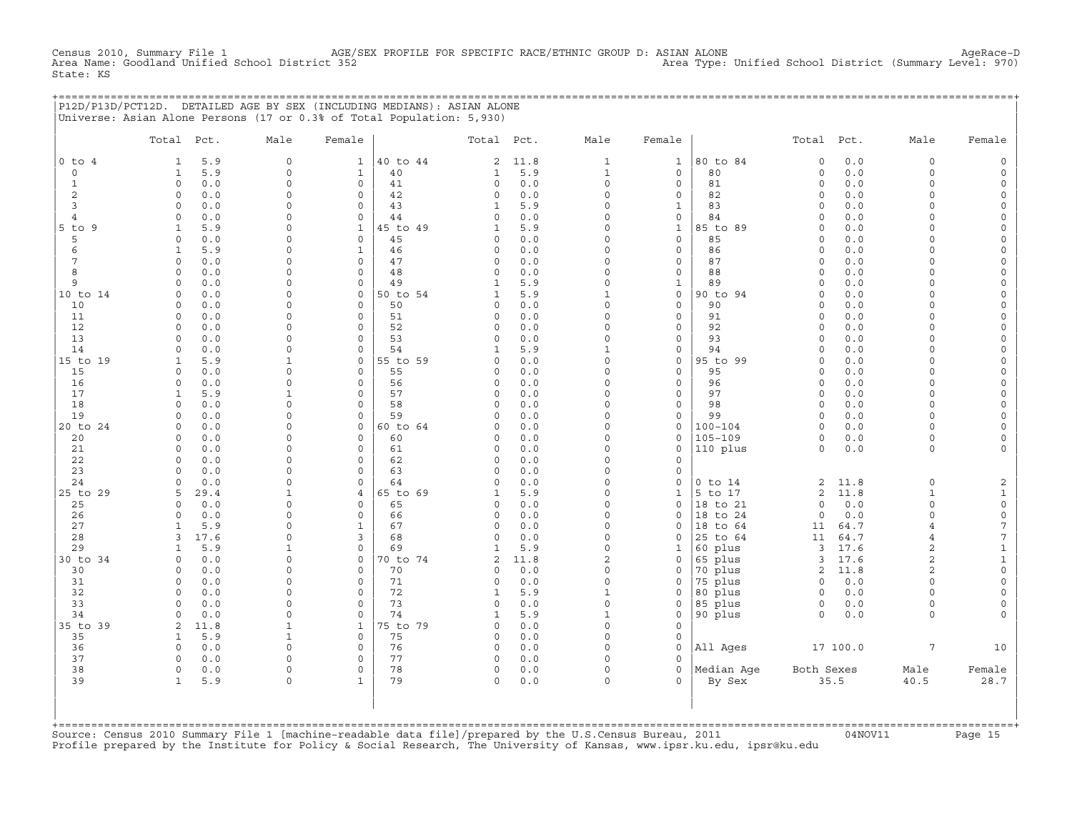CHE 15 AGE/SEX PROFILE FOR SPECIFIC RACE/ETHNIC GROUP D: ASIAN ALONE ACH<br>Ct 352 Area Type: Unified School District (Summary Level: 970) Census 2010, Summary File 1 AGE/S<br>Area Name: Goodland Unified School District 352 State: KS

+===================================================================================================================================================+ |P12D/P13D/PCT12D. DETAILED AGE BY SEX (INCLUDING MEDIANS): ASIAN ALONE | |Universe: Asian Alone Persons (17 or 0.3% of Total Population: 5,930) |

|                 | Total Pct.          |            | Male          | Female                      |                | Total Pct.              |            | Male                     | Female                      |                    | Total                   | Pct.         | Male                 | Female                                     |
|-----------------|---------------------|------------|---------------|-----------------------------|----------------|-------------------------|------------|--------------------------|-----------------------------|--------------------|-------------------------|--------------|----------------------|--------------------------------------------|
| $0$ to $4$      | 1                   | 5.9        | $\mathbf{0}$  | $\mathbf 1$                 | 40 to 44       | 2                       | 11.8       | $\mathbf{1}$             | $\mathbf{1}$                | 80 to 84           | $\Omega$                | 0.0          | $\circ$              | $\mathbb O$                                |
| $\circ$         | $\mathbf{1}$        | 5.9        | 0             | $\mathbf{1}$                | 40             | 1                       | 5.9        | $\mathbf{1}$             | $\mathsf{O}$                | 80                 | $\circ$                 | 0.0          | 0                    | $\mathsf{O}\xspace$                        |
| $\mathbf{1}$    | $\Omega$            | 0.0        | $\Omega$      | $\Omega$                    | 41             | $\Omega$                | 0.0        | $\Omega$                 | $\mathbf 0$                 | 81                 | $\Omega$                | 0.0          | $\Omega$             | $\mathsf{O}\xspace$                        |
| $\overline{2}$  | $\circ$             | 0.0        | $\Omega$      | $\mathbf 0$                 | 42             | $\mathbf 0$             | 0.0        | $\Omega$                 | $\mathbf 0$                 | 82                 | $\circ$                 | 0.0          | $\circ$              | $\mathsf{O}\xspace$                        |
| $\overline{3}$  | $\Omega$            | 0.0        | 0             | $\mathbf 0$                 | 43             | $\mathbf{1}$            | 5.9        | $\Omega$                 | $\mathbf{1}$                | 83                 | $\circ$                 | 0.0          | $\circ$              | $\mathsf{O}\xspace$                        |
| $\overline{4}$  | $\Omega$            | 0.0        | $\Omega$      | $\mathbf 0$                 | 44             | $\Omega$                | 0.0        | $\Omega$                 | $\mathsf O$                 | 84                 | $\Omega$                | 0.0          | $\Omega$             | $\mathsf{O}\xspace$                        |
| $5$ to $9$      | $\mathbf{1}$        | 5.9        | $\Omega$      | $\mathbf{1}$                | 45 to 49       | $\mathbf{1}$            | 5.9        | $\Omega$                 | $\mathbf{1}$                | 85 to 89           | $\circ$                 | 0.0          | $\Omega$             | $\mathsf{O}$                               |
| 5<br>6          | 0<br>$\mathbf{1}$   | 0.0<br>5.9 | 0<br>$\Omega$ | $\mathbf 0$<br>$\mathbf{1}$ | 45<br>46       | $\mathbf 0$<br>$\circ$  | 0.0<br>0.0 | $\Omega$<br>$\Omega$     | $\mathsf O$<br>$\mathbf{0}$ | 85<br>86           | $\Omega$<br>$\Omega$    | 0.0<br>0.0   | $\Omega$<br>$\Omega$ | $\mathsf{O}\xspace$<br>$\mathsf{O}\xspace$ |
| $7\phantom{.0}$ | $\Omega$            | 0.0        | $\Omega$      | $\Omega$                    | 47             | $\circ$                 | 0.0        | $\Omega$                 | $\circ$                     | 87                 | $\Omega$                | 0.0          | $\Omega$             | $\circ$                                    |
| 8               | $\Omega$            | 0.0        | $\Omega$      | $\mathbf 0$                 | 48             | $\circ$                 | 0.0        | $\Omega$                 | $\mathbf 0$                 | 88                 | $\circ$                 | 0.0          | $\Omega$             | $\mathsf{O}\xspace$                        |
| 9               | $\circ$             | 0.0        | $\Omega$      | $\circ$                     | 49             | $\mathbf{1}$            | 5.9        | $\Omega$                 | $1\,$                       | 89                 | $\circ$                 | 0.0          | $\Omega$             | $\mathsf{O}\xspace$                        |
| 10 to 14        | $\circ$             | 0.0        | 0             | 0                           | 50 to 54       | $\mathbf{1}$            | 5.9        | $\mathbf{1}$             | $\mathsf O$                 | 90 to 94           | $\circ$                 | 0.0          | $\circ$              | 0                                          |
| 10              | $\Omega$            | 0.0        | $\Omega$      | $\Omega$                    | 50             | $\Omega$                | 0.0        | $\Omega$                 | $\Omega$                    | 90                 | $\Omega$                | 0.0          | $\Omega$             | $\mathsf{O}\xspace$                        |
| 11              | $\circ$             | 0.0        | $\Omega$      | $\Omega$                    | 51             | $\circ$                 | 0.0        | $\Omega$                 | $\circ$                     | 91                 | $\circ$                 | 0.0          | $\Omega$             | $\mathsf{O}\xspace$                        |
| 12              | $\Omega$            | 0.0        | 0             | $\circ$                     | 52             | $\Omega$                | 0.0        | $\Omega$                 | $\mathsf O$                 | 92                 | $\circ$                 | 0.0          | $\Omega$             | $\mathsf{O}\xspace$                        |
| 13              | $\Omega$            | 0.0        | $\mathsf{O}$  | $\circ$                     | 53             | $\circ$                 | 0.0        | $\mathbf 0$              | $\mathsf{O}\xspace$         | 93                 | $\circ$                 | 0.0          | $\Omega$             | $\mathsf{O}\xspace$                        |
| 14              | $\Omega$            | 0.0        | 0             | $\circ$                     | 54             | $\mathbf{1}$            | 5.9        | $\mathbf{1}$             | $\mathsf O$                 | 94                 | $\circ$                 | 0.0          | $\Omega$             | $\mathsf{O}\xspace$                        |
| 15 to 19        | 1                   | 5.9        | $\mathbf{1}$  | 0                           | 55 to 59       | $\Omega$                | 0.0        | $\Omega$                 | $\mathsf O$                 | 95 to 99           | $\Omega$                | 0.0          | $\Omega$             | $\mathsf{O}$                               |
| 15              | $\Omega$            | 0.0        | $\Omega$      | $\Omega$                    | 55             | $\Omega$                | 0.0        | $\Omega$                 | $\circ$                     | 95                 | $\Omega$                | 0.0          | $\Omega$             | $\circ$                                    |
| 16              | $\Omega$            | 0.0        | $\Omega$      | $\circ$                     | 56             | $\circ$                 | 0.0        | $\Omega$                 | $\mathbf 0$                 | 96                 | $\circ$                 | 0.0          | $\Omega$             | $\mathsf{O}\xspace$                        |
| 17              | $\mathbf{1}$        | 5.9        | $\mathbf{1}$  | $\Omega$                    | 57             | $\Omega$                | $0.0$      | $\Omega$                 | $\mathbf 0$                 | 97                 | $\Omega$                | 0.0          | $\Omega$             | $\mathsf{O}\xspace$                        |
| 18              | $\circ$             | 0.0        | $\Omega$      | $\circ$                     | 58             | $\circ$                 | 0.0        | $\Omega$<br>$\Omega$     | $\mathsf O$                 | 98                 | $\circ$                 | 0.0          | $\circ$              | $\mathsf{O}\xspace$                        |
| 19<br>20 to 24  | $\circ$<br>$\Omega$ | 0.0<br>0.0 | 0<br>$\Omega$ | $\circ$<br>$\Omega$         | 59<br>60 to 64 | $\mathbf 0$<br>$\Omega$ | 0.0<br>0.0 | $\Omega$                 | $\mathsf{O}$<br>$\mathbf 0$ | 99<br>$100 - 104$  | $\mathbf 0$<br>$\Omega$ | 0.0<br>0.0   | $\Omega$<br>$\Omega$ | $\mathsf{O}\xspace$<br>$\circ$             |
| 20              | $\Omega$            | 0.0        | $\Omega$      | $\Omega$                    | 60             | $\circ$                 | 0.0        | $\Omega$                 | $\mathbf 0$                 | $105 - 109$        | $\mathbf 0$             | 0.0          | $\circ$              | $\mathsf{O}\xspace$                        |
| 21              | $\circ$             | 0.0        | $\Omega$      | $\circ$                     | 61             | $\circ$                 | 0.0        | $\Omega$                 | $\mathsf{O}$                | 110 plus           | $\mathbf 0$             | 0.0          | $\circ$              | $\circ$                                    |
| 22              | $\circ$             | 0.0        | $\Omega$      | $\circ$                     | 62             | $\Omega$                | 0.0        | $\Omega$                 | $\mathsf O$                 |                    |                         |              |                      |                                            |
| 23              | $\Omega$            | 0.0        | 0             | $\circ$                     | 63             | $\mathbf 0$             | 0.0        | $\Omega$                 | $\mathsf O$                 |                    |                         |              |                      |                                            |
| 24              | $\Omega$            | 0.0        | $\Omega$      | $\circ$                     | 64             | $\Omega$                | 0.0        | $\Omega$                 | $\circ$                     | $0$ to $14$        | 2                       | 11.8         | 0                    | 2                                          |
| 25 to 29        | 5                   | 29.4       | $\mathbf{1}$  | $\overline{4}$              | 65 to 69       | $\mathbf{1}$            | 5.9        | $\Omega$                 | $\mathbf{1}$                | 5 to 17            | $\overline{2}$          | 11.8         | $\mathbf{1}$         | $\mathbf 1$                                |
| 25              | $\Omega$            | 0.0        | $\Omega$      | $\circ$                     | 65             | $\Omega$                | 0.0        | $\Omega$                 | $\mathbf 0$                 | 18 to 21           | $\Omega$                | 0.0          | $\circ$              | $\mathsf{O}\xspace$                        |
| 26              | $\Omega$            | 0.0        | $\Omega$      | $\Omega$                    | 66             | $\Omega$                | 0.0        | $\Omega$                 | $\Omega$                    | 18 to 24           | $\circ$                 | 0.0          | $\Omega$             | $\mathsf{O}\xspace$                        |
| 27              | $\mathbf{1}$        | 5.9        | $\Omega$      | $\mathbf 1$                 | 67             | $\circ$                 | 0.0        | $\Omega$                 | $\mathbf 0$                 | 18<br>to 64        | 11                      | 64.7         | $\overline{4}$       | $\boldsymbol{7}$                           |
| 28              | 3                   | 17.6       | 0             | 3                           | 68             | $\mathsf O$             | 0.0        | $\Omega$                 | $\mathbf 0$                 | 25 to 64           | 11                      | 64.7         | $\overline{4}$       | $\overline{7}$                             |
| 29              | 1                   | 5.9        | $\mathbf{1}$  | $\Omega$                    | 69             | $\mathbf{1}$            | 5.9        | $\Omega$                 | $\mathbf{1}$                | 60 plus            | 3                       | 17.6         | $\overline{a}$       | $\mathbf 1$                                |
| 30 to 34        | $\Omega$            | 0.0        | $\Omega$      | $\mathbf 0$                 | 70 to 74       | $\overline{2}$          | 11.8       | $\overline{c}$           | $\mathsf O$                 | 65 plus            | 3                       | 17.6         | $\overline{c}$       | $\mathbf 1$                                |
| 30              | $\Omega$            | 0.0        | $\Omega$      | $\mathbf 0$                 | 70             | $\Omega$                | 0.0        | $\Omega$                 | $\circ$                     | 70 plus            | $\overline{2}$          | 11.8         | $\overline{2}$       | $\mathsf{O}\xspace$                        |
| 31              | $\circ$             | 0.0        | $\Omega$      | $\mathbf 0$                 | 71             | $\mathsf O$             | 0.0        | $\Omega$                 | $\mathsf{O}$                | 75 plus            | $\circ$                 | 0.0          | $\circ$              | $\mathsf{O}\xspace$                        |
| 32<br>33        | $\circ$<br>$\Omega$ | 0.0<br>0.0 | 0<br>$\Omega$ | $\mathbf 0$<br>$\mathbf 0$  | 72<br>73       | $\mathbf{1}$<br>0       | 5.9<br>0.0 | $\mathbf{1}$<br>$\Omega$ | $\circ$<br>$\mathbf 0$      | 80 plus<br>85 plus | $\circ$<br>$\circ$      | $0.0$<br>0.0 | $\circ$<br>$\circ$   | $\mathsf{O}\xspace$<br>0                   |
| 34              | $\circ$             | 0.0        | $\Omega$      | $\mathbf 0$                 | 74             | $\mathbf{1}$            | 5.9        | $\mathbf{1}$             | $\mathbf 0$                 | 90 plus            | $\circ$                 | 0.0          | $\circ$              | $\circ$                                    |
| 35 to 39        | 2                   | 11.8       | $\mathbf{1}$  | $\mathbf 1$                 | 75 to 79       | $\Omega$                | 0.0        | $\Omega$                 | $\mathbf{0}$                |                    |                         |              |                      |                                            |
| 35              | $\mathbf{1}$        | 5.9        | $\mathbf 1$   | $\mathbf 0$                 | 75             | $\circ$                 | 0.0        | $\Omega$                 | $\mathsf O$                 |                    |                         |              |                      |                                            |
| 36              | $\Omega$            | 0.0        | $\Omega$      | $\mathbf 0$                 | 76             | $\circ$                 | 0.0        | $\Omega$                 | $\mathsf O$                 | All Ages           |                         | 17 100.0     | $7\phantom{.0}$      | 10                                         |
| 37              | 0                   | 0.0        | $\Omega$      | $\mathbf 0$                 | 77             | $\circ$                 | 0.0        | $\Omega$                 | $\mathbf 0$                 |                    |                         |              |                      |                                            |
| 38              | $\circ$             | 0.0        | $\Omega$      | $\mathbf 0$                 | 78             | $\mathbf 0$             | 0.0        | $\Omega$                 | $\Omega$                    | Median Age         | Both Sexes              |              | Male                 | Female                                     |
| 39              | $\mathbf{1}$        | 5.9        | 0             | $\mathbf{1}$                | 79             | $\circ$                 | 0.0        | $\Omega$                 | $\Omega$                    | By Sex             |                         | 35.5         | 40.5                 | 28.7                                       |
|                 |                     |            |               |                             |                |                         |            |                          |                             |                    |                         |              |                      |                                            |

+===================================================================================================================================================+Source: Census 2010 Summary File 1 [machine−readable data file]/prepared by the U.S.Census Bureau, 2011 04NOV11 Page 15 Profile prepared by the Institute for Policy & Social Research, The University of Kansas, www.ipsr.ku.edu, ipsr@ku.edu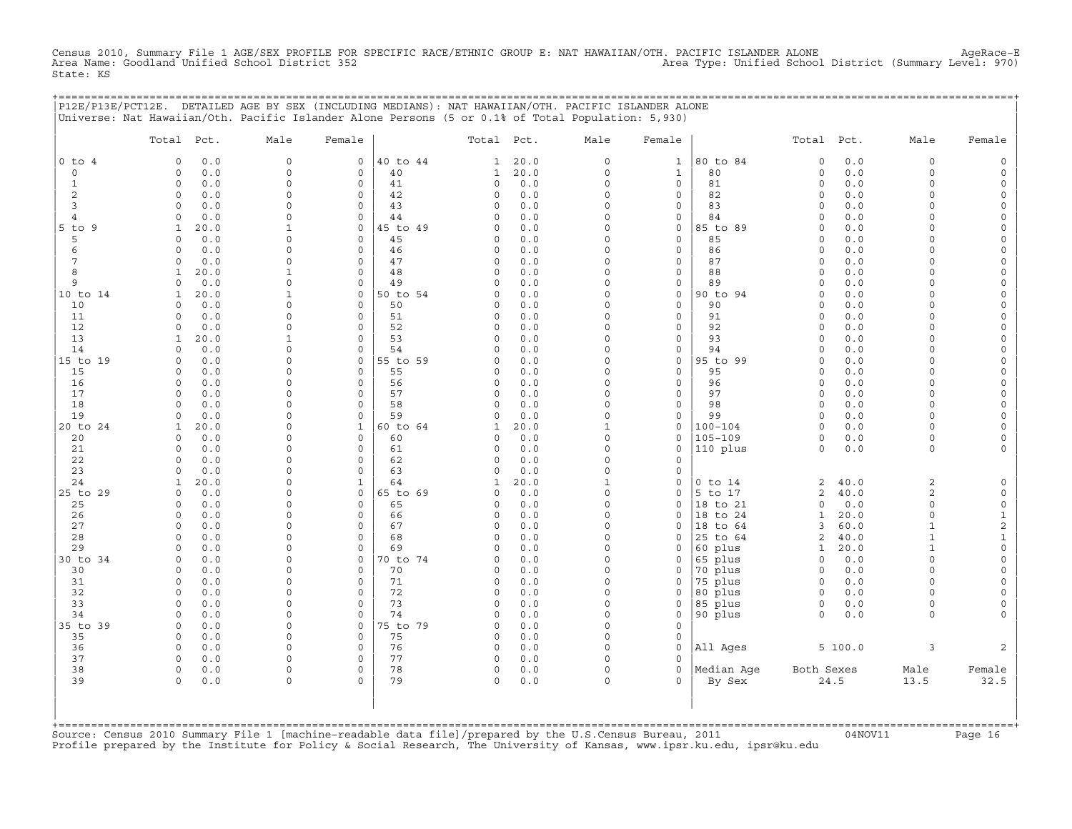Census 2010, Summary File 1 AGE/SEX PROFILE FOR SPECIFIC RACE/ETHNIC GROUP E: NAT HAWAIIAN/OTH. PACIFIC ISLANDER ALONE AgeRace-E<br>Area Name: Goodland Unified School District 352 State: KS

+===================================================================================================================================================+

| $0$ to $4$<br>$\circ$<br>$\mathbf{1}$<br>$\boldsymbol{2}$<br>3<br>4<br>9<br>5<br>$\epsilon$<br>7<br>8<br>9 | 0.0<br>$\Omega$<br>0.0<br>$\circ$<br>$\circ$<br>0.0<br>$\circ$<br>0.0<br>$\Omega$<br>0.0<br>$\circ$<br>0.0<br>20.0<br>$\mathbf{1}$<br>$\circ$<br>0.0<br>$\circ$<br>0.0 | $\mathbf 0$<br>$\mathbf 0$<br>$\mathbf 0$<br>$\Omega$<br>$\Omega$<br>$\mathsf{O}\xspace$<br>$\mathbf{1}$ | 0<br>$\mathbf 0$<br>$\mathbf 0$<br>$\mathbf 0$<br>$\Omega$ | 40 to 44<br>40<br>41<br>42 | $\mathbf{1}$<br>$\mathbf{1}$<br>0 | 20.0<br>20.0 | 0                 | $\mathbf{1}$                       | 80 to 84               | $\circ$            | 0.0        | $\mathbf 0$          | $\mathsf{O}$                               |
|------------------------------------------------------------------------------------------------------------|------------------------------------------------------------------------------------------------------------------------------------------------------------------------|----------------------------------------------------------------------------------------------------------|------------------------------------------------------------|----------------------------|-----------------------------------|--------------|-------------------|------------------------------------|------------------------|--------------------|------------|----------------------|--------------------------------------------|
|                                                                                                            |                                                                                                                                                                        |                                                                                                          |                                                            |                            |                                   |              |                   |                                    |                        |                    |            |                      |                                            |
|                                                                                                            |                                                                                                                                                                        |                                                                                                          |                                                            |                            |                                   |              | $\mathsf O$       | $\mathbf{1}$                       | 80                     | $\circ$            | 0.0        | $\mathbf 0$          | $\mathsf{O}$                               |
|                                                                                                            |                                                                                                                                                                        |                                                                                                          |                                                            |                            |                                   | 0.0          | $\mathsf O$       | 0                                  | 81                     | $\circ$            | 0.0        | $\Omega$             | $\mathsf{O}$                               |
|                                                                                                            |                                                                                                                                                                        |                                                                                                          |                                                            |                            | 0                                 | 0.0          | 0                 | $\mathsf{O}\xspace$                | 82                     | $\circ$            | 0.0        | $\Omega$             | $\mathsf{O}\xspace$                        |
| $5$ to                                                                                                     |                                                                                                                                                                        |                                                                                                          |                                                            | 43                         | 0                                 | 0.0          | $\Omega$          | 0                                  | 83                     | $\circ$            | 0.0        | $\Omega$             | $\mathsf O$                                |
|                                                                                                            |                                                                                                                                                                        |                                                                                                          | $\mathbf 0$                                                | 44                         | 0                                 | 0.0          | 0                 | 0                                  | 84                     | $\circ$            | 0.0        | $\Omega$             | 0                                          |
|                                                                                                            |                                                                                                                                                                        | $\Omega$                                                                                                 | 0<br>$\mathbf 0$                                           | 45 to 49<br>45             | 0<br>0                            | 0.0<br>0.0   | 0<br>$\Omega$     | $\mathsf{O}\xspace$<br>$\mathbf 0$ | 85 to 89<br>85         | $\circ$<br>$\circ$ | 0.0<br>0.0 | $\Omega$<br>$\Omega$ | $\mathsf{O}\xspace$<br>$\mathsf{O}\xspace$ |
|                                                                                                            |                                                                                                                                                                        | $\Omega$                                                                                                 | $\circ$                                                    | 46                         | 0                                 | $0.0$        | 0                 | $\mathsf{O}\xspace$                | 86                     | $\circ$            | 0.0        | $\Omega$             | $\mathsf{O}\xspace$                        |
|                                                                                                            | $\circ$<br>0.0                                                                                                                                                         | $\mathbf 0$                                                                                              | $\mathbf 0$                                                | 47                         | 0                                 | 0.0          | $\Omega$          | 0                                  | 87                     | $\circ$            | 0.0        | $\Omega$             | 0                                          |
|                                                                                                            | 20.0<br>1                                                                                                                                                              | $\mathbf{1}$                                                                                             | $\mathbf 0$                                                | 48                         | 0                                 | 0.0          | $\Omega$          | $\mathsf{O}\xspace$                | 88                     | $\circ$            | 0.0        | $\Omega$             | $\mathsf{O}\xspace$                        |
|                                                                                                            | $\circ$<br>0.0                                                                                                                                                         | $\mathsf{O}\xspace$                                                                                      | $\mathbf 0$                                                | 49                         | 0                                 | 0.0          | $\mathbf 0$       | $\mathsf{O}\xspace$                | 89                     | $\circ$            | 0.0        | $\Omega$             | $\mathsf{O}\xspace$                        |
| 10 to 14                                                                                                   | 20.0<br>1                                                                                                                                                              | $\mathbf{1}$                                                                                             | $\mathbf 0$                                                | 50 to 54                   | 0                                 | 0.0          | $\Omega$          | $\mathsf{O}\xspace$                | 90 to 94               | $\circ$            | 0.0        | $\Omega$             | 0                                          |
| 10                                                                                                         | $0.0$<br>0                                                                                                                                                             | $\mathbf 0$                                                                                              | $\circ$                                                    | 50                         | 0                                 | 0.0          | $\Omega$          | $\mathsf{O}\xspace$                | 90                     | $\circ$            | 0.0        | $\Omega$             | $\mathsf{O}\xspace$                        |
| 11                                                                                                         | $\circ$<br>0.0                                                                                                                                                         | $\Omega$                                                                                                 | $\Omega$                                                   | 51                         | 0                                 | 0.0          | $\Omega$          | $\mathsf{O}\xspace$                | 91                     | $\circ$            | 0.0        | $\Omega$             | $\mathsf{O}\xspace$                        |
| 12                                                                                                         | $\circ$<br>0.0                                                                                                                                                         | $\mathbf 0$                                                                                              | $\mathbf 0$                                                | 52                         | 0                                 | 0.0          | 0                 | 0                                  | 92                     | $\circ$            | 0.0        | $\Omega$             | 0                                          |
| 13                                                                                                         | 20.0<br>$\mathbf{1}$                                                                                                                                                   | $\mathbf{1}$                                                                                             | 0                                                          | 53                         | 0                                 | 0.0          | 0                 | $\mathsf{O}\xspace$                | 93                     | $\circ$            | 0.0        | $\mathbf 0$          | $\mathsf{O}\xspace$                        |
| 14                                                                                                         | 0.0<br>$\Omega$                                                                                                                                                        | $\mathbf 0$                                                                                              | $\mathbf 0$                                                | 54                         | 0                                 | 0.0          | $\Omega$          | $\mathsf{O}\xspace$                | 94                     | $\circ$            | 0.0        | $\Omega$             | $\mathsf{O}\xspace$                        |
| 15 to 19                                                                                                   | $\circ$<br>0.0                                                                                                                                                         | $\Omega$                                                                                                 | $\mathbf 0$                                                | 55 to 59                   | $\mathbf 0$                       | 0.0          | 0                 | $\mathbb O$                        | 95 to 99               | $\circ$            | 0.0        | $\Omega$             | $\mathsf{O}\xspace$                        |
| 15                                                                                                         | 0.0<br>$\Omega$                                                                                                                                                        | $\Omega$                                                                                                 | $\mathbf 0$                                                | 55                         | 0                                 | 0.0          | $\Omega$          | $\mathbf 0$                        | 95                     | $\circ$            | 0.0        | $\Omega$             | $\mathsf{O}\xspace$                        |
| 16                                                                                                         | 0.0<br>0                                                                                                                                                               | $\Omega$                                                                                                 | $\mathbf 0$                                                | 56                         | 0                                 | 0.0          | $\Omega$          | 0                                  | 96                     | $\circ$            | 0.0        | $\Omega$             | 0                                          |
| 17                                                                                                         | $\circ$<br>0.0                                                                                                                                                         | $\mathbf 0$                                                                                              | $\mathbf 0$                                                | 57                         | 0                                 | 0.0          | $\mathsf O$       | $\mathsf{O}\xspace$                | 97                     | $\circ$            | 0.0        | $\mathbf 0$          | $\mathsf{O}\xspace$                        |
| 18                                                                                                         | $\Omega$<br>0.0                                                                                                                                                        | $\mathbf 0$                                                                                              | $\mathbf 0$                                                | 58                         | 0                                 | 0.0          | 0                 | 0                                  | 98                     | $\circ$            | 0.0        | $\Omega$             | $\mathsf{O}\xspace$                        |
| 19                                                                                                         | 0.0<br>$\Omega$                                                                                                                                                        | $\Omega$<br>$\mathbf 0$                                                                                  | $\circ$<br>$\mathbf{1}$                                    | 59<br>60 to 64             | 0                                 | 0.0          | 0<br>$\mathbf{1}$ | $\mathsf{O}\xspace$                | 99                     | $\circ$<br>$\circ$ | 0.0        | $\Omega$<br>$\Omega$ | $\mathsf{O}\xspace$<br>$\mathsf O$         |
| 20 to 24                                                                                                   | 20.0<br>1<br>$\circ$                                                                                                                                                   | $\Omega$                                                                                                 | 0                                                          | 60                         | 1<br>0                            | 20.0         | 0                 | 0<br>0                             | 100-104<br>$105 - 109$ | 0                  | 0.0        | $\mathbf 0$          | 0                                          |
| 20<br>21                                                                                                   | 0.0<br>$0.0$<br>$\mathbf 0$                                                                                                                                            | $\Omega$                                                                                                 | $\mathbf 0$                                                | 61                         | 0                                 | 0.0<br>0.0   | 0                 | $\mathsf{O}\xspace$                | 110 plus               | $\circ$            | 0.0<br>0.0 | 0                    | $\mathsf{O}\xspace$                        |
| 22                                                                                                         | $\circ$<br>0.0                                                                                                                                                         | $\mathbf 0$                                                                                              | $\mathbf 0$                                                | 62                         | 0                                 | 0.0          | 0                 | $\mathsf{O}\xspace$                |                        |                    |            |                      |                                            |
| 23                                                                                                         | $0.0$<br>$\circ$                                                                                                                                                       | $\Omega$                                                                                                 | 0                                                          | 63                         | 0                                 | 0.0          | 0                 | $\mathsf{O}\xspace$                |                        |                    |            |                      |                                            |
| 24                                                                                                         | 20.0<br>1                                                                                                                                                              | $\Omega$                                                                                                 | $\mathbf{1}$                                               | 64                         | 1                                 | 20.0         | $\mathbf{1}$      | $\Omega$                           | $0$ to $14$            | $\overline{2}$     | 40.0       | $\overline{2}$       | $\mathsf{O}$                               |
| 25 to 29                                                                                                   | $\circ$<br>0.0                                                                                                                                                         | $\mathbf 0$                                                                                              | 0                                                          | 65 to 69                   | 0                                 | 0.0          | $\mathsf O$       | 0                                  | 5 to 17                | $\overline{c}$     | 40.0       | 2                    | $\mathsf{O}$                               |
| 25                                                                                                         | $\circ$<br>0.0                                                                                                                                                         | $\Omega$                                                                                                 | 0                                                          | 65                         | 0                                 | 0.0          | 0                 | 0                                  | 18 to 21               | $\circ$            | 0.0        | $\mathbf 0$          | $\mathbb O$                                |
| 26                                                                                                         | 0.0<br>$\Omega$                                                                                                                                                        | $\Omega$                                                                                                 | $\mathbf 0$                                                | 66                         | 0                                 | 0.0          | $\Omega$          | $\Omega$                           | 18 to 24               | 1                  | 20.0       | $\Omega$             | $\mathbf{1}$                               |
| 27                                                                                                         | $\circ$<br>0.0                                                                                                                                                         | $\mathsf{O}\xspace$                                                                                      | $\mathsf{O}\xspace$                                        | 67                         | 0                                 | $0.0$        | 0                 | 0                                  | 18 to 64               | $\mathbf{3}$       | 60.0       | $\mathbf{1}$         | $\overline{c}$                             |
| 28                                                                                                         | 0.0<br>$\circ$                                                                                                                                                         | $\Omega$                                                                                                 | $\mathbf 0$                                                | 68                         | 0                                 | 0.0          | $\Omega$          | $\Omega$                           | 25 to 64               | $\overline{2}$     | 40.0       | $\mathbf{1}$         | $\mathbf 1$                                |
| 29                                                                                                         | 0.0<br>$\Omega$                                                                                                                                                        | $\Omega$                                                                                                 | $\mathbf 0$                                                | 69                         | 0                                 | 0.0          | $\Omega$          | $\Omega$                           | 60 plus                | 1                  | 20.0       | $\mathbf{1}$         | $\mathsf{O}\xspace$                        |
| 30 to 34                                                                                                   | $\circ$<br>0.0                                                                                                                                                         | $\Omega$                                                                                                 | 0                                                          | 70 to 74                   | 0                                 | 0.0          | 0                 | 0                                  | 65 plus                | $\circ$            | 0.0        | $\mathbf 0$          | $\mathsf{O}\xspace$                        |
| 30                                                                                                         | $\circ$<br>0.0                                                                                                                                                         | $\Omega$                                                                                                 | $\mathbf 0$                                                | 70                         | 0                                 | 0.0          | 0                 | 0                                  | 70 plus                | $\circ$            | 0.0        | $\Omega$             | $\mathsf{O}\xspace$                        |
| 31                                                                                                         | 0.0<br>$\Omega$                                                                                                                                                        | $\mathbf 0$                                                                                              | $\mathbf 0$                                                | 71                         | 0                                 | 0.0          | $\Omega$          | $\Omega$                           | 75 plus                | $\circ$            | 0.0        | $\Omega$             | $\mathsf{O}\xspace$                        |
| 32                                                                                                         | $\circ$<br>0.0                                                                                                                                                         | $\Omega$                                                                                                 | $\mathbf 0$                                                | 72                         | $\mathbf 0$                       | 0.0          | $\Omega$          | 0                                  | 80 plus                | $\circ$            | 0.0        | $\Omega$             | 0                                          |
| 33                                                                                                         | $\circ$<br>0.0<br>$\mathbf 0$                                                                                                                                          | $\Omega$<br>$\mathbf 0$                                                                                  | $\mathbf 0$<br>$\mathbf 0$                                 | 73                         | 0<br>0                            | 0.0          | 0<br>0            | 0<br>$\mathsf{O}\xspace$           | 85 plus                | $\circ$<br>$\circ$ | 0.0        | $\Omega$<br>0        | 0                                          |
| 34<br>35 to 39                                                                                             | 0.0<br>0.0<br>$\circ$                                                                                                                                                  | $\Omega$                                                                                                 | 0                                                          | 74<br>75 to 79             | $\mathbf 0$                       | 0.0<br>0.0   | 0                 | $\circ$                            | 90 plus                |                    | 0.0        |                      | 0                                          |
| 35                                                                                                         | $\circ$<br>0.0                                                                                                                                                         | $\Omega$                                                                                                 | $\mathbf 0$                                                | 75                         | 0                                 | 0.0          | $\mathsf O$       | $\mathsf{O}\xspace$                |                        |                    |            |                      |                                            |
| 36                                                                                                         | 0.0<br>$\circ$                                                                                                                                                         | $\mathbf 0$                                                                                              | $\mathbf 0$                                                | 76                         | 0                                 | 0.0          | $\circ$           | $\circ$                            | All Ages               |                    | 5 100.0    | 3                    | $\mathbf{2}$                               |
| 37                                                                                                         | 0<br>0.0                                                                                                                                                               | $\mathbf 0$                                                                                              | $\mathbf 0$                                                | 77                         | 0                                 | 0.0          | $\circ$           | 0                                  |                        |                    |            |                      |                                            |
| 38                                                                                                         | $\circ$<br>0.0                                                                                                                                                         | $\mathbf 0$                                                                                              | $\mathbf 0$                                                | 78                         | 0                                 | 0.0          | $\mathsf O$       | $\mathbf 0$                        | Median Age             | Both Sexes         |            | Male                 | Female                                     |
| 39                                                                                                         | $\circ$<br>0.0                                                                                                                                                         | $\Omega$                                                                                                 | $\Omega$                                                   | 79                         | 0                                 | 0.0          | $\circ$           | $\Omega$                           | By Sex                 | 24.5               |            | 13.5                 | 32.5                                       |

+===================================================================================================================================================+Source: Census 2010 Summary File 1 [machine−readable data file]/prepared by the U.S.Census Bureau, 2011 04NOV11 Page 16 Profile prepared by the Institute for Policy & Social Research, The University of Kansas, www.ipsr.ku.edu, ipsr@ku.edu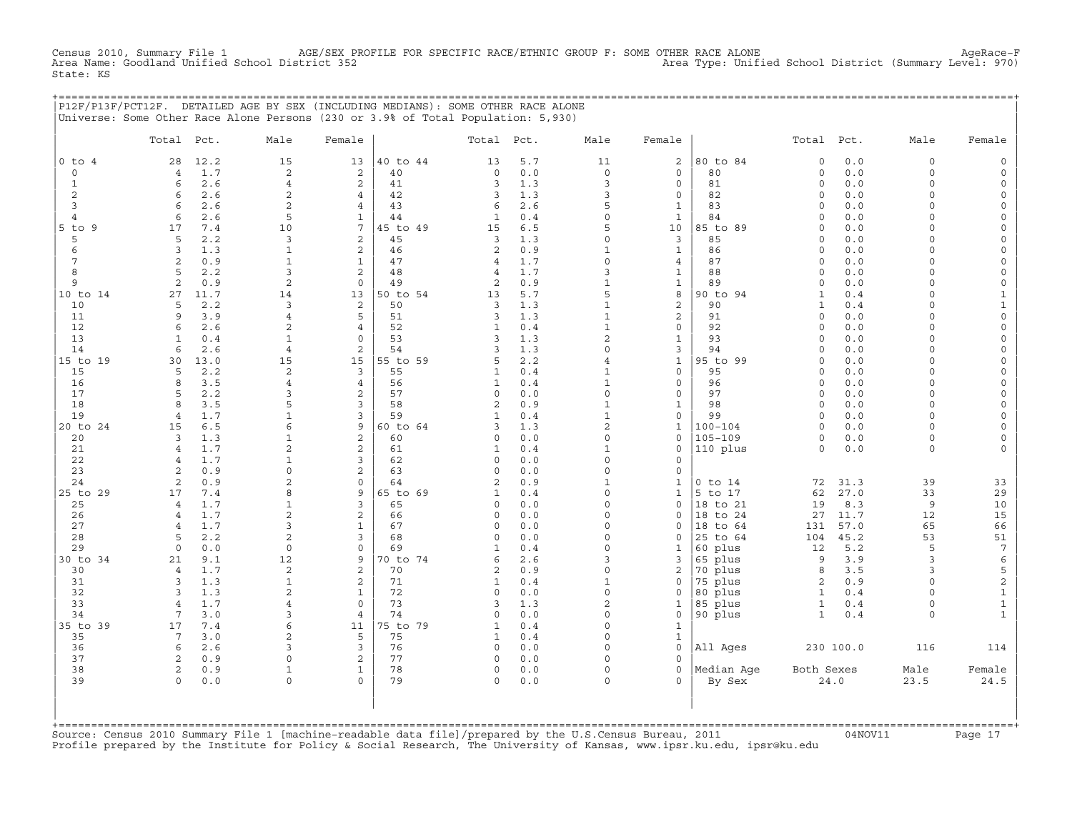CHE 1 AGE/SEX PROFILE FOR SPECIFIC RACE/ETHNIC GROUP F: SOME OTHER RACE ALONE<br>(1970) Area Type: Unified School District (Summary Level: دetic 352 Census 2010, Summary File 1 AGE/SEX PH<br>Area Name: Goodland Unified School District 352 State: KS

|              |                   |            | P12F/P13F/PCT12F. DETAILED AGE BY SEX (INCLUDING MEDIANS): SOME OTHER RACE ALONE<br>Universe: Some Other Race Alone Persons (230 or 3.9% of Total Population: 5,930) |                            |          |                |            |                                |                              |             |               |            |                    |                                    |
|--------------|-------------------|------------|----------------------------------------------------------------------------------------------------------------------------------------------------------------------|----------------------------|----------|----------------|------------|--------------------------------|------------------------------|-------------|---------------|------------|--------------------|------------------------------------|
|              | Total Pct.        |            | Male                                                                                                                                                                 | Female                     |          | Total Pct.     |            | Male                           | Female                       |             | Total Pct.    |            | Male               | Female                             |
| $0$ to $4$   | 28                | 12.2       | 15                                                                                                                                                                   | 13                         | 40 to 44 | 13             | 5.7        | 11                             | 2                            | 80 to 84    | $\circ$       | 0.0        | $\circ$            | 0                                  |
| 0            | 4                 | 1.7        | $\sqrt{2}$                                                                                                                                                           | 2                          | 40       | $\circ$        | 0.0        | $\mathbf 0$                    | $\circ$                      | 80          | 0             | 0.0        | $\circ$            | $\mathsf{O}$                       |
| $\mathbf{1}$ | 6                 | 2.6        | $\overline{4}$                                                                                                                                                       | 2                          | 41       | 3              | 1.3        | 3                              | $\mathbf{0}$                 | 81          | $\Omega$      | 0.0        | $\Omega$           | $\mathbf 0$                        |
| 2            | 6                 | 2.6        | 2                                                                                                                                                                    | $\overline{4}$             | 42       | 3              | 1.3        | 3                              | 0                            | 82          | 0             | 0.0        | $\Omega$           | $\mathsf{O}\xspace$                |
| 3            | $\epsilon$        | 2.6        | $\overline{2}$                                                                                                                                                       | $\overline{4}$             | 43       | 6              | 2.6        | 5                              | $\mathbf{1}$                 | 83          | $\Omega$      | 0.0        | $\Omega$           | $\mathsf{O}\xspace$                |
| 4            | 6                 | 2.6        | 5                                                                                                                                                                    | $\mathbf{1}$               | 44       | $\mathbf{1}$   | 0.4        | 0                              | $\mathbf{1}$                 | 84          | 0             | 0.0        | $\Omega$           | $\mathbf 0$                        |
| $5$ to $9$   | 17                | 7.4        | 10                                                                                                                                                                   | $7\phantom{.0}$            | 45 to 49 | 15             | 6.5        | 5                              | 10                           | 85 to 89    | $\Omega$      | 0.0        | $\cap$             | $\mathbf 0$                        |
| 5            | 5                 | 2.2        | 3                                                                                                                                                                    | 2                          | 45       | 3              | 1.3        | $\Omega$                       | 3                            | 85          | $\Omega$      | 0.0        | $\cap$             | $\mathbf 0$                        |
| 6            | 3                 | 1.3        | $\mathbf{1}$                                                                                                                                                         | 2                          | 46       | 2              | 0.9        | $\mathbf{1}$                   | $\mathbf{1}$                 | 86          | $\Omega$      | 0.0        | $\cap$             | $\mathbf 0$                        |
| 7            | 2                 | 0.9        | $\mathbf{1}$                                                                                                                                                         | $\mathbf{1}$               | 47       | 4              | 1.7        | $\Omega$                       | $\overline{4}$               | 87          | $\circ$       | 0.0        | $\Omega$           | $\mathsf{O}\xspace$                |
| 8            | 5                 | 2.2        | 3                                                                                                                                                                    | 2                          | 48       | $\overline{4}$ | 1.7        | 3                              | $\mathbf{1}$                 | 88          | $\Omega$      | 0.0        | $\Omega$           | $\mathbf 0$                        |
| 9            | 2                 | 0.9        | 2                                                                                                                                                                    | $\mathbf 0$                | 49       | 2              | 0.9        | $\mathbf{1}$                   | 1                            | 89          | 0             | 0.0        | $\Omega$           | $\mathsf{O}\xspace$                |
| 10 to 14     | 27                | 11.7       | 14                                                                                                                                                                   | 13                         | 50 to 54 | 13             | 5.7        | 5                              | 8                            | 90 to 94    | $\mathbf{1}$  | 0.4        | $\cap$             | $\mathbf 1$                        |
| 10           | 5                 | 2.2        | 3                                                                                                                                                                    | 2                          | 50       | 3              | 1.3        | $\mathbf{1}$                   | $\overline{a}$               | 90          | 1             | 0.4        | $\Omega$           | $\mathbf 1$                        |
| 11           | 9                 | 3.9        | $\overline{4}$                                                                                                                                                       | 5                          | 51       | 3              | 1.3        | $\mathbf{1}$                   | $\overline{a}$               | 91          | $\circ$       | 0.0        | $\Omega$           | $\mathsf{O}\xspace$                |
| 12<br>13     | 6<br>$\mathbf{1}$ | 2.6        | $\overline{c}$<br>$\mathbf{1}$                                                                                                                                       | $\overline{4}$<br>$\Omega$ | 52<br>53 | 1<br>3         | 0.4        | $\mathbf{1}$<br>$\overline{c}$ | $\mathsf{O}$<br>$\mathbf{1}$ | 92<br>93    | 0<br>$\Omega$ | 0.0        | $\Omega$<br>$\cap$ | $\mathbf 0$<br>$\mathsf{O}\xspace$ |
| 14           | 6                 | 0.4<br>2.6 | $\overline{4}$                                                                                                                                                       | 2                          | 54       | 3              | 1.3<br>1.3 | $\Omega$                       | 3                            | 94          | $\Omega$      | 0.0<br>0.0 | $\Omega$           | $\mathbf 0$                        |
| 15 to 19     | 30                | 13.0       | 15                                                                                                                                                                   | 15                         | 55 to 59 | 5              | 2.2        | 4                              | $\mathbf{1}$                 | 95 to 99    | $\Omega$      | 0.0        | $\Omega$           | $\mathbf 0$                        |
| 15           | 5                 | 2.2        | 2                                                                                                                                                                    | 3                          | 55       | 1              | 0.4        | $\mathbf{1}$                   | $\mathsf{O}$                 | 95          | $\Omega$      | 0.0        | $\Omega$           | $\mathbf 0$                        |
| 16           | $\mathsf{R}$      | 3.5        | $\overline{4}$                                                                                                                                                       | $\overline{4}$             | 56       | 1              | 0.4        | $\mathbf{1}$                   | $\mathbf{0}$                 | 96          | $\Omega$      | 0.0        | $\cap$             | $\mathbf 0$                        |
| 17           | 5                 | 2.2        | 3                                                                                                                                                                    | 2                          | 57       | $\circ$        | 0.0        | $\Omega$                       | $\mathsf{O}$                 | 97          | $\circ$       | 0.0        | $\cap$             | $\mathbf 0$                        |
| 18           | $\mathsf{R}$      | 3.5        | 5                                                                                                                                                                    | 3                          | 58       | 2              | 0.9        | $\mathbf{1}$                   | $\mathbf{1}$                 | 98          | $\Omega$      | 0.0        | $\Omega$           | $\mathsf{O}\xspace$                |
| 19           | 4                 | 1.7        | $\mathbf{1}$                                                                                                                                                         | 3                          | 59       | $\mathbf{1}$   | 0.4        | $\mathbf{1}$                   | $\mathsf{O}$                 | 99          | $\circ$       | 0.0        | $\circ$            | $\mathbf 0$                        |
| 20 to 24     | 15                | 6.5        | 6                                                                                                                                                                    | 9                          | 60 to 64 | 3              | 1.3        | $\overline{a}$                 | $\mathbf{1}$                 | $100 - 104$ | $\Omega$      | 0.0        | $\Omega$           | $\mathsf{O}\xspace$                |
| 20           | 3                 | 1.3        | 1                                                                                                                                                                    | $\overline{c}$             | 60       | 0              | 0.0        | $\Omega$                       | $\mathbf{0}$                 | 105-109     | $\circ$       | 0.0        | $\circ$            | $\mathbf 0$                        |
| 21           | $\overline{4}$    | 1.7        | $\overline{2}$                                                                                                                                                       | $\mathbf 2$                | 61       | $\mathbf{1}$   | 0.4        | $\mathbf{1}$                   | $\mathbf 0$                  | 110 plus    | $\Omega$      | 0.0        | $\Omega$           | $\Omega$                           |
| 22           | 4                 | 1.7        | $\mathbf{1}$                                                                                                                                                         | 3                          | 62       | 0              | 0.0        | $\Omega$                       | 0                            |             |               |            |                    |                                    |
| 23           | 2                 | 0.9        | $\Omega$                                                                                                                                                             | $\overline{c}$             | 63       | $\Omega$       | 0.0        | $\Omega$                       | 0                            |             |               |            |                    |                                    |
| 24           | 2                 | 0.9        | $\overline{c}$                                                                                                                                                       | $\mathbf 0$                | 64       | $\mathfrak{D}$ | 0.9        | $\mathbf{1}$                   | $\mathbf{1}$                 | $0$ to $14$ | 72            | 31.3       | 39                 | 33                                 |
| 25 to 29     | 17                | 7.4        | 8                                                                                                                                                                    | 9                          | 65 to 69 | 1              | 0.4        | $\Omega$                       | $\mathbf{1}$                 | 5 to 17     | 62            | 27.0       | 33                 | 29                                 |
| 25           | $\overline{4}$    | 1.7        | 1                                                                                                                                                                    | 3                          | 65       | 0              | 0.0        | $\Omega$                       | $\mathbf{0}$                 | 18 to 21    | 19            | 8.3        | 9                  | 10                                 |
| 26           | $\overline{4}$    | 1.7        | $\overline{a}$                                                                                                                                                       | $\overline{a}$             | 66       | $\mathbf 0$    | 0.0        | $\Omega$                       | $\mathbf 0$                  | 18 to 24    | 27            | 11.7       | 12                 | 15                                 |
| 27           | 4                 | 1.7        | 3                                                                                                                                                                    | $\mathbf{1}$               | 67       | $\Omega$       | 0.0        | $\Omega$                       | $\mathbf{0}$                 | 18 to 64    | 131           | 57.0       | 65                 | 66                                 |
| 28           | 5                 | 2.2        | 2                                                                                                                                                                    | 3                          | 68       | $\Omega$       | 0.0        | $\Omega$                       | $\mathbf{0}$                 | 25 to 64    | 104           | 45.2       | 53                 | 51                                 |
| 29           | $\Omega$          | 0.0        | $\Omega$                                                                                                                                                             | $\mathbf 0$                | 69       | 1              | 0.4        | $\Omega$                       | 1                            | 60 plus     | 12            | 5.2        | 5                  | $7\phantom{.0}$                    |
| 30 to 34     | 21                | 9.1        | 12                                                                                                                                                                   | 9                          | 70 to 74 | 6              | 2.6        | 3                              | 3                            | 65 plus     | 9             | 3.9        | 3                  | $\epsilon$                         |
| 30           | 4                 | 1.7        | $\sqrt{2}$                                                                                                                                                           | 2                          | 70       | 2              | 0.9        | $\Omega$                       | 2                            | 70 plus     | 8             | 3.5        | 3                  | $\mathsf S$                        |
| 31           | 3                 | 1.3        | $\mathbf{1}$                                                                                                                                                         | 2                          | 71       | $\mathbf{1}$   | 0.4        | $\mathbf{1}$                   | 0                            | 75 plus     | 2             | 0.9        | $\Omega$           | $\mathbf 2$                        |
| 32           | 3                 | 1.3        | 2                                                                                                                                                                    | $\mathbf{1}$               | 72       | $\mathbf 0$    | 0.0        | $\Omega$                       | 0                            | 80 plus     | $\mathbf{1}$  | 0.4        | $\Omega$           | $\mathbf{1}$                       |
| 33           | $\overline{4}$    | 1.7        | $\overline{4}$                                                                                                                                                       | $\Omega$                   | 73       | 3              | 1.3        | $\overline{2}$                 | $\mathbf{1}$                 | 85 plus     | $\mathbf{1}$  | 0.4        | $\Omega$           | $\mathbf{1}$                       |
| 34           | 7                 | 3.0        | 3                                                                                                                                                                    | $\overline{4}$             | 74       | 0              | 0.0        | $\Omega$                       | 0                            | 90 plus     | $\mathbf{1}$  | 0.4        | $\circ$            | $\mathbf{1}$                       |
| 35 to 39     | 17                | 7.4        | 6                                                                                                                                                                    | 11                         | 75 to 79 | 1              | 0.4        | $\Omega$                       | $\mathbf{1}$                 |             |               |            |                    |                                    |
| 35           | 7                 | 3.0        | $\overline{c}$                                                                                                                                                       | 5                          | 75       | 1              | 0.4        | $\Omega$                       | $\mathbf{1}$                 |             |               |            |                    |                                    |
| 36<br>37     | 6                 | 2.6        | 3                                                                                                                                                                    | 3                          | 76       | $\circ$        | 0.0        | $\Omega$                       | 0<br>$\Omega$                | All Ages    |               | 230 100.0  | 116                | 114                                |
| 38           | 2<br>2            | 0.9<br>0.9 |                                                                                                                                                                      | 2<br>$\mathbf{1}$          | 77<br>78 | $\Omega$<br>0  | 0.0<br>0.0 | $\Omega$                       | 0                            | Median Age  | Both Sexes    |            | Male               | Female                             |
| 39           | $\Omega$          | 0.0        | $\Omega$                                                                                                                                                             | $\Omega$                   | 79       | $\Omega$       | 0.0        | $\Omega$                       | $\Omega$                     | By Sex      |               | 24.0       | 23.5               | 24.5                               |

| | +===================================================================================================================================================+ Source: Census 2010 Summary File 1 [machine-readable data file]/prepared by the U.S.Census Bureau, 2011 Page 17<br>Profile prepared by the Institute for Policy & Social Research, The University of Kansas, www

| | | | | | | |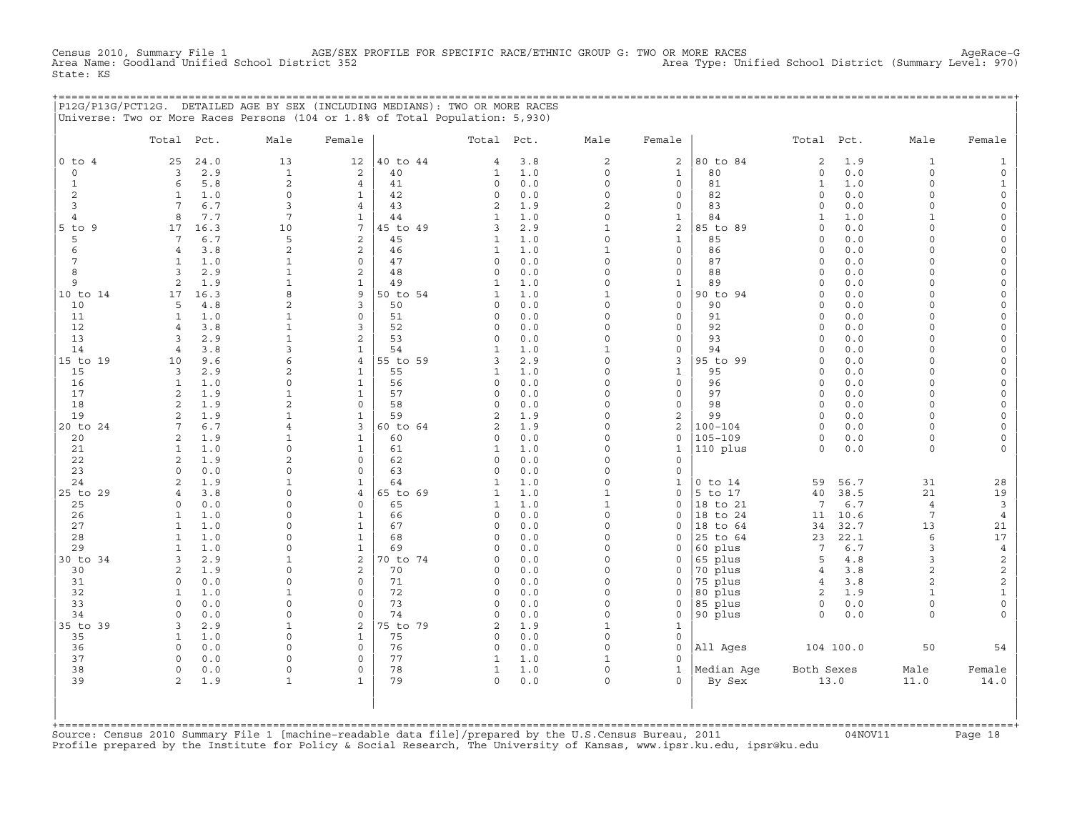CHEL 1 AGE/SEX PROFILE FOR SPECIFIC RACE/ETHNIC GROUP G: TWO OR MORE RACES AgeRace-G<br>Area Type: Unified School District (Summary Level: 970) Census 2010, Summary File 1 AGE/SEX<br>Area Name: Goodland Unified School District 352 State: KS

|                |                     |            | P12G/P13G/PCT12G. DETAILED AGE BY SEX (INCLUDING MEDIANS): TWO OR MORE RACES |                 |          |                         |            |                      |                          |             |                |            |                      |                         |
|----------------|---------------------|------------|------------------------------------------------------------------------------|-----------------|----------|-------------------------|------------|----------------------|--------------------------|-------------|----------------|------------|----------------------|-------------------------|
|                |                     |            | Universe: Two or More Races Persons (104 or 1.8% of Total Population: 5,930) |                 |          |                         |            |                      |                          |             |                |            |                      |                         |
|                | Total Pct.          |            | Male                                                                         | Female          |          | Total Pct.              |            | Male                 | Female                   |             | Total Pct.     |            | Male                 | Female                  |
| $0$ to $4$     | 25                  | 24.0       | 13                                                                           | 12              | 40 to 44 | $\overline{4}$          | 3.8        | 2                    | $\overline{2}$           | 80 to 84    | 2              | 1.9        | $\mathbf{1}$         | 1                       |
| $\circ$        | 3                   | 2.9        | $\mathbf{1}$                                                                 | 2               | 40       | 1                       | 1.0        | $\Omega$             | $\mathbf{1}$             | 80          | 0              | 0.0        | $\circ$              | $\mathsf{O}$            |
| $\mathbf{1}$   | 6                   | 5.8        | 2                                                                            | $\overline{4}$  | 41       | $\circ$                 | 0.0        | $\Omega$             | $\mathbf{0}$             | 81          | $\mathbf{1}$   | 1.0        | $\Omega$             | $\mathbf 1$             |
| 2              | 1                   | 1.0        | $\Omega$                                                                     | $\mathbf{1}$    | 42       | $\mathbf 0$             | 0.0        | $\Omega$             | $\mathbf{0}$             | 82          | 0              | 0.0        | $\Omega$             | $\mathsf{O}$            |
| 3              | 7                   | 6.7        | 3                                                                            | $\overline{4}$  | 43       | 2                       | 1.9        | $\mathfrak{D}$       | $\mathbf{0}$             | 83          | 0              | 0.0        | $\Omega$             | 0                       |
| $\overline{4}$ | 8                   | 7.7        | 7                                                                            | $\mathbf{1}$    | 44       | $\mathbf{1}$            | 1.0        | $\Omega$             | $\mathbf{1}$             | 84          | $\mathbf{1}$   | 1.0        | $\mathbf{1}$         | $\Omega$                |
| $5$ to $9$     | 17                  | 16.3       | 10                                                                           | $7\overline{ }$ | 45 to 49 | 3                       | 2.9        | $\mathbf{1}$         | $\overline{2}$           | 85 to 89    | $\Omega$       | 0.0        | $\Omega$             | $\Omega$                |
| 5              | $7\phantom{.0}$     | 6.7        | 5                                                                            | 2               | 45       | $\mathbf{1}$            | 1.0        | $\Omega$             | $\mathbf{1}$             | 85          | $\Omega$       | 0.0        | $\cap$               | 0                       |
| 6              | $\overline{4}$      | 3.8        | $\overline{c}$                                                               | 2               | 46       | $\mathbf{1}$            | 1.0        | $\mathbf{1}$         | $\mathbf{0}$             | 86          | $\Omega$       | 0.0        | $\cap$               | 0                       |
| 7              | $\mathbf{1}$        | 1.0        | $\mathbf 1$                                                                  | $\mathbf 0$     | 47       | $\Omega$                | 0.0        | $\Omega$             | $\mathbf{0}$             | 87          | 0              | 0.0        | $\Omega$             | $\Omega$                |
| 8              | 3                   | 2.9        | $\mathbf{1}$                                                                 | 2               | 48       | $\Omega$                | 0.0        | $\Omega$             | $\mathbf{0}$             | 88          | $\circ$        | 0.0        | $\Omega$             | $\mathbf 0$             |
| 9              | 2                   | 1.9        |                                                                              | $\mathbf{1}$    | 49       | 1                       | 1.0        | $\Omega$             | $\mathbf 1$              | 89          | $\Omega$       | 0.0        | $\Omega$             | 0                       |
| 10 to 14       | 17                  | 16.3       | 8                                                                            | 9               | 50 to 54 | $\mathbf{1}$            | 1.0        | $\mathbf{1}$         | $\mathbf 0$              | 90 to 94    | $\Omega$       | 0.0        | $\cap$               | 0                       |
| 10             | 5                   | 4.8        | 2                                                                            | 3               | 50       | 0                       | 0.0        | $\Omega$             | $\mathbf{0}$             | 90          | $\circ$        | 0.0        | $\Omega$             | $\mathbf 0$             |
| 11             | $\mathbf{1}$        | 1.0        | $\mathbf 1$                                                                  | $\mathbf 0$     | 51       | 0                       | 0.0        | $\Omega$<br>$\Omega$ | $\mathbf{0}$             | 91          | $\circ$        | 0.0        | $\Omega$<br>$\Omega$ | 0                       |
| 12<br>13       | $\overline{4}$<br>3 | 3.8<br>2.9 | $\mathbf{1}$                                                                 | 3<br>2          | 52<br>53 | $\mathbf 0$<br>$\Omega$ | 0.0<br>0.0 | $\Omega$             | $\mathbf{0}$<br>$\Omega$ | 92<br>93    | 0<br>$\Omega$  | 0.0<br>0.0 | $\cap$               | 0<br>$\Omega$           |
| 14             | $\overline{4}$      | 3.8        | 3                                                                            | $\mathbf{1}$    | 54       | $\mathbf{1}$            | 1.0        | $\mathbf{1}$         | $\mathbf{0}$             | 94          | $\Omega$       | 0.0        | $\Omega$             | $\Omega$                |
| 15 to 19       | 10                  | 9.6        | 6                                                                            | $\overline{4}$  | 55 to 59 | 3                       | 2.9        | $\Omega$             | 3                        | 95 to 99    | $\Omega$       | 0.0        | $\cap$               | $\Omega$                |
| 15             | $\overline{3}$      | 2.9        | 2                                                                            | $\mathbf{1}$    | 55       | $\mathbf{1}$            | 1.0        | $\Omega$             | $\mathbf{1}$             | 95          | $\Omega$       | 0.0        | $\cap$               | 0                       |
| 16             | $\mathbf{1}$        | 1.0        | $\Omega$                                                                     | $\mathbf{1}$    | 56       | $\mathbf 0$             | 0.0        | $\Omega$             | $\Omega$                 | 96          | $\Omega$       | 0.0        | $\Omega$             | $\Omega$                |
| 17             | 2                   | 1.9        | $\mathbf{1}$                                                                 | $\mathbf{1}$    | 57       | $\circ$                 | 0.0        | $\Omega$             | $\circ$                  | 97          | $\circ$        | 0.0        | $\Omega$             | 0                       |
| 18             | 2                   | 1.9        | $\overline{2}$                                                               | $\mathbf 0$     | 58       | $\Omega$                | 0.0        | $\Omega$             | $\mathbf{0}$             | 98          | $\Omega$       | 0.0        | $\Omega$             | $\Omega$                |
| 19             | 2                   | 1.9        |                                                                              | $\mathbf{1}$    | 59       | 2                       | 1.9        | $\Omega$             | 2                        | 99          | $\Omega$       | 0.0        | $\cap$               | 0                       |
| 20 to 24       | 7                   | 6.7        | $\overline{4}$                                                               | 3               | 60 to 64 | 2                       | 1.9        | $\Omega$             | 2                        | $100 - 104$ | 0              | 0.0        | $\Omega$             | 0                       |
| 20             | 2                   | 1.9        | 1                                                                            | $\mathbf{1}$    | 60       | $\circ$                 | 0.0        | $\Omega$             | 0                        | $105 - 109$ | 0              | 0.0        | $\Omega$             | 0                       |
| 21             | 1                   | 1.0        | $\mathbf 0$                                                                  | $\mathbf{1}$    | 61       | 1                       | 1.0        | $\Omega$             | 1                        | 110 plus    | $\circ$        | 0.0        | 0                    | 0                       |
| 22             | 2                   | 1.9        | $\overline{a}$                                                               | $\Omega$        | 62       | $\Omega$                | 0.0        | $\cap$               | $\Omega$                 |             |                |            |                      |                         |
| 23             | $\Omega$            | 0.0        | $\Omega$                                                                     | $\Omega$        | 63       | $\circ$                 | 0.0        | $\Omega$             | $\mathbf{0}$             |             |                |            |                      |                         |
| 24             | $\overline{2}$      | 1.9        | $\mathbf{1}$                                                                 | $\mathbf{1}$    | 64       | 1                       | 1.0        | $\Omega$             | $\mathbf{1}$             | $0$ to $14$ | 59             | 56.7       | 31                   | 28                      |
| 25 to 29       | $\overline{4}$      | 3.8        | $\Omega$                                                                     | $\overline{4}$  | 65 to 69 | 1                       | 1.0        | $\mathbf{1}$         | $\mathbf{0}$             | 5 to 17     | 40             | 38.5       | 21                   | 19                      |
| 25             | $\Omega$            | 0.0        | $\cap$                                                                       | $\Omega$        | 65       | $\mathbf{1}$            | 1.0        | $\mathbf{1}$         | $\Omega$                 | 18 to 21    | 7              | 6.7        | $\overline{4}$       | $\mathbf{3}$            |
| 26             | $\mathbf{1}$        | 1.0        | $\cap$                                                                       | $\mathbf{1}$    | 66       | $\circ$                 | 0.0        | $\Omega$             | 0                        | 18 to 24    | 11             | 10.6       | 7                    | $\overline{4}$          |
| 27             | $\mathbf{1}$        | 1.0        | $\Omega$                                                                     | $\mathbf{1}$    | 67       | $\Omega$                | 0.0        | $\Omega$             | $\Omega$                 | 18 to 64    | 34             | 32.7       | 13                   | 21                      |
| 28             | $\mathbf{1}$        | 1.0        | $\cap$                                                                       | $\mathbf{1}$    | 68       | $\mathbf 0$             | 0.0        | $\Omega$             | 0                        | 25 to 64    | 23             | 22.1       | 6                    | 17                      |
| 29             | 1                   | 1.0        | $\Omega$                                                                     | $\mathbf{1}$    | 69       | $\Omega$                | 0.0        | $\Omega$             | $\Omega$                 | 60 plus     | 7              | 6.7        | 3                    | $\overline{4}$          |
| 30 to 34       | 3                   | 2.9        | 1                                                                            | 2               | 70 to 74 | 0                       | 0.0        | $\Omega$             | 0                        | 65 plus     | 5              | 4.8        | 3                    | $\mathbf 2$             |
| 30             | 2                   | 1.9        | $\mathbf 0$                                                                  | 2               | 70       | $\Omega$                | 0.0        | $\Omega$             | 0                        | 70 plus     | $\overline{4}$ | 3.8        | $\overline{a}$       | $\overline{\mathbf{c}}$ |
| 31             | $\Omega$            | 0.0        | $\Omega$                                                                     | $\Omega$        | 71       | $\Omega$                | 0.0        | $\Omega$             | $\Omega$                 | 75 plus     | $\overline{4}$ | 3.8        | $\overline{a}$       | $\overline{\mathbf{c}}$ |
| 32             | $\mathbf{1}$        | 1.0        |                                                                              | $\Omega$        | 72       | $\Omega$                | 0.0        | $\Omega$             | $\Omega$                 | 80 plus     | $\overline{a}$ | 1.9        | $\mathbf{1}$         | $1\,$                   |
| 33             | $\Omega$            | 0.0        | $\Omega$                                                                     | $\Omega$        | 73       | $\Omega$                | 0.0        | $\Omega$             | $\mathbf 0$              | 85 plus     | $\circ$        | 0.0        | $\Omega$             | $\mathsf{O}$            |
| 34             | $\Omega$            | 0.0        | $\Omega$                                                                     | $\mathbf 0$     | 74       | $\Omega$                | 0.0        | $\Omega$             | $\Omega$                 | 90 plus     | $\Omega$       | 0.0        | $\Omega$             | $\Omega$                |
| 35 to 39       | 3                   | 2.9        | $\mathbf{1}$                                                                 | 2               | 75 to 79 | 2                       | 1.9        | $\mathbf{1}$         | $\mathbf{1}$             |             |                |            |                      |                         |
| 35             | $\mathbf{1}$        | 1.0        | $\Omega$                                                                     | $\mathbf{1}$    | 75       | $\circ$                 | 0.0        | $\Omega$             | $\mathbf 0$              |             |                |            |                      |                         |
| 36             | $\Omega$            | 0.0        | $\Omega$                                                                     | $\mathbf 0$     | 76       | $\mathbf 0$             | 0.0        | $\Omega$             | $\mathbf 0$              | All Ages    |                | 104 100.0  | 50                   | 54                      |
| 37             | $\Omega$            | 0.0        | $\Omega$                                                                     | 0               | 77       | 1                       | 1.0        | $\mathbf{1}$         | $\mathbf 0$              |             |                |            |                      |                         |
| 38             | $\Omega$            | 0.0        | $\Omega$                                                                     | $\mathbf 0$     | 78       | 1                       | 1.0        | $\Omega$             | $\mathbf{1}$             | Median Aqe  | Both Sexes     |            | Male                 | Female                  |
| 39             | 2                   | 1.9        | $\mathbf 1$                                                                  | $\mathbf{1}$    | 79       | $\circ$                 | 0.0        | $\circ$              | $\mathbf{0}$             | By Sex      |                | 13.0       | 11.0                 | 14.0                    |
|                |                     |            |                                                                              |                 |          |                         |            |                      |                          |             |                |            |                      |                         |

| | +===================================================================================================================================================+ Source: Census 2010 Summary File 1 [machine-readable data file]/prepared by the U.S.Census Bureau, 2011 Page 18<br>Profile prepared by the Institute for Policy & Social Research, The University of Kansas, www

| | | |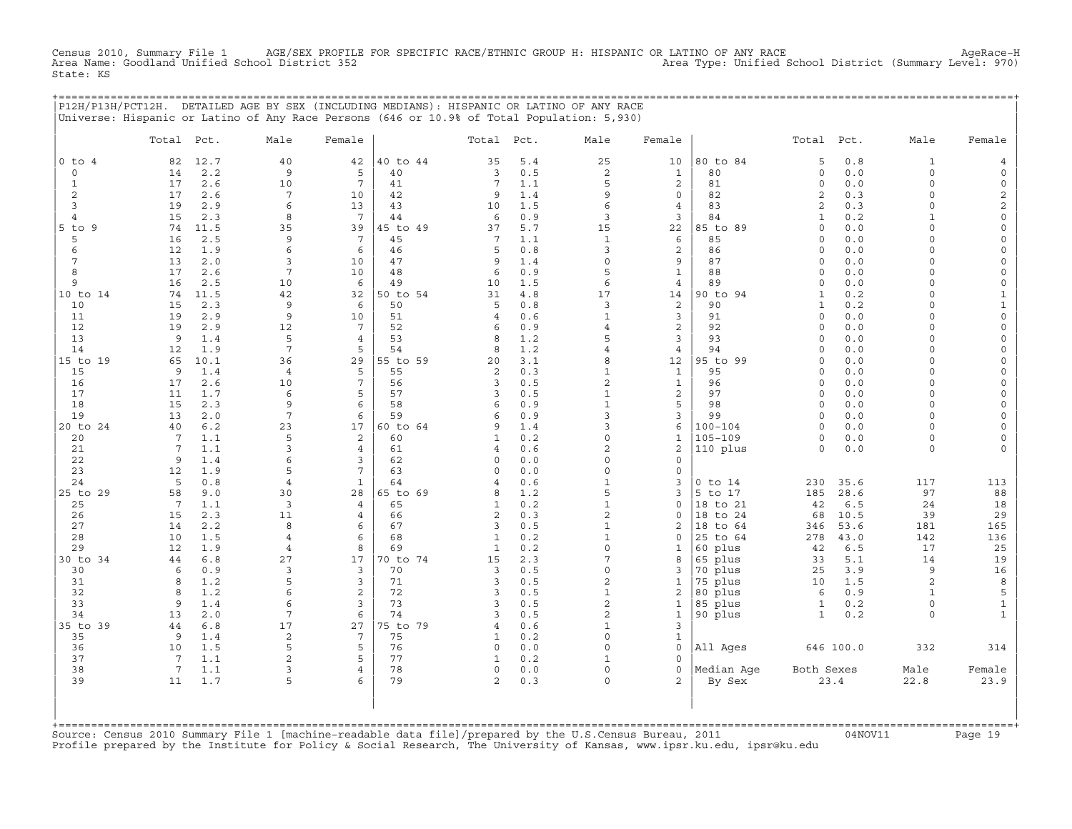Census 2010, Summary File 1 AGE/SEX PROFILE FOR SPECIFIC RACE/ETHNIC GROUP H: HISPANIC OR LATINO OF ANY RACE<br>Area Name: Goodland Unified School District 352 Area Type: Unified School District (Summary Level: 970) State: KS

+===================================================================================================================================================+

|                 | P12H/P13H/PCT12H. DETAILED AGE BY SEX (INCLUDING MEDIANS): HISPANIC OR LATINO OF ANY RACE<br>Universe: Hispanic or Latino of Any Race Persons (646 or 10.9% of Total Population: 5,930) |                      |                     |                |                                |            |                            |                                 |                    |                        |            |                      |                                            |
|-----------------|-----------------------------------------------------------------------------------------------------------------------------------------------------------------------------------------|----------------------|---------------------|----------------|--------------------------------|------------|----------------------------|---------------------------------|--------------------|------------------------|------------|----------------------|--------------------------------------------|
|                 | Pct.<br>Total                                                                                                                                                                           | Male                 | Female              |                | Total                          | Pct.       | Male                       | Female                          |                    | Total                  | Pct.       | Male                 | Female                                     |
| $0$ to $4$      | 12.7<br>82                                                                                                                                                                              | 40                   | 42                  | 40 to 44       | 35                             | 5.4        | 25                         | 10                              | 80 to 84           | 5                      | 0.8        | $\mathbf{1}$         | 4                                          |
| $\mathbf 0$     | 2.2<br>14                                                                                                                                                                               | 9                    | 5                   | 40             | 3                              | 0.5        | 2                          | $\mathbf{1}$                    | 80                 | $\circ$                | 0.0        | $\Omega$             | $\mathsf{O}\xspace$                        |
| $\mathbf{1}$    | 17<br>2.6                                                                                                                                                                               | 10                   | 7                   | 41             | 7                              | 1.1        | 5                          | 2                               | 81                 | $\circ$                | 0.0        | $\Omega$             | 0                                          |
| 2               | 17<br>2.6                                                                                                                                                                               | $\overline{7}$       | 10                  | 42             | 9                              | 1.4        | 9                          | $\mathbf 0$                     | 82                 | 2                      | 0.3        | $\circ$              | 2                                          |
| 3               | 19<br>2.9                                                                                                                                                                               | 6                    | 13                  | 43             | 10                             | 1.5        | 6                          | $\overline{4}$                  | 83                 | 2                      | 0.3        | $\Omega$             | $\mathbf{2}$                               |
| $\overline{4}$  | 2.3<br>15                                                                                                                                                                               | 8                    | $7\phantom{.0}$     | 44             | 6                              | 0.9        | 3                          | 3                               | 84                 | $\mathbf{1}$           | 0.2        | $\mathbf{1}$         | $\mathsf{O}\xspace$                        |
| $5$ to $9$<br>5 | 74<br>11.5<br>2.5<br>16                                                                                                                                                                 | 35<br>9              | 39<br>7             | 45 to 49<br>45 | 37<br>7                        | 5.7<br>1.1 | 15<br>$\mathbf{1}$         | 22<br>6                         | 85 to 89<br>85     | $\Omega$<br>$\circ$    | 0.0<br>0.0 | $\Omega$<br>$\Omega$ | $\mathsf{O}\xspace$<br>0                   |
| 6               | 12<br>1.9                                                                                                                                                                               | 6                    | 6                   | 46             | 5                              | 0.8        | 3                          | 2                               | 86                 | $\circ$                | 0.0        | $\Omega$             | $\mathsf{O}\xspace$                        |
| 7               | 13<br>2.0                                                                                                                                                                               | 3                    | 10                  | 47             | 9                              | 1.4        | $\Omega$                   | 9                               | 87                 | $\mathbf 0$            | 0.0        | $\Omega$             | 0                                          |
| 8               | 17<br>2.6                                                                                                                                                                               | 7                    | 10                  | 48             | 6                              | 0.9        | 5                          | $\mathbf{1}$                    | 88                 | $\Omega$               | 0.0        | $\Omega$             | $\mathsf{O}\xspace$                        |
| 9               | 16<br>2.5                                                                                                                                                                               | 10                   | 6                   | 49             | 10                             | 1.5        | 6                          | $\overline{4}$                  | 89                 | $\mathbf 0$            | 0.0        | $\Omega$             | 0                                          |
| 10 to 14        | 74<br>11.5                                                                                                                                                                              | 42                   | 32                  | 50 to 54       | 31                             | 4.8        | 17                         | 14                              | 90 to 94           | $\mathbf{1}$           | 0.2        | $\Omega$             | $\mathbf{1}$                               |
| 10              | 15<br>2.3                                                                                                                                                                               | 9                    | 6                   | 50             | 5                              | 0.8        | 3                          | $\overline{c}$                  | 90                 | $\mathbf{1}$           | 0.2        | $\Omega$             | $\mathbf 1$                                |
| 11              | 19<br>2.9                                                                                                                                                                               | 9                    | 10                  | 51             | 4                              | 0.6        | $\mathbf{1}$               | 3                               | 91                 | $\mathsf O$            | 0.0        | $\circ$              | $\mathsf{O}\xspace$                        |
| 12<br>13        | 19<br>2.9<br>9                                                                                                                                                                          | 12                   | 7                   | 52<br>53       | 6<br>8                         | 0.9        | $\overline{4}$<br>5        | 2<br>3                          | 92<br>93           | $\mathbf 0$            | 0.0        | $\Omega$<br>$\Omega$ | 0                                          |
| 14              | 1.4<br>12<br>1.9                                                                                                                                                                        | 5<br>$7\overline{ }$ | $\overline{4}$<br>5 | 54             | 8                              | 1.2<br>1.2 | $\overline{4}$             | $\,4$                           | 94                 | $\circ$<br>$\mathbf 0$ | 0.0<br>0.0 | $\Omega$             | $\mathsf{O}\xspace$<br>$\mathsf{O}\xspace$ |
| 15 to 19        | 10.1<br>65                                                                                                                                                                              | 36                   | 29                  | 55 to 59       | 20                             | 3.1        | 8                          | 12                              | 95 to 99           | $\mathbf 0$            | 0.0        | $\Omega$             | 0                                          |
| 15              | 9<br>1.4                                                                                                                                                                                | $\overline{4}$       | 5                   | 55             | $\mathbf{2}$                   | 0.3        | $\mathbf{1}$               | $\mathbf{1}$                    | 95                 | $\circ$                | 0.0        | $\Omega$             | 0                                          |
| 16              | 17<br>2.6                                                                                                                                                                               | 10                   | 7                   | 56             | 3                              | 0.5        | $\overline{c}$             | $\mathbf{1}$                    | 96                 | $\circ$                | 0.0        | $\circ$              | 0                                          |
| 17              | 11<br>1.7                                                                                                                                                                               | 6                    | 5                   | 57             | 3                              | 0.5        | $\mathbf{1}$               | $\overline{\mathbf{c}}$         | 97                 | $\mathbf 0$            | 0.0        | $\Omega$             | $\mathbf 0$                                |
| 18              | 15<br>2.3                                                                                                                                                                               | 9                    | 6                   | 58             | 6                              | 0.9        | $\mathbf{1}$               | 5                               | 98                 | $\circ$                | 0.0        | $\Omega$             | 0                                          |
| 19              | 13<br>2.0                                                                                                                                                                               | $7\phantom{.0}$      | 6                   | 59             | 6                              | 0.9        | 3                          | $\mathsf 3$                     | 99                 | $\circ$                | 0.0        | $\Omega$             | $\mathsf{O}\xspace$                        |
| 20 to 24        | 6.2<br>40                                                                                                                                                                               | 23                   | 17                  | 60 to 64       | 9                              | 1.4        | 3                          | 6                               | $100 - 104$        | $\circ$                | 0.0        | $\Omega$             | $\mathsf{O}$                               |
| 20<br>21        | $7\phantom{.0}$<br>1.1<br>$7\phantom{.0}$<br>1.1                                                                                                                                        | 5<br>$\mathbf{3}$    | 2<br>$\overline{4}$ | 60<br>61       | $\mathbf{1}$<br>$\overline{4}$ | 0.2<br>0.6 | $\Omega$<br>$\overline{c}$ | $\mathbf{1}$<br>2               | $105 - 109$        | $\circ$<br>$\circ$     | 0.0<br>0.0 | $\Omega$<br>$\circ$  | $\mathbf 0$<br>$\circ$                     |
| 22              | 9<br>1.4                                                                                                                                                                                | 6                    | 3                   | 62             | $\circ$                        | 0.0        | $\Omega$                   | $\circ$                         | 110 plus           |                        |            |                      |                                            |
| 23              | 12<br>1.9                                                                                                                                                                               | 5                    | 7                   | 63             | $\Omega$                       | 0.0        | $\Omega$                   | $\circ$                         |                    |                        |            |                      |                                            |
| 24              | 5<br>0.8                                                                                                                                                                                | $\overline{4}$       | 1                   | 64             | 4                              | 0.6        | $\mathbf{1}$               | 3                               | $0$ to $14$        | 230                    | 35.6       | 117                  | 113                                        |
| 25 to 29        | 58<br>9.0                                                                                                                                                                               | 30                   | 28                  | 65 to 69       | 8                              | 1.2        | 5                          | 3                               | 5 to 17            | 185                    | 28.6       | 97                   | 88                                         |
| 25              | 1.1<br>$7\overline{ }$                                                                                                                                                                  | $\overline{3}$       | $\overline{4}$      | 65             | $\mathbf{1}$                   | 0.2        | $\mathbf{1}$               | $\circ$                         | 18 to 21           | 42                     | 6.5        | 24                   | 18                                         |
| 26              | 2.3<br>15                                                                                                                                                                               | 11                   | 4                   | 66             | $\mathbf{2}$                   | 0.3        | $\overline{a}$             | $\Omega$                        | 18 to 24           | 68                     | 10.5       | 39                   | 29                                         |
| 27              | 2.2<br>14                                                                                                                                                                               | 8                    | 6                   | 67             | 3                              | 0.5        | $\mathbf{1}$               | 2                               | 18 to 64           | 346                    | 53.6       | 181                  | 165                                        |
| 28              | 10<br>1.5                                                                                                                                                                               | $\overline{4}$       | 6                   | 68             | $\mathbf{1}$                   | 0.2        | $\mathbf 1$<br>$\Omega$    | $\mathsf O$                     | 25 to 64           | 278                    | 43.0       | 142                  | 136                                        |
| 29<br>30 to 34  | 1.9<br>12<br>6.8<br>44                                                                                                                                                                  | $\overline{4}$<br>27 | 8<br>17             | 69<br>70 to 74 | $\mathbf{1}$<br>15             | 0.2<br>2.3 | 7                          | 1<br>8                          | 60 plus<br>65 plus | 42<br>33               | 6.5<br>5.1 | 17<br>14             | 25<br>19                                   |
| 30              | 0.9<br>6                                                                                                                                                                                | 3                    | 3                   | 70             | 3                              | 0.5        | $\circ$                    | 3                               | 70 plus            | 25                     | 3.9        | 9                    | 16                                         |
| 31              | 1.2<br>8                                                                                                                                                                                | 5                    | 3                   | 71             | 3                              | 0.5        | $\overline{a}$             | $\mathbf{1}$                    | 75 plus            | 10                     | 1.5        | $\overline{a}$       | 8                                          |
| 32              | 1.2<br>8                                                                                                                                                                                | 6                    | $\overline{a}$      | 72             | 3                              | 0.5        | $\mathbf 1$                | $\overline{c}$                  | 80 plus            | 6                      | 0.9        | $\mathbf{1}$         | 5                                          |
| 33              | 9<br>1.4                                                                                                                                                                                | 6                    | 3                   | 73             | 3                              | 0.5        | $\overline{2}$             | $\mathbf 1$                     | 85 plus            | $\mathbf{1}$           | 0.2        | $\circ$              | $\mathbf{1}$                               |
| 34              | 2.0<br>13                                                                                                                                                                               | 7                    | 6                   | 74             | 3                              | 0.5        | 2                          | $\mathbf{1}$                    | 90 plus            | $\mathbf{1}$           | 0.2        | $\Omega$             | $\mathbf{1}$                               |
| 35 to 39        | 44<br>6.8                                                                                                                                                                               | 17                   | 27                  | 75 to 79       | $\overline{4}$                 | 0.6        | $\mathbf{1}$               | 3                               |                    |                        |            |                      |                                            |
| 35              | 9<br>1.4                                                                                                                                                                                | $\overline{c}$       | $7\phantom{.0}$     | 75             | $\mathbf{1}$                   | 0.2        | $\Omega$                   | $\mathbf 1$                     |                    |                        |            |                      |                                            |
| 36              | 1.5<br>10                                                                                                                                                                               | 5                    | 5                   | 76             | $\mathsf{O}\xspace$            | 0.0        | $\Omega$                   | $\mathsf{O}\xspace$<br>$\Omega$ | All Ages           |                        | 646 100.0  | 332                  | 314                                        |
| 37<br>38        | $7\overline{ }$<br>1.1<br>$7\phantom{.0}$<br>1.1                                                                                                                                        | $\overline{a}$<br>3  | 5<br>$\overline{4}$ | 77<br>78       | $\mathbf{1}$<br>$\circ$        | 0.2<br>0.0 | $\mathbf{1}$<br>$\Omega$   | $\circ$                         | Median Age         | Both Sexes             |            | Male                 | Female                                     |
| 39              | 1.7<br>11                                                                                                                                                                               | 5                    | 6                   | 79             | $\mathbf{2}$                   | 0.3        | $\Omega$                   | 2                               | By Sex             |                        | 23.4       | 22.8                 | 23.9                                       |
|                 |                                                                                                                                                                                         |                      |                     |                |                                |            |                            |                                 |                    |                        |            |                      |                                            |

+===================================================================================================================================================+Source: Census 2010 Summary File 1 [machine−readable data file]/prepared by the U.S.Census Bureau, 2011 04NOV11 Page 19 Profile prepared by the Institute for Policy & Social Research, The University of Kansas, www.ipsr.ku.edu, ipsr@ku.edu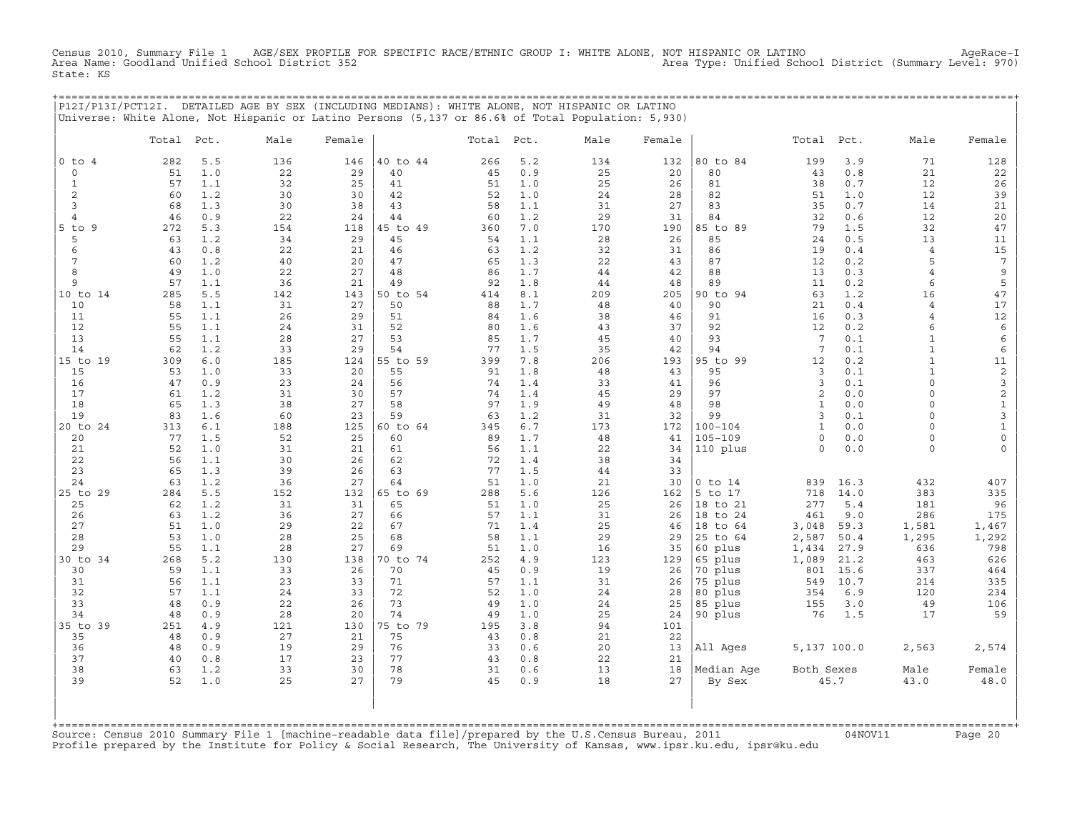Census 2010, Summary File 1 AGE/SEX PROFILE FOR SPECIFIC RACE/ETHNIC GROUP I: WHITE ALONE, NOT HISPANIC OR LATINO AgeRace−I<br>Area Name: Goodland Unified School District 352 Area Type: Unified School District (Summary Level: 970) State: KS

| P12I/P13I/PCT12I. |            |     | DETAILED AGE BY SEX (INCLUDING MEDIANS): WHITE ALONE, NOT HISPANIC OR LATINO<br>Universe: White Alone, Not Hispanic or Latino Persons (5,137 or 86.6% of Total Population: 5,930) |        |          |            |     |      |        |          |            |     |      |        |
|-------------------|------------|-----|-----------------------------------------------------------------------------------------------------------------------------------------------------------------------------------|--------|----------|------------|-----|------|--------|----------|------------|-----|------|--------|
|                   | Total Pct. |     | Male                                                                                                                                                                              | Female |          | Total Pct. |     | Male | Female |          | Total Pct. |     | Male | Female |
| $0$ to $4$        | 282        | 5.5 | 136                                                                                                                                                                               | 146    | 40 to 44 | 266        | 5.2 | 134  | 132    | 80 to 84 | 199        | 3.9 | 71   | 128    |
|                   | 51         | 1.0 | 22                                                                                                                                                                                | 29     | 40       | 45         | 0.9 | 25   | 20     | 80       | 43         | 0.8 | 21   | 22     |
|                   | 57         | 1.1 | 32                                                                                                                                                                                | 25     | 41       | 51         | 1.0 | 25   | 26     | 81       | 38         | 0.7 | 12   | 26     |
|                   | 60         | 1.2 | 30                                                                                                                                                                                | 30     | 42       | 52         | 1.0 | 24   | 28     | 82       | 51         | 1.0 | 12   | 39     |
|                   | 68         | 1.3 | 30                                                                                                                                                                                | 38     | 43       | 58         | 1.1 | 31   | 27     | 83       | 35         | 0.7 | 14   | 21     |
|                   | 46         | 0.9 | 22                                                                                                                                                                                | 24     | 44       | 60         | 1.2 | 29   | 31     | 84       | 32         | 0.6 | 12   | 20     |
| 5.<br>to 9        | 272        | 5.3 | 154                                                                                                                                                                               | 118    | 45 to 49 | 360        | 7.0 | 170  | 190    | 85 to 89 | 79         | 1.5 | 32   | 47     |
|                   | 63         | 1.2 | 34                                                                                                                                                                                | 29     | 45       | 54         | 1.1 | 28   | 26     | 85       | 24         | 0.5 | 13   | 11     |
|                   | 43         | 0.8 | 22                                                                                                                                                                                | 21     | 46       | 63         | 1.2 | 32   | 31     | 86       | 19         | 0.4 |      | 15     |
|                   | 60         | 1.2 | 40                                                                                                                                                                                | 20     | 47       | 65         | 1.3 | 22   | 43     | 87       | 12         | 0.2 |      |        |
|                   | 49         | 1.0 | 22                                                                                                                                                                                | 27     | 48       | 86         | 1.7 | 44   | 42     | 88       | 13         | 0.3 |      |        |
|                   | 57         | 1.1 | 36                                                                                                                                                                                | 21     | 49       | 92         | 1.8 | 44   | 48     | 89       | 11         | 0.2 |      |        |
| 10 to 14          | 285        | 5.5 | 142                                                                                                                                                                               | 143    | 50 to 54 | 414        | 8.1 | 209  | 205    | 90 to 94 | 63         | 1.2 | 16   | 47     |
| 10                | 58         | 1.1 | 31                                                                                                                                                                                | 27     | 50       | 88         | 1.7 | 48   | 40     | 90       | 21         | 0.4 |      | 17     |
| 11                | 55         | 1.1 | 26                                                                                                                                                                                | 29     | 51       | 84         | 1.6 | 38   | 46     | 91       | 16         | 0.3 |      | 12     |
| 12                | 55         | 1.1 | 24                                                                                                                                                                                | 31     | 52       | 80         | 1.6 | 43   | 37     | 92       | 12         | 0.2 |      |        |
| 13                | 55         | 1.1 | 28                                                                                                                                                                                | 27     | 53       | 85         | 1.7 | 45   | 40     | 93       |            | 0.1 |      |        |
| 14                | 62         | 1.2 | 33                                                                                                                                                                                | 29     | 54       | 77         | 1.5 | 35   | 42     | 94       |            | 0.1 |      |        |
| 15 to 19          | 309        | 6.0 | 185                                                                                                                                                                               | 124    | 55 to 59 | 399        | 7.8 | 206  | 193    | 95 to 99 | 12         | 0.2 |      |        |
| 15                | 53         | 1.0 | 33                                                                                                                                                                                | 20     | 55       | 91         | 1.8 | 48   | 43     | 95       |            | 0.1 |      |        |
| 16                | 47         | 0.9 | 23                                                                                                                                                                                | 24     | 56       | 74         | 1.4 | 33   | 41     | 96       |            | 0.1 |      |        |
| 17                | 61         | 1.2 | 31                                                                                                                                                                                | 30     | 57       | 74         | 1.4 | 45   | 29     | 97       |            | 0.0 |      |        |
| 18                | 65         | 1.3 | 38                                                                                                                                                                                | 27     | 58       | 97         | 1.9 | 49   | 48     | 98       |            | 0.0 |      |        |
| 19                | 83         | 1.6 | 60                                                                                                                                                                                | 23     | 59       | 63         | 1.2 | 31   | 32     | 99       |            | 0.1 |      |        |

|20 to 24 313 6.1 188 125 |60 to 64 345 6.7 173 172 |100−104 1 0.0 0 1 | | 20 77 1.5 52 25 | 60 89 1.7 48 41 |105−109 0 0.0 0 0 | | 21 52 1.0 31 21 | 61 56 1.1 22 34 |110 plus 0 0.0 0 0 | | 22 56 1.1 30 26 | 62 72 1.4 38 34 | | | 23 65 1.3 39 26 | 63 77 1.5 44 33 | | | 24 63 1.2 36 27 | 64 51 1.0 21 30 |0 to 14 839 16.3 432 407 | |25 to 29 284 5.5 152 132 |65 to 69 288 5.6 126 162 |5 to 17 718 14.0 383 335 | | 25 62 1.2 31 31 | 65 51 1.0 25 26 |18 to 21 277 5.4 181 96 | | 26 63 1.2 36 27 | 66 57 1.1 31 26 |18 to 24 461 9.0 286 175 | | 27 51 1.0 29 22 | 67 71 1.4 25 46 |18 to 64 3,048 59.3 1,581 1,467 | | 28 53 1.0 28 25 | 68 58 1.1 29 29 |25 to 64 2,587 50.4 1,295 1,292 | | 29 55 1.1 28 27 | 69 51 1.0 16 35 |60 plus 1,434 27.9 636 798 | |30 to 34 268 5.2 130 138 |70 to 74 252 4.9 123 129 |65 plus 1,089 21.2 463 626 | | 30 59 1.1 33 26 | 70 45 0.9 19 26 |70 plus 801 15.6 337 464 | | 31 56 1.1 23 33 | 71 57 1.1 31 26 |75 plus 549 10.7 214 335 | | 32 57 1.1 24 33 | 72 52 1.0 24 28 |80 plus 354 6.9 120 234 | | 33 48 0.9 22 26 | 73 49 1.0 24 25 |85 plus 155 3.0 49 106 | | 34 48 0.9 28 20 | 74 49 1.0 25 24 |90 plus 76 1.5 17 59 | |35 to 39 251 4.9 121 130 |75 to 79 195 3.8 94 101 | | 35 48 0.9 27 21 | 75 43 0.8 21 22 | | | 36 48 0.9 19 29 | 76 33 0.6 20 13 |All Ages 5,137 100.0 2,563 2,574 | | 37 40 0.8 17 23 | 77 43 0.8 22 21 | | | 38 63 1.2 33 30 | 78 31 0.6 13 18 |Median Age Both Sexes Male Female | | 39 52 1.0 25 27 | 79 45 0.9 18 27 | By Sex 45.7 43.0 48.0 | | | | | | | | |

| | +===================================================================================================================================================+ Source: Census 2010 Summary File 1 [machine−readable data file]/prepared by the U.S.Census Bureau, 2011 04NOV11 Page 20 Profile prepared by the Institute for Policy & Social Research, The University of Kansas, www.ipsr.ku.edu, ipsr@ku.edu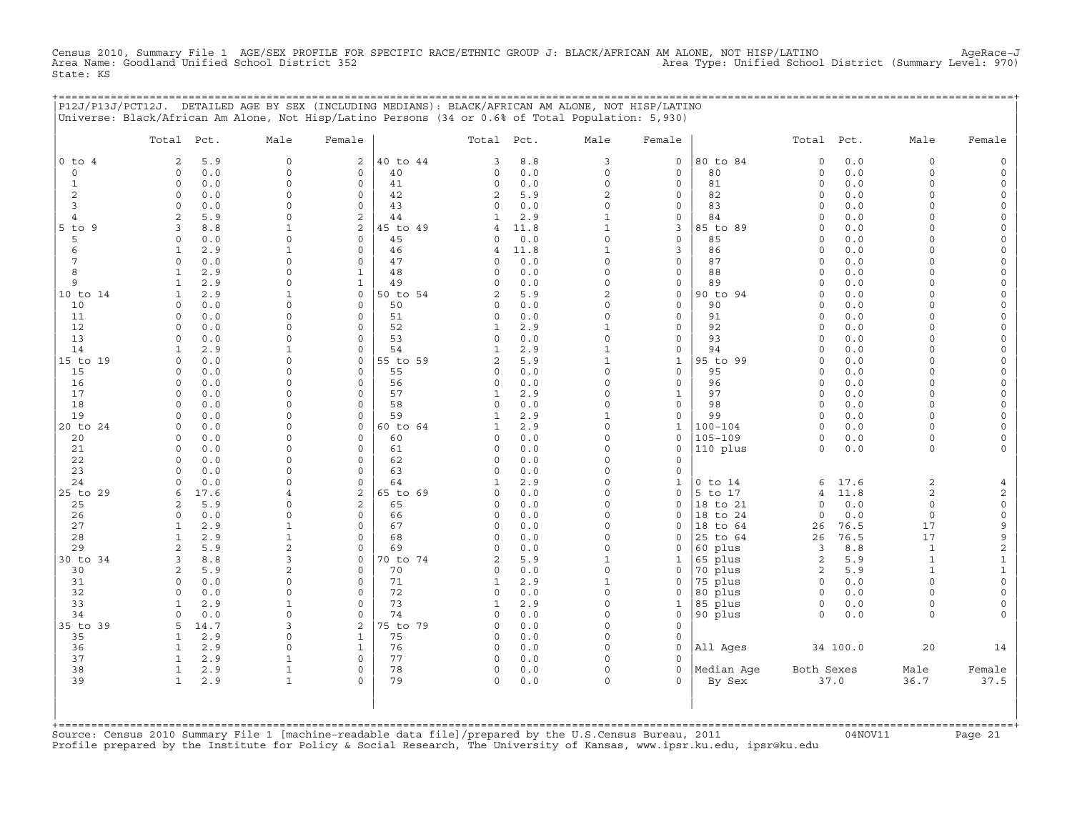Census 2010, Summary File 1 AGE/SEX PROFILE FOR SPECIFIC RACE/ETHNIC GROUP J: BLACK/AFRICAN AM ALONE, NOT HISP/LATINO AgeRace-J<br>Area Name: Goodland Unified School District 352 State: KS

|                     | P12J/P13J/PCT12J. DETAILED AGE BY SEX (INCLUDING MEDIANS): BLACK/AFRICAN AM ALONE, NOT HISP/LATINO<br>Universe: Black/African Am Alone, Not Hisp/Latino Persons (34 or 0.6% of Total Population: 5,930) |                      |                             |                |                          |            |                           |                                     | ;======================== |                         |            |                      |                      |
|---------------------|---------------------------------------------------------------------------------------------------------------------------------------------------------------------------------------------------------|----------------------|-----------------------------|----------------|--------------------------|------------|---------------------------|-------------------------------------|---------------------------|-------------------------|------------|----------------------|----------------------|
|                     | Total Pct.                                                                                                                                                                                              | Male                 | Female                      |                | Total Pct.               |            | Male                      | Female                              |                           | Total Pct.              |            | Male                 | Female               |
| $0$ to $4$          | 5.9<br>2                                                                                                                                                                                                | $\circ$              | 2                           | 40 to 44       | 3                        | 8.8        | 3                         | 0                                   | 80 to 84                  | $\mathsf O$             | 0.0        | $\circ$              |                      |
| $\mathbf 0$         | 0.0<br>$\Omega$                                                                                                                                                                                         | $\circ$              | 0                           | 40             | 0                        | 0.0        | $\circ$                   | 0                                   | 80                        | $\circ$                 | 0.0        | $\circ$              |                      |
| 1                   | 0.0<br>$\Omega$                                                                                                                                                                                         | $\Omega$             | $\mathbf 0$                 | 41             | 0                        | 0.0        | $\Omega$                  | $\circ$                             | 81                        | $\Omega$                | $0.0$      | $\Omega$             |                      |
| $\overline{c}$<br>3 | $\circ$<br>0.0<br>$\circ$<br>0.0                                                                                                                                                                        | $\Omega$<br>$\Omega$ | $\mathsf{O}$<br>$\mathbf 0$ | 42<br>43       | $\overline{a}$<br>0      | 5.9<br>0.0 | 2<br>$\circ$              | 0<br>0                              | 82<br>83                  | $\Omega$<br>$\mathbf 0$ | 0.0<br>0.0 | $\Omega$<br>$\cap$   |                      |
| 4                   | 5.9<br>$\overline{a}$                                                                                                                                                                                   | $\Omega$             | 2                           | 44             |                          | 2.9        | $\mathbf{1}$              | 0                                   | 84                        | $\Omega$                | 0.0        | $\Omega$             |                      |
| $5$ to $9$          | 3<br>8.8                                                                                                                                                                                                |                      | 2                           | 45 to 49       | 4                        | 11.8       | $\mathbf{1}$              | 3                                   | 85 to 89                  | $\Omega$                | 0.0        |                      |                      |
| 5                   | 0.0<br>$\Omega$                                                                                                                                                                                         | $\Omega$             | $\mathsf{O}$                | 45             | 0                        | 0.0        | $\Omega$                  | 0                                   | 85                        | $\Omega$                | 0.0        |                      |                      |
| 6                   | 2.9<br>1                                                                                                                                                                                                | -1                   | $\mathbf 0$                 | 46             | 4                        | 11.8       | 1                         | 3                                   | 86                        | $\Omega$                | 0.0        | $\cap$               |                      |
| 7                   | 0.0<br>$\Omega$                                                                                                                                                                                         | $\cap$               | $\mathbf 0$                 | 47             | $\Omega$                 | 0.0        | $\Omega$                  | $\mathbf{0}$                        | 87                        | $\Omega$                | 0.0        | $\cap$               |                      |
| 8                   | 2.9<br>1                                                                                                                                                                                                | $\Omega$             | $\mathbf{1}$                | 48             | 0                        | 0.0        | $\Omega$                  | $\circ$                             | 88                        | $\mathbf 0$             | 0.0        | $\Omega$             |                      |
| 9                   | 2.9<br>1                                                                                                                                                                                                | <sup>0</sup>         | 1                           | 49             | $\Omega$                 | 0.0        | 0                         | 0                                   | 89                        | $\Omega$                | 0.0        | $\Omega$             |                      |
| 10 to 14<br>10      | 2.9<br>1<br>$\circ$<br>0.0                                                                                                                                                                              | $\Omega$             | $\mathbf{0}$<br>$\mathsf O$ | 50 to 54<br>50 | 2<br>0                   | 5.9<br>0.0 | $\overline{c}$<br>$\circ$ | 0<br>$\circ$                        | 90 to 94<br>90            | $\Omega$<br>$\Omega$    | 0.0<br>0.0 | $\Omega$             |                      |
| 11                  | 0.0<br>$\Omega$                                                                                                                                                                                         | $\Omega$             | $\mathbf 0$                 | 51             | 0                        | 0.0        | $\circ$                   | 0                                   | 91                        | $\Omega$                | 0.0        | $\Omega$             |                      |
| 12                  | 0.0<br>0                                                                                                                                                                                                |                      | $\circ$                     | 52             | 1                        | 2.9        | $\mathbf{1}$              | $\circ$                             | 92                        | $\Omega$                | 0.0        |                      |                      |
| 13                  | 0.0<br>$\Omega$                                                                                                                                                                                         | $\Omega$             | $\circ$                     | 53             | $\circ$                  | 0.0        | $\circ$                   | 0                                   | 93                        | $\Omega$                | 0.0        | $\Omega$             |                      |
| 14                  | 2.9<br>1                                                                                                                                                                                                | -1                   | $\mathbf 0$                 | 54             | $\mathbf{1}$             | 2.9        | $\mathbf{1}$              | 0                                   | 94                        | $\Omega$                | 0.0        | $\Omega$             |                      |
| 15 to 19            | 0.0<br>0                                                                                                                                                                                                | $\cap$               | $\mathsf{O}$                | 55 to 59       | $\overline{a}$           | 5.9        | $\mathbf{1}$              | $\mathbf{1}$                        | 95 to 99                  | $\Omega$                | 0.0        | $\cap$               |                      |
| 15                  | 0.0<br>$\Omega$                                                                                                                                                                                         | $\Omega$             | $\mathbf 0$                 | 55             | $\Omega$                 | 0.0        | $\Omega$                  | $\mathbf{0}$                        | 95                        | $\Omega$                | 0.0        | $\cap$               |                      |
| 16                  | 0.0<br>$\circ$                                                                                                                                                                                          | <sup>0</sup>         | $\circ$                     | 56             | 0                        | 0.0        | $\circ$                   | $\mathbf{0}$                        | 96                        | $\mathbf 0$             | 0.0        | $\Omega$             |                      |
| 17                  | 0.0<br>$\Omega$                                                                                                                                                                                         | U<br>$\cap$          | $\mathbf 0$                 | 57             | 1                        | 2.9        | O                         | 1                                   | 97                        | $\Omega$                | 0.0        | $\cap$               |                      |
| 18<br>19            | 0.0<br>$\Omega$<br>0.0<br>$\Omega$                                                                                                                                                                      | $\Omega$             | $\Omega$<br>$\mathsf O$     | 58<br>59       | $\Omega$<br>$\mathbf{1}$ | 0.0<br>2.9 | $\Omega$<br>$\mathbf{1}$  | $\mathbf{0}$<br>$\mathsf{O}\xspace$ | 98<br>99                  | $\Omega$<br>$\circ$     | 0.0<br>0.0 | $\Omega$             |                      |
| 20 to 24            | 0.0<br>$\Omega$                                                                                                                                                                                         | O                    | $\mathsf{O}$                | 60 to 64       | 1                        | 2.9        | $\circ$                   | $\mathbf{1}$                        | $100 - 104$               | $\circ$                 | 0.0        | $\cap$               |                      |
| 20                  | 0.0<br>$\Omega$                                                                                                                                                                                         | $\Omega$             | $\mathbf{0}$                | 60             | 0                        | 0.0        | O                         | $\mathbf 0$                         | $105 - 109$               | $\Omega$                | 0.0        | $\Omega$             |                      |
| 21                  | $\Omega$<br>0.0                                                                                                                                                                                         | $\Omega$             | $\mathbf 0$                 | 61             | 0                        | 0.0        | $\Omega$                  | 0                                   | 110 plus                  | $\circ$                 | 0.0        | $\Omega$             |                      |
| 22                  | $\Omega$<br>0.0                                                                                                                                                                                         | $\Omega$             | $\mathbf 0$                 | 62             | 0                        | 0.0        | $\circ$                   | 0                                   |                           |                         |            |                      |                      |
| 23                  | 0.0<br>$\cap$                                                                                                                                                                                           | $\cap$               | $\mathsf{O}$                | 63             | 0                        | 0.0        | O                         | 0                                   |                           |                         |            |                      |                      |
| 24                  | 0.0<br>$\Omega$                                                                                                                                                                                         | $\Omega$             | $\mathbf 0$                 | 64             | 1                        | 2.9        | $\Omega$                  | 1                                   | $0$ to $14$               | 6                       | 17.6       | 2                    |                      |
| 25 to 29            | 17.6<br>6                                                                                                                                                                                               | $\overline{4}$       | 2                           | 65 to 69       | 0                        | 0.0        | $\Omega$                  | 0                                   | 5 to 17                   | 4                       | 11.8       | 2                    | 2                    |
| 25<br>26            | 5.9<br>2<br>0.0<br>$\Omega$                                                                                                                                                                             | $\cap$<br>$\cap$     | 2<br>$\mathbf 0$            | 65<br>66       | 0<br>0                   | 0.0<br>0.0 | O<br>$\Omega$             | 0<br>$\Omega$                       | 18 to 21<br>18 to 24      | $\circ$<br>$\Omega$     | 0.0<br>0.0 | $\Omega$<br>$\Omega$ | $\Omega$<br>$\Omega$ |
| 27                  | 2.9<br>1                                                                                                                                                                                                | 1                    | $\mathsf O$                 | 67             | 0                        | 0.0        | 0                         | 0                                   | 18 to 64                  | 26                      | 76.5       | 17                   | 9                    |
| 28                  | 2.9<br>$\mathbf{1}$                                                                                                                                                                                     |                      | $\circ$                     | 68             | $\circ$                  | 0.0        | O                         | 0                                   | 25 to 64                  | 26                      | 76.5       | 17                   | 9                    |
| 29                  | 5.9<br>2                                                                                                                                                                                                | $\overline{a}$       | $\mathbf 0$                 | 69             | $\Omega$                 | 0.0        | O                         | $\Omega$                            | 60 plus                   | 3                       | 8.8        | $\mathbf{1}$         | $\sqrt{2}$           |
| 30 to 34            | 8.8<br>3                                                                                                                                                                                                | 3                    | $\mathsf{O}$                | 70 to 74       | 2                        | 5.9        | 1                         | 1                                   | 65 plus                   | 2                       | 5.9        | $\mathbf{1}$         | $\mathbf{1}$         |
| 30                  | 2<br>5.9                                                                                                                                                                                                | 2                    | $\mathsf{O}$                | 70             | 0                        | 0.0        | $\circ$                   | 0                                   | 70 plus                   | 2                       | 5.9        | $\mathbf{1}$         | $\mathbf{1}$         |
| 31                  | 0.0<br>0                                                                                                                                                                                                | 0                    | $\mathsf{O}$                | 71             | 1                        | 2.9        | $\mathbf{1}$              | 0                                   | 75 plus                   | $\circ$                 | 0.0        | $\Omega$             |                      |
| 32                  | 0.0<br>$\Omega$                                                                                                                                                                                         | $\Omega$             | $\mathsf{O}$                | 72             | 0                        | 0.0        | $\Omega$                  | 0                                   | 80 plus                   | 0                       | 0.0        | $\Omega$             |                      |
| 33                  | 2.9<br>$\mathbf{1}$<br>$\Omega$                                                                                                                                                                         | $\Omega$             | $\Omega$<br>$\mathbf 0$     | 73             | 1                        | 2.9        | $\Omega$                  | 1                                   | 85 plus                   | $\circ$<br>$\circ$      | 0.0        | $\Omega$<br>$\Omega$ |                      |
| 34<br>35 to 39      | 0.0<br>14.7<br>5                                                                                                                                                                                        | κ                    | 2                           | 74<br>75 to 79 | 0<br>0                   | 0.0<br>0.0 | 0<br>$\Omega$             | 0<br>$\circ$                        | 90 plus                   |                         | 0.0        |                      |                      |
| 35                  | 2.9<br>1                                                                                                                                                                                                | $\Omega$             | 1                           | 75             | $\mathbf 0$              | 0.0        | O                         | 0                                   |                           |                         |            |                      |                      |
| 36                  | 2.9<br>$\mathbf{1}$                                                                                                                                                                                     | $\Omega$             | $\mathbf{1}$                | 76             | $\circ$                  | 0.0        | U                         | $\circ$                             | All Ages                  |                         | 34 100.0   | 20                   | 14                   |
| 37                  | 2.9<br>1                                                                                                                                                                                                |                      | $\mathbf 0$                 | 77             | 0                        | 0.0        | O                         | 0                                   |                           |                         |            |                      |                      |
| 38                  | $\mathbf{1}$<br>2.9                                                                                                                                                                                     | $\mathbf{1}$         | $\mathsf{O}$                | 78             | $\circ$                  | 0.0        | $\circ$                   | $\circ$                             | Median Age                | Both Sexes              |            | Male                 | Female               |
| 39                  | 2.9<br>$\mathbf{1}$                                                                                                                                                                                     | 1                    | $\Omega$                    | 79             | $\circ$                  | 0.0        | $\circ$                   | $\Omega$                            | By Sex                    |                         | 37.0       | 36.7                 | 37.5                 |
|                     |                                                                                                                                                                                                         |                      |                             |                |                          |            |                           |                                     |                           |                         |            |                      |                      |
|                     |                                                                                                                                                                                                         |                      |                             |                |                          |            |                           |                                     |                           |                         |            |                      |                      |
| +===========        |                                                                                                                                                                                                         |                      |                             |                |                          |            |                           |                                     |                           |                         |            |                      |                      |

+===================================================================================================================================================+Source: Census 2010 Summary File 1 [machine−readable data file]/prepared by the U.S.Census Bureau, 2011 04NOV11 Page 21 Profile prepared by the Institute for Policy & Social Research, The University of Kansas, www.ipsr.ku.edu, ipsr@ku.edu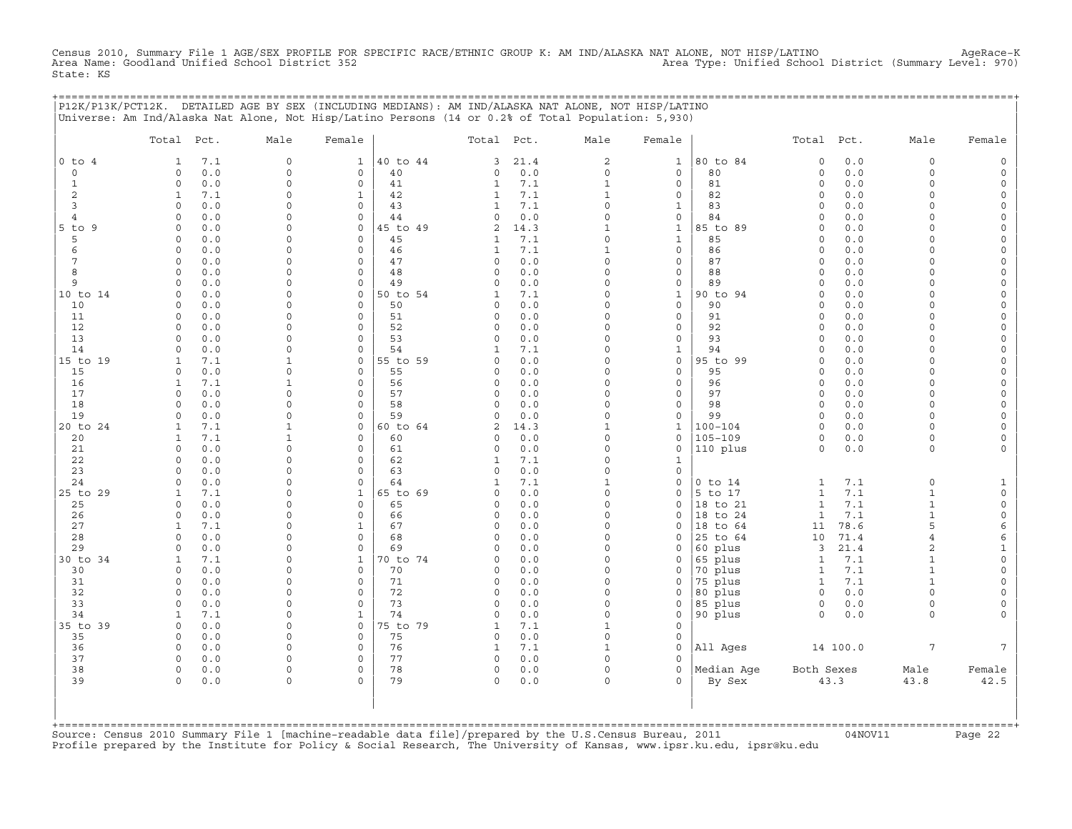Census 2010, Summary File 1 AGE/SEX PROFILE FOR SPECIFIC RACE/ETHNIC GROUP K: AM IND/ALASKA NAT ALONE, NOT HISP/LATINO AgeRace-K<br>Area Name: Goodland Unified School District 352 State: KS

+===================================================================================================================================================+

|                                                                 | P12K/P13K/PCT12K. DETAILED AGE BY SEX (INCLUDING MEDIANS): AM IND/ALASKA NAT ALONE, NOT HISP/LATINO<br>Universe: Am Ind/Alaska Nat Alone, Not Hisp/Latino Persons (14 or 0.2% of Total Population: 5,930) |                                                                      |                                                                                                                    |                                                          |                                        |                                                                         |                                                                                 |                                                               |                                                                    |                                   |                                                              |                                                                             |
|-----------------------------------------------------------------|-----------------------------------------------------------------------------------------------------------------------------------------------------------------------------------------------------------|----------------------------------------------------------------------|--------------------------------------------------------------------------------------------------------------------|----------------------------------------------------------|----------------------------------------|-------------------------------------------------------------------------|---------------------------------------------------------------------------------|---------------------------------------------------------------|--------------------------------------------------------------------|-----------------------------------|--------------------------------------------------------------|-----------------------------------------------------------------------------|
|                                                                 | Pct.<br>Total                                                                                                                                                                                             | Male                                                                 | Female                                                                                                             | Total                                                    | Pct.                                   | Male                                                                    | Female                                                                          |                                                               | Total                                                              | Pct.                              | Male                                                         | Female                                                                      |
| $0$ to<br>$\overline{4}$<br>0<br>$\mathbf{1}$<br>$\overline{c}$ | 7.1<br>1<br>0.0<br>$\Omega$<br>$\circ$<br>0.0<br>$\mathbf{1}$<br>7.1                                                                                                                                      | $\mathbf 0$<br>$\Omega$<br>$\Omega$<br>$\Omega$                      | 40 to 44<br>1<br>$\mathsf{O}\xspace$<br>40<br>$\circ$<br>41<br>42<br>1                                             | 3<br>$\Omega$<br>1<br>$\mathbf{1}$                       | 21.4<br>0.0<br>7.1<br>7.1              | $\sqrt{2}$<br>$\circ$<br>$\mathbf{1}$<br>$\mathbf{1}$                   | $\mathbf 1$<br>$\mathsf{O}\xspace$<br>0<br>0                                    | 80 to 84<br>80<br>81<br>82                                    | $\circ$<br>$\circ$<br>$\circ$<br>$\circ$                           | $0.0$<br>0.0<br>0.0<br>0.0        | $\mathbf 0$<br>$\Omega$<br>$\Omega$<br>$\Omega$              | $\mathsf{O}$<br>$\mathsf{O}$<br>0<br>0                                      |
| $\overline{3}$<br>4<br>$5$ to<br>9<br>5<br>6                    | $\Omega$<br>0.0<br>0<br>0.0<br>0.0<br>$\mathbf 0$<br>0.0<br>0<br>$\mathbf 0$<br>0.0                                                                                                                       | $\Omega$<br>$\Omega$<br>$\Omega$<br>$\Omega$<br>$\Omega$             | $\mathbf 0$<br>43<br>44<br>$\circ$<br>45 to 49<br>0<br>$\circ$<br>45<br>$\mathbf 0$<br>46                          | $\mathbf{1}$<br>0<br>$\overline{a}$<br>$\mathbf{1}$<br>1 | 7.1<br>0.0<br>14.3<br>7.1<br>7.1       | $\Omega$<br>$\Omega$<br>$\mathbf{1}$<br>$\circ$<br>$\mathbf{1}$         | $\mathbf 1$<br>0<br>$\mathbf{1}$<br>$\mathbf{1}$<br>0                           | 83<br>84<br>85 to 89<br>85<br>86                              | $\circ$<br>$\mathbf 0$<br>$\circ$<br>$\circ$<br>$\circ$            | 0.0<br>0.0<br>0.0<br>0.0<br>0.0   | $\Omega$<br>$\Omega$<br>0<br>$\Omega$<br>$\Omega$            | 0<br>0<br>$\mathsf{O}\xspace$<br>$\mathbf 0$<br>0                           |
| 7<br>8<br>9<br>10 to 14                                         | 0.0<br>$\Omega$<br>$\circ$<br>0.0<br>$\mathbf 0$<br>0.0<br>0.0<br>$\Omega$                                                                                                                                | $\circ$<br>$\Omega$<br>$\Omega$<br>$\Omega$                          | $\mathbf 0$<br>47<br>$\circ$<br>48<br>$\mathbf 0$<br>49<br>50 to 54<br>$\mathbf 0$                                 | 0<br>$\Omega$<br>0<br>1                                  | 0.0<br>0.0<br>0.0<br>7.1               | 0<br>$\Omega$<br>$\circ$<br>$\Omega$<br>$\Omega$                        | 0<br>0<br>0<br>$\mathbf 1$                                                      | 87<br>88<br>89<br>90 to 94                                    | $\circ$<br>$\circ$<br>$\mathbf 0$<br>$\circ$                       | 0.0<br>0.0<br>0.0<br>0.0          | 0<br>$\Omega$<br>$\Omega$<br>0<br>$\Omega$                   | 0<br>0<br>0<br>$\mathsf{O}\xspace$                                          |
| 10<br>11<br>12<br>13<br>14                                      | 0.0<br>$\Omega$<br>$\circ$<br>0.0<br>$\Omega$<br>0.0<br>0.0<br>$\Omega$<br>0.0<br>$\mathbf 0$                                                                                                             | $\Omega$<br>$\Omega$<br>$\Omega$<br>$\Omega$<br>$\Omega$             | $\Omega$<br>50<br>$\mathbf 0$<br>51<br>52<br>$\mathbf 0$<br>$\Omega$<br>53<br>$\circ$<br>54                        | $\Omega$<br>0<br>0<br>0<br>1                             | 0.0<br>0.0<br>0.0<br>0.0<br>7.1        | $\Omega$<br>$\Omega$<br>$\Omega$<br>$\Omega$                            | 0<br>0<br>0<br>0<br>$\mathbf{1}$                                                | 90<br>91<br>92<br>93<br>94                                    | $\Omega$<br>$\circ$<br>$\circ$<br>$\mathbf 0$<br>$\mathbf 0$       | 0.0<br>0.0<br>0.0<br>0.0<br>0.0   | $\Omega$<br>$\Omega$<br>$\Omega$<br>$\Omega$                 | 0<br>0<br>$\mathsf{O}\xspace$<br>0<br>0                                     |
| 15 to 19<br>15<br>16<br>17<br>18                                | 7.1<br>$\mathbf{1}$<br>$0.0$<br>$\mathbf 0$<br>7.1<br>1<br>0.0<br>$\Omega$<br>$0.0$<br>$\Omega$                                                                                                           | 1<br>$\Omega$<br>1<br>$\Omega$<br>$\Omega$                           | 55 to 59<br>$\mathbf 0$<br>$\mathbf 0$<br>55<br>$\circ$<br>56<br>$\Omega$<br>57<br>58<br>$\mathbf 0$               | $\Omega$<br>0<br>0<br>0<br>0                             | 0.0<br>0.0<br>0.0<br>0.0<br>0.0        | $\Omega$<br>$\Omega$<br>$\Omega$<br>$\Omega$<br>$\Omega$                | $\mathsf{O}\xspace$<br>$\mathsf{O}\xspace$<br>0<br>0<br>$\mathsf{O}\xspace$     | 95 to 99<br>95<br>96<br>97<br>98                              | $\circ$<br>$\Omega$<br>$\mathbf 0$<br>$\mathbf 0$<br>$\circ$       | 0.0<br>0.0<br>0.0<br>0.0<br>0.0   | $\Omega$<br>$\Omega$<br>$\Omega$<br>$\Omega$<br>$\Omega$     | $\mathsf{O}\xspace$<br>$\mathsf{O}\xspace$<br>0<br>0<br>$\mathsf{O}\xspace$ |
| 19<br>20 to 24<br>20<br>21<br>22                                | 0.0<br>$\Omega$<br>1<br>7.1<br>7.1<br>$\mathbf{1}$<br>0.0<br>$\circ$<br>$\circ$<br>0.0                                                                                                                    | $\Omega$<br>1<br>$\mathbf{1}$<br>$\Omega$<br>$\Omega$                | $\Omega$<br>59<br>0<br>60 to 64<br>0<br>60<br>$\Omega$<br>61<br>$\Omega$<br>62                                     | $\Omega$<br>2<br>0<br>$\Omega$<br>1                      | 0.0<br>14.3<br>0.0<br>0.0<br>7.1       | $\Omega$<br>$\mathbf{1}$<br>0<br>$\Omega$<br>$\Omega$                   | 0<br>$\mathbf{1}$<br>$\mathsf{O}\xspace$<br>$\mathsf{O}\xspace$<br>$\mathbf{1}$ | 99<br>$100 - 104$<br>$105 - 109$<br>110 plus                  | $\Omega$<br>$\mathbf 0$<br>$\mathbf 0$<br>$\circ$                  | 0.0<br>0.0<br>0.0<br>0.0          | $\Omega$<br>$\Omega$<br>$\mathbf 0$<br>$\circ$               | 0<br>0<br>0<br>$\mathsf{O}\xspace$                                          |
| 23<br>24<br>25 to 29<br>25<br>26<br>27                          | 0.0<br>$\Omega$<br>$\Omega$<br>0.0<br>7.1<br>1<br>$0.0$<br>$\circ$<br>$\Omega$<br>0.0<br>$\mathbf{1}$<br>7.1                                                                                              | $\Omega$<br>$\Omega$<br>$\Omega$<br>$\Omega$<br>$\Omega$<br>$\Omega$ | $\mathbf 0$<br>63<br>$\Omega$<br>64<br>$\mathbf{1}$<br>65 to 69<br>0<br>65<br>$\Omega$<br>66<br>$\mathbf{1}$<br>67 | 0<br>$\mathbf{1}$<br>0<br>0<br>$\Omega$<br>0             | 0.0<br>7.1<br>0.0<br>0.0<br>0.0<br>0.0 | $\Omega$<br>$\mathbf{1}$<br>$\circ$<br>$\Omega$<br>$\Omega$<br>$\Omega$ | 0<br>$\mathbf 0$<br>0<br>0<br>$\Omega$<br>0                                     | $0$ to $14$<br>5 to 17<br>18 to 21<br>18 to 24<br>18<br>to 64 | $\mathbf{1}$<br>$\mathbf{1}$<br>$\mathbf{1}$<br>$\mathbf{1}$<br>11 | 7.1<br>7.1<br>7.1<br>7.1<br>78.6  | $\circ$<br>$\mathbf{1}$<br>$\mathbf{1}$<br>$\mathbf{1}$<br>5 | $\mathbf{1}$<br>$\mathsf O$<br>$\mathsf{O}\xspace$<br>0<br>6                |
| 28<br>29<br>30 to 34<br>30<br>31                                | $0.0$<br>$\mathbf 0$<br>$\circ$<br>0.0<br>7.1<br>1<br>0.0<br>$\circ$<br>0.0<br>$\mathbf 0$                                                                                                                | $\Omega$<br>$\Omega$<br>$\Omega$<br>$\Omega$<br>$\Omega$             | 68<br>0<br>$\circ$<br>69<br>70 to 74<br>1<br>70<br>0<br>$\Omega$<br>71                                             | $\Omega$<br>$\Omega$<br>0<br>0<br>0                      | 0.0<br>0.0<br>0.0<br>0.0<br>0.0        | $\Omega$<br>$\Omega$<br>$\Omega$<br>$\Omega$<br>$\Omega$                | $\mathbf 0$<br>$\mathbf 0$<br>0<br>0<br>$\mathbf 0$                             | 25 to 64<br>60 plus<br>65 plus<br>70 plus<br>75 plus          | 10<br>3<br>1<br>$\mathbf{1}$<br>$\mathbf{1}$                       | 71.4<br>21.4<br>7.1<br>7.1<br>7.1 | $\overline{4}$<br>2<br>1<br>$\mathbf{1}$<br>$\mathbf{1}$     | 6<br>$\mathbf 1$<br>0<br>$\mathsf{O}\xspace$<br>0                           |
| 32<br>33<br>34<br>35 to 39<br>35                                | 0.0<br>$\circ$<br>0.0<br>$\Omega$<br>7.1<br>1<br>0.0<br>$\Omega$<br>0.0<br>$\circ$                                                                                                                        | $\Omega$<br>$\Omega$<br>$\Omega$<br>$\Omega$<br>$\Omega$             | $\Omega$<br>72<br>73<br>$\circ$<br>74<br>$\mathbf{1}$<br>75 to 79<br>$\Omega$<br>$\circ$<br>75                     | $\mathbf 0$<br>$\circ$<br>0<br>1<br>0                    | 0.0<br>0.0<br>$0.0$<br>7.1<br>0.0      | $\Omega$<br>$\Omega$<br>$\Omega$<br>$\mathbf{1}$<br>$\Omega$            | 0<br>0<br>$\mathsf{O}\xspace$<br>$\mathsf{O}\xspace$<br>0                       | 80 plus<br>85 plus<br>90 plus                                 | $\circ$<br>$\circ$<br>$\circ$                                      | 0.0<br>0.0<br>0.0                 | $\Omega$<br>0<br>0                                           | 0<br>0<br>0                                                                 |
| 36<br>37<br>38<br>39                                            | 0.0<br>0<br>0<br>0.0<br>0<br>0.0<br>$\circ$<br>0.0                                                                                                                                                        | $\Omega$<br>$\Omega$<br>$\Omega$<br>$\Omega$                         | 76<br>$\mathbf 0$<br>$\circ$<br>77<br>78<br>$\circ$<br>79<br>$\Omega$                                              | $\mathbf 1$<br>0<br>0<br>$\circ$                         | 7.1<br>0.0<br>$0.0$<br>0.0             | $\mathbf{1}$<br>$\circ$<br>$\circ$<br>$\Omega$                          | $\mathbf 0$<br>$\Omega$<br>$\mathbf 0$<br>$\Omega$                              | All Ages<br>Median Age<br>By Sex                              | Both Sexes                                                         | 14 100.0<br>43.3                  | $\overline{7}$<br>Male<br>43.8                               | 7<br>Female<br>42.5                                                         |
|                                                                 |                                                                                                                                                                                                           |                                                                      |                                                                                                                    |                                                          |                                        |                                                                         |                                                                                 |                                                               |                                                                    |                                   |                                                              |                                                                             |

+===================================================================================================================================================+Source: Census 2010 Summary File 1 [machine−readable data file]/prepared by the U.S.Census Bureau, 2011 04NOV11 Page 22 Profile prepared by the Institute for Policy & Social Research, The University of Kansas, www.ipsr.ku.edu, ipsr@ku.edu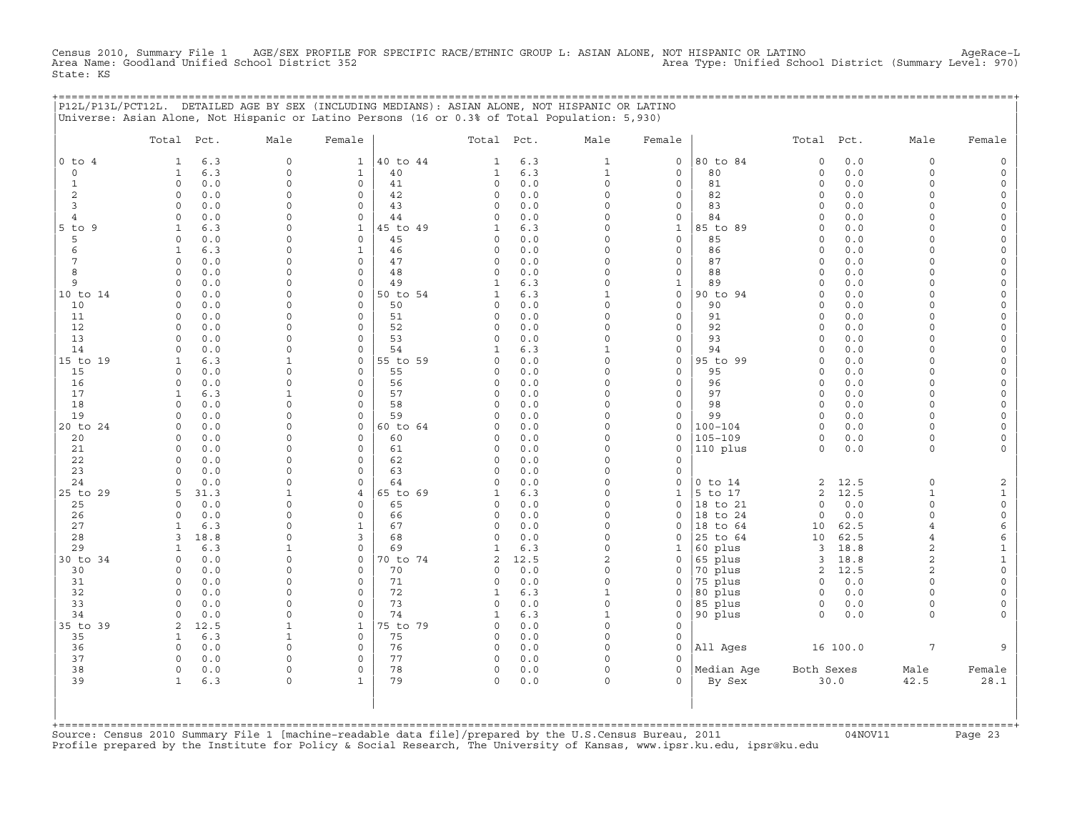Census 2010, Summary File 1 AGE/SEX PROFILE FOR SPECIFIC RACE/ETHNIC GROUP L: ASIAN ALONE, NOT HISPANIC OR LATINO AgeRace−L Area Name: Goodland Unified School District 352 Area Type: Unified School District (Summary Level: 970) State: KS

+===================================================================================================================================================+

|                | P12L/P13L/PCT12L. DETAILED AGE BY SEX (INCLUDING MEDIANS): ASIAN ALONE, NOT HISPANIC OR LATINO<br>Universe: Asian Alone, Not Hispanic or Latino Persons (16 or 0.3% of Total Population: 5,930) |                             |                                 |                |                                |             |                            |                                    |                    |                     |              |                                  |                                            |
|----------------|-------------------------------------------------------------------------------------------------------------------------------------------------------------------------------------------------|-----------------------------|---------------------------------|----------------|--------------------------------|-------------|----------------------------|------------------------------------|--------------------|---------------------|--------------|----------------------------------|--------------------------------------------|
|                | Total Pct.                                                                                                                                                                                      | Male                        | Female                          |                | Total                          | Pct.        | Male                       | Female                             |                    | Total               | Pct.         | Male                             | Female                                     |
| $0$ to $4$     | 6.3<br>1                                                                                                                                                                                        | $\mathsf{O}\xspace$         | $\mathbf{1}$                    | 40 to 44       | 1                              | 6.3         | $\mathbf{1}$               | $\mathbf 0$                        | 80 to 84           | $\mathbf 0$         | 0.0          | 0                                | $\mathsf{O}$                               |
| 0              | 6.3<br>$\mathbf{1}$                                                                                                                                                                             | $\Omega$                    | $\mathbf{1}$                    | 40             | $\mathbf{1}$                   | 6.3         | $\mathbf{1}$               | $\mathbf 0$                        | 80                 | $\mathsf{O}\xspace$ | 0.0          | $\circ$                          | $\mathsf{O}\xspace$                        |
| $\mathbf{1}$   | $\circ$<br>0.0                                                                                                                                                                                  | $\Omega$                    | $\mathbf 0$                     | 41             | 0                              | 0.0         | $\mathsf{O}\xspace$        | $\mathbf 0$                        | 81                 | $\mathsf{O}\xspace$ | 0.0          | $\circ$                          | $\mathsf{O}\xspace$                        |
| 2              | $\circ$<br>0.0                                                                                                                                                                                  | $\Omega$                    | $\mathbf 0$                     | 42             | 0                              | 0.0         | $\Omega$                   | $\mathbf 0$                        | 82                 | $\circ$             | 0.0          | $\circ$                          | 0                                          |
| 3              | 0.0<br>$\mathbf 0$                                                                                                                                                                              | $\Omega$                    | $\mathbf 0$                     | 43             | 0                              | 0.0         | $\Omega$                   | $\mathbf 0$                        | 83                 | $\circ$             | 0.0          | $\circ$                          | 0                                          |
| $\overline{4}$ | 0.0<br>$\mathbf 0$                                                                                                                                                                              | $\Omega$                    | $\mathbf 0$                     | 44             | 0                              | 0.0         | $\mathbf 0$                | $\mathsf{O}\xspace$                | 84                 | $\mathbf 0$         | 0.0          | $\circ$                          | $\mathsf{O}\xspace$                        |
| $5$ to $9$     | 6.3<br>$\mathbf{1}$                                                                                                                                                                             | $\Omega$                    | $\mathbf{1}$                    | 45 to 49       | $\mathbf{1}$                   | 6.3         | $\Omega$                   | $\mathbf{1}$                       | 85 to 89           | $\Omega$            | 0.0          | $\Omega$                         | 0                                          |
| 5<br>6         | $\circ$<br>0.0<br>$\mathbf{1}$                                                                                                                                                                  | $\Omega$<br>$\Omega$        | $\mathbf 0$<br>$\mathbf{1}$     | 45             | 0                              | 0.0<br>0.0  | $\Omega$<br>$\mathbf 0$    | $\mathbf 0$<br>$\mathsf{O}\xspace$ | 85<br>86           | $\circ$             | 0.0          | 0<br>$\Omega$                    | $\mathsf{O}\xspace$                        |
| 7              | 6.3<br>$\Omega$<br>0.0                                                                                                                                                                          | $\Omega$                    | 0                               | 46<br>47       | 0<br>0                         | 0.0         | $\Omega$                   | $\mathbf 0$                        | 87                 | $\circ$<br>$\Omega$ | 0.0<br>0.0   | $\circ$                          | $\mathsf{O}$<br>0                          |
| 8              | $\Omega$<br>0.0                                                                                                                                                                                 | $\Omega$                    | $\mathbf 0$                     | 48             | $\circ$                        | 0.0         | $\Omega$                   | $\mathsf{O}\xspace$                | 88                 | $\circ$             | 0.0          | $\circ$                          | $\mathsf{O}\xspace$                        |
| 9              | $\mathsf{O}$<br>0.0                                                                                                                                                                             | $\mathbf 0$                 | 0                               | 49             | $\mathbf{1}$                   | 6.3         | $\mathbf 0$                | $1\,$                              | 89                 | $\circ$             | 0.0          | 0                                | $\mathsf{O}$                               |
| 10 to 14       | 0.0<br>$\Omega$                                                                                                                                                                                 | 0                           | 0                               | 50 to 54       | $\mathbf{1}$                   | 6.3         | $\mathbf{1}$               | $\mathsf{O}$                       | 90 to 94           | $\Omega$            | 0.0          | $\Omega$                         | 0                                          |
| 10             | 0.0<br>$\Omega$                                                                                                                                                                                 | $\Omega$                    | $\mathbf 0$                     | 50             | 0                              | 0.0         | $\Omega$                   | $\mathbf 0$                        | 90                 | $\Omega$            | 0.0          | $\circ$                          | $\mathsf{O}\xspace$                        |
| 11             | $\circ$<br>0.0                                                                                                                                                                                  | $\Omega$                    | $\mathsf{O}\xspace$             | 51             | 0                              | 0.0         | $\Omega$                   | $\mathsf{O}\xspace$                | 91                 | $\mathsf{O}\xspace$ | 0.0          | $\Omega$                         | $\mathsf{O}\xspace$                        |
| 12             | 0.0<br>$\Omega$                                                                                                                                                                                 | 0                           | 0                               | 52             | 0                              | 0.0         | $\Omega$                   | $\mathbf 0$                        | 92                 | $\Omega$            | 0.0          | $\Omega$                         | $\mathsf{O}\xspace$                        |
| 13             | 0.0<br>$\Omega$                                                                                                                                                                                 | $\Omega$                    | 0                               | 53             | $\circ$                        | 0.0         | $\Omega$                   | $\mathbf 0$                        | 93                 | $\Omega$            | 0.0          | $\circ$                          | $\mathsf{O}\xspace$                        |
| 14             | $\Omega$<br>0.0                                                                                                                                                                                 | $\Omega$                    | 0                               | 54             | $\mathbf{1}$                   | 6.3         | $\mathbf{1}$               | $\mathbf 0$                        | 94                 | $\Omega$            | 0.0          | $\Omega$                         | $\mathsf{O}\xspace$                        |
| 15 to 19       | 6.3<br>$\mathbf{1}$                                                                                                                                                                             | $\mathbf{1}$                | $\mathbf 0$                     | 55 to 59       | 0                              | 0.0         | $\mathbf 0$                | $\mathbf 0$                        | 95 to 99           | $\circ$             | 0.0          | $\Omega$                         | 0                                          |
| 15             | 0.0<br>$\Omega$                                                                                                                                                                                 | $\Omega$                    | $\mathbf 0$                     | 55             | 0                              | $0.0$       | $\Omega$                   | $\mathbf 0$                        | 95                 | $\Omega$            | 0.0          | $\circ$                          | $\mathsf{O}\xspace$                        |
| 16             | $\Omega$<br>0.0                                                                                                                                                                                 | $\Omega$                    | $\mathbf 0$                     | 56             | 0                              | 0.0         | $\mathbf 0$                | $\mathbf 0$                        | 96                 | $\Omega$            | 0.0          | $\circ$                          | $\mathsf{O}\xspace$                        |
| 17             | $\mathbf{1}$<br>6.3                                                                                                                                                                             | 1<br>$\Omega$               | $\mathbf 0$                     | 57             | 0                              | 0.0         | $\mathbf 0$<br>$\Omega$    | $\mathbf 0$                        | 97<br>98           | $\circ$             | 0.0          | $\circ$                          | 0                                          |
| 18<br>19       | 0.0<br>$\circ$<br>$\Omega$<br>0.0                                                                                                                                                               | $\Omega$                    | $\circ$<br>0                    | 58<br>59       | $\circ$<br>0                   | 0.0<br>0.0  | $\Omega$                   | $\mathsf{O}\xspace$<br>$\mathbf 0$ | 99                 | $\circ$<br>$\circ$  | 0.0<br>0.0   | $\circ$<br>$\circ$               | $\mathsf{O}\xspace$<br>$\mathsf{O}\xspace$ |
| 20 to 24       | 0.0<br>$\Omega$                                                                                                                                                                                 | $\Omega$                    | $\mathbf 0$                     | 60 to 64       | 0                              | 0.0         | $\Omega$                   | $\mathbf 0$                        | $100 - 104$        | $\circ$             | 0.0          | 0                                | 0                                          |
| 20             | 0.0<br>$\Omega$                                                                                                                                                                                 | $\mathbf 0$                 | $\mathsf{O}\xspace$             | 60             | 0                              | 0.0         | $\mathbf 0$                | $\mathbf 0$                        | $105 - 109$        | $\mathsf{O}\xspace$ | $0.0$        | 0                                | $\mathsf{O}\xspace$                        |
| 21             | $\Omega$<br>0.0                                                                                                                                                                                 | $\Omega$                    | $\mathbf 0$                     | 61             | 0                              | 0.0         | $\Omega$                   | $\mathbf 0$                        | 110 plus           | $\circ$             | 0.0          | $\circ$                          | 0                                          |
| 22             | 0.0<br>$\mathbf 0$                                                                                                                                                                              | $\Omega$                    | 0                               | 62             | 0                              | 0.0         | $\Omega$                   | $\mathbf 0$                        |                    |                     |              |                                  |                                            |
| 23             | 0.0<br>$\Omega$                                                                                                                                                                                 | $\mathbf 0$                 | 0                               | 63             | 0                              | 0.0         | $\mathbf 0$                | $\mathsf{O}$                       |                    |                     |              |                                  |                                            |
| 24             | 0.0<br>$\Omega$                                                                                                                                                                                 | $\Omega$                    | 0                               | 64             | 0                              | 0.0         | $\Omega$                   | $\Omega$                           | $0$ to $14$        | $\overline{c}$      | 12.5         | $\circ$                          | $\mathbf{2}$                               |
| 25 to 29       | 31.3<br>5                                                                                                                                                                                       | $\mathbf{1}$                | 4                               | 65 to 69       | 1                              | 6.3         | $\Omega$                   | $1\,$                              | 5 to 17            | $\sqrt{2}$          | 12.5         | $\mathbf{1}$                     | $\mathbf{1}$                               |
| 25             | 0.0<br>$\Omega$                                                                                                                                                                                 | $\mathbf 0$                 | 0                               | 65             | 0                              | 0.0         | $\mathbf 0$                | $\mathsf{O}$                       | 18 to 21           | $\circ$             | 0.0          | 0                                | $\mathsf{O}\xspace$                        |
| 26             | 0.0<br>$\Omega$                                                                                                                                                                                 | $\Omega$                    | $\mathbf 0$                     | 66             | 0                              | 0.0         | $\Omega$                   | $\Omega$                           | 18 to 24           | $\circ$             | 0.0          | $\circ$                          | 0                                          |
| 27             | $\mathbf{1}$<br>6.3                                                                                                                                                                             | $\Omega$                    | $\mathbf{1}$                    | 67             | 0                              | 0.0         | $\Omega$                   | $\Omega$                           | to 64<br>18        | 10                  | 62.5         | $\overline{4}$                   | 6                                          |
| 28             | 18.8<br>3                                                                                                                                                                                       | $\Omega$                    | 3                               | 68             | 0                              | 0.0         | $\Omega$                   | $\Omega$                           | 25 to 64           | 10                  | 62.5         | $\overline{4}$                   | 6                                          |
| 29<br>30 to 34 | 6.3<br>1<br>$\circ$<br>0.0                                                                                                                                                                      | $\mathbf{1}$<br>$\mathbf 0$ | $\Omega$<br>$\mathsf{O}\xspace$ | 69<br>70 to 74 | $\mathbf{1}$<br>$\overline{c}$ | 6.3<br>12.5 | $\Omega$<br>$\overline{a}$ | $\mathbf{1}$<br>$\mathsf{O}$       | 60 plus<br>65 plus | 3<br>3              | 18.8<br>18.8 | $\overline{a}$<br>$\overline{c}$ | $\mathbf{1}$<br>$\mathbf 1$                |
| 30             | 0.0<br>$\Omega$                                                                                                                                                                                 | 0                           | $\mathbf 0$                     | 70             | 0                              | 0.0         | $\Omega$                   | $\Omega$                           | 70 plus            | 2                   | 12.5         | $\overline{a}$                   | $\mathsf{O}$                               |
| 31             | 0.0<br>$\Omega$                                                                                                                                                                                 | $\Omega$                    | $\Omega$                        | 71             | 0                              | 0.0         | $\Omega$                   | $\mathbf 0$                        | 75 plus            | $\circ$             | 0.0          | $\Omega$                         | 0                                          |
| 32             | 0.0<br>$\circ$                                                                                                                                                                                  | $\Omega$                    | $\mathsf{O}\xspace$             | 72             | $\mathbf{1}$                   | 6.3         | $\mathbf{1}$               | $\mathsf{O}\xspace$                | 80 plus            | $\circ$             | 0.0          | $\circ$                          | $\mathsf{O}\xspace$                        |
| 33             | 0.0<br>$\Omega$                                                                                                                                                                                 | $\Omega$                    | $\mathbf 0$                     | 73             | 0                              | 0.0         | $\mathbf 0$                | $\Omega$                           | 85 plus            | 0                   | 0.0          | $\circ$                          | 0                                          |
| 34             | 0.0<br>$\Omega$                                                                                                                                                                                 | $\Omega$                    | $\Omega$                        | 74             | 1                              | 6.3         | $\mathbf{1}$               | $\mathbf 0$                        | 90 plus            | $\circ$             | 0.0          | $\circ$                          | 0                                          |
| 35 to 39       | 12.5<br>2                                                                                                                                                                                       | $\mathbf{1}$                | $\mathbf{1}$                    | 75 to 79       | 0                              | 0.0         | 0                          | $\mathbf 0$                        |                    |                     |              |                                  |                                            |
| 35             | 6.3<br>$\mathbf{1}$                                                                                                                                                                             | $\mathbf{1}$                | $\mathbf{0}$                    | 75             | 0                              | 0.0         | $\Omega$                   | $\mathbf 0$                        |                    |                     |              |                                  |                                            |
| 36             | 0.0<br>0                                                                                                                                                                                        | $\Omega$                    | $\mathbf 0$                     | 76             | 0                              | 0.0         | $\Omega$                   | $\mathbf 0$                        | All Ages           |                     | 16 100.0     | 7                                | 9                                          |
| 37             | $\circ$<br>0.0                                                                                                                                                                                  | 0                           | 0                               | 77             | 0                              | 0.0         | $\mathbf 0$                | $\Omega$                           |                    |                     |              |                                  |                                            |
| 38             | $\circ$<br>0.0                                                                                                                                                                                  | $\Omega$                    | $\mathbf 0$                     | 78             | 0                              | 0.0         | $\Omega$                   | $\Omega$                           | Median Age         | Both Sexes          |              | Male                             | Female                                     |
| 39             | $\mathbf{1}$<br>6.3                                                                                                                                                                             | $\Omega$                    | $\mathbf{1}$                    | 79             | $\circ$                        | 0.0         | $\Omega$                   | $\Omega$                           | By Sex             |                     | 30.0         | 42.5                             | 28.1                                       |
|                |                                                                                                                                                                                                 |                             |                                 |                |                                |             |                            |                                    |                    |                     |              |                                  |                                            |
|                |                                                                                                                                                                                                 |                             |                                 |                |                                |             |                            |                                    |                    |                     |              |                                  |                                            |
| +========      |                                                                                                                                                                                                 |                             |                                 |                |                                |             |                            |                                    |                    |                     |              |                                  |                                            |

+===================================================================================================================================================+Source: Census 2010 Summary File 1 [machine−readable data file]/prepared by the U.S.Census Bureau, 2011 04NOV11 Page 23 Profile prepared by the Institute for Policy & Social Research, The University of Kansas, www.ipsr.ku.edu, ipsr@ku.edu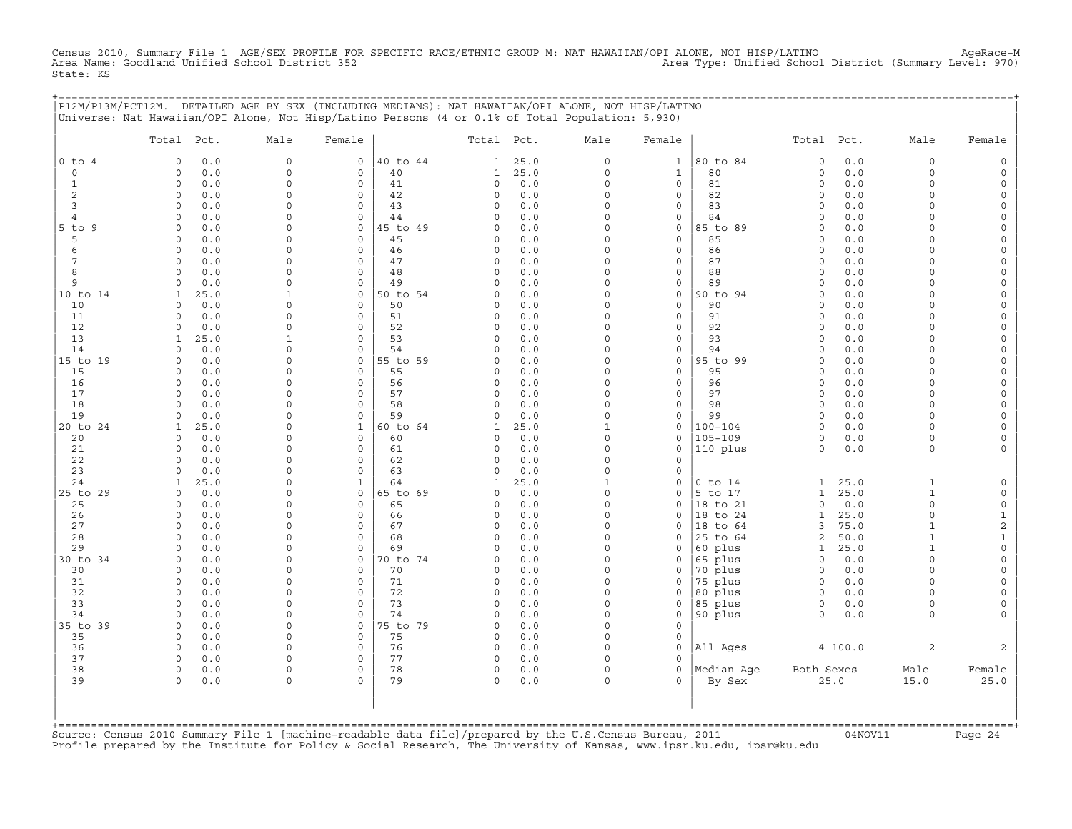Census 2010, Summary File 1 AGE/SEX PROFILE FOR SPECIFIC RACE/ETHNIC GROUP M: NAT HAWAIIAN/OPI ALONE, NOT HISP/LATINO AgeRace-M<br>Area Name: Goodland Unified School District 352 State: KS

|                | P12M/P13M/PCT12M. DETAILED AGE BY SEX (INCLUDING MEDIANS): NAT HAWAIIAN/OPI ALONE, NOT HISP/LATINO<br>Universe: Nat Hawaiian/OPI Alone, Not Hisp/Latino Persons (4 or 0.1% of Total Population: 5,930) |                         |                            |          |                      |            |                      |                            | <u>===================================</u> |                         |              |                      |                      |
|----------------|--------------------------------------------------------------------------------------------------------------------------------------------------------------------------------------------------------|-------------------------|----------------------------|----------|----------------------|------------|----------------------|----------------------------|--------------------------------------------|-------------------------|--------------|----------------------|----------------------|
|                |                                                                                                                                                                                                        |                         |                            |          |                      |            |                      |                            |                                            |                         |              |                      |                      |
|                | Total Pct.                                                                                                                                                                                             | Male                    | Female                     |          | Total Pct.           |            | Male                 | Female                     |                                            | Total Pct.              |              | Male                 | Female               |
| $0$ to $4$     | 0.0<br>$\mathbf 0$                                                                                                                                                                                     | $\circ$                 | $\mathsf{O}$               | 40 to 44 | $\mathbf{1}$         | 25.0       | 0                    | $\mathbf{1}$               | 80 to 84                                   | $\mathsf O$             | 0.0          | $\mathsf O$          |                      |
| $\circ$        | 0.0<br>$\mathbf 0$                                                                                                                                                                                     | 0                       | 0                          | 40       | 1                    | 25.0       | 0                    | $\mathbf{1}$               | 80                                         | $\circ$                 | 0.0          | $\mathbf 0$          |                      |
| 1<br>2         | $\Omega$<br>0.0<br>$\circ$<br>0.0                                                                                                                                                                      | $\Omega$<br>$\Omega$    | $\mathbf 0$<br>0           | 41<br>42 | 0<br>0               | 0.0<br>0.0 | $\Omega$<br>0        | 0<br>0                     | 81<br>82                                   | $\Omega$<br>$\mathbf 0$ | 0.0<br>0.0   | $\Omega$<br>$\Omega$ | $\Omega$             |
| 3              | 0.0<br>$\Omega$                                                                                                                                                                                        | $\Omega$                | $\mathbf 0$                | 43       | 0                    | 0.0        | $\Omega$             | 0                          | 83                                         | $\Omega$                | 0.0          | ∩                    | $\Omega$             |
| $\overline{4}$ | 0.0<br>$\Omega$                                                                                                                                                                                        | $\Omega$                | $\circ$                    | 44       | $\Omega$             | 0.0        | $\Omega$             | $\mathbf 0$                | 84                                         | $\Omega$                | 0.0          | $\Omega$             |                      |
| 5 to 9         | $\mathbf 0$<br>0.0                                                                                                                                                                                     | $\Omega$                | 0                          | 45 to 49 | 0                    | 0.0        | $\Omega$             | 0                          | 85 to 89                                   | $\mathbf 0$             | 0.0          | $\Omega$             |                      |
| 5              | 0.0<br>$\Omega$                                                                                                                                                                                        | $\Omega$                | $\mathbf 0$                | 45       | 0                    | $0.0$      | $\Omega$             | $\mathbf{0}$               | 85                                         | $\Omega$                | 0.0          | $\cap$<br>$\Omega$   | $\Omega$<br>$\Omega$ |
| 6<br>7         | 0.0<br>$\circ$<br>$\circ$<br>0.0                                                                                                                                                                       | $\Omega$<br>$\Omega$    | $\mathbf 0$<br>$\circ$     | 46<br>47 | 0<br>$\circ$         | 0.0<br>0.0 | $\Omega$<br>$\Omega$ | 0<br>0                     | 86<br>87                                   | $\Omega$<br>$\Omega$    | 0.0<br>0.0   | $\Omega$             |                      |
| 8              | $\Omega$<br>0.0                                                                                                                                                                                        | $\Omega$                | $\mathbf 0$                | 48       | $\circ$              | 0.0        | $\Omega$             | 0                          | 88                                         | $\mathbf 0$             | 0.0          | $\Omega$             | $\Omega$             |
| 9              | 0.0<br>$\Omega$                                                                                                                                                                                        | $\Omega$                | 0                          | 49       | 0                    | 0.0        | $\Omega$             | 0                          | 89                                         | $\Omega$                | 0.0          | $\Omega$             | $\Omega$             |
| 10 to 14       | 25.0<br>1                                                                                                                                                                                              | 1                       | 0                          | 50 to 54 | $\Omega$             | 0.0        | $\Omega$             | 0                          | 90 to 94                                   | $\Omega$                | 0.0          | $\cap$               |                      |
| 10             | 0.0<br>$\Omega$                                                                                                                                                                                        | $\Omega$                | $\mathbf 0$                | 50       | 0                    | $0.0$      | $\Omega$             | $\mathbf 0$                | 90                                         | $\Omega$                | 0.0          | $\Omega$             |                      |
| 11<br>12       | $\Omega$<br>0.0<br>0.0<br>$\Omega$                                                                                                                                                                     | $\Omega$<br>$\Omega$    | 0<br>$\Omega$              | 51<br>52 | 0<br>$\Omega$        | 0.0<br>0.0 | $\Omega$<br>$\Omega$ | 0<br>$\circ$               | 91<br>92                                   | $\Omega$<br>$\Omega$    | 0.0<br>0.0   | $\Omega$<br>$\cap$   | $\Omega$             |
| 13             | 25.0<br>1                                                                                                                                                                                              | 1                       | 0                          | 53       | 0                    | 0.0        | 0                    | 0                          | 93                                         | $\mathbf 0$             | 0.0          | $\Omega$             | $\Omega$             |
| 14             | 0.0<br>$\Omega$                                                                                                                                                                                        | $\mathbf 0$             | 0                          | 54       | $\Omega$             | 0.0        | 0                    | 0                          | 94                                         | $\Omega$                | 0.0          | $\Omega$             | $\Omega$             |
| 15 to 19       | 0.0<br>$\Omega$                                                                                                                                                                                        | $\Omega$                | 0                          | 55 to 59 | $\Omega$             | 0.0        | $\Omega$             | 0                          | 95 to 99                                   | $\Omega$                | 0.0          | $\Omega$             |                      |
| 15             | $\Omega$<br>0.0                                                                                                                                                                                        | $\Omega$                | $\mathbf 0$                | 55       | 0                    | 0.0        | $\Omega$             | $\mathbf{0}$               | 95                                         | $\mathbf 0$             | 0.0          | $\cap$               | $\Omega$             |
| 16<br>17       | $\Omega$<br>0.0<br>0.0<br>$\circ$                                                                                                                                                                      | $\Omega$<br>$\mathbf 0$ | 0<br>0                     | 56<br>57 | 0<br>$\Omega$        | 0.0<br>0.0 | $\Omega$<br>$\Omega$ | 0<br>0                     | 96<br>97                                   | $\mathbf 0$<br>$\Omega$ | 0.0<br>0.0   | $\Omega$<br>$\Omega$ | $\Omega$<br>$\Omega$ |
| 18             | 0.0<br>$\mathbf 0$                                                                                                                                                                                     | $\Omega$                | $\mathbf 0$                | 58       | $\Omega$             | 0.0        | $\Omega$             | 0                          | 98                                         | $\Omega$                | 0.0          | $\Omega$             |                      |
| 19             | 0.0<br>$\Omega$                                                                                                                                                                                        | $\Omega$                | $\mathbf 0$                | 59       | $\Omega$             | 0.0        | $\Omega$             | 0                          | 99                                         | $\mathbf 0$             | 0.0          | $\Omega$             | $\Omega$             |
| 20 to 24       | 25.0<br>1                                                                                                                                                                                              | $\Omega$                | $\mathbf{1}$               | 60 to 64 | 1                    | 25.0       | 1                    | 0                          | $100 - 104$                                | $\Omega$                | 0.0          | $\cap$               | $\Omega$             |
| 20             | 0.0<br>$\Omega$                                                                                                                                                                                        | $\Omega$                | $\mathbf 0$                | 60       | $\Omega$             | 0.0        | $\Omega$             | $\mathbf{0}$               | $105 - 109$                                | $\circ$                 | 0.0          | $\Omega$             |                      |
| 21<br>22       | $\mathbf 0$<br>0.0<br>0.0<br>$\Omega$                                                                                                                                                                  | $\Omega$<br>$\Omega$    | $\mathbf 0$<br>0           | 61<br>62 | $\Omega$<br>$\Omega$ | 0.0<br>0.0 | $\Omega$<br>$\Omega$ | $\mathbf 0$<br>$\mathbf 0$ | 110 plus                                   | $\mathbf 0$             | 0.0          | $\mathbf 0$          |                      |
| 23             | 0.0<br>$\Omega$                                                                                                                                                                                        | $\Omega$                | $\mathbf 0$                | 63       | $\Omega$             | 0.0        | $\Omega$             | 0                          |                                            |                         |              |                      |                      |
| 24             | 25.0<br>1                                                                                                                                                                                              | $\Omega$                | $\mathbf{1}$               | 64       | 1                    | 25.0       | $\mathbf{1}$         | 0                          | $0$ to $14$                                | $\mathbf{1}$            | 25.0         | $\mathbf{1}$         |                      |
| 25 to 29       | 0.0<br>$\Omega$                                                                                                                                                                                        | $\Omega$                | $\circ$                    | 65 to 69 | 0                    | 0.0        | $\circ$              | 0                          | 5 to 17                                    | $\mathbf{1}$            | 25.0         | $\mathbf{1}$         |                      |
| 25             | 0.0<br>$\Omega$                                                                                                                                                                                        | $\Omega$                | $\mathbf 0$                | 65       | <sup>0</sup>         | 0.0        | $\Omega$             | $\Omega$                   | 18 to 21                                   | $\Omega$                | 0.0          | $\Omega$             | $\Omega$             |
| 26<br>27       | $\mathbf 0$<br>0.0<br>$\Omega$<br>0.0                                                                                                                                                                  | $\Omega$<br>$\Omega$    | 0<br>$\mathbf 0$           | 66<br>67 | 0<br>0               | 0.0<br>0.0 | $\circ$<br>$\Omega$  | 0<br>0                     | 18 to 24<br>18 to 64                       | $\mathbf{1}$<br>3       | 25.0<br>75.0 | $\mathbf 0$<br>1     | $1\,$<br>$\sqrt{2}$  |
| 28             | 0.0<br>$\mathbf 0$                                                                                                                                                                                     | $\mathbf 0$             | 0                          | 68       | $\Omega$             | 0.0        | $\Omega$             | 0                          | 25 to 64                                   | $\overline{c}$          | 50.0         | $\mathbf{1}$         | 1                    |
| 29             | 0.0<br>$\Omega$                                                                                                                                                                                        | $\Omega$                | $\circ$                    | 69       | $\Omega$             | 0.0        | $\Omega$             | 0                          | 60 plus                                    | 1                       | 25.0         | $\mathbf{1}$         | $\Omega$             |
| 30 to 34       | $\Omega$<br>0.0                                                                                                                                                                                        | $\Omega$                | 0                          | 70 to 74 | 0                    | 0.0        | $\Omega$             | 0                          | 65 plus                                    | $\mathbf 0$             | 0.0          | $\Omega$             | $\Omega$             |
| 30             | $\Omega$<br>0.0                                                                                                                                                                                        | $\Omega$<br>$\Omega$    | 0<br>$\mathbf 0$           | 70       | 0<br>$\Omega$        | 0.0        | $\Omega$<br>$\Omega$ | 0                          | 70 plus                                    | $\mathbf 0$             | 0.0          | $\Omega$<br>$\Omega$ | $\Omega$             |
| 31<br>32       | 0.0<br>$\mathbf 0$<br>$\mathbf 0$<br>0.0                                                                                                                                                               | $\Omega$                | $\mathbf 0$                | 71<br>72 | 0                    | 0.0<br>0.0 | $\Omega$             | $\mathbf 0$<br>0           | 75 plus<br>80 plus                         | $\circ$<br>$\circ$      | 0.0<br>0.0   | $\Omega$             |                      |
| 33             | 0.0<br>$\mathbf 0$                                                                                                                                                                                     | $\mathbf 0$             | $\mathsf O$                | 73       | 0                    | 0.0        | 0                    | 0                          | 85 plus                                    | $\circ$                 | 0.0          | $\mathbf 0$          | $\Omega$             |
| 34             | 0.0<br>$\Omega$                                                                                                                                                                                        | $\Omega$                | $\Omega$                   | 74       | $\Omega$             | $0.0$      | $\Omega$             | $\mathbf{0}$               | 90 plus                                    | $\Omega$                | 0.0          | $\Omega$             |                      |
| 35 to 39       | $\mathbf 0$<br>0.0                                                                                                                                                                                     | 0                       | $\circ$                    | 75 to 79 | 0                    | 0.0        | $\circ$              | $\mathbf 0$                |                                            |                         |              |                      |                      |
| 35             | 0.0<br>0                                                                                                                                                                                               | $\Omega$<br>$\Omega$    | 0                          | 75       | 0                    | 0.0        | 0                    | $\mathbf 0$                |                                            |                         |              |                      |                      |
| 36<br>37       | $\Omega$<br>0.0<br>$\circ$<br>0.0                                                                                                                                                                      | $\Omega$                | $\mathbf 0$<br>$\mathsf O$ | 76<br>77 | 0<br>0               | 0.0<br>0.0 | $\Omega$<br>$\Omega$ | $\mathbf 0$<br>0           | All Ages                                   |                         | 4 100.0      | $\mathbf{2}$         | 2                    |
| 38             | $\Omega$<br>0.0                                                                                                                                                                                        | $\mathbf 0$             | $\mathbf 0$                | 78       | $\mathbf 0$          | 0.0        | 0                    | $\mathbf{0}$               | Median Aqe                                 | Both Sexes              |              | Male                 | Female               |
| 39             | $\Omega$<br>0.0                                                                                                                                                                                        | $\Omega$                | $\Omega$                   | 79       | $\Omega$             | 0.0        | $\Omega$             | $\Omega$                   | By Sex                                     |                         | 25.0         | 15.0                 | 25.0                 |
|                |                                                                                                                                                                                                        |                         |                            |          |                      |            |                      |                            |                                            |                         |              |                      |                      |
|                |                                                                                                                                                                                                        |                         |                            |          |                      |            |                      |                            |                                            |                         |              |                      |                      |
|                |                                                                                                                                                                                                        |                         |                            |          |                      |            |                      |                            |                                            |                         |              |                      |                      |

+===================================================================================================================================================+Source: Census 2010 Summary File 1 [machine−readable data file]/prepared by the U.S.Census Bureau, 2011 04NOV11 Page 24 Profile prepared by the Institute for Policy & Social Research, The University of Kansas, www.ipsr.ku.edu, ipsr@ku.edu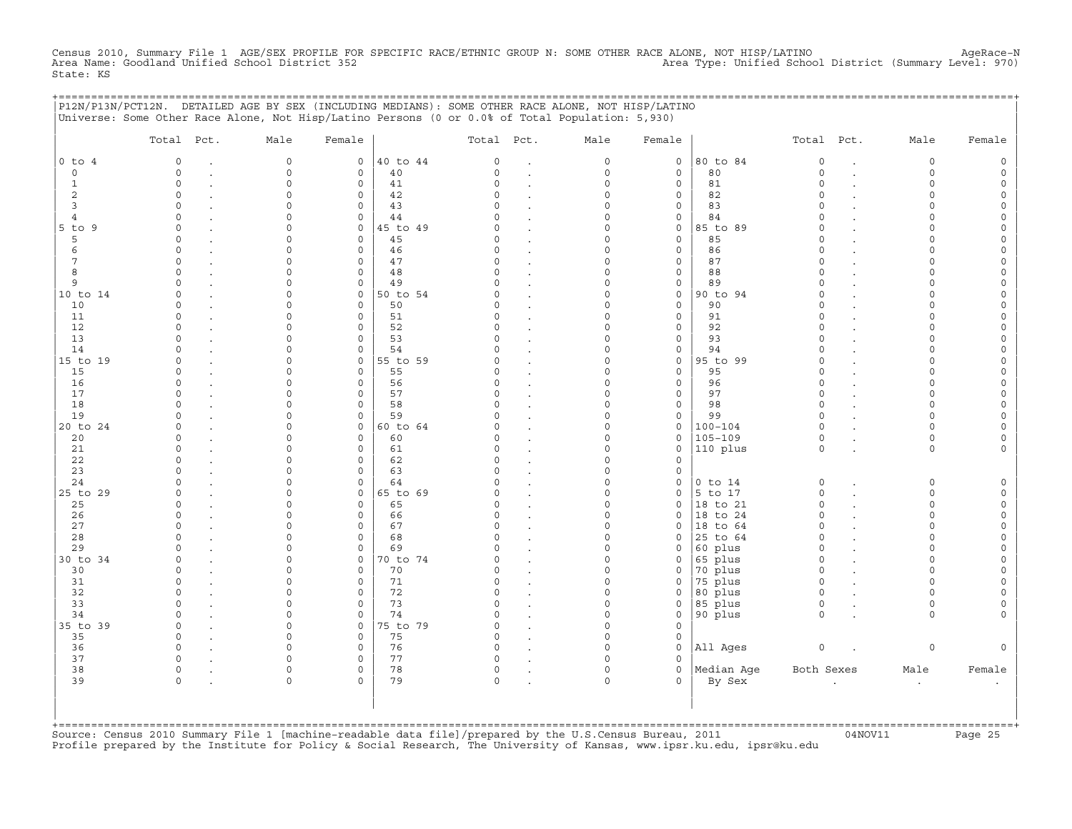Census 2010, Summary File 1 AGE/SEX PROFILE FOR SPECIFIC RACE/ETHNIC GROUP N: SOME OTHER RACE ALONE, NOT HISP/LATINO<br>Area Name: Goodland Unified School District 352 State: KS

+===================================================================================================================================================+

|                | Total Pct.           | Male                 | Female                   |          | Total Pct.         |                      | Male                    | Female                      |                      | Total Pct.           |                      | Male                 | Female                   |
|----------------|----------------------|----------------------|--------------------------|----------|--------------------|----------------------|-------------------------|-----------------------------|----------------------|----------------------|----------------------|----------------------|--------------------------|
| $0$ to $4$     | $\Omega$             | $\circ$              | $\mathbf{0}$             | 40 to 44 | 0                  | $\ddot{\phantom{a}}$ | 0                       | $\mathbf 0$                 | 80 to 84             | $\mathbf 0$          | $\overline{a}$       | 0                    | $\mathsf{O}\xspace$      |
| $\mathbf 0$    | $\circ$              | $\circ$              | $\mathbf 0$              | 40       | $\Omega$           | $\cdot$              | $\mathbf 0$             | $\mathbf 0$                 | 80                   | $\circ$              |                      | $\circ$              | $\mathsf{O}$             |
| $\mathbf{1}$   | $\mathsf O$          | $\Omega$             | $\mathsf{O}\xspace$      | 41       | $\circ$            |                      | $\mathsf O$             | $\mathsf{O}\xspace$         | 81                   | $\mathsf{O}\xspace$  |                      | $\circ$              | $\circ$                  |
| 2              | $\Omega$             | $\Omega$             | $\mathbf 0$              | 42       | $\cap$             | $\ddot{\phantom{a}}$ | $\Omega$                | $\mathbf 0$                 | 82                   | $\Omega$             |                      | $\Omega$             | 0                        |
| $\overline{3}$ | $\Omega$             | $\Omega$             | $\mathbf 0$              | 43       |                    |                      | $\Omega$                | $\mathbf 0$                 | 83                   | $\Omega$             |                      | $\Omega$             | $\mathsf{O}$             |
| $\overline{4}$ | $\Omega$             | 0                    | $\mathsf{O}\xspace$      | 44       |                    |                      | $\mathbf 0$             | $\mathsf{O}\xspace$         | 84                   | $\Omega$             |                      | $\Omega$             | $\mathsf{O}\xspace$      |
| $5$ to $9$     | $\cap$               | $\cap$               | $\mathbf 0$              | 45 to 49 | U                  | $\ddot{\phantom{a}}$ | $\Omega$                | $\mathbf 0$                 | 85 to 89             | $\Omega$             |                      | $\Omega$             | $\mathbf 0$              |
| 5              | $\Omega$             | $\Omega$             | $\mathbf{0}$             | 45       | O                  | $\cdot$              | $\Omega$                | $\mathbf 0$                 | 85                   | $\Omega$             |                      | $\Omega$             | 0                        |
| 6              | $\Omega$<br>$\Omega$ | $\Omega$<br>$\Omega$ | $\mathbf 0$<br>$\Omega$  | 46       | $\Omega$<br>$\cap$ |                      | $\Omega$<br>$\Omega$    | $\mathsf O$                 | 86<br>87             | $\Omega$<br>$\Omega$ |                      | $\Omega$             | $\mathsf{O}\xspace$      |
| 7<br>8         | $\Omega$             | $\Omega$             |                          | 47       | $\Omega$           |                      | $\Omega$                | $\mathbf 0$                 | 88                   | $\Omega$             |                      | $\Omega$<br>$\Omega$ | 0                        |
| 9              | $\Omega$             | $\Omega$             | 0<br>$\mathsf{O}\xspace$ | 48<br>49 | $\cap$             | $\ddot{\phantom{a}}$ | $\mathbf 0$             | $\mathsf{O}$<br>$\mathsf O$ | 89                   | $\circ$              |                      | $\Omega$             | 0<br>$\mathsf{O}\xspace$ |
| 10 to 14       | $\Omega$             | $\Omega$             | $\mathbf 0$              | 50 to 54 | C                  | $\ddot{\phantom{a}}$ | $\Omega$                | $\mathbf 0$                 | 90 to 94             | $\Omega$             |                      | $\Omega$             | 0                        |
| 10             | $\Omega$             | $\Omega$             | $\mathbf 0$              | 50       | <sup>o</sup>       | $\cdot$              | $\Omega$                | $\mathbf 0$                 | 90                   | $\Omega$             |                      | $\Omega$             | 0                        |
| 11             | $\Omega$             | 0                    | $\mathsf{O}\xspace$      | 51       | $\Omega$           |                      | $\mathbf 0$             | $\mathsf{O}\xspace$         | 91                   | $\circ$              |                      | $\Omega$             | $\mathsf{O}\xspace$      |
| 12             | $\Omega$             | $\Omega$             | $\mathbf 0$              | 52       | $\Omega$           | $\cdot$              | $\Omega$                | $\mathbf 0$                 | 92                   | $\Omega$             |                      | $\Omega$             | 0                        |
| 13             | $\Omega$             | $\Omega$             | 0                        | 53       | C)                 |                      | $\Omega$                | $\mathsf{O}\xspace$         | 93                   | $\Omega$             |                      | $\Omega$             | 0                        |
| 14             | $\Omega$             | $\Omega$             | $\mathbf 0$              | 54       | $\cap$             |                      | $\Omega$                | $\mathsf{O}\xspace$         | 94                   | $\Omega$             |                      | $\Omega$             | $\mathsf{O}\xspace$      |
| 15 to 19       | $\Omega$             | $\Omega$             | $\mathbf 0$              | 55 to 59 | C                  |                      | $\Omega$                | $\mathbf 0$                 | 95 to 99             | $\circ$              |                      | $\Omega$             | $\mathsf{O}\xspace$      |
| 15             | $\Omega$             | $\Omega$             | $\mathbf 0$              | 55       |                    |                      | $\Omega$                | $\mathbf 0$                 | 95                   | $\Omega$             |                      | $\Omega$             | 0                        |
| 16             | $\Omega$             | $\Omega$             | $\mathbf 0$              | 56       | C)                 |                      | $\Omega$                | $\circ$                     | 96                   | $\Omega$             |                      | $\Omega$             | $\mathsf{O}\xspace$      |
| 17             | $\Omega$             | $\Omega$             | $\mathbf 0$              | 57       | $\Omega$           |                      | $\Omega$                | $\mathbf 0$                 | 97                   | $\Omega$             |                      | $\Omega$             | $\mathbf 0$              |
| 18             | $\Omega$             | $\Omega$             | $\mathbf 0$              | 58       | C)                 | $\ddot{\phantom{a}}$ | $\mathbf 0$             | $\mathsf{O}\xspace$         | 98                   | $\circ$              |                      | $\Omega$             | 0                        |
| 19             | $\Omega$             | $\Omega$             | $\mathbf 0$              | 59       |                    |                      | $\Omega$                | $\mathsf{O}\xspace$         | 99                   | $\circ$              |                      | $\Omega$             | $\mathsf{O}\xspace$      |
| 20 to 24       | $\Omega$             | $\Omega$             | 0                        | 60 to 64 | C                  |                      | $\Omega$                | $\mathbf 0$                 | $100 - 104$          | $\Omega$             |                      | $\Omega$             | $\mathbf 0$              |
| 20             | $\Omega$             | $\Omega$             | $\mathbf 0$              | 60       | <sup>o</sup>       | $\ddot{\phantom{a}}$ | $\Omega$                | $\mathsf{O}$                | $105 - 109$          | $\circ$              |                      | $\circ$              | 0                        |
| 21             | $\Omega$             | 0                    | $\mathbf 0$              | 61       | $\Omega$           | $\ddot{\phantom{a}}$ | $\Omega$                | $\mathsf O$                 | 110 plus             | $\circ$              |                      | $\circ$              | $\circ$                  |
| 22             | $\Omega$             | $\Omega$             | $\mathbf 0$              | 62       | $\Omega$           |                      | $\mathbf 0$             | $\mathbf 0$                 |                      |                      |                      |                      |                          |
| 23             | $\Omega$             | $\Omega$             | $\mathbf 0$              | 63       | U                  | $\cdot$              | $\Omega$                | $\mathbf 0$                 |                      |                      |                      |                      |                          |
| 24             | $\Omega$             | $\Omega$             | $\mathsf{O}\xspace$      | 64       |                    | $\cdot$              | $\mathbf 0$             | $\mathsf O$                 | $0$ to $14$          | $\circ$              | $\ddot{\phantom{a}}$ | 0                    | $\mathsf{O}$             |
| 25 to 29       | $\Omega$             | $\Omega$             | $\mathbf 0$              | 65 to 69 |                    |                      | $\Omega$                | $\mathbf 0$                 | 5 to 17              | $\circ$              |                      | $\Omega$             | $\mathsf{O}$             |
| 25             | $\Omega$             | U                    | $\mathbf 0$              | 65       | U                  | $\cdot$              | $\Omega$                | $\mathbf 0$                 | 18 to 21             | $\circ$              |                      | 0                    | 0                        |
| 26             | $\Omega$             | $\Omega$             | 0                        | 66       | <sup>o</sup>       | $\ddot{\phantom{a}}$ | $\mathbf 0$             | $\mathbf 0$                 | 18 to 24             | $\Omega$             |                      | $\circ$              | $\mathsf{O}\xspace$      |
| 27             | $\Omega$             | $\Omega$             | $\mathbf 0$              | 67       | $\cap$             | $\cdot$              | $\Omega$                | $\mathbf 0$                 | 18 to 64             | $\Omega$             |                      | $\Omega$             | 0                        |
| 28             | $\Omega$             | $\Omega$             | $\mathbf 0$              | 68       | C                  |                      | $\Omega$                | $\mathbf 0$                 | 25 to 64             | $\Omega$             |                      | $\Omega$             | 0                        |
| 29             | $\Omega$             | $\Omega$             | $\mathsf{O}\xspace$      | 69       |                    | $\ddot{\phantom{a}}$ | $\Omega$                | $\mathbf 0$                 | 60 plus              | $\Omega$             |                      | $\Omega$             | $\mathsf{O}\xspace$      |
| 30 to 34       | $\Omega$             | $\cap$               | $\mathbf 0$              | 70 to 74 |                    | $\ddot{\phantom{a}}$ | $\Omega$                | $\mathbf 0$                 | 65 plus              | $\Omega$             |                      | $\Omega$             | $\mathbf 0$              |
| 30             | $\Omega$             | $\Omega$             | $\mathbf 0$              | 70       | C)                 | $\cdot$              | $\Omega$                | $\mathbf 0$                 | 70 plus              | $\circ$              |                      | $\Omega$             | $\mathsf{O}\xspace$      |
| 31             | $\Omega$             | $\Omega$             | 0                        | 71       | $\Omega$           |                      | $\mathbf 0$             | $\mathsf{O}\xspace$         | 75 plus              | $\Omega$             |                      | $\Omega$             | $\mathsf{O}\xspace$      |
| 32             | $\Omega$             | $\cap$               | $\mathbf 0$              | 72       | $\cap$             | $\ddot{\phantom{a}}$ | $\circ$                 | $\mathbf 0$                 | 80 plus              | $\circ$              |                      | $\Omega$             | $\mathbf 0$              |
| 33             | $\Omega$             | $\Omega$             | $\mathbf 0$              | 73       | $\Omega$           | $\cdot$              | $\Omega$                | $\mathbf 0$                 | 85 plus              | $\circ$              |                      | 0                    | 0                        |
| 34             | $\Omega$             | $\Omega$<br>$\cap$   | $\mathbf 0$              | 74       | $\Omega$<br>$\cap$ | $\ddot{\phantom{a}}$ | $\mathbf 0$<br>$\Omega$ | $\mathsf{O}\xspace$         | 90 plus              | $\circ$              |                      | $\circ$              | $\circ$                  |
| 35 to 39       | $\Omega$             |                      | $\Omega$                 | 75 to 79 |                    |                      |                         | $\mathbf 0$                 |                      |                      |                      |                      |                          |
| 35             | 0<br>$\Omega$        | $\Omega$<br>0        | 0                        | 75       | 0<br>$\Omega$      |                      | $\Omega$<br>$\mathbf 0$ | $\mathsf{O}$                |                      |                      |                      |                      |                          |
| 36<br>37       | $\Omega$             | $\Omega$             | 0<br>$\Omega$            | 76<br>77 | C)                 |                      | $\Omega$                | $\mathsf{O}$<br>$\Omega$    | All Ages             | $\circ$              |                      | 0                    | $\mathsf O$              |
|                | $\Omega$             | $\Omega$             |                          |          |                    |                      | $\mathbf 0$             | $\mathbf 0$                 |                      |                      |                      |                      |                          |
| 38<br>39       | $\Omega$             | $\mathbf 0$          | 0<br>$\circ$             | 78<br>79 | 0<br>$\circ$       |                      | $\circ$                 | $\Omega$                    | Median Age<br>By Sex | Both Sexes           |                      | Male                 | Female                   |
|                |                      |                      |                          |          |                    |                      |                         |                             |                      |                      |                      | $\bullet$            | $\bullet$                |

+===================================================================================================================================================+Source: Census 2010 Summary File 1 [machine−readable data file]/prepared by the U.S.Census Bureau, 2011 04NOV11 Page 25 Profile prepared by the Institute for Policy & Social Research, The University of Kansas, www.ipsr.ku.edu, ipsr@ku.edu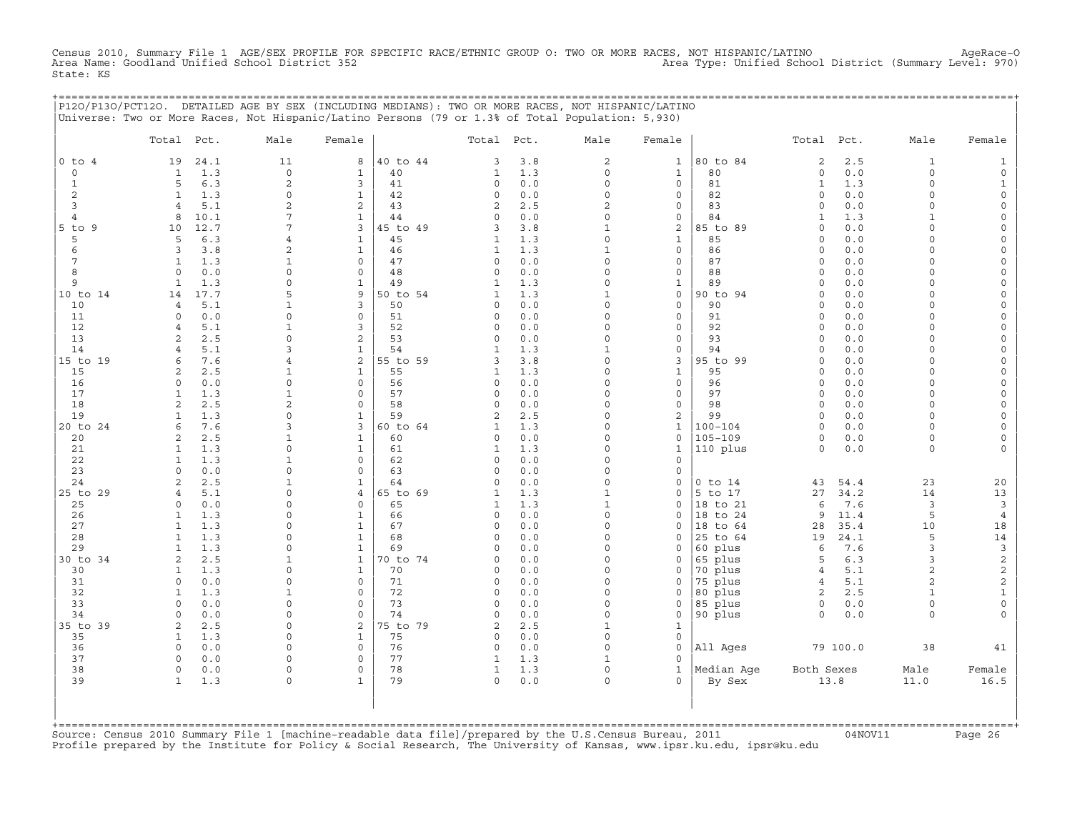Census 2010, Summary File 1 AGE/SEX PROFILE FOR SPECIFIC RACE/ETHNIC GROUP O: TWO OR MORE RACES, NOT HISPANIC/LATINO AgeRace-O<br>Area Name: Goodland Unified School District 352 State: KS

+===================================================================================================================================================+

|                 | Total Pct.               |              | Male                        | Female                     |                | Total Pct.     |            | Male                        | Female                             |                    | Total Pct.                          |              | Male                           | Female                                     |
|-----------------|--------------------------|--------------|-----------------------------|----------------------------|----------------|----------------|------------|-----------------------------|------------------------------------|--------------------|-------------------------------------|--------------|--------------------------------|--------------------------------------------|
| $0$ to $4$      | 19                       | 24.1         | 11                          | 8                          | 40 to 44       | 3              | 3.8        | $\mathbf{2}$                | 1                                  | 80 to 84           | $\overline{c}$                      | 2.5          | $\mathbf{1}$                   | $\mathbf{1}$                               |
| $\circ$         | $\mathbf{1}$             | 1.3          | $\mathsf{O}\xspace$         | $\mathbf{1}$               | 40             | $\mathbf{1}$   | 1.3        | $\Omega$                    | $\mathbf{1}$                       | 80                 | $\circ$                             | 0.0          | $\circ$                        | $\mathsf{O}\xspace$                        |
| $\mathbf{1}$    | 5                        | 6.3          | $\mathbf{2}$                | 3                          | 41             | 0              | 0.0        | $\mathbf 0$                 | $\mathbf 0$                        | 81                 | $\mathbf{1}$                        | 1.3          | $\circ$                        | $\mathbf{1}$                               |
| 2               | $\mathbf{1}$             | 1.3          | $\mathbf 0$                 | $\mathbf{1}$               | 42             | 0              | 0.0        | $\mathbf 0$                 | $\mathsf{O}\xspace$                | 82                 | $\circ$                             | 0.0          | $\circ$                        | $\mathsf{O}\xspace$                        |
| 3               | $\overline{4}$           | 5.1          | $\overline{2}$              | 2                          | 43             | 2              | 2.5        | $\overline{a}$              | $\mathbf 0$                        | 83                 | $\Omega$                            | 0.0          | $\Omega$                       | $\mathsf{O}\xspace$                        |
| 4<br>$5$ to $9$ | 8<br>10                  | 10.1<br>12.7 | 7<br>7                      | $\mathbf{1}$<br>3          | 44<br>45 to 49 | 0<br>3         | 0.0<br>3.8 | $\mathbf 0$<br>$\mathbf{1}$ | $\mathsf{O}\xspace$<br>$\mathbf 2$ | 84<br>85 to 89     | $\mathbf{1}$<br>$\mathsf{O}\xspace$ | 1.3<br>0.0   | 1<br>$\circ$                   | 0<br>$\mathsf{O}\xspace$                   |
| 5               | 5                        | 6.3          | $\overline{4}$              | $\mathbf{1}$               | 45             | 1              | 1.3        | $\Omega$                    | $\mathbf{1}$                       | 85                 | $\circ$                             | 0.0          | $\Omega$                       | $\mathsf O$                                |
| 6               | 3                        | 3.8          | $\overline{2}$              | $\mathbf{1}$               | 46             | $\mathbf{1}$   | 1.3        | $\mathbf{1}$                | $\mathsf{O}\xspace$                | 86                 | $\Omega$                            | 0.0          | $\Omega$                       | $\mathsf{O}\xspace$                        |
| 7               | $\mathbf{1}$             | 1.3          | $\mathbf{1}$                | $\Omega$                   | 47             | 0              | 0.0        | $\Omega$                    | $\mathbf 0$                        | 87                 | $\circ$                             | 0.0          | $\Omega$                       | 0                                          |
| 8               | $\circ$                  | 0.0          | $\Omega$                    | $\mathbf 0$                | 48             | 0              | 0.0        | $\Omega$                    | $\mathbf 0$                        | 88                 | $\circ$                             | 0.0          | $\circ$                        | $\mathsf O$                                |
| 9               | $\mathbf{1}$             | 1.3          | $\Omega$                    | $\mathbf 1$                | 49             | $\mathbf{1}$   | 1.3        | $\mathbf 0$                 | $1\,$                              | 89                 | $\circ$                             | 0.0          | $\Omega$                       | $\mathsf{O}\xspace$                        |
| 10 to 14        | 14                       | 17.7         | 5                           | 9                          | 50 to 54       | $\mathbf{1}$   | 1.3        | $\mathbf{1}$                | $\mathbf 0$                        | 90 to 94           | $\Omega$                            | 0.0          | $\circ$                        | 0                                          |
| 10              | $\overline{4}$           | 5.1          | $\mathbf{1}$                | 3                          | 50             | $\circ$        | 0.0        | $\Omega$                    | $\mathsf{O}\xspace$                | 90                 | $\mathbf 0$                         | 0.0          | $\circ$                        | $\mathsf O$                                |
| 11              | $\Omega$                 | 0.0          | $\Omega$                    | $\mathbf 0$                | 51             | 0              | 0.0        | $\Omega$                    | $\mathbf 0$                        | 91                 | $\Omega$                            | 0.0          | $\Omega$                       | $\mathsf{O}\xspace$                        |
| 12              | $\overline{4}$           | 5.1          | 1                           | 3                          | 52             | 0              | 0.0        | $\Omega$                    | $\mathbf 0$                        | 92                 | $\circ$                             | 0.0          | 0                              | 0                                          |
| 13              | 2                        | 2.5          | $\mathbf 0$                 | 2                          | 53             | 0              | $0.0$      | $\mathbf 0$<br>$\mathbf{1}$ | $\mathsf{O}$                       | 93                 | $\circ$                             | 0.0          | $\circ$                        | $\mathsf{O}\xspace$                        |
| 14<br>15 to 19  | 4<br>6                   | 5.1<br>7.6   | 3<br>$\overline{4}$         | $\mathbf{1}$<br>2          | 54<br>55 to 59 | 1<br>3         | 1.3<br>3.8 | $\Omega$                    | $\mathbf 0$<br>$\mathbf{3}$        | 94<br>95 to 99     | $\Omega$<br>$\Omega$                | 0.0<br>$0.0$ | $\circ$<br>$\circ$             | $\mathsf{O}\xspace$<br>$\mathsf{O}\xspace$ |
| 15              | $\overline{a}$           | 2.5          | 1                           | $\mathbf{1}$               | 55             | $\mathbf{1}$   | 1.3        | $\Omega$                    | $\mathbf{1}$                       | 95                 | $\Omega$                            | 0.0          | $\circ$                        | $\mathsf{O}\xspace$                        |
| 16              | 0                        | 0.0          | $\Omega$                    | $\mathbf 0$                | 56             | 0              | 0.0        | $\Omega$                    | $\circ$                            | 96                 | $\circ$                             | 0.0          | $\circ$                        | 0                                          |
| 17              | $\mathbf{1}$             | 1.3          | $\mathbf 1$                 | $\mathbf 0$                | 57             | 0              | 0.0        | $\mathbf 0$                 | $\mathsf{O}\xspace$                | 97                 | $\circ$                             | 0.0          | $\Omega$                       | $\mathsf{O}$                               |
| 18              | $\overline{2}$           | 2.5          | $\overline{2}$              | $\Omega$                   | 58             | 0              | 0.0        | $\Omega$                    | $\mathbf 0$                        | 98                 | $\Omega$                            | 0.0          | $\circ$                        | $\mathsf{O}\xspace$                        |
| 19              | $\mathbf{1}$             | 1.3          | $\Omega$                    | $\mathbf{1}$               | 59             | $\overline{c}$ | 2.5        | $\Omega$                    | $\mathbf{2}$                       | 99                 | $\circ$                             | 0.0          | $\Omega$                       | $\circ$                                    |
| 20 to 24        | 6                        | 7.6          | 3                           | 3                          | 60 to 64       | $\mathbf{1}$   | 1.3        | $\Omega$                    | $\mathbf{1}$                       | $100 - 104$        | $\circ$                             | 0.0          | $\circ$                        | $\mathsf{O}\xspace$                        |
| 20              | 2                        | 2.5          | 1                           | $\mathbf{1}$               | 60             | 0              | 0.0        | $\Omega$                    | 0                                  | $105 - 109$        | $\circ$                             | 0.0          | 0                              | 0                                          |
| 21              | $\mathbf{1}$             | 1.3          | $\Omega$                    | $\mathbf{1}$               | 61             | $\mathbf{1}$   | 1.3        | $\Omega$                    | $\mathbf{1}$                       | 110 plus           | $\circ$                             | $0.0$        | $\circ$                        | $\circ$                                    |
| 22<br>23        | $\mathbf{1}$<br>$\Omega$ | 1.3<br>0.0   | $\mathbf{1}$<br>$\mathbf 0$ | $\mathbf 0$<br>$\mathbf 0$ | 62<br>63       | 0<br>0         | 0.0        | $\Omega$<br>$\mathbf 0$     | $\mathbf 0$<br>$\mathsf{O}\xspace$ |                    |                                     |              |                                |                                            |
| 24              | $\overline{2}$           | 2.5          | $\mathbf{1}$                | $\mathbf{1}$               | 64             | $\Omega$       | 0.0<br>0.0 | $\Omega$                    | $\mathbf 0$                        | $0$ to $14$        | 43                                  | 54.4         | 23                             | 20                                         |
| 25 to 29        | $\overline{4}$           | 5.1          | $\Omega$                    | $\overline{4}$             | 65 to 69       | $\mathbf{1}$   | 1.3        | $\mathbf{1}$                | $\mathsf{O}\xspace$                | 5 to 17            | 27                                  | 34.2         | 14                             | 13                                         |
| 25              | $\Omega$                 | 0.0          | 0                           | $\mathbf 0$                | 65             | $\mathbf{1}$   | 1.3        | $\mathbf{1}$                | $\mathbf 0$                        | 18 to 21           | 6                                   | 7.6          | 3                              | $\mathbf{3}$                               |
| 26              | 1                        | 1.3          | $\Omega$                    | $\mathbf{1}$               | 66             | 0              | 0.0        | $\Omega$                    | $\Omega$                           | 18 to 24           | 9                                   | 11.4         | 5                              | $\overline{4}$                             |
| 27              | $\mathbf{1}$             | 1.3          | $\Omega$                    | $\mathbf{1}$               | 67             | 0              | 0.0        | $\mathbf 0$                 | $\mathbf 0$                        | 18 to 64           | 28                                  | 35.4         | 10                             | 18                                         |
| 28              | $\mathbf{1}$             | 1.3          | $\Omega$                    | $\mathbf{1}$               | 68             | 0              | 0.0        | $\Omega$                    | $\Omega$                           | 25 to 64           | 19                                  | 24.1         | 5                              | 14                                         |
| 29              | 1                        | 1.3          | $\Omega$                    | $\mathbf 1$                | 69             | C)             | $0.0$      | $\Omega$                    | $\mathbf 0$                        | 60 plus            | 6                                   | 7.6          | 3                              | $\mathsf 3$                                |
| 30 to 34        | 2                        | 2.5          | $\mathbf{1}$                | $\mathbf{1}$               | 70 to 74       | 0              | 0.0        | $\mathbf 0$                 | $\mathsf{O}\xspace$                | 65 plus            | 5                                   | 6.3          | 3                              | $\overline{c}$                             |
| 30              | $\mathbf{1}$             | 1.3          | 0<br>$\Omega$               | $\mathbf{1}$               | 70             | 0              | 0.0        | $\Omega$<br>$\Omega$        | $\mathbf 0$                        | 70 plus            | $\overline{4}$                      | 5.1          | $\overline{a}$                 | $\mathbf{2}$                               |
| 31<br>32        | $\circ$<br>$\mathbf{1}$  | 0.0<br>1.3   | $\mathbf{1}$                | $\mathbf 0$<br>$\Omega$    | 71<br>72       | 0<br>0         | 0.0<br>0.0 | $\Omega$                    | $\Omega$<br>$\mathbf 0$            | 75 plus<br>80 plus | $\overline{4}$<br>2                 | 5.1<br>2.5   | $\overline{c}$<br>$\mathbf{1}$ | $\overline{c}$<br>$\mathbf{1}$             |
| 33              | $\Omega$                 | 0.0          | 0                           | $\mathbf 0$                | 73             | 0              | 0.0        | $\Omega$                    | 0                                  | 85 plus            | 0                                   | 0.0          | $\circ$                        | $\circ$                                    |
| 34              | $\Omega$                 | 0.0          | $\mathbf 0$                 | $\mathsf{O}$               | 74             | $\Omega$       | 0.0        | $\mathbf 0$                 | $\mathsf{O}\xspace$                | 90 plus            | $\circ$                             | 0.0          | $\circ$                        | 0                                          |
| 35 to 39        | 2                        | 2.5          | 0                           | $\overline{2}$             | 75 to 79       | 2              | 2.5        | $\mathbf{1}$                | $\mathbf 1$                        |                    |                                     |              |                                |                                            |
| 35              | $\mathbf{1}$             | 1.3          | $\Omega$                    | $\mathbf{1}$               | 75             | 0              | 0.0        | $\Omega$                    | $\mathbf 0$                        |                    |                                     |              |                                |                                            |
| 36              | $\Omega$                 | 0.0          | $\Omega$                    | $\mathbf 0$                | 76             | 0              | 0.0        | $\Omega$                    | $\Omega$                           | All Ages           |                                     | 79 100.0     | 38                             | 41                                         |
| 37              | 0                        | 0.0          | $\Omega$                    | $\mathbf 0$                | 77             | 1              | 1.3        | $\mathbf{1}$                | $\Omega$                           |                    |                                     |              |                                |                                            |
| 38              | $\circ$                  | 0.0          | $\Omega$                    | $\mathbf 0$                | 78             | $\mathbf{1}$   | 1.3        | $\mathbf 0$                 | $\mathbf{1}$                       | Median Age         | Both Sexes                          |              | Male                           | Female                                     |
| 39              | $\mathbf{1}$             | 1.3          | $\Omega$                    | $\mathbf{1}$               | 79             | 0              | 0.0        | $\Omega$                    | $\Omega$                           | By Sex             |                                     | 13.8         | 11.0                           | 16.5                                       |

+===================================================================================================================================================+Source: Census 2010 Summary File 1 [machine−readable data file]/prepared by the U.S.Census Bureau, 2011 04NOV11 Page 26 Profile prepared by the Institute for Policy & Social Research, The University of Kansas, www.ipsr.ku.edu, ipsr@ku.edu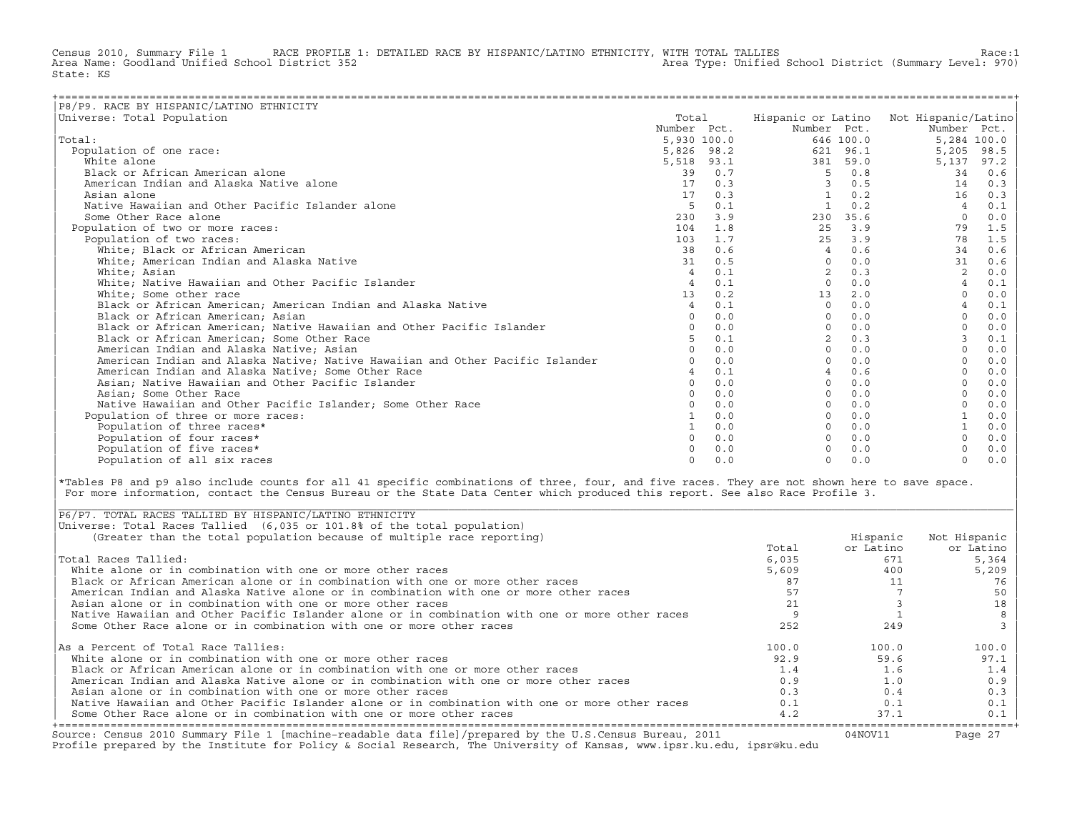Census 2010, Summary File 1 RACE PROFILE 1: DETAILED RACE BY HISPANIC/LATINO ETHNICITY, WITH TOTAL TALLIES Race:1<br>Area Name: Goodland Unified School District 352 Area Type: Unified School District (Summary Level: 970) State: KS

| P8/P9. RACE BY HISPANIC/LATINO ETHNICITY                                      |                 |            |                |           |                                        |      |
|-------------------------------------------------------------------------------|-----------------|------------|----------------|-----------|----------------------------------------|------|
| Universe: Total Population                                                    | Total           |            |                |           | Hispanic or Latino Not Hispanic/Latino |      |
|                                                                               | Number Pct.     |            | Number Pct.    |           | Number Pct.                            |      |
| Total:                                                                        | 5,930 100.0     |            |                | 646 100.0 | 5,284 100.0                            |      |
| Population of one race:                                                       |                 | 5,826 98.2 |                | 621 96.1  | 5,205                                  | 98.5 |
| White alone                                                                   | 5,518 93.1      |            | 381            | 59.0      | 5,137                                  | 97.2 |
| Black or African American alone                                               | 39              | 0.7        | 5              | 0.8       | 34                                     | 0.6  |
| American Indian and Alaska Native alone                                       | 17              | 0.3        | 3              | 0.5       | 14                                     | 0.3  |
| Asian alone                                                                   | 17              | 0.3        | $\mathbf{1}$   | 0.2       | 16                                     | 0.3  |
| Native Hawaiian and Other Pacific Islander alone                              | 5               | 0.1        | $\mathbf{1}$   | 0.2       | $\overline{4}$                         | 0.1  |
| Some Other Race alone                                                         | 230             | 3.9        | 230            | 35.6      | $\Omega$                               | 0.0  |
| Population of two or more races:                                              | 104             | 1.8        | 25             | 3.9       | 79                                     | 1.5  |
| Population of two races:                                                      | 103             | 1.7        | 25             | 3.9       | 78                                     | 1.5  |
| White; Black or African American                                              | 38              | 0.6        | $\overline{4}$ | 0.6       | 34                                     | 0.6  |
| White; American Indian and Alaska Native                                      | 31              | 0.5        | $\Omega$       | 0.0       | 31                                     | 0.6  |
| White; Asian                                                                  | $\overline{4}$  | 0.1        | $\overline{2}$ | 0.3       | 2                                      | 0.0  |
| White; Native Hawaiian and Other Pacific Islander                             | $\overline{4}$  | 0.1        | $\Omega$       | 0.0       | $\overline{4}$                         | 0.1  |
| White; Some other race                                                        | 13              | 0.2        | 13             | 2.0       |                                        | 0.0  |
| Black or African American; American Indian and Alaska Native                  | $4\overline{ }$ | 0.1        | $\Omega$       | 0.0       |                                        | 0.1  |
| Black or African American; Asian                                              | $\Omega$        | 0.0        | $\Omega$       | 0.0       |                                        | 0.0  |
| Black or African American; Native Hawaiian and Other Pacific Islander         | $\Omega$        | 0.0        | $\Omega$       | 0.0       | $\Omega$                               | 0.0  |
| Black or African American; Some Other Race                                    |                 | 0.1        | $\overline{2}$ | 0.3       | 3                                      | 0.1  |
| American Indian and Alaska Native; Asian                                      |                 | 0.0        | $\Omega$       | 0.0       |                                        | 0.0  |
| American Indian and Alaska Native; Native Hawaiian and Other Pacific Islander |                 | 0.0        | $\Omega$       | 0.0       |                                        | 0.0  |
| American Indian and Alaska Native; Some Other Race                            |                 | 0.1        | 4              | 0.6       |                                        | 0.0  |
| Asian; Native Hawaiian and Other Pacific Islander                             | $\Omega$        | 0.0        |                | 0.0       |                                        | 0.0  |
| Asian; Some Other Race                                                        |                 | 0.0        |                | 0.0       |                                        | 0.0  |
| Native Hawaiian and Other Pacific Islander; Some Other Race                   |                 | 0.0        |                | 0.0       |                                        | 0.0  |
| Population of three or more races:                                            |                 | 0.0        | $\Omega$       | 0.0       |                                        | 0.0  |
| Population of three races*                                                    |                 | 0.0        | $\Omega$       | 0.0       |                                        | 0.0  |
| Population of four races*                                                     | $\Omega$        | 0.0        |                | 0.0       | $\cap$                                 | 0.0  |
| Population of five races*                                                     |                 | 0.0        |                | 0.0       |                                        | 0.0  |
| Population of all six races                                                   | $\Omega$        | 0.0        | $\Omega$       | 0.0       | $\Omega$                               | 0.0  |

|\*Tables P8 and p9 also include counts for all 41 specific combinations of three, four, and five races. They are not shown here to save space. | For more information, contact the Census Bureau or the State Data Center which produced this report. See also Race Profile 3.

| |

|\_\_\_\_\_\_\_\_\_\_\_\_\_\_\_\_\_\_\_\_\_\_\_\_\_\_\_\_\_\_\_\_\_\_\_\_\_\_\_\_\_\_\_\_\_\_\_\_\_\_\_\_\_\_\_\_\_\_\_\_\_\_\_\_\_\_\_\_\_\_\_\_\_\_\_\_\_\_\_\_\_\_\_\_\_\_\_\_\_\_\_\_\_\_\_\_\_\_\_\_\_\_\_\_\_\_\_\_\_\_\_\_\_\_\_\_\_\_\_\_\_\_\_\_\_\_\_\_\_\_\_\_\_\_\_\_\_\_\_\_\_\_\_\_\_\_\_|

| Source: Census 2010 Summary File 1 [machine-readable data file]/prepared by the U.S.Census Bureau, 2011<br>Profile prepared by the Institute for Policy & Social Research, The University of Kansas, www.ipsr.ku.edu, ipsr@ku.edu |       | 04NOV11   | Page 27      |
|-----------------------------------------------------------------------------------------------------------------------------------------------------------------------------------------------------------------------------------|-------|-----------|--------------|
| Some Other Race alone or in combination with one or more other races                                                                                                                                                              | 4.2   | 37.1      | 0.1          |
| Native Hawaiian and Other Pacific Islander alone or in combination with one or more other races                                                                                                                                   | 0.1   | 0.1       | 0.1          |
| Asian alone or in combination with one or more other races                                                                                                                                                                        | 0.3   | 0.4       | 0.3          |
| American Indian and Alaska Native alone or in combination with one or more other races                                                                                                                                            | 0.9   | 1.0       | 0.9          |
| Black or African American alone or in combination with one or more other races                                                                                                                                                    | 1.4   | 1.6       | 1.4          |
| White alone or in combination with one or more other races                                                                                                                                                                        | 92.9  | 59.6      | 97.1         |
| As a Percent of Total Race Tallies:                                                                                                                                                                                               | 100.0 | 100.0     | 100.0        |
| Some Other Race alone or in combination with one or more other races                                                                                                                                                              | 252   | 249       |              |
| Native Hawaiian and Other Pacific Islander alone or in combination with one or more other races                                                                                                                                   |       |           |              |
| Asian alone or in combination with one or more other races                                                                                                                                                                        | 21    |           | 18           |
| American Indian and Alaska Native alone or in combination with one or more other races                                                                                                                                            | 57    |           | 50           |
| Black or African American alone or in combination with one or more other races                                                                                                                                                    | 87    |           | 76           |
| White alone or in combination with one or more other races                                                                                                                                                                        | 5,609 | 400       | 5,209        |
| Total Races Tallied:                                                                                                                                                                                                              | 6,035 | 671       | 5,364        |
|                                                                                                                                                                                                                                   | Total | or Latino | or Latino    |
| (Greater than the total population because of multiple race reporting)                                                                                                                                                            |       | Hispanic  | Not Hispanic |
| Universe: Total Races Tallied (6,035 or 101.8% of the total population)                                                                                                                                                           |       |           |              |
| P6/P7. TOTAL RACES TALLIED BY HISPANIC/LATINO ETHNICITY                                                                                                                                                                           |       |           |              |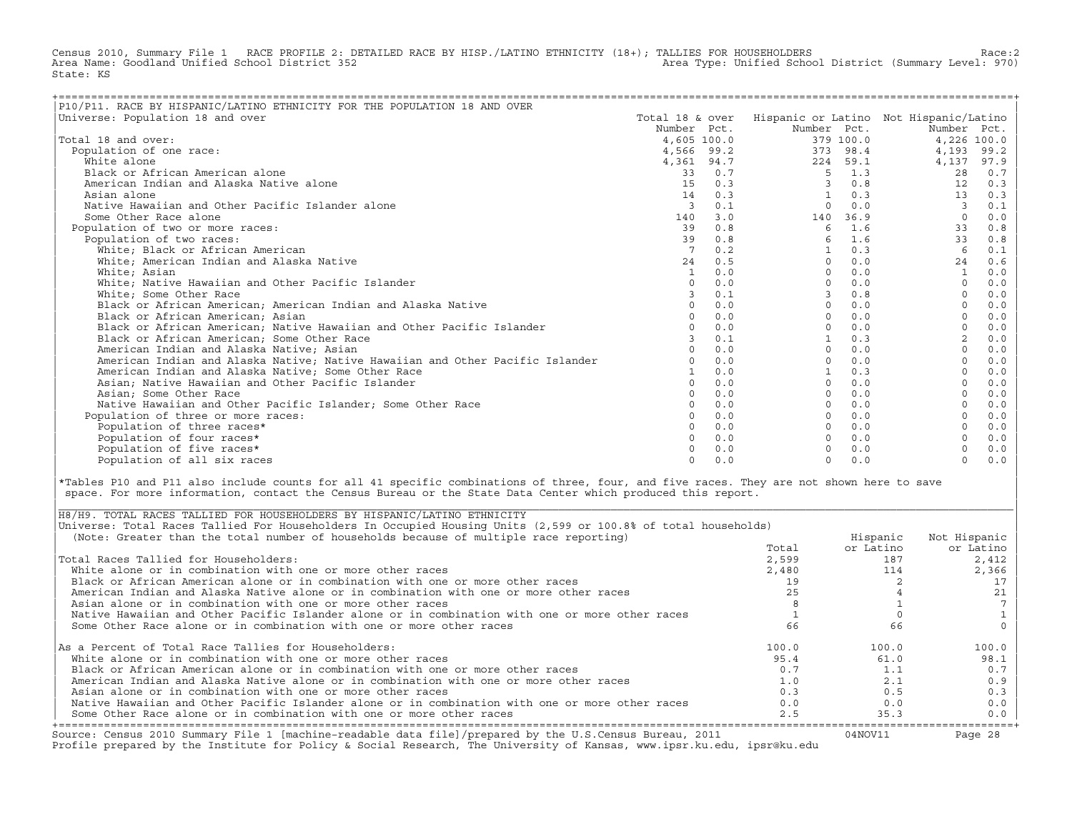Census 2010, Summary File 1 RACE PROFILE 2: DETAILED RACE BY HISP./LATINO ETHNICITY (18+); TALLIES FOR HOUSEHOLDERS Race:2<br>Area Name: Goodland Unified School District 352 Area Type: Unified School District (Summary Level: 970) State: KS

| P10/P11. RACE BY HISPANIC/LATINO ETHNICITY FOR THE POPULATION 18 AND OVER     |                 |     |             |           |                                        |       |
|-------------------------------------------------------------------------------|-----------------|-----|-------------|-----------|----------------------------------------|-------|
| Universe: Population 18 and over                                              | Total 18 & over |     |             |           | Hispanic or Latino Not Hispanic/Latino |       |
|                                                                               | Number Pct.     |     | Number Pct. |           | Number Pct.                            |       |
| Total 18 and over:                                                            | 4,605 100.0     |     |             | 379 100.0 | 4,226 100.0                            |       |
| Population of one race:                                                       | 4,566 99.2      |     |             | 373 98.4  | 4,193                                  | 99.2  |
| White alone                                                                   | 4,361 94.7      |     |             | 224 59.1  | 4,137                                  | 97.9  |
| Black or African American alone                                               | 33              | 0.7 | 5           | 1.3       | 28                                     | 0.7   |
| American Indian and Alaska Native alone                                       | 1.5             | 0.3 | 3           | 0.8       | 12                                     | 0.3   |
| Asian alone                                                                   | 14              | 0.3 |             | 0.3       | 13                                     | 0.3   |
| Native Hawaiian and Other Pacific Islander alone                              | $\overline{3}$  | 0.1 | $\Omega$    | 0.0       | 3                                      | 0.1   |
| Some Other Race alone                                                         | 140             | 3.0 | 140         | 36.9      | $\circ$                                | 0.0   |
| Population of two or more races:                                              | 39              | 0.8 | 6           | 1.6       | 33                                     | 0.8   |
| Population of two races:                                                      | 39              | 0.8 |             | 1.6       | 33                                     | $0.8$ |
| White; Black or African American                                              |                 | 0.2 |             | 0.3       | 6                                      | 0.1   |
| White; American Indian and Alaska Native                                      | 24              | 0.5 | $\Omega$    | 0.0       | 24                                     | 0.6   |
| White; Asian                                                                  | 1               | 0.0 | $\Omega$    | 0.0       |                                        | 0.0   |
| White; Native Hawaiian and Other Pacific Islander                             | $\cap$          | 0.0 | $\Omega$    | 0.0       | $\Omega$                               | 0.0   |
| White; Some Other Race                                                        |                 | 0.1 |             | 0.8       |                                        | 0.0   |
| Black or African American; American Indian and Alaska Native                  |                 | 0.0 | $\Omega$    | 0.0       |                                        | 0.0   |
| Black or African American; Asian                                              |                 | 0.0 | $\Omega$    | 0.0       |                                        | 0.0   |
| Black or African American; Native Hawaiian and Other Pacific Islander         |                 | 0.0 | $\Omega$    | 0.0       |                                        | 0.0   |
| Black or African American; Some Other Race                                    |                 | 0.1 |             | 0.3       | 2                                      | 0.0   |
| American Indian and Alaska Native; Asian                                      |                 | 0.0 | $\Omega$    | 0.0       |                                        | 0.0   |
| American Indian and Alaska Native; Native Hawaiian and Other Pacific Islander |                 | 0.0 | $\Omega$    | 0.0       |                                        | 0.0   |
| American Indian and Alaska Native; Some Other Race                            |                 | 0.0 |             | 0.3       |                                        | 0.0   |
| Asian; Native Hawaiian and Other Pacific Islander                             | $\cap$          | 0.0 | $\Omega$    | 0.0       |                                        | 0.0   |
| Asian; Some Other Race                                                        |                 | 0.0 | $\Omega$    | 0.0       |                                        | 0.0   |
| Native Hawaiian and Other Pacific Islander: Some Other Race                   |                 | 0.0 | $\Omega$    | 0.0       |                                        | 0.0   |
| Population of three or more races:                                            |                 | 0.0 | $\Omega$    | 0.0       |                                        | 0.0   |
| Population of three races*                                                    |                 | 0.0 | $\Omega$    | 0.0       |                                        | 0.0   |
| Population of four races*                                                     |                 | 0.0 | $\Omega$    | 0.0       |                                        | 0.0   |
| Population of five races*                                                     |                 | 0.0 |             | 0.0       |                                        | $0.0$ |
| Population of all six races                                                   | $\cap$          | 0.0 | $\Omega$    | 0.0       | $\Omega$                               | 0.0   |

|\*Tables P10 and P11 also include counts for all 41 specific combinations of three, four, and five races. They are not shown here to save | space. For more information, contact the Census Bureau or the State Data Center which produced this report.

| Source: Census 2010 Summary File 1 [machine-readable data file]/prepared by the U.S.Census Bureau, 2011<br>Profile prepared by the Institute for Policy & Social Research, The University of Kansas, www.ipsr.ku.edu, ipsr@ku.edu |       | 04NOV11   | Page 28      |
|-----------------------------------------------------------------------------------------------------------------------------------------------------------------------------------------------------------------------------------|-------|-----------|--------------|
| Some Other Race alone or in combination with one or more other races                                                                                                                                                              | 2.5   | 35.3      | $0.0$        |
| Native Hawaiian and Other Pacific Islander alone or in combination with one or more other races                                                                                                                                   | 0.0   | 0.0       | 0.0          |
| Asian alone or in combination with one or more other races                                                                                                                                                                        | 0.3   | 0.5       | 0.3          |
| American Indian and Alaska Native alone or in combination with one or more other races                                                                                                                                            | 1.0   | 2.1       | 0.9          |
| Black or African American alone or in combination with one or more other races                                                                                                                                                    | 0.7   | 1.1       | 0.7          |
| White alone or in combination with one or more other races                                                                                                                                                                        | 95.4  | 61.0      | 98.1         |
| As a Percent of Total Race Tallies for Householders:                                                                                                                                                                              | 100.0 | 100.0     | 100.0        |
| Some Other Race alone or in combination with one or more other races                                                                                                                                                              | 66    | 66        |              |
| Native Hawaiian and Other Pacific Islander alone or in combination with one or more other races                                                                                                                                   |       |           |              |
| Asian alone or in combination with one or more other races                                                                                                                                                                        |       |           |              |
| American Indian and Alaska Native alone or in combination with one or more other races                                                                                                                                            |       |           |              |
| Black or African American alone or in combination with one or more other races                                                                                                                                                    | 19    |           |              |
| White alone or in combination with one or more other races                                                                                                                                                                        | 2,480 | 114       | 2,366        |
| Total Races Tallied for Householders:                                                                                                                                                                                             | 2,599 | 187       | 2,412        |
|                                                                                                                                                                                                                                   | Total | or Latino | or Latino    |
| (Note: Greater than the total number of households because of multiple race reporting)                                                                                                                                            |       | Hispanic  | Not Hispanic |
| Universe: Total Races Tallied For Householders In Occupied Housing Units (2,599 or 100.8% of total households)                                                                                                                    |       |           |              |
| H8/H9. TOTAL RACES TALLIED FOR HOUSEHOLDERS BY HISPANIC/LATINO ETHNICITY                                                                                                                                                          |       |           |              |

| |

|\_\_\_\_\_\_\_\_\_\_\_\_\_\_\_\_\_\_\_\_\_\_\_\_\_\_\_\_\_\_\_\_\_\_\_\_\_\_\_\_\_\_\_\_\_\_\_\_\_\_\_\_\_\_\_\_\_\_\_\_\_\_\_\_\_\_\_\_\_\_\_\_\_\_\_\_\_\_\_\_\_\_\_\_\_\_\_\_\_\_\_\_\_\_\_\_\_\_\_\_\_\_\_\_\_\_\_\_\_\_\_\_\_\_\_\_\_\_\_\_\_\_\_\_\_\_\_\_\_\_\_\_\_\_\_\_\_\_\_\_\_\_\_\_\_\_\_|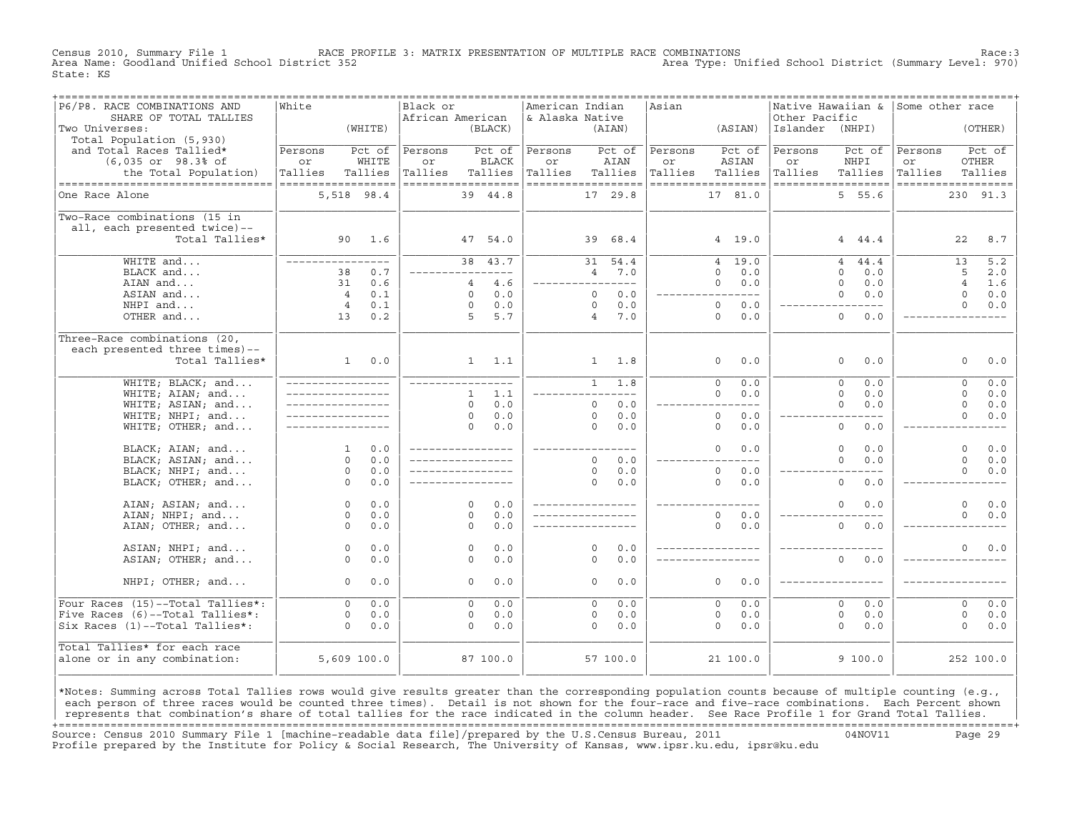Census 2010, Summary File 1 RACE PROFILE 3: MATRIX PRESENTATION OF MULTIPLE RACE COMBINATIONS Race:3 Area Type: Unified School District (Summary Level: 970) State: KS

| P6/P8. RACE COMBINATIONS AND       | ===============<br>White |         | Black or           |                |               | American Indian    |                |               | =================================<br>Asian |                        |                 | Native Hawaiian & Some other race |                    |                |                  |
|------------------------------------|--------------------------|---------|--------------------|----------------|---------------|--------------------|----------------|---------------|--------------------------------------------|------------------------|-----------------|-----------------------------------|--------------------|----------------|------------------|
| SHARE OF TOTAL TALLIES             |                          |         | African American   |                |               | & Alaska Native    |                |               |                                            |                        | Other Pacific   |                                   |                    |                |                  |
| Two Universes:                     |                          | (WHITE) |                    |                | (BLACK)       |                    |                | (AIAN)        |                                            | (ASIAN)                | Islander (NHPI) |                                   |                    |                | (OTHER)          |
| Total Population (5,930)           |                          |         |                    |                |               |                    |                |               |                                            |                        |                 |                                   |                    |                |                  |
| and Total Races Tallied*           | Persons                  | Pct of  | Persons            |                | Pct of        | Persons            |                | Pct of        | Persons                                    | Pct of                 | Persons         | Pct of                            | Persons            |                | Pct of           |
| (6,035 or 98.3% of                 | or                       | WHITE   | or                 |                | <b>BLACK</b>  | or                 |                | AIAN          | or                                         | ASIAN                  | or              | NHPI                              | or                 | OTHER          |                  |
| the Total Population)              | Tallies                  | Tallies | Tallies            |                | Tallies       | Tallies            |                | Tallies       | Tallies                                    | Tallies                | Tallies         | Tallies                           | Tallies            |                | Tallies          |
| ---------------------------------- | ------------------       |         | ------------------ |                |               | ------------------ |                |               |                                            | ------------------     |                 | ------------------                | ------------------ |                |                  |
| One Race Alone                     | 5,518 98.4               |         |                    |                | 39 44.8       |                    |                | 17 29.8       |                                            | 17 81.0                |                 | 5 55.6                            |                    | 230 91.3       |                  |
|                                    |                          |         |                    |                |               |                    |                |               |                                            |                        |                 |                                   |                    |                |                  |
| Two-Race combinations (15 in       |                          |         |                    |                |               |                    |                |               |                                            |                        |                 |                                   |                    |                |                  |
| all, each presented twice)--       |                          |         |                    |                |               |                    |                |               |                                            |                        |                 |                                   |                    |                |                  |
| Total Tallies*                     |                          | 90 1.6  |                    |                | 47 54.0       |                    | 39             | 68.4          |                                            | 4 19.0                 |                 | 4 44.4                            |                    | 22             | 8.7              |
|                                    |                          |         |                    |                |               |                    |                |               |                                            |                        |                 |                                   |                    |                |                  |
| WHITE and                          | _________________        |         |                    |                | 38 43.7       |                    | 31             | 54.4          |                                            | 19.0<br>$\overline{4}$ |                 | $\overline{4}$<br>44.4            |                    | 13             | $\overline{5.2}$ |
| BLACK and                          | 38                       | 0.7     |                    |                | ----------    |                    | $\overline{4}$ | 7.0           |                                            | $\Omega$<br>0.0        |                 | $\Omega$<br>0.0                   |                    | 5              | 2.0              |
| AIAN and                           | 31                       | 0.6     |                    | $\overline{4}$ | 4.6           | _________________  |                |               |                                            | 0.0<br>$\Omega$        |                 | $\Omega$<br>0.0                   |                    | $\overline{4}$ | 1.6              |
| ASIAN and                          | $\overline{4}$           | 0.1     |                    | $\Omega$       | 0.0           |                    | $\Omega$       | 0.0           |                                            | $---$<br>$---$         |                 | 0.0<br>$\Omega$                   |                    | $\Omega$       | 0.0              |
| NHPI and                           | $\overline{4}$           | 0.1     |                    | $\Omega$       | 0.0           |                    | $\Omega$       | 0.0           |                                            | $\Omega$<br>0.0        |                 | $- - - -$                         |                    | $\Omega$       | 0.0              |
| OTHER and                          | 13                       | 0.2     |                    | 5              | 5.7           |                    | $\overline{4}$ | 7.0           |                                            | $\Omega$<br>0.0        |                 | $\Omega$<br>0.0                   |                    |                |                  |
|                                    |                          |         |                    |                |               |                    |                |               |                                            |                        |                 |                                   |                    |                |                  |
| Three-Race combinations (20,       |                          |         |                    |                |               |                    |                |               |                                            |                        |                 |                                   |                    |                |                  |
| each presented three times)--      |                          |         |                    |                |               |                    |                |               |                                            |                        |                 |                                   |                    |                |                  |
| Total Tallies*                     | 1                        | 0.0     |                    |                | $1 \quad 1.1$ |                    |                | $1 \t 1.8$    |                                            | 0.0<br>$\circ$         |                 | 0.0<br>$\circ$                    |                    | $\circ$        | 0.0              |
| WHITE; BLACK; and                  | ________________         |         |                    |                |               |                    | $\mathbf{1}$   | 1.8           |                                            | $\overline{0}$<br>0.0  |                 | $\overline{0}$<br>0.0             |                    | $\circ$        | 0.0              |
| WHITE; AIAN; and                   |                          |         |                    | $\mathbf{1}$   | 1.1           |                    |                | $---$         |                                            | $\Omega$<br>0.0        |                 | $\Omega$<br>0.0                   |                    | $\Omega$       | 0.0              |
| WHITE; ASIAN; and                  | _________________        |         |                    | $\Omega$       | 0.0           |                    | $\circ$        | 0.0           |                                            | $- - -$                |                 | $\Omega$<br>0.0                   |                    | $\mathbf 0$    | 0.0              |
| WHITE; NHPI; and                   |                          |         |                    | $\Omega$       | 0.0           |                    | $\Omega$       | 0.0           |                                            | $\circ$<br>0.0         |                 | $- - - -$                         |                    | $\Omega$       | 0.0              |
| WHITE; OTHER; and                  |                          |         |                    | $\Omega$       | 0.0           |                    | $\Omega$       | 0.0           |                                            | $\circ$<br>0.0         |                 | $\circ$<br>0.0                    |                    |                |                  |
|                                    |                          |         |                    |                |               |                    |                |               |                                            |                        |                 |                                   |                    |                |                  |
| BLACK; AIAN; and                   | $\mathbf{1}$             | 0.0     |                    |                |               | ____________       |                | $\frac{1}{2}$ |                                            | $\Omega$<br>0.0        |                 | $\Omega$<br>0.0                   |                    | $\Omega$       | 0.0              |
| BLACK; ASIAN; and                  | $\Omega$                 | 0.0     | _________________  |                |               |                    | $\Omega$       | 0.0           |                                            | $---$                  |                 | $\Omega$<br>0.0                   |                    | $\Omega$       | 0.0              |
| BLACK; NHPI; and                   | $\circ$                  | 0.0     |                    |                |               |                    | $\circ$        | 0.0           |                                            | $\circ$<br>0.0         |                 |                                   |                    | $\Omega$       | 0.0              |
| BLACK; OTHER; and                  | $\Omega$                 | 0.0     |                    |                |               |                    | $\Omega$       | 0.0           |                                            | $\Omega$<br>0.0        |                 | $\Omega$<br>0.0                   |                    |                |                  |
|                                    |                          |         |                    |                |               |                    |                |               |                                            |                        |                 |                                   |                    |                |                  |
| AIAN; ASIAN; and                   | $\circ$                  | 0.0     |                    | $\Omega$       | 0.0           | ________________   |                |               |                                            |                        |                 | $\mathbf{0}$<br>0.0               |                    | $\Omega$       | 0.0              |
| AIAN; NHPI; and                    | $\Omega$                 | 0.0     |                    | $\Omega$       | 0.0           |                    |                |               |                                            | $\Omega$<br>0.0        |                 |                                   |                    | $\Omega$       | 0.0              |
| AIAN; OTHER; and                   | $\Omega$                 | 0.0     |                    | $\Omega$       | 0.0           |                    |                |               |                                            | $\Omega$<br>0.0        |                 | $\overline{0}$<br>0.0             |                    |                |                  |
|                                    |                          |         |                    |                |               |                    |                |               |                                            |                        |                 |                                   |                    |                |                  |
| ASIAN; NHPI; and                   | $\circ$                  | 0.0     |                    | $\Omega$       | 0.0           |                    | $\Omega$       | 0.0           |                                            |                        |                 |                                   |                    | $\Omega$       | 0.0              |
| ASIAN; OTHER; and                  | $\Omega$                 | 0.0     |                    | $\Omega$       | 0.0           |                    | $\Omega$       | 0.0           |                                            |                        |                 | $\Omega$<br>0.0                   |                    |                |                  |
|                                    |                          |         |                    |                |               |                    |                |               |                                            |                        |                 |                                   |                    |                |                  |
| NHPI; OTHER; and                   | $\Omega$                 | 0.0     |                    | $\Omega$       | 0.0           |                    | $\Omega$       | 0.0           |                                            | $\Omega$<br>0.0        |                 |                                   |                    |                |                  |
| Four Races (15)--Total Tallies*:   | $\Omega$                 | 0.0     |                    | $\Omega$       | 0.0           |                    | $\Omega$       | 0.0           |                                            | $\Omega$<br>0.0        |                 | $\Omega$<br>0.0                   |                    | $\Omega$       |                  |
| Five Races (6)--Total Tallies*:    | $\circ$                  | 0.0     |                    | $\circ$        | 0.0           |                    | 0              | 0.0           |                                            | 0.0<br>$\circ$         |                 | $\mathbf{0}$<br>0.0               |                    | $\circ$        | 0.0<br>0.0       |
| Six Races (1)--Total Tallies*:     | $\Omega$                 | 0.0     |                    | $\Omega$       | 0.0           |                    | $\Omega$       | 0.0           |                                            | $\Omega$<br>0.0        |                 | $\Omega$<br>0.0                   |                    | $\Omega$       | 0.0              |
|                                    |                          |         |                    |                |               |                    |                |               |                                            |                        |                 |                                   |                    |                |                  |
| Total Tallies* for each race       |                          |         |                    |                |               |                    |                |               |                                            |                        |                 |                                   |                    |                |                  |
| alone or in any combination:       | 5,609 100.0              |         |                    |                | 87 100.0      |                    |                | 57 100.0      |                                            | 21 100.0               |                 | 9100.0                            |                    | 252 100.0      |                  |
|                                    |                          |         |                    |                |               |                    |                |               |                                            |                        |                 |                                   |                    |                |                  |
|                                    |                          |         |                    |                |               |                    |                |               |                                            |                        |                 |                                   |                    |                |                  |

|\*Notes: Summing across Total Tallies rows would give results greater than the corresponding population counts because of multiple counting (e.g., | each person of three races would be counted three times). Detail is not shown for the four-race and five-race combinations. Each Percent shown represents that combination's share of total tallies for the race indicated in the column header. See Race Profile 1 for Grand Total Tallies. +===================================================================================================================================================+ Source: Census 2010 Summary File 1 [machine−readable data file]/prepared by the U.S.Census Bureau, 2011 04NOV11 Page 29 Profile prepared by the Institute for Policy & Social Research, The University of Kansas, www.ipsr.ku.edu, ipsr@ku.edu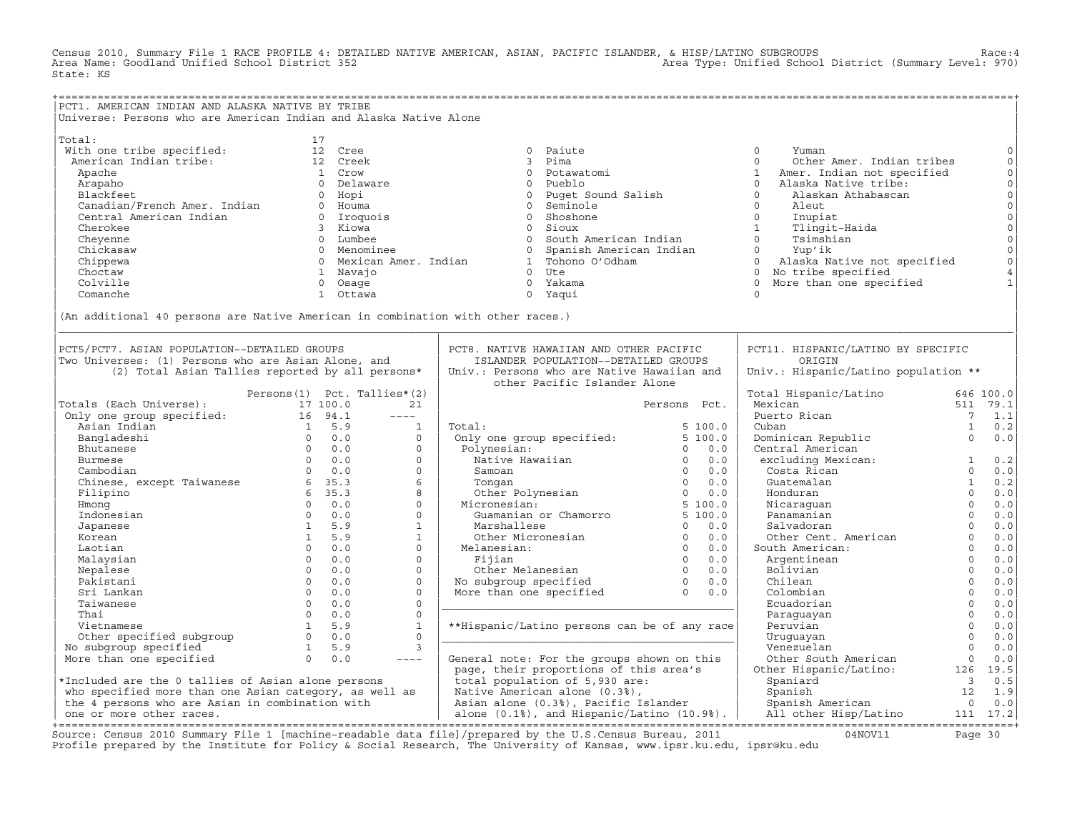Census 2010, Summary File 1 RACE PROFILE 4: DETAILED NATIVE AMERICAN, ASIAN, PACIFIC ISLANDER, & HISP/LATINO SUBGROUPS<br>Area Name: Goodland Unified School District 352 State: KS

| PCT1. AMERICAN INDIAN AND ALASKA NATIVE BY TRIBE<br>Universe: Persons who are American Indian and Alaska Native Alone<br>17<br>With one tribe specified:<br>American Indian tribe:<br>$\circ$<br>12 Cree<br>0 Paiute<br>$\mathbf 0$<br>Yuman<br>$\mathbb O$<br>12 Creek<br>3 Pima<br>$\Omega$<br>Other Amer. Indian tribes<br>000000<br>Apache<br>1 Crow<br>$\circ$<br>Potawatomi<br>$\mathbf{1}$<br>Amer. Indian not specified<br>Arapaho<br>0 Delaware<br>Pueblo<br>$\circ$<br>Alaska Native tribe:<br>$\circ$<br>Blackfeet<br>0 Hopi<br>Puqet Sound Salish<br>$\Omega$<br>Alaskan Athabascan<br>$\overline{0}$<br>Blackfeet<br>Canadian/French Amer. Indian<br>Curbin American Indian<br>Seminole<br>$\circ$<br>Aleut<br>0 Houma<br>$\overline{0}$<br>0 Iroquois<br>Shoshone<br>$\circ$<br>$\overline{0}$<br>Inupiat<br>$1 \quad \blacksquare$<br>Cherokee<br>3 Kiowa<br>$\Omega$<br>Sioux<br>Tlingit-Haida<br>South American Indian<br>$\Omega$<br>Tsimshian<br>Cheyenne<br>0 Lumbee<br>$\overline{0}$<br>$\mathsf{O}\xspace$<br>0 Menominee<br>Spanish American Indian<br>Yup'ik<br>Chickasaw<br>$\overline{0}$<br>$\overline{0}$<br>$\mathsf{O}\xspace$<br>0 Mexican Amer. Indian<br>1 Tohono O'Odham<br>$\Omega$<br>Alaska Native not specified<br>Chippewa<br>$\,4$<br>$0$ Ute<br>0 No tribe specified<br>Choctaw<br>1 Navaio<br>$\mathbf{1}$<br>Colville<br>More than one specified<br>0 Osaqe<br>0 Yakama<br>$\Omega$<br>0 Yaqui<br>Comanche<br>1 Ottawa<br>$\Omega$<br>(An additional 40 persons are Native American in combination with other races.)<br>PCT5/PCT7. ASIAN POPULATION--DETAILED GROUPS<br>PCT8. NATIVE HAWAIIAN AND OTHER PACIFIC<br>PCT11. HISPANIC/LATINO BY SPECIFIC<br>Two Universes: (1) Persons who are Asian Alone, and<br>ISLANDER POPULATION--DETAILED GROUPS<br>ORIGIN<br>(2) Total Asian Tallies reported by all persons*<br>Univ.: Persons who are Native Hawaiian and<br>Univ.: Hispanic/Latino population **<br>other Pacific Islander Alone<br>Persons(1) Pct. Tallies*(2)<br>Total Hispanic/Latino<br>646 100.0<br>Totals (Each Universe):<br>Mexican<br>511 79.1<br>17 100.0<br>21<br>Persons Pct.<br>Only one group specified:<br>16 94.1<br>Puerto Rican<br>$\overline{7}$<br>1.1<br>$---$<br>Asian Indian<br>$1 \quad 5.9$<br>Total:<br>5100.0<br>1<br>0.2<br>$\mathbf{1}$<br>Cuban<br>$0 \qquad 0.0$<br>Only one group specified:<br>5 100.0<br>Dominican Republic<br>$\Omega$<br>0.0<br>Bangladeshi<br>$\Omega$<br>Polynesian:<br>$0 \t 0.0$<br>$\Omega$<br>$0 \t 0.0$<br>Central American<br>Bhutanese<br>$\begin{matrix}0&0.0\\0&0.0\end{matrix}$<br>$\Omega$<br>Native Hawaiian<br>$0 \t 0.0$<br>excluding Mexican:<br>0.2<br>Burmese<br>$0 \t 0.0$<br>$0 \quad 0.0$<br>Costa Rican<br>$\Omega$<br>0.0<br>Cambodian<br>$\Omega$<br>Samoan<br>Chinese, except Taiwanese 6 35.3<br>6<br>$0 \quad 0.0$<br>Guatemalan<br><sup>1</sup><br>0.2<br>Tongan<br>6, 35.3<br>8<br>Honduran<br>$\Omega$<br>0.0<br>Filipino<br>$\overline{0}$<br>$0 \t 0.0$<br>Micronesian:<br>0.0<br>Hmong<br>$\Omega$<br>Nicaraquan<br>$\circ$<br>Panamanian<br>0.0<br>Indonesian<br>$0 \t 0.0$<br>$\Omega$<br>0.0<br>$\Omega$<br>0.0<br>1 5.9<br>$\mathbf{1}$<br>Marshallese<br>$\Omega$<br>Salvadoran<br>Japanese<br>$\circ$<br>1 5.9<br>$\begin{array}{ccccc} 0 & 0 & 0 \\ 0 & 0 & 0 \\ 0 & 0 & 0 \end{array}$<br>Other Cent. American<br>0.0<br>$\mathbf{1}$<br>Other Micronesian<br>Korean<br>$0 \t 0.0$<br>$\Omega$<br>$\Omega$<br>$0.0$<br>Melanesian:<br>South American:<br>Laotian<br>$\Omega$<br>$0 \t 0.0$<br>Fijian 0 0.0<br>Other Melanesian 0 0.0<br>No subgroup specified 0 0.0<br>More than one specified 0 0.0<br>$0.0$<br>Malaysian<br>$\Omega$<br>Argentinean<br>$\mathbf{0}$<br>$0 \t 0.0$<br>$\Omega$<br>Bolivian<br>$0.0$<br>Nepalese<br>$\circ$<br>$0 \t 0.0$<br>$\Omega$<br>Chilean<br>0.0<br>Pakistani<br>$\overline{0}$<br>0.0<br>$0 \t 0.0$<br>$\mathbf{0}$<br>Colombian<br>Sri Lankan<br>$\circ$<br>$0.0$<br>$0 \t 0.0$<br>$\Omega$<br>Ecuadorian<br>Taiwanese<br>$\Omega$<br>$0 \t 0.0$<br>0.0<br>Thai<br>$\Omega$<br>Paraguayan<br>$\Omega$<br>1 5.9<br>$\mathbf{1}$<br>**Hispanic/Latino persons can be of any race<br>0.0<br>Vietnamese<br>Peruvian<br>$\Omega$<br>Other specified subgroup<br>$0 \t 0.0$<br>$\Omega$<br>0.0<br>Uruquayan<br>$\Omega$<br>No subgroup specified<br>1 5.9<br>3<br>Venezuelan<br>0.0<br>$\Omega$<br>$\overline{0}$<br>0.0<br>More than one specified<br>0.0<br>General note: For the groups shown on this<br>Other South American<br>$---$<br>page, their proportions of this area's |        |  |  |                        |     |      |
|---------------------------------------------------------------------------------------------------------------------------------------------------------------------------------------------------------------------------------------------------------------------------------------------------------------------------------------------------------------------------------------------------------------------------------------------------------------------------------------------------------------------------------------------------------------------------------------------------------------------------------------------------------------------------------------------------------------------------------------------------------------------------------------------------------------------------------------------------------------------------------------------------------------------------------------------------------------------------------------------------------------------------------------------------------------------------------------------------------------------------------------------------------------------------------------------------------------------------------------------------------------------------------------------------------------------------------------------------------------------------------------------------------------------------------------------------------------------------------------------------------------------------------------------------------------------------------------------------------------------------------------------------------------------------------------------------------------------------------------------------------------------------------------------------------------------------------------------------------------------------------------------------------------------------------------------------------------------------------------------------------------------------------------------------------------------------------------------------------------------------------------------------------------------------------------------------------------------------------------------------------------------------------------------------------------------------------------------------------------------------------------------------------------------------------------------------------------------------------------------------------------------------------------------------------------------------------------------------------------------------------------------------------------------------------------------------------------------------------------------------------------------------------------------------------------------------------------------------------------------------------------------------------------------------------------------------------------------------------------------------------------------------------------------------------------------------------------------------------------------------------------------------------------------------------------------------------------------------------------------------------------------------------------------------------------------------------------------------------------------------------------------------------------------------------------------------------------------------------------------------------------------------------------------------------------------------------------------------------------------------------------------------------------------------------------------------------------------------------------------------------------------------------------------------------------------------------------------------------------------------------------------------------------------------------------------------------------------------------------------------------------------------------------------------------------------------------------------------------------------------------------------------------------------------------------------------------------------------------------------------------------------------------------------------------------------------------------------------------------------------------------------------------------------------------------------------------------------------------------------------------------------------------------------------------------------------|--------|--|--|------------------------|-----|------|
|                                                                                                                                                                                                                                                                                                                                                                                                                                                                                                                                                                                                                                                                                                                                                                                                                                                                                                                                                                                                                                                                                                                                                                                                                                                                                                                                                                                                                                                                                                                                                                                                                                                                                                                                                                                                                                                                                                                                                                                                                                                                                                                                                                                                                                                                                                                                                                                                                                                                                                                                                                                                                                                                                                                                                                                                                                                                                                                                                                                                                                                                                                                                                                                                                                                                                                                                                                                                                                                                                                                                                                                                                                                                                                                                                                                                                                                                                                                                                                                                                                                                                                                                                                                                                                                                                                                                                                                                                                                                                                                                                                           |        |  |  |                        |     |      |
|                                                                                                                                                                                                                                                                                                                                                                                                                                                                                                                                                                                                                                                                                                                                                                                                                                                                                                                                                                                                                                                                                                                                                                                                                                                                                                                                                                                                                                                                                                                                                                                                                                                                                                                                                                                                                                                                                                                                                                                                                                                                                                                                                                                                                                                                                                                                                                                                                                                                                                                                                                                                                                                                                                                                                                                                                                                                                                                                                                                                                                                                                                                                                                                                                                                                                                                                                                                                                                                                                                                                                                                                                                                                                                                                                                                                                                                                                                                                                                                                                                                                                                                                                                                                                                                                                                                                                                                                                                                                                                                                                                           |        |  |  |                        |     |      |
|                                                                                                                                                                                                                                                                                                                                                                                                                                                                                                                                                                                                                                                                                                                                                                                                                                                                                                                                                                                                                                                                                                                                                                                                                                                                                                                                                                                                                                                                                                                                                                                                                                                                                                                                                                                                                                                                                                                                                                                                                                                                                                                                                                                                                                                                                                                                                                                                                                                                                                                                                                                                                                                                                                                                                                                                                                                                                                                                                                                                                                                                                                                                                                                                                                                                                                                                                                                                                                                                                                                                                                                                                                                                                                                                                                                                                                                                                                                                                                                                                                                                                                                                                                                                                                                                                                                                                                                                                                                                                                                                                                           |        |  |  |                        |     |      |
|                                                                                                                                                                                                                                                                                                                                                                                                                                                                                                                                                                                                                                                                                                                                                                                                                                                                                                                                                                                                                                                                                                                                                                                                                                                                                                                                                                                                                                                                                                                                                                                                                                                                                                                                                                                                                                                                                                                                                                                                                                                                                                                                                                                                                                                                                                                                                                                                                                                                                                                                                                                                                                                                                                                                                                                                                                                                                                                                                                                                                                                                                                                                                                                                                                                                                                                                                                                                                                                                                                                                                                                                                                                                                                                                                                                                                                                                                                                                                                                                                                                                                                                                                                                                                                                                                                                                                                                                                                                                                                                                                                           | Total: |  |  |                        |     |      |
|                                                                                                                                                                                                                                                                                                                                                                                                                                                                                                                                                                                                                                                                                                                                                                                                                                                                                                                                                                                                                                                                                                                                                                                                                                                                                                                                                                                                                                                                                                                                                                                                                                                                                                                                                                                                                                                                                                                                                                                                                                                                                                                                                                                                                                                                                                                                                                                                                                                                                                                                                                                                                                                                                                                                                                                                                                                                                                                                                                                                                                                                                                                                                                                                                                                                                                                                                                                                                                                                                                                                                                                                                                                                                                                                                                                                                                                                                                                                                                                                                                                                                                                                                                                                                                                                                                                                                                                                                                                                                                                                                                           |        |  |  |                        |     |      |
|                                                                                                                                                                                                                                                                                                                                                                                                                                                                                                                                                                                                                                                                                                                                                                                                                                                                                                                                                                                                                                                                                                                                                                                                                                                                                                                                                                                                                                                                                                                                                                                                                                                                                                                                                                                                                                                                                                                                                                                                                                                                                                                                                                                                                                                                                                                                                                                                                                                                                                                                                                                                                                                                                                                                                                                                                                                                                                                                                                                                                                                                                                                                                                                                                                                                                                                                                                                                                                                                                                                                                                                                                                                                                                                                                                                                                                                                                                                                                                                                                                                                                                                                                                                                                                                                                                                                                                                                                                                                                                                                                                           |        |  |  |                        |     |      |
|                                                                                                                                                                                                                                                                                                                                                                                                                                                                                                                                                                                                                                                                                                                                                                                                                                                                                                                                                                                                                                                                                                                                                                                                                                                                                                                                                                                                                                                                                                                                                                                                                                                                                                                                                                                                                                                                                                                                                                                                                                                                                                                                                                                                                                                                                                                                                                                                                                                                                                                                                                                                                                                                                                                                                                                                                                                                                                                                                                                                                                                                                                                                                                                                                                                                                                                                                                                                                                                                                                                                                                                                                                                                                                                                                                                                                                                                                                                                                                                                                                                                                                                                                                                                                                                                                                                                                                                                                                                                                                                                                                           |        |  |  |                        |     |      |
|                                                                                                                                                                                                                                                                                                                                                                                                                                                                                                                                                                                                                                                                                                                                                                                                                                                                                                                                                                                                                                                                                                                                                                                                                                                                                                                                                                                                                                                                                                                                                                                                                                                                                                                                                                                                                                                                                                                                                                                                                                                                                                                                                                                                                                                                                                                                                                                                                                                                                                                                                                                                                                                                                                                                                                                                                                                                                                                                                                                                                                                                                                                                                                                                                                                                                                                                                                                                                                                                                                                                                                                                                                                                                                                                                                                                                                                                                                                                                                                                                                                                                                                                                                                                                                                                                                                                                                                                                                                                                                                                                                           |        |  |  |                        |     |      |
|                                                                                                                                                                                                                                                                                                                                                                                                                                                                                                                                                                                                                                                                                                                                                                                                                                                                                                                                                                                                                                                                                                                                                                                                                                                                                                                                                                                                                                                                                                                                                                                                                                                                                                                                                                                                                                                                                                                                                                                                                                                                                                                                                                                                                                                                                                                                                                                                                                                                                                                                                                                                                                                                                                                                                                                                                                                                                                                                                                                                                                                                                                                                                                                                                                                                                                                                                                                                                                                                                                                                                                                                                                                                                                                                                                                                                                                                                                                                                                                                                                                                                                                                                                                                                                                                                                                                                                                                                                                                                                                                                                           |        |  |  |                        |     |      |
|                                                                                                                                                                                                                                                                                                                                                                                                                                                                                                                                                                                                                                                                                                                                                                                                                                                                                                                                                                                                                                                                                                                                                                                                                                                                                                                                                                                                                                                                                                                                                                                                                                                                                                                                                                                                                                                                                                                                                                                                                                                                                                                                                                                                                                                                                                                                                                                                                                                                                                                                                                                                                                                                                                                                                                                                                                                                                                                                                                                                                                                                                                                                                                                                                                                                                                                                                                                                                                                                                                                                                                                                                                                                                                                                                                                                                                                                                                                                                                                                                                                                                                                                                                                                                                                                                                                                                                                                                                                                                                                                                                           |        |  |  |                        |     |      |
|                                                                                                                                                                                                                                                                                                                                                                                                                                                                                                                                                                                                                                                                                                                                                                                                                                                                                                                                                                                                                                                                                                                                                                                                                                                                                                                                                                                                                                                                                                                                                                                                                                                                                                                                                                                                                                                                                                                                                                                                                                                                                                                                                                                                                                                                                                                                                                                                                                                                                                                                                                                                                                                                                                                                                                                                                                                                                                                                                                                                                                                                                                                                                                                                                                                                                                                                                                                                                                                                                                                                                                                                                                                                                                                                                                                                                                                                                                                                                                                                                                                                                                                                                                                                                                                                                                                                                                                                                                                                                                                                                                           |        |  |  |                        |     |      |
|                                                                                                                                                                                                                                                                                                                                                                                                                                                                                                                                                                                                                                                                                                                                                                                                                                                                                                                                                                                                                                                                                                                                                                                                                                                                                                                                                                                                                                                                                                                                                                                                                                                                                                                                                                                                                                                                                                                                                                                                                                                                                                                                                                                                                                                                                                                                                                                                                                                                                                                                                                                                                                                                                                                                                                                                                                                                                                                                                                                                                                                                                                                                                                                                                                                                                                                                                                                                                                                                                                                                                                                                                                                                                                                                                                                                                                                                                                                                                                                                                                                                                                                                                                                                                                                                                                                                                                                                                                                                                                                                                                           |        |  |  |                        |     |      |
|                                                                                                                                                                                                                                                                                                                                                                                                                                                                                                                                                                                                                                                                                                                                                                                                                                                                                                                                                                                                                                                                                                                                                                                                                                                                                                                                                                                                                                                                                                                                                                                                                                                                                                                                                                                                                                                                                                                                                                                                                                                                                                                                                                                                                                                                                                                                                                                                                                                                                                                                                                                                                                                                                                                                                                                                                                                                                                                                                                                                                                                                                                                                                                                                                                                                                                                                                                                                                                                                                                                                                                                                                                                                                                                                                                                                                                                                                                                                                                                                                                                                                                                                                                                                                                                                                                                                                                                                                                                                                                                                                                           |        |  |  |                        |     |      |
|                                                                                                                                                                                                                                                                                                                                                                                                                                                                                                                                                                                                                                                                                                                                                                                                                                                                                                                                                                                                                                                                                                                                                                                                                                                                                                                                                                                                                                                                                                                                                                                                                                                                                                                                                                                                                                                                                                                                                                                                                                                                                                                                                                                                                                                                                                                                                                                                                                                                                                                                                                                                                                                                                                                                                                                                                                                                                                                                                                                                                                                                                                                                                                                                                                                                                                                                                                                                                                                                                                                                                                                                                                                                                                                                                                                                                                                                                                                                                                                                                                                                                                                                                                                                                                                                                                                                                                                                                                                                                                                                                                           |        |  |  |                        |     |      |
|                                                                                                                                                                                                                                                                                                                                                                                                                                                                                                                                                                                                                                                                                                                                                                                                                                                                                                                                                                                                                                                                                                                                                                                                                                                                                                                                                                                                                                                                                                                                                                                                                                                                                                                                                                                                                                                                                                                                                                                                                                                                                                                                                                                                                                                                                                                                                                                                                                                                                                                                                                                                                                                                                                                                                                                                                                                                                                                                                                                                                                                                                                                                                                                                                                                                                                                                                                                                                                                                                                                                                                                                                                                                                                                                                                                                                                                                                                                                                                                                                                                                                                                                                                                                                                                                                                                                                                                                                                                                                                                                                                           |        |  |  |                        |     |      |
|                                                                                                                                                                                                                                                                                                                                                                                                                                                                                                                                                                                                                                                                                                                                                                                                                                                                                                                                                                                                                                                                                                                                                                                                                                                                                                                                                                                                                                                                                                                                                                                                                                                                                                                                                                                                                                                                                                                                                                                                                                                                                                                                                                                                                                                                                                                                                                                                                                                                                                                                                                                                                                                                                                                                                                                                                                                                                                                                                                                                                                                                                                                                                                                                                                                                                                                                                                                                                                                                                                                                                                                                                                                                                                                                                                                                                                                                                                                                                                                                                                                                                                                                                                                                                                                                                                                                                                                                                                                                                                                                                                           |        |  |  |                        |     |      |
|                                                                                                                                                                                                                                                                                                                                                                                                                                                                                                                                                                                                                                                                                                                                                                                                                                                                                                                                                                                                                                                                                                                                                                                                                                                                                                                                                                                                                                                                                                                                                                                                                                                                                                                                                                                                                                                                                                                                                                                                                                                                                                                                                                                                                                                                                                                                                                                                                                                                                                                                                                                                                                                                                                                                                                                                                                                                                                                                                                                                                                                                                                                                                                                                                                                                                                                                                                                                                                                                                                                                                                                                                                                                                                                                                                                                                                                                                                                                                                                                                                                                                                                                                                                                                                                                                                                                                                                                                                                                                                                                                                           |        |  |  |                        |     |      |
|                                                                                                                                                                                                                                                                                                                                                                                                                                                                                                                                                                                                                                                                                                                                                                                                                                                                                                                                                                                                                                                                                                                                                                                                                                                                                                                                                                                                                                                                                                                                                                                                                                                                                                                                                                                                                                                                                                                                                                                                                                                                                                                                                                                                                                                                                                                                                                                                                                                                                                                                                                                                                                                                                                                                                                                                                                                                                                                                                                                                                                                                                                                                                                                                                                                                                                                                                                                                                                                                                                                                                                                                                                                                                                                                                                                                                                                                                                                                                                                                                                                                                                                                                                                                                                                                                                                                                                                                                                                                                                                                                                           |        |  |  |                        |     |      |
|                                                                                                                                                                                                                                                                                                                                                                                                                                                                                                                                                                                                                                                                                                                                                                                                                                                                                                                                                                                                                                                                                                                                                                                                                                                                                                                                                                                                                                                                                                                                                                                                                                                                                                                                                                                                                                                                                                                                                                                                                                                                                                                                                                                                                                                                                                                                                                                                                                                                                                                                                                                                                                                                                                                                                                                                                                                                                                                                                                                                                                                                                                                                                                                                                                                                                                                                                                                                                                                                                                                                                                                                                                                                                                                                                                                                                                                                                                                                                                                                                                                                                                                                                                                                                                                                                                                                                                                                                                                                                                                                                                           |        |  |  |                        |     |      |
|                                                                                                                                                                                                                                                                                                                                                                                                                                                                                                                                                                                                                                                                                                                                                                                                                                                                                                                                                                                                                                                                                                                                                                                                                                                                                                                                                                                                                                                                                                                                                                                                                                                                                                                                                                                                                                                                                                                                                                                                                                                                                                                                                                                                                                                                                                                                                                                                                                                                                                                                                                                                                                                                                                                                                                                                                                                                                                                                                                                                                                                                                                                                                                                                                                                                                                                                                                                                                                                                                                                                                                                                                                                                                                                                                                                                                                                                                                                                                                                                                                                                                                                                                                                                                                                                                                                                                                                                                                                                                                                                                                           |        |  |  |                        |     |      |
|                                                                                                                                                                                                                                                                                                                                                                                                                                                                                                                                                                                                                                                                                                                                                                                                                                                                                                                                                                                                                                                                                                                                                                                                                                                                                                                                                                                                                                                                                                                                                                                                                                                                                                                                                                                                                                                                                                                                                                                                                                                                                                                                                                                                                                                                                                                                                                                                                                                                                                                                                                                                                                                                                                                                                                                                                                                                                                                                                                                                                                                                                                                                                                                                                                                                                                                                                                                                                                                                                                                                                                                                                                                                                                                                                                                                                                                                                                                                                                                                                                                                                                                                                                                                                                                                                                                                                                                                                                                                                                                                                                           |        |  |  |                        |     |      |
|                                                                                                                                                                                                                                                                                                                                                                                                                                                                                                                                                                                                                                                                                                                                                                                                                                                                                                                                                                                                                                                                                                                                                                                                                                                                                                                                                                                                                                                                                                                                                                                                                                                                                                                                                                                                                                                                                                                                                                                                                                                                                                                                                                                                                                                                                                                                                                                                                                                                                                                                                                                                                                                                                                                                                                                                                                                                                                                                                                                                                                                                                                                                                                                                                                                                                                                                                                                                                                                                                                                                                                                                                                                                                                                                                                                                                                                                                                                                                                                                                                                                                                                                                                                                                                                                                                                                                                                                                                                                                                                                                                           |        |  |  |                        |     |      |
|                                                                                                                                                                                                                                                                                                                                                                                                                                                                                                                                                                                                                                                                                                                                                                                                                                                                                                                                                                                                                                                                                                                                                                                                                                                                                                                                                                                                                                                                                                                                                                                                                                                                                                                                                                                                                                                                                                                                                                                                                                                                                                                                                                                                                                                                                                                                                                                                                                                                                                                                                                                                                                                                                                                                                                                                                                                                                                                                                                                                                                                                                                                                                                                                                                                                                                                                                                                                                                                                                                                                                                                                                                                                                                                                                                                                                                                                                                                                                                                                                                                                                                                                                                                                                                                                                                                                                                                                                                                                                                                                                                           |        |  |  |                        |     |      |
|                                                                                                                                                                                                                                                                                                                                                                                                                                                                                                                                                                                                                                                                                                                                                                                                                                                                                                                                                                                                                                                                                                                                                                                                                                                                                                                                                                                                                                                                                                                                                                                                                                                                                                                                                                                                                                                                                                                                                                                                                                                                                                                                                                                                                                                                                                                                                                                                                                                                                                                                                                                                                                                                                                                                                                                                                                                                                                                                                                                                                                                                                                                                                                                                                                                                                                                                                                                                                                                                                                                                                                                                                                                                                                                                                                                                                                                                                                                                                                                                                                                                                                                                                                                                                                                                                                                                                                                                                                                                                                                                                                           |        |  |  |                        |     |      |
|                                                                                                                                                                                                                                                                                                                                                                                                                                                                                                                                                                                                                                                                                                                                                                                                                                                                                                                                                                                                                                                                                                                                                                                                                                                                                                                                                                                                                                                                                                                                                                                                                                                                                                                                                                                                                                                                                                                                                                                                                                                                                                                                                                                                                                                                                                                                                                                                                                                                                                                                                                                                                                                                                                                                                                                                                                                                                                                                                                                                                                                                                                                                                                                                                                                                                                                                                                                                                                                                                                                                                                                                                                                                                                                                                                                                                                                                                                                                                                                                                                                                                                                                                                                                                                                                                                                                                                                                                                                                                                                                                                           |        |  |  |                        |     |      |
|                                                                                                                                                                                                                                                                                                                                                                                                                                                                                                                                                                                                                                                                                                                                                                                                                                                                                                                                                                                                                                                                                                                                                                                                                                                                                                                                                                                                                                                                                                                                                                                                                                                                                                                                                                                                                                                                                                                                                                                                                                                                                                                                                                                                                                                                                                                                                                                                                                                                                                                                                                                                                                                                                                                                                                                                                                                                                                                                                                                                                                                                                                                                                                                                                                                                                                                                                                                                                                                                                                                                                                                                                                                                                                                                                                                                                                                                                                                                                                                                                                                                                                                                                                                                                                                                                                                                                                                                                                                                                                                                                                           |        |  |  |                        |     |      |
|                                                                                                                                                                                                                                                                                                                                                                                                                                                                                                                                                                                                                                                                                                                                                                                                                                                                                                                                                                                                                                                                                                                                                                                                                                                                                                                                                                                                                                                                                                                                                                                                                                                                                                                                                                                                                                                                                                                                                                                                                                                                                                                                                                                                                                                                                                                                                                                                                                                                                                                                                                                                                                                                                                                                                                                                                                                                                                                                                                                                                                                                                                                                                                                                                                                                                                                                                                                                                                                                                                                                                                                                                                                                                                                                                                                                                                                                                                                                                                                                                                                                                                                                                                                                                                                                                                                                                                                                                                                                                                                                                                           |        |  |  |                        |     |      |
|                                                                                                                                                                                                                                                                                                                                                                                                                                                                                                                                                                                                                                                                                                                                                                                                                                                                                                                                                                                                                                                                                                                                                                                                                                                                                                                                                                                                                                                                                                                                                                                                                                                                                                                                                                                                                                                                                                                                                                                                                                                                                                                                                                                                                                                                                                                                                                                                                                                                                                                                                                                                                                                                                                                                                                                                                                                                                                                                                                                                                                                                                                                                                                                                                                                                                                                                                                                                                                                                                                                                                                                                                                                                                                                                                                                                                                                                                                                                                                                                                                                                                                                                                                                                                                                                                                                                                                                                                                                                                                                                                                           |        |  |  |                        |     |      |
|                                                                                                                                                                                                                                                                                                                                                                                                                                                                                                                                                                                                                                                                                                                                                                                                                                                                                                                                                                                                                                                                                                                                                                                                                                                                                                                                                                                                                                                                                                                                                                                                                                                                                                                                                                                                                                                                                                                                                                                                                                                                                                                                                                                                                                                                                                                                                                                                                                                                                                                                                                                                                                                                                                                                                                                                                                                                                                                                                                                                                                                                                                                                                                                                                                                                                                                                                                                                                                                                                                                                                                                                                                                                                                                                                                                                                                                                                                                                                                                                                                                                                                                                                                                                                                                                                                                                                                                                                                                                                                                                                                           |        |  |  |                        |     |      |
|                                                                                                                                                                                                                                                                                                                                                                                                                                                                                                                                                                                                                                                                                                                                                                                                                                                                                                                                                                                                                                                                                                                                                                                                                                                                                                                                                                                                                                                                                                                                                                                                                                                                                                                                                                                                                                                                                                                                                                                                                                                                                                                                                                                                                                                                                                                                                                                                                                                                                                                                                                                                                                                                                                                                                                                                                                                                                                                                                                                                                                                                                                                                                                                                                                                                                                                                                                                                                                                                                                                                                                                                                                                                                                                                                                                                                                                                                                                                                                                                                                                                                                                                                                                                                                                                                                                                                                                                                                                                                                                                                                           |        |  |  |                        |     |      |
|                                                                                                                                                                                                                                                                                                                                                                                                                                                                                                                                                                                                                                                                                                                                                                                                                                                                                                                                                                                                                                                                                                                                                                                                                                                                                                                                                                                                                                                                                                                                                                                                                                                                                                                                                                                                                                                                                                                                                                                                                                                                                                                                                                                                                                                                                                                                                                                                                                                                                                                                                                                                                                                                                                                                                                                                                                                                                                                                                                                                                                                                                                                                                                                                                                                                                                                                                                                                                                                                                                                                                                                                                                                                                                                                                                                                                                                                                                                                                                                                                                                                                                                                                                                                                                                                                                                                                                                                                                                                                                                                                                           |        |  |  |                        |     |      |
|                                                                                                                                                                                                                                                                                                                                                                                                                                                                                                                                                                                                                                                                                                                                                                                                                                                                                                                                                                                                                                                                                                                                                                                                                                                                                                                                                                                                                                                                                                                                                                                                                                                                                                                                                                                                                                                                                                                                                                                                                                                                                                                                                                                                                                                                                                                                                                                                                                                                                                                                                                                                                                                                                                                                                                                                                                                                                                                                                                                                                                                                                                                                                                                                                                                                                                                                                                                                                                                                                                                                                                                                                                                                                                                                                                                                                                                                                                                                                                                                                                                                                                                                                                                                                                                                                                                                                                                                                                                                                                                                                                           |        |  |  |                        |     |      |
|                                                                                                                                                                                                                                                                                                                                                                                                                                                                                                                                                                                                                                                                                                                                                                                                                                                                                                                                                                                                                                                                                                                                                                                                                                                                                                                                                                                                                                                                                                                                                                                                                                                                                                                                                                                                                                                                                                                                                                                                                                                                                                                                                                                                                                                                                                                                                                                                                                                                                                                                                                                                                                                                                                                                                                                                                                                                                                                                                                                                                                                                                                                                                                                                                                                                                                                                                                                                                                                                                                                                                                                                                                                                                                                                                                                                                                                                                                                                                                                                                                                                                                                                                                                                                                                                                                                                                                                                                                                                                                                                                                           |        |  |  |                        |     |      |
|                                                                                                                                                                                                                                                                                                                                                                                                                                                                                                                                                                                                                                                                                                                                                                                                                                                                                                                                                                                                                                                                                                                                                                                                                                                                                                                                                                                                                                                                                                                                                                                                                                                                                                                                                                                                                                                                                                                                                                                                                                                                                                                                                                                                                                                                                                                                                                                                                                                                                                                                                                                                                                                                                                                                                                                                                                                                                                                                                                                                                                                                                                                                                                                                                                                                                                                                                                                                                                                                                                                                                                                                                                                                                                                                                                                                                                                                                                                                                                                                                                                                                                                                                                                                                                                                                                                                                                                                                                                                                                                                                                           |        |  |  |                        |     |      |
|                                                                                                                                                                                                                                                                                                                                                                                                                                                                                                                                                                                                                                                                                                                                                                                                                                                                                                                                                                                                                                                                                                                                                                                                                                                                                                                                                                                                                                                                                                                                                                                                                                                                                                                                                                                                                                                                                                                                                                                                                                                                                                                                                                                                                                                                                                                                                                                                                                                                                                                                                                                                                                                                                                                                                                                                                                                                                                                                                                                                                                                                                                                                                                                                                                                                                                                                                                                                                                                                                                                                                                                                                                                                                                                                                                                                                                                                                                                                                                                                                                                                                                                                                                                                                                                                                                                                                                                                                                                                                                                                                                           |        |  |  |                        |     |      |
|                                                                                                                                                                                                                                                                                                                                                                                                                                                                                                                                                                                                                                                                                                                                                                                                                                                                                                                                                                                                                                                                                                                                                                                                                                                                                                                                                                                                                                                                                                                                                                                                                                                                                                                                                                                                                                                                                                                                                                                                                                                                                                                                                                                                                                                                                                                                                                                                                                                                                                                                                                                                                                                                                                                                                                                                                                                                                                                                                                                                                                                                                                                                                                                                                                                                                                                                                                                                                                                                                                                                                                                                                                                                                                                                                                                                                                                                                                                                                                                                                                                                                                                                                                                                                                                                                                                                                                                                                                                                                                                                                                           |        |  |  |                        |     |      |
|                                                                                                                                                                                                                                                                                                                                                                                                                                                                                                                                                                                                                                                                                                                                                                                                                                                                                                                                                                                                                                                                                                                                                                                                                                                                                                                                                                                                                                                                                                                                                                                                                                                                                                                                                                                                                                                                                                                                                                                                                                                                                                                                                                                                                                                                                                                                                                                                                                                                                                                                                                                                                                                                                                                                                                                                                                                                                                                                                                                                                                                                                                                                                                                                                                                                                                                                                                                                                                                                                                                                                                                                                                                                                                                                                                                                                                                                                                                                                                                                                                                                                                                                                                                                                                                                                                                                                                                                                                                                                                                                                                           |        |  |  |                        |     |      |
|                                                                                                                                                                                                                                                                                                                                                                                                                                                                                                                                                                                                                                                                                                                                                                                                                                                                                                                                                                                                                                                                                                                                                                                                                                                                                                                                                                                                                                                                                                                                                                                                                                                                                                                                                                                                                                                                                                                                                                                                                                                                                                                                                                                                                                                                                                                                                                                                                                                                                                                                                                                                                                                                                                                                                                                                                                                                                                                                                                                                                                                                                                                                                                                                                                                                                                                                                                                                                                                                                                                                                                                                                                                                                                                                                                                                                                                                                                                                                                                                                                                                                                                                                                                                                                                                                                                                                                                                                                                                                                                                                                           |        |  |  |                        |     |      |
|                                                                                                                                                                                                                                                                                                                                                                                                                                                                                                                                                                                                                                                                                                                                                                                                                                                                                                                                                                                                                                                                                                                                                                                                                                                                                                                                                                                                                                                                                                                                                                                                                                                                                                                                                                                                                                                                                                                                                                                                                                                                                                                                                                                                                                                                                                                                                                                                                                                                                                                                                                                                                                                                                                                                                                                                                                                                                                                                                                                                                                                                                                                                                                                                                                                                                                                                                                                                                                                                                                                                                                                                                                                                                                                                                                                                                                                                                                                                                                                                                                                                                                                                                                                                                                                                                                                                                                                                                                                                                                                                                                           |        |  |  |                        |     |      |
|                                                                                                                                                                                                                                                                                                                                                                                                                                                                                                                                                                                                                                                                                                                                                                                                                                                                                                                                                                                                                                                                                                                                                                                                                                                                                                                                                                                                                                                                                                                                                                                                                                                                                                                                                                                                                                                                                                                                                                                                                                                                                                                                                                                                                                                                                                                                                                                                                                                                                                                                                                                                                                                                                                                                                                                                                                                                                                                                                                                                                                                                                                                                                                                                                                                                                                                                                                                                                                                                                                                                                                                                                                                                                                                                                                                                                                                                                                                                                                                                                                                                                                                                                                                                                                                                                                                                                                                                                                                                                                                                                                           |        |  |  |                        |     |      |
|                                                                                                                                                                                                                                                                                                                                                                                                                                                                                                                                                                                                                                                                                                                                                                                                                                                                                                                                                                                                                                                                                                                                                                                                                                                                                                                                                                                                                                                                                                                                                                                                                                                                                                                                                                                                                                                                                                                                                                                                                                                                                                                                                                                                                                                                                                                                                                                                                                                                                                                                                                                                                                                                                                                                                                                                                                                                                                                                                                                                                                                                                                                                                                                                                                                                                                                                                                                                                                                                                                                                                                                                                                                                                                                                                                                                                                                                                                                                                                                                                                                                                                                                                                                                                                                                                                                                                                                                                                                                                                                                                                           |        |  |  |                        |     |      |
|                                                                                                                                                                                                                                                                                                                                                                                                                                                                                                                                                                                                                                                                                                                                                                                                                                                                                                                                                                                                                                                                                                                                                                                                                                                                                                                                                                                                                                                                                                                                                                                                                                                                                                                                                                                                                                                                                                                                                                                                                                                                                                                                                                                                                                                                                                                                                                                                                                                                                                                                                                                                                                                                                                                                                                                                                                                                                                                                                                                                                                                                                                                                                                                                                                                                                                                                                                                                                                                                                                                                                                                                                                                                                                                                                                                                                                                                                                                                                                                                                                                                                                                                                                                                                                                                                                                                                                                                                                                                                                                                                                           |        |  |  |                        |     |      |
|                                                                                                                                                                                                                                                                                                                                                                                                                                                                                                                                                                                                                                                                                                                                                                                                                                                                                                                                                                                                                                                                                                                                                                                                                                                                                                                                                                                                                                                                                                                                                                                                                                                                                                                                                                                                                                                                                                                                                                                                                                                                                                                                                                                                                                                                                                                                                                                                                                                                                                                                                                                                                                                                                                                                                                                                                                                                                                                                                                                                                                                                                                                                                                                                                                                                                                                                                                                                                                                                                                                                                                                                                                                                                                                                                                                                                                                                                                                                                                                                                                                                                                                                                                                                                                                                                                                                                                                                                                                                                                                                                                           |        |  |  |                        |     |      |
|                                                                                                                                                                                                                                                                                                                                                                                                                                                                                                                                                                                                                                                                                                                                                                                                                                                                                                                                                                                                                                                                                                                                                                                                                                                                                                                                                                                                                                                                                                                                                                                                                                                                                                                                                                                                                                                                                                                                                                                                                                                                                                                                                                                                                                                                                                                                                                                                                                                                                                                                                                                                                                                                                                                                                                                                                                                                                                                                                                                                                                                                                                                                                                                                                                                                                                                                                                                                                                                                                                                                                                                                                                                                                                                                                                                                                                                                                                                                                                                                                                                                                                                                                                                                                                                                                                                                                                                                                                                                                                                                                                           |        |  |  |                        |     |      |
|                                                                                                                                                                                                                                                                                                                                                                                                                                                                                                                                                                                                                                                                                                                                                                                                                                                                                                                                                                                                                                                                                                                                                                                                                                                                                                                                                                                                                                                                                                                                                                                                                                                                                                                                                                                                                                                                                                                                                                                                                                                                                                                                                                                                                                                                                                                                                                                                                                                                                                                                                                                                                                                                                                                                                                                                                                                                                                                                                                                                                                                                                                                                                                                                                                                                                                                                                                                                                                                                                                                                                                                                                                                                                                                                                                                                                                                                                                                                                                                                                                                                                                                                                                                                                                                                                                                                                                                                                                                                                                                                                                           |        |  |  |                        |     |      |
|                                                                                                                                                                                                                                                                                                                                                                                                                                                                                                                                                                                                                                                                                                                                                                                                                                                                                                                                                                                                                                                                                                                                                                                                                                                                                                                                                                                                                                                                                                                                                                                                                                                                                                                                                                                                                                                                                                                                                                                                                                                                                                                                                                                                                                                                                                                                                                                                                                                                                                                                                                                                                                                                                                                                                                                                                                                                                                                                                                                                                                                                                                                                                                                                                                                                                                                                                                                                                                                                                                                                                                                                                                                                                                                                                                                                                                                                                                                                                                                                                                                                                                                                                                                                                                                                                                                                                                                                                                                                                                                                                                           |        |  |  |                        |     |      |
|                                                                                                                                                                                                                                                                                                                                                                                                                                                                                                                                                                                                                                                                                                                                                                                                                                                                                                                                                                                                                                                                                                                                                                                                                                                                                                                                                                                                                                                                                                                                                                                                                                                                                                                                                                                                                                                                                                                                                                                                                                                                                                                                                                                                                                                                                                                                                                                                                                                                                                                                                                                                                                                                                                                                                                                                                                                                                                                                                                                                                                                                                                                                                                                                                                                                                                                                                                                                                                                                                                                                                                                                                                                                                                                                                                                                                                                                                                                                                                                                                                                                                                                                                                                                                                                                                                                                                                                                                                                                                                                                                                           |        |  |  |                        |     |      |
|                                                                                                                                                                                                                                                                                                                                                                                                                                                                                                                                                                                                                                                                                                                                                                                                                                                                                                                                                                                                                                                                                                                                                                                                                                                                                                                                                                                                                                                                                                                                                                                                                                                                                                                                                                                                                                                                                                                                                                                                                                                                                                                                                                                                                                                                                                                                                                                                                                                                                                                                                                                                                                                                                                                                                                                                                                                                                                                                                                                                                                                                                                                                                                                                                                                                                                                                                                                                                                                                                                                                                                                                                                                                                                                                                                                                                                                                                                                                                                                                                                                                                                                                                                                                                                                                                                                                                                                                                                                                                                                                                                           |        |  |  |                        |     |      |
|                                                                                                                                                                                                                                                                                                                                                                                                                                                                                                                                                                                                                                                                                                                                                                                                                                                                                                                                                                                                                                                                                                                                                                                                                                                                                                                                                                                                                                                                                                                                                                                                                                                                                                                                                                                                                                                                                                                                                                                                                                                                                                                                                                                                                                                                                                                                                                                                                                                                                                                                                                                                                                                                                                                                                                                                                                                                                                                                                                                                                                                                                                                                                                                                                                                                                                                                                                                                                                                                                                                                                                                                                                                                                                                                                                                                                                                                                                                                                                                                                                                                                                                                                                                                                                                                                                                                                                                                                                                                                                                                                                           |        |  |  |                        |     |      |
|                                                                                                                                                                                                                                                                                                                                                                                                                                                                                                                                                                                                                                                                                                                                                                                                                                                                                                                                                                                                                                                                                                                                                                                                                                                                                                                                                                                                                                                                                                                                                                                                                                                                                                                                                                                                                                                                                                                                                                                                                                                                                                                                                                                                                                                                                                                                                                                                                                                                                                                                                                                                                                                                                                                                                                                                                                                                                                                                                                                                                                                                                                                                                                                                                                                                                                                                                                                                                                                                                                                                                                                                                                                                                                                                                                                                                                                                                                                                                                                                                                                                                                                                                                                                                                                                                                                                                                                                                                                                                                                                                                           |        |  |  |                        |     |      |
|                                                                                                                                                                                                                                                                                                                                                                                                                                                                                                                                                                                                                                                                                                                                                                                                                                                                                                                                                                                                                                                                                                                                                                                                                                                                                                                                                                                                                                                                                                                                                                                                                                                                                                                                                                                                                                                                                                                                                                                                                                                                                                                                                                                                                                                                                                                                                                                                                                                                                                                                                                                                                                                                                                                                                                                                                                                                                                                                                                                                                                                                                                                                                                                                                                                                                                                                                                                                                                                                                                                                                                                                                                                                                                                                                                                                                                                                                                                                                                                                                                                                                                                                                                                                                                                                                                                                                                                                                                                                                                                                                                           |        |  |  |                        |     |      |
|                                                                                                                                                                                                                                                                                                                                                                                                                                                                                                                                                                                                                                                                                                                                                                                                                                                                                                                                                                                                                                                                                                                                                                                                                                                                                                                                                                                                                                                                                                                                                                                                                                                                                                                                                                                                                                                                                                                                                                                                                                                                                                                                                                                                                                                                                                                                                                                                                                                                                                                                                                                                                                                                                                                                                                                                                                                                                                                                                                                                                                                                                                                                                                                                                                                                                                                                                                                                                                                                                                                                                                                                                                                                                                                                                                                                                                                                                                                                                                                                                                                                                                                                                                                                                                                                                                                                                                                                                                                                                                                                                                           |        |  |  |                        |     |      |
|                                                                                                                                                                                                                                                                                                                                                                                                                                                                                                                                                                                                                                                                                                                                                                                                                                                                                                                                                                                                                                                                                                                                                                                                                                                                                                                                                                                                                                                                                                                                                                                                                                                                                                                                                                                                                                                                                                                                                                                                                                                                                                                                                                                                                                                                                                                                                                                                                                                                                                                                                                                                                                                                                                                                                                                                                                                                                                                                                                                                                                                                                                                                                                                                                                                                                                                                                                                                                                                                                                                                                                                                                                                                                                                                                                                                                                                                                                                                                                                                                                                                                                                                                                                                                                                                                                                                                                                                                                                                                                                                                                           |        |  |  | Other Hispanic/Latino: | 126 | 19.5 |
| total population of 5,930 are:<br>0.5<br>*Included are the 0 tallies of Asian alone persons<br>Spaniard<br>$\overline{\mathbf{3}}$                                                                                                                                                                                                                                                                                                                                                                                                                                                                                                                                                                                                                                                                                                                                                                                                                                                                                                                                                                                                                                                                                                                                                                                                                                                                                                                                                                                                                                                                                                                                                                                                                                                                                                                                                                                                                                                                                                                                                                                                                                                                                                                                                                                                                                                                                                                                                                                                                                                                                                                                                                                                                                                                                                                                                                                                                                                                                                                                                                                                                                                                                                                                                                                                                                                                                                                                                                                                                                                                                                                                                                                                                                                                                                                                                                                                                                                                                                                                                                                                                                                                                                                                                                                                                                                                                                                                                                                                                                        |        |  |  |                        |     |      |
| 12<br>1.9<br>who specified more than one Asian category, as well as<br>Native American alone (0.3%),<br>Spanish                                                                                                                                                                                                                                                                                                                                                                                                                                                                                                                                                                                                                                                                                                                                                                                                                                                                                                                                                                                                                                                                                                                                                                                                                                                                                                                                                                                                                                                                                                                                                                                                                                                                                                                                                                                                                                                                                                                                                                                                                                                                                                                                                                                                                                                                                                                                                                                                                                                                                                                                                                                                                                                                                                                                                                                                                                                                                                                                                                                                                                                                                                                                                                                                                                                                                                                                                                                                                                                                                                                                                                                                                                                                                                                                                                                                                                                                                                                                                                                                                                                                                                                                                                                                                                                                                                                                                                                                                                                           |        |  |  |                        |     |      |
| 0.0<br>the 4 persons who are Asian in combination with<br>Asian alone (0.3%), Pacific Islander<br>Spanish American<br>$\overline{0}$                                                                                                                                                                                                                                                                                                                                                                                                                                                                                                                                                                                                                                                                                                                                                                                                                                                                                                                                                                                                                                                                                                                                                                                                                                                                                                                                                                                                                                                                                                                                                                                                                                                                                                                                                                                                                                                                                                                                                                                                                                                                                                                                                                                                                                                                                                                                                                                                                                                                                                                                                                                                                                                                                                                                                                                                                                                                                                                                                                                                                                                                                                                                                                                                                                                                                                                                                                                                                                                                                                                                                                                                                                                                                                                                                                                                                                                                                                                                                                                                                                                                                                                                                                                                                                                                                                                                                                                                                                      |        |  |  |                        |     |      |
| 111 17.2<br>one or more other races.<br>alone $(0.1%)$ , and Hispanic/Latino $(10.9%)$ .<br>All other Hisp/Latino                                                                                                                                                                                                                                                                                                                                                                                                                                                                                                                                                                                                                                                                                                                                                                                                                                                                                                                                                                                                                                                                                                                                                                                                                                                                                                                                                                                                                                                                                                                                                                                                                                                                                                                                                                                                                                                                                                                                                                                                                                                                                                                                                                                                                                                                                                                                                                                                                                                                                                                                                                                                                                                                                                                                                                                                                                                                                                                                                                                                                                                                                                                                                                                                                                                                                                                                                                                                                                                                                                                                                                                                                                                                                                                                                                                                                                                                                                                                                                                                                                                                                                                                                                                                                                                                                                                                                                                                                                                         |        |  |  |                        |     |      |

| one or more other races. | alone (0.1%), and Hispanic/Latino (10.9%). | All other Hisp/Latino 111 17.2| +===================================================================================================================================================+ Source: Census 2010 Summary File 1 [machine−readable data file]/prepared by the U.S.Census Bureau, 2011 04NOV11 Page 30 Profile prepared by the Institute for Policy & Social Research, The University of Kansas, www.ipsr.ku.edu, ipsr@ku.edu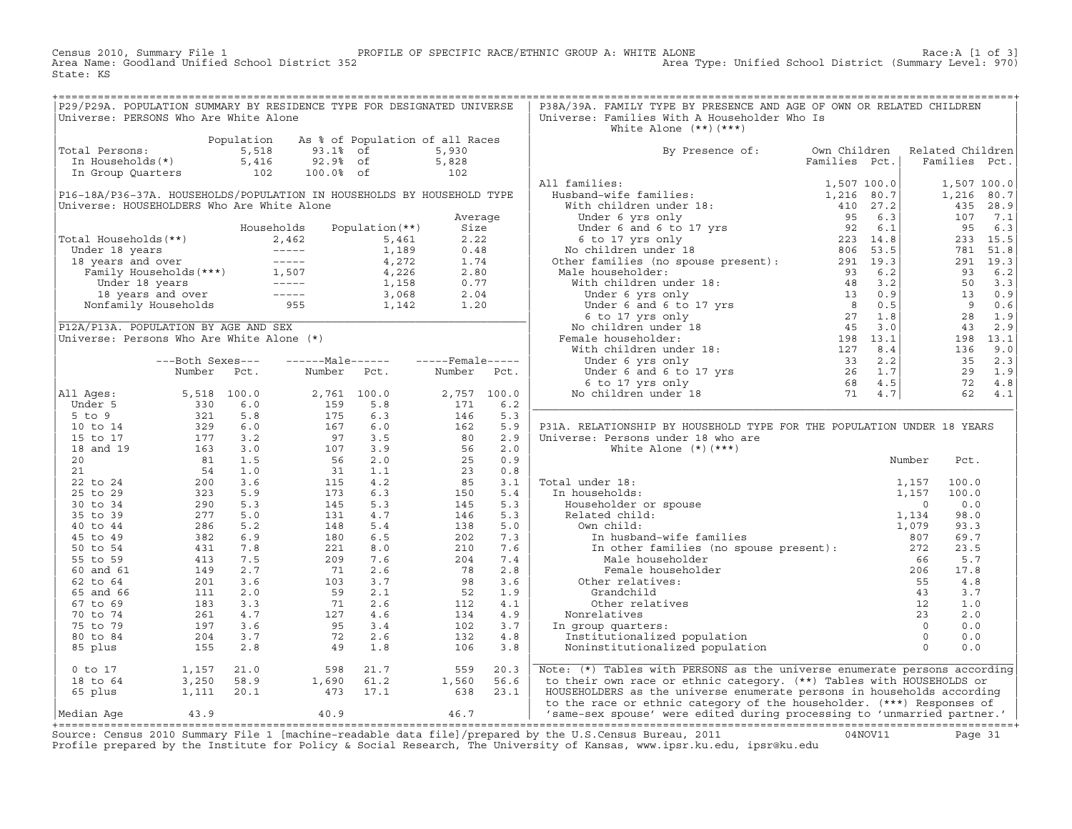Census 2010, Summary File 1 PROFILE OF SPECIFIC RACE/ETHNIC GROUP A: WHITE ALONE Race:A [1 of 3]<br>Area Name: Goodland Unified School District 352 Area Nove: Unified School District (Summary Level: 970) Area Type: Unified School District (Summary Level: 970) State: KS

+===================================================================================================================================================+|P29/P29A. POPULATION SUMMARY BY RESIDENCE TYPE FOR DESIGNATED UNIVERSE | P38A/39A. FAMILY TYPE BY PRESENCE AND AGE OF OWN OR RELATED CHILDREN<br>|Universe: PERSONS Who Are White Alone  $Universe: Families With A Householder Who Is$ | | White Alone (\*\*)(\*\*\*) | | Population As % of Population of all Races | | |Total Persons: 5,518 93.1% of 5,930 | By Presence of: Own Children Related Children| | In Households(\*) 5,416 92.9% of 5,828 | Families Pct.| Families Pct.| | In Group Quarters 102 100.0% of 102 | | |  $\begin{array}{|c|c|c|c|}\hline \text{All families:} & & & 1,507\text{ 100.0} \end{array} \hspace{1.5cm} \begin{array}{|c|c|c|c|c|c|}\hline \text{1,507 100.0} & & & 1,507\text{ 100.0} \end{array}$ |P16−18A/P36−37A. HOUSEHOLDS/POPULATION IN HOUSEHOLDS BY HOUSEHOLD TYPE | Husband−wife families: 1,216 80.7| 1,216 80.7| |Universe: HOUSEHOLDERS Who Are White Alone | With children under 18: 410 27.2| 435 28.9| | Average | Under 6 yrs only 95 6.3| 107 7.1| | Households Population(\*\*) Size | Under 6 and 6 to 17 yrs 92 6.1| 95 6.3| |Total Households(\*\*) 2,462 5,461 2.22 | 6 to 17 yrs only 223 14.8| 233 15.5| | Under 18 years −−−−− 1,189 0.48 | No children under 18 806 53.5| 781 51.8| | 18 years and over −−−−− 4,272 1.74 | Other families (no spouse present): 291 19.3| 291 19.3| | Family Households(\*\*\*) 1,507 4,226 2.80 | Male householder: 93 6.2| 93 6.2| | Under 18 years −−−−− 1,158 0.77 | With children under 18: 48 3.2| 50 3.3| | 18 years and over −−−−− 3,068 2.04 | Under 6 yrs only 13 0.9| 13 0.9| | Nonfamily Households 955 1,142 1.20 | Under 6 and 6 to 17 yrs 8 0.5| 9 0.6| |\_\_\_\_\_\_\_\_\_\_\_\_\_\_\_\_\_\_\_\_\_\_\_\_\_\_\_\_\_\_\_\_\_\_\_\_\_\_\_\_\_\_\_\_\_\_\_\_\_\_\_\_\_\_\_\_\_\_\_\_\_\_\_\_\_\_\_\_\_\_\_\_| 6 to 17 yrs only 27 1.8| 28 1.9| |P12A/P13A. POPULATION BY AGE AND SEX | No children under 18 45 3.0| 43 2.9| |Universe: Persons Who Are White Alone (\*) | Female householder: 198 13.1| 198 13.1| | | With children under 18: 127 8.4| 136 9.0| | −−−Both Sexes−−− −−−−−−Male−−−−−− −−−−−Female−−−−− | Under 6 yrs only 33 2.2| 35 2.3| | Number Pct. Number Pct. Number Pct. | Under 6 and 6 to 17 yrs 26 1.7| 29 1.9| | | 6 to 17 yrs only 68 4.5| 72 4.8| |All Ages: 5,518 100.0 2,761 100.0 2,757 100.0 | No children under 18 71 4.7| 62 4.1| | Under 5 330 6.0 159 5.8 171 6.2 |\_\_\_\_\_\_\_\_\_\_\_\_\_\_\_\_\_\_\_\_\_\_\_\_\_\_\_\_\_\_\_\_\_\_\_\_\_\_\_\_\_\_\_\_\_\_\_\_\_\_\_\_\_\_\_\_\_\_\_\_\_\_\_\_\_\_\_\_\_\_\_\_\_\_| | 5 to 9 321 5.8 175 6.3 146 5.3 | | | 10 to 14 329 6.0 167 6.0 162 5.9 | P31A. RELATIONSHIP BY HOUSEHOLD TYPE FOR THE POPULATION UNDER 18 YEARS | 15 to 17  $177$  3.2  $97$  3.5  $80$  2.9 | Universe: Persons under 18 who are | 18 and 19 163 3.0 107 3.9 56 2.0 | White Alone (\*)(\*\*\*) | | 20 81 1.5 56 2.0 25 0.9 | Number Pct. | | 21 54 1.0 31 1.1 23 0.8 | | | 22 to 24 200 3.6 115 4.2 85 3.1 | Total under 18: 1,157 100.0 | | 25 to 29 323 5.9 173 6.3 150 5.4 | In households: 1,157 100.0 | | 30 to 34 290 5.3 145 5.3 145 5.3 | Householder or spouse 0 0.0 | | 35 to 39 277 5.0 131 4.7 146 5.3 | Related child: 1,134 98.0 | | 40 to 44 286 5.2 148 5.4 138 5.0 | Own child: 1,079 93.3 | | 45 to 49 382 6.9 180 6.5 202 7.3 | In husband−wife families 807 69.7 | | 50 to 54 431 7.8 221 8.0 210 7.6 | In other families (no spouse present): 272 23.5 | | 55 to 59 413 7.5 209 7.6 204 7.4 | Male householder 66 5.7 | | 60 and 61 149 2.7 71 2.6 78 2.8 | Female householder 206 17.8 | | 62 to 64 201 3.6 103 3.7 98 3.6 | Other relatives: 55 4.8 | | 65 and 66 111 2.0 59 2.1 52 1.9 | Grandchild 43 3.7 | | 67 to 69 183 3.3 71 2.6 112 4.1 | Other relatives 12 1.0 | | 70 to 74 261 4.7 127 4.6 134 4.9 | Nonrelatives 23 2.0 | | 75 to 79 197 3.6 95 3.4 102 3.7 | In group quarters: 0 0.0 | | 80 to 84 204 3.7 72 2.6 132 4.8 | Institutionalized population 0 0.0 | | 85 plus 155 2.8 49 1.8 106 3.8 | Noninstitutionalized population 0 0.0 | | |\_\_\_\_\_\_\_\_\_\_\_\_\_\_\_\_\_\_\_\_\_\_\_\_\_\_\_\_\_\_\_\_\_\_\_\_\_\_\_\_\_\_\_\_\_\_\_\_\_\_\_\_\_\_\_\_\_\_\_\_\_\_\_\_\_\_\_\_\_\_\_\_\_\_|  $\begin{array}{|l|} \hline \begin{array}{c} 0 \text{ to } 17 \end{array} \end{array} \begin{array}{c} \hline \begin{array}{c} 1,157 \end{array} \end{array} \begin{array}{c} \hline \begin{array}{c} 21.0 \end{array} \end{array} \end{array} \begin{array}{c} \hline \begin{array}{c} 559 \end{array} \end{array} \begin{array}{c} \hline \begin{array}{c} 20.3 \end{array} \end{array} \begin{array}{c} \hline \begin{array}{c} 0 \text{ to } 1 \end{array} \end{array} \begin{array}{c} \hline \begin$ | 18 to 64 3,250 58.9 1,690 61.2 1,560 56.6 | to their own race or ethnic category. (\*\*) Tables with HOUSEHOLDS or | | 65 plus 1,111 20.1 473 17.1 638 23.1 | HOUSEHOLDERS as the universe enumerate persons in households according | | to the race or ethnic category of the householder. (\*\*\*) Responses of

|Median Age 43.9 40.9 46.7 | 'same−sex spouse' were edited during processing to 'unmarried partner.' | +===================================================================================================================================================+ Source: Census 2010 Summary File 1 [machine−readable data file]/prepared by the U.S.Census Bureau, 2011 04NOV11 Page 31 Profile prepared by the Institute for Policy & Social Research, The University of Kansas, www.ipsr.ku.edu, ipsr@ku.edu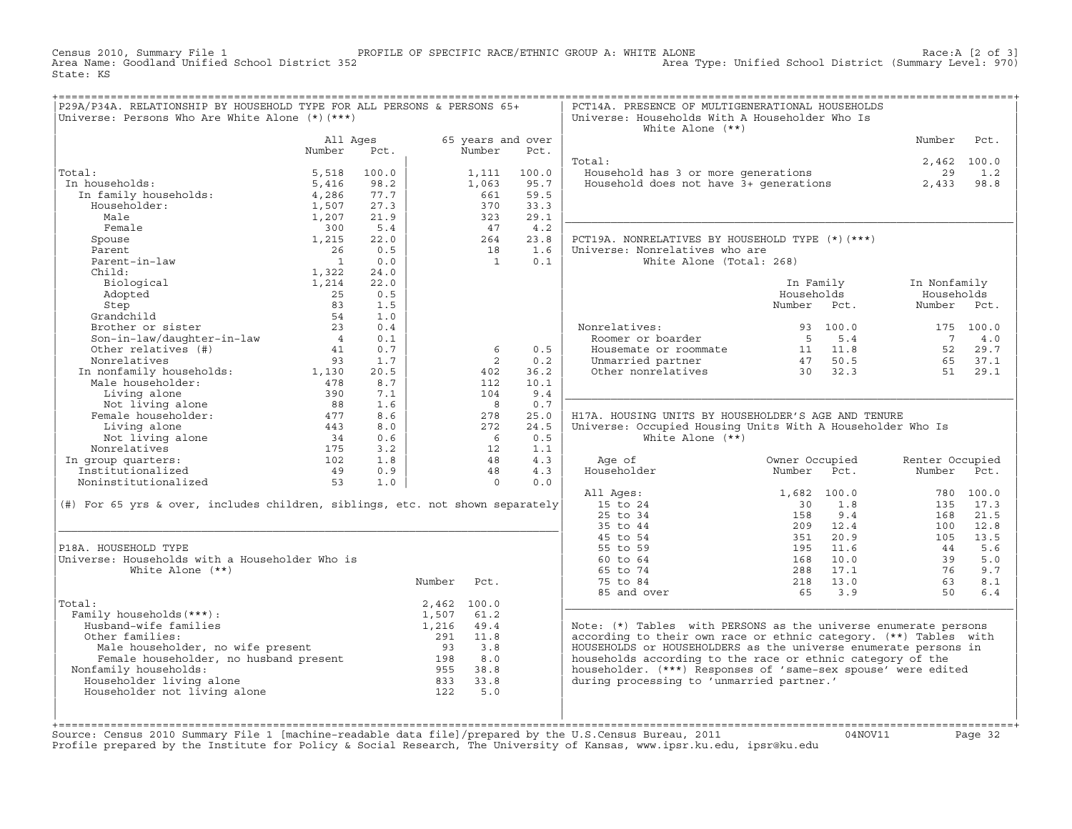Census 2010, Summary File 1 PROFILE OF SPECIFIC RACE/ETHNIC GROUP A: WHITE ALONE Race:A [2 of 3] Area Type: Unified School District (Summary Level: 970) State: KS

|                                                                                                                                          | Universe: Persons Who Are White Alone (*) (***) |             | P29A/P34A. RELATIONSHIP BY HOUSEHOLD TYPE FOR ALL PERSONS & PERSONS 65+ |                             |              | PCT14A. PRESENCE OF MULTIGENERATIONAL HOUSEHOLDS<br>Universe: Households With A Householder Who Is<br>White Alone $(**)$ |                            |                 |             |
|------------------------------------------------------------------------------------------------------------------------------------------|-------------------------------------------------|-------------|-------------------------------------------------------------------------|-----------------------------|--------------|--------------------------------------------------------------------------------------------------------------------------|----------------------------|-----------------|-------------|
|                                                                                                                                          | All Ages<br>Number                              | Pct.        |                                                                         | 65 years and over<br>Number | Pct.         |                                                                                                                          |                            | Number          | Pct.        |
|                                                                                                                                          |                                                 |             |                                                                         |                             |              | Total:                                                                                                                   |                            |                 | 2,462 100.0 |
| Total:                                                                                                                                   | 5,518                                           | 100.0       |                                                                         | 1,111                       | 100.0        |                                                                                                                          |                            | 29              | 1.2         |
| In households:<br>n households:<br>In family households:<br>Householder:                                                                 | 5,416                                           | 98.2        |                                                                         | 1,063                       | 95.7         | Household has 3 or more generations<br>Household does not have 3+ generations                                            |                            | 2,433           | 98.8        |
|                                                                                                                                          | 4,286                                           | 77.7        |                                                                         | 661                         | 59.5         |                                                                                                                          |                            |                 |             |
|                                                                                                                                          | 1,507                                           | 27.3        |                                                                         | 370                         | 33.3         |                                                                                                                          |                            |                 |             |
| Male                                                                                                                                     | 1,207                                           | 21.9        |                                                                         | 323                         | 29.1         |                                                                                                                          |                            |                 |             |
| Female                                                                                                                                   | 300                                             | 5.4         |                                                                         | 47                          | 4.2          |                                                                                                                          |                            |                 |             |
| Spouse                                                                                                                                   | 1,215                                           | 22.0        |                                                                         | 264                         | 23.8         | PCT19A. NONRELATIVES BY HOUSEHOLD TYPE (*) (***)                                                                         |                            |                 |             |
| Parent                                                                                                                                   | 26                                              | 0.5         |                                                                         | 18                          | 1.6          | Universe: Nonrelatives who are                                                                                           |                            |                 |             |
| Parent-in-law                                                                                                                            | $\overline{1}$                                  | 0.0         |                                                                         | $\overline{1}$              | 0.1          | White Alone (Total: 268)                                                                                                 |                            |                 |             |
| Child:                                                                                                                                   | 1,322                                           | 24.0        |                                                                         |                             |              |                                                                                                                          |                            |                 |             |
| Biological                                                                                                                               | 1,214                                           | 22.0        |                                                                         |                             |              |                                                                                                                          | In Family                  | In Nonfamily    |             |
| Adopted                                                                                                                                  | 25                                              | 0.5         |                                                                         |                             |              |                                                                                                                          | Households                 | Households      |             |
| Step                                                                                                                                     | 83                                              | 1.5         |                                                                         |                             |              |                                                                                                                          | Number Pct.                | Number Pct.     |             |
|                                                                                                                                          | 54                                              | 1.0         |                                                                         |                             |              |                                                                                                                          |                            |                 |             |
| Step<br>Grandchild<br>Brother or sister<br>Son-in-law/daughter-in-law                                                                    | 23                                              | 0.4         |                                                                         |                             |              | Nonrelatives:<br>pnrelatives:<br>Roomer or boarder                                                                       | 93 100.0                   |                 | 175 100.0   |
|                                                                                                                                          | $\begin{array}{c} 4 \\ 41 \end{array}$          | 0.1         |                                                                         |                             |              |                                                                                                                          | 5 5.4                      | $7\overline{ }$ | 4.0         |
| Other relatives (#)                                                                                                                      | 41                                              | 0.7         |                                                                         | -6                          | 0.5          | Housemate or roommate 11 11.8                                                                                            |                            |                 | 52 29.7     |
| Nonrelatives                                                                                                                             | 93                                              | 1.7         |                                                                         | 2                           | 0.2          | Unmarried partner $47$ 50.5<br>Other nonrelatives 30 32.3                                                                |                            | 65              | 37.1        |
| 1,130<br>Male householder: 1,130<br>Male householder: 1,130                                                                              |                                                 | 20.5<br>8.7 |                                                                         | 402                         | 36.2<br>10.1 |                                                                                                                          |                            | 51              | 29.1        |
|                                                                                                                                          | 390                                             |             |                                                                         | 112<br>104                  | 9.4          |                                                                                                                          |                            |                 |             |
| Living alone<br>Living alone<br>Not living alone 68<br>Female householder: 477                                                           |                                                 | 7.1         |                                                                         |                             | 0.7          |                                                                                                                          |                            |                 |             |
|                                                                                                                                          |                                                 | 1.6<br>8.6  |                                                                         | $_{\rm 8}$<br>278           | 25.0         | H17A. HOUSING UNITS BY HOUSEHOLDER'S AGE AND TENURE                                                                      |                            |                 |             |
|                                                                                                                                          |                                                 |             |                                                                         |                             |              |                                                                                                                          |                            |                 |             |
|                                                                                                                                          |                                                 |             |                                                                         |                             |              |                                                                                                                          |                            |                 |             |
|                                                                                                                                          |                                                 | 8.0         |                                                                         | 272                         | 24.5         | Universe: Occupied Housing Units With A Householder Who Is                                                               |                            |                 |             |
|                                                                                                                                          |                                                 | 0.6         |                                                                         | 6                           | 0.5          | White Alone $(**)$                                                                                                       |                            |                 |             |
| Nonrelatives                                                                                                                             |                                                 | 3.2         |                                                                         | 12                          | 1.1          |                                                                                                                          |                            |                 |             |
| In group quarters:                                                                                                                       |                                                 | 1.8         |                                                                         | 48                          | 4.3          | Age of                                                                                                                   | Owner Occupied             | Renter Occupied |             |
| Institutionalized                                                                                                                        |                                                 | 0.9         |                                                                         | 48                          | 4.3          | Householder                                                                                                              | Number<br>Pct.             | Number Pct.     |             |
| Not living<br>male householder:<br>Living alone<br>Not living alone<br>malatives<br>175<br>102<br>49<br>53<br>53<br>Noninstitutionalized | 53                                              | 1.0         |                                                                         | $\Omega$                    | 0.0          |                                                                                                                          |                            |                 |             |
|                                                                                                                                          |                                                 |             |                                                                         |                             |              | All Ages:                                                                                                                | 1,682 100.0                |                 | 780 100.0   |
| (#) For 65 yrs & over, includes children, siblings, etc. not shown separately                                                            |                                                 |             |                                                                         |                             |              | 15 to 24                                                                                                                 | 1.8<br>30                  |                 | 135 17.3    |
|                                                                                                                                          |                                                 |             |                                                                         |                             |              | 25 to 34                                                                                                                 | 158<br>9.4                 | 168             | 21.5        |
|                                                                                                                                          |                                                 |             |                                                                         |                             |              | 35 to 44                                                                                                                 | 209 12.4                   | 100<br>105      | 12.8        |
| P18A. HOUSEHOLD TYPE                                                                                                                     |                                                 |             |                                                                         |                             |              | 45 to 54<br>55 to 59                                                                                                     | 20.9<br>351<br>11.6<br>195 | 44              | 13.5<br>5.6 |
| Universe: Households with a Householder Who is                                                                                           |                                                 |             |                                                                         |                             |              | 60 to 64                                                                                                                 | 168<br>10.0                | 39              | 5.0         |
| White Alone $(**)$                                                                                                                       |                                                 |             |                                                                         |                             |              | 65 to 74                                                                                                                 | 288<br>17.1                | 76              | 9.7         |
|                                                                                                                                          |                                                 |             | Number                                                                  | Pct.                        |              | 75 to 84                                                                                                                 |                            | 63              | 8.1         |
|                                                                                                                                          |                                                 |             |                                                                         |                             |              | 85 and over                                                                                                              | 218 13.0<br>65<br>3.9      | 50              | 6.4         |
| Total:                                                                                                                                   |                                                 |             | 2,462 100.0                                                             |                             |              |                                                                                                                          |                            |                 |             |
| Family households (***) :                                                                                                                |                                                 |             | 1,507                                                                   | 61.2                        |              |                                                                                                                          |                            |                 |             |
| Husband-wife families                                                                                                                    |                                                 |             | 1,216                                                                   | 49.4                        |              | Note: (*) Tables with PERSONS as the universe enumerate persons                                                          |                            |                 |             |
| Other families:                                                                                                                          |                                                 |             |                                                                         | 11.8                        |              | according to their own race or ethnic category. (**) Tables with                                                         |                            |                 |             |
|                                                                                                                                          |                                                 |             | 291                                                                     | 3.8                         |              | HOUSEHOLDS or HOUSEHOLDERS as the universe enumerate persons in                                                          |                            |                 |             |
|                                                                                                                                          |                                                 |             |                                                                         | 8.0                         |              | households according to the race or ethnic category of the                                                               |                            |                 |             |
| Nonfamily households:                                                                                                                    |                                                 |             | 955 38.8                                                                |                             |              | householder. (***) Responses of 'same-sex spouse' were edited                                                            |                            |                 |             |
| Householder living alone                                                                                                                 |                                                 |             |                                                                         |                             |              | during processing to 'unmarried partner.'                                                                                |                            |                 |             |
| Householder not living alone                                                                                                             |                                                 |             | $833$ $33.8$<br>$122$ $5.0$<br>122                                      | 5.0                         |              |                                                                                                                          |                            |                 |             |

+===================================================================================================================================================+Source: Census 2010 Summary File 1 [machine−readable data file]/prepared by the U.S.Census Bureau, 2011 04NOV11 Page 32 Profile prepared by the Institute for Policy & Social Research, The University of Kansas, www.ipsr.ku.edu, ipsr@ku.edu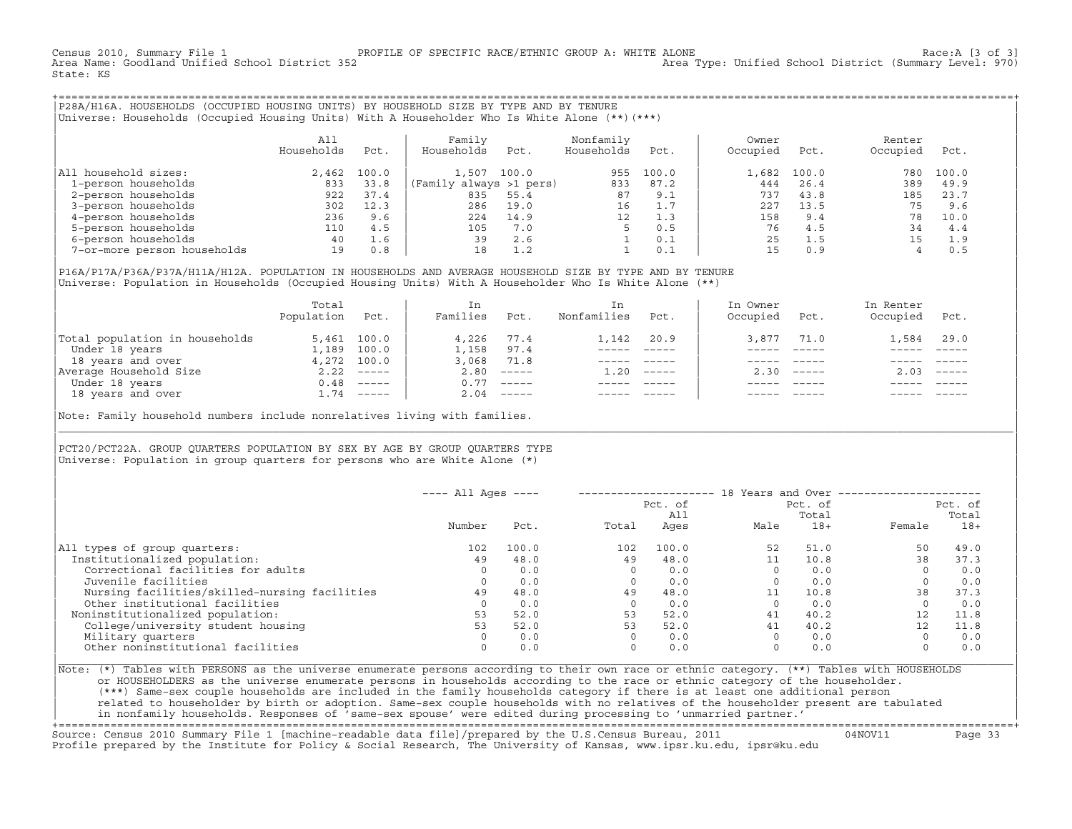Census 2010, Summary File 1 PROFILE OF SPECIFIC RACE/ETHNIC GROUP A: WHITE ALONE Race:A [3 of 3] Area Type: Unified School District (Summary Level: 970) State: KS

+===================================================================================================================================================+|P28A/H16A. HOUSEHOLDS (OCCUPIED HOUSING UNITS) BY HOUSEHOLD SIZE BY TYPE AND BY TENURE | |Universe: Households (Occupied Housing Units) With A Householder Who Is White Alone (\*\*)(\*\*\*) |

| | | All | Family Nonfamily | Owner Renter Renter | Renter | Renter | Renter | Renter | Renter | Renter | Renter | Renter | Renter | Renter | Renter | Renter | Renter | Renter | Renter | Renter | Renter | Renter | Renter | Re | Households Pct. | Households Pct. Households Pct. | Occupied Pct. Occupied Pct. | | | | | |All household sizes:  $2,462 \quad 100.0$  | 1,507 100.0  $100.0$  955 100.0 | 1,682 100.0 780 100.0 780 100.0 <br>1-person households 833 33.8 (Family always >1 pers) 833 87.2 | 444 26.4 389 49.9 | 1−person households 833 33.8 |(Family always >1 pers) 833 87.2 | 444 26.4 389 49.9 | | 2−person households 922 37.4 | 835 55.4 87 9.1 | 737 43.8 185 23.7 | | 3−person households 302 12.3 | 286 19.0 16 1.7 | 227 13.5 75 9.6 | | 4−person households 236 9.6 | 224 14.9 12 1.3 | 158 9.4 78 10.0 | | 5−person households 110 4.5 | 105 7.0 5 0.5 | 76 4.5 34 4.4 | | 6−person households 40 1.6 | 39 2.6 1 0.1 | 25 1.5 15 1.9 | 1−person households<br>
5−person households<br>
6−person households<br>
7−or−more person households 19 0.8 | 18 1.2 1 0.1 15 0.9 4 0.5

| | |P16A/P17A/P36A/P37A/H11A/H12A. POPULATION IN HOUSEHOLDS AND AVERAGE HOUSEHOLD SIZE BY TYPE AND BY TENURE | Universe: Population in Households (Occupied Housing Units) With A Householder Who Is White Alone (\*\*)

|                                | Total<br>Population | Pct.         | Ιn<br>Families | Pct.                      | Nonfamilies | Pct.                      | In Owner<br>Occupied | Pct.         | In Renter<br>Occupied | Pct.                      |  |
|--------------------------------|---------------------|--------------|----------------|---------------------------|-------------|---------------------------|----------------------|--------------|-----------------------|---------------------------|--|
| Total population in households |                     | 5,461 100.0  | 4,226          | 77.4                      | 1,142       | 20.9                      | 3,877                | 71.0         | 1,584                 | 29.0                      |  |
| Under 18 years                 | 1,189               | 100.0        | 1,158          | 97.4                      |             |                           |                      |              |                       |                           |  |
| 18 years and over              |                     | 4,272 100.0  | 3,068          | 71.8                      |             |                           |                      |              |                       |                           |  |
| Average Household Size         |                     | $2.22$ ----- | 2.80           | $------$                  | 1.20        | $\qquad \qquad - - - - -$ |                      | $2.30$ $---$ | 2.03                  | $\qquad \qquad - - - - -$ |  |
| Under 18 years                 |                     | $0.48$ ----- | 0.77           | $\qquad \qquad - - - - -$ |             |                           |                      |              |                       |                           |  |
| 18 years and over              |                     | 1.74 -----   | 2.04           | ------                    |             |                           |                      |              |                       |                           |  |

| |

|\_\_\_\_\_\_\_\_\_\_\_\_\_\_\_\_\_\_\_\_\_\_\_\_\_\_\_\_\_\_\_\_\_\_\_\_\_\_\_\_\_\_\_\_\_\_\_\_\_\_\_\_\_\_\_\_\_\_\_\_\_\_\_\_\_\_\_\_\_\_\_\_\_\_\_\_\_\_\_\_\_\_\_\_\_\_\_\_\_\_\_\_\_\_\_\_\_\_\_\_\_\_\_\_\_\_\_\_\_\_\_\_\_\_\_\_\_\_\_\_\_\_\_\_\_\_\_\_\_\_\_\_\_\_\_\_\_\_\_\_\_\_\_\_\_\_\_|

| |

Note: Family household numbers include nonrelatives living with families.

| | PCT20/PCT22A. GROUP OUARTERS POPULATION BY SEX BY AGE BY GROUP OUARTERS TYPE Universe: Population in group quarters for persons who are White Alone  $(*)$ 

|                                               | $---$ All Ages $---$ |       |       |                | 18 Years and Over ------------ |                  |          |                  |
|-----------------------------------------------|----------------------|-------|-------|----------------|--------------------------------|------------------|----------|------------------|
|                                               |                      |       |       | Pct. of<br>All |                                | Pct. of<br>Total |          | Pct. of<br>Total |
|                                               | Number               | Pct.  | Total | Ages           | Male                           | $18+$            | Female   | $18+$            |
| All types of group quarters:                  | 102                  | 100.0 | 102   | 100.0          | 52                             | 51.0             | 50       | 49.0             |
| Institutionalized population:                 | 49                   | 48.0  | 49    | 48.0           |                                | 10.8             | 38       | 37.3             |
| Correctional facilities for adults            | $\Omega$             | 0.0   |       | 0.0            |                                | 0.0              | $\Omega$ | 0.0              |
| Juvenile facilities                           | $\Omega$             | 0.0   |       | 0.0            |                                | 0.0              |          | 0.0              |
| Nursing facilities/skilled-nursing facilities | 49                   | 48.0  | 49    | 48.0           |                                | 10.8             | 38       | 37.3             |
| Other institutional facilities                |                      | 0.0   |       | 0.0            |                                | 0.0              |          | 0.0              |
| Noninstitutionalized population:              | 53                   | 52.0  | 53    | 52.0           | 41                             | 40.2             | 12       | 11.8             |
| College/university student housing            | 53                   | 52.0  | 53    | 52.0           | 41                             | 40.2             | 12       | 11.8             |
| Military quarters                             | $\Omega$             | 0.0   |       | 0.0            |                                | 0.0              | $\Omega$ | 0.0              |
| Other noninstitutional facilities             | $\Omega$             | 0.0   |       | 0.0            |                                | 0.0              |          | 0.0              |

|Note: (\*) Tables with PERSONS as the universe enumerate persons according to their own race or ethnic category. (\*\*) Tables with HOUSEHOLDS | or HOUSEHOLDERS as the universe enumerate persons in households according to the race or ethnic category of the householder. | (\*\*\*) Same−sex couple households are included in the family households category if there is at least one additional person | | related to householder by birth or adoption. Same−sex couple households with no relatives of the householder present are tabulated | | in nonfamily households. Responses of 'same−sex spouse' were edited during processing to 'unmarried partner.' |

+===================================================================================================================================================+Source: Census 2010 Summary File 1 [machine−readable data file]/prepared by the U.S.Census Bureau, 2011 04NOV11 Page 33 Profile prepared by the Institute for Policy & Social Research, The University of Kansas, www.ipsr.ku.edu, ipsr@ku.edu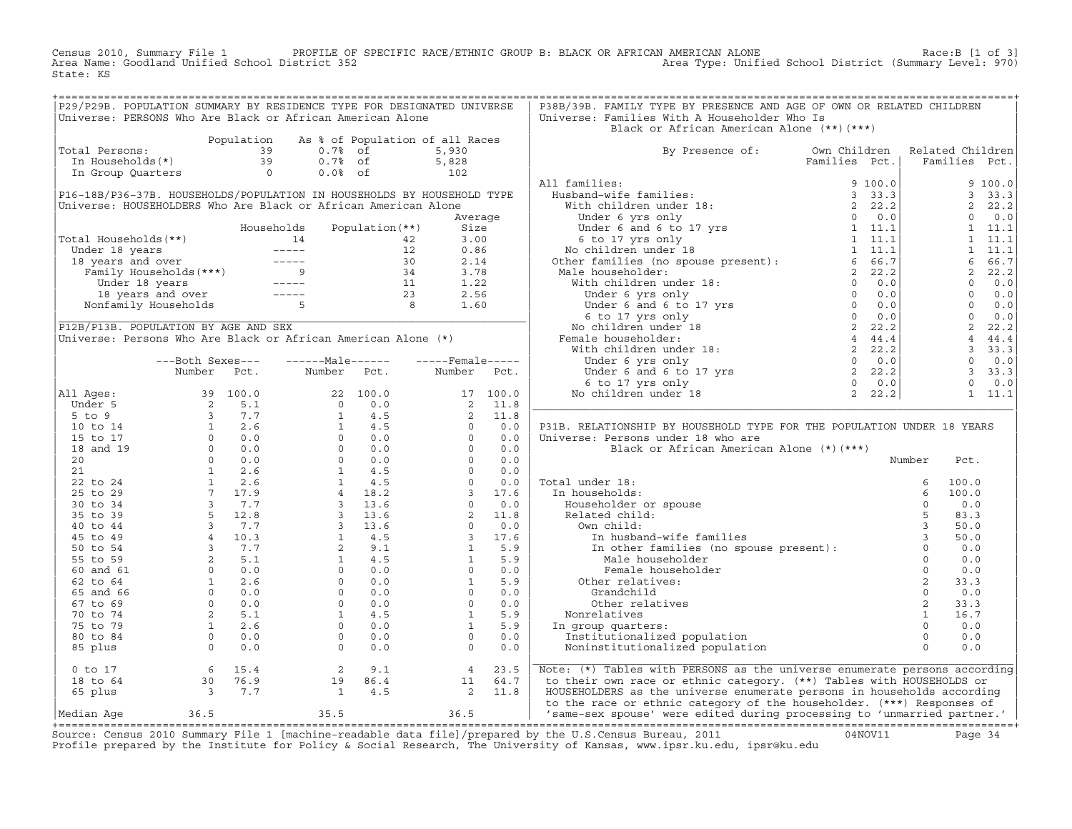Census 2010, Summary File 1 PROFILE OF SPECIFIC RACE/ETHNIC GROUP B: BLACK OR AFRICAN AMERICAN ALONE Race:B [1 of 3] Area Name: Goodland Unified School District 352 Area Type: Unified School District (Summary Level: 970) State: KS

| P29/P29B. POPULATION SUMMARY BY RESIDENCE TYPE FOR DESIGNATED UNIVERSE |                                                                                                                                                                                                                                                                                            |            |                                                                                                                                                                                                                                                                                              |                 |                                                                                                                                                                                                                                                                         |          | P38B/39B. FAMILY TYPE BY PRESENCE AND AGE OF OWN OR RELATED CHILDREN                                      |                             |                  |                        |  |
|------------------------------------------------------------------------|--------------------------------------------------------------------------------------------------------------------------------------------------------------------------------------------------------------------------------------------------------------------------------------------|------------|----------------------------------------------------------------------------------------------------------------------------------------------------------------------------------------------------------------------------------------------------------------------------------------------|-----------------|-------------------------------------------------------------------------------------------------------------------------------------------------------------------------------------------------------------------------------------------------------------------------|----------|-----------------------------------------------------------------------------------------------------------|-----------------------------|------------------|------------------------|--|
| Universe: PERSONS Who Are Black or African American Alone              |                                                                                                                                                                                                                                                                                            |            |                                                                                                                                                                                                                                                                                              |                 |                                                                                                                                                                                                                                                                         |          | Universe: Families With A Householder Who Is                                                              |                             |                  |                        |  |
|                                                                        |                                                                                                                                                                                                                                                                                            |            |                                                                                                                                                                                                                                                                                              |                 |                                                                                                                                                                                                                                                                         |          | Black or African American Alone (**)(***)                                                                 |                             |                  |                        |  |
|                                                                        |                                                                                                                                                                                                                                                                                            | Population |                                                                                                                                                                                                                                                                                              |                 | As % of Population of all Races                                                                                                                                                                                                                                         |          |                                                                                                           |                             |                  |                        |  |
|                                                                        |                                                                                                                                                                                                                                                                                            | 39         |                                                                                                                                                                                                                                                                                              |                 |                                                                                                                                                                                                                                                                         |          |                                                                                                           |                             |                  |                        |  |
| Total Persons:                                                         | otal Persons:<br>In Households(*)                                                                                                                                                                                                                                                          |            | $0.7%$ of                                                                                                                                                                                                                                                                                    |                 | 5,930                                                                                                                                                                                                                                                                   |          | By Presence of: Own Children                                                                              |                             | Related Children |                        |  |
|                                                                        |                                                                                                                                                                                                                                                                                            | 39         | $0.7%$ of                                                                                                                                                                                                                                                                                    |                 | 5,828                                                                                                                                                                                                                                                                   |          |                                                                                                           | Families Pct. Families Pct. |                  |                        |  |
|                                                                        | In Group Quarters 0                                                                                                                                                                                                                                                                        |            | $0.0%$ of                                                                                                                                                                                                                                                                                    |                 | 102                                                                                                                                                                                                                                                                     |          |                                                                                                           |                             |                  |                        |  |
|                                                                        |                                                                                                                                                                                                                                                                                            |            |                                                                                                                                                                                                                                                                                              |                 |                                                                                                                                                                                                                                                                         |          | All families:                                                                                             |                             |                  | 9100.0                 |  |
| P16-18B/P36-37B. HOUSEHOLDS/POPULATION IN HOUSEHOLDS BY HOUSEHOLD TYPE |                                                                                                                                                                                                                                                                                            |            |                                                                                                                                                                                                                                                                                              |                 |                                                                                                                                                                                                                                                                         |          |                                                                                                           |                             |                  | 3, 33.3                |  |
| Universe: HOUSEHOLDERS Who Are Black or African American Alone         |                                                                                                                                                                                                                                                                                            |            |                                                                                                                                                                                                                                                                                              |                 |                                                                                                                                                                                                                                                                         |          |                                                                                                           |                             |                  | $\overline{a}$<br>22.2 |  |
|                                                                        |                                                                                                                                                                                                                                                                                            |            |                                                                                                                                                                                                                                                                                              |                 |                                                                                                                                                                                                                                                                         |          |                                                                                                           |                             |                  |                        |  |
|                                                                        |                                                                                                                                                                                                                                                                                            |            |                                                                                                                                                                                                                                                                                              |                 | Average                                                                                                                                                                                                                                                                 |          |                                                                                                           |                             |                  | $\Omega$<br>0.0        |  |
|                                                                        |                                                                                                                                                                                                                                                                                            |            | Households                                                                                                                                                                                                                                                                                   | Population (**) | Size                                                                                                                                                                                                                                                                    |          |                                                                                                           |                             |                  | $1 \quad 11.1$         |  |
| Total Households (**)                                                  |                                                                                                                                                                                                                                                                                            |            | 14                                                                                                                                                                                                                                                                                           |                 | 42<br>3.00                                                                                                                                                                                                                                                              |          |                                                                                                           |                             |                  | 1 11.1                 |  |
|                                                                        |                                                                                                                                                                                                                                                                                            |            |                                                                                                                                                                                                                                                                                              |                 | 0.86                                                                                                                                                                                                                                                                    |          |                                                                                                           |                             |                  | $1 \quad 11.1$         |  |
|                                                                        |                                                                                                                                                                                                                                                                                            |            |                                                                                                                                                                                                                                                                                              |                 | 2.14                                                                                                                                                                                                                                                                    |          |                                                                                                           |                             |                  | 6<br>66.7              |  |
|                                                                        |                                                                                                                                                                                                                                                                                            |            |                                                                                                                                                                                                                                                                                              |                 | 3.78                                                                                                                                                                                                                                                                    |          |                                                                                                           |                             |                  | 2<br>22.2              |  |
|                                                                        |                                                                                                                                                                                                                                                                                            |            | otal Households (**)<br>Under 18 years<br>18 years and over<br>Family Households (***)<br>Under 18 years<br>18 years and over<br>18 years and over<br>18 years and over<br>Nonfamily Households<br>5 8                                                                                       |                 |                                                                                                                                                                                                                                                                         |          |                                                                                                           |                             |                  |                        |  |
|                                                                        |                                                                                                                                                                                                                                                                                            |            |                                                                                                                                                                                                                                                                                              |                 | 1.22                                                                                                                                                                                                                                                                    |          |                                                                                                           |                             |                  | $0 \t 0.0$             |  |
|                                                                        |                                                                                                                                                                                                                                                                                            |            |                                                                                                                                                                                                                                                                                              |                 | 2.56                                                                                                                                                                                                                                                                    |          |                                                                                                           |                             |                  | $\bigcap$<br>0.0       |  |
|                                                                        |                                                                                                                                                                                                                                                                                            |            |                                                                                                                                                                                                                                                                                              |                 | 1.60                                                                                                                                                                                                                                                                    |          |                                                                                                           |                             |                  | $0 \t 0.0$             |  |
|                                                                        |                                                                                                                                                                                                                                                                                            |            |                                                                                                                                                                                                                                                                                              |                 |                                                                                                                                                                                                                                                                         |          |                                                                                                           |                             |                  | $\overline{0}$<br>0.0  |  |
| P12B/P13B. POPULATION BY AGE AND SEX                                   |                                                                                                                                                                                                                                                                                            |            |                                                                                                                                                                                                                                                                                              |                 |                                                                                                                                                                                                                                                                         |          |                                                                                                           |                             |                  | 2 22.2                 |  |
| Universe: Persons Who Are Black or African American Alone (*)          |                                                                                                                                                                                                                                                                                            |            |                                                                                                                                                                                                                                                                                              |                 |                                                                                                                                                                                                                                                                         |          | Female householder:                                                                                       |                             |                  | 444.4                  |  |
|                                                                        |                                                                                                                                                                                                                                                                                            |            |                                                                                                                                                                                                                                                                                              |                 |                                                                                                                                                                                                                                                                         |          |                                                                                                           |                             |                  | 3, 33.3                |  |
|                                                                        |                                                                                                                                                                                                                                                                                            |            |                                                                                                                                                                                                                                                                                              |                 |                                                                                                                                                                                                                                                                         |          |                                                                                                           |                             |                  |                        |  |
|                                                                        | ---Both Sexes---                                                                                                                                                                                                                                                                           |            | $---Male----$                                                                                                                                                                                                                                                                                |                 | $---$ Female-----                                                                                                                                                                                                                                                       |          |                                                                                                           |                             |                  | $0 \t 0.0$             |  |
|                                                                        | Number                                                                                                                                                                                                                                                                                     | Pct.       | Number                                                                                                                                                                                                                                                                                       | Pct.            | Number                                                                                                                                                                                                                                                                  | Pct.     |                                                                                                           |                             |                  | 3, 33.3                |  |
|                                                                        |                                                                                                                                                                                                                                                                                            |            |                                                                                                                                                                                                                                                                                              |                 |                                                                                                                                                                                                                                                                         |          |                                                                                                           |                             |                  | $\overline{0}$<br>0.0  |  |
| All Ages:                                                              |                                                                                                                                                                                                                                                                                            |            |                                                                                                                                                                                                                                                                                              | 22 100.0        |                                                                                                                                                                                                                                                                         | 17 100.0 |                                                                                                           |                             |                  | $1 \quad 11.1$         |  |
| Under 5                                                                |                                                                                                                                                                                                                                                                                            |            | $\begin{bmatrix} 22 & 10 \\ 0 & 20 \end{bmatrix}$                                                                                                                                                                                                                                            | 0.0             | $\begin{array}{ccc} 17 & 100.0 \\ 2 & 11.8 \end{array}$                                                                                                                                                                                                                 |          |                                                                                                           |                             |                  |                        |  |
|                                                                        |                                                                                                                                                                                                                                                                                            |            |                                                                                                                                                                                                                                                                                              |                 |                                                                                                                                                                                                                                                                         |          |                                                                                                           |                             |                  |                        |  |
| $5$ to $9$                                                             |                                                                                                                                                                                                                                                                                            |            |                                                                                                                                                                                                                                                                                              |                 |                                                                                                                                                                                                                                                                         |          |                                                                                                           |                             |                  |                        |  |
| 10 to 14                                                               |                                                                                                                                                                                                                                                                                            |            |                                                                                                                                                                                                                                                                                              |                 |                                                                                                                                                                                                                                                                         |          | P31B. RELATIONSHIP BY HOUSEHOLD TYPE FOR THE POPULATION UNDER 18 YEARS                                    |                             |                  |                        |  |
| 15 to 17                                                               |                                                                                                                                                                                                                                                                                            |            |                                                                                                                                                                                                                                                                                              |                 |                                                                                                                                                                                                                                                                         |          | Universe: Persons under 18 who are                                                                        |                             |                  |                        |  |
| 18 and 19                                                              |                                                                                                                                                                                                                                                                                            |            |                                                                                                                                                                                                                                                                                              |                 |                                                                                                                                                                                                                                                                         |          | Black or African American Alone (*) (***)                                                                 |                             |                  |                        |  |
| 20                                                                     |                                                                                                                                                                                                                                                                                            |            |                                                                                                                                                                                                                                                                                              |                 |                                                                                                                                                                                                                                                                         |          |                                                                                                           |                             | Number           | Pct.                   |  |
| 21                                                                     |                                                                                                                                                                                                                                                                                            |            |                                                                                                                                                                                                                                                                                              |                 |                                                                                                                                                                                                                                                                         |          | il under 18:<br>households:<br>Householder or spouse<br>neleted child:                                    |                             |                  |                        |  |
| 22 to 24                                                               |                                                                                                                                                                                                                                                                                            |            |                                                                                                                                                                                                                                                                                              |                 |                                                                                                                                                                                                                                                                         |          | Total under 18:                                                                                           |                             |                  | 100.0                  |  |
|                                                                        |                                                                                                                                                                                                                                                                                            |            |                                                                                                                                                                                                                                                                                              |                 |                                                                                                                                                                                                                                                                         |          |                                                                                                           |                             | 6                |                        |  |
| 25 to 29                                                               |                                                                                                                                                                                                                                                                                            |            |                                                                                                                                                                                                                                                                                              |                 |                                                                                                                                                                                                                                                                         |          | In households:                                                                                            |                             | 6                | 100.0                  |  |
| 30 to 34                                                               |                                                                                                                                                                                                                                                                                            |            |                                                                                                                                                                                                                                                                                              |                 |                                                                                                                                                                                                                                                                         |          |                                                                                                           |                             | $\Omega$         | 0.0                    |  |
| 35 to 39                                                               |                                                                                                                                                                                                                                                                                            |            |                                                                                                                                                                                                                                                                                              |                 |                                                                                                                                                                                                                                                                         |          |                                                                                                           |                             | 5                | 83.3                   |  |
| 40 to 44                                                               |                                                                                                                                                                                                                                                                                            |            |                                                                                                                                                                                                                                                                                              |                 |                                                                                                                                                                                                                                                                         |          | Own child:                                                                                                |                             | $\overline{3}$   | 50.0                   |  |
| 45 to 49                                                               |                                                                                                                                                                                                                                                                                            |            |                                                                                                                                                                                                                                                                                              |                 | $\begin{array}{cccc} 2&11.8\\ 2&11.8\\ 0&0.0\\ 0&0.0\\ 0&0.0\\ 0&0.0\\ 0&0.0\\ 0&0.0\\ 0&0.0\\ 0&0.0\\ 0&0.0\\ 2&11.8\\ 0&0.0\\ 2&11.8\\ 0&0.0\\ 2&11.8\\ 0&0.0\\ 1&5.9\\ 1&5.9\\ 0&0.0\\ 0&0.0\\ 1&5.9\\ 0&0.0\\ 0&0.0\\ 0&0.0\\ 0&0.0\\ 0&0.0\\ 0&0.0\\ 0&0.0\\ 0&0.$ |          | www.cniid:<br>In husband-wife families<br>In other families (no spouse present):<br>Male householder<br>C |                             |                  | 50.0                   |  |
| 50 to 54                                                               |                                                                                                                                                                                                                                                                                            |            |                                                                                                                                                                                                                                                                                              |                 |                                                                                                                                                                                                                                                                         |          |                                                                                                           |                             |                  | 0.0                    |  |
|                                                                        |                                                                                                                                                                                                                                                                                            |            |                                                                                                                                                                                                                                                                                              |                 |                                                                                                                                                                                                                                                                         |          |                                                                                                           |                             |                  |                        |  |
| 55 to 59                                                               |                                                                                                                                                                                                                                                                                            |            |                                                                                                                                                                                                                                                                                              |                 |                                                                                                                                                                                                                                                                         |          | Male householder                                                                                          |                             |                  | 0.0                    |  |
| 60 and 61                                                              |                                                                                                                                                                                                                                                                                            |            |                                                                                                                                                                                                                                                                                              |                 |                                                                                                                                                                                                                                                                         |          | Female householder                                                                                        |                             | $\Omega$         | 0.0                    |  |
| $62$ to $64$                                                           |                                                                                                                                                                                                                                                                                            |            |                                                                                                                                                                                                                                                                                              |                 |                                                                                                                                                                                                                                                                         |          | Other relatives:                                                                                          |                             | 2                | 33.3                   |  |
| 65 and 66                                                              |                                                                                                                                                                                                                                                                                            |            |                                                                                                                                                                                                                                                                                              |                 |                                                                                                                                                                                                                                                                         |          | Grandchild                                                                                                |                             | $\Omega$         | 0.0                    |  |
| 67 to 69                                                               |                                                                                                                                                                                                                                                                                            |            |                                                                                                                                                                                                                                                                                              |                 |                                                                                                                                                                                                                                                                         |          | Other relatives                                                                                           |                             | 2                | 33.3                   |  |
| 70 to 74                                                               |                                                                                                                                                                                                                                                                                            |            |                                                                                                                                                                                                                                                                                              |                 |                                                                                                                                                                                                                                                                         |          | Nonrelatives                                                                                              |                             | $\mathbf{1}$     | 16.7                   |  |
|                                                                        |                                                                                                                                                                                                                                                                                            |            |                                                                                                                                                                                                                                                                                              |                 |                                                                                                                                                                                                                                                                         |          |                                                                                                           |                             |                  |                        |  |
| 75 to 79                                                               |                                                                                                                                                                                                                                                                                            |            |                                                                                                                                                                                                                                                                                              |                 |                                                                                                                                                                                                                                                                         |          | In group quarters:                                                                                        |                             | $\circ$          | 0.0                    |  |
| 80 to 84                                                               |                                                                                                                                                                                                                                                                                            |            |                                                                                                                                                                                                                                                                                              |                 |                                                                                                                                                                                                                                                                         |          | Institutionalized population                                                                              |                             | $\overline{0}$   | 0.0                    |  |
| 85 plus                                                                | 39 100.0<br>2 5.1<br>3 7.7<br>1 2.6<br>0 0.0<br>0 0.0<br>0 0.0<br>1 2.6<br>1 2.6<br>7 17.9<br>3 7.7<br>5 12.8<br>3 7.7<br>4 10.3<br>3 7.7<br>4 10.3<br>3 7.7<br>4 10.3<br>3 7.7<br>4 0.0<br>0 0.0<br>0 0.0<br>5 12.6<br>5 12.8<br>5 10.0<br>0 0.0<br>1 0.3<br>7.7<br>4 0.0<br>0 0.0<br>0 0 |            | $\begin{bmatrix} 0 & 0.0 & 0 \ 0 & 0.0 & 0 \ 1 & 4.5 & 1 \ 0 & 0.0 & 0.0 \ 0 & 0.0 & 0 \ 0 & 0.0 & 1 \ 4.5 & 1 & 4.5 \ 1 & 4.5 & 1 \ 4 & 18.2 & 3 \ 13.6 & 3 & 13.6 \ 3 & 13.6 & 1 \ 4.5 & 2 & 9.1 & 1 \ 1 & 4.5 & 1 \ 2 & 9.1 & 1 \ 1 & 6.0 & 0.0 & 0.0 \ 0 & 0.0 & 0.0 & 0.0 & 0.0 \ 0 & $ |                 | $\Omega$                                                                                                                                                                                                                                                                | 0.0      | Noninstitutionalized population                                                                           |                             | $\Omega$         | 0.0                    |  |
|                                                                        |                                                                                                                                                                                                                                                                                            |            |                                                                                                                                                                                                                                                                                              |                 |                                                                                                                                                                                                                                                                         |          |                                                                                                           |                             |                  |                        |  |
| $0$ to $17$                                                            | 6 15.4                                                                                                                                                                                                                                                                                     |            | $\overline{\mathbf{2}}$                                                                                                                                                                                                                                                                      | 9.1             | 4                                                                                                                                                                                                                                                                       | 23.5     | Note: (*) Tables with PERSONS as the universe enumerate persons according                                 |                             |                  |                        |  |
| 18 to 64                                                               |                                                                                                                                                                                                                                                                                            |            |                                                                                                                                                                                                                                                                                              | 19 86.4         | 11                                                                                                                                                                                                                                                                      | 64.7     | to their own race or ethnic category. (**) Tables with HOUSEHOLDS or                                      |                             |                  |                        |  |
|                                                                        | $30 76.9$<br>$3 7.7$                                                                                                                                                                                                                                                                       |            | $\overline{\mathbf{1}}$                                                                                                                                                                                                                                                                      | 4.5             | $2^{\circ}$                                                                                                                                                                                                                                                             | 11.8     | HOUSEHOLDERS as the universe enumerate persons in households according                                    |                             |                  |                        |  |
|                                                                        |                                                                                                                                                                                                                                                                                            |            |                                                                                                                                                                                                                                                                                              |                 |                                                                                                                                                                                                                                                                         |          |                                                                                                           |                             |                  |                        |  |
| 65 plus                                                                |                                                                                                                                                                                                                                                                                            |            |                                                                                                                                                                                                                                                                                              |                 |                                                                                                                                                                                                                                                                         |          |                                                                                                           |                             |                  |                        |  |
|                                                                        |                                                                                                                                                                                                                                                                                            |            |                                                                                                                                                                                                                                                                                              |                 |                                                                                                                                                                                                                                                                         |          | to the race or ethnic category of the householder. (***) Responses of                                     |                             |                  |                        |  |
| Median Aqe                                                             | 36.5                                                                                                                                                                                                                                                                                       |            | 35.5                                                                                                                                                                                                                                                                                         |                 | 36.5                                                                                                                                                                                                                                                                    |          | 'same-sex spouse' were edited during processing to 'unmarried partner.'                                   |                             |                  |                        |  |

+===================================================================================================================================================+Source: Census 2010 Summary File 1 [machine−readable data file]/prepared by the U.S.Census Bureau, 2011 04NOV11 Page 34 Profile prepared by the Institute for Policy & Social Research, The University of Kansas, www.ipsr.ku.edu, ipsr@ku.edu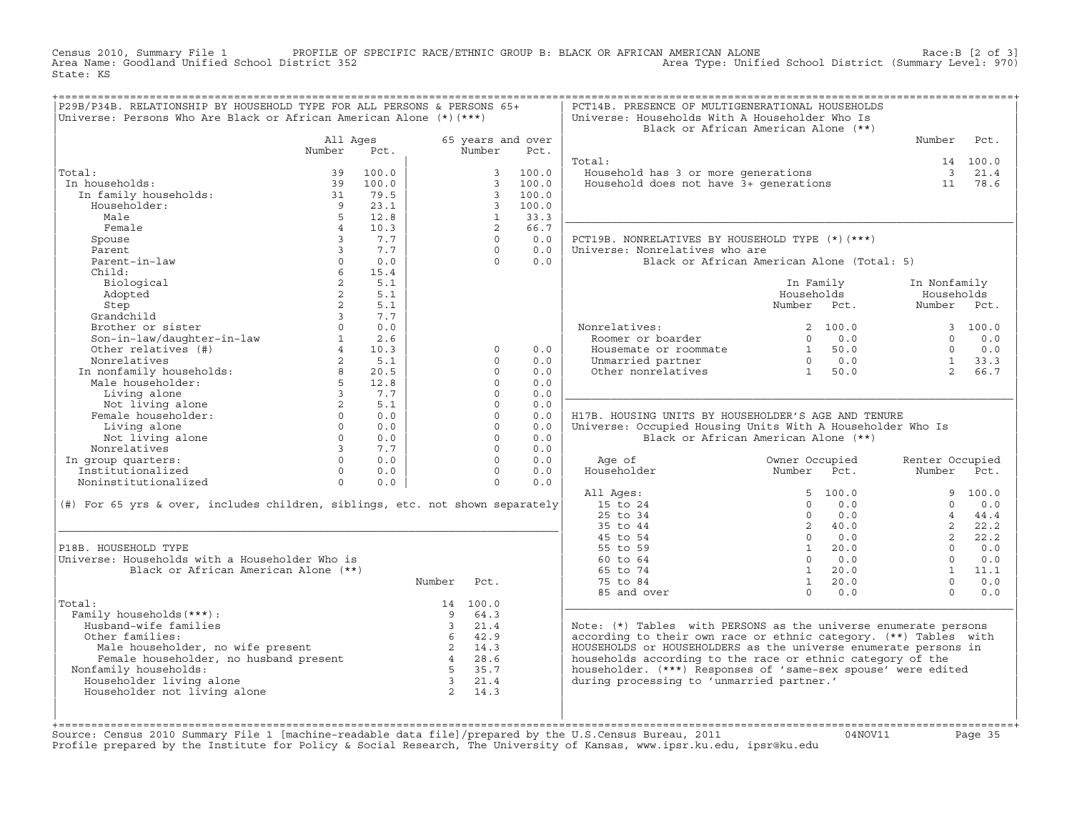Census 2010, Summary File 1 PROFILE OF SPECIFIC RACE/ETHNIC GROUP B: BLACK OR AFRICAN AMERICAN ALONE Race:B [2 of 3] Area Name: Goodland Unified School District 352 Area Type: Unified School District (Summary Level: 970) State: KS

| P29B/P34B. RELATIONSHIP BY HOUSEHOLD TYPE FOR ALL PERSONS & PERSONS 65+<br>Universe: Persons Who Are Black or African American Alone (*) (***) |                              |            |                         |                      |                           | PCT14B. PRESENCE OF MULTIGENERATIONAL HOUSEHOLDS<br>Universe: Households With A Householder Who Is | Black or African American Alone (**)              |                 |          |
|------------------------------------------------------------------------------------------------------------------------------------------------|------------------------------|------------|-------------------------|----------------------|---------------------------|----------------------------------------------------------------------------------------------------|---------------------------------------------------|-----------------|----------|
|                                                                                                                                                | All Ages<br>Number           | Pct.       |                         | Number               | 65 years and over<br>Pct. |                                                                                                    |                                                   | Number          | Pct.     |
|                                                                                                                                                |                              |            |                         |                      |                           | Total:                                                                                             |                                                   |                 | 14 100.0 |
| Total:                                                                                                                                         | 39                           | 100.0      |                         | 3                    | 100.0                     |                                                                                                    |                                                   |                 | 3 21.4   |
| In households:                                                                                                                                 | 39                           | 100.0      |                         | $\mathcal{E}$        | 100.0                     | Household has 3 or more generations<br>Household does not have 3+ generations                      |                                                   | 11              | 78.6     |
| In family households:                                                                                                                          | 31                           | 79.5       |                         | $\mathbf{3}$         | 100.0                     |                                                                                                    |                                                   |                 |          |
| Householder:                                                                                                                                   | $\overline{9}$               | 23.1       |                         | $\overline{3}$       | 100.0                     |                                                                                                    |                                                   |                 |          |
| Male                                                                                                                                           |                              | 12.8       |                         | $\mathbf{1}$         | 33.3                      |                                                                                                    |                                                   |                 |          |
| Female                                                                                                                                         | $\overline{4}$               | 10.3       |                         | 2                    | 66.7                      |                                                                                                    |                                                   |                 |          |
| Spouse                                                                                                                                         | $\overline{3}$               | 7.7        |                         | $\Omega$             | 0.0                       | PCT19B. NONRELATIVES BY HOUSEHOLD TYPE (*)(***)                                                    |                                                   |                 |          |
| Parent                                                                                                                                         | $\overline{3}$               | 7.7        |                         | $\Omega$             | 0.0                       | Universe: Nonrelatives who are                                                                     |                                                   |                 |          |
| Parent-in-law                                                                                                                                  | $\Omega$                     | 0.0        |                         | $\Omega$             | 0.0                       |                                                                                                    | Black or African American Alone (Total: 5)        |                 |          |
| Child:                                                                                                                                         | $6\overline{6}$              | 15.4       |                         |                      |                           |                                                                                                    |                                                   |                 |          |
| Biological                                                                                                                                     | $\overline{a}$               | 5.1        |                         |                      |                           |                                                                                                    | In Family                                         | In Nonfamily    |          |
| Adopted                                                                                                                                        | $\overline{2}$               | 5.1        |                         |                      |                           |                                                                                                    | Households                                        | Households      |          |
| Step                                                                                                                                           | $\overline{a}$               | 5.1        |                         |                      |                           |                                                                                                    | Number Pct.                                       | Number Pct.     |          |
| Grandchild                                                                                                                                     | $\overline{3}$               | 7.7        |                         |                      |                           |                                                                                                    |                                                   |                 |          |
| Brother or sister                                                                                                                              | $\Omega$                     | 0.0        |                         |                      |                           | Nonrelatives:                                                                                      | 2, 100.0                                          |                 | 3, 100.0 |
| Son-in-law/daughter-in-law<br>Other relatives (#)                                                                                              | 1                            | 2.6        |                         |                      |                           | Roomer or boarder                                                                                  | 0.0<br>$\Omega$                                   | $\Omega$        | 0.0      |
|                                                                                                                                                |                              | 10.3       |                         | $\Omega$             | 0.0                       | Housemate or roommate                                                                              | $\begin{matrix} 1 & 50.0 \\ 0 & 0.0 \end{matrix}$ | $\Omega$        | 0.0      |
| Nonrelatives                                                                                                                                   | $\overline{2}$               | 5.1        |                         | $\Omega$             | 0.0                       | Unmarried partner                                                                                  |                                                   | 1               | 33.3     |
| In nonfamily households: 8<br>Male householder: 5                                                                                              |                              | 20.5       |                         | $\Omega$             | 0.0                       | Other nonrelatives                                                                                 | 1 50.0                                            | $2^{\circ}$     | 66.7     |
|                                                                                                                                                |                              | 12.8       |                         | $\Omega$<br>$\Omega$ | 0.0                       |                                                                                                    |                                                   |                 |          |
| Living alone                                                                                                                                   | $\overline{3}$               | 7.7        |                         | $\Omega$             | 0.0                       |                                                                                                    |                                                   |                 |          |
| Not living alone                                                                                                                               | $\overline{a}$               | 5.1        |                         | $\Omega$             | 0.0                       |                                                                                                    |                                                   |                 |          |
| Female householder:                                                                                                                            | $\circ$<br>$0 \qquad \qquad$ | 0.0<br>0.0 |                         | $\circ$              | 0.0<br>0.0                | H17B. HOUSING UNITS BY HOUSEHOLDER'S AGE AND TENURE                                                |                                                   |                 |          |
| Living alone<br>Not living alone                                                                                                               | $\circ$                      | 0.0        |                         | $\Omega$             | 0.0                       | Universe: Occupied Housing Units With A Householder Who Is                                         | Black or African American Alone (**)              |                 |          |
| Nonrelatives                                                                                                                                   | $\overline{3}$               | 7.7        |                         | $\Omega$             | 0.0                       |                                                                                                    |                                                   |                 |          |
| In group quarters:                                                                                                                             | $\Omega$                     | 0.0        |                         | $\Omega$             | 0.0                       | Age of                                                                                             | Owner Occupied                                    | Renter Occupied |          |
| Institutionalized                                                                                                                              | $\Omega$                     | 0.0        |                         | $\Omega$             | 0.0                       | Householder                                                                                        | Number Pct.                                       | Number          | Pct.     |
| Noninstitutionalized                                                                                                                           | $\Omega$                     | 0.0        |                         | $\Omega$             | 0.0                       |                                                                                                    |                                                   |                 |          |
|                                                                                                                                                |                              |            |                         |                      |                           | All Ages:                                                                                          | 5, 100.0                                          |                 | 9, 100.0 |
| (#) For 65 yrs & over, includes children, siblings, etc. not shown separately                                                                  |                              |            |                         |                      |                           | 15 to 24                                                                                           | $\Omega$<br>0.0                                   | $\Omega$        | 0.0      |
|                                                                                                                                                |                              |            |                         |                      |                           | 25 to 34                                                                                           | $\Omega$<br>0.0                                   | $\overline{4}$  | 44.4     |
|                                                                                                                                                |                              |            |                         |                      |                           | 35 to 44                                                                                           | 2, 40.0                                           | $2^{\circ}$     | 22.2     |
|                                                                                                                                                |                              |            |                         |                      |                           | 45 to 54                                                                                           | $0 \t 0.0$                                        | $2^{\circ}$     | 22.2     |
| P18B. HOUSEHOLD TYPE                                                                                                                           |                              |            |                         |                      |                           | 55 to 59                                                                                           | $1 \t 20.0$                                       | $\Omega$        | 0.0      |
| Universe: Households with a Householder Who is                                                                                                 |                              |            |                         |                      |                           | 60 to 64                                                                                           | $\Omega$<br>0.0                                   | $\Omega$        | 0.0      |
| Black or African American Alone (**)                                                                                                           |                              |            |                         |                      |                           | 65 to 74                                                                                           | 1 20.0                                            | 1               | 11.1     |
|                                                                                                                                                |                              |            | Number                  | Pct.                 |                           | 75 to 84                                                                                           | $1 \ 20.0$                                        | $\cap$          | 0.0      |
|                                                                                                                                                |                              |            |                         |                      |                           | 85 and over                                                                                        | $\Omega$<br>0.0                                   | $\Omega$        | 0.0      |
| Total:                                                                                                                                         |                              |            |                         | 14 100.0             |                           |                                                                                                    |                                                   |                 |          |
| Family households (***) :                                                                                                                      |                              |            | 9                       | 64.3                 |                           |                                                                                                    |                                                   |                 |          |
| Husband-wife families                                                                                                                          |                              |            | $\overline{3}$          | 21.4                 |                           | Note: (*) Tables with PERSONS as the universe enumerate persons                                    |                                                   |                 |          |
| Other families:                                                                                                                                |                              |            |                         | 6 42.9               |                           | according to their own race or ethnic category. (**) Tables with                                   |                                                   |                 |          |
|                                                                                                                                                |                              |            |                         | 2 14.3               |                           | HOUSEHOLDS or HOUSEHOLDERS as the universe enumerate persons in                                    |                                                   |                 |          |
| Male householder, no wife present $2 \t 14.3$<br>Female householder, no husband present $4 \t 28.6$<br>Family householder                      |                              |            |                         |                      |                           | households according to the race or ethnic category of the                                         |                                                   |                 |          |
| Nonfamily households:                                                                                                                          |                              |            | 5 <sup>5</sup>          | 35.7                 |                           | householder. (***) Responses of 'same-sex spouse' were edited                                      |                                                   |                 |          |
| Householder living alone                                                                                                                       |                              |            | $\overline{\mathbf{3}}$ | 21.4                 |                           | during processing to 'unmarried partner.'                                                          |                                                   |                 |          |
| Householder not living alone                                                                                                                   |                              |            |                         | 2 14.3               |                           |                                                                                                    |                                                   |                 |          |
|                                                                                                                                                |                              |            |                         |                      |                           |                                                                                                    |                                                   |                 |          |
|                                                                                                                                                |                              |            |                         |                      |                           |                                                                                                    |                                                   |                 |          |

+===================================================================================================================================================+Source: Census 2010 Summary File 1 [machine−readable data file]/prepared by the U.S.Census Bureau, 2011 04NOV11 Page 35 Profile prepared by the Institute for Policy & Social Research, The University of Kansas, www.ipsr.ku.edu, ipsr@ku.edu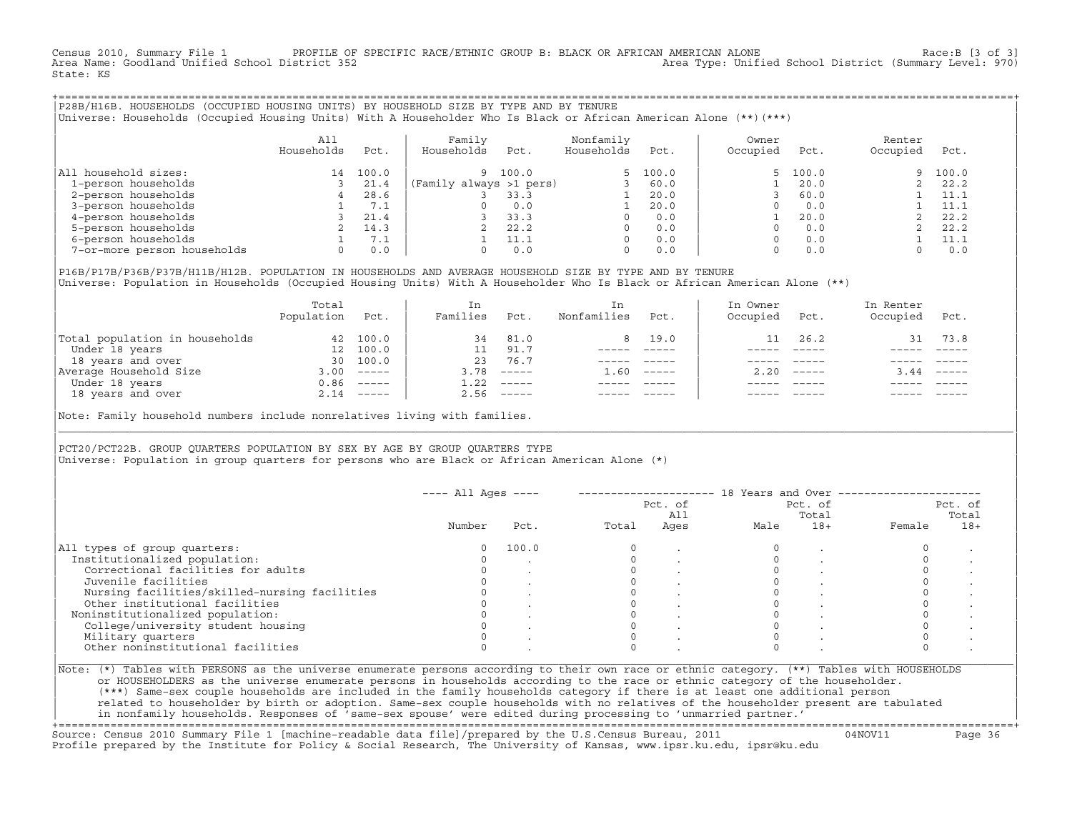Census 2010, Summary File 1 PROFILE OF SPECIFIC RACE/ETHNIC GROUP B: BLACK OR AFRICAN AMERICAN ALONE Race:B [3 of 3]<br>Area Name: Goodland Unified School District 352 Area Type: Unified School District (Summary Level: 970) State: KS

+===================================================================================================================================================+|P28B/H16B. HOUSEHOLDS (OCCUPIED HOUSING UNITS) BY HOUSEHOLD SIZE BY TYPE AND BY TENURE | |Universe: Households (Occupied Housing Units) With A Householder Who Is Black or African American Alone (\*\*)(\*\*\*) |

|                             | All<br>Households | Pct.  | Family<br>Households    | Pct.  | Nonfamily<br>Households | Pct.     | Owner<br>Occupied | Pct.     | Renter<br>Occupied | Pct.  |
|-----------------------------|-------------------|-------|-------------------------|-------|-------------------------|----------|-------------------|----------|--------------------|-------|
| household sizes:<br>All     | 14                | 100.0 | 9.                      | 100.0 |                         | 5, 100.0 |                   | 5, 100.0 | 9.                 | 100.0 |
| 1-person households         |                   | 21.4  | (Family always >1 pers) |       |                         | 60.0     |                   | 20.0     |                    | 22.2  |
| 2-person households         |                   | 28.6  |                         | 33.3  |                         | 20.0     |                   | 60.0     |                    | 11.1  |
| 3-person households         |                   | 7.1   |                         | 0.0   |                         | 20.0     |                   | 0.0      |                    | 11.1  |
| 4-person households         |                   | 21.4  |                         | 33.3  | <sup>0</sup>            | 0.0      |                   | 20.0     |                    | 22.2  |
| 5-person households         |                   | 14.3  |                         | 22.2  | $\Omega$                | 0.0      |                   | 0.0      |                    | 22.2  |
| 6-person households         |                   | 7.1   |                         | 11.1  | $\Omega$                | 0.0      |                   | 0.0      |                    | 11.1  |
| 7-or-more person households | $\Omega$          | 0.0   |                         | 0.0   | 0                       | 0.0      |                   | 0.0      |                    | 0.0   |

|P16B/P17B/P36B/P37B/H11B/H12B. POPULATION IN HOUSEHOLDS AND AVERAGE HOUSEHOLD SIZE BY TYPE AND BY TENURE | Universe: Population in Households (Occupied Housing Units) With A Householder Who Is Black or African American Alone (\*\*)

| 100.0        |      |      |                      |          |      |               |      |                           |
|--------------|------|------|----------------------|----------|------|---------------|------|---------------------------|
|              | 34   | 81.0 |                      | 8 19.0   | 11   | 26.2          | 31   | 73.8                      |
| 100.0        |      | 91.7 |                      |          |      |               |      |                           |
| 100.0        | 23   | 76.7 |                      |          |      |               |      |                           |
| $------$     | 3.78 |      | 1.60                 | $------$ | 2.20 | $- - - - - -$ | 3.44 | $\qquad \qquad - - - - -$ |
| $0.86$ ----- | 1.22 |      |                      |          |      |               |      |                           |
| $2.14$ ----- | 2.56 |      |                      |          |      | $- - - - -$   |      | $- - - - -$               |
|              |      |      | $------$<br>$------$ |          |      |               |      |                           |

Note: Family household numbers include nonrelatives living with families.

| | PCT20/PCT22B. GROUP OUARTERS POPULATION BY SEX BY AGE BY GROUP OUARTERS TYPE Universe: Population in group quarters for persons who are Black or African American Alone (\*)

|                                               |          |       | Pct. of<br>All |      |      | Pct. of<br>Total | Pct. of<br>Total |       |  |
|-----------------------------------------------|----------|-------|----------------|------|------|------------------|------------------|-------|--|
|                                               | Number   | Pct.  | Total          | Ages | Male | $18+$            | Female           | $18+$ |  |
| All types of group quarters:                  | $\Omega$ | 100.0 |                |      |      |                  |                  |       |  |
| Institutionalized population:                 |          |       |                |      |      |                  |                  |       |  |
| Correctional facilities for adults            |          |       |                |      |      |                  |                  |       |  |
| Juvenile facilities                           |          |       |                |      |      |                  |                  |       |  |
| Nursing facilities/skilled-nursing facilities |          |       |                |      |      |                  |                  |       |  |
| Other institutional facilities                |          |       |                |      |      |                  |                  |       |  |
| Noninstitutionalized population:              |          |       |                |      |      |                  |                  |       |  |
| College/university student housing            |          |       |                |      |      |                  |                  |       |  |
| Military quarters                             |          |       |                |      |      |                  |                  |       |  |
| Other noninstitutional facilities             |          |       |                |      |      |                  |                  |       |  |

|\_\_\_\_\_\_\_\_\_\_\_\_\_\_\_\_\_\_\_\_\_\_\_\_\_\_\_\_\_\_\_\_\_\_\_\_\_\_\_\_\_\_\_\_\_\_\_\_\_\_\_\_\_\_\_\_\_\_\_\_\_\_\_\_\_\_\_\_\_\_\_\_\_\_\_\_\_\_\_\_\_\_\_\_\_\_\_\_\_\_\_\_\_\_\_\_\_\_\_\_\_\_\_\_\_\_\_\_\_\_\_\_\_\_\_\_\_\_\_\_\_\_\_\_\_\_\_\_\_\_\_\_\_\_\_\_\_\_\_\_\_\_\_\_\_\_\_|

| |

or HOUSEHOLDERS as the universe enumerate persons in households according to the race or ethnic category of the householder. | (\*\*\*) Same−sex couple households are included in the family households category if there is at least one additional person | | related to householder by birth or adoption. Same−sex couple households with no relatives of the householder present are tabulated | | in nonfamily households. Responses of 'same−sex spouse' were edited during processing to 'unmarried partner.' |

+===================================================================================================================================================+ Source: Census 2010 Summary File 1 [machine−readable data file]/prepared by the U.S.Census Bureau, 2011 04NOV11 Page 36 Profile prepared by the Institute for Policy & Social Research, The University of Kansas, www.ipsr.ku.edu, ipsr@ku.edu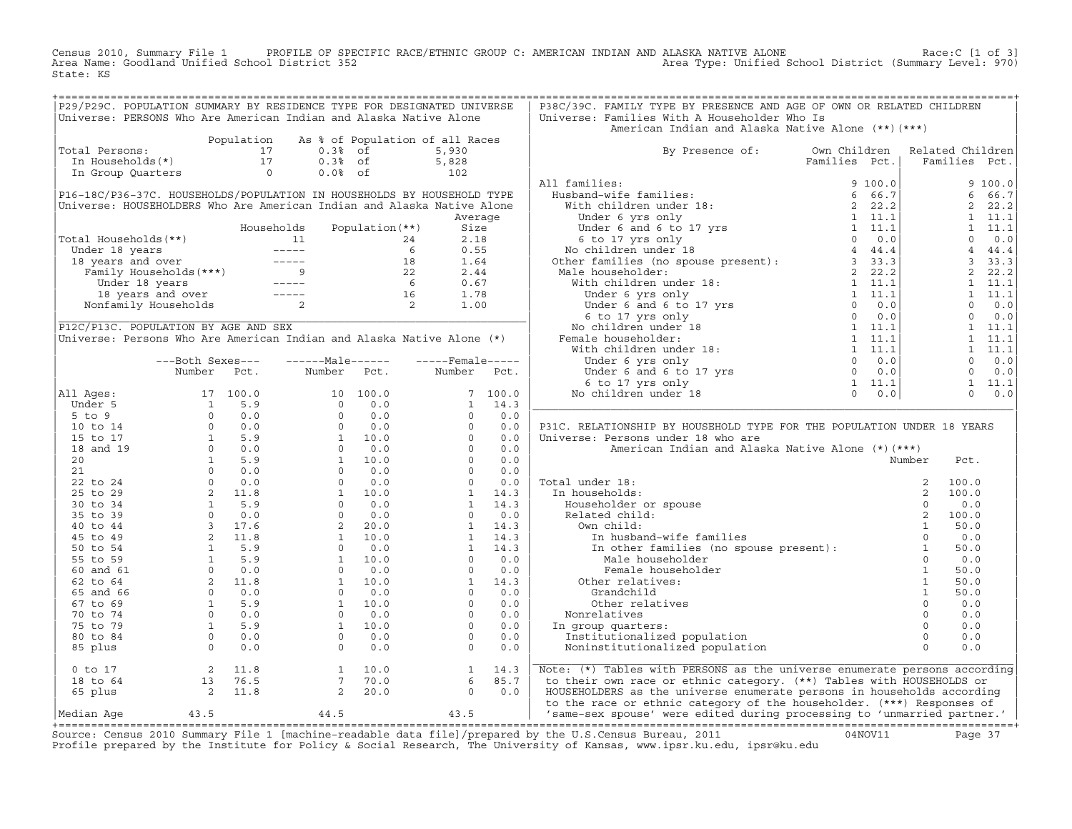Census 2010, Summary File 1 PROFILE OF SPECIFIC RACE/ETHNIC GROUP C: AMERICAN INDIAN AND ALASKA NATIVE ALONE Race:C [1 of 3]<br>Area Name: Goodland Unified School District 352 State: KS

| P29/P29C. POPULATION SUMMARY BY RESIDENCE TYPE FOR DESIGNATED UNIVERSE<br>Universe: PERSONS Who Are American Indian and Alaska Native Alone                                                                                                                                                                                                                                                                                                                                 |                  |               |                 |                                                                                                                                                                                                                                                                                            |         | P38C/39C. FAMILY TYPE BY PRESENCE AND AGE OF OWN OR RELATED CHILDREN<br>Universe: Families With A Householder Who Is                                                                                                                                                                                       |  |                |       |                |
|-----------------------------------------------------------------------------------------------------------------------------------------------------------------------------------------------------------------------------------------------------------------------------------------------------------------------------------------------------------------------------------------------------------------------------------------------------------------------------|------------------|---------------|-----------------|--------------------------------------------------------------------------------------------------------------------------------------------------------------------------------------------------------------------------------------------------------------------------------------------|---------|------------------------------------------------------------------------------------------------------------------------------------------------------------------------------------------------------------------------------------------------------------------------------------------------------------|--|----------------|-------|----------------|
|                                                                                                                                                                                                                                                                                                                                                                                                                                                                             |                  |               |                 |                                                                                                                                                                                                                                                                                            |         | American Indian and Alaska Native Alone (**) (***)                                                                                                                                                                                                                                                         |  |                |       |                |
| Total Persons:                                                                                                                                                                                                                                                                                                                                                                                                                                                              |                  |               |                 | Population As % of Population of all Races                                                                                                                                                                                                                                                 |         |                                                                                                                                                                                                                                                                                                            |  |                |       |                |
| obtal Persons: 1.5 paradist 1.5 0.3% of 5,930<br>In Households (*) 17 0.3% of 5,930<br>In Group Quarters 0 0.0% of 102                                                                                                                                                                                                                                                                                                                                                      |                  |               |                 |                                                                                                                                                                                                                                                                                            |         | By Presence of: Own Children Related Children                                                                                                                                                                                                                                                              |  | Families Pct.  |       |                |
|                                                                                                                                                                                                                                                                                                                                                                                                                                                                             |                  |               |                 |                                                                                                                                                                                                                                                                                            |         |                                                                                                                                                                                                                                                                                                            |  |                |       |                |
|                                                                                                                                                                                                                                                                                                                                                                                                                                                                             |                  |               |                 |                                                                                                                                                                                                                                                                                            |         | All families:                                                                                                                                                                                                                                                                                              |  |                |       | 9 100.0        |
| P16-18C/P36-37C. HOUSEHOLDS/POPULATION IN HOUSEHOLDS BY HOUSEHOLD TYPE                                                                                                                                                                                                                                                                                                                                                                                                      |                  |               |                 |                                                                                                                                                                                                                                                                                            |         |                                                                                                                                                                                                                                                                                                            |  |                |       | 6 66.7         |
| Universe: HOUSEHOLDERS Who Are American Indian and Alaska Native Alone                                                                                                                                                                                                                                                                                                                                                                                                      |                  |               |                 |                                                                                                                                                                                                                                                                                            |         |                                                                                                                                                                                                                                                                                                            |  |                |       | 2, 22.2        |
|                                                                                                                                                                                                                                                                                                                                                                                                                                                                             |                  |               |                 |                                                                                                                                                                                                                                                                                            | Average |                                                                                                                                                                                                                                                                                                            |  |                |       | $1 \quad 11.1$ |
|                                                                                                                                                                                                                                                                                                                                                                                                                                                                             |                  | Households    | Population (**) | Size                                                                                                                                                                                                                                                                                       |         |                                                                                                                                                                                                                                                                                                            |  |                |       | $1 \quad 11.1$ |
|                                                                                                                                                                                                                                                                                                                                                                                                                                                                             |                  |               |                 |                                                                                                                                                                                                                                                                                            |         |                                                                                                                                                                                                                                                                                                            |  |                |       | $0 \t 0.0$     |
|                                                                                                                                                                                                                                                                                                                                                                                                                                                                             |                  |               |                 |                                                                                                                                                                                                                                                                                            |         |                                                                                                                                                                                                                                                                                                            |  |                |       | $4 \t 44.4$    |
|                                                                                                                                                                                                                                                                                                                                                                                                                                                                             |                  |               |                 |                                                                                                                                                                                                                                                                                            |         |                                                                                                                                                                                                                                                                                                            |  |                |       | 3, 33.3        |
|                                                                                                                                                                                                                                                                                                                                                                                                                                                                             |                  |               |                 |                                                                                                                                                                                                                                                                                            |         |                                                                                                                                                                                                                                                                                                            |  |                |       | 2, 22.2        |
|                                                                                                                                                                                                                                                                                                                                                                                                                                                                             |                  |               |                 |                                                                                                                                                                                                                                                                                            |         |                                                                                                                                                                                                                                                                                                            |  |                |       | 1 11.1         |
|                                                                                                                                                                                                                                                                                                                                                                                                                                                                             |                  |               |                 |                                                                                                                                                                                                                                                                                            |         |                                                                                                                                                                                                                                                                                                            |  |                |       | 1 11.1         |
| Fotal Households (**)<br>Under 18 years<br>18 years and over<br>Family Households (***)<br>Under 18 years and over<br>Family Households (***)<br>18 1.64<br>Under 18 years<br>18 1.64<br>Under 18 years<br>16 0.67<br>16 1.78<br>Nonfamily Households<br>                                                                                                                                                                                                                   |                  |               |                 |                                                                                                                                                                                                                                                                                            |         |                                                                                                                                                                                                                                                                                                            |  |                |       | $0 \t 0.0$     |
|                                                                                                                                                                                                                                                                                                                                                                                                                                                                             |                  |               |                 |                                                                                                                                                                                                                                                                                            |         |                                                                                                                                                                                                                                                                                                            |  |                |       | $0 \t 0.0$     |
| P12C/P13C. POPULATION BY AGE AND SEX                                                                                                                                                                                                                                                                                                                                                                                                                                        |                  |               |                 |                                                                                                                                                                                                                                                                                            |         |                                                                                                                                                                                                                                                                                                            |  |                |       | $1 \quad 11.1$ |
| Universe: Persons Who Are American Indian and Alaska Native Alone (*)                                                                                                                                                                                                                                                                                                                                                                                                       |                  |               |                 |                                                                                                                                                                                                                                                                                            |         |                                                                                                                                                                                                                                                                                                            |  |                |       | $1 \quad 11.1$ |
|                                                                                                                                                                                                                                                                                                                                                                                                                                                                             |                  |               |                 |                                                                                                                                                                                                                                                                                            |         |                                                                                                                                                                                                                                                                                                            |  |                |       | 1 11.1         |
|                                                                                                                                                                                                                                                                                                                                                                                                                                                                             | ---Both Sexes--- | $---Male----$ |                 | $---$ Female -----                                                                                                                                                                                                                                                                         |         |                                                                                                                                                                                                                                                                                                            |  |                |       | $0 \qquad 0.0$ |
|                                                                                                                                                                                                                                                                                                                                                                                                                                                                             | Number Pct.      | Number Pct.   |                 | Number Pct.                                                                                                                                                                                                                                                                                |         |                                                                                                                                                                                                                                                                                                            |  |                |       | $0 \qquad 0.0$ |
|                                                                                                                                                                                                                                                                                                                                                                                                                                                                             |                  |               |                 |                                                                                                                                                                                                                                                                                            |         |                                                                                                                                                                                                                                                                                                            |  |                |       | $1 \quad 11.1$ |
| All Ages:                                                                                                                                                                                                                                                                                                                                                                                                                                                                   |                  |               |                 |                                                                                                                                                                                                                                                                                            |         |                                                                                                                                                                                                                                                                                                            |  |                |       | $0 \t 0.0$     |
|                                                                                                                                                                                                                                                                                                                                                                                                                                                                             |                  |               |                 |                                                                                                                                                                                                                                                                                            |         |                                                                                                                                                                                                                                                                                                            |  |                |       |                |
|                                                                                                                                                                                                                                                                                                                                                                                                                                                                             |                  |               |                 |                                                                                                                                                                                                                                                                                            |         |                                                                                                                                                                                                                                                                                                            |  |                |       |                |
|                                                                                                                                                                                                                                                                                                                                                                                                                                                                             |                  |               |                 |                                                                                                                                                                                                                                                                                            |         | P31C. RELATIONSHIP BY HOUSEHOLD TYPE FOR THE POPULATION UNDER 18 YEARS                                                                                                                                                                                                                                     |  |                |       |                |
|                                                                                                                                                                                                                                                                                                                                                                                                                                                                             |                  |               |                 |                                                                                                                                                                                                                                                                                            |         | Universe: Persons under 18 who are                                                                                                                                                                                                                                                                         |  |                |       |                |
|                                                                                                                                                                                                                                                                                                                                                                                                                                                                             |                  |               |                 |                                                                                                                                                                                                                                                                                            |         | American Indian and Alaska Native Alone (*) (***)                                                                                                                                                                                                                                                          |  |                |       |                |
|                                                                                                                                                                                                                                                                                                                                                                                                                                                                             |                  |               |                 |                                                                                                                                                                                                                                                                                            |         |                                                                                                                                                                                                                                                                                                            |  | Number         | Pct.  |                |
|                                                                                                                                                                                                                                                                                                                                                                                                                                                                             |                  |               |                 |                                                                                                                                                                                                                                                                                            |         |                                                                                                                                                                                                                                                                                                            |  |                |       |                |
|                                                                                                                                                                                                                                                                                                                                                                                                                                                                             |                  |               |                 |                                                                                                                                                                                                                                                                                            |         | Total under 18:                                                                                                                                                                                                                                                                                            |  |                | 100.0 |                |
|                                                                                                                                                                                                                                                                                                                                                                                                                                                                             |                  |               |                 |                                                                                                                                                                                                                                                                                            |         | In households:                                                                                                                                                                                                                                                                                             |  |                | 100.0 |                |
|                                                                                                                                                                                                                                                                                                                                                                                                                                                                             |                  |               |                 |                                                                                                                                                                                                                                                                                            |         |                                                                                                                                                                                                                                                                                                            |  |                | 0.0   |                |
|                                                                                                                                                                                                                                                                                                                                                                                                                                                                             |                  |               |                 |                                                                                                                                                                                                                                                                                            |         |                                                                                                                                                                                                                                                                                                            |  |                | 100.0 |                |
|                                                                                                                                                                                                                                                                                                                                                                                                                                                                             |                  |               |                 |                                                                                                                                                                                                                                                                                            |         |                                                                                                                                                                                                                                                                                                            |  |                | 50.0  |                |
|                                                                                                                                                                                                                                                                                                                                                                                                                                                                             |                  |               |                 |                                                                                                                                                                                                                                                                                            |         | al under 18:<br>n households:<br>Householder or spouse<br>Related child:<br>0 w child:<br>1 In husband-wife families<br>In other families (no spouse present):<br>1 Mole bouseholder<br>0<br>1 Mole bouseholder<br>0                                                                                       |  |                | 0.0   |                |
|                                                                                                                                                                                                                                                                                                                                                                                                                                                                             |                  |               |                 |                                                                                                                                                                                                                                                                                            |         |                                                                                                                                                                                                                                                                                                            |  |                | 50.0  |                |
|                                                                                                                                                                                                                                                                                                                                                                                                                                                                             |                  |               |                 |                                                                                                                                                                                                                                                                                            |         | Male householder                                                                                                                                                                                                                                                                                           |  | $\Omega$       | 0.0   |                |
|                                                                                                                                                                                                                                                                                                                                                                                                                                                                             |                  |               |                 |                                                                                                                                                                                                                                                                                            |         | Female householder                                                                                                                                                                                                                                                                                         |  | $\overline{1}$ | 50.0  |                |
|                                                                                                                                                                                                                                                                                                                                                                                                                                                                             |                  |               |                 |                                                                                                                                                                                                                                                                                            |         | Other relatives:                                                                                                                                                                                                                                                                                           |  | $\overline{1}$ | 50.0  |                |
|                                                                                                                                                                                                                                                                                                                                                                                                                                                                             |                  |               |                 |                                                                                                                                                                                                                                                                                            |         | Contract text<br>Crandchild<br>Other relatives 0<br>relatives 0<br>relatives 0<br>cup quarters: 0<br>titutionalized population 0<br>institutionalized population 0<br>0                                                                                                                                    |  | 1              | 50.0  |                |
|                                                                                                                                                                                                                                                                                                                                                                                                                                                                             |                  |               |                 |                                                                                                                                                                                                                                                                                            |         |                                                                                                                                                                                                                                                                                                            |  |                | 0.0   |                |
|                                                                                                                                                                                                                                                                                                                                                                                                                                                                             |                  |               |                 |                                                                                                                                                                                                                                                                                            |         | Nonrelatives                                                                                                                                                                                                                                                                                               |  |                | 0.0   |                |
|                                                                                                                                                                                                                                                                                                                                                                                                                                                                             |                  |               |                 |                                                                                                                                                                                                                                                                                            |         | In group quarters:                                                                                                                                                                                                                                                                                         |  |                | 0.0   |                |
|                                                                                                                                                                                                                                                                                                                                                                                                                                                                             |                  |               |                 |                                                                                                                                                                                                                                                                                            |         | Institutionalized population                                                                                                                                                                                                                                                                               |  |                | 0.0   |                |
|                                                                                                                                                                                                                                                                                                                                                                                                                                                                             |                  |               |                 | rect.<br>7 100.0<br>1 14.3<br>0 0.0<br>0 0.0<br>0 0.0<br>0 0.0<br>0 0.0<br>0 0.0<br>0 0.0<br>0 0.0<br>1 14.3<br>1 14.3<br>1 14.3<br>1 14.3<br>1 14.3<br>1 14.3<br>0 0.0<br>0 0.0<br>0 0.0<br>0 0.0<br>0 0.0<br>1 14.3<br>1 14.3<br>1 14.3<br>0 0.0<br>0 0.0<br>0 0.0<br>0 0.0<br>0 0.0<br> |         | Noninstitutionalized population                                                                                                                                                                                                                                                                            |  |                | 0.0   |                |
|                                                                                                                                                                                                                                                                                                                                                                                                                                                                             |                  |               |                 |                                                                                                                                                                                                                                                                                            |         | Note: (*) Tables with PERSONS as the universe enumerate persons according                                                                                                                                                                                                                                  |  |                |       |                |
| $\begin{tabular}{l c c c c} \multicolumn{1}{c}{\text{Number 5}} & \multicolumn{1}{c}{\text{Number 6}} & \multicolumn{1}{c}{\text{Number 7}} & \multicolumn{1}{c}{\text{Number 5}} & \multicolumn{1}{c}{\text{10}} & \multicolumn{1}{c}{\text{Number 5}} & \multicolumn{1}{c}{\text{11}} & \multicolumn{1}{c}{\text{12}} & \multicolumn{1}{c}{\text{13}} & \multicolumn{1}{c}{\text{14}} & \multicolumn{1}{c}{\text{15}} & \multicolumn{1}{c}{\text{16}} & \multicolumn{1}{$ |                  |               |                 |                                                                                                                                                                                                                                                                                            |         |                                                                                                                                                                                                                                                                                                            |  |                |       |                |
|                                                                                                                                                                                                                                                                                                                                                                                                                                                                             |                  |               |                 |                                                                                                                                                                                                                                                                                            |         | to their own race or ethnic category. (**) Tables with HOUSEHOLDS or                                                                                                                                                                                                                                       |  |                |       |                |
|                                                                                                                                                                                                                                                                                                                                                                                                                                                                             |                  |               |                 |                                                                                                                                                                                                                                                                                            |         | HOUSEHOLDERS as the universe enumerate persons in households according                                                                                                                                                                                                                                     |  |                |       |                |
| $\begin{array}{cccccccc} 0&\text{to} & 17 & & & 2 & 11.8 & & 1 & 10.0 & & 1 & 14.3 \\ 18&\text{to} & 64 & & & 13 & 76.5 & & 7 & 70.0 & & 6 & 85.7 \\ 65&\text{plus} & & & 2 & 11.8 & & 2 & 20.0 & & 0 & 0.0 \end{array}$                                                                                                                                                                                                                                                    |                  |               |                 |                                                                                                                                                                                                                                                                                            |         | to the race or ethnic category of the householder. (***) Responses of<br>Median Age 23.5 2011 - 41.5 2012 12.5 2012 - 43.5 2012 12.5 2012 - 44.5 2012 12.5 2012 12.5 2012 12.5 2012 12.5<br>  Median Age 23.5 2012 - 43.5 2012 12.5 2012 12.5 2012 - 43.5 2012 12.5 2012 - 43.5 2012 12.7 2012 12.7 2012 1 |  |                |       |                |

+===================================================================================================================================================+Source: Census 2010 Summary File 1 [machine−readable data file]/prepared by the U.S.Census Bureau, 2011 04NOV11 Page 37 Profile prepared by the Institute for Policy & Social Research, The University of Kansas, www.ipsr.ku.edu, ipsr@ku.edu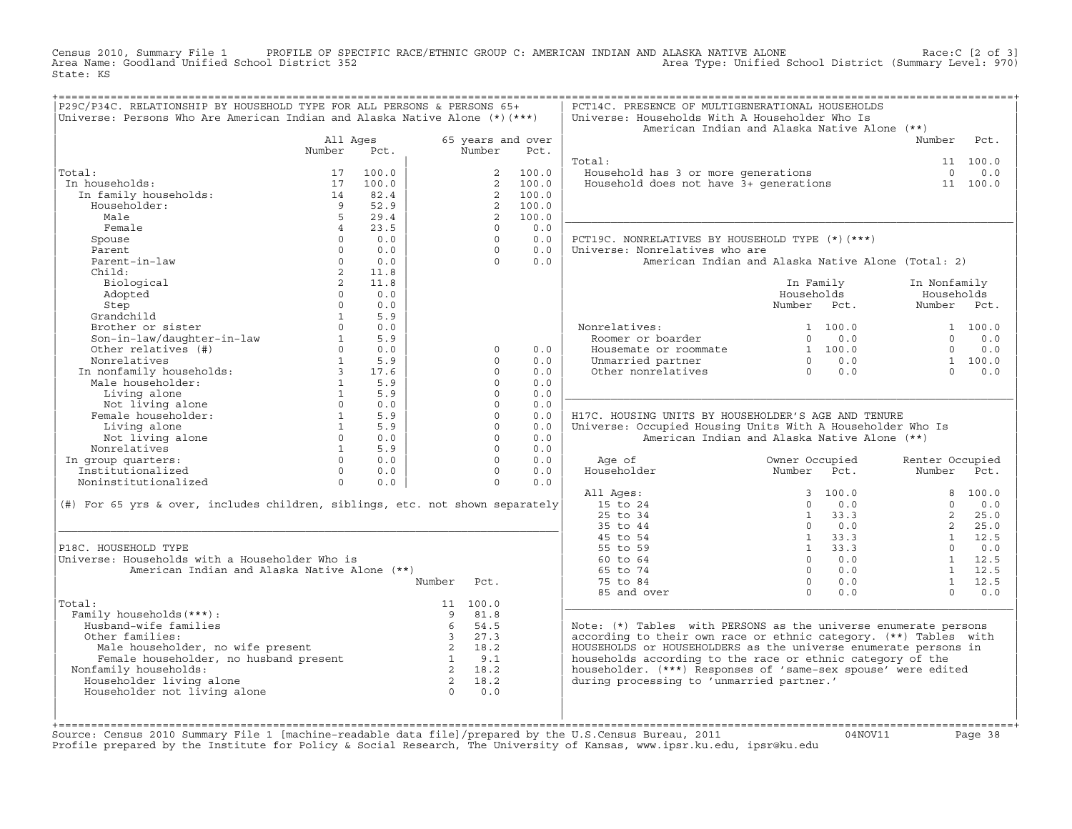Census 2010, Summary File 1 PROFILE OF SPECIFIC RACE/ETHNIC GROUP C: AMERICAN INDIAN AND ALASKA NATIVE ALONE<br>Area Name: Goodland Unified School District 352 Area Type: Unified School State: KS

| P29C/P34C. RELATIONSHIP BY HOUSEHOLD TYPE FOR ALL PERSONS & PERSONS 65+<br>Universe: Persons Who Are American Indian and Alaska Native Alone (*) (***)                                                                                                                                                                                                                                                                                                               |                                                                                   |                       |                |                                    | PCT14C. PRESENCE OF MULTIGENERATIONAL HOUSEHOLDS<br>Universe: Households With A Householder Who Is |                                                                |                |                 |                |
|----------------------------------------------------------------------------------------------------------------------------------------------------------------------------------------------------------------------------------------------------------------------------------------------------------------------------------------------------------------------------------------------------------------------------------------------------------------------|-----------------------------------------------------------------------------------|-----------------------|----------------|------------------------------------|----------------------------------------------------------------------------------------------------|----------------------------------------------------------------|----------------|-----------------|----------------|
|                                                                                                                                                                                                                                                                                                                                                                                                                                                                      |                                                                                   |                       |                |                                    | American Indian and Alaska Native Alone (**)                                                       |                                                                |                |                 |                |
|                                                                                                                                                                                                                                                                                                                                                                                                                                                                      | All Ages                                                                          |                       |                | 65 years and over                  |                                                                                                    |                                                                |                | Number          | Pct.           |
|                                                                                                                                                                                                                                                                                                                                                                                                                                                                      | Number                                                                            | Pct.                  | Number         | Pct.                               |                                                                                                    |                                                                |                |                 |                |
|                                                                                                                                                                                                                                                                                                                                                                                                                                                                      |                                                                                   |                       |                |                                    | Total:                                                                                             |                                                                |                |                 | 11 100.0       |
| Total:                                                                                                                                                                                                                                                                                                                                                                                                                                                               | 17                                                                                | 100.0                 |                | 2 100.0                            | Household has 3 or more generations 0 0.0<br>Household does not have 3+ generations 11 100.0       |                                                                |                |                 |                |
| In households:                                                                                                                                                                                                                                                                                                                                                                                                                                                       | 17                                                                                | 100.0                 |                | $\overline{2}$<br>100.0            |                                                                                                    |                                                                |                |                 |                |
| In family households:                                                                                                                                                                                                                                                                                                                                                                                                                                                | 14                                                                                | 82.4                  |                | 2 100.0                            |                                                                                                    |                                                                |                |                 |                |
| Householder:                                                                                                                                                                                                                                                                                                                                                                                                                                                         | $\overline{9}$                                                                    | 52.9                  |                | 2 100.0                            |                                                                                                    |                                                                |                |                 |                |
| Male                                                                                                                                                                                                                                                                                                                                                                                                                                                                 | 5 <sup>1</sup>                                                                    | 29.4                  |                | 100.0<br>2                         |                                                                                                    |                                                                |                |                 |                |
| Female                                                                                                                                                                                                                                                                                                                                                                                                                                                               | $\overline{4}$                                                                    | 23.5                  |                | $\Omega$<br>0.0                    |                                                                                                    |                                                                |                |                 |                |
| Spouse                                                                                                                                                                                                                                                                                                                                                                                                                                                               | $\Omega$                                                                          | 0.0                   |                | $\Omega$<br>0.0                    | PCT19C. NONRELATIVES BY HOUSEHOLD TYPE (*) (***)                                                   |                                                                |                |                 |                |
| Parent                                                                                                                                                                                                                                                                                                                                                                                                                                                               | $\Omega$                                                                          | 0.0                   |                | $\Omega$<br>0.0                    | Universe: Nonrelatives who are                                                                     |                                                                |                |                 |                |
| Parent-in-law                                                                                                                                                                                                                                                                                                                                                                                                                                                        | $\Omega$                                                                          | 0.0                   |                | $\Omega$<br>0.0                    | American Indian and Alaska Native Alone (Total: 2)                                                 |                                                                |                |                 |                |
| Child:                                                                                                                                                                                                                                                                                                                                                                                                                                                               | 2                                                                                 | 11.8                  |                |                                    |                                                                                                    |                                                                |                |                 |                |
| Biological                                                                                                                                                                                                                                                                                                                                                                                                                                                           | $\overline{a}$                                                                    | 11.8                  |                |                                    |                                                                                                    |                                                                | In Family      | In Nonfamily    |                |
| Adopted                                                                                                                                                                                                                                                                                                                                                                                                                                                              | $\Omega$                                                                          | 0.0                   |                |                                    |                                                                                                    | Households                                                     |                | Households      |                |
| Step                                                                                                                                                                                                                                                                                                                                                                                                                                                                 | $\Omega$                                                                          | 0.0                   |                |                                    |                                                                                                    | Number Pct.                                                    |                | Number Pct.     |                |
| Grandchild                                                                                                                                                                                                                                                                                                                                                                                                                                                           | 1                                                                                 | 5.9                   |                |                                    |                                                                                                    |                                                                |                |                 |                |
| Brother or sister                                                                                                                                                                                                                                                                                                                                                                                                                                                    | $\cap$<br>1                                                                       | 0.0                   |                |                                    | Nonrelatives:                                                                                      |                                                                | 1 100.0        |                 | 1 100.0        |
| Son-in-law/daughter-in-law<br>Other relatives (#)                                                                                                                                                                                                                                                                                                                                                                                                                    | $\Omega$                                                                          | 5.9<br>0.0            |                |                                    | Roomer or boarder                                                                                  |                                                                | $0 \qquad 0.0$ | $\Omega$        | 0.0            |
|                                                                                                                                                                                                                                                                                                                                                                                                                                                                      |                                                                                   | $1 \quad 5.9$         |                | $\Omega$<br>0.0<br>$\Omega$<br>0.0 | Housemate or roommate                                                                              | $\begin{array}{ccc} 1 & 100.0 \ 0 & 0.0 \ 0 & 0.0 \end{array}$ |                | $\Omega$        | 0.0            |
| Nonrelatives<br>Nonrelatives<br>In nonfamily households:<br>Male householder:<br>1 5.9<br>1 5.9<br>1 5.9                                                                                                                                                                                                                                                                                                                                                             |                                                                                   |                       |                | $\Omega$<br>0.0                    | Unmarried partner                                                                                  |                                                                |                | $\Omega$        | 1 100.0        |
|                                                                                                                                                                                                                                                                                                                                                                                                                                                                      |                                                                                   |                       |                | $\Omega$<br>0.0                    | Other nonrelatives                                                                                 |                                                                |                |                 | 0.0            |
|                                                                                                                                                                                                                                                                                                                                                                                                                                                                      |                                                                                   |                       |                | $\Omega$<br>0.0                    |                                                                                                    |                                                                |                |                 |                |
| Not living alone                                                                                                                                                                                                                                                                                                                                                                                                                                                     | $\begin{array}{ccc}\n0 & & \text{if } \\ 1 & & \text{if } \\ 1 & & \n\end{array}$ | 0.0                   |                | $\Omega$<br>0.0                    |                                                                                                    |                                                                |                |                 |                |
| Female householder:                                                                                                                                                                                                                                                                                                                                                                                                                                                  |                                                                                   | 5.9                   |                | $\Omega$<br>0.0                    | H17C. HOUSING UNITS BY HOUSEHOLDER'S AGE AND TENURE                                                |                                                                |                |                 |                |
| Living alone                                                                                                                                                                                                                                                                                                                                                                                                                                                         |                                                                                   | 5.9                   |                | $\circ$<br>0.0                     | Universe: Occupied Housing Units With A Householder Who Is                                         |                                                                |                |                 |                |
| Not living alone                                                                                                                                                                                                                                                                                                                                                                                                                                                     |                                                                                   | $0 \qquad 0.0$        |                | $\Omega$<br>0.0                    | American Indian and Alaska Native Alone (**)                                                       |                                                                |                |                 |                |
| Nonrelatives                                                                                                                                                                                                                                                                                                                                                                                                                                                         |                                                                                   | $1$ and $\sim$<br>5.9 |                | $\Omega$<br>0.0                    |                                                                                                    |                                                                |                |                 |                |
| In group quarters:                                                                                                                                                                                                                                                                                                                                                                                                                                                   |                                                                                   | $\Omega$<br>0.0       |                | $\Omega$<br>0.0                    | Age of                                                                                             | Owner Occupied                                                 |                | Renter Occupied |                |
| Institutionalized                                                                                                                                                                                                                                                                                                                                                                                                                                                    | $\Omega$                                                                          | 0.0                   |                | $\Omega$<br>0.0                    | Householder                                                                                        | Number Pct.                                                    |                | Number Pct.     |                |
| Noninstitutionalized                                                                                                                                                                                                                                                                                                                                                                                                                                                 | $\Omega$                                                                          | 0.0                   |                | $\Omega$<br>0.0                    |                                                                                                    |                                                                |                |                 |                |
|                                                                                                                                                                                                                                                                                                                                                                                                                                                                      |                                                                                   |                       |                |                                    | All Ages:                                                                                          |                                                                | 3, 100.0       |                 | 8 100.0        |
| (#) For 65 yrs & over, includes children, siblings, etc. not shown separately                                                                                                                                                                                                                                                                                                                                                                                        |                                                                                   |                       |                |                                    | 15 to 24                                                                                           | $\Omega$                                                       | 0.0            | $\Omega$        | 0.0            |
|                                                                                                                                                                                                                                                                                                                                                                                                                                                                      |                                                                                   |                       |                |                                    | 25 to 34                                                                                           |                                                                | 1 33.3         | $2^{\circ}$     | 25.0           |
|                                                                                                                                                                                                                                                                                                                                                                                                                                                                      |                                                                                   |                       |                |                                    | 35 to 44                                                                                           | $\Omega$                                                       | 0.0            |                 | 2, 25.0        |
|                                                                                                                                                                                                                                                                                                                                                                                                                                                                      |                                                                                   |                       |                |                                    | 45 to 54                                                                                           |                                                                | 1 33.3         |                 | $1 \quad 12.5$ |
| P18C. HOUSEHOLD TYPE                                                                                                                                                                                                                                                                                                                                                                                                                                                 |                                                                                   |                       |                |                                    | 55 to 59                                                                                           |                                                                | $1 \t33.3$     | $\Omega$        | 0.0            |
| Universe: Households with a Householder Who is                                                                                                                                                                                                                                                                                                                                                                                                                       |                                                                                   |                       |                |                                    | 60 to 64                                                                                           |                                                                | $0 \qquad 0.0$ |                 | 1 12.5         |
| American Indian and Alaska Native Alone (**)                                                                                                                                                                                                                                                                                                                                                                                                                         |                                                                                   |                       |                |                                    | 65 to 74                                                                                           |                                                                | $0 \t 0.0$     |                 | $1 \quad 12.5$ |
|                                                                                                                                                                                                                                                                                                                                                                                                                                                                      |                                                                                   |                       | Number<br>Pct. |                                    | 75 to 84                                                                                           |                                                                | $0 \qquad 0.0$ | $\mathbf{1}$    | 12.5           |
|                                                                                                                                                                                                                                                                                                                                                                                                                                                                      |                                                                                   |                       |                |                                    | 85 and over                                                                                        | $\Omega$                                                       | 0.0            | $\cap$          | 0.0            |
| Total:                                                                                                                                                                                                                                                                                                                                                                                                                                                               |                                                                                   |                       | 11 100.0       |                                    |                                                                                                    |                                                                |                |                 |                |
| Family households (***) :                                                                                                                                                                                                                                                                                                                                                                                                                                            |                                                                                   |                       | 81.8<br>- 9    |                                    |                                                                                                    |                                                                |                |                 |                |
| Husband-wife families                                                                                                                                                                                                                                                                                                                                                                                                                                                |                                                                                   |                       | 54.5<br>6      |                                    | Note: $(*)$ Tables with PERSONS as the universe enumerate persons                                  |                                                                |                |                 |                |
| Other families:                                                                                                                                                                                                                                                                                                                                                                                                                                                      |                                                                                   |                       | 3 27.3         |                                    | according to their own race or ethnic category. (**) Tables with                                   |                                                                |                |                 |                |
|                                                                                                                                                                                                                                                                                                                                                                                                                                                                      |                                                                                   |                       |                |                                    | HOUSEHOLDS or HOUSEHOLDERS as the universe enumerate persons in                                    |                                                                |                |                 |                |
|                                                                                                                                                                                                                                                                                                                                                                                                                                                                      |                                                                                   |                       |                |                                    | households according to the race or ethnic category of the                                         |                                                                |                |                 |                |
| Nonfamily households:                                                                                                                                                                                                                                                                                                                                                                                                                                                |                                                                                   |                       |                |                                    | householder. (***) Responses of 'same-sex spouse' were edited                                      |                                                                |                |                 |                |
| $\begin{tabular}{lllllllllll} \multicolumn{2}{c}{\textbf{a} & 3 & 27.3}\\ \hline \multicolumn{2}{c}{\textbf{Female householder, no wished per sent}} & 2 & 18.2\\ \hline \multicolumn{2}{c}{\textbf{3} & 21 & 8.2}\\ \multicolumn{2}{c}{\textbf{3} & 21 & 8.2}\\ \multicolumn{2}{c}{\textbf{3} & 21 & 8.2}\\ \multicolumn{2}{c}{\textbf{3} & 21 & 8.2}\\ \multicolumn{2}{c}{\textbf{3} & 21 & 8.2}\\ \multicolumn{2}{c}{\textbf{3} & 21$<br>Householder living alone |                                                                                   |                       |                |                                    | during processing to 'unmarried partner.'                                                          |                                                                |                |                 |                |
| Householder not living alone                                                                                                                                                                                                                                                                                                                                                                                                                                         |                                                                                   |                       | $0 \qquad 0.0$ |                                    |                                                                                                    |                                                                |                |                 |                |
|                                                                                                                                                                                                                                                                                                                                                                                                                                                                      |                                                                                   |                       |                |                                    |                                                                                                    |                                                                |                |                 |                |
|                                                                                                                                                                                                                                                                                                                                                                                                                                                                      |                                                                                   |                       |                |                                    |                                                                                                    |                                                                |                |                 |                |

+===================================================================================================================================================+Source: Census 2010 Summary File 1 [machine−readable data file]/prepared by the U.S.Census Bureau, 2011 04NOV11 Page 38 Profile prepared by the Institute for Policy & Social Research, The University of Kansas, www.ipsr.ku.edu, ipsr@ku.edu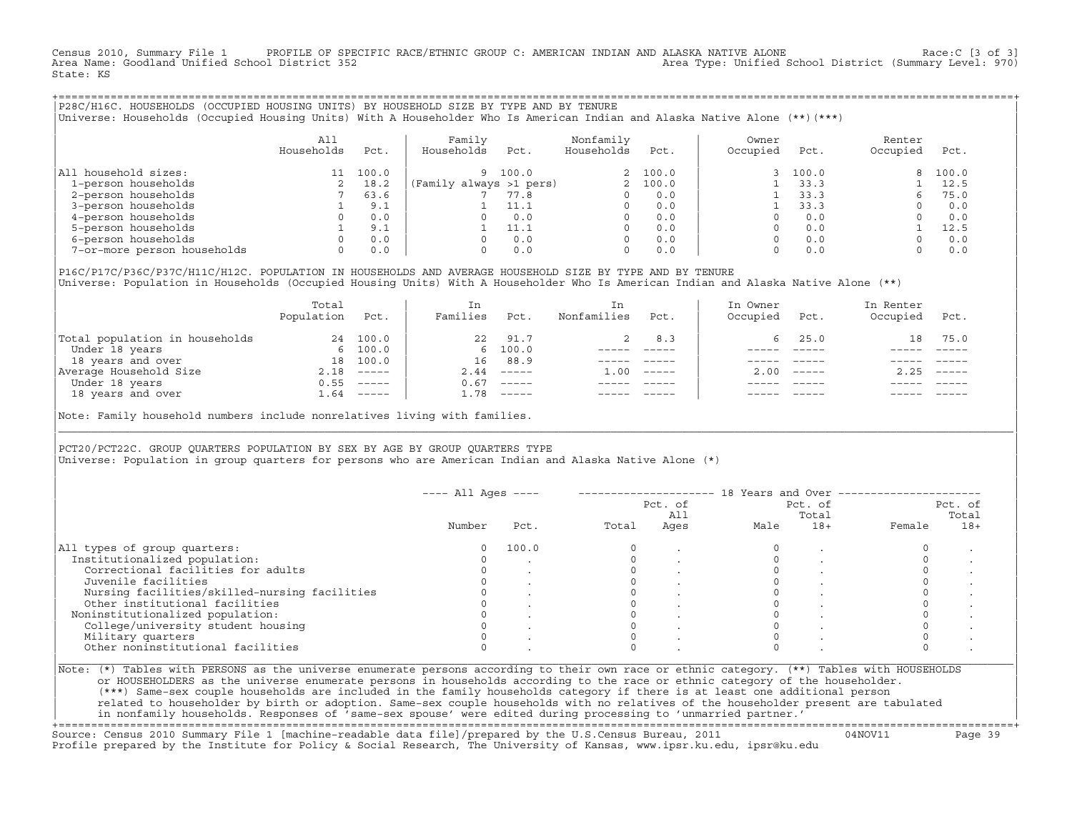Census 2010, Summary File 1 PROFILE OF SPECIFIC RACE/ETHNIC GROUP C: AMERICAN INDIAN AND ALASKA NATIVE ALONE Race:C [3 of 3]<br>Area Name: Goodland Unified School District 352 Area Type: Unified School District (Summary Level: 970) State: KS

+===================================================================================================================================================+|P28C/H16C. HOUSEHOLDS (OCCUPIED HOUSING UNITS) BY HOUSEHOLD SIZE BY TYPE AND BY TENURE | |Universe: Households (Occupied Housing Units) With A Householder Who Is American Indian and Alaska Native Alone (\*\*)(\*\*\*) |

|                             | All<br>Households | Pct.  | Family<br>Households    | Pct.  | Nonfamily<br>Households | Pct.    | Owner<br>Occupied | Pct.  | Renter<br>Occupied | Pct.  |
|-----------------------------|-------------------|-------|-------------------------|-------|-------------------------|---------|-------------------|-------|--------------------|-------|
| All household sizes:        |                   | 100.0 | 9                       | 100.0 |                         | 2 100.0 |                   | 100.0 | 8.                 | 100.0 |
| 1-person households         |                   | 18.2  | (Family always >1 pers) |       |                         | 100.0   |                   | 33.3  |                    | 12.5  |
| 2-person households         |                   | 63.6  |                         | 77.8  |                         | 0.0     |                   | 33.3  |                    | 75.0  |
| 3-person households         |                   | 9.1   |                         | 11.1  | 0                       | 0.0     |                   | 33.3  |                    | 0.0   |
| 4-person households         |                   | 0.0   | O.                      | 0.0   | 0                       | 0.0     |                   | 0.0   |                    | 0.0   |
| 5-person households         |                   | 9.1   |                         | 11.1  |                         | 0.0     |                   | 0.0   |                    | 12.5  |
| 6-person households         |                   | 0.0   | O.                      | 0.0   |                         | 0.0     |                   | 0.0   |                    | 0.0   |
| 7-or-more person households |                   | 0.0   | 0                       | 0.0   | 0                       | 0.0     |                   | 0.0   |                    | 0.0   |

|P16C/P17C/P36C/P37C/H11C/H12C. POPULATION IN HOUSEHOLDS AND AVERAGE HOUSEHOLD SIZE BY TYPE AND BY TENURE | Universe: Population in Households (Occupied Housing Units) With A Householder Who Is American Indian and Alaska Native Alone (\*\*)

|                                | Total<br>Population | Pct.                                                                                                                                                                                                                                                                                                                                                                                                                                                                                   | In<br>Families | Pct.                                                                                                                                                                                                                                                                                                                                                                                                                                                                                 | In.<br>Nonfamilies | Pct.     | In Owner<br>Occupied | Pct.          | In Renter<br>Occupied | Pct.        |
|--------------------------------|---------------------|----------------------------------------------------------------------------------------------------------------------------------------------------------------------------------------------------------------------------------------------------------------------------------------------------------------------------------------------------------------------------------------------------------------------------------------------------------------------------------------|----------------|--------------------------------------------------------------------------------------------------------------------------------------------------------------------------------------------------------------------------------------------------------------------------------------------------------------------------------------------------------------------------------------------------------------------------------------------------------------------------------------|--------------------|----------|----------------------|---------------|-----------------------|-------------|
| Total population in households | 24                  | 100.0                                                                                                                                                                                                                                                                                                                                                                                                                                                                                  | 22             | 91.7                                                                                                                                                                                                                                                                                                                                                                                                                                                                                 |                    | 8.3      |                      | 25.0          | 18                    | 75.0        |
| Under 18 years                 |                     | 6 100.0                                                                                                                                                                                                                                                                                                                                                                                                                                                                                |                | 6 100.0                                                                                                                                                                                                                                                                                                                                                                                                                                                                              |                    |          |                      |               |                       |             |
| 18 years and over              | 18                  | 100.0                                                                                                                                                                                                                                                                                                                                                                                                                                                                                  | 16             | 88.9                                                                                                                                                                                                                                                                                                                                                                                                                                                                                 |                    |          |                      |               |                       |             |
| Average Household Size         | 2.18                | $\qquad \qquad - - - - -$                                                                                                                                                                                                                                                                                                                                                                                                                                                              | 2.44           | $------$                                                                                                                                                                                                                                                                                                                                                                                                                                                                             | 1.00               | $------$ | 200                  | $- - - - - -$ | 2.25                  | $------$    |
| Under 18 years                 | 0.55                | $------$                                                                                                                                                                                                                                                                                                                                                                                                                                                                               | 0.67           | $------$                                                                                                                                                                                                                                                                                                                                                                                                                                                                             |                    |          |                      |               |                       |             |
| 18 years and over              | 1.64                | $\begin{array}{cccccccccc} \multicolumn{2}{c}{} & \multicolumn{2}{c}{} & \multicolumn{2}{c}{} & \multicolumn{2}{c}{} & \multicolumn{2}{c}{} & \multicolumn{2}{c}{} & \multicolumn{2}{c}{} & \multicolumn{2}{c}{} & \multicolumn{2}{c}{} & \multicolumn{2}{c}{} & \multicolumn{2}{c}{} & \multicolumn{2}{c}{} & \multicolumn{2}{c}{} & \multicolumn{2}{c}{} & \multicolumn{2}{c}{} & \multicolumn{2}{c}{} & \multicolumn{2}{c}{} & \multicolumn{2}{c}{} & \multicolumn{2}{c}{} & \mult$ | 1.78           | $\begin{tabular}{cccccc} \multicolumn{2}{c}{} & \multicolumn{2}{c}{} & \multicolumn{2}{c}{} & \multicolumn{2}{c}{} & \multicolumn{2}{c}{} & \multicolumn{2}{c}{} & \multicolumn{2}{c}{} & \multicolumn{2}{c}{} & \multicolumn{2}{c}{} & \multicolumn{2}{c}{} & \multicolumn{2}{c}{} & \multicolumn{2}{c}{} & \multicolumn{2}{c}{} & \multicolumn{2}{c}{} & \multicolumn{2}{c}{} & \multicolumn{2}{c}{} & \multicolumn{2}{c}{} & \multicolumn{2}{c}{} & \multicolumn{2}{c}{} & \mult$ |                    |          |                      | $- - - - -$   |                       | $- - - - -$ |
|                                |                     |                                                                                                                                                                                                                                                                                                                                                                                                                                                                                        |                |                                                                                                                                                                                                                                                                                                                                                                                                                                                                                      |                    |          |                      |               |                       |             |

Note: Family household numbers include nonrelatives living with families.

| | PCT20/PCT22C. GROUP OUARTERS POPULATION BY SEX BY AGE BY GROUP OUARTERS TYPE Universe: Population in group quarters for persons who are American Indian and Alaska Native Alone (\*)

|                                               |        |       |       | Pct. of<br>All |      | Pct. of<br>Total | Pct. of<br>Total |       |
|-----------------------------------------------|--------|-------|-------|----------------|------|------------------|------------------|-------|
|                                               | Number | Pct.  | Total | Ages           | Male | $18+$            | Female           | $18+$ |
| All types of group quarters:                  |        | 100.0 |       |                |      |                  |                  |       |
| Institutionalized population:                 |        |       |       |                |      |                  |                  |       |
| Correctional facilities for adults            |        |       |       |                |      |                  |                  |       |
| Juvenile facilities                           |        |       |       |                |      |                  |                  |       |
| Nursing facilities/skilled-nursing facilities |        |       |       |                |      |                  |                  |       |
| Other institutional facilities                |        |       |       |                |      |                  |                  |       |
| Noninstitutionalized population:              |        |       |       |                |      |                  |                  |       |
| College/university student housing            |        |       |       |                |      |                  |                  |       |
| Military quarters                             |        |       |       |                |      |                  |                  |       |
| Other noninstitutional facilities             |        |       |       |                |      |                  |                  |       |

|\_\_\_\_\_\_\_\_\_\_\_\_\_\_\_\_\_\_\_\_\_\_\_\_\_\_\_\_\_\_\_\_\_\_\_\_\_\_\_\_\_\_\_\_\_\_\_\_\_\_\_\_\_\_\_\_\_\_\_\_\_\_\_\_\_\_\_\_\_\_\_\_\_\_\_\_\_\_\_\_\_\_\_\_\_\_\_\_\_\_\_\_\_\_\_\_\_\_\_\_\_\_\_\_\_\_\_\_\_\_\_\_\_\_\_\_\_\_\_\_\_\_\_\_\_\_\_\_\_\_\_\_\_\_\_\_\_\_\_\_\_\_\_\_\_\_\_|

| |

| or HOUSEHOLDERS as the universe enumerate persons in households according to the race or ethnic category of the householder. | | (\*\*\*) Same−sex couple households are included in the family households category if there is at least one additional person | | related to householder by birth or adoption. Same−sex couple households with no relatives of the householder present are tabulated | | in nonfamily households. Responses of 'same−sex spouse' were edited during processing to 'unmarried partner.' | +===================================================================================================================================================+

Source: Census 2010 Summary File 1 [machine−readable data file]/prepared by the U.S.Census Bureau, 2011 04NOV11 Page 39 Profile prepared by the Institute for Policy & Social Research, The University of Kansas, www.ipsr.ku.edu, ipsr@ku.edu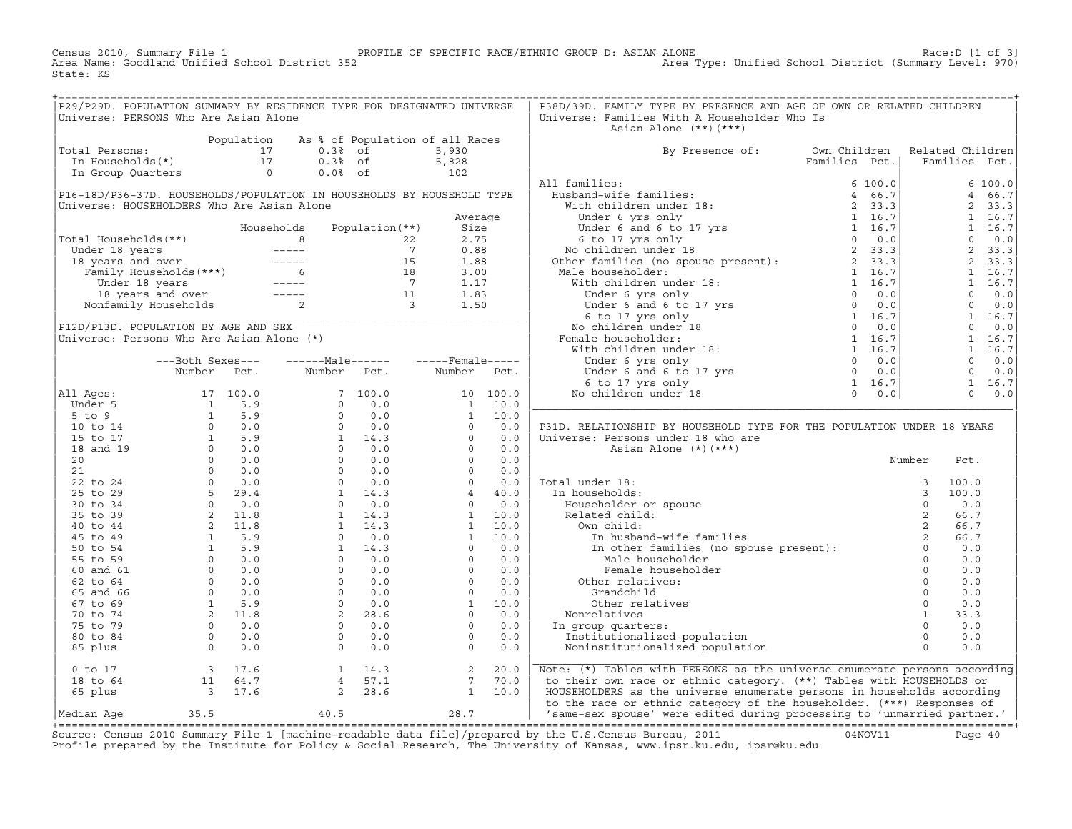Census 2010, Summary File 1 PROFILE OF SPECIFIC RACE/ETHNIC GROUP D: ASIAN ALONE RACE:D [1 of 3]<br>Area Name: Goodland Unified School District 352 Area Type: Unified School District (Summary Level: 970) Area Type: Unified School District (Summary Level: 970) State: KS

| P29/P29D. POPULATION SUMMARY BY RESIDENCE TYPE FOR DESIGNATED UNIVERSE                                                                                                                                                                                                    |  |      |      | P38D/39D. FAMILY TYPE BY PRESENCE AND AGE OF OWN OR RELATED CHILDREN          |        |      |  |
|---------------------------------------------------------------------------------------------------------------------------------------------------------------------------------------------------------------------------------------------------------------------------|--|------|------|-------------------------------------------------------------------------------|--------|------|--|
| Universe: PERSONS Who Are Asian Alone                                                                                                                                                                                                                                     |  |      |      | Universe: Families With A Householder Who Is                                  |        |      |  |
|                                                                                                                                                                                                                                                                           |  |      |      | Asian Alone (**)(***)                                                         |        |      |  |
| Population As % of Population of all Races<br>Total Persons: 17 0.3% of 5,930<br>In Households(*) 17 0.3% of 5,828<br>In Group Quarters 0 0.0% of 102                                                                                                                     |  |      |      |                                                                               |        |      |  |
|                                                                                                                                                                                                                                                                           |  |      |      |                                                                               |        |      |  |
|                                                                                                                                                                                                                                                                           |  |      |      | By Presence of: Own Children Related Children<br>Families Pct.  Families Pct. |        |      |  |
|                                                                                                                                                                                                                                                                           |  |      |      |                                                                               |        |      |  |
|                                                                                                                                                                                                                                                                           |  |      |      |                                                                               |        |      |  |
|                                                                                                                                                                                                                                                                           |  |      |      |                                                                               |        |      |  |
|                                                                                                                                                                                                                                                                           |  |      |      |                                                                               |        |      |  |
|                                                                                                                                                                                                                                                                           |  |      |      |                                                                               |        |      |  |
|                                                                                                                                                                                                                                                                           |  |      |      |                                                                               |        |      |  |
|                                                                                                                                                                                                                                                                           |  |      |      |                                                                               |        |      |  |
|                                                                                                                                                                                                                                                                           |  |      |      |                                                                               |        |      |  |
|                                                                                                                                                                                                                                                                           |  |      |      |                                                                               |        |      |  |
|                                                                                                                                                                                                                                                                           |  |      |      |                                                                               |        |      |  |
|                                                                                                                                                                                                                                                                           |  |      |      |                                                                               |        |      |  |
|                                                                                                                                                                                                                                                                           |  |      |      |                                                                               |        |      |  |
|                                                                                                                                                                                                                                                                           |  |      |      |                                                                               |        |      |  |
|                                                                                                                                                                                                                                                                           |  |      |      |                                                                               |        |      |  |
|                                                                                                                                                                                                                                                                           |  |      |      |                                                                               |        |      |  |
|                                                                                                                                                                                                                                                                           |  |      |      |                                                                               |        |      |  |
|                                                                                                                                                                                                                                                                           |  |      |      |                                                                               |        |      |  |
|                                                                                                                                                                                                                                                                           |  |      |      |                                                                               |        |      |  |
|                                                                                                                                                                                                                                                                           |  |      |      |                                                                               |        |      |  |
|                                                                                                                                                                                                                                                                           |  |      |      |                                                                               |        |      |  |
|                                                                                                                                                                                                                                                                           |  |      |      |                                                                               |        |      |  |
|                                                                                                                                                                                                                                                                           |  |      |      |                                                                               |        |      |  |
|                                                                                                                                                                                                                                                                           |  |      |      |                                                                               |        |      |  |
|                                                                                                                                                                                                                                                                           |  |      |      |                                                                               |        |      |  |
|                                                                                                                                                                                                                                                                           |  |      |      | P31D. RELATIONSHIP BY HOUSEHOLD TYPE FOR THE POPULATION UNDER 18 YEARS        |        |      |  |
|                                                                                                                                                                                                                                                                           |  |      |      | Universe: Persons under 18 who are                                            |        |      |  |
|                                                                                                                                                                                                                                                                           |  |      |      | Asian Alone (*) (***)                                                         |        |      |  |
|                                                                                                                                                                                                                                                                           |  |      |      |                                                                               | Number | Pct. |  |
|                                                                                                                                                                                                                                                                           |  |      |      |                                                                               |        |      |  |
|                                                                                                                                                                                                                                                                           |  |      |      |                                                                               |        |      |  |
|                                                                                                                                                                                                                                                                           |  |      |      |                                                                               |        |      |  |
|                                                                                                                                                                                                                                                                           |  |      |      |                                                                               |        |      |  |
|                                                                                                                                                                                                                                                                           |  |      |      |                                                                               |        |      |  |
|                                                                                                                                                                                                                                                                           |  |      |      |                                                                               |        |      |  |
|                                                                                                                                                                                                                                                                           |  |      |      |                                                                               |        |      |  |
|                                                                                                                                                                                                                                                                           |  |      |      |                                                                               |        |      |  |
|                                                                                                                                                                                                                                                                           |  |      |      |                                                                               |        |      |  |
|                                                                                                                                                                                                                                                                           |  |      |      |                                                                               |        |      |  |
|                                                                                                                                                                                                                                                                           |  |      |      |                                                                               |        |      |  |
|                                                                                                                                                                                                                                                                           |  |      |      |                                                                               |        |      |  |
|                                                                                                                                                                                                                                                                           |  |      |      |                                                                               |        |      |  |
|                                                                                                                                                                                                                                                                           |  |      |      |                                                                               |        |      |  |
|                                                                                                                                                                                                                                                                           |  |      |      |                                                                               |        |      |  |
|                                                                                                                                                                                                                                                                           |  |      |      |                                                                               |        |      |  |
|                                                                                                                                                                                                                                                                           |  |      |      |                                                                               |        |      |  |
|                                                                                                                                                                                                                                                                           |  |      |      |                                                                               |        |      |  |
| $\begin{array}{ccccccc} 0 & \texttt{to} & 17 & & & 3 & 17.6 & & & 1 & 14.3 & & 2 & 20.0 \\ 18 & \texttt{to} & 64 & & & 11 & 64.7 & & 4 & 57.1 & & 7 & 70.0 \\ 65 & \texttt{plus} & & & 3 & 17.6 & & 2 & 28.6 & & 1 & 10.0 \\ \ldots & & & & & & & & & & & \\ \end{array}$ |  |      |      | Note: (*) Tables with PERSONS as the universe enumerate persons according     |        |      |  |
|                                                                                                                                                                                                                                                                           |  |      |      | to their own race or ethnic category. (**) Tables with HOUSEHOLDS or          |        |      |  |
|                                                                                                                                                                                                                                                                           |  |      |      | HOUSEHOLDERS as the universe enumerate persons in households according        |        |      |  |
|                                                                                                                                                                                                                                                                           |  |      |      | to the race or ethnic category of the householder. (***) Responses of         |        |      |  |
| 35.5<br>Median Age                                                                                                                                                                                                                                                        |  | 40.5 | 28.7 | 'same-sex spouse' were edited during processing to 'unmarried partner.'       |        |      |  |

|Median Age 35.5 40.5 28.7 | 'same−sex spouse' were edited during processing to 'unmarried partner.' | +===================================================================================================================================================+ Source: Census 2010 Summary File 1 [machine−readable data file]/prepared by the U.S.Census Bureau, 2011 04NOV11 Page 40 Profile prepared by the Institute for Policy & Social Research, The University of Kansas, www.ipsr.ku.edu, ipsr@ku.edu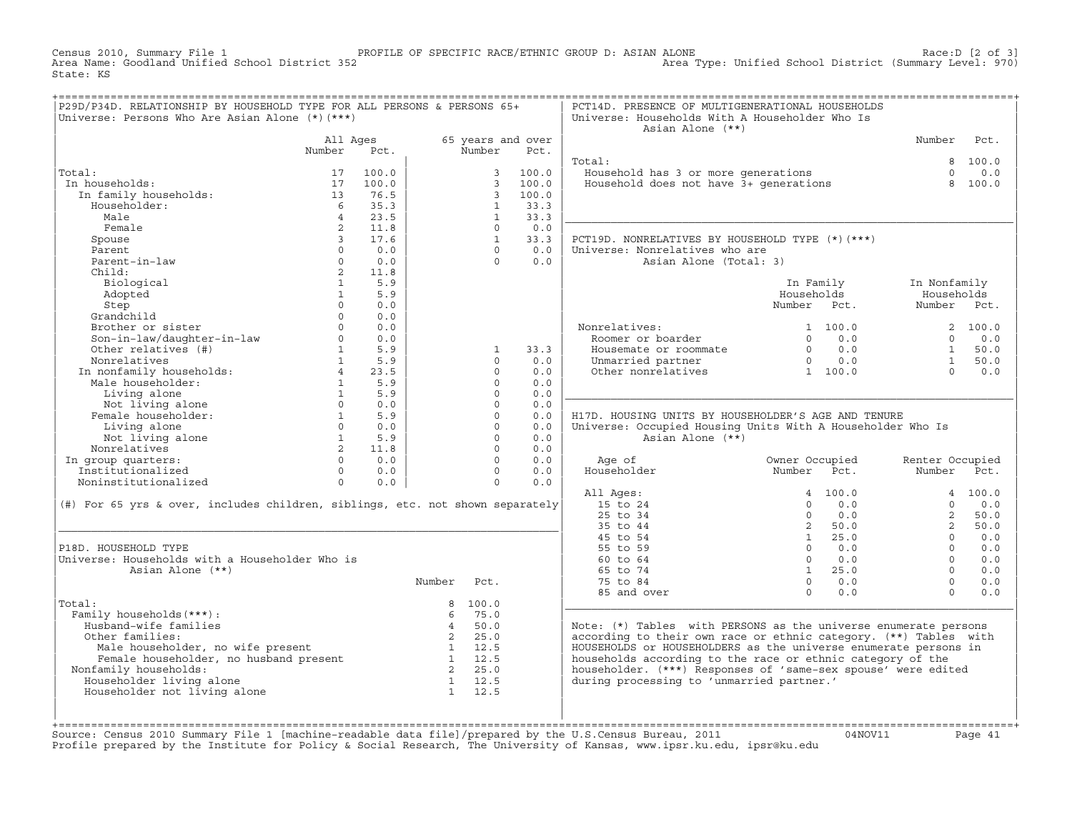Census 2010, Summary File 1 PROFILE OF SPECIFIC RACE/ETHNIC GROUP D: ASIAN ALONE Race:D [2 of 3] Area Type: Unified School District (Summary Level: 970) State: KS

| P29D/P34D. RELATIONSHIP BY HOUSEHOLD TYPE FOR ALL PERSONS & PERSONS 65+<br>Universe: Persons Who Are Asian Alone (*) (***)                                                                                                     |                |                                |                |                |                   | PCT14D. PRESENCE OF MULTIGENERATIONAL HOUSEHOLDS<br>Universe: Households With A Householder Who Is<br>Asian Alone (**) |                |                |                                                                 |          |
|--------------------------------------------------------------------------------------------------------------------------------------------------------------------------------------------------------------------------------|----------------|--------------------------------|----------------|----------------|-------------------|------------------------------------------------------------------------------------------------------------------------|----------------|----------------|-----------------------------------------------------------------|----------|
|                                                                                                                                                                                                                                | All Ages       |                                |                |                | 65 years and over |                                                                                                                        |                |                | Number                                                          | Pct.     |
|                                                                                                                                                                                                                                | Number         | Pct.                           |                | Number         | Pct.              |                                                                                                                        |                |                |                                                                 |          |
|                                                                                                                                                                                                                                |                |                                |                |                |                   | Total:                                                                                                                 |                |                |                                                                 | 8 100.0  |
| Total:                                                                                                                                                                                                                         | 17             | 100.0                          |                | $\mathbf{3}$   | 100.0             | ------<br>Household has 3 or more generations<br>Household does not have 3+ generations                                |                |                | $\Omega$                                                        | 0.0      |
| In households:                                                                                                                                                                                                                 | 17             | 100.0                          |                |                | 3, 100.0          |                                                                                                                        |                |                | $\mathsf{R}$                                                    | 100.0    |
| In family households:                                                                                                                                                                                                          | 13             | 76.5                           |                | $\overline{3}$ | 100.0             |                                                                                                                        |                |                |                                                                 |          |
| Householder:                                                                                                                                                                                                                   | 6 <sup>6</sup> | 35.3                           |                | 1              | 33.3              |                                                                                                                        |                |                |                                                                 |          |
| Male                                                                                                                                                                                                                           | $\overline{4}$ | 23.5                           |                | $\mathbf{1}$   | 33.3              |                                                                                                                        |                |                |                                                                 |          |
| Female                                                                                                                                                                                                                         | $2^{\circ}$    | 11.8                           |                | $\Omega$       | 0.0               |                                                                                                                        |                |                |                                                                 |          |
| Spouse                                                                                                                                                                                                                         | $\overline{3}$ | 17.6                           |                | 1              | 33.3              | PCT19D. NONRELATIVES BY HOUSEHOLD TYPE (*)(***)                                                                        |                |                |                                                                 |          |
| Parent                                                                                                                                                                                                                         | $\Omega$       | 0.0                            |                | $\Omega$       | 0.0               | Universe: Nonrelatives who are                                                                                         |                |                |                                                                 |          |
| Parent-in-law                                                                                                                                                                                                                  | $\circ$        | 0.0                            |                | $\Omega$       | 0.0               | Asian Alone (Total: 3)                                                                                                 |                |                |                                                                 |          |
| Child:                                                                                                                                                                                                                         | $2^{\circ}$    | 11.8                           |                |                |                   |                                                                                                                        |                |                |                                                                 |          |
| Biological                                                                                                                                                                                                                     | $\mathbf{1}$   | 5.9                            |                |                |                   |                                                                                                                        |                | In Family      | In Nonfamily                                                    |          |
| Adopted                                                                                                                                                                                                                        | $\mathbf{1}$   | 5.9                            |                |                |                   |                                                                                                                        | Households     |                | Households                                                      |          |
| Step                                                                                                                                                                                                                           | $\Omega$       | 0.0                            |                |                |                   |                                                                                                                        | Number Pct.    |                | Number Pct.                                                     |          |
| Grandchild                                                                                                                                                                                                                     | $\Omega$       | 0.0                            |                |                |                   |                                                                                                                        |                |                |                                                                 |          |
| Brother or sister                                                                                                                                                                                                              | $\Omega$       | 0.0                            |                |                |                   | Nonrelatives:<br>Roomer or boarder                                                                                     |                | 1 100.0        |                                                                 | 2, 100.0 |
|                                                                                                                                                                                                                                | $\Omega$       | 0.0                            |                |                |                   |                                                                                                                        |                | $0 \t 0.0$     | $\Omega$                                                        | 0.0      |
| Son-in-law/daughter-in-law<br>Other relatives (#)                                                                                                                                                                              | $\mathbf{1}$   | 5.9                            |                | $\mathbf{1}$   | 33.3              | Housemate or roommate<br>Unmarried partner<br>0 0.0<br>0 0.0<br>0 0.0<br>1 100.0                                       |                |                | $\begin{bmatrix} 1 & 50.0 \\ 1 & 50.0 \\ 0 & 0.0 \end{bmatrix}$ |          |
| Nonrelatives                                                                                                                                                                                                                   |                | $1 \quad 5.9$                  |                | $\Omega$       | 0.0               |                                                                                                                        |                |                |                                                                 |          |
| In nonfamily households:<br>Male householder:<br>1                                                                                                                                                                             |                | 23.5                           |                | $\Omega$       | 0.0               |                                                                                                                        |                |                |                                                                 |          |
|                                                                                                                                                                                                                                |                | 5.9                            |                | $\mathbf 0$    | 0.0               |                                                                                                                        |                |                |                                                                 |          |
| Living alone                                                                                                                                                                                                                   | $\mathbf 1$    | 5.9                            |                | $\Omega$       | 0.0               |                                                                                                                        |                |                |                                                                 |          |
|                                                                                                                                                                                                                                |                | $\Omega$<br>0.0                |                | $\Omega$       | 0.0               |                                                                                                                        |                |                |                                                                 |          |
| Living alone<br>Not living alone<br>Female householder:                                                                                                                                                                        | 1              | 5.9                            |                | $\Omega$       | 0.0               | H17D. HOUSING UNITS BY HOUSEHOLDER'S AGE AND TENURE                                                                    |                |                |                                                                 |          |
| Living alone                                                                                                                                                                                                                   |                | $0 \t 0.0$                     |                | $\Omega$       | 0.0               | Universe: Occupied Housing Units With A Householder Who Is                                                             |                |                |                                                                 |          |
| Not living alone<br>prelatives                                                                                                                                                                                                 |                | $\frac{1}{2}$ $\frac{5.9}{11}$ |                | $\Omega$       | 0.0               | Asian Alone (**)                                                                                                       |                |                |                                                                 |          |
| Nonrelatives                                                                                                                                                                                                                   |                |                                |                | $\Omega$       | 0.0               |                                                                                                                        |                |                |                                                                 |          |
| In group quarters:                                                                                                                                                                                                             |                | $0 \t 0.0$                     |                | $\Omega$       | 0.0               | Age of                                                                                                                 | Owner Occupied |                | Renter Occupied                                                 |          |
| Institutionalized                                                                                                                                                                                                              | $\Omega$       | 0.0                            |                | $\Omega$       | 0.0               | Householder                                                                                                            | Number Pct.    |                | Number                                                          | Pct.     |
| Noninstitutionalized                                                                                                                                                                                                           | $\overline{0}$ | 0.0                            |                | $\Omega$       | 0.0               |                                                                                                                        |                |                |                                                                 |          |
|                                                                                                                                                                                                                                |                |                                |                |                |                   | All Ages:                                                                                                              |                | 4 100.0        |                                                                 | 4 100.0  |
| (#) For 65 yrs & over, includes children, siblings, etc. not shown separately                                                                                                                                                  |                |                                |                |                |                   | 15 to 24                                                                                                               | $\Omega$       | 0.0            | $\cap$                                                          | 0.0      |
|                                                                                                                                                                                                                                |                |                                |                |                |                   | 25 to 34                                                                                                               | $\overline{0}$ | 0.0            | $\overline{2}$                                                  | 50.0     |
|                                                                                                                                                                                                                                |                |                                |                |                |                   | 35 to 44                                                                                                               |                | 2 50.0         | $2^{\circ}$                                                     | 50.0     |
|                                                                                                                                                                                                                                |                |                                |                |                |                   | 45 to 54                                                                                                               |                | $1 \t 25.0$    | $\Omega$                                                        | 0.0      |
| P18D. HOUSEHOLD TYPE                                                                                                                                                                                                           |                |                                |                |                |                   | 55 to 59                                                                                                               |                | $0 \t 0.0$     | $\Omega$                                                        | 0.0      |
| Universe: Households with a Householder Who is                                                                                                                                                                                 |                |                                |                |                |                   | 60 to 64                                                                                                               | $\bigcap$      | 0.0            | $\Omega$                                                        | 0.0      |
| Asian Alone (**)                                                                                                                                                                                                               |                |                                |                |                |                   | 65 to 74                                                                                                               |                | $1 \t 25.0$    | $\Omega$                                                        | 0.0      |
|                                                                                                                                                                                                                                |                |                                | Number         | Pct.           |                   | 75 to 84                                                                                                               |                | $0 \qquad 0.0$ | $\Omega$                                                        | 0.0      |
|                                                                                                                                                                                                                                |                |                                |                |                |                   | 85 and over                                                                                                            | $\Omega$       | 0.0            | $\Omega$                                                        | 0.0      |
| Total:                                                                                                                                                                                                                         |                |                                |                | 8 100.0        |                   |                                                                                                                        |                |                |                                                                 |          |
| Family households (***) :                                                                                                                                                                                                      |                |                                | $6^{\circ}$    | 75.0           |                   |                                                                                                                        |                |                |                                                                 |          |
| Husband-wife families                                                                                                                                                                                                          |                |                                | $\overline{4}$ | 50.0           |                   | Note: (*) Tables with PERSONS as the universe enumerate persons                                                        |                |                |                                                                 |          |
| Other families:                                                                                                                                                                                                                |                |                                |                | 2 25.0         |                   | according to their own race or ethnic category. (**) Tables with                                                       |                |                |                                                                 |          |
|                                                                                                                                                                                                                                |                |                                |                |                |                   | HOUSEHOLDS or HOUSEHOLDERS as the universe enumerate persons in                                                        |                |                |                                                                 |          |
| Male householder, no wife present that the state of the state of the state of the state of the state of the state of the state of the state of the state of the state of the state of the state of the state of the state of t |                |                                |                |                |                   | households according to the race or ethnic category of the                                                             |                |                |                                                                 |          |
| Nonfamily households:                                                                                                                                                                                                          |                |                                |                | 2 25.0         |                   | householder. (***) Responses of 'same-sex spouse' were edited                                                          |                |                |                                                                 |          |
| Householder living alone                                                                                                                                                                                                       |                |                                |                | 1 12.5         |                   | during processing to 'unmarried partner.'                                                                              |                |                |                                                                 |          |
| Householder not living alone                                                                                                                                                                                                   |                |                                |                | 1 12.5         |                   |                                                                                                                        |                |                |                                                                 |          |
|                                                                                                                                                                                                                                |                |                                |                |                |                   |                                                                                                                        |                |                |                                                                 |          |
|                                                                                                                                                                                                                                |                |                                |                |                |                   |                                                                                                                        |                |                |                                                                 |          |

+===================================================================================================================================================+Source: Census 2010 Summary File 1 [machine−readable data file]/prepared by the U.S.Census Bureau, 2011 04NOV11 Page 41 Profile prepared by the Institute for Policy & Social Research, The University of Kansas, www.ipsr.ku.edu, ipsr@ku.edu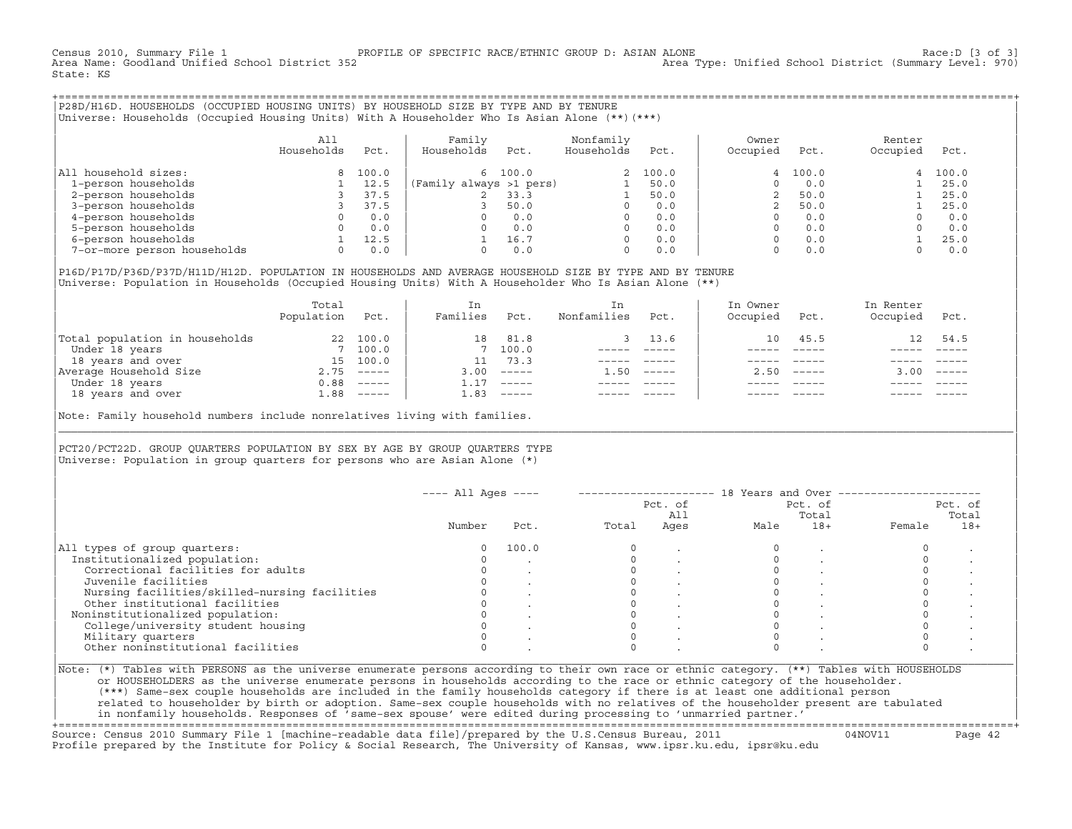Census 2010, Summary File 1 PROFILE OF SPECIFIC RACE/ETHNIC GROUP D: ASIAN ALONE Race:D [3 of 3] Area Type: Unified School District (Summary Level: 970) State: KS

+===================================================================================================================================================+|P28D/H16D. HOUSEHOLDS (OCCUPIED HOUSING UNITS) BY HOUSEHOLD SIZE BY TYPE AND BY TENURE |

|Universe: Households (Occupied Housing Units) With A Householder Who Is Asian Alone (\*\*)(\*\*\*) |

|                             | All<br>Households | Pct.  | Family<br>Households    | Pct.    | Nonfamily<br>Households | Pct.     | Owner<br>Occupied | Pct.    | Renter<br>Occupied | Pct.  |
|-----------------------------|-------------------|-------|-------------------------|---------|-------------------------|----------|-------------------|---------|--------------------|-------|
| household sizes:<br>All     |                   | 100.0 |                         | 6 100.0 |                         | 2, 100.0 |                   | 4 100.0 | 4                  | 100.0 |
| 1-person households         |                   | 12.5  | (Family always >1 pers) |         |                         | 50.0     |                   | 0.0     |                    | 25.0  |
| 2-person households         |                   | 37.5  |                         | 33.3    |                         | 50.0     |                   | 50.0    |                    | 25.0  |
| 3-person households         |                   | 37.5  |                         | 50.0    | $\Omega$                | 0.0      |                   | 50.0    |                    | 25.0  |
| 4-person households         |                   | 0.0   |                         | 0.0     | $\Omega$                | 0.0      |                   | 0.0     |                    | 0.0   |
| 5-person households         |                   | 0.0   |                         | 0.0     | $\Omega$                | 0.0      |                   | 0.0     |                    | 0.0   |
| 6-person households         |                   | 12.5  |                         | 16.7    | $\Omega$                | 0.0      |                   | 0.0     |                    | 25.0  |
| 7-or-more person households | $\Omega$          | 0.0   |                         | 0.0     | 0                       | 0.0      |                   | 0.0     |                    | 0.0   |

|P16D/P17D/P36D/P37D/H11D/H12D. POPULATION IN HOUSEHOLDS AND AVERAGE HOUSEHOLD SIZE BY TYPE AND BY TENURE | Universe: Population in Households (Occupied Housing Units) With A Householder Who Is Asian Alone (\*\*)

|                                | Total<br>Population | Pct.         | In<br>Families | Pct.     | In.<br>Nonfamilies | Pct.     | In Owner<br>Occupied | Pct.          | In Renter<br>Occupied | Pct.                      |
|--------------------------------|---------------------|--------------|----------------|----------|--------------------|----------|----------------------|---------------|-----------------------|---------------------------|
| Total population in households | 22                  | 100.0        | 18             | 81.8     |                    | 3, 13.6  | 10                   | 45.5          | 12 <sup>1</sup>       | 54.5                      |
| Under 18 years                 |                     | 7 100.0      |                | 7 100.0  |                    |          |                      |               |                       |                           |
| 18 years and over              | 15                  | 100.0        |                | 73.3     |                    |          |                      |               |                       |                           |
| Average Household Size         |                     | $2.75$ ----- | 3.00           | $------$ | 1.50               | $------$ | 2.50                 | $- - - - - -$ | 3.00                  | $\qquad \qquad - - - - -$ |
| Under 18 years                 | 0.88                | $------$     |                | $------$ |                    |          |                      |               |                       |                           |
| 18 years and over              | 1.88                | $------$     | 1.83           |          |                    |          |                      | $- - - - -$   |                       | $- - - - -$               |
|                                |                     |              |                |          |                    |          |                      |               |                       |                           |

Note: Family household numbers include nonrelatives living with families. |\_\_\_\_\_\_\_\_\_\_\_\_\_\_\_\_\_\_\_\_\_\_\_\_\_\_\_\_\_\_\_\_\_\_\_\_\_\_\_\_\_\_\_\_\_\_\_\_\_\_\_\_\_\_\_\_\_\_\_\_\_\_\_\_\_\_\_\_\_\_\_\_\_\_\_\_\_\_\_\_\_\_\_\_\_\_\_\_\_\_\_\_\_\_\_\_\_\_\_\_\_\_\_\_\_\_\_\_\_\_\_\_\_\_\_\_\_\_\_\_\_\_\_\_\_\_\_\_\_\_\_\_\_\_\_\_\_\_\_\_\_\_\_\_\_\_\_|

| | PCT20/PCT22D. GROUP OUARTERS POPULATION BY SEX BY AGE BY GROUP OUARTERS TYPE Universe: Population in group quarters for persons who are Asian Alone  $(*)$ 

|                                               |          |       |       | Pct. of<br>All | Pct. of<br>Total |       | Pct. of |       |
|-----------------------------------------------|----------|-------|-------|----------------|------------------|-------|---------|-------|
|                                               | Number   | Pct.  | Total | Ages           | Male             | $18+$ | Female  | $18+$ |
| All types of group quarters:                  | $\Omega$ | 100.0 |       |                |                  |       |         |       |
| Institutionalized population:                 |          |       |       |                |                  |       |         |       |
| Correctional facilities for adults            |          |       |       |                |                  |       |         |       |
| Juvenile facilities                           |          |       |       |                |                  |       |         |       |
| Nursing facilities/skilled-nursing facilities |          |       |       |                |                  |       |         |       |
| Other institutional facilities                |          |       |       |                |                  |       |         |       |
| Noninstitutionalized population:              |          |       |       |                |                  |       |         |       |
| College/university student housing            |          |       |       |                |                  |       |         |       |
| Military quarters                             |          |       |       |                |                  |       |         |       |
| Other noninstitutional facilities             |          |       |       |                |                  |       |         |       |

| |

| or HOUSEHOLDERS as the universe enumerate persons in households according to the race or ethnic category of the householder. | | (\*\*\*) Same−sex couple households are included in the family households category if there is at least one additional person | | related to householder by birth or adoption. Same−sex couple households with no relatives of the householder present are tabulated | | in nonfamily households. Responses of 'same−sex spouse' were edited during processing to 'unmarried partner.' |

+===================================================================================================================================================+ Source: Census 2010 Summary File 1 [machine−readable data file]/prepared by the U.S.Census Bureau, 2011 04NOV11 Page 42 Profile prepared by the Institute for Policy & Social Research, The University of Kansas, www.ipsr.ku.edu, ipsr@ku.edu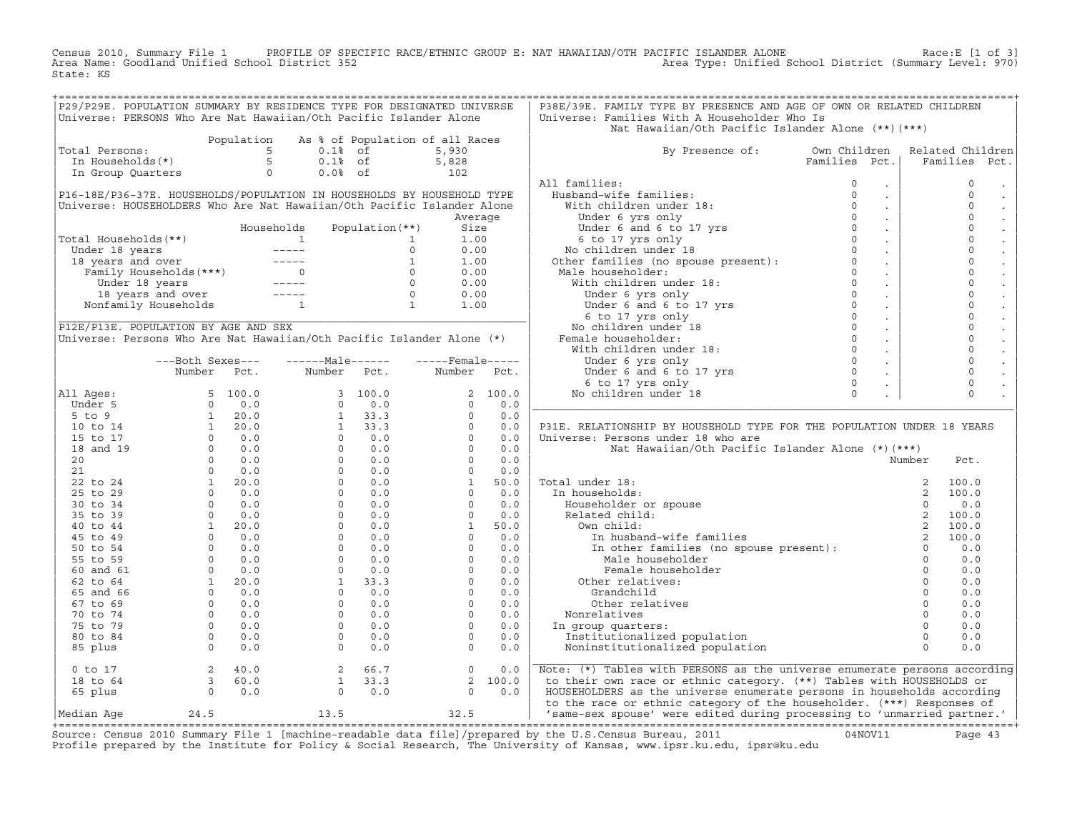Census 2010, Summary File 1 PROFILE OF SPECIFIC RACE/ETHNIC GROUP E: NAT HAWAIIAN/OTH PACIFIC ISLANDER ALONE Race:E [1 of 3]<br>Area Name: Goodland Unified School District 352 State: KS

| P29/P29E. POPULATION SUMMARY BY RESIDENCE TYPE FOR DESIGNATED UNIVERSE<br>Universe: PERSONS Who Are Nat Hawaiian/Oth Pacific Islander Alone                                                                                                           |                                                                                                                                                                                                                                                                                                                                            |            |                                                                                                                                                                                                                                                                                                                          |                        |                                    |         | P38E/39E. FAMILY TYPE BY PRESENCE AND AGE OF OWN OR RELATED CHILDREN<br>Universe: Families With A Householder Who Is                                                                                                                             |                                                                   |                                      |
|-------------------------------------------------------------------------------------------------------------------------------------------------------------------------------------------------------------------------------------------------------|--------------------------------------------------------------------------------------------------------------------------------------------------------------------------------------------------------------------------------------------------------------------------------------------------------------------------------------------|------------|--------------------------------------------------------------------------------------------------------------------------------------------------------------------------------------------------------------------------------------------------------------------------------------------------------------------------|------------------------|------------------------------------|---------|--------------------------------------------------------------------------------------------------------------------------------------------------------------------------------------------------------------------------------------------------|-------------------------------------------------------------------|--------------------------------------|
|                                                                                                                                                                                                                                                       |                                                                                                                                                                                                                                                                                                                                            |            |                                                                                                                                                                                                                                                                                                                          |                        |                                    |         | Nat Hawaiian/Oth Pacific Islander Alone (**) (***)                                                                                                                                                                                               |                                                                   |                                      |
| Total Persons:                                                                                                                                                                                                                                        |                                                                                                                                                                                                                                                                                                                                            | Population | $0.1%$ of                                                                                                                                                                                                                                                                                                                |                        | As % of Population of all Races    |         |                                                                                                                                                                                                                                                  |                                                                   |                                      |
|                                                                                                                                                                                                                                                       | otal Persons:<br>In Households(*)                                                                                                                                                                                                                                                                                                          |            | 5 <sup>5</sup><br>5<br>$0.1%$ of                                                                                                                                                                                                                                                                                         |                        | 5,930<br>5,828                     |         | By Presence of: Own Children                                                                                                                                                                                                                     | Families Pct.                                                     | Related Children<br>Families<br>Pct. |
| In Group Quarters                                                                                                                                                                                                                                     |                                                                                                                                                                                                                                                                                                                                            |            | $\circ$<br>$0.0%$ of                                                                                                                                                                                                                                                                                                     |                        | $\begin{array}{c} 102 \end{array}$ |         |                                                                                                                                                                                                                                                  |                                                                   |                                      |
|                                                                                                                                                                                                                                                       |                                                                                                                                                                                                                                                                                                                                            |            |                                                                                                                                                                                                                                                                                                                          |                        |                                    |         | All families:                                                                                                                                                                                                                                    |                                                                   | $\mathbf{0}$                         |
| P16-18E/P36-37E. HOUSEHOLDS/POPULATION IN HOUSEHOLDS BY HOUSEHOLD TYPE                                                                                                                                                                                |                                                                                                                                                                                                                                                                                                                                            |            |                                                                                                                                                                                                                                                                                                                          |                        |                                    |         |                                                                                                                                                                                                                                                  | $\sim$<br>$\sim$                                                  | $\mathbf{0}$                         |
| Universe: HOUSEHOLDERS Who Are Nat Hawaiian/Oth Pacific Islander Alone                                                                                                                                                                                |                                                                                                                                                                                                                                                                                                                                            |            |                                                                                                                                                                                                                                                                                                                          |                        |                                    |         |                                                                                                                                                                                                                                                  | $\sim$                                                            | $\circ$                              |
|                                                                                                                                                                                                                                                       |                                                                                                                                                                                                                                                                                                                                            |            |                                                                                                                                                                                                                                                                                                                          |                        |                                    | Average |                                                                                                                                                                                                                                                  | $\sim$                                                            | $\circ$                              |
|                                                                                                                                                                                                                                                       |                                                                                                                                                                                                                                                                                                                                            |            |                                                                                                                                                                                                                                                                                                                          |                        | Size                               |         |                                                                                                                                                                                                                                                  | $\sim$                                                            | $\mathbf 0$                          |
| Total Households(**)                                                                                                                                                                                                                                  |                                                                                                                                                                                                                                                                                                                                            |            |                                                                                                                                                                                                                                                                                                                          |                        | 1.00                               |         |                                                                                                                                                                                                                                                  | $\sim 100$                                                        | $\mathbf 0$                          |
|                                                                                                                                                                                                                                                       |                                                                                                                                                                                                                                                                                                                                            |            |                                                                                                                                                                                                                                                                                                                          |                        | 0.00                               |         |                                                                                                                                                                                                                                                  | $\sim 10$                                                         | $\mathbf 0$                          |
|                                                                                                                                                                                                                                                       |                                                                                                                                                                                                                                                                                                                                            |            |                                                                                                                                                                                                                                                                                                                          |                        | 1.00                               |         |                                                                                                                                                                                                                                                  | $\sim 10$                                                         | $\circ$                              |
|                                                                                                                                                                                                                                                       |                                                                                                                                                                                                                                                                                                                                            |            |                                                                                                                                                                                                                                                                                                                          |                        | 0.00                               |         |                                                                                                                                                                                                                                                  | $\sim 10$                                                         | $\circ$                              |
|                                                                                                                                                                                                                                                       |                                                                                                                                                                                                                                                                                                                                            |            |                                                                                                                                                                                                                                                                                                                          |                        | 0.00                               |         |                                                                                                                                                                                                                                                  | $\sim 100$                                                        | $\circ$                              |
| 31 Households (**)<br>Under 18 years<br>18 years and over<br>Family Households (***)<br>18 years and over<br>18 years 18 years -----<br>18 years and over<br>18 years and over<br>19 years and over<br>19 years -----<br>19 years -----<br>19 1<br>19 |                                                                                                                                                                                                                                                                                                                                            |            |                                                                                                                                                                                                                                                                                                                          |                        | 0.00                               |         | All families:<br>Husband-wife families:<br>With children under 18:<br>Under 6 yrs only<br>Under 6 and 6 to 17 yrs<br>6 to 17 yrs<br>6 to 17 yrs only<br>No children under 18<br>Other families (no spouse present):<br>Other families (no spouse | $\sim 100$                                                        | $\mathsf{O}\xspace$                  |
|                                                                                                                                                                                                                                                       |                                                                                                                                                                                                                                                                                                                                            |            |                                                                                                                                                                                                                                                                                                                          |                        | 1.00                               |         |                                                                                                                                                                                                                                                  | $\sim$                                                            | $\mathbf 0$                          |
|                                                                                                                                                                                                                                                       |                                                                                                                                                                                                                                                                                                                                            |            |                                                                                                                                                                                                                                                                                                                          |                        |                                    |         |                                                                                                                                                                                                                                                  | $\sim 100$                                                        | $\mathbf 0$                          |
| P12E/P13E. POPULATION BY AGE AND SEX                                                                                                                                                                                                                  |                                                                                                                                                                                                                                                                                                                                            |            |                                                                                                                                                                                                                                                                                                                          |                        |                                    |         |                                                                                                                                                                                                                                                  | $\sim 10$                                                         | $\circ$                              |
| Universe: Persons Who Are Nat Hawaiian/Oth Pacific Islander Alone (*)                                                                                                                                                                                 |                                                                                                                                                                                                                                                                                                                                            |            |                                                                                                                                                                                                                                                                                                                          |                        |                                    |         |                                                                                                                                                                                                                                                  | $\sim 100$                                                        | $\circ$                              |
|                                                                                                                                                                                                                                                       |                                                                                                                                                                                                                                                                                                                                            |            |                                                                                                                                                                                                                                                                                                                          |                        |                                    |         |                                                                                                                                                                                                                                                  | $\sim 10$                                                         | $\mathbf 0$                          |
|                                                                                                                                                                                                                                                       | ---Both Sexes---                                                                                                                                                                                                                                                                                                                           |            | $---Male----$                                                                                                                                                                                                                                                                                                            |                        | $---$ Female -----                 |         |                                                                                                                                                                                                                                                  | $\sim 100$                                                        | $\mathbf 0$                          |
|                                                                                                                                                                                                                                                       | Number                                                                                                                                                                                                                                                                                                                                     | Pct.       |                                                                                                                                                                                                                                                                                                                          | Number Pct.            | Number                             | Pct.    |                                                                                                                                                                                                                                                  | $\sim$                                                            | $\circ$                              |
|                                                                                                                                                                                                                                                       |                                                                                                                                                                                                                                                                                                                                            |            |                                                                                                                                                                                                                                                                                                                          |                        |                                    |         |                                                                                                                                                                                                                                                  | $\sim$                                                            | $\mathsf{O}$                         |
| All Ages:                                                                                                                                                                                                                                             |                                                                                                                                                                                                                                                                                                                                            | 5, 100.0   |                                                                                                                                                                                                                                                                                                                          | 3, 100.0               |                                    | 2 100.0 |                                                                                                                                                                                                                                                  |                                                                   | $\Omega$                             |
| Under 5                                                                                                                                                                                                                                               |                                                                                                                                                                                                                                                                                                                                            |            |                                                                                                                                                                                                                                                                                                                          |                        | $\Omega$                           | 0.0     |                                                                                                                                                                                                                                                  |                                                                   |                                      |
| $5$ to $9$                                                                                                                                                                                                                                            |                                                                                                                                                                                                                                                                                                                                            |            |                                                                                                                                                                                                                                                                                                                          |                        | $\Omega$                           | 0.0     |                                                                                                                                                                                                                                                  |                                                                   |                                      |
| 10 to 14                                                                                                                                                                                                                                              |                                                                                                                                                                                                                                                                                                                                            |            | $\begin{array}{cccc} 3 & 100.0 \\ 0 & 0.0 \\ 1 & 33.3 \\ 1 & 33.3 \\ 0 & 0.0 \\ 0 & 0.0 \\ 0 & 0.0 \\ 0 & 0.0 \\ 0 & 0.0 \\ 0 & 0.0 \\ 0 & 0.0 \\ 0 & 0.0 \\ 0 & 0.0 \\ 0 & 0.0 \\ 0 & 0.0 \\ 0 & 0.0 \\ 0 & 0.0 \\ 0 & 0.0 \\ 0 & 0.0 \\ 0 & 0.0 \\ 0 & 0.0 \\ 0 & 0.0 \\ 0 & 0.0 \\ 0 & 0.0 \\ 0 & 0.0 \\ 0 & 0.0 \\ $ |                        | $\Omega$                           | 0.0     | P31E. RELATIONSHIP BY HOUSEHOLD TYPE FOR THE POPULATION UNDER 18 YEARS                                                                                                                                                                           |                                                                   |                                      |
| 15 to 17                                                                                                                                                                                                                                              |                                                                                                                                                                                                                                                                                                                                            |            |                                                                                                                                                                                                                                                                                                                          |                        | $\Omega$                           | 0.0     | Universe: Persons under 18 who are                                                                                                                                                                                                               |                                                                   |                                      |
| 18 and 19                                                                                                                                                                                                                                             |                                                                                                                                                                                                                                                                                                                                            |            |                                                                                                                                                                                                                                                                                                                          |                        | $\Omega$                           | 0.0     | Nat Hawaiian/Oth Pacific Islander Alone (*)(***)                                                                                                                                                                                                 |                                                                   |                                      |
| 20                                                                                                                                                                                                                                                    |                                                                                                                                                                                                                                                                                                                                            |            |                                                                                                                                                                                                                                                                                                                          |                        | $\Omega$                           | 0.0     |                                                                                                                                                                                                                                                  |                                                                   | Number<br>Pct.                       |
| 21                                                                                                                                                                                                                                                    |                                                                                                                                                                                                                                                                                                                                            |            |                                                                                                                                                                                                                                                                                                                          |                        | $\Omega$                           | 0.0     | al under 18:<br>a households:<br>Householder or spouse<br>a lated obild:                                                                                                                                                                         |                                                                   |                                      |
| 22 to 24                                                                                                                                                                                                                                              |                                                                                                                                                                                                                                                                                                                                            |            |                                                                                                                                                                                                                                                                                                                          |                        | 1                                  | 50.0    | Total under 18:                                                                                                                                                                                                                                  |                                                                   | 100.0<br>2                           |
| 25 to 29                                                                                                                                                                                                                                              |                                                                                                                                                                                                                                                                                                                                            |            |                                                                                                                                                                                                                                                                                                                          |                        | $\Omega$                           | 0.0     | In households:                                                                                                                                                                                                                                   |                                                                   | 2<br>100.0                           |
| 30 to 34                                                                                                                                                                                                                                              |                                                                                                                                                                                                                                                                                                                                            |            |                                                                                                                                                                                                                                                                                                                          |                        | $\Omega$                           | 0.0     |                                                                                                                                                                                                                                                  |                                                                   | 0.0                                  |
| 35 to 39                                                                                                                                                                                                                                              |                                                                                                                                                                                                                                                                                                                                            |            |                                                                                                                                                                                                                                                                                                                          |                        | $\Omega$                           | 0.0     |                                                                                                                                                                                                                                                  |                                                                   | 100.0                                |
| 40 to 44                                                                                                                                                                                                                                              |                                                                                                                                                                                                                                                                                                                                            |            |                                                                                                                                                                                                                                                                                                                          |                        | $\mathbf{1}$                       | 50.0    | Own child:                                                                                                                                                                                                                                       |                                                                   | 100.0                                |
| 45 to 49                                                                                                                                                                                                                                              |                                                                                                                                                                                                                                                                                                                                            |            | $\circ$                                                                                                                                                                                                                                                                                                                  | 0.0                    | $\circ$                            | 0.0     |                                                                                                                                                                                                                                                  |                                                                   | 100.0                                |
| 50 to 54                                                                                                                                                                                                                                              |                                                                                                                                                                                                                                                                                                                                            |            | $\Omega$                                                                                                                                                                                                                                                                                                                 | 0.0                    | $\circ$                            | 0.0     |                                                                                                                                                                                                                                                  |                                                                   | 0.0                                  |
| 55 to 59                                                                                                                                                                                                                                              |                                                                                                                                                                                                                                                                                                                                            |            | $\circ$                                                                                                                                                                                                                                                                                                                  | 0.0                    | $\circ$                            | 0.0     |                                                                                                                                                                                                                                                  |                                                                   | 0.0                                  |
| 60 and 61                                                                                                                                                                                                                                             |                                                                                                                                                                                                                                                                                                                                            |            | $\Omega$                                                                                                                                                                                                                                                                                                                 | 0.0                    | $\Omega$                           | 0.0     | Female householder                                                                                                                                                                                                                               |                                                                   | $\Omega$<br>0.0                      |
| 62 to 64                                                                                                                                                                                                                                              |                                                                                                                                                                                                                                                                                                                                            |            | $\mathbf{1}$                                                                                                                                                                                                                                                                                                             | 33.3                   | $\Omega$                           | 0.0     | Other relatives:                                                                                                                                                                                                                                 |                                                                   | $\Omega$<br>0.0                      |
| 65 and 66                                                                                                                                                                                                                                             |                                                                                                                                                                                                                                                                                                                                            |            | $\begin{array}{c}\n 0 \\  1 \\  0 \\  0 \\  0 \\  0\n \end{array}$                                                                                                                                                                                                                                                       | 0.0                    | $\Omega$                           | 0.0     | Grandchild                                                                                                                                                                                                                                       |                                                                   | 0.0                                  |
| 67 to 69                                                                                                                                                                                                                                              |                                                                                                                                                                                                                                                                                                                                            |            |                                                                                                                                                                                                                                                                                                                          | 0.0                    | $\Omega$                           | 0.0     | Other relatives                                                                                                                                                                                                                                  |                                                                   | $\Omega$<br>0.0                      |
| 70 to 74                                                                                                                                                                                                                                              |                                                                                                                                                                                                                                                                                                                                            |            |                                                                                                                                                                                                                                                                                                                          | 0.0                    | $\circ$                            | 0.0     | Nonrelatives                                                                                                                                                                                                                                     |                                                                   | 0.0                                  |
| 75 to 79                                                                                                                                                                                                                                              |                                                                                                                                                                                                                                                                                                                                            |            |                                                                                                                                                                                                                                                                                                                          | 0.0                    | $\Omega$                           | 0.0     | In group quarters:                                                                                                                                                                                                                               |                                                                   | 0.0                                  |
| 80 to 84                                                                                                                                                                                                                                              |                                                                                                                                                                                                                                                                                                                                            |            | $\Omega$                                                                                                                                                                                                                                                                                                                 | 0.0                    | $\Omega$                           | 0.0     | Institutionalized population                                                                                                                                                                                                                     |                                                                   | 0.0                                  |
| 85 plus                                                                                                                                                                                                                                               | $\begin{array}{cccccc} & & & & & & 5 & 100.0 \\ 0 & & & & 0.0 \\ 0 & & & 0.0 \\ 1 & & 20.0 \\ 0 & & 0 & 0.0 \\ 0 & & 0.0 \\ 0 & & 0.0 \\ 0 & & 0.0 \\ 1 & & 20.0 \\ 0 & & 0.0 \\ 0 & & 0.0 \\ 0 & & 0.0 \\ 1 & & 20.0 \\ 0 & & 0.0 \\ 1 & & 20.0 \\ 0 & & 0.0 \\ 0 & & 0.0 \\ 0 & & 0.0 \\ 0 & & 0.0 \\ 0 & & 0.0 \\ 0 & & 0.0 \\ 0 & & 0$ |            | $\Omega$                                                                                                                                                                                                                                                                                                                 | 0.0                    | $\Omega$                           | 0.0     | Noninstitutionalized population                                                                                                                                                                                                                  | $\begin{array}{ccc} 0 & 0 \\ 0 & 0 \\ 0 & 0 \\ 0 & 0 \end{array}$ | 0.0                                  |
| $0$ to $17$                                                                                                                                                                                                                                           |                                                                                                                                                                                                                                                                                                                                            | 40.0       |                                                                                                                                                                                                                                                                                                                          | 66.7<br>$\overline{2}$ | $\circ$                            | 0.0     | Note: $(*)$ Tables with PERSONS as the universe enumerate persons according                                                                                                                                                                      |                                                                   |                                      |
| 18 to 64                                                                                                                                                                                                                                              |                                                                                                                                                                                                                                                                                                                                            | 60.0       |                                                                                                                                                                                                                                                                                                                          | 33.3<br>1              |                                    | 2 100.0 | to their own race or ethnic category. (**) Tables with HOUSEHOLDS or                                                                                                                                                                             |                                                                   |                                      |
| 65 plus                                                                                                                                                                                                                                               | $\begin{array}{c} 2 \\ 3 \\ 0 \end{array}$                                                                                                                                                                                                                                                                                                 | 0.0        | $\Omega$                                                                                                                                                                                                                                                                                                                 | 0.0                    | $\Omega$                           | 0.0     | HOUSEHOLDERS as the universe enumerate persons in households according<br>to the race or ethnic category of the householder. (***) Responses of                                                                                                  |                                                                   |                                      |
| Median Age                                                                                                                                                                                                                                            | 24.5                                                                                                                                                                                                                                                                                                                                       |            | 13.5                                                                                                                                                                                                                                                                                                                     |                        | 32.5                               |         | 'same-sex spouse' were edited during processing to 'unmarried partner.'                                                                                                                                                                          |                                                                   |                                      |
|                                                                                                                                                                                                                                                       |                                                                                                                                                                                                                                                                                                                                            |            |                                                                                                                                                                                                                                                                                                                          |                        |                                    |         | $\frac{1}{2}$                                                                                                                                                                                                                                    |                                                                   |                                      |

Source: Census 2010 Summary File 1 [machine-readable data file]/prepared by the U.S.Census Bureau, 2011 Page 43<br>Profile prepared by the Institute for Policy & Social Research, The University of Kansas, www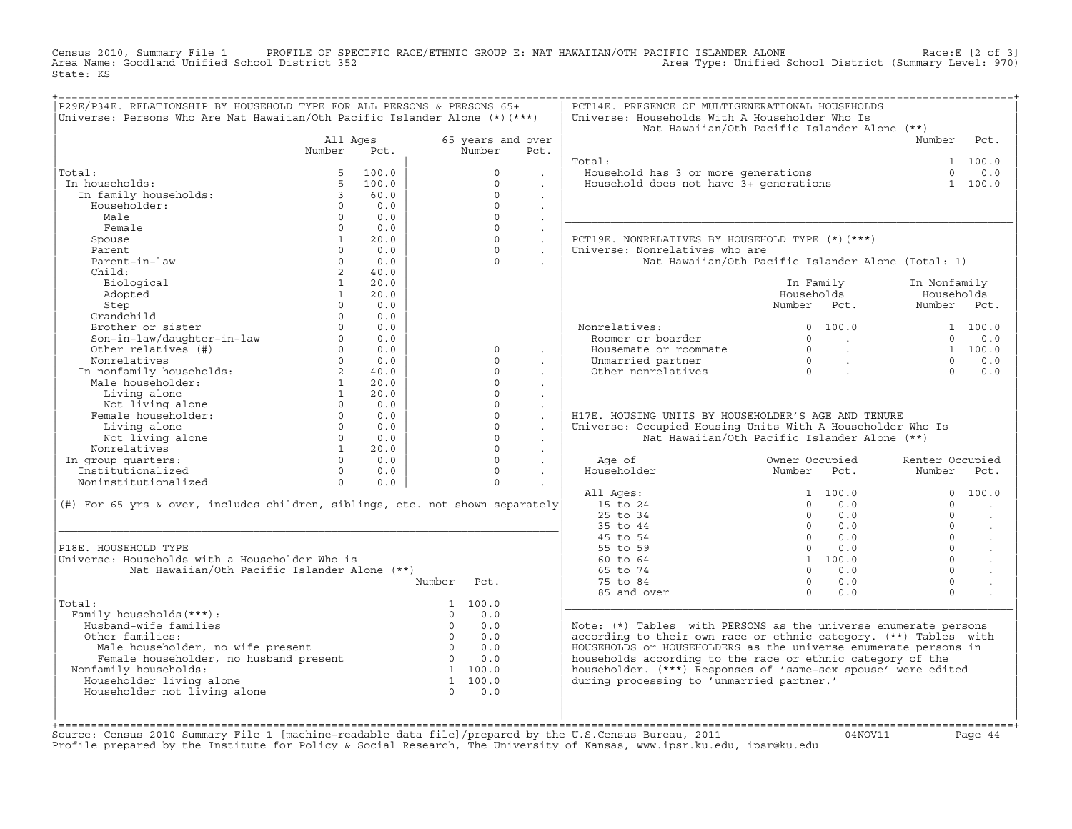Census 2010, Summary File 1 PROFILE OF SPECIFIC RACE/ETHNIC GROUP E: NAT HAWAIIAN/OTH PACIFIC ISLANDER ALONE Race:E [2 of 3]<br>Area Name: Goodland Unified School District 352 State: KS

|                                                                                                                       |                      |            | Universe: Persons Who Are Nat Hawaiian/Oth Pacific Islander Alone $(*)$ (***) |                                        | Universe: Households With A Householder Who Is<br>Nat Hawaiian/Oth Pacific Islander Alone (**)             |                                                                                |                                            |                 |                      |
|-----------------------------------------------------------------------------------------------------------------------|----------------------|------------|-------------------------------------------------------------------------------|----------------------------------------|------------------------------------------------------------------------------------------------------------|--------------------------------------------------------------------------------|--------------------------------------------|-----------------|----------------------|
|                                                                                                                       | All Ages             |            | 65 years and over                                                             |                                        |                                                                                                            |                                                                                |                                            | Number          | Pct.                 |
|                                                                                                                       | Number               | Pct.       | Number                                                                        | Pct.                                   |                                                                                                            |                                                                                |                                            |                 |                      |
|                                                                                                                       |                      |            |                                                                               |                                        | Total:                                                                                                     |                                                                                |                                            |                 | 1 100.0              |
| Total:                                                                                                                | 5                    | 100.0      | $\Omega$                                                                      | $\sim$                                 | Household has 3 or more generations<br>Household does not have 3+ generations                              |                                                                                |                                            | $\Omega$        | 0.0                  |
| In households:                                                                                                        | 5                    | 100.0      | $\Omega$                                                                      | $\ddot{\phantom{a}}$                   |                                                                                                            |                                                                                |                                            |                 | 1 100.0              |
| In family households:                                                                                                 | $\overline{3}$       | 60.0       | $\Omega$                                                                      | $\sim$                                 |                                                                                                            |                                                                                |                                            |                 |                      |
| Householder:                                                                                                          | $\cap$               | 0.0        | $\Omega$                                                                      | $\sim$                                 |                                                                                                            |                                                                                |                                            |                 |                      |
| Male                                                                                                                  | $\Omega$             | 0.0        | $\Omega$                                                                      | $\sim$                                 |                                                                                                            |                                                                                |                                            |                 |                      |
| Female                                                                                                                | $\Omega$             | 0.0        | $\Omega$                                                                      | $\sim$                                 |                                                                                                            |                                                                                |                                            |                 |                      |
| Spouse                                                                                                                | 1                    | 20.0       | $\Omega$                                                                      | $\sim$                                 | PCT19E. NONRELATIVES BY HOUSEHOLD TYPE (*) (***)                                                           |                                                                                |                                            |                 |                      |
| Parent                                                                                                                | $\Omega$             | 0.0        | $\Omega$                                                                      | $\ddot{\phantom{0}}$                   | Universe: Nonrelatives who are                                                                             |                                                                                |                                            |                 |                      |
| Parent-in-law                                                                                                         | $\Omega$             | 0.0        | $\Omega$                                                                      | $\ddot{\phantom{0}}$                   | Nat Hawaiian/Oth Pacific Islander Alone (Total: 1)                                                         |                                                                                |                                            |                 |                      |
| Child:                                                                                                                | $2^{\circ}$          | 40.0       |                                                                               |                                        |                                                                                                            |                                                                                |                                            |                 |                      |
| Biological                                                                                                            | $\mathbf{1}$         | 20.0       |                                                                               |                                        |                                                                                                            | In Family                                                                      |                                            | In Nonfamily    |                      |
| Adopted                                                                                                               | $\mathbf{1}$         | 20.0       |                                                                               |                                        |                                                                                                            | Households                                                                     |                                            | Households      |                      |
| Step                                                                                                                  | $\Omega$             | 0.0        |                                                                               |                                        |                                                                                                            | Number Pct.                                                                    |                                            | Number Pct.     |                      |
| Grandchild                                                                                                            | $\Omega$             | 0.0        |                                                                               |                                        |                                                                                                            |                                                                                |                                            |                 |                      |
| Brother or sister<br>Brother or sister<br>Son-in-law/daughter-in-law<br>Other relatives (#)                           | $\Omega$<br>$\Omega$ | 0.0        |                                                                               |                                        | Nonrelatives:                                                                                              |                                                                                | 0 100.0                                    | $\Omega$        | 1 100.0              |
|                                                                                                                       | $\Omega$             | 0.0<br>0.0 | $\Omega$                                                                      |                                        | Roomer or boarder                                                                                          |                                                                                | $\begin{matrix} 0 & & \\ & & \end{matrix}$ |                 | 0.0                  |
| Nonrelatives                                                                                                          | $\Omega$             | 0.0        | $\Omega$                                                                      | $\ddot{\phantom{0}}$                   | Housemate or roommate                                                                                      |                                                                                |                                            | $\Omega$        | 1 100.0<br>0.0       |
|                                                                                                                       | $2^{\circ}$          | 40.0       | $\Omega$                                                                      | $\ddot{\phantom{0}}$                   | Unmarried partner<br>Other nonrelatives                                                                    | $\begin{matrix} 0 & & \cdot \\ & & 0 \\ & & & \cdot \\ & & & & 0 \end{matrix}$ |                                            | $\Omega$        | 0.0                  |
| n nonfamily households:<br>Male householder:                                                                          | 1                    | 20.0       | $\Omega$                                                                      | $\ddot{\phantom{0}}$                   |                                                                                                            |                                                                                |                                            |                 |                      |
| Living alone                                                                                                          | 1                    | 20.0       | $\Omega$                                                                      | $\cdot$                                |                                                                                                            |                                                                                |                                            |                 |                      |
|                                                                                                                       | $\Omega$             | 0.0        | $\Omega$                                                                      | $\blacksquare$<br>$\ddot{\phantom{0}}$ |                                                                                                            |                                                                                |                                            |                 |                      |
| Living alone<br>Not living alone<br>Female householder:                                                               | $\Omega$             | 0.0        | $\mathbf 0$                                                                   | $\ddot{\phantom{a}}$                   | H17E. HOUSING UNITS BY HOUSEHOLDER'S AGE AND TENURE                                                        |                                                                                |                                            |                 |                      |
| Living alone                                                                                                          | $\Omega$             | 0.0        | $\Omega$                                                                      | $\sim$                                 | Universe: Occupied Housing Units With A Householder Who Is                                                 |                                                                                |                                            |                 |                      |
| Not living alone                                                                                                      |                      | $0 \t 0.0$ | $\Omega$                                                                      | $\sim$                                 | Nat Hawaiian/Oth Pacific Islander Alone (**)                                                               |                                                                                |                                            |                 |                      |
| Nonrelatives                                                                                                          | 1                    | 20.0       | $\Omega$                                                                      | $\sim$                                 |                                                                                                            |                                                                                |                                            |                 |                      |
| In group quarters:                                                                                                    | $\Omega$             | 0.0        | $\Omega$                                                                      | $\ddot{\phantom{a}}$                   | Age of                                                                                                     | Owner Occupied                                                                 |                                            | Renter Occupied |                      |
| Institutionalized                                                                                                     | $\Omega$             | 0.0        | $\Omega$                                                                      | $\sim$                                 | Householder                                                                                                | Number Pct.                                                                    |                                            | Number Pct.     |                      |
| Noninstitutionalized                                                                                                  | $\Omega$             | 0.0        | $\Omega$                                                                      | $\sim$                                 |                                                                                                            |                                                                                |                                            |                 |                      |
|                                                                                                                       |                      |            |                                                                               |                                        | All Ages:                                                                                                  |                                                                                | 1, 100, 0                                  | $\Omega$        | 100.0                |
| (#) For 65 yrs & over, includes children, siblings, etc. not shown separately                                         |                      |            |                                                                               |                                        | 15 to 24                                                                                                   | $\Omega$                                                                       | 0.0                                        | $\Omega$        |                      |
|                                                                                                                       |                      |            |                                                                               |                                        | 25 to 34                                                                                                   | $\Omega$                                                                       | 0.0                                        | $\Omega$        |                      |
|                                                                                                                       |                      |            |                                                                               |                                        | 35 to 44                                                                                                   | $\Omega$                                                                       | 0.0                                        | $\Omega$        | $\ddot{\phantom{a}}$ |
|                                                                                                                       |                      |            |                                                                               |                                        | 45 to 54                                                                                                   |                                                                                | $0 \t 0.0$                                 | $\Omega$        | $\ddot{\phantom{a}}$ |
|                                                                                                                       |                      |            |                                                                               |                                        | 55 to 59                                                                                                   | $\Omega$                                                                       | 0.0                                        | $\Omega$        | $\sim$               |
| P18E. HOUSEHOLD TYPE                                                                                                  |                      |            |                                                                               |                                        | 60 to 64                                                                                                   |                                                                                | 1 100.0                                    | $\Omega$        |                      |
| Universe: Households with a Householder Who is                                                                        |                      |            |                                                                               |                                        | 65 to 74                                                                                                   | $\Omega$                                                                       | 0.0                                        | $\Omega$        |                      |
| Nat Hawaiian/Oth Pacific Islander Alone (**)                                                                          |                      |            |                                                                               |                                        |                                                                                                            |                                                                                | 0.0                                        | $\mathbf 0$     |                      |
|                                                                                                                       |                      |            | Number<br>Pct.                                                                |                                        | 75 to 84                                                                                                   | $\circ$                                                                        |                                            | $\Omega$        |                      |
|                                                                                                                       |                      |            |                                                                               |                                        | 85 and over                                                                                                | $\Omega$                                                                       | 0.0                                        |                 |                      |
|                                                                                                                       |                      |            | 1 100.0                                                                       |                                        |                                                                                                            |                                                                                |                                            |                 |                      |
| Family households (***) :                                                                                             |                      |            | 0.0<br>$\Omega$                                                               |                                        |                                                                                                            |                                                                                |                                            |                 |                      |
| Husband-wife families                                                                                                 |                      |            | $\overline{0}$<br>0.0                                                         |                                        | Note: (*) Tables with PERSONS as the universe enumerate persons                                            |                                                                                |                                            |                 |                      |
| Other families:                                                                                                       |                      |            | $0 \qquad 0.0$                                                                |                                        | according to their own race or ethnic category. (**) Tables with                                           |                                                                                |                                            |                 |                      |
|                                                                                                                       |                      |            | $0 \qquad 0.0$<br>$0 \qquad 0.0$                                              |                                        | HOUSEHOLDS or HOUSEHOLDERS as the universe enumerate persons in                                            |                                                                                |                                            |                 |                      |
| Male householder, no wife present<br>Female householder, no husband present<br>Temale householder, no husband present |                      |            | 1 100.0                                                                       |                                        | households according to the race or ethnic category of the                                                 |                                                                                |                                            |                 |                      |
| Total:<br>Nonfamily households:                                                                                       |                      |            | 1 100.0                                                                       |                                        | householder. (***) Responses of 'same-sex spouse' were edited<br>during processing to 'unmarried partner.' |                                                                                |                                            |                 |                      |
| Householder living alone<br>Householder not living alone                                                              |                      |            | $\Omega$<br>0.0                                                               |                                        |                                                                                                            |                                                                                |                                            |                 |                      |

+===================================================================================================================================================+Source: Census 2010 Summary File 1 [machine−readable data file]/prepared by the U.S.Census Bureau, 2011 04NOV11 Page 44 Profile prepared by the Institute for Policy & Social Research, The University of Kansas, www.ipsr.ku.edu, ipsr@ku.edu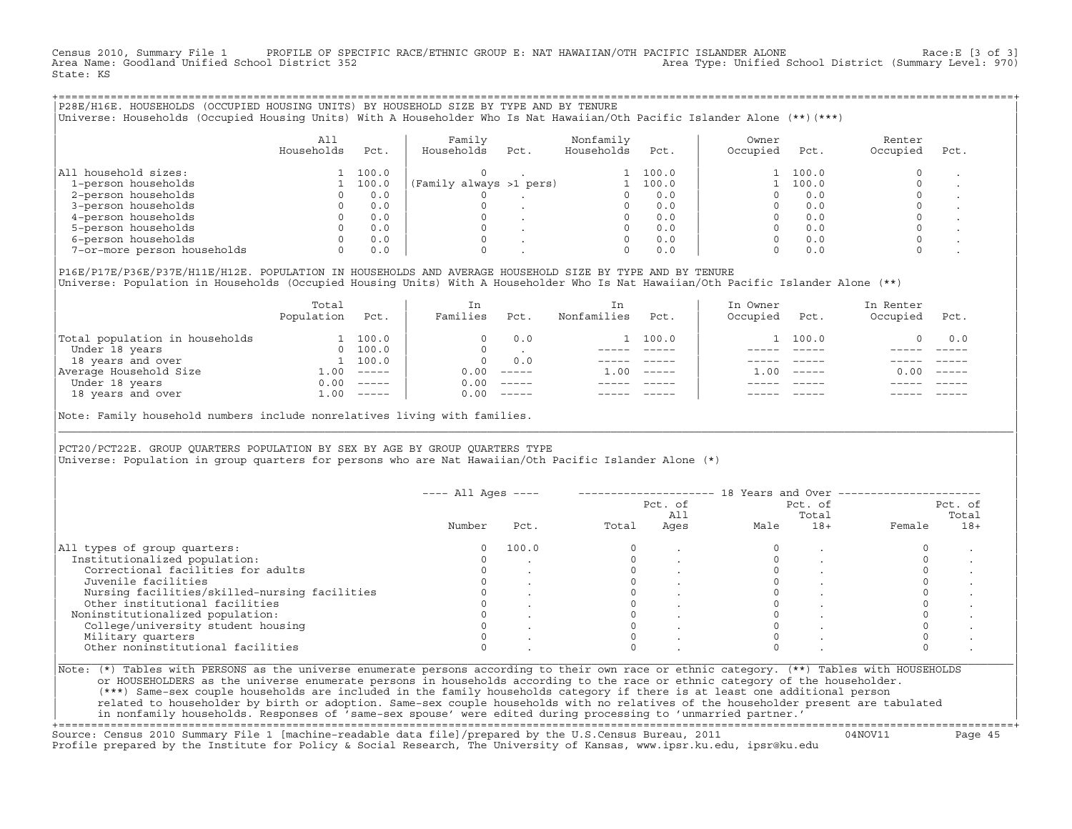Census 2010, Summary File 1 PROFILE OF SPECIFIC RACE/ETHNIC GROUP E: NAT HAWAIIAN/OTH PACIFIC ISLANDER ALONE Race:E [3 of 3]<br>Area Name: Goodland Unified School District 352 Area Type: Unified School District (Summary Level: 970) State: KS

| P28E/H16E. HOUSEHOLDS (OCCUPIED HOUSING UNITS) BY HOUSEHOLD SIZE BY TYPE AND BY TENURE<br>Universe: Households (Occupied Housing Units) With A Householder Who Is Nat Hawaiian/Oth Pacific Islander Alone (**)(***) |                   |       |                         |      |                         |       |                   |       |                    |      |
|---------------------------------------------------------------------------------------------------------------------------------------------------------------------------------------------------------------------|-------------------|-------|-------------------------|------|-------------------------|-------|-------------------|-------|--------------------|------|
|                                                                                                                                                                                                                     | All<br>Households | Pct.  | Family<br>Households    | Pct. | Nonfamily<br>Households | Pct.  | Owner<br>Occupied | Pct.  | Renter<br>Occupied | Pct. |
| All household sizes:                                                                                                                                                                                                |                   | 100.0 |                         |      |                         | 100.0 |                   | 100.0 |                    |      |
| 1-person households                                                                                                                                                                                                 |                   | 100.0 | (Family always >1 pers) |      |                         | 100.0 |                   | 100.0 |                    |      |
| 2-person households                                                                                                                                                                                                 |                   | 0.0   |                         |      |                         | 0.0   |                   | 0.0   |                    |      |
| 3-person households                                                                                                                                                                                                 |                   | 0.0   |                         |      |                         | 0.0   |                   | 0.0   |                    |      |
| 4-person households                                                                                                                                                                                                 |                   | 0.0   |                         |      |                         | 0.0   |                   | 0.0   |                    |      |
| 5-person households                                                                                                                                                                                                 |                   | 0.0   |                         |      |                         | 0.0   |                   | 0.0   |                    |      |
| 6-person households                                                                                                                                                                                                 |                   | 0.0   |                         |      |                         | 0.0   |                   | 0.0   |                    |      |
| 7-or-more person households                                                                                                                                                                                         |                   | 0.0   |                         |      |                         | 0.0   |                   | 0.0   |                    |      |

| |

|P16E/P17E/P36E/P37E/H11E/H12E. POPULATION IN HOUSEHOLDS AND AVERAGE HOUSEHOLD SIZE BY TYPE AND BY TENURE | Universe: Population in Households (Occupied Housing Units) With A Householder Who Is Nat Hawaiian/Oth Pacific Islander Alone (\*\*)

|                                | Total<br>Population | Pct.     | In<br>Families | Pct.     | In.<br>Nonfamilies | Pct.     | In Owner<br>Occupied | Pct.          | In Renter<br>Occupied | Pct.     |  |
|--------------------------------|---------------------|----------|----------------|----------|--------------------|----------|----------------------|---------------|-----------------------|----------|--|
| Total population in households |                     | 100.0    |                | 0.0      |                    | 100.0    |                      | 1 100.0       |                       | 0.0      |  |
| Under 18 years                 | $\Omega$            | 100.0    |                |          |                    |          |                      |               |                       |          |  |
| 18 years and over              |                     | 1 100.0  | $\Omega$       | 0.0      |                    |          |                      |               |                       |          |  |
| Average Household Size         | 1.00                | $------$ | 0.00           | $------$ | 1.00               | $------$ | .00                  | $- - - - - -$ | 0.00                  | $------$ |  |
| Under 18 years                 | 0.00                | $------$ | 0.00           | $------$ |                    |          |                      |               |                       |          |  |
| 18 years and over              | 1.00                | $------$ | 0.00           | $------$ |                    |          |                      | $- - - - -$   |                       | $------$ |  |
|                                |                     |          |                |          |                    |          |                      |               |                       |          |  |

|Note: Family household numbers include nonrelatives living with families. |

| | PCT20/PCT22E. GROUP OUARTERS POPULATION BY SEX BY AGE BY GROUP OUARTERS TYPE |Universe: Population in group quarters for persons who are Nat Hawaiian/Oth Pacific Islander Alone (\*) |

|                                               |        |       |       | Pct. of<br>All | Pct. of<br>Total |       | Pct. of<br>Total |       |
|-----------------------------------------------|--------|-------|-------|----------------|------------------|-------|------------------|-------|
|                                               | Number | Pct.  | Total | Ages           | Male             | $18+$ | Female           | $18+$ |
| All types of group quarters:                  |        | 100.0 |       |                |                  |       |                  |       |
| Institutionalized population:                 |        |       |       |                |                  |       |                  |       |
| Correctional facilities for adults            |        |       |       |                |                  |       |                  |       |
| Juvenile facilities                           |        |       |       |                |                  |       |                  |       |
| Nursing facilities/skilled-nursing facilities |        |       |       |                |                  |       |                  |       |
| Other institutional facilities                |        |       |       |                |                  |       |                  |       |
| Noninstitutionalized population:              |        |       |       |                |                  |       |                  |       |
| College/university student housing            |        |       |       |                |                  |       |                  |       |
| Military quarters                             |        |       |       |                |                  |       |                  |       |
| Other noninstitutional facilities             |        |       |       |                |                  |       |                  |       |

|\_\_\_\_\_\_\_\_\_\_\_\_\_\_\_\_\_\_\_\_\_\_\_\_\_\_\_\_\_\_\_\_\_\_\_\_\_\_\_\_\_\_\_\_\_\_\_\_\_\_\_\_\_\_\_\_\_\_\_\_\_\_\_\_\_\_\_\_\_\_\_\_\_\_\_\_\_\_\_\_\_\_\_\_\_\_\_\_\_\_\_\_\_\_\_\_\_\_\_\_\_\_\_\_\_\_\_\_\_\_\_\_\_\_\_\_\_\_\_\_\_\_\_\_\_\_\_\_\_\_\_\_\_\_\_\_\_\_\_\_\_\_\_\_\_\_\_|

| |

or HOUSEHOLDERS as the universe enumerate persons in households according to the race or ethnic category of the householder. | (\*\*\*) Same−sex couple households are included in the family households category if there is at least one additional person | | related to householder by birth or adoption. Same−sex couple households with no relatives of the householder present are tabulated | | in nonfamily households. Responses of 'same−sex spouse' were edited during processing to 'unmarried partner.' |

+===================================================================================================================================================+ Source: Census 2010 Summary File 1 [machine−readable data file]/prepared by the U.S.Census Bureau, 2011 04NOV11 Page 45 Profile prepared by the Institute for Policy & Social Research, The University of Kansas, www.ipsr.ku.edu, ipsr@ku.edu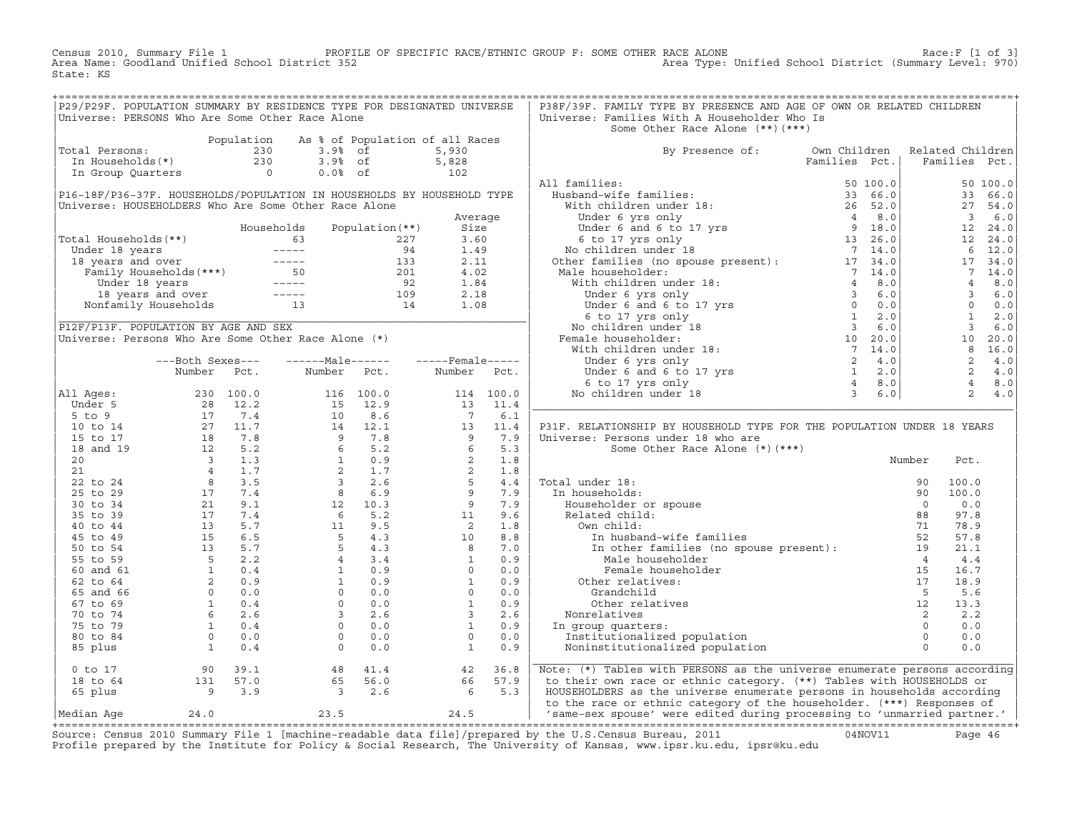Census 2010, Summary File 1 PROFILE OF SPECIFIC RACE/ETHNIC GROUP F: SOME OTHER RACE ALONE Race:F [1 of 3] Area Name: Goodland Unified School District 352 Area Type: Unified School District (Summary Level: 970) State: KS

| P29/P29F. POPULATION SUMMARY BY RESIDENCE TYPE FOR DESIGNATED UNIVERSE                                                                                  |  |                                                                                                                                          |  | P38F/39F. FAMILY TYPE BY PRESENCE AND AGE OF OWN OR RELATED CHILDREN           |  |  |
|---------------------------------------------------------------------------------------------------------------------------------------------------------|--|------------------------------------------------------------------------------------------------------------------------------------------|--|--------------------------------------------------------------------------------|--|--|
| Universe: PERSONS Who Are Some Other Race Alone                                                                                                         |  |                                                                                                                                          |  | Universe: Families With A Householder Who Is                                   |  |  |
|                                                                                                                                                         |  |                                                                                                                                          |  | Some Other Race Alone (**) (***)                                               |  |  |
| Population As % of Population of all Races<br>Total Persons: 230 3.9% of 5,930<br>In Households(*) 230 3.9% of 5,828<br>In Group Quarters 0 0.0% of 102 |  |                                                                                                                                          |  |                                                                                |  |  |
|                                                                                                                                                         |  |                                                                                                                                          |  |                                                                                |  |  |
|                                                                                                                                                         |  |                                                                                                                                          |  | By Presence of: Own Children Related Children<br>Families Pct.   Families Pct. |  |  |
|                                                                                                                                                         |  |                                                                                                                                          |  |                                                                                |  |  |
|                                                                                                                                                         |  |                                                                                                                                          |  |                                                                                |  |  |
|                                                                                                                                                         |  |                                                                                                                                          |  |                                                                                |  |  |
|                                                                                                                                                         |  |                                                                                                                                          |  |                                                                                |  |  |
|                                                                                                                                                         |  |                                                                                                                                          |  |                                                                                |  |  |
|                                                                                                                                                         |  |                                                                                                                                          |  |                                                                                |  |  |
|                                                                                                                                                         |  |                                                                                                                                          |  |                                                                                |  |  |
|                                                                                                                                                         |  |                                                                                                                                          |  |                                                                                |  |  |
|                                                                                                                                                         |  |                                                                                                                                          |  |                                                                                |  |  |
|                                                                                                                                                         |  |                                                                                                                                          |  |                                                                                |  |  |
|                                                                                                                                                         |  |                                                                                                                                          |  |                                                                                |  |  |
|                                                                                                                                                         |  |                                                                                                                                          |  |                                                                                |  |  |
|                                                                                                                                                         |  |                                                                                                                                          |  |                                                                                |  |  |
|                                                                                                                                                         |  |                                                                                                                                          |  |                                                                                |  |  |
|                                                                                                                                                         |  |                                                                                                                                          |  |                                                                                |  |  |
|                                                                                                                                                         |  |                                                                                                                                          |  |                                                                                |  |  |
|                                                                                                                                                         |  |                                                                                                                                          |  |                                                                                |  |  |
|                                                                                                                                                         |  |                                                                                                                                          |  |                                                                                |  |  |
|                                                                                                                                                         |  |                                                                                                                                          |  |                                                                                |  |  |
|                                                                                                                                                         |  |                                                                                                                                          |  |                                                                                |  |  |
|                                                                                                                                                         |  |                                                                                                                                          |  |                                                                                |  |  |
|                                                                                                                                                         |  |                                                                                                                                          |  |                                                                                |  |  |
|                                                                                                                                                         |  |                                                                                                                                          |  |                                                                                |  |  |
|                                                                                                                                                         |  |                                                                                                                                          |  |                                                                                |  |  |
|                                                                                                                                                         |  |                                                                                                                                          |  |                                                                                |  |  |
|                                                                                                                                                         |  |                                                                                                                                          |  |                                                                                |  |  |
|                                                                                                                                                         |  |                                                                                                                                          |  | P31F. RELATIONSHIP BY HOUSEHOLD TYPE FOR THE POPULATION UNDER 18 YEARS         |  |  |
|                                                                                                                                                         |  |                                                                                                                                          |  |                                                                                |  |  |
|                                                                                                                                                         |  |                                                                                                                                          |  |                                                                                |  |  |
|                                                                                                                                                         |  |                                                                                                                                          |  |                                                                                |  |  |
|                                                                                                                                                         |  |                                                                                                                                          |  |                                                                                |  |  |
|                                                                                                                                                         |  |                                                                                                                                          |  |                                                                                |  |  |
|                                                                                                                                                         |  |                                                                                                                                          |  |                                                                                |  |  |
|                                                                                                                                                         |  |                                                                                                                                          |  |                                                                                |  |  |
|                                                                                                                                                         |  |                                                                                                                                          |  |                                                                                |  |  |
|                                                                                                                                                         |  |                                                                                                                                          |  |                                                                                |  |  |
|                                                                                                                                                         |  |                                                                                                                                          |  |                                                                                |  |  |
|                                                                                                                                                         |  |                                                                                                                                          |  |                                                                                |  |  |
|                                                                                                                                                         |  |                                                                                                                                          |  |                                                                                |  |  |
|                                                                                                                                                         |  |                                                                                                                                          |  |                                                                                |  |  |
|                                                                                                                                                         |  |                                                                                                                                          |  |                                                                                |  |  |
|                                                                                                                                                         |  |                                                                                                                                          |  |                                                                                |  |  |
|                                                                                                                                                         |  |                                                                                                                                          |  |                                                                                |  |  |
|                                                                                                                                                         |  |                                                                                                                                          |  |                                                                                |  |  |
|                                                                                                                                                         |  |                                                                                                                                          |  |                                                                                |  |  |
|                                                                                                                                                         |  |                                                                                                                                          |  |                                                                                |  |  |
|                                                                                                                                                         |  |                                                                                                                                          |  |                                                                                |  |  |
|                                                                                                                                                         |  |                                                                                                                                          |  |                                                                                |  |  |
|                                                                                                                                                         |  |                                                                                                                                          |  |                                                                                |  |  |
| 0 to 17                                                                                                                                                 |  |                                                                                                                                          |  | Note: (*) Tables with PERSONS as the universe enumerate persons according      |  |  |
|                                                                                                                                                         |  |                                                                                                                                          |  | to their own race or ethnic category. (**) Tables with HOUSEHOLDS or           |  |  |
| 18 to 64                                                                                                                                                |  | $\begin{array}{cccc} 90 & 39.1 & 48 & 41.4 & 42 & 36.8 \\ 131 & 57.0 & 65 & 56.0 & 66 & 57.9 \\ 9 & 3.9 & 3 & 2.6 & 6 & 5.3 \end{array}$ |  |                                                                                |  |  |
| 65 plus                                                                                                                                                 |  |                                                                                                                                          |  | HOUSEHOLDERS as the universe enumerate persons in households according         |  |  |
|                                                                                                                                                         |  |                                                                                                                                          |  | to the race or ethnic category of the householder. (***) Responses of          |  |  |
|                                                                                                                                                         |  |                                                                                                                                          |  | 'same-sex spouse' were edited during processing to 'unmarried partner.'        |  |  |

|Median Age 24.0 23.5 24.5 | 'same−sex spouse' were edited during processing to 'unmarried partner.' | +===================================================================================================================================================+ Source: Census 2010 Summary File 1 [machine−readable data file]/prepared by the U.S.Census Bureau, 2011 04NOV11 Page 46 Profile prepared by the Institute for Policy & Social Research, The University of Kansas, www.ipsr.ku.edu, ipsr@ku.edu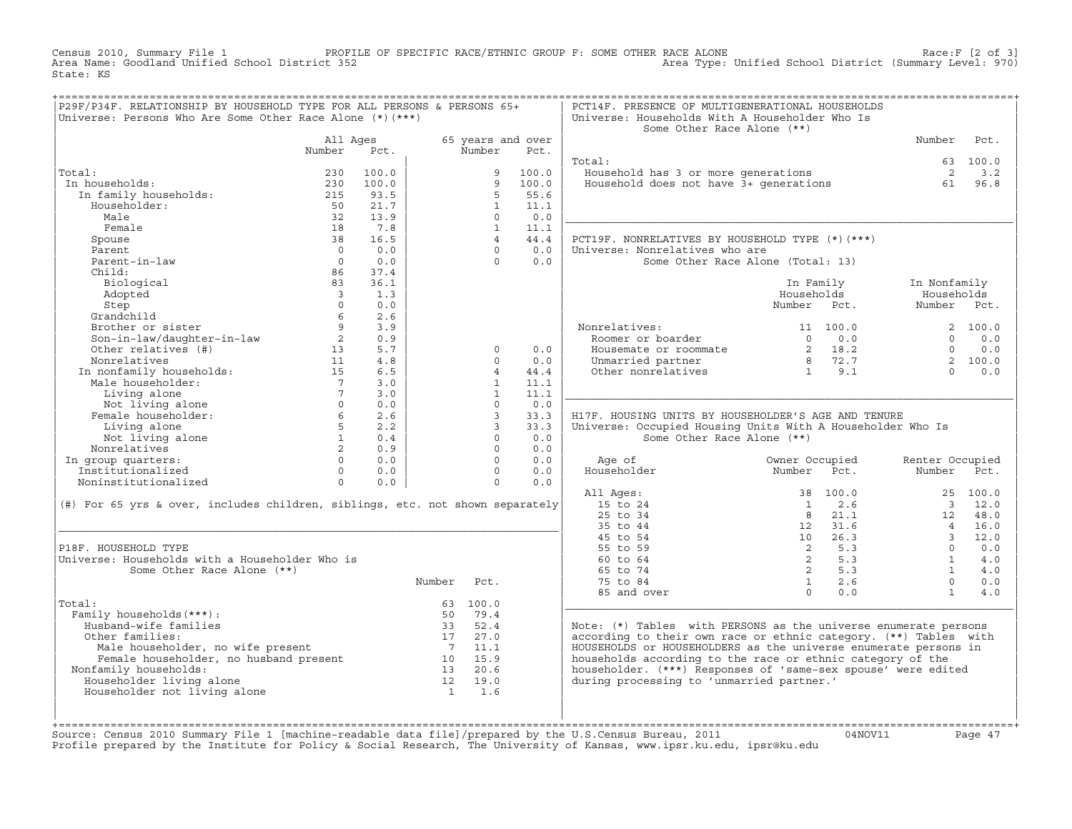Census 2010, Summary File 1 PROFILE OF SPECIFIC RACE/ETHNIC GROUP F: SOME OTHER RACE ALONE RACE OF SPECE:F [2 of 3]<br>Area Name: Goodland Unified School District 352 Area Type: Unified School District (Summary Level: 970) Area Type: Unified School District (Summary Level: 970) State: KS

| P29F/P34F. RELATIONSHIP BY HOUSEHOLD TYPE FOR ALL PERSONS & PERSONS 65+                                                                                                                                                                                                                                                                                                                                                                                                       |                                  |         |             |                     |                                  | PCT14F. PRESENCE OF MULTIGENERATIONAL HOUSEHOLDS                                                                                                                              |                                                                                                                                                                                                                                                                          |                 |          |
|-------------------------------------------------------------------------------------------------------------------------------------------------------------------------------------------------------------------------------------------------------------------------------------------------------------------------------------------------------------------------------------------------------------------------------------------------------------------------------|----------------------------------|---------|-------------|---------------------|----------------------------------|-------------------------------------------------------------------------------------------------------------------------------------------------------------------------------|--------------------------------------------------------------------------------------------------------------------------------------------------------------------------------------------------------------------------------------------------------------------------|-----------------|----------|
| Universe: Persons Who Are Some Other Race Alone $(*)$ (***)                                                                                                                                                                                                                                                                                                                                                                                                                   |                                  |         |             |                     |                                  | Universe: Households With A Householder Who Is<br>Some Other Race Alone (**)                                                                                                  |                                                                                                                                                                                                                                                                          |                 |          |
|                                                                                                                                                                                                                                                                                                                                                                                                                                                                               | All Ages                         |         |             |                     | 65 years and over                |                                                                                                                                                                               |                                                                                                                                                                                                                                                                          | Number          | Pct.     |
|                                                                                                                                                                                                                                                                                                                                                                                                                                                                               | Number                           | Pct.    |             | Number              | Pct.                             |                                                                                                                                                                               |                                                                                                                                                                                                                                                                          |                 |          |
|                                                                                                                                                                                                                                                                                                                                                                                                                                                                               |                                  |         |             |                     |                                  | Total:                                                                                                                                                                        |                                                                                                                                                                                                                                                                          |                 | 63 100.0 |
| Total:<br>cal: 230 100.0<br>1 households: 230 100.0<br>1 m family households: 215 93.5                                                                                                                                                                                                                                                                                                                                                                                        | 230                              | 100.0   |             |                     | 9 100.0                          | Value hold has 3 or more generations<br>Household does not have 3+ generations 61 96.8                                                                                        |                                                                                                                                                                                                                                                                          |                 |          |
| In households:                                                                                                                                                                                                                                                                                                                                                                                                                                                                |                                  |         |             |                     | 9 100.0                          |                                                                                                                                                                               |                                                                                                                                                                                                                                                                          |                 |          |
|                                                                                                                                                                                                                                                                                                                                                                                                                                                                               |                                  |         |             | 5                   | 55.6                             |                                                                                                                                                                               |                                                                                                                                                                                                                                                                          |                 |          |
| Householder:                                                                                                                                                                                                                                                                                                                                                                                                                                                                  |                                  | 50 21.7 |             | $\frac{1}{2}$       | 11.1                             |                                                                                                                                                                               |                                                                                                                                                                                                                                                                          |                 |          |
| Male                                                                                                                                                                                                                                                                                                                                                                                                                                                                          | 32                               | 13.9    |             | $\Omega$            | 0.0                              |                                                                                                                                                                               |                                                                                                                                                                                                                                                                          |                 |          |
| Female                                                                                                                                                                                                                                                                                                                                                                                                                                                                        | 18                               | 7.8     |             | $\mathbf{1}$        | 11.1                             |                                                                                                                                                                               |                                                                                                                                                                                                                                                                          |                 |          |
| Spouse                                                                                                                                                                                                                                                                                                                                                                                                                                                                        | 38                               | 16.5    |             | 4                   | 44.4                             | PCT19F. NONRELATIVES BY HOUSEHOLD TYPE (*) (***)                                                                                                                              |                                                                                                                                                                                                                                                                          |                 |          |
| Parent                                                                                                                                                                                                                                                                                                                                                                                                                                                                        | $\overline{0}$<br>$\overline{0}$ | 0.0     |             |                     | $0 \qquad 0.0$<br>$0 \qquad 0.0$ | Universe: Nonrelatives who are                                                                                                                                                |                                                                                                                                                                                                                                                                          |                 |          |
| Parent-in-law                                                                                                                                                                                                                                                                                                                                                                                                                                                                 |                                  | 0.0     |             |                     |                                  |                                                                                                                                                                               | Some Other Race Alone (Total: 13)                                                                                                                                                                                                                                        |                 |          |
| Child:<br>Biological                                                                                                                                                                                                                                                                                                                                                                                                                                                          | 86 37.4<br>83 36.1<br>83         | 36.1    |             |                     |                                  |                                                                                                                                                                               |                                                                                                                                                                                                                                                                          | In Nonfamily    |          |
| Adopted                                                                                                                                                                                                                                                                                                                                                                                                                                                                       |                                  | 3 1.3   |             |                     |                                  |                                                                                                                                                                               | In Family<br>Households                                                                                                                                                                                                                                                  | Households      |          |
|                                                                                                                                                                                                                                                                                                                                                                                                                                                                               |                                  |         |             |                     |                                  |                                                                                                                                                                               | Number Pct.                                                                                                                                                                                                                                                              | Number Pct.     |          |
|                                                                                                                                                                                                                                                                                                                                                                                                                                                                               |                                  |         |             |                     |                                  |                                                                                                                                                                               |                                                                                                                                                                                                                                                                          |                 |          |
|                                                                                                                                                                                                                                                                                                                                                                                                                                                                               |                                  |         |             |                     |                                  |                                                                                                                                                                               |                                                                                                                                                                                                                                                                          |                 |          |
|                                                                                                                                                                                                                                                                                                                                                                                                                                                                               |                                  |         |             |                     |                                  | Nonrelatives: 11 100.0 2 100.0<br>Roomer or boarder 0 0 0.0 0 0.0<br>Housemate or roommate 2 18.2 0 0.0<br>Unmarried partner 8 72.7 2 100.0<br>Other nonrelatives 1 9.1 0 0.0 |                                                                                                                                                                                                                                                                          |                 |          |
|                                                                                                                                                                                                                                                                                                                                                                                                                                                                               |                                  |         |             | $\circ$             | 0.0                              |                                                                                                                                                                               |                                                                                                                                                                                                                                                                          |                 |          |
|                                                                                                                                                                                                                                                                                                                                                                                                                                                                               |                                  |         |             | $\Omega$            | 0.0                              |                                                                                                                                                                               |                                                                                                                                                                                                                                                                          |                 |          |
|                                                                                                                                                                                                                                                                                                                                                                                                                                                                               |                                  |         |             | $\overline{4}$      | 44.4                             |                                                                                                                                                                               |                                                                                                                                                                                                                                                                          |                 |          |
|                                                                                                                                                                                                                                                                                                                                                                                                                                                                               |                                  |         |             |                     |                                  |                                                                                                                                                                               |                                                                                                                                                                                                                                                                          |                 |          |
|                                                                                                                                                                                                                                                                                                                                                                                                                                                                               |                                  |         |             |                     |                                  |                                                                                                                                                                               |                                                                                                                                                                                                                                                                          |                 |          |
|                                                                                                                                                                                                                                                                                                                                                                                                                                                                               |                                  |         |             |                     |                                  |                                                                                                                                                                               |                                                                                                                                                                                                                                                                          |                 |          |
| $\begin{tabular}{c c c} \multicolumn{3}{c}{Adopted} & 3 & 1.3 \\ \hline \multicolumn{3}{c}{Step} & 0 & 0.0 \\ \hline \multicolumn{3}{c}{Grandchild} & 6 & 2.6 \\ \hline \multicolumn{3}{c}{Brother or sister}} & 9 & 3.9 \\ \hline \multicolumn{3}{c}{Son-in-law/daughter-in-law}} & 2 & 0.9 \\ \hline \multicolumn{3}{c}{Other relatives & 9 & 3.9} \\ \hline \multicolumn{3}{c}{Other relatives & 11 & 4.8 \\ \hline \multicolumn{3}{c}{Monrelatives} & 11 & 4.8 \\ \hline$ |                                  |         |             |                     |                                  | H17F. HOUSING UNITS BY HOUSEHOLDER'S AGE AND TENURE                                                                                                                           |                                                                                                                                                                                                                                                                          |                 |          |
|                                                                                                                                                                                                                                                                                                                                                                                                                                                                               |                                  |         |             |                     |                                  | Universe: Occupied Housing Units With A Householder Who Is                                                                                                                    |                                                                                                                                                                                                                                                                          |                 |          |
|                                                                                                                                                                                                                                                                                                                                                                                                                                                                               |                                  |         |             |                     |                                  | Some Other Race Alone (**)                                                                                                                                                    |                                                                                                                                                                                                                                                                          |                 |          |
|                                                                                                                                                                                                                                                                                                                                                                                                                                                                               |                                  |         |             |                     |                                  |                                                                                                                                                                               |                                                                                                                                                                                                                                                                          |                 |          |
|                                                                                                                                                                                                                                                                                                                                                                                                                                                                               |                                  |         |             |                     |                                  |                                                                                                                                                                               |                                                                                                                                                                                                                                                                          | Renter Occupied |          |
|                                                                                                                                                                                                                                                                                                                                                                                                                                                                               |                                  |         |             |                     |                                  |                                                                                                                                                                               |                                                                                                                                                                                                                                                                          | Number Pct.     |          |
|                                                                                                                                                                                                                                                                                                                                                                                                                                                                               |                                  |         |             |                     |                                  |                                                                                                                                                                               |                                                                                                                                                                                                                                                                          |                 |          |
|                                                                                                                                                                                                                                                                                                                                                                                                                                                                               |                                  |         |             |                     |                                  | All Ages:                                                                                                                                                                     | $\begin{array}{cccccc} 38 & 100.0 & & & & 25 & 100.0 \\ 1 & 2.6 & & 3 & 12.0 \\ 8 & 21.1 & & & 12 & 48.0 \\ 12 & 31.6 & & 4 & 16.0 \\ 10 & 26.3 & & 3 & 12.0 \\ 2 & 5.3 & & 0 & 0.0 \\ 2 & 5.3 & & 1 & 4.0 \\ 1 & 2.6 & & 0 & 0.0 \\ 0 & 0.0 & & 1 & 4.0 \\ \end{array}$ |                 |          |
| (#) For 65 yrs & over, includes children, siblings, etc. not shown separately                                                                                                                                                                                                                                                                                                                                                                                                 |                                  |         |             |                     |                                  | 15 to 24                                                                                                                                                                      |                                                                                                                                                                                                                                                                          |                 |          |
|                                                                                                                                                                                                                                                                                                                                                                                                                                                                               |                                  |         |             |                     |                                  | 25 to 34                                                                                                                                                                      |                                                                                                                                                                                                                                                                          |                 |          |
|                                                                                                                                                                                                                                                                                                                                                                                                                                                                               |                                  |         |             |                     |                                  | 35 to 44                                                                                                                                                                      |                                                                                                                                                                                                                                                                          |                 |          |
|                                                                                                                                                                                                                                                                                                                                                                                                                                                                               |                                  |         |             |                     |                                  | 45 to 54                                                                                                                                                                      |                                                                                                                                                                                                                                                                          |                 |          |
| P18F. HOUSEHOLD TYPE                                                                                                                                                                                                                                                                                                                                                                                                                                                          |                                  |         |             |                     |                                  | 55 to 59                                                                                                                                                                      |                                                                                                                                                                                                                                                                          |                 |          |
| Universe: Households with a Householder Who is                                                                                                                                                                                                                                                                                                                                                                                                                                |                                  |         |             |                     |                                  | 60 to 64                                                                                                                                                                      |                                                                                                                                                                                                                                                                          |                 |          |
| Some Other Race Alone (**)                                                                                                                                                                                                                                                                                                                                                                                                                                                    |                                  |         |             |                     |                                  | 65 to 74                                                                                                                                                                      |                                                                                                                                                                                                                                                                          |                 |          |
|                                                                                                                                                                                                                                                                                                                                                                                                                                                                               |                                  |         | Number Pct. |                     |                                  | 75 to 84                                                                                                                                                                      |                                                                                                                                                                                                                                                                          |                 |          |
|                                                                                                                                                                                                                                                                                                                                                                                                                                                                               |                                  |         |             |                     |                                  | 85 and over                                                                                                                                                                   |                                                                                                                                                                                                                                                                          |                 |          |
| Total:<br>Family households (***) :                                                                                                                                                                                                                                                                                                                                                                                                                                           |                                  |         |             | 63 100.0<br>50 79.4 |                                  |                                                                                                                                                                               |                                                                                                                                                                                                                                                                          |                 |          |
| Husband-wife families                                                                                                                                                                                                                                                                                                                                                                                                                                                         |                                  |         |             | 33 52.4             |                                  | Note: (*) Tables with PERSONS as the universe enumerate persons                                                                                                               |                                                                                                                                                                                                                                                                          |                 |          |
| Other families:                                                                                                                                                                                                                                                                                                                                                                                                                                                               |                                  |         |             |                     |                                  | according to their own race or ethnic category. (**) Tables with                                                                                                              |                                                                                                                                                                                                                                                                          |                 |          |
|                                                                                                                                                                                                                                                                                                                                                                                                                                                                               |                                  |         |             |                     |                                  | HOUSEHOLDS or HOUSEHOLDERS as the universe enumerate persons in                                                                                                               |                                                                                                                                                                                                                                                                          |                 |          |
|                                                                                                                                                                                                                                                                                                                                                                                                                                                                               |                                  |         |             |                     |                                  | households according to the race or ethnic category of the                                                                                                                    |                                                                                                                                                                                                                                                                          |                 |          |
| Nonfamily households:                                                                                                                                                                                                                                                                                                                                                                                                                                                         |                                  |         |             |                     |                                  | householder. (***) Responses of 'same-sex spouse' were edited                                                                                                                 |                                                                                                                                                                                                                                                                          |                 |          |
| Householder living alone                                                                                                                                                                                                                                                                                                                                                                                                                                                      |                                  |         |             |                     |                                  | during processing to 'unmarried partner.'                                                                                                                                     |                                                                                                                                                                                                                                                                          |                 |          |
| be the families:<br>Male householder, no wife present<br>Male householder, no wife present<br>Temale householder, no husband present<br>Temale householder, no husband present<br>The Temale householder, no husband present<br>The Camily<br>Householder not living alone                                                                                                                                                                                                    |                                  |         |             |                     |                                  |                                                                                                                                                                               |                                                                                                                                                                                                                                                                          |                 |          |
|                                                                                                                                                                                                                                                                                                                                                                                                                                                                               |                                  |         |             |                     |                                  |                                                                                                                                                                               |                                                                                                                                                                                                                                                                          |                 |          |
|                                                                                                                                                                                                                                                                                                                                                                                                                                                                               |                                  |         |             |                     |                                  |                                                                                                                                                                               |                                                                                                                                                                                                                                                                          |                 |          |
|                                                                                                                                                                                                                                                                                                                                                                                                                                                                               |                                  |         |             |                     |                                  |                                                                                                                                                                               |                                                                                                                                                                                                                                                                          |                 |          |

+===================================================================================================================================================+Source: Census 2010 Summary File 1 [machine−readable data file]/prepared by the U.S.Census Bureau, 2011 04NOV11 Page 47 Profile prepared by the Institute for Policy & Social Research, The University of Kansas, www.ipsr.ku.edu, ipsr@ku.edu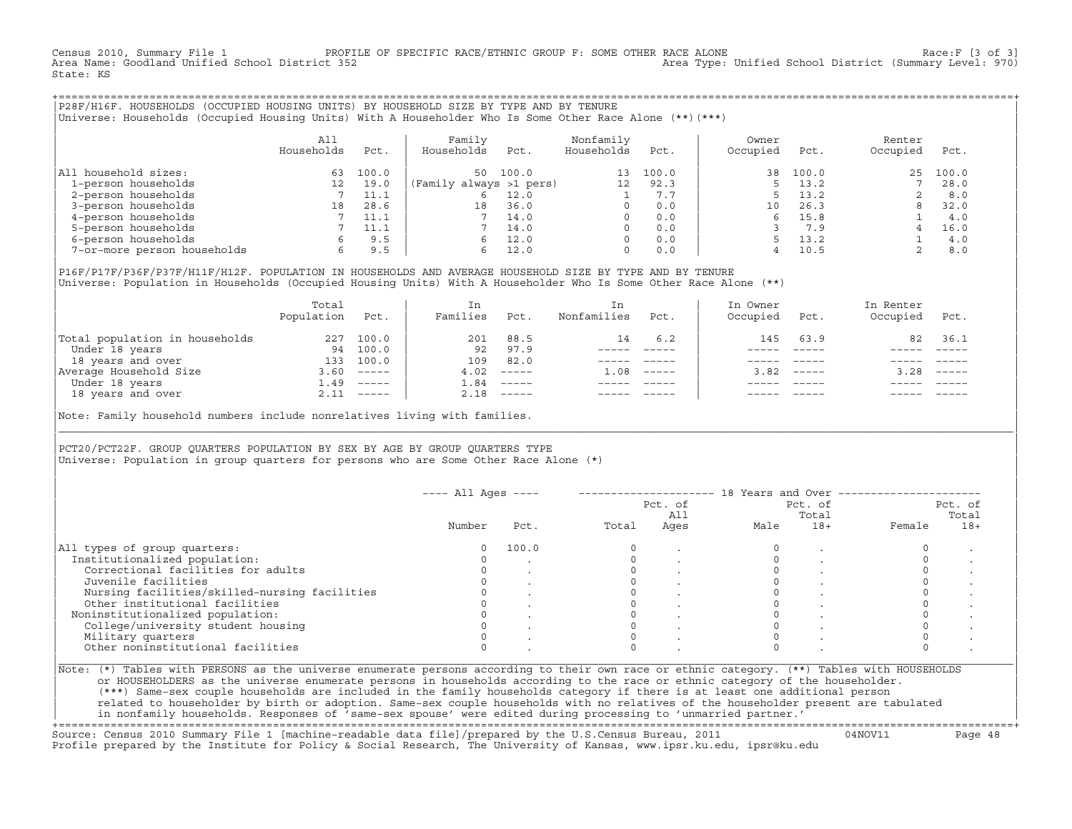Census 2010, Summary File 1 PROFILE OF SPECIFIC RACE/ETHNIC GROUP F: SOME OTHER RACE ALONE Race:F [3 of 3]<br>Area Name: Goodland Unified School District 352 area Type: Unified School District (Summary Level: 970) Area Type: Unified School District (Summary Level: 970) State: KS

+===================================================================================================================================================+|P28F/H16F. HOUSEHOLDS (OCCUPIED HOUSING UNITS) BY HOUSEHOLD SIZE BY TYPE AND BY TENURE | |Universe: Households (Occupied Housing Units) With A Householder Who Is Some Other Race Alone (\*\*)(\*\*\*) |

|                             | All<br>Households | Pct.  | Family<br>Households    | Pct.  | Nonfamily<br>Households | Pct.  | Owner<br>Occupied | Pct.  | Renter<br>Occupied | Pct.  |  |
|-----------------------------|-------------------|-------|-------------------------|-------|-------------------------|-------|-------------------|-------|--------------------|-------|--|
| All household sizes:        | 63                | 100.0 | 50                      | 100.0 | 13                      | 100.0 | 38                | 100.0 | 25                 | 100.0 |  |
| 1-person households         | 12                | 19.0  | (Family always >1 pers) |       | 12                      | 92.3  |                   | 13.2  |                    | 28.0  |  |
| 2-person households         |                   | 11.1  |                         | 12.0  |                         | 7.7   |                   | 13.2  |                    | 8.0   |  |
| 3-person households         | 18                | 28.6  | 18                      | 36.0  | $\Omega$                | 0.0   | 10                | 26.3  |                    | 32.0  |  |
| 4-person households         |                   | 11.1  |                         | 14.0  | $\Omega$                | 0.0   |                   | 15.8  |                    | 4.0   |  |
| 5-person households         |                   | 11.1  |                         | 14.0  | $\Omega$                | 0.0   |                   | 7.9   |                    | 16.0  |  |
| 6-person households         | 6                 | 9.5   | h                       | 12.0  | $\Omega$                | 0.0   |                   | 13.2  |                    | 4.0   |  |
| 7-or-more person households | 6                 | 9.5   | 6.                      | 12.0  | 0                       | 0.0   |                   | 10.5  |                    | 8.0   |  |

|P16F/P17F/P36F/P37F/H11F/H12F. POPULATION IN HOUSEHOLDS AND AVERAGE HOUSEHOLD SIZE BY TYPE AND BY TENURE | Universe: Population in Households (Occupied Housing Units) With A Householder Who Is Some Other Race Alone (\*\*)

|                                | Total<br>Population | Pct.         | In<br>Families | Pct.     | In.<br>Nonfamilies | Pct.     | In Owner<br>Occupied | Pct.          | In Renter<br>Occupied | Pct.        |
|--------------------------------|---------------------|--------------|----------------|----------|--------------------|----------|----------------------|---------------|-----------------------|-------------|
| Total population in households | 227                 | 100.0        | 201            | 88.5     | 14                 | 6.2      | 145                  | 63.9          | 82                    | 36.1        |
| Under 18 years                 | 94                  | 100.0        | 92             | 97.9     |                    |          |                      |               |                       |             |
| 18 years and over              | 133                 | 100.0        | 109            | 82.0     |                    |          |                      |               |                       |             |
| Average Household Size         | 3.60                | $------$     | 4.02           | $------$ | 1.08               | $------$ | 3.82                 | $- - - - - -$ | 3.28                  | $------$    |
| Under 18 years                 | 1.49                | $------$     | L.84           | $------$ |                    |          |                      |               |                       |             |
| 18 years and over              |                     | $2.11$ ----- | 2.18           |          |                    |          |                      | $- - - - -$   |                       | $- - - - -$ |
|                                |                     |              |                |          |                    |          |                      |               |                       |             |

Note: Family household numbers include nonrelatives living with families.

| | PCT20/PCT22F. GROUP OUARTERS POPULATION BY SEX BY AGE BY GROUP OUARTERS TYPE Universe: Population in group quarters for persons who are Some Other Race Alone (\*)

|                                               |        |       |       | Pct. of<br>All |      | Pct. of<br>Total |        | Pct. of<br>Total |
|-----------------------------------------------|--------|-------|-------|----------------|------|------------------|--------|------------------|
|                                               | Number | Pct.  | Total | Ages           | Male | $18+$            | Female | $18+$            |
| All types of group quarters:                  | 0      | 100.0 |       |                |      |                  |        |                  |
| Institutionalized population:                 |        |       |       |                |      |                  |        |                  |
| Correctional facilities for adults            |        |       |       |                |      |                  |        |                  |
| Juvenile facilities                           |        |       |       |                |      |                  |        |                  |
| Nursing facilities/skilled-nursing facilities |        |       |       |                |      |                  |        |                  |
| Other institutional facilities                |        |       |       |                |      |                  |        |                  |
| Noninstitutionalized population:              |        |       |       |                |      |                  |        |                  |
| College/university student housing            |        |       |       |                |      |                  |        |                  |
| Military quarters                             |        |       |       |                |      |                  |        |                  |
| Other noninstitutional facilities             |        |       |       |                |      |                  |        |                  |

|\_\_\_\_\_\_\_\_\_\_\_\_\_\_\_\_\_\_\_\_\_\_\_\_\_\_\_\_\_\_\_\_\_\_\_\_\_\_\_\_\_\_\_\_\_\_\_\_\_\_\_\_\_\_\_\_\_\_\_\_\_\_\_\_\_\_\_\_\_\_\_\_\_\_\_\_\_\_\_\_\_\_\_\_\_\_\_\_\_\_\_\_\_\_\_\_\_\_\_\_\_\_\_\_\_\_\_\_\_\_\_\_\_\_\_\_\_\_\_\_\_\_\_\_\_\_\_\_\_\_\_\_\_\_\_\_\_\_\_\_\_\_\_\_\_\_\_|

| |

or HOUSEHOLDERS as the universe enumerate persons in households according to the race or ethnic category of the householder. | (\*\*\*) Same−sex couple households are included in the family households category if there is at least one additional person | | related to householder by birth or adoption. Same−sex couple households with no relatives of the householder present are tabulated | | in nonfamily households. Responses of 'same−sex spouse' were edited during processing to 'unmarried partner.' |

+===================================================================================================================================================+ Source: Census 2010 Summary File 1 [machine−readable data file]/prepared by the U.S.Census Bureau, 2011 04NOV11 Page 48 Profile prepared by the Institute for Policy & Social Research, The University of Kansas, www.ipsr.ku.edu, ipsr@ku.edu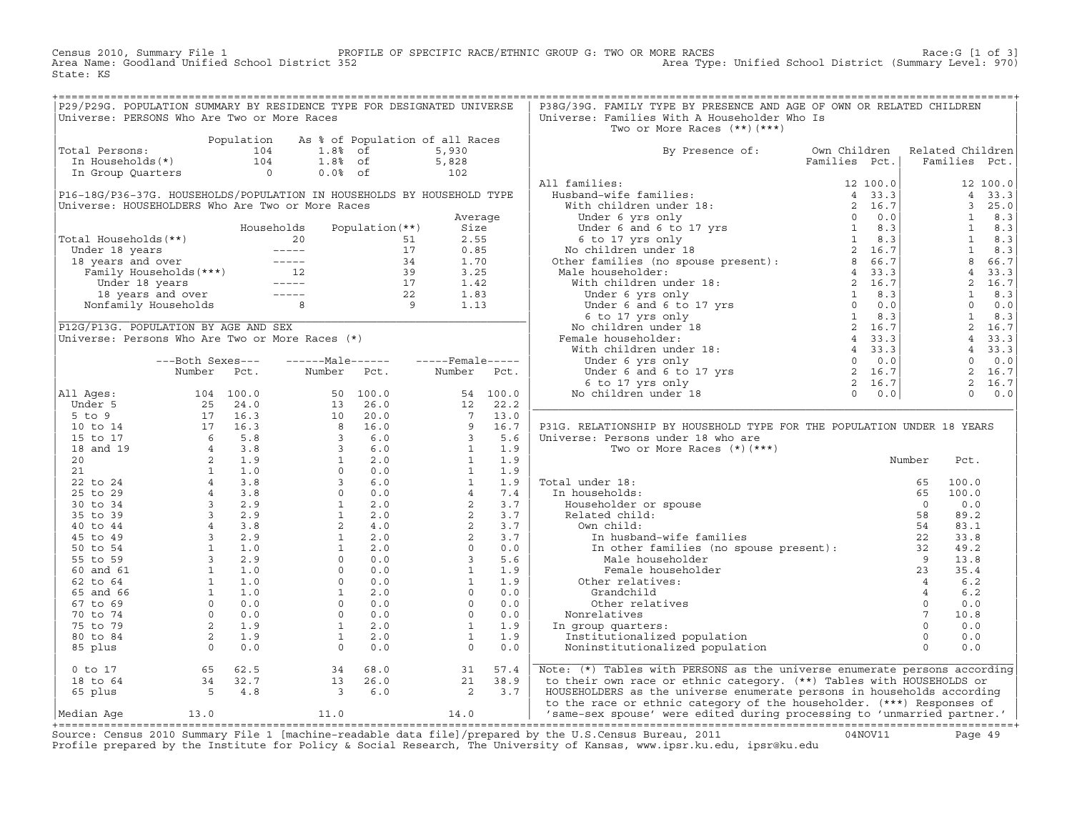Census 2010, Summary File 1 PROFILE OF SPECIFIC RACE/ETHNIC GROUP G: TWO OR MORE RACES Race:G [1 of 3] Area Name: Goodland Unified School District 352 Area Type: Unified School District (Summary Level: 970) State: KS

| P29/P29G. POPULATION SUMMARY BY RESIDENCE TYPE FOR DESIGNATED UNIVERSE                                                                                  |  |                                                                                                                                                                |  | P38G/39G. FAMILY TYPE BY PRESENCE AND AGE OF OWN OR RELATED CHILDREN           |  |  |
|---------------------------------------------------------------------------------------------------------------------------------------------------------|--|----------------------------------------------------------------------------------------------------------------------------------------------------------------|--|--------------------------------------------------------------------------------|--|--|
| Universe: PERSONS Who Are Two or More Races                                                                                                             |  |                                                                                                                                                                |  | Universe: Families With A Householder Who Is                                   |  |  |
|                                                                                                                                                         |  |                                                                                                                                                                |  | Two or More Races (**) (***)                                                   |  |  |
|                                                                                                                                                         |  |                                                                                                                                                                |  |                                                                                |  |  |
| Population As % of Population of all Races<br>Total Persons: 104 1.8% of 5,930<br>In Households(*) 104 1.8% of 5,828<br>In Group Quarters 0 0.0% of 102 |  |                                                                                                                                                                |  |                                                                                |  |  |
|                                                                                                                                                         |  |                                                                                                                                                                |  | By Presence of: Own Children Related Children<br>Families Pct.   Families Pct. |  |  |
|                                                                                                                                                         |  |                                                                                                                                                                |  |                                                                                |  |  |
|                                                                                                                                                         |  |                                                                                                                                                                |  |                                                                                |  |  |
|                                                                                                                                                         |  |                                                                                                                                                                |  |                                                                                |  |  |
|                                                                                                                                                         |  |                                                                                                                                                                |  |                                                                                |  |  |
|                                                                                                                                                         |  |                                                                                                                                                                |  |                                                                                |  |  |
|                                                                                                                                                         |  |                                                                                                                                                                |  |                                                                                |  |  |
|                                                                                                                                                         |  |                                                                                                                                                                |  |                                                                                |  |  |
|                                                                                                                                                         |  |                                                                                                                                                                |  |                                                                                |  |  |
|                                                                                                                                                         |  |                                                                                                                                                                |  |                                                                                |  |  |
|                                                                                                                                                         |  |                                                                                                                                                                |  |                                                                                |  |  |
|                                                                                                                                                         |  |                                                                                                                                                                |  |                                                                                |  |  |
|                                                                                                                                                         |  |                                                                                                                                                                |  |                                                                                |  |  |
|                                                                                                                                                         |  |                                                                                                                                                                |  |                                                                                |  |  |
|                                                                                                                                                         |  |                                                                                                                                                                |  |                                                                                |  |  |
|                                                                                                                                                         |  |                                                                                                                                                                |  |                                                                                |  |  |
|                                                                                                                                                         |  |                                                                                                                                                                |  |                                                                                |  |  |
|                                                                                                                                                         |  |                                                                                                                                                                |  |                                                                                |  |  |
|                                                                                                                                                         |  |                                                                                                                                                                |  |                                                                                |  |  |
|                                                                                                                                                         |  |                                                                                                                                                                |  |                                                                                |  |  |
|                                                                                                                                                         |  |                                                                                                                                                                |  |                                                                                |  |  |
|                                                                                                                                                         |  |                                                                                                                                                                |  |                                                                                |  |  |
|                                                                                                                                                         |  |                                                                                                                                                                |  |                                                                                |  |  |
|                                                                                                                                                         |  |                                                                                                                                                                |  |                                                                                |  |  |
|                                                                                                                                                         |  |                                                                                                                                                                |  |                                                                                |  |  |
|                                                                                                                                                         |  |                                                                                                                                                                |  |                                                                                |  |  |
|                                                                                                                                                         |  |                                                                                                                                                                |  | P31G. RELATIONSHIP BY HOUSEHOLD TYPE FOR THE POPULATION UNDER 18 YEARS         |  |  |
|                                                                                                                                                         |  |                                                                                                                                                                |  |                                                                                |  |  |
|                                                                                                                                                         |  |                                                                                                                                                                |  |                                                                                |  |  |
|                                                                                                                                                         |  |                                                                                                                                                                |  |                                                                                |  |  |
|                                                                                                                                                         |  |                                                                                                                                                                |  |                                                                                |  |  |
|                                                                                                                                                         |  |                                                                                                                                                                |  |                                                                                |  |  |
|                                                                                                                                                         |  |                                                                                                                                                                |  |                                                                                |  |  |
|                                                                                                                                                         |  |                                                                                                                                                                |  |                                                                                |  |  |
|                                                                                                                                                         |  |                                                                                                                                                                |  |                                                                                |  |  |
|                                                                                                                                                         |  |                                                                                                                                                                |  |                                                                                |  |  |
|                                                                                                                                                         |  |                                                                                                                                                                |  |                                                                                |  |  |
|                                                                                                                                                         |  |                                                                                                                                                                |  |                                                                                |  |  |
|                                                                                                                                                         |  |                                                                                                                                                                |  |                                                                                |  |  |
|                                                                                                                                                         |  |                                                                                                                                                                |  |                                                                                |  |  |
|                                                                                                                                                         |  |                                                                                                                                                                |  |                                                                                |  |  |
|                                                                                                                                                         |  |                                                                                                                                                                |  |                                                                                |  |  |
|                                                                                                                                                         |  |                                                                                                                                                                |  |                                                                                |  |  |
|                                                                                                                                                         |  |                                                                                                                                                                |  |                                                                                |  |  |
|                                                                                                                                                         |  |                                                                                                                                                                |  |                                                                                |  |  |
|                                                                                                                                                         |  |                                                                                                                                                                |  |                                                                                |  |  |
|                                                                                                                                                         |  |                                                                                                                                                                |  |                                                                                |  |  |
|                                                                                                                                                         |  |                                                                                                                                                                |  |                                                                                |  |  |
|                                                                                                                                                         |  |                                                                                                                                                                |  |                                                                                |  |  |
|                                                                                                                                                         |  |                                                                                                                                                                |  | Note: (*) Tables with PERSONS as the universe enumerate persons according      |  |  |
|                                                                                                                                                         |  | 0 to 17<br>18 to 64<br>5 4.8<br>5 4.8<br>5 4.8<br>5 4.8<br>5 5.0<br>13 26.0<br>21 38.9<br>2 3.7<br>2 3.7<br>2 3.7<br>2 3.9<br>2 3.9<br>2 3.9<br>2 3.9<br>2 3.9 |  | to their own race or ethnic category. (**) Tables with HOUSEHOLDS or           |  |  |
|                                                                                                                                                         |  |                                                                                                                                                                |  | HOUSEHOLDERS as the universe enumerate persons in households according         |  |  |
|                                                                                                                                                         |  |                                                                                                                                                                |  | to the race or ethnic category of the householder. (***) Responses of          |  |  |
| Median Aqe                                                                                                                                              |  | $13.0$ $11.0$ $14.0$                                                                                                                                           |  | same-sex spouse' were edited during processing to 'unmarried partner.'         |  |  |
|                                                                                                                                                         |  |                                                                                                                                                                |  |                                                                                |  |  |

|Median Age 13.0 11.0 14.0 | 'same−sex spouse' were edited during processing to 'unmarried partner.' | +===================================================================================================================================================+ Source: Census 2010 Summary File 1 [machine−readable data file]/prepared by the U.S.Census Bureau, 2011 04NOV11 Page 49 Profile prepared by the Institute for Policy & Social Research, The University of Kansas, www.ipsr.ku.edu, ipsr@ku.edu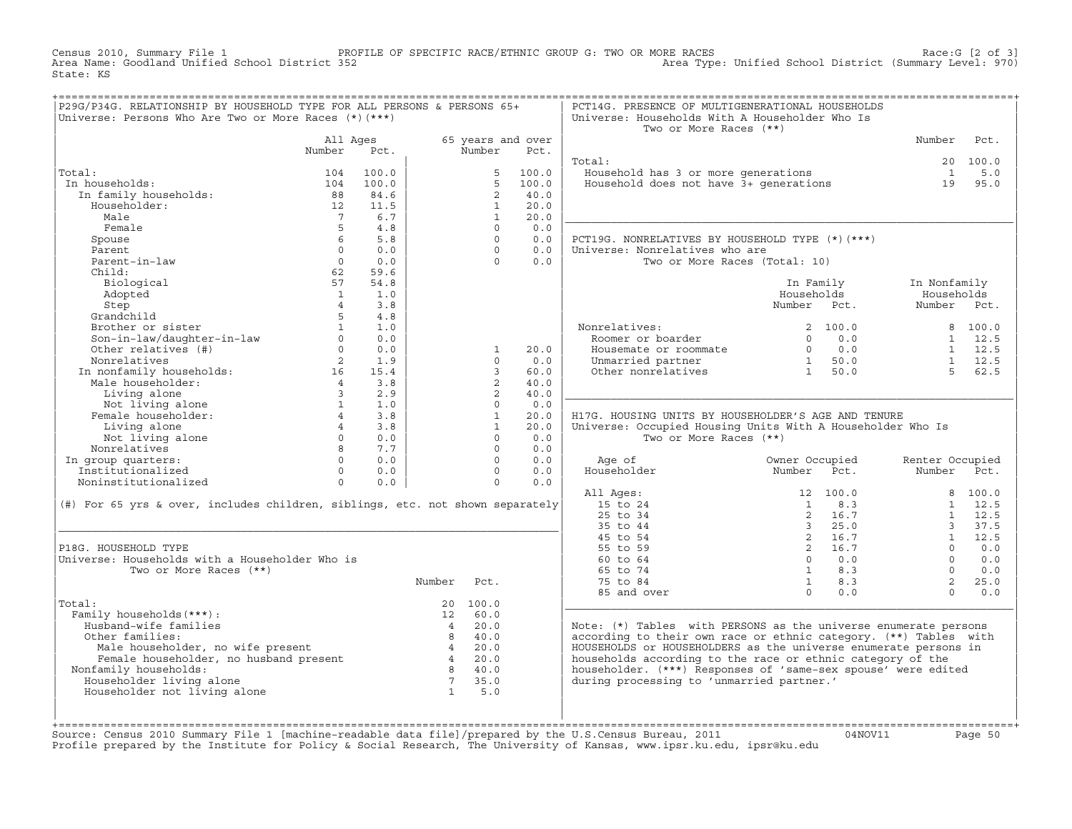Census 2010, Summary File 1 PROFILE OF SPECIFIC RACE/ETHNIC GROUP G: TWO OR MORE RACES Race:G [2 of 3] Area Type: Unified School District (Summary Level: 970) State: KS

| P29G/P34G. RELATIONSHIP BY HOUSEHOLD TYPE FOR ALL PERSONS & PERSONS 65+<br>Universe: Persons Who Are Two or More Races (*) (***)                                                                                              |                 |                  |                 |                   |             | PCT14G. PRESENCE OF MULTIGENERATIONAL HOUSEHOLDS<br>Universe: Households With A Householder Who Is<br>Two or More Races (**) |                     |                    |                 |
|-------------------------------------------------------------------------------------------------------------------------------------------------------------------------------------------------------------------------------|-----------------|------------------|-----------------|-------------------|-------------|------------------------------------------------------------------------------------------------------------------------------|---------------------|--------------------|-----------------|
|                                                                                                                                                                                                                               | All Ages        |                  |                 | 65 years and over |             |                                                                                                                              |                     | Number             | Pct.            |
|                                                                                                                                                                                                                               | Number          | Pct.             |                 | Number            | Pct.        |                                                                                                                              |                     |                    |                 |
| Total:                                                                                                                                                                                                                        | 104             | 100.0            |                 | 5                 | 100.0       | Total:                                                                                                                       |                     | $\mathbf{1}$       | 20 100.0<br>5.0 |
| In households:                                                                                                                                                                                                                | 104             | 100.0            |                 | $5 -$             | 100.0       | Fousehold has 3 or more generations<br>Household does not have 3+ generations                                                |                     | 19                 | 95.0            |
| In family households:<br>Windows households:                                                                                                                                                                                  | 88              | 84.6             |                 | $\overline{2}$    | 40.0        |                                                                                                                              |                     |                    |                 |
| Householder:                                                                                                                                                                                                                  | 12              | 11.5             |                 | 1                 | 20.0        |                                                                                                                              |                     |                    |                 |
| Male                                                                                                                                                                                                                          | $7\overline{ }$ | 6.7              |                 | $\mathbf{1}$      | 20.0        |                                                                                                                              |                     |                    |                 |
| Female                                                                                                                                                                                                                        | 5               | 4.8              |                 | $\Omega$          | 0.0         |                                                                                                                              |                     |                    |                 |
| Spouse                                                                                                                                                                                                                        |                 | $6 \quad$<br>5.8 |                 | $\Omega$          | 0.0         | PCT19G. NONRELATIVES BY HOUSEHOLD TYPE (*) (***)                                                                             |                     |                    |                 |
| Parent                                                                                                                                                                                                                        | $\Omega$        | 0.0              |                 | $\Omega$          | 0.0         | Universe: Nonrelatives who are                                                                                               |                     |                    |                 |
| Parent-in-law                                                                                                                                                                                                                 | $\Omega$        | 0.0              |                 | $\Omega$          | 0.0         | Two or More Races (Total: 10)                                                                                                |                     |                    |                 |
| Child:                                                                                                                                                                                                                        | 62              | 59.6             |                 |                   |             |                                                                                                                              |                     |                    |                 |
| Biological                                                                                                                                                                                                                    | 57              | 54.8             |                 |                   |             |                                                                                                                              | In Family           | In Nonfamily       |                 |
| Adopted                                                                                                                                                                                                                       | $\mathbf{1}$    | 1.0              |                 |                   |             |                                                                                                                              | Households          | Households         |                 |
| Step                                                                                                                                                                                                                          | $\overline{4}$  | 3.8              |                 |                   |             |                                                                                                                              | Number Pct.         | Number Pct.        |                 |
| Grandchild                                                                                                                                                                                                                    | 5 <sup>1</sup>  | 4.8              |                 |                   |             |                                                                                                                              |                     |                    |                 |
| Brother or sister<br>Son-in-law/daughter-in-law<br>Other relatives (#)                                                                                                                                                        |                 | $1 \quad 1.0$    |                 |                   |             | Nonrelatives:<br>Roomer or boarder                                                                                           | 2 100.0             |                    | 8 100.0         |
|                                                                                                                                                                                                                               | $\Omega$        | 0.0              |                 |                   |             |                                                                                                                              | $0 \t 0.0$          |                    | $1 \quad 12.5$  |
|                                                                                                                                                                                                                               |                 | $0 \t 0.0$       |                 | $\mathbf{1}$      | 20.0        | Housemate or roommate                                                                                                        | $0 \t 0.0$          |                    | $1 \quad 12.5$  |
| Nonrelatives                                                                                                                                                                                                                  |                 | 2 1.9            |                 | $\Omega$          | 0.0         | Unmarried partner $1 50.0$<br>Other nonrelatives $1 50.0$                                                                    |                     | $1$ 12.5<br>5 62.5 |                 |
|                                                                                                                                                                                                                               |                 |                  |                 | 3                 | 60.0        |                                                                                                                              |                     |                    |                 |
| In nonfamily households:<br>Male householder:<br>4 3.8                                                                                                                                                                        |                 |                  |                 | $\overline{2}$    | 40.0        |                                                                                                                              |                     |                    |                 |
| Not living alone<br>Not living alone<br>Female householder:<br>$\frac{1}{4}$<br>Living alone<br>Mot living alone                                                                                                              |                 | 2.9              |                 | $\overline{2}$    | 40.0        |                                                                                                                              |                     |                    |                 |
|                                                                                                                                                                                                                               |                 | 1.0              |                 | $\Omega$          | 0.0         |                                                                                                                              |                     |                    |                 |
|                                                                                                                                                                                                                               |                 | 3.8              |                 | $\mathbf{1}$<br>1 | 20.0        | H17G. HOUSING UNITS BY HOUSEHOLDER'S AGE AND TENURE                                                                          |                     |                    |                 |
|                                                                                                                                                                                                                               | $\frac{4}{0}$   | 3.8              |                 | $\circ$           | 20.0<br>0.0 | Universe: Occupied Housing Units With A Householder Who Is<br>Two or More Races (**)                                         |                     |                    |                 |
| Not living alone<br>Nonrelatives                                                                                                                                                                                              |                 | 0.0<br>8 7.7     |                 | $\circ$           | 0.0         |                                                                                                                              |                     |                    |                 |
|                                                                                                                                                                                                                               | $\Omega$        | 0.0              |                 | $\Omega$          | 0.0         | Age of                                                                                                                       | Owner Occupied      | Renter Occupied    |                 |
| In group quarters:<br>Institutionalized                                                                                                                                                                                       |                 | $0 \qquad 0.0$   |                 | $\Omega$          | 0.0         | Householder                                                                                                                  | Number<br>Pct.      | Number Pct.        |                 |
| Noninstitutionalized                                                                                                                                                                                                          | $\Omega$        | 0.0              |                 | $\Omega$          | 0.0         |                                                                                                                              |                     |                    |                 |
|                                                                                                                                                                                                                               |                 |                  |                 |                   |             | All Ages:                                                                                                                    | 12 100.0            |                    | 8 100.0         |
| (#) For 65 yrs & over, includes children, siblings, etc. not shown separately                                                                                                                                                 |                 |                  |                 |                   |             | 15 to 24                                                                                                                     | 8.3<br>$\mathbf{1}$ |                    | $1 \quad 12.5$  |
|                                                                                                                                                                                                                               |                 |                  |                 |                   |             | $25$ to $34$                                                                                                                 | 2 16.7              | $\mathbf{1}$       | 12.5            |
|                                                                                                                                                                                                                               |                 |                  |                 |                   |             | 35 to 44                                                                                                                     | $3\ 25.0$           |                    | 3, 37.5         |
|                                                                                                                                                                                                                               |                 |                  |                 |                   |             | 45 to 54                                                                                                                     | 2 16.7              | 1                  | 12.5            |
| P18G. HOUSEHOLD TYPE                                                                                                                                                                                                          |                 |                  |                 |                   |             | 55 to 59                                                                                                                     | 2 16.7              | $\Omega$           | 0.0             |
| Universe: Households with a Householder Who is                                                                                                                                                                                |                 |                  |                 |                   |             | 60 to 64                                                                                                                     | $0 \qquad 0.0$      | $\Omega$           | 0.0             |
| Two or More Races (**)                                                                                                                                                                                                        |                 |                  |                 |                   |             | 65 to 74                                                                                                                     | $1 \t 8.3$          | $\cap$             | 0.0             |
|                                                                                                                                                                                                                               |                 |                  | Number          | Pct.              |             | 75 to 84                                                                                                                     | $1 \t 8.3$          | $\overline{2}$     | 25.0            |
|                                                                                                                                                                                                                               |                 |                  |                 |                   |             | 85 and over                                                                                                                  | $\bigcap$<br>0.0    | $\Omega$           | 0.0             |
| Total:                                                                                                                                                                                                                        |                 |                  |                 | 20 100.0          |             |                                                                                                                              |                     |                    |                 |
| Family households (***) :                                                                                                                                                                                                     |                 |                  |                 | 12 60.0           |             |                                                                                                                              |                     |                    |                 |
| Husband-wife families                                                                                                                                                                                                         |                 |                  | $4\overline{4}$ | 20.0              |             | Note: (*) Tables with PERSONS as the universe enumerate persons                                                              |                     |                    |                 |
| Other families:                                                                                                                                                                                                               |                 |                  |                 | 8 40.0            |             | according to their own race or ethnic category. (**) Tables with                                                             |                     |                    |                 |
| Male householder, no wife present and the set of the set of the set of the set of the set of the set of the set of the set of the set of the set of the set of the set of the set of the set of the set of the set of the set |                 |                  |                 |                   |             | HOUSEHOLDS or HOUSEHOLDERS as the universe enumerate persons in                                                              |                     |                    |                 |
|                                                                                                                                                                                                                               |                 |                  |                 | 8 40.0            |             | households according to the race or ethnic category of the                                                                   |                     |                    |                 |
| Nonfamily households:                                                                                                                                                                                                         |                 |                  | $7\overline{ }$ | 35.0              |             | householder. (***) Responses of 'same-sex spouse' were edited<br>during processing to 'unmarried partner.'                   |                     |                    |                 |
| Householder living alone<br>Householder not living alone                                                                                                                                                                      |                 |                  | $\overline{1}$  | 5.0               |             |                                                                                                                              |                     |                    |                 |
|                                                                                                                                                                                                                               |                 |                  |                 |                   |             |                                                                                                                              |                     |                    |                 |
|                                                                                                                                                                                                                               |                 |                  |                 |                   |             |                                                                                                                              |                     |                    |                 |
|                                                                                                                                                                                                                               |                 |                  |                 |                   |             |                                                                                                                              |                     |                    |                 |

| | | +===================================================================================================================================================+Source: Census 2010 Summary File 1 [machine−readable data file]/prepared by the U.S.Census Bureau, 2011 04NOV11 Page 50 Profile prepared by the Institute for Policy & Social Research, The University of Kansas, www.ipsr.ku.edu, ipsr@ku.edu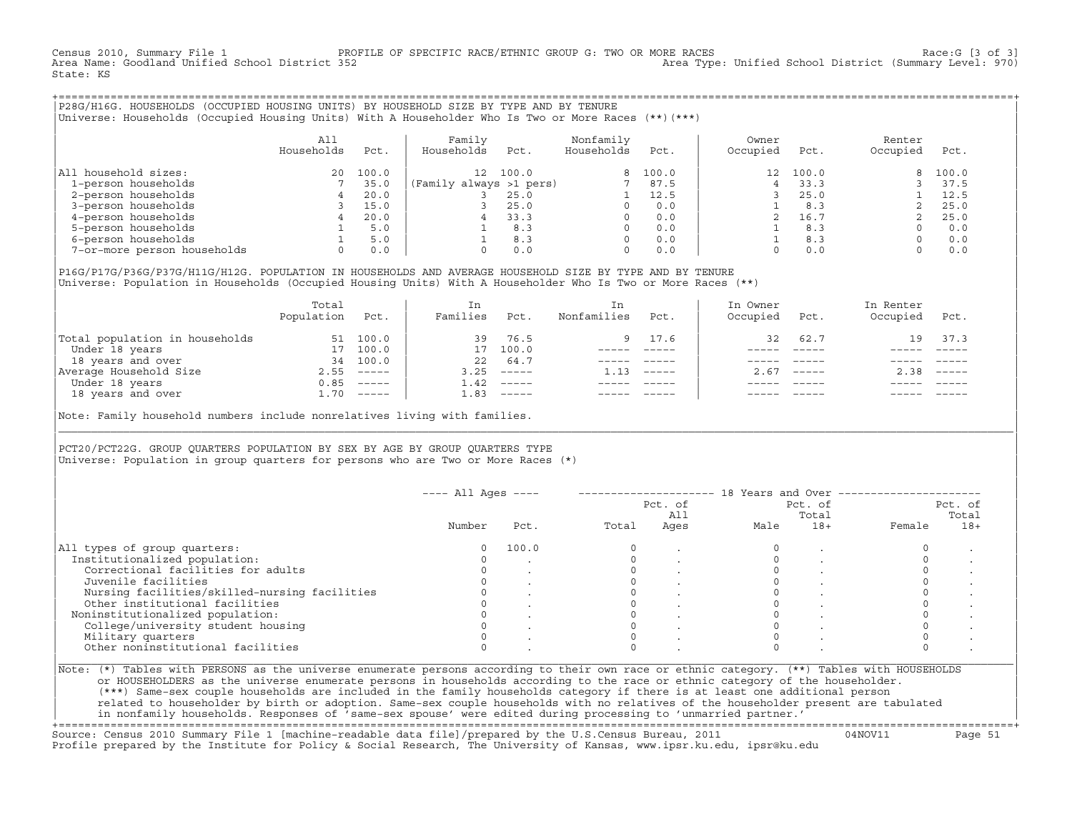Census 2010, Summary File 1 PROFILE OF SPECIFIC RACE/ETHNIC GROUP G: TWO OR MORE RACES Race:G [3 of 3] Area Type: Unified School District (Summary Level: 970) State: KS

+===================================================================================================================================================+|P28G/H16G. HOUSEHOLDS (OCCUPIED HOUSING UNITS) BY HOUSEHOLD SIZE BY TYPE AND BY TENURE | |Universe: Households (Occupied Housing Units) With A Householder Who Is Two or More Races (\*\*)(\*\*\*) |

|                             | All<br>Households | Pct.  | Family<br>Households    | Pct.  | Nonfamily<br>Households | Pct.    | Owner<br>Occupied | Pct.  | Renter<br>Occupied | Pct.  |
|-----------------------------|-------------------|-------|-------------------------|-------|-------------------------|---------|-------------------|-------|--------------------|-------|
| household sizes:<br>All     | $20^{\circ}$      | 100.0 | 12 <sup>°</sup>         | 100.0 |                         | 8 100.0 | 12                | 100.0 | 8                  | 100.0 |
| 1-person households         |                   | 35.0  | (Family always >1 pers) |       |                         | 87.5    |                   | 33.3  |                    | 37.5  |
| 2-person households         |                   | 20.0  |                         | 25.0  |                         | 12.5    |                   | 25.0  |                    | 12.5  |
| 3-person households         |                   | 15.0  |                         | 25.0  | $\Omega$                | 0.0     |                   | 8.3   |                    | 25.0  |
| 4-person households         |                   | 20.0  |                         | 33.3  | $\Omega$                | 0.0     |                   | 16.7  |                    | 25.0  |
| 5-person households         |                   | 5.0   |                         | 8.3   | $\Omega$                | 0.0     |                   | 8.3   |                    | 0.0   |
| 6-person households         |                   | 5.0   |                         | 8.3   | $\Omega$                | 0.0     |                   | 8.3   |                    | 0.0   |
| 7-or-more person households | $\Omega$          | 0.0   |                         | 0.0   | 0                       | 0.0     |                   | 0.0   |                    | 0.0   |

|P16G/P17G/P36G/P37G/H11G/H12G. POPULATION IN HOUSEHOLDS AND AVERAGE HOUSEHOLD SIZE BY TYPE AND BY TENURE | Universe: Population in Households (Occupied Housing Units) With A Householder Who Is Two or More Races (\*\*)

|                                | Total<br>Population | Pct.             | In<br>Families | Pct.                      | In.<br>Nonfamilies | Pct.     | In Owner<br>Occupied | Pct.          | In Renter<br>Occupied | Pct.        |
|--------------------------------|---------------------|------------------|----------------|---------------------------|--------------------|----------|----------------------|---------------|-----------------------|-------------|
| Total population in households | 51                  | 100.0            | 39             | 76.5                      | 9.                 | 17.6     | 32                   | 62.7          | 19                    | 37.3        |
| Under 18 years                 | 17                  | 100.0            | 17             | 100.0                     |                    |          |                      |               |                       |             |
| 18 years and over              | 34                  | 100.0            | 22             | 64.7                      |                    |          |                      |               |                       |             |
| Average Household Size         |                     | $2.55 - - - - -$ | 3.25           | $------$                  | 1.13               | $------$ | 2.67                 | $- - - - - -$ | 2.38                  | $------$    |
| Under 18 years                 | 0.85                | $------$         | 1.42           | $------$                  |                    |          |                      |               |                       |             |
| 18 years and over              |                     | $1.70$ -----     | 1.83           | $\qquad \qquad - - - - -$ |                    |          |                      | $- - - - -$   |                       | $- - - - -$ |
|                                |                     |                  |                |                           |                    |          |                      |               |                       |             |

Note: Family household numbers include nonrelatives living with families.

| | PCT20/PCT22G. GROUP OUARTERS POPULATION BY SEX BY AGE BY GROUP OUARTERS TYPE Universe: Population in group quarters for persons who are Two or More Races  $(*)$ 

|                                               |        | $---$ All Ages $---$ |       | Pct. of<br>All |      | Pct. of<br>Total |        | Pct. of<br>Total |
|-----------------------------------------------|--------|----------------------|-------|----------------|------|------------------|--------|------------------|
|                                               | Number | Pct.                 | Total | Ages           | Male | $18+$            | Female | $18+$            |
| All types of group quarters:                  |        | 100.0                |       |                |      |                  |        |                  |
| Institutionalized population:                 |        |                      |       |                |      |                  |        |                  |
| Correctional facilities for adults            |        |                      |       |                |      |                  |        |                  |
| Juvenile facilities                           |        |                      |       |                |      |                  |        |                  |
| Nursing facilities/skilled-nursing facilities |        |                      |       |                |      |                  |        |                  |
| Other institutional facilities                |        |                      |       |                |      |                  |        |                  |
| Noninstitutionalized population:              |        |                      |       |                |      |                  |        |                  |
| College/university student housing            |        |                      |       |                |      |                  |        |                  |
| Military quarters                             |        |                      |       |                |      |                  |        |                  |
| Other noninstitutional facilities             |        |                      |       |                |      |                  |        |                  |

|\_\_\_\_\_\_\_\_\_\_\_\_\_\_\_\_\_\_\_\_\_\_\_\_\_\_\_\_\_\_\_\_\_\_\_\_\_\_\_\_\_\_\_\_\_\_\_\_\_\_\_\_\_\_\_\_\_\_\_\_\_\_\_\_\_\_\_\_\_\_\_\_\_\_\_\_\_\_\_\_\_\_\_\_\_\_\_\_\_\_\_\_\_\_\_\_\_\_\_\_\_\_\_\_\_\_\_\_\_\_\_\_\_\_\_\_\_\_\_\_\_\_\_\_\_\_\_\_\_\_\_\_\_\_\_\_\_\_\_\_\_\_\_\_\_\_\_|

| |

or HOUSEHOLDERS as the universe enumerate persons in households according to the race or ethnic category of the householder. | (\*\*\*) Same−sex couple households are included in the family households category if there is at least one additional person | | related to householder by birth or adoption. Same−sex couple households with no relatives of the householder present are tabulated | | in nonfamily households. Responses of 'same−sex spouse' were edited during processing to 'unmarried partner.' |

+===================================================================================================================================================+ Source: Census 2010 Summary File 1 [machine−readable data file]/prepared by the U.S.Census Bureau, 2011 04NOV11 Page 51 Profile prepared by the Institute for Policy & Social Research, The University of Kansas, www.ipsr.ku.edu, ipsr@ku.edu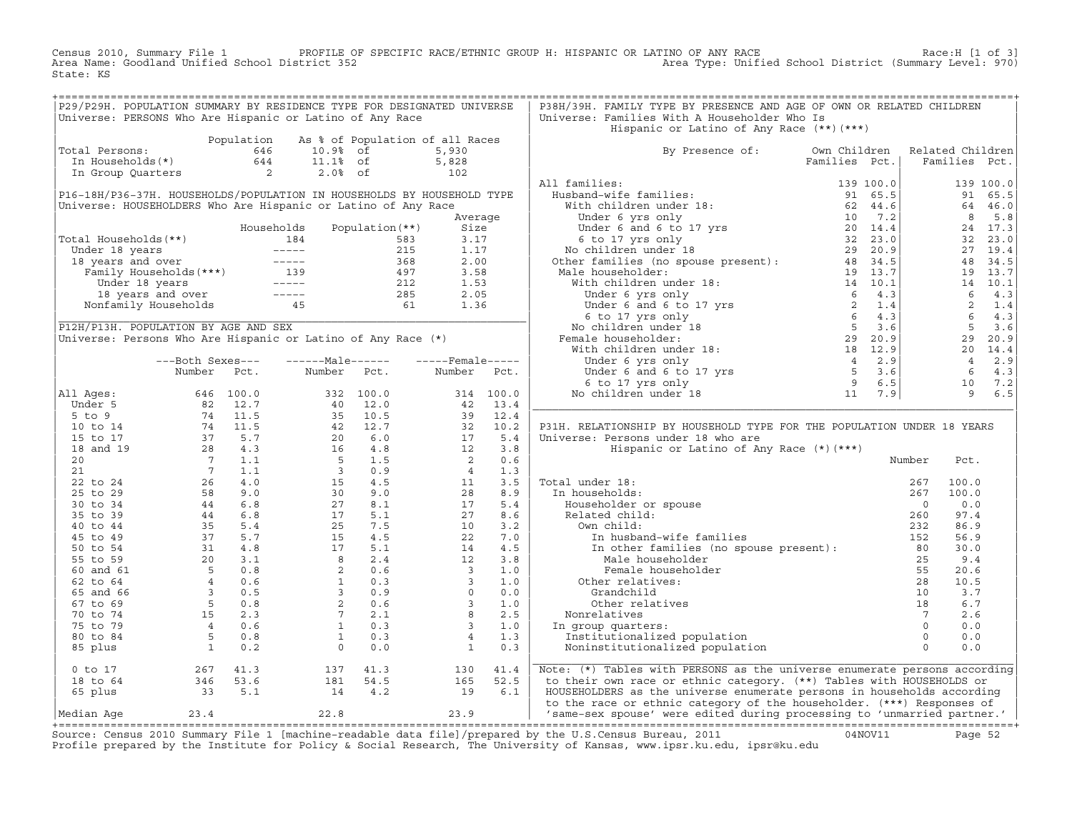Census 2010, Summary File 1 PROFILE OF SPECIFIC RACE/ETHNIC GROUP H: HISPANIC OR LATINO OF ANY RACE Race:H [1 of 3]<br>Area Name: Goodland Unified School District 352 Area Type: Unified School District (Summary Level: 970) Area Type: Unified School District (Summary Level: 970) State: KS

| Hispanic or Latino of Any Race (**) (***)<br>Population<br>As % of Population of all Races<br>Total Persons:<br>otal Persons: 646 10.9% of<br>In Households(*) 644 11.1% of<br>In Group Quarters 2 2.0% of<br>By Presence of: Own Children Related Children<br>5,930<br>5,828<br>Families Pct.<br>Families Pct.<br>$\begin{array}{c} 27.223 \\ 102 \end{array}$<br>All families:<br>139 100.0<br>P16-18H/P36-37H. HOUSEHOLDS/POPULATION IN HOUSEHOLDS BY HOUSEHOLD TYPE<br>91 65.5<br>Universe: HOUSEHOLDERS Who Are Hispanic or Latino of Any Race<br>64 46.0<br>8 5.8<br>Average<br>Households<br>Population (**)<br>Size<br>24 17.3<br>Total Households (**)<br>32 23.0<br>botal Households (**)<br>Under 18 years<br>18 18 1.17<br>18 years and over<br>Family Households (***)<br>Under 18 years<br>2.15<br>1.17<br>18 years and over<br>Family Households (***)<br>139<br>19 197<br>212<br>2.00<br>2.00<br>2.00<br>2.00<br>58 2.00<br>2.00<br>27 19.4<br>48 34.5<br>19 13.7<br>14 10.1<br>$6 \t 4.3$<br>2 1.4<br>$6\quad 4.3$<br>$5 \t3.6$<br>P12H/P13H. POPULATION BY AGE AND SEX<br>Universe: Persons Who Are Hispanic or Latino of Any Race (*)<br>29 20.9<br>20 14.4<br>$4 \t 2.9$<br>---Both Sexes---<br>$---Male----$<br>$---$ Female -----<br>$6\quad 4.3$<br>Number Pct.<br>Number Pct.<br>Number<br>Pct.<br>10 7.2<br>9 6.5<br>All Ages: 646 100.0<br>Under 5 82 12.7<br>5 to 9 74 11.5<br>10 to 14 74 11.5<br>15 to 17 37 5.7<br>20 7 1.1<br>20 7 1.1<br>21 7 1.1<br>21 7 1.1<br>25 to 24 26 4.0<br>30 to 34 44 6.8<br>40 to 44 35 5.4<br>45 to 49 37 5.7<br>55 to 49 37 5.7<br>55 to 59<br>All Ages:<br>332 100.0<br>40 12.0<br>332 100.0<br>40 12.7<br>20 6.0<br>16 4.8<br>5 1.5<br>3 0.9<br>15 4.5<br>30 9.0<br>27 8.1<br>25 7.5<br>15 4.5<br>17 5.1<br>45<br>27 5.1<br>4.5<br>27 8.1<br>25 7.5<br>15 4.5<br>27 8.1<br>25 7.5<br>15 4.5<br>20 0.6<br>27 5.1<br>25 7.5<br>20 0.6<br>20 0.6<br><br>$\begin{array}{cccccc} 314 & 100.0 \\ 42 & 13.4 \\ 39 & 12.4 \\ 32 & 10.2 \\ 17 & 5.4 \\ 12 & 3.8 \\ 2 & 0.6 \\ 4 & 1.3 \\ 11 & 3.5 \\ 28 & 8.9 \\ 17 & 5.4 \\ 4 & 1.3 \\ 11 & 3.5 \\ 28 & 8.9 \\ 17 & 5.4 \\ 2 & 7.6 \\ 10 & 3.2 \\ 22 & 7.6 \\ 14 & 4.5 \\ 12 & 3.1 \\ 3 & 1. \\ 3 & 1. \\ 3 & 1. \\ 3 & 1. \\ 3$<br>P31H. RELATIONSHIP BY HOUSEHOLD TYPE FOR THE POPULATION UNDER 18 YEARS<br>Universe: Persons under 18 who are<br>Hispanic or Latino of Any Race (*) (***)<br>Number<br>Pct.<br>al under 18:<br>n households:<br>267<br>Householder or spouse<br>Related child:<br>0<br>260<br>260<br>260<br>1 other families (no spouse present):<br>80<br>25<br>25<br>25<br>260<br>260<br>260<br>27<br>27<br>27<br>27<br>27<br>27<br>27<br>27<br>280<br>280<br>280<br>280<br>280<br>280<br><br>Total under 18:<br>100.0<br>In households:<br>100.0<br>0.0<br>97.4<br>86.9<br>56.9<br>30.0<br>Male householder<br>25<br>9.4<br>Female householder<br>55<br>20.6<br>Other relatives:<br>28<br>10.5<br>3.7<br>Grandchild<br>10<br>6.7<br>Other relatives<br>18<br>Nonrelatives<br>$7\phantom{0}$<br>2.6<br>$\overline{0}$<br>0.0<br>In group quarters:<br>Institutionalized population<br>$\overline{0}$<br>0.0<br>$\Omega$<br>0.0<br>Noninstitutionalized population<br>$267$ 41.3<br>$346$ 53.6<br>$33$ 5.1<br>Note: (*) Tables with PERSONS as the universe enumerate persons according<br>$0$ to $17$<br>137<br>41.3<br>130<br>41.4<br>$181$ $54.5$<br>$14$ $4.2$<br>to their own race or ethnic category. (**) Tables with HOUSEHOLDS or<br>18 to 64<br>$\begin{array}{c} 165 \\ 19 \end{array}$<br>52.5<br>65 plus<br>6.1<br>HOUSEHOLDERS as the universe enumerate persons in households according<br>to the race or ethnic category of the householder. (***) Responses of | P29/P29H. POPULATION SUMMARY BY RESIDENCE TYPE FOR DESIGNATED UNIVERSE<br>Universe: PERSONS Who Are Hispanic or Latino of Any Race |  |  |  | P38H/39H. FAMILY TYPE BY PRESENCE AND AGE OF OWN OR RELATED CHILDREN<br>Universe: Families With A Householder Who Is |  |  |  |
|------------------------------------------------------------------------------------------------------------------------------------------------------------------------------------------------------------------------------------------------------------------------------------------------------------------------------------------------------------------------------------------------------------------------------------------------------------------------------------------------------------------------------------------------------------------------------------------------------------------------------------------------------------------------------------------------------------------------------------------------------------------------------------------------------------------------------------------------------------------------------------------------------------------------------------------------------------------------------------------------------------------------------------------------------------------------------------------------------------------------------------------------------------------------------------------------------------------------------------------------------------------------------------------------------------------------------------------------------------------------------------------------------------------------------------------------------------------------------------------------------------------------------------------------------------------------------------------------------------------------------------------------------------------------------------------------------------------------------------------------------------------------------------------------------------------------------------------------------------------------------------------------------------------------------------------------------------------------------------------------------------------------------------------------------------------------------------------------------------------------------------------------------------------------------------------------------------------------------------------------------------------------------------------------------------------------------------------------------------------------------------------------------------------------------------------------------------------------------------------------------------------------------------------------------------------------------------------------------------------------------------------------------------------------------------------------------------------------------------------------------------------------------------------------------------------------------------------------------------------------------------------------------------------------------------------------------------------------------------------------------------------------------------------------------------------------------------------------------------------------------------------------------------------------------------------------------------------------------------------------------------------------------------------------------------------------------------------------------------------------------------------------------------------------------------------------------------------------------------------------------------------------------------------------------------------------------------------------------------------------------------------------------------------------------------------------------------|------------------------------------------------------------------------------------------------------------------------------------|--|--|--|----------------------------------------------------------------------------------------------------------------------|--|--|--|
|                                                                                                                                                                                                                                                                                                                                                                                                                                                                                                                                                                                                                                                                                                                                                                                                                                                                                                                                                                                                                                                                                                                                                                                                                                                                                                                                                                                                                                                                                                                                                                                                                                                                                                                                                                                                                                                                                                                                                                                                                                                                                                                                                                                                                                                                                                                                                                                                                                                                                                                                                                                                                                                                                                                                                                                                                                                                                                                                                                                                                                                                                                                                                                                                                                                                                                                                                                                                                                                                                                                                                                                                                                                                                                            |                                                                                                                                    |  |  |  |                                                                                                                      |  |  |  |
|                                                                                                                                                                                                                                                                                                                                                                                                                                                                                                                                                                                                                                                                                                                                                                                                                                                                                                                                                                                                                                                                                                                                                                                                                                                                                                                                                                                                                                                                                                                                                                                                                                                                                                                                                                                                                                                                                                                                                                                                                                                                                                                                                                                                                                                                                                                                                                                                                                                                                                                                                                                                                                                                                                                                                                                                                                                                                                                                                                                                                                                                                                                                                                                                                                                                                                                                                                                                                                                                                                                                                                                                                                                                                                            |                                                                                                                                    |  |  |  |                                                                                                                      |  |  |  |
|                                                                                                                                                                                                                                                                                                                                                                                                                                                                                                                                                                                                                                                                                                                                                                                                                                                                                                                                                                                                                                                                                                                                                                                                                                                                                                                                                                                                                                                                                                                                                                                                                                                                                                                                                                                                                                                                                                                                                                                                                                                                                                                                                                                                                                                                                                                                                                                                                                                                                                                                                                                                                                                                                                                                                                                                                                                                                                                                                                                                                                                                                                                                                                                                                                                                                                                                                                                                                                                                                                                                                                                                                                                                                                            |                                                                                                                                    |  |  |  |                                                                                                                      |  |  |  |
|                                                                                                                                                                                                                                                                                                                                                                                                                                                                                                                                                                                                                                                                                                                                                                                                                                                                                                                                                                                                                                                                                                                                                                                                                                                                                                                                                                                                                                                                                                                                                                                                                                                                                                                                                                                                                                                                                                                                                                                                                                                                                                                                                                                                                                                                                                                                                                                                                                                                                                                                                                                                                                                                                                                                                                                                                                                                                                                                                                                                                                                                                                                                                                                                                                                                                                                                                                                                                                                                                                                                                                                                                                                                                                            |                                                                                                                                    |  |  |  |                                                                                                                      |  |  |  |
|                                                                                                                                                                                                                                                                                                                                                                                                                                                                                                                                                                                                                                                                                                                                                                                                                                                                                                                                                                                                                                                                                                                                                                                                                                                                                                                                                                                                                                                                                                                                                                                                                                                                                                                                                                                                                                                                                                                                                                                                                                                                                                                                                                                                                                                                                                                                                                                                                                                                                                                                                                                                                                                                                                                                                                                                                                                                                                                                                                                                                                                                                                                                                                                                                                                                                                                                                                                                                                                                                                                                                                                                                                                                                                            |                                                                                                                                    |  |  |  |                                                                                                                      |  |  |  |
|                                                                                                                                                                                                                                                                                                                                                                                                                                                                                                                                                                                                                                                                                                                                                                                                                                                                                                                                                                                                                                                                                                                                                                                                                                                                                                                                                                                                                                                                                                                                                                                                                                                                                                                                                                                                                                                                                                                                                                                                                                                                                                                                                                                                                                                                                                                                                                                                                                                                                                                                                                                                                                                                                                                                                                                                                                                                                                                                                                                                                                                                                                                                                                                                                                                                                                                                                                                                                                                                                                                                                                                                                                                                                                            |                                                                                                                                    |  |  |  |                                                                                                                      |  |  |  |
|                                                                                                                                                                                                                                                                                                                                                                                                                                                                                                                                                                                                                                                                                                                                                                                                                                                                                                                                                                                                                                                                                                                                                                                                                                                                                                                                                                                                                                                                                                                                                                                                                                                                                                                                                                                                                                                                                                                                                                                                                                                                                                                                                                                                                                                                                                                                                                                                                                                                                                                                                                                                                                                                                                                                                                                                                                                                                                                                                                                                                                                                                                                                                                                                                                                                                                                                                                                                                                                                                                                                                                                                                                                                                                            |                                                                                                                                    |  |  |  |                                                                                                                      |  |  |  |
|                                                                                                                                                                                                                                                                                                                                                                                                                                                                                                                                                                                                                                                                                                                                                                                                                                                                                                                                                                                                                                                                                                                                                                                                                                                                                                                                                                                                                                                                                                                                                                                                                                                                                                                                                                                                                                                                                                                                                                                                                                                                                                                                                                                                                                                                                                                                                                                                                                                                                                                                                                                                                                                                                                                                                                                                                                                                                                                                                                                                                                                                                                                                                                                                                                                                                                                                                                                                                                                                                                                                                                                                                                                                                                            |                                                                                                                                    |  |  |  |                                                                                                                      |  |  |  |
|                                                                                                                                                                                                                                                                                                                                                                                                                                                                                                                                                                                                                                                                                                                                                                                                                                                                                                                                                                                                                                                                                                                                                                                                                                                                                                                                                                                                                                                                                                                                                                                                                                                                                                                                                                                                                                                                                                                                                                                                                                                                                                                                                                                                                                                                                                                                                                                                                                                                                                                                                                                                                                                                                                                                                                                                                                                                                                                                                                                                                                                                                                                                                                                                                                                                                                                                                                                                                                                                                                                                                                                                                                                                                                            |                                                                                                                                    |  |  |  |                                                                                                                      |  |  |  |
|                                                                                                                                                                                                                                                                                                                                                                                                                                                                                                                                                                                                                                                                                                                                                                                                                                                                                                                                                                                                                                                                                                                                                                                                                                                                                                                                                                                                                                                                                                                                                                                                                                                                                                                                                                                                                                                                                                                                                                                                                                                                                                                                                                                                                                                                                                                                                                                                                                                                                                                                                                                                                                                                                                                                                                                                                                                                                                                                                                                                                                                                                                                                                                                                                                                                                                                                                                                                                                                                                                                                                                                                                                                                                                            |                                                                                                                                    |  |  |  |                                                                                                                      |  |  |  |
|                                                                                                                                                                                                                                                                                                                                                                                                                                                                                                                                                                                                                                                                                                                                                                                                                                                                                                                                                                                                                                                                                                                                                                                                                                                                                                                                                                                                                                                                                                                                                                                                                                                                                                                                                                                                                                                                                                                                                                                                                                                                                                                                                                                                                                                                                                                                                                                                                                                                                                                                                                                                                                                                                                                                                                                                                                                                                                                                                                                                                                                                                                                                                                                                                                                                                                                                                                                                                                                                                                                                                                                                                                                                                                            |                                                                                                                                    |  |  |  |                                                                                                                      |  |  |  |
|                                                                                                                                                                                                                                                                                                                                                                                                                                                                                                                                                                                                                                                                                                                                                                                                                                                                                                                                                                                                                                                                                                                                                                                                                                                                                                                                                                                                                                                                                                                                                                                                                                                                                                                                                                                                                                                                                                                                                                                                                                                                                                                                                                                                                                                                                                                                                                                                                                                                                                                                                                                                                                                                                                                                                                                                                                                                                                                                                                                                                                                                                                                                                                                                                                                                                                                                                                                                                                                                                                                                                                                                                                                                                                            |                                                                                                                                    |  |  |  |                                                                                                                      |  |  |  |
|                                                                                                                                                                                                                                                                                                                                                                                                                                                                                                                                                                                                                                                                                                                                                                                                                                                                                                                                                                                                                                                                                                                                                                                                                                                                                                                                                                                                                                                                                                                                                                                                                                                                                                                                                                                                                                                                                                                                                                                                                                                                                                                                                                                                                                                                                                                                                                                                                                                                                                                                                                                                                                                                                                                                                                                                                                                                                                                                                                                                                                                                                                                                                                                                                                                                                                                                                                                                                                                                                                                                                                                                                                                                                                            |                                                                                                                                    |  |  |  |                                                                                                                      |  |  |  |
|                                                                                                                                                                                                                                                                                                                                                                                                                                                                                                                                                                                                                                                                                                                                                                                                                                                                                                                                                                                                                                                                                                                                                                                                                                                                                                                                                                                                                                                                                                                                                                                                                                                                                                                                                                                                                                                                                                                                                                                                                                                                                                                                                                                                                                                                                                                                                                                                                                                                                                                                                                                                                                                                                                                                                                                                                                                                                                                                                                                                                                                                                                                                                                                                                                                                                                                                                                                                                                                                                                                                                                                                                                                                                                            |                                                                                                                                    |  |  |  |                                                                                                                      |  |  |  |
|                                                                                                                                                                                                                                                                                                                                                                                                                                                                                                                                                                                                                                                                                                                                                                                                                                                                                                                                                                                                                                                                                                                                                                                                                                                                                                                                                                                                                                                                                                                                                                                                                                                                                                                                                                                                                                                                                                                                                                                                                                                                                                                                                                                                                                                                                                                                                                                                                                                                                                                                                                                                                                                                                                                                                                                                                                                                                                                                                                                                                                                                                                                                                                                                                                                                                                                                                                                                                                                                                                                                                                                                                                                                                                            |                                                                                                                                    |  |  |  |                                                                                                                      |  |  |  |
|                                                                                                                                                                                                                                                                                                                                                                                                                                                                                                                                                                                                                                                                                                                                                                                                                                                                                                                                                                                                                                                                                                                                                                                                                                                                                                                                                                                                                                                                                                                                                                                                                                                                                                                                                                                                                                                                                                                                                                                                                                                                                                                                                                                                                                                                                                                                                                                                                                                                                                                                                                                                                                                                                                                                                                                                                                                                                                                                                                                                                                                                                                                                                                                                                                                                                                                                                                                                                                                                                                                                                                                                                                                                                                            |                                                                                                                                    |  |  |  |                                                                                                                      |  |  |  |
|                                                                                                                                                                                                                                                                                                                                                                                                                                                                                                                                                                                                                                                                                                                                                                                                                                                                                                                                                                                                                                                                                                                                                                                                                                                                                                                                                                                                                                                                                                                                                                                                                                                                                                                                                                                                                                                                                                                                                                                                                                                                                                                                                                                                                                                                                                                                                                                                                                                                                                                                                                                                                                                                                                                                                                                                                                                                                                                                                                                                                                                                                                                                                                                                                                                                                                                                                                                                                                                                                                                                                                                                                                                                                                            |                                                                                                                                    |  |  |  |                                                                                                                      |  |  |  |
|                                                                                                                                                                                                                                                                                                                                                                                                                                                                                                                                                                                                                                                                                                                                                                                                                                                                                                                                                                                                                                                                                                                                                                                                                                                                                                                                                                                                                                                                                                                                                                                                                                                                                                                                                                                                                                                                                                                                                                                                                                                                                                                                                                                                                                                                                                                                                                                                                                                                                                                                                                                                                                                                                                                                                                                                                                                                                                                                                                                                                                                                                                                                                                                                                                                                                                                                                                                                                                                                                                                                                                                                                                                                                                            |                                                                                                                                    |  |  |  |                                                                                                                      |  |  |  |
|                                                                                                                                                                                                                                                                                                                                                                                                                                                                                                                                                                                                                                                                                                                                                                                                                                                                                                                                                                                                                                                                                                                                                                                                                                                                                                                                                                                                                                                                                                                                                                                                                                                                                                                                                                                                                                                                                                                                                                                                                                                                                                                                                                                                                                                                                                                                                                                                                                                                                                                                                                                                                                                                                                                                                                                                                                                                                                                                                                                                                                                                                                                                                                                                                                                                                                                                                                                                                                                                                                                                                                                                                                                                                                            |                                                                                                                                    |  |  |  |                                                                                                                      |  |  |  |
|                                                                                                                                                                                                                                                                                                                                                                                                                                                                                                                                                                                                                                                                                                                                                                                                                                                                                                                                                                                                                                                                                                                                                                                                                                                                                                                                                                                                                                                                                                                                                                                                                                                                                                                                                                                                                                                                                                                                                                                                                                                                                                                                                                                                                                                                                                                                                                                                                                                                                                                                                                                                                                                                                                                                                                                                                                                                                                                                                                                                                                                                                                                                                                                                                                                                                                                                                                                                                                                                                                                                                                                                                                                                                                            |                                                                                                                                    |  |  |  |                                                                                                                      |  |  |  |
|                                                                                                                                                                                                                                                                                                                                                                                                                                                                                                                                                                                                                                                                                                                                                                                                                                                                                                                                                                                                                                                                                                                                                                                                                                                                                                                                                                                                                                                                                                                                                                                                                                                                                                                                                                                                                                                                                                                                                                                                                                                                                                                                                                                                                                                                                                                                                                                                                                                                                                                                                                                                                                                                                                                                                                                                                                                                                                                                                                                                                                                                                                                                                                                                                                                                                                                                                                                                                                                                                                                                                                                                                                                                                                            |                                                                                                                                    |  |  |  |                                                                                                                      |  |  |  |
|                                                                                                                                                                                                                                                                                                                                                                                                                                                                                                                                                                                                                                                                                                                                                                                                                                                                                                                                                                                                                                                                                                                                                                                                                                                                                                                                                                                                                                                                                                                                                                                                                                                                                                                                                                                                                                                                                                                                                                                                                                                                                                                                                                                                                                                                                                                                                                                                                                                                                                                                                                                                                                                                                                                                                                                                                                                                                                                                                                                                                                                                                                                                                                                                                                                                                                                                                                                                                                                                                                                                                                                                                                                                                                            |                                                                                                                                    |  |  |  |                                                                                                                      |  |  |  |
|                                                                                                                                                                                                                                                                                                                                                                                                                                                                                                                                                                                                                                                                                                                                                                                                                                                                                                                                                                                                                                                                                                                                                                                                                                                                                                                                                                                                                                                                                                                                                                                                                                                                                                                                                                                                                                                                                                                                                                                                                                                                                                                                                                                                                                                                                                                                                                                                                                                                                                                                                                                                                                                                                                                                                                                                                                                                                                                                                                                                                                                                                                                                                                                                                                                                                                                                                                                                                                                                                                                                                                                                                                                                                                            |                                                                                                                                    |  |  |  |                                                                                                                      |  |  |  |
|                                                                                                                                                                                                                                                                                                                                                                                                                                                                                                                                                                                                                                                                                                                                                                                                                                                                                                                                                                                                                                                                                                                                                                                                                                                                                                                                                                                                                                                                                                                                                                                                                                                                                                                                                                                                                                                                                                                                                                                                                                                                                                                                                                                                                                                                                                                                                                                                                                                                                                                                                                                                                                                                                                                                                                                                                                                                                                                                                                                                                                                                                                                                                                                                                                                                                                                                                                                                                                                                                                                                                                                                                                                                                                            |                                                                                                                                    |  |  |  |                                                                                                                      |  |  |  |
|                                                                                                                                                                                                                                                                                                                                                                                                                                                                                                                                                                                                                                                                                                                                                                                                                                                                                                                                                                                                                                                                                                                                                                                                                                                                                                                                                                                                                                                                                                                                                                                                                                                                                                                                                                                                                                                                                                                                                                                                                                                                                                                                                                                                                                                                                                                                                                                                                                                                                                                                                                                                                                                                                                                                                                                                                                                                                                                                                                                                                                                                                                                                                                                                                                                                                                                                                                                                                                                                                                                                                                                                                                                                                                            |                                                                                                                                    |  |  |  |                                                                                                                      |  |  |  |
|                                                                                                                                                                                                                                                                                                                                                                                                                                                                                                                                                                                                                                                                                                                                                                                                                                                                                                                                                                                                                                                                                                                                                                                                                                                                                                                                                                                                                                                                                                                                                                                                                                                                                                                                                                                                                                                                                                                                                                                                                                                                                                                                                                                                                                                                                                                                                                                                                                                                                                                                                                                                                                                                                                                                                                                                                                                                                                                                                                                                                                                                                                                                                                                                                                                                                                                                                                                                                                                                                                                                                                                                                                                                                                            |                                                                                                                                    |  |  |  |                                                                                                                      |  |  |  |
|                                                                                                                                                                                                                                                                                                                                                                                                                                                                                                                                                                                                                                                                                                                                                                                                                                                                                                                                                                                                                                                                                                                                                                                                                                                                                                                                                                                                                                                                                                                                                                                                                                                                                                                                                                                                                                                                                                                                                                                                                                                                                                                                                                                                                                                                                                                                                                                                                                                                                                                                                                                                                                                                                                                                                                                                                                                                                                                                                                                                                                                                                                                                                                                                                                                                                                                                                                                                                                                                                                                                                                                                                                                                                                            |                                                                                                                                    |  |  |  |                                                                                                                      |  |  |  |
|                                                                                                                                                                                                                                                                                                                                                                                                                                                                                                                                                                                                                                                                                                                                                                                                                                                                                                                                                                                                                                                                                                                                                                                                                                                                                                                                                                                                                                                                                                                                                                                                                                                                                                                                                                                                                                                                                                                                                                                                                                                                                                                                                                                                                                                                                                                                                                                                                                                                                                                                                                                                                                                                                                                                                                                                                                                                                                                                                                                                                                                                                                                                                                                                                                                                                                                                                                                                                                                                                                                                                                                                                                                                                                            |                                                                                                                                    |  |  |  |                                                                                                                      |  |  |  |
|                                                                                                                                                                                                                                                                                                                                                                                                                                                                                                                                                                                                                                                                                                                                                                                                                                                                                                                                                                                                                                                                                                                                                                                                                                                                                                                                                                                                                                                                                                                                                                                                                                                                                                                                                                                                                                                                                                                                                                                                                                                                                                                                                                                                                                                                                                                                                                                                                                                                                                                                                                                                                                                                                                                                                                                                                                                                                                                                                                                                                                                                                                                                                                                                                                                                                                                                                                                                                                                                                                                                                                                                                                                                                                            |                                                                                                                                    |  |  |  |                                                                                                                      |  |  |  |
|                                                                                                                                                                                                                                                                                                                                                                                                                                                                                                                                                                                                                                                                                                                                                                                                                                                                                                                                                                                                                                                                                                                                                                                                                                                                                                                                                                                                                                                                                                                                                                                                                                                                                                                                                                                                                                                                                                                                                                                                                                                                                                                                                                                                                                                                                                                                                                                                                                                                                                                                                                                                                                                                                                                                                                                                                                                                                                                                                                                                                                                                                                                                                                                                                                                                                                                                                                                                                                                                                                                                                                                                                                                                                                            |                                                                                                                                    |  |  |  |                                                                                                                      |  |  |  |
|                                                                                                                                                                                                                                                                                                                                                                                                                                                                                                                                                                                                                                                                                                                                                                                                                                                                                                                                                                                                                                                                                                                                                                                                                                                                                                                                                                                                                                                                                                                                                                                                                                                                                                                                                                                                                                                                                                                                                                                                                                                                                                                                                                                                                                                                                                                                                                                                                                                                                                                                                                                                                                                                                                                                                                                                                                                                                                                                                                                                                                                                                                                                                                                                                                                                                                                                                                                                                                                                                                                                                                                                                                                                                                            |                                                                                                                                    |  |  |  |                                                                                                                      |  |  |  |
|                                                                                                                                                                                                                                                                                                                                                                                                                                                                                                                                                                                                                                                                                                                                                                                                                                                                                                                                                                                                                                                                                                                                                                                                                                                                                                                                                                                                                                                                                                                                                                                                                                                                                                                                                                                                                                                                                                                                                                                                                                                                                                                                                                                                                                                                                                                                                                                                                                                                                                                                                                                                                                                                                                                                                                                                                                                                                                                                                                                                                                                                                                                                                                                                                                                                                                                                                                                                                                                                                                                                                                                                                                                                                                            |                                                                                                                                    |  |  |  |                                                                                                                      |  |  |  |
|                                                                                                                                                                                                                                                                                                                                                                                                                                                                                                                                                                                                                                                                                                                                                                                                                                                                                                                                                                                                                                                                                                                                                                                                                                                                                                                                                                                                                                                                                                                                                                                                                                                                                                                                                                                                                                                                                                                                                                                                                                                                                                                                                                                                                                                                                                                                                                                                                                                                                                                                                                                                                                                                                                                                                                                                                                                                                                                                                                                                                                                                                                                                                                                                                                                                                                                                                                                                                                                                                                                                                                                                                                                                                                            |                                                                                                                                    |  |  |  |                                                                                                                      |  |  |  |
|                                                                                                                                                                                                                                                                                                                                                                                                                                                                                                                                                                                                                                                                                                                                                                                                                                                                                                                                                                                                                                                                                                                                                                                                                                                                                                                                                                                                                                                                                                                                                                                                                                                                                                                                                                                                                                                                                                                                                                                                                                                                                                                                                                                                                                                                                                                                                                                                                                                                                                                                                                                                                                                                                                                                                                                                                                                                                                                                                                                                                                                                                                                                                                                                                                                                                                                                                                                                                                                                                                                                                                                                                                                                                                            |                                                                                                                                    |  |  |  |                                                                                                                      |  |  |  |
|                                                                                                                                                                                                                                                                                                                                                                                                                                                                                                                                                                                                                                                                                                                                                                                                                                                                                                                                                                                                                                                                                                                                                                                                                                                                                                                                                                                                                                                                                                                                                                                                                                                                                                                                                                                                                                                                                                                                                                                                                                                                                                                                                                                                                                                                                                                                                                                                                                                                                                                                                                                                                                                                                                                                                                                                                                                                                                                                                                                                                                                                                                                                                                                                                                                                                                                                                                                                                                                                                                                                                                                                                                                                                                            |                                                                                                                                    |  |  |  |                                                                                                                      |  |  |  |
|                                                                                                                                                                                                                                                                                                                                                                                                                                                                                                                                                                                                                                                                                                                                                                                                                                                                                                                                                                                                                                                                                                                                                                                                                                                                                                                                                                                                                                                                                                                                                                                                                                                                                                                                                                                                                                                                                                                                                                                                                                                                                                                                                                                                                                                                                                                                                                                                                                                                                                                                                                                                                                                                                                                                                                                                                                                                                                                                                                                                                                                                                                                                                                                                                                                                                                                                                                                                                                                                                                                                                                                                                                                                                                            |                                                                                                                                    |  |  |  |                                                                                                                      |  |  |  |
|                                                                                                                                                                                                                                                                                                                                                                                                                                                                                                                                                                                                                                                                                                                                                                                                                                                                                                                                                                                                                                                                                                                                                                                                                                                                                                                                                                                                                                                                                                                                                                                                                                                                                                                                                                                                                                                                                                                                                                                                                                                                                                                                                                                                                                                                                                                                                                                                                                                                                                                                                                                                                                                                                                                                                                                                                                                                                                                                                                                                                                                                                                                                                                                                                                                                                                                                                                                                                                                                                                                                                                                                                                                                                                            |                                                                                                                                    |  |  |  |                                                                                                                      |  |  |  |
|                                                                                                                                                                                                                                                                                                                                                                                                                                                                                                                                                                                                                                                                                                                                                                                                                                                                                                                                                                                                                                                                                                                                                                                                                                                                                                                                                                                                                                                                                                                                                                                                                                                                                                                                                                                                                                                                                                                                                                                                                                                                                                                                                                                                                                                                                                                                                                                                                                                                                                                                                                                                                                                                                                                                                                                                                                                                                                                                                                                                                                                                                                                                                                                                                                                                                                                                                                                                                                                                                                                                                                                                                                                                                                            |                                                                                                                                    |  |  |  |                                                                                                                      |  |  |  |
|                                                                                                                                                                                                                                                                                                                                                                                                                                                                                                                                                                                                                                                                                                                                                                                                                                                                                                                                                                                                                                                                                                                                                                                                                                                                                                                                                                                                                                                                                                                                                                                                                                                                                                                                                                                                                                                                                                                                                                                                                                                                                                                                                                                                                                                                                                                                                                                                                                                                                                                                                                                                                                                                                                                                                                                                                                                                                                                                                                                                                                                                                                                                                                                                                                                                                                                                                                                                                                                                                                                                                                                                                                                                                                            |                                                                                                                                    |  |  |  |                                                                                                                      |  |  |  |
|                                                                                                                                                                                                                                                                                                                                                                                                                                                                                                                                                                                                                                                                                                                                                                                                                                                                                                                                                                                                                                                                                                                                                                                                                                                                                                                                                                                                                                                                                                                                                                                                                                                                                                                                                                                                                                                                                                                                                                                                                                                                                                                                                                                                                                                                                                                                                                                                                                                                                                                                                                                                                                                                                                                                                                                                                                                                                                                                                                                                                                                                                                                                                                                                                                                                                                                                                                                                                                                                                                                                                                                                                                                                                                            |                                                                                                                                    |  |  |  |                                                                                                                      |  |  |  |
|                                                                                                                                                                                                                                                                                                                                                                                                                                                                                                                                                                                                                                                                                                                                                                                                                                                                                                                                                                                                                                                                                                                                                                                                                                                                                                                                                                                                                                                                                                                                                                                                                                                                                                                                                                                                                                                                                                                                                                                                                                                                                                                                                                                                                                                                                                                                                                                                                                                                                                                                                                                                                                                                                                                                                                                                                                                                                                                                                                                                                                                                                                                                                                                                                                                                                                                                                                                                                                                                                                                                                                                                                                                                                                            |                                                                                                                                    |  |  |  |                                                                                                                      |  |  |  |
|                                                                                                                                                                                                                                                                                                                                                                                                                                                                                                                                                                                                                                                                                                                                                                                                                                                                                                                                                                                                                                                                                                                                                                                                                                                                                                                                                                                                                                                                                                                                                                                                                                                                                                                                                                                                                                                                                                                                                                                                                                                                                                                                                                                                                                                                                                                                                                                                                                                                                                                                                                                                                                                                                                                                                                                                                                                                                                                                                                                                                                                                                                                                                                                                                                                                                                                                                                                                                                                                                                                                                                                                                                                                                                            |                                                                                                                                    |  |  |  |                                                                                                                      |  |  |  |
|                                                                                                                                                                                                                                                                                                                                                                                                                                                                                                                                                                                                                                                                                                                                                                                                                                                                                                                                                                                                                                                                                                                                                                                                                                                                                                                                                                                                                                                                                                                                                                                                                                                                                                                                                                                                                                                                                                                                                                                                                                                                                                                                                                                                                                                                                                                                                                                                                                                                                                                                                                                                                                                                                                                                                                                                                                                                                                                                                                                                                                                                                                                                                                                                                                                                                                                                                                                                                                                                                                                                                                                                                                                                                                            |                                                                                                                                    |  |  |  |                                                                                                                      |  |  |  |
|                                                                                                                                                                                                                                                                                                                                                                                                                                                                                                                                                                                                                                                                                                                                                                                                                                                                                                                                                                                                                                                                                                                                                                                                                                                                                                                                                                                                                                                                                                                                                                                                                                                                                                                                                                                                                                                                                                                                                                                                                                                                                                                                                                                                                                                                                                                                                                                                                                                                                                                                                                                                                                                                                                                                                                                                                                                                                                                                                                                                                                                                                                                                                                                                                                                                                                                                                                                                                                                                                                                                                                                                                                                                                                            |                                                                                                                                    |  |  |  |                                                                                                                      |  |  |  |
|                                                                                                                                                                                                                                                                                                                                                                                                                                                                                                                                                                                                                                                                                                                                                                                                                                                                                                                                                                                                                                                                                                                                                                                                                                                                                                                                                                                                                                                                                                                                                                                                                                                                                                                                                                                                                                                                                                                                                                                                                                                                                                                                                                                                                                                                                                                                                                                                                                                                                                                                                                                                                                                                                                                                                                                                                                                                                                                                                                                                                                                                                                                                                                                                                                                                                                                                                                                                                                                                                                                                                                                                                                                                                                            |                                                                                                                                    |  |  |  |                                                                                                                      |  |  |  |
|                                                                                                                                                                                                                                                                                                                                                                                                                                                                                                                                                                                                                                                                                                                                                                                                                                                                                                                                                                                                                                                                                                                                                                                                                                                                                                                                                                                                                                                                                                                                                                                                                                                                                                                                                                                                                                                                                                                                                                                                                                                                                                                                                                                                                                                                                                                                                                                                                                                                                                                                                                                                                                                                                                                                                                                                                                                                                                                                                                                                                                                                                                                                                                                                                                                                                                                                                                                                                                                                                                                                                                                                                                                                                                            |                                                                                                                                    |  |  |  |                                                                                                                      |  |  |  |
|                                                                                                                                                                                                                                                                                                                                                                                                                                                                                                                                                                                                                                                                                                                                                                                                                                                                                                                                                                                                                                                                                                                                                                                                                                                                                                                                                                                                                                                                                                                                                                                                                                                                                                                                                                                                                                                                                                                                                                                                                                                                                                                                                                                                                                                                                                                                                                                                                                                                                                                                                                                                                                                                                                                                                                                                                                                                                                                                                                                                                                                                                                                                                                                                                                                                                                                                                                                                                                                                                                                                                                                                                                                                                                            |                                                                                                                                    |  |  |  |                                                                                                                      |  |  |  |
|                                                                                                                                                                                                                                                                                                                                                                                                                                                                                                                                                                                                                                                                                                                                                                                                                                                                                                                                                                                                                                                                                                                                                                                                                                                                                                                                                                                                                                                                                                                                                                                                                                                                                                                                                                                                                                                                                                                                                                                                                                                                                                                                                                                                                                                                                                                                                                                                                                                                                                                                                                                                                                                                                                                                                                                                                                                                                                                                                                                                                                                                                                                                                                                                                                                                                                                                                                                                                                                                                                                                                                                                                                                                                                            |                                                                                                                                    |  |  |  |                                                                                                                      |  |  |  |
|                                                                                                                                                                                                                                                                                                                                                                                                                                                                                                                                                                                                                                                                                                                                                                                                                                                                                                                                                                                                                                                                                                                                                                                                                                                                                                                                                                                                                                                                                                                                                                                                                                                                                                                                                                                                                                                                                                                                                                                                                                                                                                                                                                                                                                                                                                                                                                                                                                                                                                                                                                                                                                                                                                                                                                                                                                                                                                                                                                                                                                                                                                                                                                                                                                                                                                                                                                                                                                                                                                                                                                                                                                                                                                            |                                                                                                                                    |  |  |  |                                                                                                                      |  |  |  |
| 22.8<br>23.9<br>23.4<br>'same-sex spouse' were edited during processing to 'unmarried partner.'<br> Median Aqe                                                                                                                                                                                                                                                                                                                                                                                                                                                                                                                                                                                                                                                                                                                                                                                                                                                                                                                                                                                                                                                                                                                                                                                                                                                                                                                                                                                                                                                                                                                                                                                                                                                                                                                                                                                                                                                                                                                                                                                                                                                                                                                                                                                                                                                                                                                                                                                                                                                                                                                                                                                                                                                                                                                                                                                                                                                                                                                                                                                                                                                                                                                                                                                                                                                                                                                                                                                                                                                                                                                                                                                             |                                                                                                                                    |  |  |  |                                                                                                                      |  |  |  |

+===================================================================================================================================================+Source: Census 2010 Summary File 1 [machine−readable data file]/prepared by the U.S.Census Bureau, 2011 04NOV11 Page 52 Profile prepared by the Institute for Policy & Social Research, The University of Kansas, www.ipsr.ku.edu, ipsr@ku.edu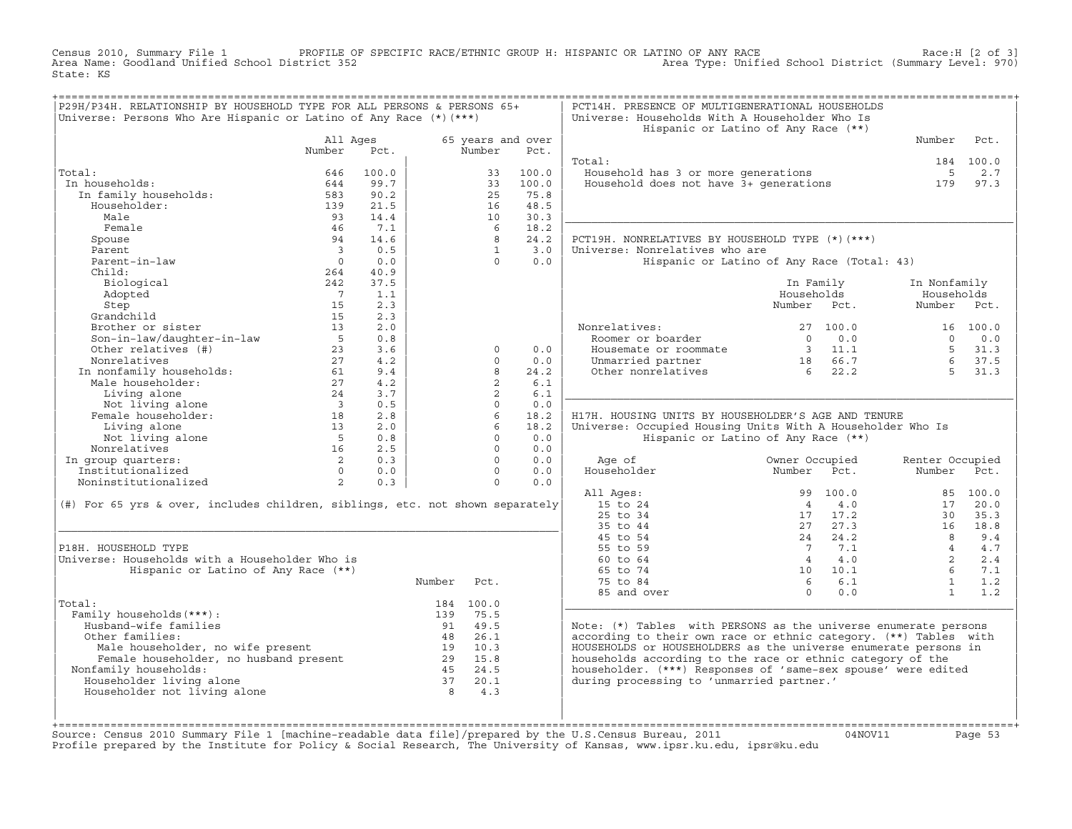Census 2010, Summary File 1 PROFILE OF SPECIFIC RACE/ETHNIC GROUP H: HISPANIC OR LATINO OF ANY RACE Race:H [2 of 3]<br>Area Name: Goodland Unified School District 352 Area Type: Unified School District (Summary Level: 970) Area Type: Unified School District (Summary Level: 970) State: KS

| P29H/P34H. RELATIONSHIP BY HOUSEHOLD TYPE FOR ALL PERSONS & PERSONS 65+<br>Universe: Persons Who Are Hispanic or Latino of Any Race $(*)$ $(***)$ |                          |              |                |                |                   | PCT14H. PRESENCE OF MULTIGENERATIONAL HOUSEHOLDS<br>Universe: Households With A Householder Who Is |                 |              |                 |           |
|---------------------------------------------------------------------------------------------------------------------------------------------------|--------------------------|--------------|----------------|----------------|-------------------|----------------------------------------------------------------------------------------------------|-----------------|--------------|-----------------|-----------|
|                                                                                                                                                   |                          |              |                |                |                   | Hispanic or Latino of Any Race (**)                                                                |                 |              |                 |           |
|                                                                                                                                                   | All Ages                 |              |                |                | 65 years and over |                                                                                                    |                 |              | Number          | Pct.      |
|                                                                                                                                                   | Number                   | Pct.         |                | Number         | Pct.              |                                                                                                    |                 |              |                 |           |
|                                                                                                                                                   |                          |              |                |                |                   | Total:                                                                                             |                 |              |                 | 184 100.0 |
| Total:<br>In households:                                                                                                                          | 646                      | 100.0        |                | 33             | 100.0             | Household has 3 or more generations                                                                |                 |              | $5^{\circ}$     | 2.7       |
|                                                                                                                                                   | 644<br>583               | 99.7<br>90.2 |                | 33<br>25       | 100.0<br>75.8     | Household does not have 3+ generations                                                             |                 |              | 179             | 97.3      |
| In family households:<br>Householder:                                                                                                             | 139                      | 21.5         |                | 16             | 48.5              |                                                                                                    |                 |              |                 |           |
| Male                                                                                                                                              | 93                       | 14.4         |                | 10             | 30.3              |                                                                                                    |                 |              |                 |           |
| Female                                                                                                                                            | -46                      | 7.1          |                | 6              | 18.2              |                                                                                                    |                 |              |                 |           |
| Spouse                                                                                                                                            | 94                       | 14.6         |                | 8              | 24.2              | PCT19H. NONRELATIVES BY HOUSEHOLD TYPE (*)(***)                                                    |                 |              |                 |           |
| Parent                                                                                                                                            | $\overline{\mathbf{3}}$  | 0.5          |                | $\overline{1}$ | 3.0               | Universe: Nonrelatives who are                                                                     |                 |              |                 |           |
| Parent-in-law                                                                                                                                     | $\Omega$                 | 0.0          |                | $\Omega$       | 0.0               | Hispanic or Latino of Any Race (Total: 43)                                                         |                 |              |                 |           |
| Child:                                                                                                                                            | 264                      | 40.9         |                |                |                   |                                                                                                    |                 |              |                 |           |
| Biological                                                                                                                                        | 242                      | 37.5         |                |                |                   |                                                                                                    | In Family       |              | In Nonfamily    |           |
| Adopted                                                                                                                                           | $\overline{7}$           | 1.1          |                |                |                   |                                                                                                    | Households      |              | Households      |           |
| Step                                                                                                                                              | 15                       | 2.3          |                |                |                   |                                                                                                    | Number Pct.     |              | Number          | Pct.      |
| Grandchild                                                                                                                                        | 15                       | 2.3          |                |                |                   |                                                                                                    |                 |              |                 |           |
| Brother or sister                                                                                                                                 | 13                       | 2.0          |                |                |                   | Nonrelatives:                                                                                      |                 | 27, 100.0    |                 | 16 100.0  |
| Son-in-law/daughter-in-law                                                                                                                        | $5^{\circ}$              | 0.8          |                |                |                   | Roomer or boarder                                                                                  | $\Omega$        | 0.0          | $\Omega$        | 0.0       |
| Other relatives (#)                                                                                                                               | 23                       | 3.6          |                | $\Omega$       | 0.0               | Housemate or roommate                                                                              |                 | 3 11.1       |                 | 5, 31.3   |
| Nonrelatives                                                                                                                                      | 27                       | 4.2          |                | $\Omega$       | 0.0               | Unmarried partner                                                                                  |                 | 18 66.7      | 6               | 37.5      |
| In nonfamily households:                                                                                                                          | 61                       | 9.4          |                | 8              | 24.2              | Other nonrelatives                                                                                 | $6\overline{6}$ | 22.2         | $5 -$           | 31.3      |
| Male householder:                                                                                                                                 | 27                       | 4.2          |                | $\overline{2}$ | 6.1               |                                                                                                    |                 |              |                 |           |
| Living alone                                                                                                                                      | 24                       | 3.7          |                | $\overline{2}$ | 6.1               |                                                                                                    |                 |              |                 |           |
| Not living alone                                                                                                                                  | $\overline{\phantom{a}}$ | 0.5          |                | $\Omega$       | 0.0               |                                                                                                    |                 |              |                 |           |
| Female householder:                                                                                                                               | 18                       | 2.8          |                | 6              | 18.2              | H17H. HOUSING UNITS BY HOUSEHOLDER'S AGE AND TENURE                                                |                 |              |                 |           |
| Living alone                                                                                                                                      | 13                       | 2.0          |                | 6              | 18.2              | Universe: Occupied Housing Units With A Householder Who Is                                         |                 |              |                 |           |
| Not living alone                                                                                                                                  | $5^{\circ}$              | 0.8          |                | $\Omega$       | 0.0               | Hispanic or Latino of Any Race (**)                                                                |                 |              |                 |           |
| Nonrelatives                                                                                                                                      | 16                       | 2.5          |                | $\Omega$       | 0.0               |                                                                                                    |                 |              |                 |           |
| In group quarters:                                                                                                                                | $\overline{2}$           | 0.3          |                | $\Omega$       | 0.0               | Age of                                                                                             | Owner Occupied  |              | Renter Occupied |           |
| Institutionalized                                                                                                                                 | $\cap$                   | 0.0          |                | $\Omega$       | 0.0               | Householder                                                                                        | Number          | Pct.         | Number          | Pct.      |
| Noninstitutionalized                                                                                                                              | $\overline{2}$           | 0.3          |                | $\Omega$       | 0.0               |                                                                                                    |                 |              |                 |           |
|                                                                                                                                                   |                          |              |                |                |                   | All Ages:                                                                                          |                 | 99 100.0     |                 | 85 100.0  |
| (#) For 65 yrs & over, includes children, siblings, etc. not shown separately                                                                     |                          |              |                |                |                   | 15 to 24                                                                                           | $\overline{4}$  | 4.0          | 17              | 20.0      |
|                                                                                                                                                   |                          |              |                |                |                   | 25 to 34                                                                                           | 17              | 17.2         | 30              | 35.3      |
|                                                                                                                                                   |                          |              |                |                |                   | 35 to 44                                                                                           |                 | 27 27.3      | 16              | 18.8      |
|                                                                                                                                                   |                          |              |                |                |                   | 45 to 54                                                                                           | 24              | 24.2         | $\overline{8}$  | 9.4       |
| P18H. HOUSEHOLD TYPE                                                                                                                              |                          |              |                |                |                   | 55 to 59                                                                                           | $\overline{7}$  | 7.1          | $\overline{4}$  | 4.7       |
| Universe: Households with a Householder Who is                                                                                                    |                          |              |                |                |                   | 60 to 64                                                                                           | $\overline{4}$  | 4.0          | 2               | 2.4       |
| Hispanic or Latino of Any Race (**)                                                                                                               |                          |              |                |                |                   | 65 to 74                                                                                           |                 | $10 \t 10.1$ | $6^{\circ}$     | 7.1       |
|                                                                                                                                                   |                          |              | Number         | Pct.           |                   | 75 to 84                                                                                           | $6\overline{6}$ | 6.1          | $\mathbf{1}$    | 1.2       |
|                                                                                                                                                   |                          |              |                |                |                   | 85 and over                                                                                        | $\Omega$        | 0.0          | $\mathbf{1}$    | 1.2       |
| Total:                                                                                                                                            |                          |              |                | 184 100.0      |                   |                                                                                                    |                 |              |                 |           |
| Family households (***) :                                                                                                                         |                          |              | 139            | 75.5           |                   |                                                                                                    |                 |              |                 |           |
| Husband-wife families                                                                                                                             |                          |              | 91             | 49.5           |                   | Note: (*) Tables with PERSONS as the universe enumerate persons                                    |                 |              |                 |           |
| Other families:                                                                                                                                   |                          |              |                | 48 26.1        |                   | according to their own race or ethnic category. (**) Tables with                                   |                 |              |                 |           |
| Ther families:<br>Male householder, no wife present<br>Female householder, no husband present                                                     |                          |              |                | 19 10.3        |                   | HOUSEHOLDS or HOUSEHOLDERS as the universe enumerate persons in                                    |                 |              |                 |           |
|                                                                                                                                                   |                          |              |                | 29 15.8        |                   | households according to the race or ethnic category of the                                         |                 |              |                 |           |
| Nonfamily households:                                                                                                                             |                          |              |                | 45 24.5        |                   | householder. (***) Responses of 'same-sex spouse' were edited                                      |                 |              |                 |           |
| Householder living alone                                                                                                                          |                          |              | 37             | 20.1           |                   | during processing to 'unmarried partner.'                                                          |                 |              |                 |           |
| Householder not living alone                                                                                                                      |                          |              | 8 <sup>1</sup> | 4.3            |                   |                                                                                                    |                 |              |                 |           |
|                                                                                                                                                   |                          |              |                |                |                   |                                                                                                    |                 |              |                 |           |
|                                                                                                                                                   |                          |              |                |                |                   |                                                                                                    |                 |              |                 |           |

+===================================================================================================================================================+Source: Census 2010 Summary File 1 [machine−readable data file]/prepared by the U.S.Census Bureau, 2011 04NOV11 Page 53 Profile prepared by the Institute for Policy & Social Research, The University of Kansas, www.ipsr.ku.edu, ipsr@ku.edu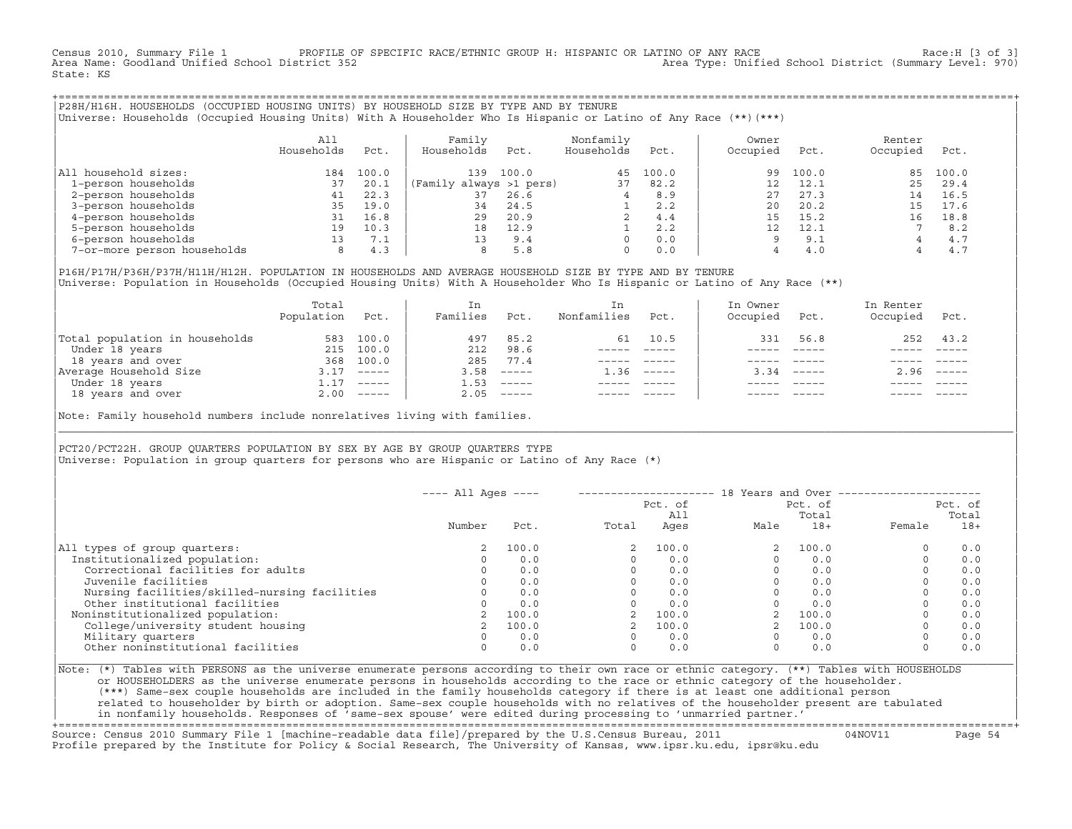Census 2010, Summary File 1 PROFILE OF SPECIFIC RACE/ETHNIC GROUP H: HISPANIC OR LATINO OF ANY RACE Race:H [3 of 3]<br>Area Name: Goodland Unified School District 352 Area Type: Unified School District (Summary Level: 970) State: KS

+===================================================================================================================================================+|P28H/H16H. HOUSEHOLDS (OCCUPIED HOUSING UNITS) BY HOUSEHOLD SIZE BY TYPE AND BY TENURE | |Universe: Households (Occupied Housing Units) With A Householder Who Is Hispanic or Latino of Any Race (\*\*)(\*\*\*) |

|                             | All<br>Households | Pct.  | Family<br>Households    | Pct.  | Nonfamily<br>Households  | Pct.  | Owner<br>Occupied | Pct.  | Renter<br>Occupied | Pct.  |
|-----------------------------|-------------------|-------|-------------------------|-------|--------------------------|-------|-------------------|-------|--------------------|-------|
| All household sizes:        | 184               | 100.0 | 139                     | 100.0 | 4.5                      | 100.0 | 99                | 100.0 | 85                 | 100.0 |
| 1-person households         | 37                | 20.1  | (Family always >1 pers) |       | 37                       | 82.2  |                   | 12.1  | $25 -$             | 29.4  |
| 2-person households         | 41                | 22.3  | 37                      | 26.6  |                          | 8.9   | 27                | 27.3  | 14                 | 16.5  |
| 3-person households         | 35                | 19.0  | 34                      | 24.5  |                          | 2.2   | 20                | 20.2  | 15                 | 17.6  |
| 4-person households         | 31                | 16.8  | 29                      | 20.9  | $\overline{\mathscr{L}}$ | 4.4   | 15                | 15.2  | 16                 | 18.8  |
| 5-person households         | 19                | 10.3  | 18                      | 12.9  |                          | 2.2   |                   | 12.1  |                    | 8.2   |
| 6-person households         | 13                | 7.1   | 13                      | 9.4   |                          | 0.0   |                   | 9.1   |                    | 4.7   |
| 7-or-more person households | 8                 | 4.3   | 8                       | 5.8   | 0                        | 0.0   |                   | 4.0   |                    | 4.7   |

|P16H/P17H/P36H/P37H/H11H/H12H. POPULATION IN HOUSEHOLDS AND AVERAGE HOUSEHOLD SIZE BY TYPE AND BY TENURE | Universe: Population in Households (Occupied Housing Units) With A Householder Who Is Hispanic or Latino of Any Race (\*\*)

|                                | Total<br>Population | Pct.         | In<br>Families | Pct.     | In.<br>Nonfamilies | Pct.        | In Owner<br>Occupied | Pct.        | In Renter<br>Occupied | Pct.                      |
|--------------------------------|---------------------|--------------|----------------|----------|--------------------|-------------|----------------------|-------------|-----------------------|---------------------------|
| Total population in households | 583                 | 100.0        | 497            | 85.2     | 61                 | 10.5        | 331                  | 56.8        | 252                   | 43.2                      |
| Under 18 years                 | 215                 | 100.0        | 212            | 98.6     |                    |             |                      |             |                       |                           |
| 18 years and over              | 368                 | 100.0        | 285            | 77.4     |                    |             |                      |             |                       |                           |
| Average Household Size         | 3.17                | $- - - - -$  | 3.58           | $------$ | 1.36               | $- - - - -$ | 3.34                 | $    -$     | 2.96                  | $\qquad \qquad - - - - -$ |
| Under 18 years                 | 1.17                | $------$     | 1.53           | $------$ |                    |             |                      |             |                       |                           |
| 18 years and over              |                     | $2.00$ ----- | 2.05           |          |                    |             |                      | $- - - - -$ |                       | $- - - - -$               |

Note: Family household numbers include nonrelatives living with families.

| | PCT20/PCT22H. GROUP OUARTERS POPULATION BY SEX BY AGE BY GROUP OUARTERS TYPE Universe: Population in group quarters for persons who are Hispanic or Latino of Any Race (\*)

|                                               | $---$ All Ages $---$ |       |       |                |          |                  | 18 Years and Over ----------------- |       |
|-----------------------------------------------|----------------------|-------|-------|----------------|----------|------------------|-------------------------------------|-------|
|                                               |                      |       |       | Pct. of<br>A11 |          | Pct. of<br>Total | Pct. of<br>Total                    |       |
|                                               | Number               | Pct.  | Total | Ages           | Male     | $18+$            | Female                              | $18+$ |
| All types of group quarters:                  | 2                    | 100.0 |       | 100.0          |          | 100.0            |                                     | 0.0   |
| Institutionalized population:                 |                      | 0.0   |       | 0.0            |          | 0.0              |                                     | 0.0   |
| Correctional facilities for adults            |                      | 0.0   |       | 0.0            |          | 0.0              |                                     | 0.0   |
| Juvenile facilities                           |                      | 0.0   |       | 0.0            |          | 0.0              |                                     | 0.0   |
| Nursing facilities/skilled-nursing facilities |                      | 0.0   |       | 0.0            |          | 0.0              |                                     | 0.0   |
| Other institutional facilities                |                      | 0.0   |       | 0.0            |          | 0.0              |                                     | 0.0   |
| Noninstitutionalized population:              |                      | 100.0 |       | 100.0          |          | 100.0            |                                     | 0.0   |
| College/university student housing            |                      | 100.0 |       | 100.0          |          | 100.0            |                                     | 0.0   |
| Military quarters                             |                      | 0.0   |       | 0.0            | $\Omega$ | 0.0              |                                     | 0.0   |
| Other noninstitutional facilities             |                      | 0.0   |       | 0.0            | $\Omega$ | 0.0              |                                     | 0.0   |

|\_\_\_\_\_\_\_\_\_\_\_\_\_\_\_\_\_\_\_\_\_\_\_\_\_\_\_\_\_\_\_\_\_\_\_\_\_\_\_\_\_\_\_\_\_\_\_\_\_\_\_\_\_\_\_\_\_\_\_\_\_\_\_\_\_\_\_\_\_\_\_\_\_\_\_\_\_\_\_\_\_\_\_\_\_\_\_\_\_\_\_\_\_\_\_\_\_\_\_\_\_\_\_\_\_\_\_\_\_\_\_\_\_\_\_\_\_\_\_\_\_\_\_\_\_\_\_\_\_\_\_\_\_\_\_\_\_\_\_\_\_\_\_\_\_\_\_|

| |

|Note: (\*) Tables with PERSONS as the universe enumerate persons according to their own race or ethnic category. (\*\*) Tables with HOUSEHOLDS | or HOUSEHOLDERS as the universe enumerate persons in households according to the race or ethnic category of the householder. | (\*\*\*) Same−sex couple households are included in the family households category if there is at least one additional person | | related to householder by birth or adoption. Same−sex couple households with no relatives of the householder present are tabulated | | in nonfamily households. Responses of 'same−sex spouse' were edited during processing to 'unmarried partner.' |

+===================================================================================================================================================+ Source: Census 2010 Summary File 1 [machine−readable data file]/prepared by the U.S.Census Bureau, 2011 04NOV11 Page 54 Profile prepared by the Institute for Policy & Social Research, The University of Kansas, www.ipsr.ku.edu, ipsr@ku.edu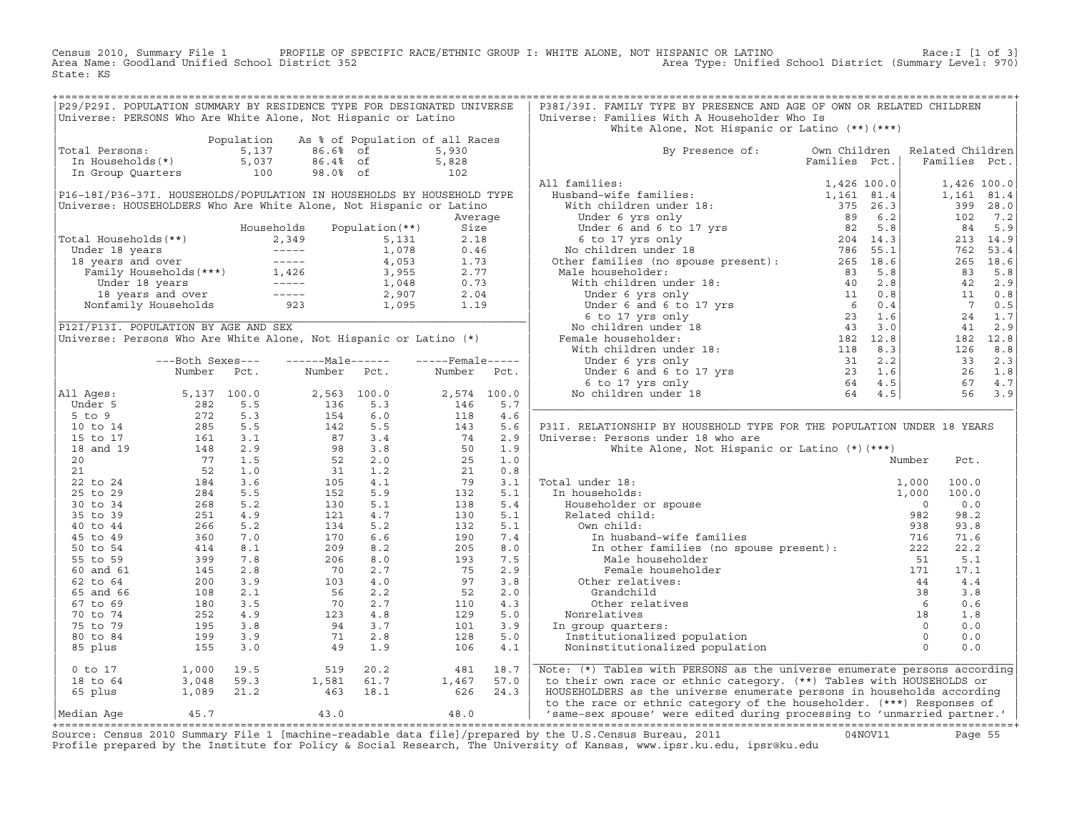Census 2010, Summary File 1 PROFILE OF SPECIFIC RACE/ETHNIC GROUP I: WHITE ALONE, NOT HISPANIC OR LATINO Race:I [1 of 3] Area Name: Goodland Unified School District 352 Area Type: Unified School District (Summary Level: 970) State: KS

| P29/P29I. POPULATION SUMMARY BY RESIDENCE TYPE FOR DESIGNATED UNIVERSE<br>Universe: PERSONS Who Are White Alone, Not Hispanic or Latino                                                                                                                                                     |                                                                                                                                              |            |                                                       |                                 |                                    |             | P38I/39I. FAMILY TYPE BY PRESENCE AND AGE OF OWN OR RELATED CHILDREN<br>Universe: Families With A Householder Who Is<br>White Alone, Not Hispanic or Latino $(**)$ $(***)$ |               |                                         |             |
|---------------------------------------------------------------------------------------------------------------------------------------------------------------------------------------------------------------------------------------------------------------------------------------------|----------------------------------------------------------------------------------------------------------------------------------------------|------------|-------------------------------------------------------|---------------------------------|------------------------------------|-------------|----------------------------------------------------------------------------------------------------------------------------------------------------------------------------|---------------|-----------------------------------------|-------------|
|                                                                                                                                                                                                                                                                                             |                                                                                                                                              | Population |                                                       | As % of Population of all Races |                                    |             |                                                                                                                                                                            |               |                                         |             |
| Total Persons:                                                                                                                                                                                                                                                                              |                                                                                                                                              | 5,137      | 86.6% of                                              |                                 | 5,930                              |             | By Presence of:                                                                                                                                                            | Own Children  | Related Children                        |             |
| In Households(*)                                                                                                                                                                                                                                                                            |                                                                                                                                              | 5,037      | 86.4% of                                              |                                 | 5,828                              |             |                                                                                                                                                                            | Families Pct. | Families Pct.                           |             |
|                                                                                                                                                                                                                                                                                             |                                                                                                                                              | 100        | 98.0% of                                              |                                 | $\begin{array}{c} 102 \end{array}$ |             |                                                                                                                                                                            |               |                                         |             |
| In Group Quarters                                                                                                                                                                                                                                                                           |                                                                                                                                              |            |                                                       |                                 |                                    |             | All families:                                                                                                                                                              |               |                                         |             |
|                                                                                                                                                                                                                                                                                             |                                                                                                                                              |            |                                                       |                                 |                                    |             |                                                                                                                                                                            |               |                                         | 1,426 100.0 |
| P16-18I/P36-37I. HOUSEHOLDS/POPULATION IN HOUSEHOLDS BY HOUSEHOLD TYPE                                                                                                                                                                                                                      |                                                                                                                                              |            |                                                       |                                 |                                    |             |                                                                                                                                                                            |               |                                         | 1,161 81.4  |
| Universe: HOUSEHOLDERS Who Are White Alone, Not Hispanic or Latino                                                                                                                                                                                                                          |                                                                                                                                              |            |                                                       |                                 |                                    |             |                                                                                                                                                                            |               |                                         | 399 28.0    |
|                                                                                                                                                                                                                                                                                             |                                                                                                                                              |            |                                                       |                                 | Average                            |             |                                                                                                                                                                            |               | 102                                     | 7.2         |
|                                                                                                                                                                                                                                                                                             |                                                                                                                                              |            |                                                       |                                 |                                    |             |                                                                                                                                                                            |               | 84                                      | 5.9         |
| Total Households(**)                                                                                                                                                                                                                                                                        |                                                                                                                                              |            |                                                       |                                 |                                    |             |                                                                                                                                                                            |               |                                         | 213 14.9    |
|                                                                                                                                                                                                                                                                                             |                                                                                                                                              |            |                                                       |                                 |                                    |             |                                                                                                                                                                            |               | 762                                     | 53.4        |
|                                                                                                                                                                                                                                                                                             |                                                                                                                                              |            |                                                       |                                 |                                    |             |                                                                                                                                                                            |               |                                         | 265 18.6    |
|                                                                                                                                                                                                                                                                                             |                                                                                                                                              |            |                                                       |                                 |                                    |             |                                                                                                                                                                            |               | 83                                      | 5.8         |
|                                                                                                                                                                                                                                                                                             |                                                                                                                                              |            |                                                       |                                 |                                    |             |                                                                                                                                                                            |               |                                         | 42 2.9      |
|                                                                                                                                                                                                                                                                                             |                                                                                                                                              |            |                                                       |                                 |                                    |             |                                                                                                                                                                            |               | 11                                      | 0.8         |
|                                                                                                                                                                                                                                                                                             |                                                                                                                                              |            |                                                       |                                 |                                    |             |                                                                                                                                                                            |               | $\overline{7}$                          | 0.5         |
|                                                                                                                                                                                                                                                                                             |                                                                                                                                              |            |                                                       |                                 |                                    |             |                                                                                                                                                                            |               | 24                                      | 1.7         |
| 0tal Households (**)<br>Under 18 years<br>18 years and over<br>18 years and over<br>18 years and over<br>19 years and over<br>19 years and over<br>19 years and over<br>19 years and over<br>19 years and over<br>19 years and over<br>19 years and<br>P12I/P13I. POPULATION BY AGE AND SEX |                                                                                                                                              |            |                                                       |                                 |                                    |             |                                                                                                                                                                            |               | 41                                      | 2.9         |
| Universe: Persons Who Are White Alone, Not Hispanic or Latino (*)                                                                                                                                                                                                                           |                                                                                                                                              |            |                                                       |                                 |                                    |             |                                                                                                                                                                            |               |                                         | 182 12.8    |
|                                                                                                                                                                                                                                                                                             |                                                                                                                                              |            |                                                       |                                 |                                    |             |                                                                                                                                                                            |               | 126                                     | 8.8         |
|                                                                                                                                                                                                                                                                                             | ---Both Sexes---                                                                                                                             |            | $---Male----$                                         |                                 | $---$ Female -----                 |             |                                                                                                                                                                            |               | 33                                      | 2.3         |
|                                                                                                                                                                                                                                                                                             | Number                                                                                                                                       | Pct.       | Number                                                | Pct.                            | Number                             | Pct.        |                                                                                                                                                                            |               |                                         | 26 1.8      |
|                                                                                                                                                                                                                                                                                             |                                                                                                                                              |            |                                                       |                                 |                                    |             |                                                                                                                                                                            |               |                                         | 67 4.7      |
| All Ages:                                                                                                                                                                                                                                                                                   |                                                                                                                                              |            |                                                       | 2,563 100.0                     |                                    | 2,574 100.0 |                                                                                                                                                                            |               |                                         | 56 3.9      |
| Under 5                                                                                                                                                                                                                                                                                     |                                                                                                                                              |            | 136                                                   | 5.3                             | 146                                | 5.7         |                                                                                                                                                                            |               |                                         |             |
| $5$ to $9$                                                                                                                                                                                                                                                                                  |                                                                                                                                              |            |                                                       | 6.0                             | 118                                | 4.6         |                                                                                                                                                                            |               |                                         |             |
| 10 to 14                                                                                                                                                                                                                                                                                    | 5, 137 100.0<br>282 5.5<br>272 5.3<br>285 5.5<br>161 3.1<br>148 2.9<br>77 1.5<br>52 1.0<br>52 1.0<br>84 3.6<br>284 5.5<br>268 5.2<br>251 4.9 |            | $\begin{array}{c} 154 \\ 142 \\ 87 \\ 98 \end{array}$ | 5.5                             | 143                                | 5.6         | P31I. RELATIONSHIP BY HOUSEHOLD TYPE FOR THE POPULATION UNDER 18 YEARS                                                                                                     |               |                                         |             |
| 15 to 17                                                                                                                                                                                                                                                                                    |                                                                                                                                              |            |                                                       | 3.4                             | 74                                 | 2.9         | Universe: Persons under 18 who are                                                                                                                                         |               |                                         |             |
| 18 and 19                                                                                                                                                                                                                                                                                   |                                                                                                                                              |            |                                                       | 3.8                             | 50                                 | 1.9         | White Alone, Not Hispanic or Latino (*) (***)                                                                                                                              |               |                                         |             |
| 20                                                                                                                                                                                                                                                                                          |                                                                                                                                              |            | $\frac{53}{31}$<br>$\frac{31}{105}$                   | 2.0                             | 25                                 | 1.0         |                                                                                                                                                                            |               | Number<br>Pct.                          |             |
| 21                                                                                                                                                                                                                                                                                          |                                                                                                                                              |            |                                                       | 1.2                             | 21                                 | 0.8         |                                                                                                                                                                            |               |                                         |             |
|                                                                                                                                                                                                                                                                                             |                                                                                                                                              |            |                                                       | 4.1                             | 79                                 | 3.1         | Total under 18:                                                                                                                                                            |               | 100.0                                   |             |
| 22 to 24                                                                                                                                                                                                                                                                                    |                                                                                                                                              |            |                                                       |                                 |                                    |             |                                                                                                                                                                            |               | 1,000                                   |             |
| 25 to 29                                                                                                                                                                                                                                                                                    |                                                                                                                                              |            | 152                                                   | 5.9                             | 132                                | 5.1         | In households:                                                                                                                                                             |               | 1,000<br>100.0                          |             |
| 30 to 34                                                                                                                                                                                                                                                                                    |                                                                                                                                              |            | 130                                                   | 5.1                             | 138                                | 5.4         |                                                                                                                                                                            |               | 0.0<br>$\overline{0}$                   |             |
| 35 to 39                                                                                                                                                                                                                                                                                    |                                                                                                                                              |            | 121                                                   | 4.7                             | 130                                | 5.1         |                                                                                                                                                                            |               | 98.2<br>982                             |             |
| 40 to 44                                                                                                                                                                                                                                                                                    |                                                                                                                                              | 5.2        | 134                                                   | 5.2                             | 132                                | 5.1         | Own child:                                                                                                                                                                 |               | 93.8<br>938                             |             |
| 45 to 49                                                                                                                                                                                                                                                                                    |                                                                                                                                              | 7.0        | 170                                                   | 6.6                             | 190                                | 7.4         | In husband-wife families                                                                                                                                                   |               | 716<br>71.6                             |             |
| 50 to 54                                                                                                                                                                                                                                                                                    |                                                                                                                                              | 8.1        | 209                                                   | 8.2                             | 205                                | 8.0         | In other families (no spouse present): 222                                                                                                                                 |               | 22.2                                    |             |
| 55 to 59                                                                                                                                                                                                                                                                                    | $266$<br>360<br>411                                                                                                                          | 7.8        | 206                                                   | 8.0                             | 193                                | 7.5         | Male householder                                                                                                                                                           |               | 5.1<br>51                               |             |
| 60 and 61                                                                                                                                                                                                                                                                                   | 145                                                                                                                                          | 2.8        | 70                                                    | 2.7                             | 75                                 | 2.9         | Female householder                                                                                                                                                         |               | 171<br>17.1                             |             |
| 62 to 64                                                                                                                                                                                                                                                                                    | 200                                                                                                                                          | 3.9        | 103                                                   | 4.0                             | 97                                 | 3.8         | Other relatives:                                                                                                                                                           |               | 44<br>4.4                               |             |
| 65 and 66                                                                                                                                                                                                                                                                                   | 108                                                                                                                                          | 2.1        | 56                                                    | 2.2                             | 52                                 | 2.0         | Grandchild                                                                                                                                                                 |               | 38<br>3.8                               |             |
| 67 to 69                                                                                                                                                                                                                                                                                    | 180                                                                                                                                          | 3.5        | 70                                                    | 2.7                             | 110                                | 4.3         | Other relatives                                                                                                                                                            |               | 6<br>0.6                                |             |
| 70 to 74                                                                                                                                                                                                                                                                                    |                                                                                                                                              | 4.9        |                                                       | 4.8                             | 129                                | 5.0         | Nonrelatives                                                                                                                                                               |               | 18<br>1.8                               |             |
| 75 to 79                                                                                                                                                                                                                                                                                    |                                                                                                                                              | 3.8        |                                                       | 3.7                             | 101                                | 3.9         | In group quarters:                                                                                                                                                         |               | $\overline{0}$<br>0.0                   |             |
| 80 to 84                                                                                                                                                                                                                                                                                    |                                                                                                                                              | 3.9        | $\begin{array}{c} 123 \\ 94 \\ 71 \end{array}$        | 2.8                             | 128                                | 5.0         | Institutionalized population                                                                                                                                               |               | $\begin{matrix}0\\0\end{matrix}$<br>0.0 |             |
| 85 plus                                                                                                                                                                                                                                                                                     | $15$ -<br>199<br>15:                                                                                                                         | 3.0        | 49                                                    | 1.9                             | 106                                | 4.1         | Noninstitutionalized population                                                                                                                                            |               | $\Omega$<br>0.0                         |             |
| 0 to 17                                                                                                                                                                                                                                                                                     | 1,000<br>3,048<br>1,089                                                                                                                      | 19.5       |                                                       | 20.2                            | 481                                | 18.7        | Note: (*) Tables with PERSONS as the universe enumerate persons according                                                                                                  |               |                                         |             |
| 18 to 64                                                                                                                                                                                                                                                                                    |                                                                                                                                              | 59.3       | 519<br>1,581                                          | 61.7                            | 1,467                              | 57.0        | to their own race or ethnic category. (**) Tables with HOUSEHOLDS or                                                                                                       |               |                                         |             |
|                                                                                                                                                                                                                                                                                             |                                                                                                                                              | 21.2       | 463                                                   | 18.1                            | 626                                | 24.3        | HOUSEHOLDERS as the universe enumerate persons in households according                                                                                                     |               |                                         |             |
| 65 plus                                                                                                                                                                                                                                                                                     |                                                                                                                                              |            | 43.0                                                  |                                 |                                    |             | to the race or ethnic category of the householder. (***) Responses of                                                                                                      |               |                                         |             |

Source: Census 2010 Summary File 1 [machine-readable data file]/prepared by the U.S.Census Bureau, 2011 Page 55<br>Profile prepared by the Institute for Policy & Social Research, The University of Kansas, www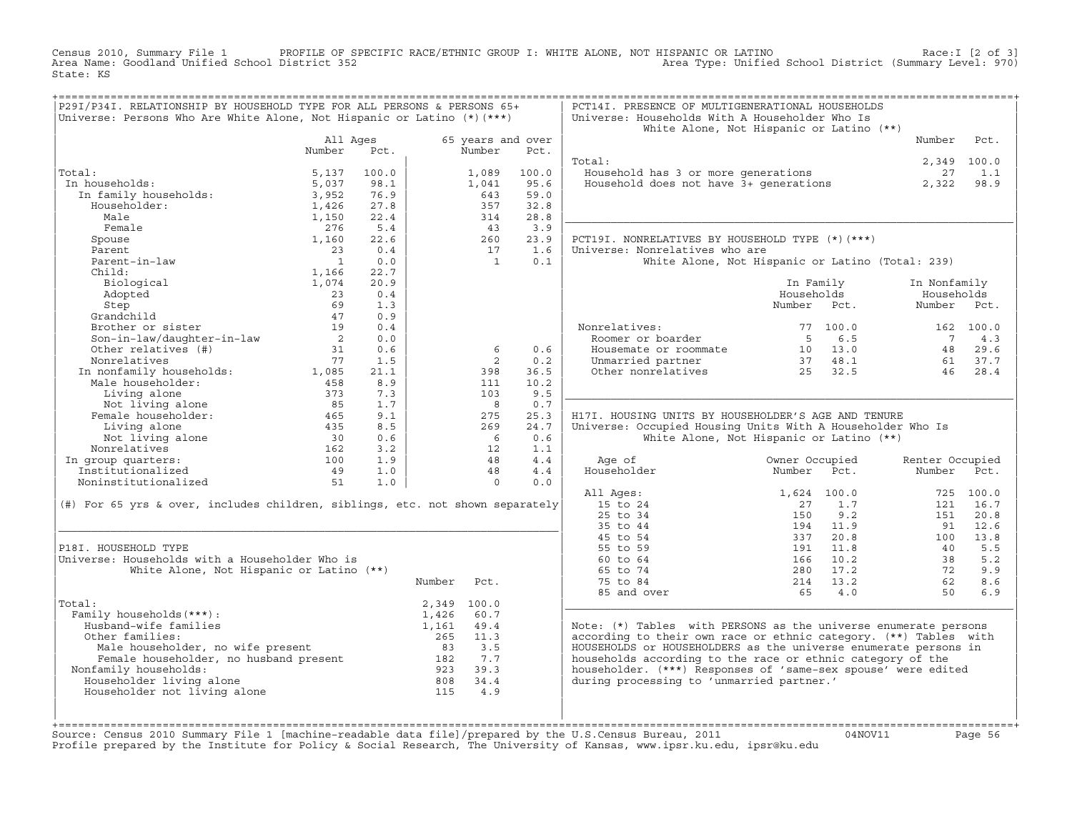Census 2010, Summary File 1 PROFILE OF SPECIFIC RACE/ETHNIC GROUP I: WHITE ALONE, NOT HISPANIC OR LATINO Race:I [2 of 3] Area Name: Goodland Unified School District 352 Area Type: Unified School District (Summary Level: 970) State: KS

| P29I/P34I. RELATIONSHIP BY HOUSEHOLD TYPE FOR ALL PERSONS & PERSONS 65+<br>Universe: Persons Who Are White Alone, Not Hispanic or Latino $(*)$ (***) |                                          |             |                                    |                             |             | PCT14I. PRESENCE OF MULTIGENERATIONAL HOUSEHOLDS<br>Universe: Households With A Householder Who Is                                  |                                                  |                 |             |
|------------------------------------------------------------------------------------------------------------------------------------------------------|------------------------------------------|-------------|------------------------------------|-----------------------------|-------------|-------------------------------------------------------------------------------------------------------------------------------------|--------------------------------------------------|-----------------|-------------|
|                                                                                                                                                      |                                          |             |                                    |                             |             |                                                                                                                                     | White Alone, Not Hispanic or Latino (**)         |                 |             |
|                                                                                                                                                      | All Ages<br>Number                       | Pct.        |                                    | 65 years and over<br>Number | Pct.        |                                                                                                                                     |                                                  | Number          | Pct.        |
|                                                                                                                                                      |                                          |             |                                    |                             |             | Total:                                                                                                                              |                                                  |                 | 2,349 100.0 |
| Total:                                                                                                                                               | 5,137                                    | 100.0       |                                    | 1,089                       | 100.0       | Household has 3 or more generations                                                                                                 |                                                  | 27              | 1.1         |
| In households:                                                                                                                                       | 5,037                                    | 98.1        |                                    | 1,041                       | 95.6        | Household does not have 3+ generations                                                                                              |                                                  | 2,322           | 98.9        |
| In family households:<br>Thuseholder.                                                                                                                | 3,952                                    | 76.9        |                                    | 643                         | 59.0        |                                                                                                                                     |                                                  |                 |             |
| Householder:                                                                                                                                         | 1,426                                    | 27.8        |                                    | 357                         | 32.8        |                                                                                                                                     |                                                  |                 |             |
| Male                                                                                                                                                 | 1,150                                    | 22.4        |                                    | 314                         | 28.8        |                                                                                                                                     |                                                  |                 |             |
| Female                                                                                                                                               | 276                                      | 5.4         |                                    | 43                          | 3.9         |                                                                                                                                     |                                                  |                 |             |
| Spouse<br>Parent                                                                                                                                     | 1,160<br>23                              | 22.6<br>0.4 |                                    | 260<br>17                   | 23.9<br>1.6 | PCT19I. NONRELATIVES BY HOUSEHOLD TYPE (*) (***)<br>Universe: Nonrelatives who are                                                  |                                                  |                 |             |
| Parent-in-law                                                                                                                                        | $\overline{1}$                           | 0.0         |                                    | $\overline{1}$              | 0.1         |                                                                                                                                     |                                                  |                 |             |
| Child:                                                                                                                                               | 1,166                                    | 22.7        |                                    |                             |             |                                                                                                                                     | White Alone, Not Hispanic or Latino (Total: 239) |                 |             |
| Biological                                                                                                                                           | 1,074                                    | 20.9        |                                    |                             |             |                                                                                                                                     | In Family                                        | In Nonfamily    |             |
| Adopted                                                                                                                                              | 23                                       | 0.4         |                                    |                             |             |                                                                                                                                     | Households                                       | Households      |             |
| Step                                                                                                                                                 | 69                                       | 1.3         |                                    |                             |             |                                                                                                                                     | Number Pct.                                      | Number          | Pct.        |
| Grandchild                                                                                                                                           | 47                                       | 0.9         |                                    |                             |             |                                                                                                                                     |                                                  |                 |             |
| Brother or sister                                                                                                                                    | 19                                       | 0.4         |                                    |                             |             | Nonrelatives:                                                                                                                       | 77 100.0                                         |                 | 162 100.0   |
| Son-in-law/daughter-in-law                                                                                                                           | $\overline{2}$                           | 0.0         |                                    |                             |             | Roomer or boarder                                                                                                                   | 6.5<br>$5^{\circ}$                               | $\overline{7}$  | 4.3         |
| Other relatives (#)                                                                                                                                  | 31                                       | 0.6         |                                    | 6                           | 0.6         | Housemate or roommate                                                                                                               | 10 13.0                                          |                 | 48 29.6     |
| Nonrelatives                                                                                                                                         | 77                                       | 1.5         |                                    | 2                           | 0.2         |                                                                                                                                     |                                                  | 61              | 37.7        |
|                                                                                                                                                      |                                          | 21.1        |                                    | 398                         | 36.5        | Unmarried partner 37 48.1<br>Other nonrelatives 25 32.5                                                                             |                                                  | 46              | 28.4        |
| In nonfamily households: 1,085<br>Male householder: 458                                                                                              |                                          | 8.9         |                                    | 111                         | 10.2        |                                                                                                                                     |                                                  |                 |             |
| Living alone                                                                                                                                         | 373                                      | 7.3         |                                    | 103                         | 9.5         |                                                                                                                                     |                                                  |                 |             |
| Not living alone                                                                                                                                     | 85                                       | 1.7         |                                    | $_{\rm 8}$                  | 0.7         |                                                                                                                                     |                                                  |                 |             |
| Female householder:                                                                                                                                  | 465                                      | 9.1         |                                    | 275                         | 25.3        | H17I. HOUSING UNITS BY HOUSEHOLDER'S AGE AND TENURE                                                                                 |                                                  |                 |             |
| Living alone                                                                                                                                         | 435                                      | 8.5         |                                    | 269                         | 24.7        | Universe: Occupied Housing Units With A Householder Who Is                                                                          |                                                  |                 |             |
| Not living alone                                                                                                                                     | $\begin{array}{c} 30 \\ 162 \end{array}$ | 0.6         |                                    | $6^{\circ}$                 | 0.6         |                                                                                                                                     | White Alone, Not Hispanic or Latino (**)         |                 |             |
| Nonrelatives                                                                                                                                         |                                          | 3.2         |                                    | 12                          | 1.1         |                                                                                                                                     |                                                  |                 |             |
| In group quarters:                                                                                                                                   | 100                                      | 1.9         |                                    | 48                          | 4.4         | Age of                                                                                                                              | Owner Occupied                                   | Renter Occupied |             |
| Institutionalized                                                                                                                                    | 49                                       | 1.0         |                                    | 48                          | 4.4         | Householder                                                                                                                         | Number<br>Pct.                                   | Number          | Pct.        |
| Noninstitutionalized                                                                                                                                 | 51                                       | 1.0         |                                    | $\Omega$                    | 0.0         |                                                                                                                                     |                                                  |                 |             |
|                                                                                                                                                      |                                          |             |                                    |                             |             | All Ages:                                                                                                                           | 1,624 100.0                                      |                 | 725 100.0   |
| (#) For 65 yrs & over, includes children, siblings, etc. not shown separately                                                                        |                                          |             |                                    |                             |             | 15 to 24                                                                                                                            | 1.7<br>2.7                                       |                 | 121 16.7    |
|                                                                                                                                                      |                                          |             |                                    |                             |             | 25 to 34                                                                                                                            | 150<br>9.2                                       | 151             | 20.8        |
|                                                                                                                                                      |                                          |             |                                    |                             |             | 35 to 44                                                                                                                            | 194 11.9                                         | 91              | 12.6        |
|                                                                                                                                                      |                                          |             |                                    |                             |             | 45 to 54                                                                                                                            | 20.8<br>337                                      | 100             | 13.8        |
| P18I. HOUSEHOLD TYPE                                                                                                                                 |                                          |             |                                    |                             |             | 55 to 59                                                                                                                            | 11.8<br>191                                      | 40              | 5.5         |
| Universe: Households with a Householder Who is                                                                                                       |                                          |             |                                    |                             |             | 60 to 64                                                                                                                            | 10.2<br>166                                      | 38              | 5.2         |
| White Alone, Not Hispanic or Latino (**)                                                                                                             |                                          |             |                                    |                             |             | 65 to 74                                                                                                                            | 280 17.2                                         | 72              | 9.9         |
|                                                                                                                                                      |                                          |             | Number                             | Pct.                        |             | 75 to 84                                                                                                                            | 214 13.2                                         | 62              | 8.6         |
|                                                                                                                                                      |                                          |             |                                    |                             |             | 85 and over                                                                                                                         | 65<br>4.0                                        | 50              | 6.9         |
| Total:<br>Family households (***) :                                                                                                                  |                                          |             |                                    | 2,349 100.0<br>60.7         |             |                                                                                                                                     |                                                  |                 |             |
| Husband-wife families                                                                                                                                |                                          |             | 1,426<br>1,161                     | 49.4                        |             |                                                                                                                                     |                                                  |                 |             |
| Other families:                                                                                                                                      |                                          |             | 265                                | 11.3                        |             | Note: (*) Tables with PERSONS as the universe enumerate persons<br>according to their own race or ethnic category. (**) Tables with |                                                  |                 |             |
|                                                                                                                                                      |                                          |             |                                    |                             |             | HOUSEHOLDS or HOUSEHOLDERS as the universe enumerate persons in                                                                     |                                                  |                 |             |
| Male householder, no wife present<br>Female householder, no husband present<br>Family households:<br>39.3<br>39.3<br>39.3                            |                                          |             |                                    |                             |             | households according to the race or ethnic category of the                                                                          |                                                  |                 |             |
| Nonfamily households:                                                                                                                                |                                          |             |                                    |                             |             | householder. (***) Responses of 'same-sex spouse' were edited                                                                       |                                                  |                 |             |
| Householder living alone                                                                                                                             |                                          |             |                                    |                             |             | during processing to 'unmarried partner.'                                                                                           |                                                  |                 |             |
| Householder not living alone                                                                                                                         |                                          |             | $808$ $34.4$<br>$115$ $4.9$<br>115 | 4.9                         |             |                                                                                                                                     |                                                  |                 |             |
|                                                                                                                                                      |                                          |             |                                    |                             |             |                                                                                                                                     |                                                  |                 |             |
|                                                                                                                                                      |                                          |             |                                    |                             |             |                                                                                                                                     |                                                  |                 |             |
|                                                                                                                                                      |                                          |             |                                    |                             |             |                                                                                                                                     |                                                  |                 |             |

+===================================================================================================================================================+Source: Census 2010 Summary File 1 [machine−readable data file]/prepared by the U.S.Census Bureau, 2011 04NOV11 Page 56 Profile prepared by the Institute for Policy & Social Research, The University of Kansas, www.ipsr.ku.edu, ipsr@ku.edu